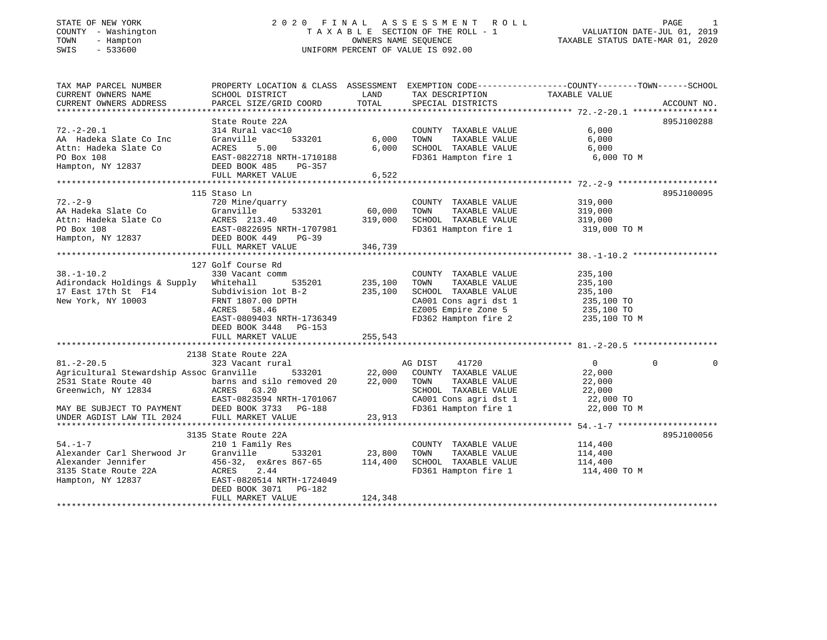## STATE OF NEW YORK 2 0 2 0 F I N A L A S S E S S M E N T R O L L PAGE 1 COUNTY - Washington T A X A B L E SECTION OF THE ROLL - 1 VALUATION DATE-JUL 01, 2019 TOWN - Hampton OWNERS NAME SEQUENCE TAXABLE STATUS DATE-MAR 01, 2020 SWIS - 533600 UNIFORM PERCENT OF VALUE IS 092.00

| TAXABLE VALUE<br>CURRENT OWNERS NAME<br>SCHOOL DISTRICT<br>TAX DESCRIPTION<br>TOTAL<br>CURRENT OWNERS ADDRESS<br>PARCEL SIZE/GRID COORD<br>SPECIAL DISTRICTS<br>ACCOUNT NO.<br>State Route 22A<br>895J100288<br>314 Rural vac<10<br>COUNTY TAXABLE VALUE<br>6,000<br>TAXABLE VALUE<br>AA Hadeka Slate Co Inc<br>Granville<br>533201<br>6,000<br>TOWN<br>6,000<br>Attn: Hadeka Slate Co<br>6,000<br>SCHOOL TAXABLE VALUE<br>FD361 Hampton fire 1<br>ACRES 5.00<br>6,000<br>6,000 TO M<br>PO Box 108<br>EAST-0822718 NRTH-1710188<br>Hampton, NY 12837 DEED BOOK 485<br>PG-357<br>FULL MARKET VALUE<br>6,522<br>895J100095<br>115 Staso Ln<br>$72. - 2 - 9$<br>720 Mine/quarry<br>COUNTY TAXABLE VALUE<br>319,000<br>60,000<br>Granville<br>533201<br>TAXABLE VALUE<br>319,000<br>TOWN<br>Granville 533201<br>Co ACRES 213.40<br>EAST-0822695 NRTH-1707981<br>DEED BOOK 449 PG-39<br>319,000<br>319,000<br>SCHOOL TAXABLE VALUE<br>FD361 Hampton fire 1 319,000 TO M<br>Hampton, NY 12837<br>346,739<br>FULL MARKET VALUE<br>127 Golf Course Rd<br>$38. - 1 - 10.2$<br>330 Vacant comm<br>COUNTY TAXABLE VALUE<br>235,100<br>535201 235,100<br>TAXABLE VALUE<br>235,100<br>Adirondack Holdings & Supply Whitehall<br>TOWN<br>17 East 17th St F14<br>235,100<br>SCHOOL TAXABLE VALUE<br>Subdivision lot B-2<br>235,100<br>235,100 TO<br>New York, NY 10003<br>CA001 Cons agri dst 1 235,100 TO<br>EZ005 Empire Zone 5 235,100 TO<br>FRNT 1807.00 DPTH<br>ACRES 58.46<br>EAST-0809403 NRTH-1736349<br>FD362 Hampton fire 2<br>235,100 TO M<br>DEED BOOK 3448 PG-153<br>2138 State Route 22A<br>$81. - 2 - 20.5$<br>323 Vacant rural<br>41720<br>$\overline{0}$<br>$\Omega$<br>AG DIST<br>0<br>533201 22,000<br>Agricultural Stewardship Assoc Granville<br>COUNTY TAXABLE VALUE<br>22,000<br>2531 State Route 40<br>barns and silo removed 20<br>22,000<br>TOWN<br>TAXABLE VALUE<br>22,000<br>ACRES 63.20<br>SCHOOL TAXABLE VALUE<br>Greenwich, NY 12834<br>22,000<br>CA001 Cons agri dst 1 22,000 TO<br>FD361 Hampton fire 1 22,000 TO M<br>EAST-0823594 NRTH-1701067<br>MAY BE SUBJECT TO PAYMENT DEED BOOK 3733 PG-188<br>UNDER AGDIST LAW TIL 2024 FULL MARKET VALUE<br>23,913<br>3135 State Route 22A<br>895J100056<br>$54. - 1 - 7$<br>210 1 Family Res<br>COUNTY TAXABLE VALUE<br>114,400<br>533201 23,800<br>Alexander Carl Sherwood Jr Granville<br>TOWN<br>TAXABLE VALUE<br>114,400<br>Alexander Jennifer<br>456-32, ex&res 867-65 114,400<br>SCHOOL TAXABLE VALUE<br>114,400<br><b>ACRES</b><br>FD361 Hampton fire 1 114,400 TO M<br>3135 State Route 22A<br>2.44<br>Hampton, NY 12837<br>EAST-0820514 NRTH-1724049<br>DEED BOOK 3071 PG-182<br>124,348<br>FULL MARKET VALUE | TAX MAP PARCEL NUMBER | PROPERTY LOCATION & CLASS ASSESSMENT EXEMPTION CODE---------------COUNTY-------TOWN------SCHOOL | LAND |  |  |
|-------------------------------------------------------------------------------------------------------------------------------------------------------------------------------------------------------------------------------------------------------------------------------------------------------------------------------------------------------------------------------------------------------------------------------------------------------------------------------------------------------------------------------------------------------------------------------------------------------------------------------------------------------------------------------------------------------------------------------------------------------------------------------------------------------------------------------------------------------------------------------------------------------------------------------------------------------------------------------------------------------------------------------------------------------------------------------------------------------------------------------------------------------------------------------------------------------------------------------------------------------------------------------------------------------------------------------------------------------------------------------------------------------------------------------------------------------------------------------------------------------------------------------------------------------------------------------------------------------------------------------------------------------------------------------------------------------------------------------------------------------------------------------------------------------------------------------------------------------------------------------------------------------------------------------------------------------------------------------------------------------------------------------------------------------------------------------------------------------------------------------------------------------------------------------------------------------------------------------------------------------------------------------------------------------------------------------------------------------------------------------------------------------------------------------------------------------------------------------------------------------------------------------------------------------------------------------------------------------------------------------------------------------------------------------------|-----------------------|-------------------------------------------------------------------------------------------------|------|--|--|
|                                                                                                                                                                                                                                                                                                                                                                                                                                                                                                                                                                                                                                                                                                                                                                                                                                                                                                                                                                                                                                                                                                                                                                                                                                                                                                                                                                                                                                                                                                                                                                                                                                                                                                                                                                                                                                                                                                                                                                                                                                                                                                                                                                                                                                                                                                                                                                                                                                                                                                                                                                                                                                                                                     |                       |                                                                                                 |      |  |  |
|                                                                                                                                                                                                                                                                                                                                                                                                                                                                                                                                                                                                                                                                                                                                                                                                                                                                                                                                                                                                                                                                                                                                                                                                                                                                                                                                                                                                                                                                                                                                                                                                                                                                                                                                                                                                                                                                                                                                                                                                                                                                                                                                                                                                                                                                                                                                                                                                                                                                                                                                                                                                                                                                                     |                       |                                                                                                 |      |  |  |
|                                                                                                                                                                                                                                                                                                                                                                                                                                                                                                                                                                                                                                                                                                                                                                                                                                                                                                                                                                                                                                                                                                                                                                                                                                                                                                                                                                                                                                                                                                                                                                                                                                                                                                                                                                                                                                                                                                                                                                                                                                                                                                                                                                                                                                                                                                                                                                                                                                                                                                                                                                                                                                                                                     |                       |                                                                                                 |      |  |  |
|                                                                                                                                                                                                                                                                                                                                                                                                                                                                                                                                                                                                                                                                                                                                                                                                                                                                                                                                                                                                                                                                                                                                                                                                                                                                                                                                                                                                                                                                                                                                                                                                                                                                                                                                                                                                                                                                                                                                                                                                                                                                                                                                                                                                                                                                                                                                                                                                                                                                                                                                                                                                                                                                                     | $72. - 2 - 20.1$      |                                                                                                 |      |  |  |
|                                                                                                                                                                                                                                                                                                                                                                                                                                                                                                                                                                                                                                                                                                                                                                                                                                                                                                                                                                                                                                                                                                                                                                                                                                                                                                                                                                                                                                                                                                                                                                                                                                                                                                                                                                                                                                                                                                                                                                                                                                                                                                                                                                                                                                                                                                                                                                                                                                                                                                                                                                                                                                                                                     |                       |                                                                                                 |      |  |  |
|                                                                                                                                                                                                                                                                                                                                                                                                                                                                                                                                                                                                                                                                                                                                                                                                                                                                                                                                                                                                                                                                                                                                                                                                                                                                                                                                                                                                                                                                                                                                                                                                                                                                                                                                                                                                                                                                                                                                                                                                                                                                                                                                                                                                                                                                                                                                                                                                                                                                                                                                                                                                                                                                                     |                       |                                                                                                 |      |  |  |
|                                                                                                                                                                                                                                                                                                                                                                                                                                                                                                                                                                                                                                                                                                                                                                                                                                                                                                                                                                                                                                                                                                                                                                                                                                                                                                                                                                                                                                                                                                                                                                                                                                                                                                                                                                                                                                                                                                                                                                                                                                                                                                                                                                                                                                                                                                                                                                                                                                                                                                                                                                                                                                                                                     |                       |                                                                                                 |      |  |  |
|                                                                                                                                                                                                                                                                                                                                                                                                                                                                                                                                                                                                                                                                                                                                                                                                                                                                                                                                                                                                                                                                                                                                                                                                                                                                                                                                                                                                                                                                                                                                                                                                                                                                                                                                                                                                                                                                                                                                                                                                                                                                                                                                                                                                                                                                                                                                                                                                                                                                                                                                                                                                                                                                                     |                       |                                                                                                 |      |  |  |
|                                                                                                                                                                                                                                                                                                                                                                                                                                                                                                                                                                                                                                                                                                                                                                                                                                                                                                                                                                                                                                                                                                                                                                                                                                                                                                                                                                                                                                                                                                                                                                                                                                                                                                                                                                                                                                                                                                                                                                                                                                                                                                                                                                                                                                                                                                                                                                                                                                                                                                                                                                                                                                                                                     |                       |                                                                                                 |      |  |  |
|                                                                                                                                                                                                                                                                                                                                                                                                                                                                                                                                                                                                                                                                                                                                                                                                                                                                                                                                                                                                                                                                                                                                                                                                                                                                                                                                                                                                                                                                                                                                                                                                                                                                                                                                                                                                                                                                                                                                                                                                                                                                                                                                                                                                                                                                                                                                                                                                                                                                                                                                                                                                                                                                                     |                       |                                                                                                 |      |  |  |
|                                                                                                                                                                                                                                                                                                                                                                                                                                                                                                                                                                                                                                                                                                                                                                                                                                                                                                                                                                                                                                                                                                                                                                                                                                                                                                                                                                                                                                                                                                                                                                                                                                                                                                                                                                                                                                                                                                                                                                                                                                                                                                                                                                                                                                                                                                                                                                                                                                                                                                                                                                                                                                                                                     |                       |                                                                                                 |      |  |  |
|                                                                                                                                                                                                                                                                                                                                                                                                                                                                                                                                                                                                                                                                                                                                                                                                                                                                                                                                                                                                                                                                                                                                                                                                                                                                                                                                                                                                                                                                                                                                                                                                                                                                                                                                                                                                                                                                                                                                                                                                                                                                                                                                                                                                                                                                                                                                                                                                                                                                                                                                                                                                                                                                                     |                       |                                                                                                 |      |  |  |
|                                                                                                                                                                                                                                                                                                                                                                                                                                                                                                                                                                                                                                                                                                                                                                                                                                                                                                                                                                                                                                                                                                                                                                                                                                                                                                                                                                                                                                                                                                                                                                                                                                                                                                                                                                                                                                                                                                                                                                                                                                                                                                                                                                                                                                                                                                                                                                                                                                                                                                                                                                                                                                                                                     | AA Hadeka Slate Co    |                                                                                                 |      |  |  |
|                                                                                                                                                                                                                                                                                                                                                                                                                                                                                                                                                                                                                                                                                                                                                                                                                                                                                                                                                                                                                                                                                                                                                                                                                                                                                                                                                                                                                                                                                                                                                                                                                                                                                                                                                                                                                                                                                                                                                                                                                                                                                                                                                                                                                                                                                                                                                                                                                                                                                                                                                                                                                                                                                     | Attn: Hadeka Slate Co |                                                                                                 |      |  |  |
|                                                                                                                                                                                                                                                                                                                                                                                                                                                                                                                                                                                                                                                                                                                                                                                                                                                                                                                                                                                                                                                                                                                                                                                                                                                                                                                                                                                                                                                                                                                                                                                                                                                                                                                                                                                                                                                                                                                                                                                                                                                                                                                                                                                                                                                                                                                                                                                                                                                                                                                                                                                                                                                                                     | PO Box 108            |                                                                                                 |      |  |  |
|                                                                                                                                                                                                                                                                                                                                                                                                                                                                                                                                                                                                                                                                                                                                                                                                                                                                                                                                                                                                                                                                                                                                                                                                                                                                                                                                                                                                                                                                                                                                                                                                                                                                                                                                                                                                                                                                                                                                                                                                                                                                                                                                                                                                                                                                                                                                                                                                                                                                                                                                                                                                                                                                                     |                       |                                                                                                 |      |  |  |
|                                                                                                                                                                                                                                                                                                                                                                                                                                                                                                                                                                                                                                                                                                                                                                                                                                                                                                                                                                                                                                                                                                                                                                                                                                                                                                                                                                                                                                                                                                                                                                                                                                                                                                                                                                                                                                                                                                                                                                                                                                                                                                                                                                                                                                                                                                                                                                                                                                                                                                                                                                                                                                                                                     |                       |                                                                                                 |      |  |  |
|                                                                                                                                                                                                                                                                                                                                                                                                                                                                                                                                                                                                                                                                                                                                                                                                                                                                                                                                                                                                                                                                                                                                                                                                                                                                                                                                                                                                                                                                                                                                                                                                                                                                                                                                                                                                                                                                                                                                                                                                                                                                                                                                                                                                                                                                                                                                                                                                                                                                                                                                                                                                                                                                                     |                       |                                                                                                 |      |  |  |
|                                                                                                                                                                                                                                                                                                                                                                                                                                                                                                                                                                                                                                                                                                                                                                                                                                                                                                                                                                                                                                                                                                                                                                                                                                                                                                                                                                                                                                                                                                                                                                                                                                                                                                                                                                                                                                                                                                                                                                                                                                                                                                                                                                                                                                                                                                                                                                                                                                                                                                                                                                                                                                                                                     |                       |                                                                                                 |      |  |  |
|                                                                                                                                                                                                                                                                                                                                                                                                                                                                                                                                                                                                                                                                                                                                                                                                                                                                                                                                                                                                                                                                                                                                                                                                                                                                                                                                                                                                                                                                                                                                                                                                                                                                                                                                                                                                                                                                                                                                                                                                                                                                                                                                                                                                                                                                                                                                                                                                                                                                                                                                                                                                                                                                                     |                       |                                                                                                 |      |  |  |
|                                                                                                                                                                                                                                                                                                                                                                                                                                                                                                                                                                                                                                                                                                                                                                                                                                                                                                                                                                                                                                                                                                                                                                                                                                                                                                                                                                                                                                                                                                                                                                                                                                                                                                                                                                                                                                                                                                                                                                                                                                                                                                                                                                                                                                                                                                                                                                                                                                                                                                                                                                                                                                                                                     |                       |                                                                                                 |      |  |  |
|                                                                                                                                                                                                                                                                                                                                                                                                                                                                                                                                                                                                                                                                                                                                                                                                                                                                                                                                                                                                                                                                                                                                                                                                                                                                                                                                                                                                                                                                                                                                                                                                                                                                                                                                                                                                                                                                                                                                                                                                                                                                                                                                                                                                                                                                                                                                                                                                                                                                                                                                                                                                                                                                                     |                       |                                                                                                 |      |  |  |
|                                                                                                                                                                                                                                                                                                                                                                                                                                                                                                                                                                                                                                                                                                                                                                                                                                                                                                                                                                                                                                                                                                                                                                                                                                                                                                                                                                                                                                                                                                                                                                                                                                                                                                                                                                                                                                                                                                                                                                                                                                                                                                                                                                                                                                                                                                                                                                                                                                                                                                                                                                                                                                                                                     |                       |                                                                                                 |      |  |  |
|                                                                                                                                                                                                                                                                                                                                                                                                                                                                                                                                                                                                                                                                                                                                                                                                                                                                                                                                                                                                                                                                                                                                                                                                                                                                                                                                                                                                                                                                                                                                                                                                                                                                                                                                                                                                                                                                                                                                                                                                                                                                                                                                                                                                                                                                                                                                                                                                                                                                                                                                                                                                                                                                                     |                       |                                                                                                 |      |  |  |
|                                                                                                                                                                                                                                                                                                                                                                                                                                                                                                                                                                                                                                                                                                                                                                                                                                                                                                                                                                                                                                                                                                                                                                                                                                                                                                                                                                                                                                                                                                                                                                                                                                                                                                                                                                                                                                                                                                                                                                                                                                                                                                                                                                                                                                                                                                                                                                                                                                                                                                                                                                                                                                                                                     |                       |                                                                                                 |      |  |  |
|                                                                                                                                                                                                                                                                                                                                                                                                                                                                                                                                                                                                                                                                                                                                                                                                                                                                                                                                                                                                                                                                                                                                                                                                                                                                                                                                                                                                                                                                                                                                                                                                                                                                                                                                                                                                                                                                                                                                                                                                                                                                                                                                                                                                                                                                                                                                                                                                                                                                                                                                                                                                                                                                                     |                       |                                                                                                 |      |  |  |
|                                                                                                                                                                                                                                                                                                                                                                                                                                                                                                                                                                                                                                                                                                                                                                                                                                                                                                                                                                                                                                                                                                                                                                                                                                                                                                                                                                                                                                                                                                                                                                                                                                                                                                                                                                                                                                                                                                                                                                                                                                                                                                                                                                                                                                                                                                                                                                                                                                                                                                                                                                                                                                                                                     |                       |                                                                                                 |      |  |  |
|                                                                                                                                                                                                                                                                                                                                                                                                                                                                                                                                                                                                                                                                                                                                                                                                                                                                                                                                                                                                                                                                                                                                                                                                                                                                                                                                                                                                                                                                                                                                                                                                                                                                                                                                                                                                                                                                                                                                                                                                                                                                                                                                                                                                                                                                                                                                                                                                                                                                                                                                                                                                                                                                                     |                       |                                                                                                 |      |  |  |
|                                                                                                                                                                                                                                                                                                                                                                                                                                                                                                                                                                                                                                                                                                                                                                                                                                                                                                                                                                                                                                                                                                                                                                                                                                                                                                                                                                                                                                                                                                                                                                                                                                                                                                                                                                                                                                                                                                                                                                                                                                                                                                                                                                                                                                                                                                                                                                                                                                                                                                                                                                                                                                                                                     |                       |                                                                                                 |      |  |  |
|                                                                                                                                                                                                                                                                                                                                                                                                                                                                                                                                                                                                                                                                                                                                                                                                                                                                                                                                                                                                                                                                                                                                                                                                                                                                                                                                                                                                                                                                                                                                                                                                                                                                                                                                                                                                                                                                                                                                                                                                                                                                                                                                                                                                                                                                                                                                                                                                                                                                                                                                                                                                                                                                                     |                       |                                                                                                 |      |  |  |
|                                                                                                                                                                                                                                                                                                                                                                                                                                                                                                                                                                                                                                                                                                                                                                                                                                                                                                                                                                                                                                                                                                                                                                                                                                                                                                                                                                                                                                                                                                                                                                                                                                                                                                                                                                                                                                                                                                                                                                                                                                                                                                                                                                                                                                                                                                                                                                                                                                                                                                                                                                                                                                                                                     |                       |                                                                                                 |      |  |  |
|                                                                                                                                                                                                                                                                                                                                                                                                                                                                                                                                                                                                                                                                                                                                                                                                                                                                                                                                                                                                                                                                                                                                                                                                                                                                                                                                                                                                                                                                                                                                                                                                                                                                                                                                                                                                                                                                                                                                                                                                                                                                                                                                                                                                                                                                                                                                                                                                                                                                                                                                                                                                                                                                                     |                       |                                                                                                 |      |  |  |
|                                                                                                                                                                                                                                                                                                                                                                                                                                                                                                                                                                                                                                                                                                                                                                                                                                                                                                                                                                                                                                                                                                                                                                                                                                                                                                                                                                                                                                                                                                                                                                                                                                                                                                                                                                                                                                                                                                                                                                                                                                                                                                                                                                                                                                                                                                                                                                                                                                                                                                                                                                                                                                                                                     |                       |                                                                                                 |      |  |  |
|                                                                                                                                                                                                                                                                                                                                                                                                                                                                                                                                                                                                                                                                                                                                                                                                                                                                                                                                                                                                                                                                                                                                                                                                                                                                                                                                                                                                                                                                                                                                                                                                                                                                                                                                                                                                                                                                                                                                                                                                                                                                                                                                                                                                                                                                                                                                                                                                                                                                                                                                                                                                                                                                                     |                       |                                                                                                 |      |  |  |
|                                                                                                                                                                                                                                                                                                                                                                                                                                                                                                                                                                                                                                                                                                                                                                                                                                                                                                                                                                                                                                                                                                                                                                                                                                                                                                                                                                                                                                                                                                                                                                                                                                                                                                                                                                                                                                                                                                                                                                                                                                                                                                                                                                                                                                                                                                                                                                                                                                                                                                                                                                                                                                                                                     |                       |                                                                                                 |      |  |  |
|                                                                                                                                                                                                                                                                                                                                                                                                                                                                                                                                                                                                                                                                                                                                                                                                                                                                                                                                                                                                                                                                                                                                                                                                                                                                                                                                                                                                                                                                                                                                                                                                                                                                                                                                                                                                                                                                                                                                                                                                                                                                                                                                                                                                                                                                                                                                                                                                                                                                                                                                                                                                                                                                                     |                       |                                                                                                 |      |  |  |
|                                                                                                                                                                                                                                                                                                                                                                                                                                                                                                                                                                                                                                                                                                                                                                                                                                                                                                                                                                                                                                                                                                                                                                                                                                                                                                                                                                                                                                                                                                                                                                                                                                                                                                                                                                                                                                                                                                                                                                                                                                                                                                                                                                                                                                                                                                                                                                                                                                                                                                                                                                                                                                                                                     |                       |                                                                                                 |      |  |  |
|                                                                                                                                                                                                                                                                                                                                                                                                                                                                                                                                                                                                                                                                                                                                                                                                                                                                                                                                                                                                                                                                                                                                                                                                                                                                                                                                                                                                                                                                                                                                                                                                                                                                                                                                                                                                                                                                                                                                                                                                                                                                                                                                                                                                                                                                                                                                                                                                                                                                                                                                                                                                                                                                                     |                       |                                                                                                 |      |  |  |
|                                                                                                                                                                                                                                                                                                                                                                                                                                                                                                                                                                                                                                                                                                                                                                                                                                                                                                                                                                                                                                                                                                                                                                                                                                                                                                                                                                                                                                                                                                                                                                                                                                                                                                                                                                                                                                                                                                                                                                                                                                                                                                                                                                                                                                                                                                                                                                                                                                                                                                                                                                                                                                                                                     |                       |                                                                                                 |      |  |  |
|                                                                                                                                                                                                                                                                                                                                                                                                                                                                                                                                                                                                                                                                                                                                                                                                                                                                                                                                                                                                                                                                                                                                                                                                                                                                                                                                                                                                                                                                                                                                                                                                                                                                                                                                                                                                                                                                                                                                                                                                                                                                                                                                                                                                                                                                                                                                                                                                                                                                                                                                                                                                                                                                                     |                       |                                                                                                 |      |  |  |
|                                                                                                                                                                                                                                                                                                                                                                                                                                                                                                                                                                                                                                                                                                                                                                                                                                                                                                                                                                                                                                                                                                                                                                                                                                                                                                                                                                                                                                                                                                                                                                                                                                                                                                                                                                                                                                                                                                                                                                                                                                                                                                                                                                                                                                                                                                                                                                                                                                                                                                                                                                                                                                                                                     |                       |                                                                                                 |      |  |  |
|                                                                                                                                                                                                                                                                                                                                                                                                                                                                                                                                                                                                                                                                                                                                                                                                                                                                                                                                                                                                                                                                                                                                                                                                                                                                                                                                                                                                                                                                                                                                                                                                                                                                                                                                                                                                                                                                                                                                                                                                                                                                                                                                                                                                                                                                                                                                                                                                                                                                                                                                                                                                                                                                                     |                       |                                                                                                 |      |  |  |
|                                                                                                                                                                                                                                                                                                                                                                                                                                                                                                                                                                                                                                                                                                                                                                                                                                                                                                                                                                                                                                                                                                                                                                                                                                                                                                                                                                                                                                                                                                                                                                                                                                                                                                                                                                                                                                                                                                                                                                                                                                                                                                                                                                                                                                                                                                                                                                                                                                                                                                                                                                                                                                                                                     |                       |                                                                                                 |      |  |  |
|                                                                                                                                                                                                                                                                                                                                                                                                                                                                                                                                                                                                                                                                                                                                                                                                                                                                                                                                                                                                                                                                                                                                                                                                                                                                                                                                                                                                                                                                                                                                                                                                                                                                                                                                                                                                                                                                                                                                                                                                                                                                                                                                                                                                                                                                                                                                                                                                                                                                                                                                                                                                                                                                                     |                       |                                                                                                 |      |  |  |
|                                                                                                                                                                                                                                                                                                                                                                                                                                                                                                                                                                                                                                                                                                                                                                                                                                                                                                                                                                                                                                                                                                                                                                                                                                                                                                                                                                                                                                                                                                                                                                                                                                                                                                                                                                                                                                                                                                                                                                                                                                                                                                                                                                                                                                                                                                                                                                                                                                                                                                                                                                                                                                                                                     |                       |                                                                                                 |      |  |  |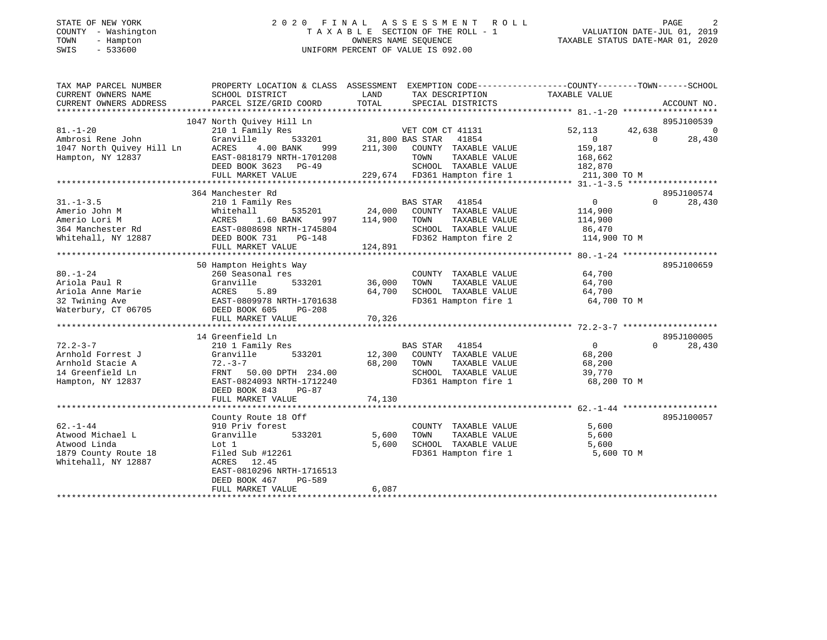## STATE OF NEW YORK 2 0 2 0 F I N A L A S S E S S M E N T R O L L PAGE 2 COUNTY - Washington T A X A B L E SECTION OF THE ROLL - 1 VALUATION DATE-JUL 01, 2019 TOWN - Hampton OWNERS NAME SEQUENCE TAXABLE STATUS DATE-MAR 01, 2020 SWIS - 533600 UNIFORM PERCENT OF VALUE IS 092.00

| TAX MAP PARCEL NUMBER                                                                                                                                                             | PROPERTY LOCATION & CLASS ASSESSMENT EXEMPTION CODE----------------COUNTY-------TOWN------SCHOOL |               |                                                                               |                   |                    |
|-----------------------------------------------------------------------------------------------------------------------------------------------------------------------------------|--------------------------------------------------------------------------------------------------|---------------|-------------------------------------------------------------------------------|-------------------|--------------------|
| CURRENT OWNERS NAME                                                                                                                                                               | SCHOOL DISTRICT                                                                                  | LAND          | TAX DESCRIPTION                                                               | TAXABLE VALUE     |                    |
| CURRENT OWNERS ADDRESS                                                                                                                                                            | PARCEL SIZE/GRID COORD                                                                           | TOTAL         | SPECIAL DISTRICTS                                                             |                   | ACCOUNT NO.        |
|                                                                                                                                                                                   |                                                                                                  |               |                                                                               |                   |                    |
|                                                                                                                                                                                   | 1047 North Quivey Hill Ln                                                                        |               |                                                                               |                   | 895J100539         |
| $81. - 1 - 20$                                                                                                                                                                    | 210 1 Family Res                                                                                 |               | 11 Ln<br>;            VET COM CT 41131<br>533201      31,800 BAS STAR   41854 | 52,113            | 42,638 0           |
| Ambrosi Rene John (Franville 1933201)<br>1047 North Quivey Hill Ln ACRES 4.00 BANK 999<br>Hampton, NY 12837 EAST-0818179 NRTH-1701208                                             |                                                                                                  |               |                                                                               | $0 \qquad \qquad$ | 28,430<br>$\Omega$ |
|                                                                                                                                                                                   |                                                                                                  |               | 4.00 BANK 999 211,300 COUNTY TAXABLE VALUE                                    | 159,187           |                    |
|                                                                                                                                                                                   |                                                                                                  |               | TOWN<br>TAXABLE VALUE                                                         | 168,662           |                    |
|                                                                                                                                                                                   |                                                                                                  |               |                                                                               |                   |                    |
|                                                                                                                                                                                   |                                                                                                  |               |                                                                               |                   |                    |
|                                                                                                                                                                                   |                                                                                                  |               |                                                                               |                   |                    |
|                                                                                                                                                                                   | 364 Manchester Rd                                                                                |               |                                                                               |                   | 895J100574         |
| $31. - 1 - 3.5$                                                                                                                                                                   | 210 1 Family Res                                                                                 |               | BAS STAR 41854                                                                | $\overline{0}$    | $\Omega$<br>28,430 |
| Amerio John M<br>Amerio Lori M<br>364 Manchester Rd<br>364 Manchester Rd<br>364 Manchester Rd<br>364 Manchester Rd<br>364 Manchester Rd<br>364 Manchester Rd<br>364 Manchester Rd |                                                                                                  | 535201 24,000 | COUNTY TAXABLE VALUE                                                          | 114,900           |                    |
|                                                                                                                                                                                   |                                                                                                  | 997 114,900   | TOWN<br>TAXABLE VALUE                                                         | 114,900           |                    |
|                                                                                                                                                                                   |                                                                                                  |               | SCHOOL TAXABLE VALUE 86,470                                                   |                   |                    |
| Whitehall, NY 12887 DEED BOOK 731                                                                                                                                                 | PG-148                                                                                           |               | FD362 Hampton fire 2 114,900 TO M                                             |                   |                    |
|                                                                                                                                                                                   | FULL MARKET VALUE                                                                                | 124,891       |                                                                               |                   |                    |
|                                                                                                                                                                                   |                                                                                                  |               |                                                                               |                   |                    |
|                                                                                                                                                                                   | 50 Hampton Heights Way                                                                           |               |                                                                               |                   | 895J100659         |
| $80. - 1 - 24$                                                                                                                                                                    |                                                                                                  |               | COUNTY TAXABLE VALUE                                                          | 64,700            |                    |
| Ariola Paul R                                                                                                                                                                     |                                                                                                  | 36,000        | TOWN<br>TAXABLE VALUE                                                         | 64,700            |                    |
| Ariola Anne Marie                                                                                                                                                                 |                                                                                                  | 64,700        | SCHOOL TAXABLE VALUE                                                          | 64,700            |                    |
| 32 Twining Ave                                                                                                                                                                    |                                                                                                  |               | FD361 Hampton fire 1                                                          | 64,700 TO M       |                    |
| Waterbury, CT 06705                                                                                                                                                               | --- Jeasonal res<br>Granville 533201<br>ACRES 5.89<br>EAST-0809978 NRTH-1701638<br>DEED BOOK 605 |               |                                                                               |                   |                    |
|                                                                                                                                                                                   | FULL MARKET VALUE                                                                                | 70,326        |                                                                               |                   |                    |
|                                                                                                                                                                                   |                                                                                                  |               |                                                                               |                   |                    |
|                                                                                                                                                                                   | 14 Greenfield Ln                                                                                 |               |                                                                               |                   | 895J100005         |
| $72.2 - 3 - 7$                                                                                                                                                                    | 210 1 Family Res                                                                                 |               | BAS STAR 41854                                                                | $\overline{0}$    | 28,430<br>$\Omega$ |
| Arnhold Forrest J                                                                                                                                                                 | Granville                                                                                        |               | 533201 12,300 COUNTY TAXABLE VALUE                                            | 68,200            |                    |
| Arnhold Stacie A                                                                                                                                                                  | $72. - 3 - 7$                                                                                    | 68,200        | TAXABLE VALUE<br>TOWN                                                         | 68,200            |                    |
| 14 Greenfield Ln                                                                                                                                                                  | FRNT 50.00 DPTH 234.00                                                                           |               | SCHOOL TAXABLE VALUE 39,770                                                   |                   |                    |
| Hampton, NY 12837                                                                                                                                                                 | EAST-0824093 NRTH-1712240                                                                        |               | FD361 Hampton fire 1                                                          | 68,200 TO M       |                    |
|                                                                                                                                                                                   | DEED BOOK 843<br>PG-87                                                                           |               |                                                                               |                   |                    |
|                                                                                                                                                                                   | FULL MARKET VALUE                                                                                | 74,130        |                                                                               |                   |                    |
|                                                                                                                                                                                   |                                                                                                  |               |                                                                               |                   |                    |
|                                                                                                                                                                                   | County Route 18 Off                                                                              |               |                                                                               |                   | 895J100057         |
| $62. - 1 - 44$                                                                                                                                                                    | 910 Priv forest                                                                                  |               | COUNTY TAXABLE VALUE                                                          | 5,600             |                    |
| Atwood Michael L                                                                                                                                                                  | 533201<br>Granville                                                                              | 5,600         | TAXABLE VALUE<br>TOWN                                                         | 5,600             |                    |
| Atwood Linda                                                                                                                                                                      | Lot 1                                                                                            | 5,600         | SCHOOL TAXABLE VALUE                                                          | 5,600             |                    |
| 1879 County Route 18                                                                                                                                                              | Filed Sub #12261                                                                                 |               | FD361 Hampton fire 1                                                          | 5,600 TO M        |                    |
| Whitehall, NY 12887                                                                                                                                                               | ACRES 12.45                                                                                      |               |                                                                               |                   |                    |
|                                                                                                                                                                                   | EAST-0810296 NRTH-1716513                                                                        |               |                                                                               |                   |                    |
|                                                                                                                                                                                   | DEED BOOK 467<br>PG-589                                                                          |               |                                                                               |                   |                    |
|                                                                                                                                                                                   | FULL MARKET VALUE                                                                                | 6,087         |                                                                               |                   |                    |
|                                                                                                                                                                                   |                                                                                                  |               |                                                                               |                   |                    |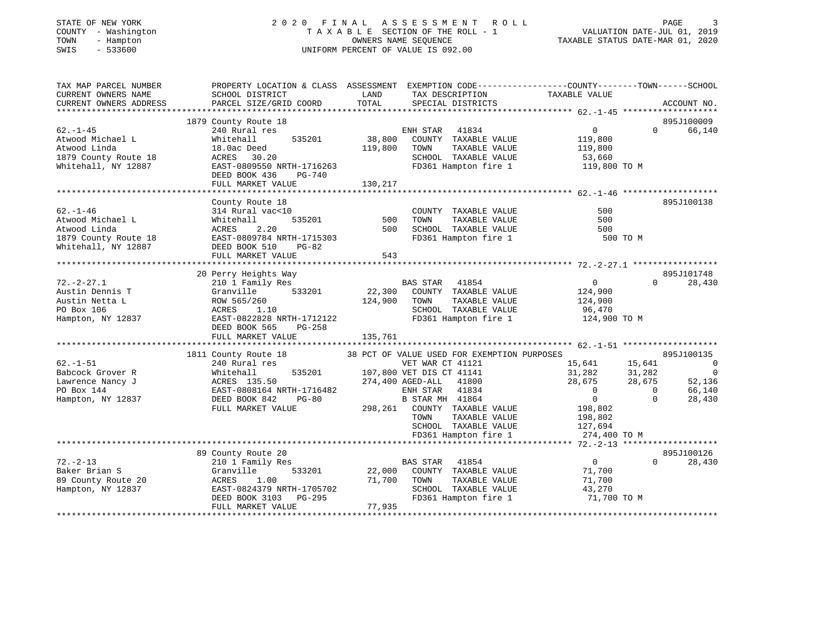| STATE OF NEW YORK |  |              |
|-------------------|--|--------------|
| COUNTY            |  | - Washington |
| TOWN              |  | - Hampton    |
| <b>CMTC</b>       |  | 533600       |

# STATE OF NEW YORK 2 0 2 0 F I N A L A S S E S S M E N T R O L L PAGE 3T A X A B L E SECTION OF THE ROLL - 1<br>OWNERS NAME SEQUENCE SWIS - 533600 UNIFORM PERCENT OF VALUE IS 092.00

VALUATION DATE-JUL 01, 2019

TAXABLE STATUS DATE-MAR 01, 2020

| TAX MAP PARCEL NUMBER<br>CURRENT OWNERS NAME<br>CURRENT OWNERS ADDRESS | PROPERTY LOCATION & CLASS ASSESSMENT EXEMPTION CODE---------------COUNTY-------TOWN------SCHOOL<br>SCHOOL DISTRICT<br>PARCEL SIZE/GRID COORD | LAND<br>TOTAL | TAX DESCRIPTION<br>SPECIAL DISTRICTS         | TAXABLE VALUE                    | ACCOUNT NO.                                 |
|------------------------------------------------------------------------|----------------------------------------------------------------------------------------------------------------------------------------------|---------------|----------------------------------------------|----------------------------------|---------------------------------------------|
|                                                                        |                                                                                                                                              |               |                                              |                                  |                                             |
|                                                                        | 1879 County Route 18                                                                                                                         |               |                                              |                                  | 895J100009                                  |
| $62. - 1 - 45$                                                         | 240 Rural res                                                                                                                                |               | ENH STAR<br>41834                            | $\overline{0}$                   | $\Omega$<br>66,140                          |
| Atwood Michael L                                                       | 535201<br>Whitehall                                                                                                                          | 38,800        | COUNTY TAXABLE VALUE                         | 119,800                          |                                             |
| Atwood Linda                                                           | 18.0ac Deed                                                                                                                                  | 119,800       | TOWN<br>TAXABLE VALUE                        | 119,800                          |                                             |
| 1879 County Route 18                                                   | 30.20<br>ACRES<br>EAST-0809550 NRTH-1716263                                                                                                  |               | SCHOOL TAXABLE VALUE<br>FD361 Hampton fire 1 | 53,660                           |                                             |
| Whitehall, NY 12887                                                    | DEED BOOK 436<br>$PG-740$                                                                                                                    |               |                                              | 119,800 TO M                     |                                             |
|                                                                        | FULL MARKET VALUE                                                                                                                            | 130,217       |                                              |                                  |                                             |
|                                                                        |                                                                                                                                              |               |                                              |                                  |                                             |
|                                                                        | County Route 18                                                                                                                              |               |                                              |                                  | 895J100138                                  |
| $62. - 1 - 46$                                                         | 314 Rural vac<10                                                                                                                             |               | COUNTY TAXABLE VALUE                         | 500                              |                                             |
| Atwood Michael L                                                       | 535201<br>Whitehall                                                                                                                          | 500           | TOWN<br>TAXABLE VALUE                        | 500                              |                                             |
| Atwood Linda                                                           | 2.20<br>ACRES                                                                                                                                | 500           | SCHOOL TAXABLE VALUE                         | 500                              |                                             |
| 1879 County Route 18                                                   | EAST-0809784 NRTH-1715303                                                                                                                    |               | FD361 Hampton fire 1                         | 500 TO M                         |                                             |
| Whitehall, NY 12887                                                    | DEED BOOK 510<br>$PG-82$                                                                                                                     |               |                                              |                                  |                                             |
|                                                                        | FULL MARKET VALUE                                                                                                                            | 543           |                                              |                                  |                                             |
|                                                                        |                                                                                                                                              |               |                                              |                                  |                                             |
| $72. - 2 - 27.1$                                                       | 20 Perry Heights Way<br>210 1 Family Res                                                                                                     |               | BAS STAR 41854                               | $\overline{0}$                   | 895J101748<br>$\Omega$<br>28,430            |
| Austin Dennis T                                                        | Granville<br>533201                                                                                                                          | 22,300        | COUNTY TAXABLE VALUE                         | 124,900                          |                                             |
| Austin Netta L                                                         | ROW 565/260                                                                                                                                  | 124,900       | TAXABLE VALUE<br>TOWN                        | 124,900                          |                                             |
| PO Box 106                                                             | 1.10<br>ACRES                                                                                                                                |               | SCHOOL TAXABLE VALUE                         | 96,470                           |                                             |
| Hampton, NY 12837                                                      | EAST-0822828 NRTH-1712122                                                                                                                    |               | FD361 Hampton fire 1                         | 124,900 TO M                     |                                             |
|                                                                        | DEED BOOK 565<br>$PG-258$                                                                                                                    |               |                                              |                                  |                                             |
|                                                                        | FULL MARKET VALUE                                                                                                                            | 135,761       |                                              |                                  |                                             |
|                                                                        |                                                                                                                                              |               |                                              |                                  |                                             |
|                                                                        | 1811 County Route 18                                                                                                                         |               | 38 PCT OF VALUE USED FOR EXEMPTION PURPOSES  |                                  | 895J100135                                  |
| $62. - 1 - 51$                                                         | 240 Rural res                                                                                                                                |               | VET WAR CT 41121                             | 15,641                           | 15,641<br>$\overline{\mathbf{0}}$           |
| Babcock Grover R                                                       | 535201<br>Whitehall                                                                                                                          |               | 107,800 VET DIS CT 41141                     | 31,282                           | $\overline{\phantom{0}}$<br>31,282          |
| Lawrence Nancy J                                                       | ACRES 135.50                                                                                                                                 |               | 274,400 AGED-ALL<br>41800                    | 28,675                           | 28,675<br>52,136                            |
| PO Box 144                                                             | EAST-0808164 NRTH-1716482<br>DEED BOOK 842<br>PG-80                                                                                          |               | 41834<br>ENH STAR<br>B STAR MH 41864         | $\overline{0}$<br>$\overline{0}$ | 66,140<br>$\mathbf 0$<br>$\Omega$<br>28,430 |
| Hampton, NY 12837                                                      | FULL MARKET VALUE                                                                                                                            | 298,261       | COUNTY TAXABLE VALUE                         | 198,802                          |                                             |
|                                                                        |                                                                                                                                              |               | TAXABLE VALUE<br>TOWN                        | 198,802                          |                                             |
|                                                                        |                                                                                                                                              |               | SCHOOL TAXABLE VALUE                         | 127,694                          |                                             |
|                                                                        |                                                                                                                                              |               | FD361 Hampton fire 1                         | 274,400 TO M                     |                                             |
|                                                                        |                                                                                                                                              |               |                                              |                                  |                                             |
|                                                                        | 89 County Route 20                                                                                                                           |               |                                              |                                  | 895J100126                                  |
| $72. - 2 - 13$                                                         | 210 1 Family Res                                                                                                                             |               | <b>BAS STAR</b><br>41854                     | $\mathbf 0$                      | $\Omega$<br>28,430                          |
| Baker Brian S                                                          | Granville<br>533201                                                                                                                          | 22,000        | COUNTY TAXABLE VALUE                         | 71,700                           |                                             |
| 89 County Route 20                                                     | 1.00<br>ACRES                                                                                                                                | 71,700        | TAXABLE VALUE<br>TOWN                        | 71,700                           |                                             |
| Hampton, NY 12837                                                      | EAST-0824379 NRTH-1705702                                                                                                                    |               | SCHOOL TAXABLE VALUE                         | 43,270                           |                                             |
|                                                                        | DEED BOOK 3103<br>$PG-295$                                                                                                                   |               | FD361 Hampton fire 1                         | 71,700 TO M                      |                                             |
|                                                                        | FULL MARKET VALUE                                                                                                                            | 77,935        |                                              |                                  |                                             |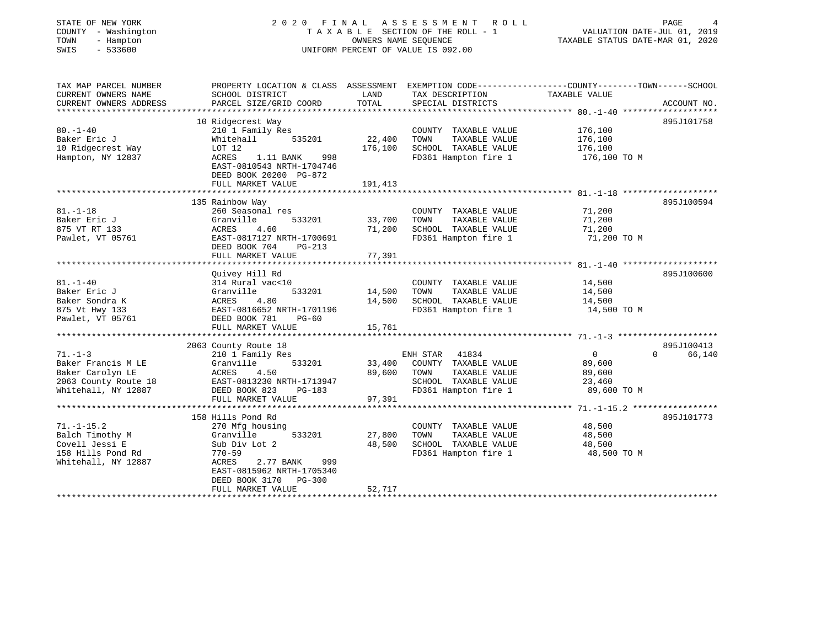| STATE OF NEW YORK<br>COUNTY - Washington<br>TOWN<br>- Hampton<br>$-533600$<br>SWIS                     |                                                                                                                                               | OWNERS NAME SEQUENCE    | 2020 FINAL ASSESSMENT ROLL<br>TAXABLE SECTION OF THE ROLL - 1<br>UNIFORM PERCENT OF VALUE IS 092.00                                     | VALUATION DATE-JUL 01, 2019<br>TAXABLE STATUS DATE-MAR 01, 2020 | PAGE               |
|--------------------------------------------------------------------------------------------------------|-----------------------------------------------------------------------------------------------------------------------------------------------|-------------------------|-----------------------------------------------------------------------------------------------------------------------------------------|-----------------------------------------------------------------|--------------------|
| TAX MAP PARCEL NUMBER<br>CURRENT OWNERS NAME<br>CURRENT OWNERS ADDRESS                                 | SCHOOL DISTRICT<br>PARCEL SIZE/GRID COORD                                                                                                     | LAND<br>TOTAL           | PROPERTY LOCATION & CLASS ASSESSMENT EXEMPTION CODE----------------COUNTY-------TOWN-----SCHOOL<br>TAX DESCRIPTION<br>SPECIAL DISTRICTS | TAXABLE VALUE                                                   | ACCOUNT NO.        |
|                                                                                                        |                                                                                                                                               |                         |                                                                                                                                         |                                                                 |                    |
|                                                                                                        | 10 Ridgecrest Way                                                                                                                             |                         |                                                                                                                                         |                                                                 | 895J101758         |
| $80. - 1 - 40$<br>Baker Eric J<br>10 Ridgecrest Way<br>Hampton, NY 12837                               | 210 1 Family Res<br>Whitehall<br>535201<br>LOT 12<br>ACRES<br>1.11 BANK<br>998<br>EAST-0810543 NRTH-1704746<br>DEED BOOK 20200 PG-872         | 22,400<br>176,100       | COUNTY TAXABLE VALUE<br>TAXABLE VALUE<br>TOWN<br>SCHOOL TAXABLE VALUE<br>FD361 Hampton fire 1                                           | 176,100<br>176,100<br>176,100<br>176,100 ТО М                   |                    |
|                                                                                                        | FULL MARKET VALUE                                                                                                                             | 191,413                 |                                                                                                                                         |                                                                 |                    |
|                                                                                                        |                                                                                                                                               | *************           |                                                                                                                                         |                                                                 |                    |
| $81. - 1 - 18$<br>Baker Eric J<br>875 VT RT 133<br>Pawlet, VT 05761                                    | 135 Rainbow Way<br>260 Seasonal res<br>Granville<br>533201<br>ACRES<br>4.60<br>EAST-0817127 NRTH-1700691                                      | 33,700<br>71,200        | COUNTY TAXABLE VALUE<br>TAXABLE VALUE<br>TOWN<br>SCHOOL TAXABLE VALUE<br>FD361 Hampton fire 1                                           | 71,200<br>71,200<br>71,200<br>71,200 TO M                       | 895J100594         |
|                                                                                                        | DEED BOOK 704<br>PG-213                                                                                                                       |                         |                                                                                                                                         |                                                                 |                    |
|                                                                                                        | FULL MARKET VALUE                                                                                                                             | 77,391                  |                                                                                                                                         |                                                                 |                    |
|                                                                                                        |                                                                                                                                               | * * * * * * * * * * * * |                                                                                                                                         |                                                                 |                    |
| $81. - 1 - 40$<br>Baker Eric J<br>Baker Sondra K<br>875 Vt Hwy 133<br>Pawlet, VT 05761                 | Quivey Hill Rd<br>314 Rural vac<10<br>533201<br>Granville<br>Granvi<br>ACRES<br>4.80<br>EAST-0816652 NRTH-1701196<br>DEED BOOK 781<br>$PG-60$ | 14,500<br>14,500        | COUNTY TAXABLE VALUE<br>TAXABLE VALUE<br>TOWN<br>SCHOOL TAXABLE VALUE<br>FD361 Hampton fire 1                                           | 14,500<br>14,500<br>14,500<br>14,500 TO M                       | 895J100600         |
|                                                                                                        | FULL MARKET VALUE                                                                                                                             | 15,761                  |                                                                                                                                         |                                                                 |                    |
|                                                                                                        |                                                                                                                                               | **********              |                                                                                                                                         |                                                                 |                    |
|                                                                                                        | 2063 County Route 18                                                                                                                          |                         |                                                                                                                                         |                                                                 | 895J100413         |
| $71. - 1 - 3$<br>Baker Francis M LE<br>Baker Carolyn LE<br>2063 County Route 18<br>Whitehall, NY 12887 | 210 1 Family Res<br>Granville<br>533201<br>ACRES<br>4.50<br>EAST-0813230 NRTH-1713947<br>DEED BOOK 823<br>PG-183                              | 33,400<br>89,600        | 41834<br>ENH STAR<br>COUNTY TAXABLE VALUE<br>TAXABLE VALUE<br>TOWN<br>SCHOOL TAXABLE VALUE<br>FD361 Hampton fire 1                      | $\overline{0}$<br>89,600<br>89,600<br>23,460<br>89,600 TO M     | $\Omega$<br>66,140 |
|                                                                                                        | FULL MARKET VALUE                                                                                                                             | 97,391                  |                                                                                                                                         |                                                                 |                    |
|                                                                                                        | 158 Hills Pond Rd                                                                                                                             |                         |                                                                                                                                         |                                                                 | 895J101773         |
| $71. - 1 - 15.2$<br>Balch Timothy M<br>Covell Jessi E                                                  | 270 Mfg housing<br>533201<br>Granville<br>Sub Div Lot 2                                                                                       | 27,800<br>48,500        | COUNTY TAXABLE VALUE<br>TOWN<br>TAXABLE VALUE<br>SCHOOL TAXABLE VALUE<br>FD361 Hampton fire 1                                           | 48,500<br>48,500<br>48,500<br>48,500 TO M                       |                    |
| 158 Hills Pond Rd<br>Whitehall, NY 12887                                                               | 770-59<br>2.77 BANK<br>999<br>ACRES<br>EAST-0815962 NRTH-1705340<br>DEED BOOK 3170 PG-300                                                     | 52,717                  |                                                                                                                                         |                                                                 |                    |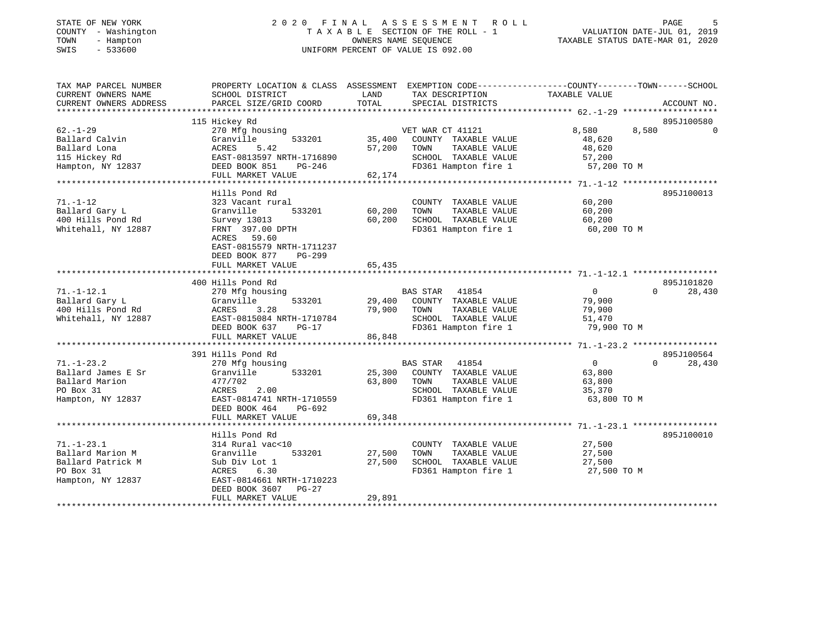## STATE OF NEW YORK 2 0 2 0 F I N A L A S S E S S M E N T R O L L PAGE 5 COUNTY - Washington T A X A B L E SECTION OF THE ROLL - 1 VALUATION DATE-JUL 01, 2019 TOWN - Hampton OWNERS NAME SEQUENCE TAXABLE STATUS DATE-MAR 01, 2020 SWIS - 533600 UNIFORM PERCENT OF VALUE IS 092.00

| TAX MAP PARCEL NUMBER<br>CURRENT OWNERS NAME | SCHOOL DISTRICT                              | LAND<br>TAX DESCRIPTION                      | PROPERTY LOCATION & CLASS ASSESSMENT EXEMPTION CODE---------------COUNTY-------TOWN------SCHOOL<br>TAXABLE VALUE |
|----------------------------------------------|----------------------------------------------|----------------------------------------------|------------------------------------------------------------------------------------------------------------------|
| CURRENT OWNERS ADDRESS                       | PARCEL SIZE/GRID COORD                       | TOTAL<br>SPECIAL DISTRICTS                   | ACCOUNT NO.                                                                                                      |
|                                              | 115 Hickey Rd                                |                                              | 895J100580                                                                                                       |
| $62. - 1 - 29$                               | 270 Mfg housing                              | VET WAR CT 41121                             | 8,580<br>8,580<br>$\bigcap$                                                                                      |
| Ballard Calvin                               | Granville<br>533201                          | 35,400<br>COUNTY TAXABLE VALUE               | 48,620                                                                                                           |
| Ballard Lona                                 | 5.42<br>ACRES<br>EAST-0813597 NRTH-1716890   | 57,200<br>TAXABLE VALUE<br>TOWN              | 48,620                                                                                                           |
| 115 Hickey Rd<br>Hampton, NY 12837           |                                              | SCHOOL TAXABLE VALUE<br>FD361 Hampton fire 1 | 57,200                                                                                                           |
|                                              | DEED BOOK 851<br>PG-246<br>FULL MARKET VALUE | 62,174                                       | 57,200 TO M                                                                                                      |
|                                              |                                              |                                              |                                                                                                                  |
|                                              | Hills Pond Rd                                |                                              | 895J100013                                                                                                       |
| $71. - 1 - 12$                               | 323 Vacant rural                             | COUNTY TAXABLE VALUE                         | 60,200                                                                                                           |
| Ballard Gary L                               | Granville<br>533201                          | 60,200<br>TOWN<br>TAXABLE VALUE              | 60,200                                                                                                           |
| 400 Hills Pond Rd                            | Survey 13013                                 | 60,200<br>SCHOOL TAXABLE VALUE               | 60,200                                                                                                           |
| Whitehall, NY 12887                          | FRNT 397.00 DPTH                             | FD361 Hampton fire 1                         | 60,200 TO M                                                                                                      |
|                                              | ACRES 59.60                                  |                                              |                                                                                                                  |
|                                              | EAST-0815579 NRTH-1711237                    |                                              |                                                                                                                  |
|                                              | DEED BOOK 877<br>$PG-299$                    |                                              |                                                                                                                  |
|                                              | FULL MARKET VALUE                            | 65,435                                       |                                                                                                                  |
|                                              |                                              |                                              |                                                                                                                  |
|                                              | 400 Hills Pond Rd                            |                                              | 895J101820                                                                                                       |
| $71. - 1 - 12.1$                             | 270 Mfg housing                              | BAS STAR 41854                               | $\overline{0}$<br>28,430<br>$\Omega$                                                                             |
| Ballard Gary L                               | Granville<br>533201                          | COUNTY TAXABLE VALUE<br>29,400               | 79,900                                                                                                           |
| 400 Hills Pond Rd                            | 3.28<br>ACRES                                | 79,900<br>TOWN<br>TAXABLE VALUE              | 79,900                                                                                                           |
| Whitehall, NY 12887                          | EAST-0815084 NRTH-1710784                    | SCHOOL TAXABLE VALUE                         | 51,470                                                                                                           |
|                                              | DEED BOOK 637<br>PG-17                       | FD361 Hampton fire 1                         | 79,900 TO M                                                                                                      |
|                                              | FULL MARKET VALUE                            | 86,848                                       |                                                                                                                  |
|                                              | 391 Hills Pond Rd                            |                                              | 895J100564                                                                                                       |
| $71. - 1 - 23.2$                             | 270 Mfg housing                              | BAS STAR 41854                               | $\Omega$<br>$\overline{0}$<br>28,430                                                                             |
| Ballard James E Sr                           | 533201<br>Granville                          | 25,300<br>COUNTY TAXABLE VALUE               | 63,800                                                                                                           |
| Ballard Marion                               | 477/702                                      | 63,800<br>TOWN<br>TAXABLE VALUE              | 63,800                                                                                                           |
| PO Box 31                                    | 2.00<br>ACRES                                | SCHOOL TAXABLE VALUE                         | 35,370                                                                                                           |
| Hampton, NY 12837                            | EAST-0814741 NRTH-1710559                    | FD361 Hampton fire 1                         | 63,800 TO M                                                                                                      |
|                                              | DEED BOOK 464<br>PG-692                      |                                              |                                                                                                                  |
|                                              | FULL MARKET VALUE                            | 69,348                                       |                                                                                                                  |
|                                              |                                              |                                              |                                                                                                                  |
|                                              | Hills Pond Rd                                |                                              | 895J100010                                                                                                       |
| $71. - 1 - 23.1$                             | 314 Rural vac<10                             | COUNTY TAXABLE VALUE                         | 27,500                                                                                                           |
| Ballard Marion M                             | 533201<br>Granville                          | 27,500<br>TOWN<br>TAXABLE VALUE              | 27,500                                                                                                           |
| Ballard Patrick M                            | Sub Div Lot 1                                | 27,500<br>SCHOOL TAXABLE VALUE               | 27,500                                                                                                           |
| PO Box 31                                    | 6.30<br>ACRES                                | FD361 Hampton fire 1                         | 27,500 TO M                                                                                                      |
| Hampton, NY 12837                            | EAST-0814661 NRTH-1710223                    |                                              |                                                                                                                  |
|                                              | DEED BOOK 3607<br>$PG-27$                    |                                              |                                                                                                                  |
|                                              | FULL MARKET VALUE                            | 29,891                                       |                                                                                                                  |
|                                              |                                              |                                              |                                                                                                                  |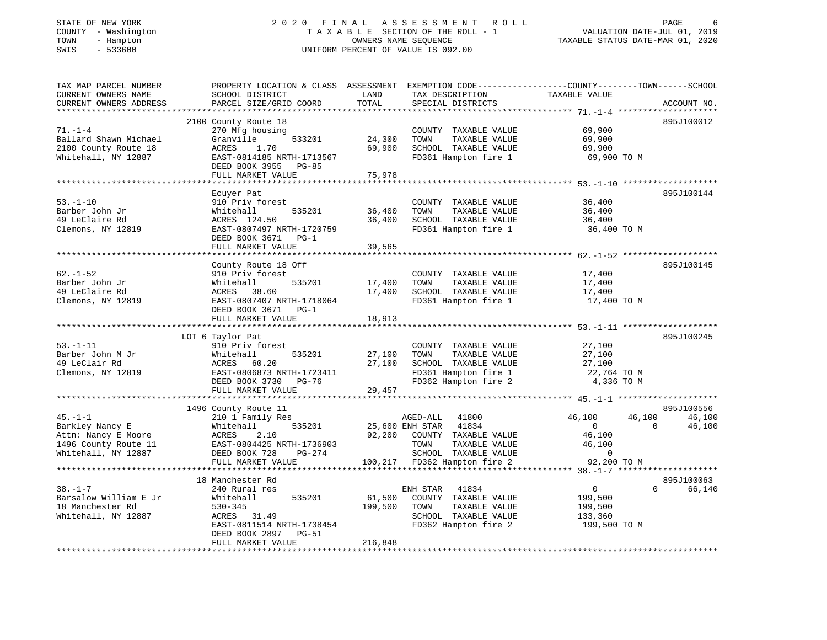## STATE OF NEW YORK 2 0 2 0 F I N A L A S S E S S M E N T R O L L PAGE 6 COUNTY - Washington T A X A B L E SECTION OF THE ROLL - 1 VALUATION DATE-JUL 01, 2019 TOWN - Hampton OWNERS NAME SEQUENCE TAXABLE STATUS DATE-MAR 01, 2020 SWIS - 533600 UNIFORM PERCENT OF VALUE IS 092.00UNIFORM PERCENT OF VALUE IS 092.00

| TAX MAP PARCEL NUMBER<br>CURRENT OWNERS NAME | PROPERTY LOCATION & CLASS ASSESSMENT EXEMPTION CODE----------------COUNTY-------TOWN------SCHOOL<br>SCHOOL DISTRICT | LAND                   | TAX DESCRIPTION                                | TAXABLE VALUE            |                              |
|----------------------------------------------|---------------------------------------------------------------------------------------------------------------------|------------------------|------------------------------------------------|--------------------------|------------------------------|
| CURRENT OWNERS ADDRESS                       | PARCEL SIZE/GRID COORD                                                                                              | TOTAL                  | SPECIAL DISTRICTS                              |                          | ACCOUNT NO.                  |
|                                              |                                                                                                                     |                        |                                                |                          |                              |
|                                              | 2100 County Route 18                                                                                                |                        |                                                |                          | 895J100012                   |
| $71. - 1 - 4$                                | 270 Mfg housing                                                                                                     |                        | COUNTY TAXABLE VALUE                           | 69,900                   |                              |
| Ballard Shawn Michael                        | 533201<br>Granville                                                                                                 | 24,300                 | TAXABLE VALUE<br>TOWN                          | 69,900                   |                              |
| 2100 County Route 18                         | ACRES<br>1.70                                                                                                       | 69,900                 | SCHOOL TAXABLE VALUE                           | 69,900                   |                              |
| Whitehall, NY 12887                          | EAST-0814185 NRTH-1713567                                                                                           |                        | FD361 Hampton fire 1                           | 69,900 TO M              |                              |
|                                              | DEED BOOK 3955 PG-85                                                                                                |                        |                                                |                          |                              |
|                                              | FULL MARKET VALUE<br>*************************************                                                          | 75,978<br>************ |                                                |                          |                              |
|                                              | Ecuyer Pat                                                                                                          |                        |                                                |                          | 895J100144                   |
| $53. - 1 - 10$                               | 910 Priv forest                                                                                                     |                        | COUNTY TAXABLE VALUE                           | 36,400                   |                              |
| Barber John Jr                               | 535201<br>Whitehall                                                                                                 | 36,400                 | TAXABLE VALUE<br>TOWN                          | 36,400                   |                              |
| 49 LeClaire Rd                               | ACRES 124.50                                                                                                        | 36,400                 | SCHOOL TAXABLE VALUE                           | 36,400                   |                              |
| Clemons, NY 12819                            | EAST-0807497 NRTH-1720759                                                                                           |                        | FD361 Hampton fire 1                           | 36,400 TO M              |                              |
|                                              | DEED BOOK 3671 PG-1                                                                                                 |                        |                                                |                          |                              |
|                                              | FULL MARKET VALUE                                                                                                   | 39,565                 |                                                |                          |                              |
|                                              |                                                                                                                     |                        |                                                |                          |                              |
|                                              | County Route 18 Off                                                                                                 |                        |                                                |                          | 895J100145                   |
| $62. - 1 - 52$                               | 910 Priv forest                                                                                                     |                        | COUNTY TAXABLE VALUE                           | 17,400                   |                              |
| Barber John Jr                               | 535201<br>Whitehall                                                                                                 | 17,400                 | TOWN<br>TAXABLE VALUE                          | 17,400                   |                              |
| 49 LeClaire Rd                               | ACRES 38.60                                                                                                         | 17,400                 | SCHOOL TAXABLE VALUE                           | 17,400                   |                              |
| Clemons, NY 12819                            | EAST-0807407 NRTH-1718064                                                                                           |                        | FD361 Hampton fire 1                           | 17,400 TO M              |                              |
|                                              | DEED BOOK 3671 PG-1                                                                                                 |                        |                                                |                          |                              |
|                                              | FULL MARKET VALUE                                                                                                   | 18,913                 |                                                |                          |                              |
|                                              |                                                                                                                     |                        |                                                |                          |                              |
|                                              | LOT 6 Taylor Pat                                                                                                    |                        |                                                |                          | 895J100245                   |
| $53. - 1 - 11$                               | 910 Priv forest                                                                                                     |                        | COUNTY TAXABLE VALUE                           | 27,100                   |                              |
| Barber John M Jr                             | 535201<br>Whitehall                                                                                                 | 27,100                 | TAXABLE VALUE<br>TOWN                          | 27,100                   |                              |
| 49 LeClair Rd                                | 60.20<br>ACRES                                                                                                      | 27,100                 | SCHOOL TAXABLE VALUE                           | 27,100                   |                              |
| Clemons, NY 12819                            | EAST-0806873 NRTH-1723411                                                                                           |                        | FD361 Hampton fire 1                           | 22,764 TO M              |                              |
|                                              | DEED BOOK 3730 PG-76                                                                                                |                        | FD362 Hampton fire 2                           | 4,336 TO M               |                              |
|                                              | FULL MARKET VALUE                                                                                                   | 29,457                 |                                                |                          |                              |
|                                              |                                                                                                                     |                        |                                                |                          |                              |
| $45. - 1 - 1$                                | 1496 County Route 11                                                                                                |                        |                                                |                          | 895J100556                   |
|                                              | 210 1 Family Res<br>535201                                                                                          |                        | AGED-ALL<br>41800<br>41834                     | 46,100<br>$\overline{0}$ | 46,100<br>46,100<br>$\Omega$ |
| Barkley Nancy E                              | Whitehall                                                                                                           |                        | 25,600 ENH STAR<br>92,200 COUNTY TAXABLE VALUE | 46,100                   | 46,100                       |
| Attn: Nancy E Moore<br>1496 County Route 11  | ACRES<br>2.10<br>EAST-0804425 NRTH-1736903                                                                          |                        | TOWN<br>TAXABLE VALUE                          | 46,100                   |                              |
| Whitehall, NY 12887                          | DEED BOOK 728<br>PG-274                                                                                             |                        | SCHOOL TAXABLE VALUE                           | $\overline{0}$           |                              |
|                                              | FULL MARKET VALUE                                                                                                   |                        | 100,217 FD362 Hampton fire 2                   | 92,200 TO M              |                              |
|                                              |                                                                                                                     |                        |                                                |                          |                              |
|                                              | 18 Manchester Rd                                                                                                    |                        |                                                |                          | 895J100063                   |
| $38. - 1 - 7$                                | 240 Rural res                                                                                                       |                        | ENH STAR<br>41834                              | $\overline{0}$           | $\Omega$<br>66,140           |
| Barsalow William E Jr                        | Whitehall<br>535201                                                                                                 | 61,500                 | COUNTY TAXABLE VALUE                           | 199,500                  |                              |
| 18 Manchester Rd                             | $530 - 345$                                                                                                         | 199,500                | TAXABLE VALUE<br>TOWN                          | 199,500                  |                              |
| Whitehall, NY 12887                          | ACRES 31.49                                                                                                         |                        | SCHOOL TAXABLE VALUE                           | 133,360                  |                              |
|                                              | EAST-0811514 NRTH-1738454                                                                                           |                        | FD362 Hampton fire 2                           | 199,500 TO M             |                              |
|                                              | DEED BOOK 2897 PG-51                                                                                                |                        |                                                |                          |                              |
|                                              | FULL MARKET VALUE                                                                                                   | 216,848                |                                                |                          |                              |
|                                              |                                                                                                                     |                        |                                                |                          |                              |
|                                              |                                                                                                                     |                        |                                                |                          |                              |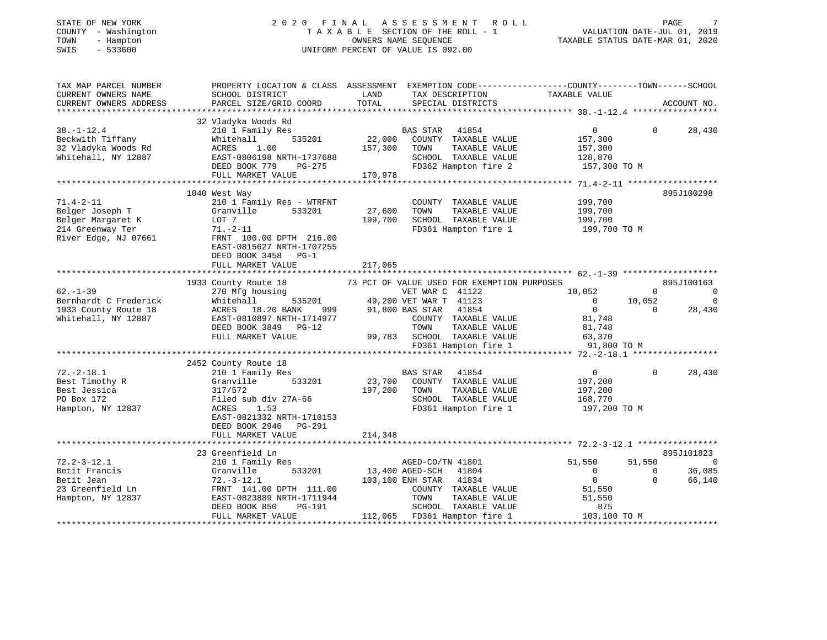## STATE OF NEW YORK 2 0 2 0 F I N A L A S S E S S M E N T R O L L PAGE 7 COUNTY - Washington T A X A B L E SECTION OF THE ROLL - 1 VALUATION DATE-JUL 01, 2019 TOWN - Hampton OWNERS NAME SEQUENCE TAXABLE STATUS DATE-MAR 01, 2020 SWIS - 533600 UNIFORM PERCENT OF VALUE IS 092.00

| TAX MAP PARCEL NUMBER<br>CURRENT OWNERS NAME<br>CURRENT OWNERS ADDRESS                              | PROPERTY LOCATION & CLASS ASSESSMENT EXEMPTION CODE----------------COUNTY-------TOWN------SCHOOL<br>SCHOOL DISTRICT<br>PARCEL SIZE/GRID COORD                                                           | LAND<br>TOTAL                | TAX DESCRIPTION TAXABLE VALUE<br>SPECIAL DISTRICTS                                                                                                                                                                                      |                                                                                                                      | ACCOUNT NO.                                        |
|-----------------------------------------------------------------------------------------------------|---------------------------------------------------------------------------------------------------------------------------------------------------------------------------------------------------------|------------------------------|-----------------------------------------------------------------------------------------------------------------------------------------------------------------------------------------------------------------------------------------|----------------------------------------------------------------------------------------------------------------------|----------------------------------------------------|
| $38. - 1 - 12.4$<br>Beckwith Tiffany<br>32 Vladyka Woods Rd<br>Whitehall, NY 12887                  | 32 Vladyka Woods Rd<br>210 1 Family Res<br>535201<br>Whitehall<br>ACRES<br>1.00<br>EAST-0806198 NRTH-1737688<br>DEED BOOK 779<br>PG-275<br>FULL MARKET VALUE                                            | 22,000<br>157,300<br>170,978 | BAS STAR 41854<br>COUNTY TAXABLE VALUE<br>TOWN<br>TAXABLE VALUE<br>SCHOOL TAXABLE VALUE<br>FD362 Hampton fire 2                                                                                                                         | $\overline{0}$<br>157,300<br>157,300<br>128,870<br>157,300 TO M                                                      | $\Omega$<br>28,430                                 |
| $71.4 - 2 - 11$<br>Belger Joseph T<br>Belger Margaret K<br>214 Greenway Ter<br>River Edge, NJ 07661 | 1040 West Way<br>210 1 Family Res - WTRFNT<br>Granville<br>533201<br>LOT 7<br>$71. - 2 - 11$<br>FRNT 100.00 DPTH 216.00<br>EAST-0815627 NRTH-1707255<br>DEED BOOK 3458 PG-1<br>FULL MARKET VALUE        | 27,600<br>199,700<br>217,065 | COUNTY TAXABLE VALUE<br>TOWN<br>TAXABLE VALUE<br>SCHOOL TAXABLE VALUE<br>FD361 Hampton fire 1                                                                                                                                           | 199,700<br>199,700<br>199,700<br>199,700 TO M                                                                        | 895J100298                                         |
|                                                                                                     |                                                                                                                                                                                                         |                              |                                                                                                                                                                                                                                         |                                                                                                                      |                                                    |
| $62 - 1 - 39$<br>Bernhardt C Frederick<br>1933 County Route 18<br>Whitehall, NY 12887               | 1933 County Route 18<br>270 Mfg housing<br>Whitehall<br>ACRES 18.20 BANK<br>999<br>EAST-0810897 NRTH-1714977<br>DEED BOOK 3849<br>$PG-12$<br>FULL MARKET VALUE                                          |                              | 73 PCT OF VALUE USED FOR EXEMPTION PURPOSES<br>VET WAR C 41122<br>535201 49,200 VET WAR T 41123<br>91,800 BAS STAR 41854<br>COUNTY TAXABLE VALUE<br>TOWN<br>TAXABLE VALUE<br>99,783 SCHOOL TAXABLE VALUE 63,370<br>FD361 Hampton fire 1 | 10,052<br>$\Omega$<br>10,052<br>$\mathbf{0}$<br>$\overline{0}$<br>$\Omega$<br>81,748<br>81,748<br>91,800 TO M        | 895J100163<br>$\Omega$<br>$\overline{0}$<br>28,430 |
|                                                                                                     |                                                                                                                                                                                                         |                              |                                                                                                                                                                                                                                         |                                                                                                                      |                                                    |
| $72. - 2 - 18.1$<br>Best Timothy R<br>Best Jessica<br>PO Box 172<br>Hampton, NY 12837               | 2452 County Route 18<br>210 1 Family Res<br>Granville<br>533201<br>317/572<br>Filed sub div 27A-66<br>1.53<br>ACRES<br>EAST-0821332 NRTH-1710153<br>DEED BOOK 2946<br>PG-291<br>FULL MARKET VALUE       | 23,700<br>197,200<br>214,348 | BAS STAR 41854<br>COUNTY TAXABLE VALUE<br>TOWN<br>TAXABLE VALUE<br>SCHOOL TAXABLE VALUE<br>FD361 Hampton fire 1                                                                                                                         | $\overline{0}$<br>$\Omega$<br>197,200<br>197,200<br>168,770<br>197,200 TO M                                          | 28,430                                             |
|                                                                                                     | ********************************                                                                                                                                                                        |                              |                                                                                                                                                                                                                                         |                                                                                                                      |                                                    |
| $72.2 - 3 - 12.1$<br>Betit Francis<br>Betit Jean<br>23 Greenfield Ln<br>Hampton, NY 12837           | 23 Greenfield Ln<br>210 1 Family Res<br>Granville<br>533201<br>72.-3-12.1<br>FRNT 141.00 DPTH 111.00<br>10000 MPTH 1711944<br>EAST-0823889 NRTH-1711944<br>PG-191<br>DEED BOOK 850<br>FULL MARKET VALUE |                              | AGED-CO/TN 41801<br>13,400 AGED-SCH 41804<br>103,100 ENH STAR 41834<br>COUNTY TAXABLE VALUE<br>TOWN<br>TAXABLE VALUE<br>SCHOOL TAXABLE VALUE<br>112,065 FD361 Hampton fire 1                                                            | 51,550<br>51,550<br>$\Omega$<br>$\mathbf 0$<br>$\overline{0}$<br>$\Omega$<br>51,550<br>51,550<br>875<br>103,100 TO M | 895J101823<br>$\overline{0}$<br>36,085<br>66,140   |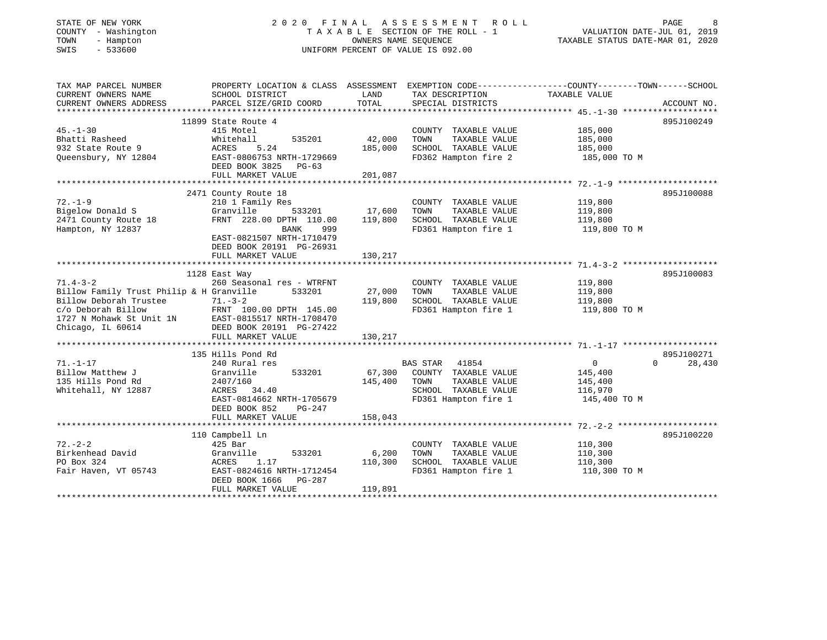## STATE OF NEW YORK 2 0 2 0 F I N A L A S S E S S M E N T R O L L PAGE 8 COUNTY - Washington T A X A B L E SECTION OF THE ROLL - 1 VALUATION DATE-JUL 01, 2019 TOWN - Hampton OWNERS NAME SEQUENCE TAXABLE STATUS DATE-MAR 01, 2020 SWIS - 533600 UNIFORM PERCENT OF VALUE IS 092.00

| TAX MAP PARCEL NUMBER                    |                                                    |         |                             | PROPERTY LOCATION & CLASS ASSESSMENT EXEMPTION CODE---------------COUNTY-------TOWN------SCHOOL |        |
|------------------------------------------|----------------------------------------------------|---------|-----------------------------|-------------------------------------------------------------------------------------------------|--------|
| CURRENT OWNERS NAME                      | SCHOOL DISTRICT                                    | LAND    | TAX DESCRIPTION             | TAXABLE VALUE                                                                                   |        |
| CURRENT OWNERS ADDRESS                   | PARCEL SIZE/GRID COORD                             | TOTAL   | SPECIAL DISTRICTS           | ACCOUNT NO.                                                                                     |        |
|                                          |                                                    |         |                             |                                                                                                 |        |
|                                          | 11899 State Route 4                                |         |                             | 895J100249                                                                                      |        |
| $45. - 1 - 30$                           | 415 Motel                                          |         | COUNTY TAXABLE VALUE        | 185,000                                                                                         |        |
| Bhatti Rasheed                           | 535201<br>Whitehall                                | 42,000  | TOWN<br>TAXABLE VALUE       | 185,000                                                                                         |        |
| 932 State Route 9                        | 5.24<br>ACRES                                      | 185,000 | SCHOOL TAXABLE VALUE        | 185,000                                                                                         |        |
|                                          | Queensbury, NY 12804 EAST-0806753 NRTH-1729669     |         | FD362 Hampton fire 2        | 185,000 TO M                                                                                    |        |
|                                          |                                                    |         |                             |                                                                                                 |        |
|                                          | DEED BOOK 3825<br>PG-63                            |         |                             |                                                                                                 |        |
|                                          | FULL MARKET VALUE                                  | 201,087 |                             |                                                                                                 |        |
|                                          |                                                    |         |                             |                                                                                                 |        |
|                                          | 2471 County Route 18                               |         |                             | 895J100088                                                                                      |        |
| $72. - 1 - 9$                            | 210 1 Family Res                                   |         | COUNTY TAXABLE VALUE        | 119,800                                                                                         |        |
| Bigelow Donald S                         | 533201<br>Granville                                | 17,600  | TOWN<br>TAXABLE VALUE       | 119,800                                                                                         |        |
| 2471 County Route 18                     | FRNT 228.00 DPTH 110.00                            | 119,800 | SCHOOL TAXABLE VALUE        | 119,800                                                                                         |        |
| Hampton, NY 12837                        | BANK<br>999                                        |         | FD361 Hampton fire 1        | 119,800 TO M                                                                                    |        |
|                                          | EAST-0821507 NRTH-1710479                          |         |                             |                                                                                                 |        |
|                                          | DEED BOOK 20191 PG-26931                           |         |                             |                                                                                                 |        |
|                                          | FULL MARKET VALUE                                  | 130,217 |                             |                                                                                                 |        |
|                                          |                                                    |         |                             |                                                                                                 |        |
|                                          | 1128 East Way                                      |         |                             | 895J100083                                                                                      |        |
| $71.4 - 3 - 2$                           | 260 Seasonal res - WTRFNT                          |         | COUNTY TAXABLE VALUE        | 119,800                                                                                         |        |
| Billow Family Trust Philip & H Granville | 533201                                             | 27,000  | TOWN<br>TAXABLE VALUE       | 119,800                                                                                         |        |
| Billow Deborah Trustee 71.-3-2           |                                                    | 119,800 | SCHOOL TAXABLE VALUE        | 119,800                                                                                         |        |
| c/o Deborah Billow                       | FRNT 100.00 DPTH 145.00                            |         | FD361 Hampton fire 1        | 119,800 TO M                                                                                    |        |
|                                          | 1727 N Mohawk St Unit 1N EAST-0815517 NRTH-1708470 |         |                             |                                                                                                 |        |
| Chicago, IL 60614                        | DEED BOOK 20191 PG-27422                           |         |                             |                                                                                                 |        |
|                                          |                                                    | 130,217 |                             |                                                                                                 |        |
|                                          | FULL MARKET VALUE                                  |         |                             |                                                                                                 |        |
|                                          |                                                    |         |                             |                                                                                                 |        |
|                                          | 135 Hills Pond Rd                                  |         |                             | 895J100271                                                                                      |        |
| $71. - 1 - 17$                           | 240 Rural res                                      |         | 41854<br><b>BAS STAR</b>    | $\overline{0}$<br>$\Omega$                                                                      | 28,430 |
| Billow Matthew J                         | 533201<br>Granville                                |         | 67,300 COUNTY TAXABLE VALUE | 145,400                                                                                         |        |
| 135 Hills Pond Rd                        | 2407/160                                           | 145,400 | TAXABLE VALUE<br>TOWN       | 145,400                                                                                         |        |
| Whitehall, NY 12887                      | ACRES 34.40                                        |         | SCHOOL TAXABLE VALUE        | 116,970                                                                                         |        |
|                                          | EAST-0814662 NRTH-1705679                          |         | FD361 Hampton fire 1        | 145,400 TO M                                                                                    |        |
|                                          | DEED BOOK 852<br>$PG-247$                          |         |                             |                                                                                                 |        |
|                                          | FULL MARKET VALUE                                  | 158,043 |                             |                                                                                                 |        |
|                                          |                                                    |         |                             |                                                                                                 |        |
|                                          | 110 Campbell Ln                                    |         |                             | 895J100220                                                                                      |        |
| $72. - 2 - 2$                            | 425 Bar                                            |         | COUNTY TAXABLE VALUE        | 110,300                                                                                         |        |
| Birkenhead David                         | 533201<br>Granville                                | 6,200   | TOWN<br>TAXABLE VALUE       | 110,300                                                                                         |        |
| PO Box 324                               | ACRES<br>1.17                                      | 110,300 | SCHOOL TAXABLE VALUE        | 110,300                                                                                         |        |
| Fair Haven, VT 05743                     | EAST-0824616 NRTH-1712454                          |         | FD361 Hampton fire 1        | 110,300 TO M                                                                                    |        |
|                                          | DEED BOOK 1666<br>PG-287                           |         |                             |                                                                                                 |        |
|                                          | FULL MARKET VALUE                                  | 119,891 |                             |                                                                                                 |        |
|                                          |                                                    |         |                             |                                                                                                 |        |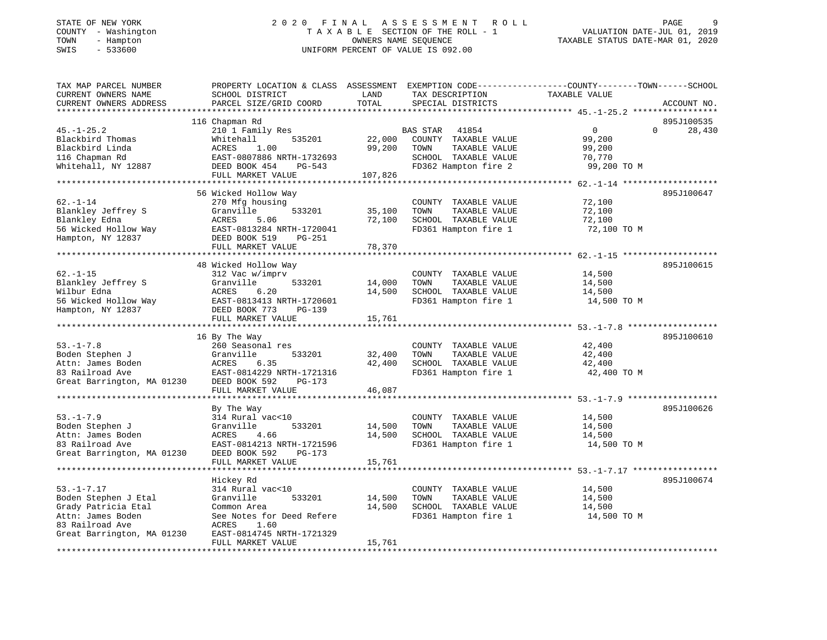## STATE OF NEW YORK 2 0 2 0 F I N A L A S S E S S M E N T R O L L PAGE 9 COUNTY - Washington T A X A B L E SECTION OF THE ROLL - 1 VALUATION DATE-JUL 01, 2019 TOWN - Hampton OWNERS NAME SEQUENCE TAXABLE STATUS DATE-MAR 01, 2020 SWIS - 533600 UNIFORM PERCENT OF VALUE IS 092.00

| TOTAL<br>CURRENT OWNERS ADDRESS<br>PARCEL SIZE/GRID COORD<br>SPECIAL DISTRICTS<br>ACCOUNT NO.<br>***************************<br>*********************<br>895J100535<br>116 Chapman Rd<br>210 1 Family Res<br>$\mathbf{0}$<br>$\Omega$<br>28,430<br>$45. - 1 - 25.2$<br>BAS STAR<br>41854<br>Blackbird Thomas<br>Whitehall<br>535201<br>22,000<br>COUNTY TAXABLE VALUE<br>99,200<br>99,200<br>Blackbird Linda<br>ACRES<br>1.00<br>TOWN<br>TAXABLE VALUE<br>99,200<br>SCHOOL TAXABLE VALUE<br>116 Chapman Rd<br>EAST-0807886 NRTH-1732693<br>70,770<br>FD362 Hampton fire 2<br>Whitehall, NY 12887<br>DEED BOOK 454<br>PG-543<br>99,200 TO M<br>107,826<br>FULL MARKET VALUE<br>56 Wicked Hollow Way<br>895J100647<br>$62. - 1 - 14$<br>270 Mfg housing<br>72,100<br>COUNTY TAXABLE VALUE<br>Blankley Jeffrey S<br>Granville<br>TOWN<br>533201<br>35,100<br>TAXABLE VALUE<br>72,100<br>Blankley Edna<br>ACRES<br>5.06<br>72,100<br>SCHOOL TAXABLE VALUE<br>72,100<br>56 Wicked Hollow Way<br>FD361 Hampton fire 1<br>EAST-0813284 NRTH-1720041<br>72,100 TO M<br>Hampton, NY 12837<br>DEED BOOK 519<br>PG-251 | EXEMPTION CODE-----------------COUNTY--------TOWN------SCHOOL |
|-------------------------------------------------------------------------------------------------------------------------------------------------------------------------------------------------------------------------------------------------------------------------------------------------------------------------------------------------------------------------------------------------------------------------------------------------------------------------------------------------------------------------------------------------------------------------------------------------------------------------------------------------------------------------------------------------------------------------------------------------------------------------------------------------------------------------------------------------------------------------------------------------------------------------------------------------------------------------------------------------------------------------------------------------------------------------------------------------------------|---------------------------------------------------------------|
|                                                                                                                                                                                                                                                                                                                                                                                                                                                                                                                                                                                                                                                                                                                                                                                                                                                                                                                                                                                                                                                                                                             |                                                               |
|                                                                                                                                                                                                                                                                                                                                                                                                                                                                                                                                                                                                                                                                                                                                                                                                                                                                                                                                                                                                                                                                                                             |                                                               |
|                                                                                                                                                                                                                                                                                                                                                                                                                                                                                                                                                                                                                                                                                                                                                                                                                                                                                                                                                                                                                                                                                                             |                                                               |
|                                                                                                                                                                                                                                                                                                                                                                                                                                                                                                                                                                                                                                                                                                                                                                                                                                                                                                                                                                                                                                                                                                             |                                                               |
|                                                                                                                                                                                                                                                                                                                                                                                                                                                                                                                                                                                                                                                                                                                                                                                                                                                                                                                                                                                                                                                                                                             |                                                               |
|                                                                                                                                                                                                                                                                                                                                                                                                                                                                                                                                                                                                                                                                                                                                                                                                                                                                                                                                                                                                                                                                                                             |                                                               |
|                                                                                                                                                                                                                                                                                                                                                                                                                                                                                                                                                                                                                                                                                                                                                                                                                                                                                                                                                                                                                                                                                                             |                                                               |
|                                                                                                                                                                                                                                                                                                                                                                                                                                                                                                                                                                                                                                                                                                                                                                                                                                                                                                                                                                                                                                                                                                             |                                                               |
|                                                                                                                                                                                                                                                                                                                                                                                                                                                                                                                                                                                                                                                                                                                                                                                                                                                                                                                                                                                                                                                                                                             |                                                               |
|                                                                                                                                                                                                                                                                                                                                                                                                                                                                                                                                                                                                                                                                                                                                                                                                                                                                                                                                                                                                                                                                                                             |                                                               |
|                                                                                                                                                                                                                                                                                                                                                                                                                                                                                                                                                                                                                                                                                                                                                                                                                                                                                                                                                                                                                                                                                                             |                                                               |
|                                                                                                                                                                                                                                                                                                                                                                                                                                                                                                                                                                                                                                                                                                                                                                                                                                                                                                                                                                                                                                                                                                             |                                                               |
|                                                                                                                                                                                                                                                                                                                                                                                                                                                                                                                                                                                                                                                                                                                                                                                                                                                                                                                                                                                                                                                                                                             |                                                               |
|                                                                                                                                                                                                                                                                                                                                                                                                                                                                                                                                                                                                                                                                                                                                                                                                                                                                                                                                                                                                                                                                                                             |                                                               |
|                                                                                                                                                                                                                                                                                                                                                                                                                                                                                                                                                                                                                                                                                                                                                                                                                                                                                                                                                                                                                                                                                                             |                                                               |
| 78,370<br>FULL MARKET VALUE                                                                                                                                                                                                                                                                                                                                                                                                                                                                                                                                                                                                                                                                                                                                                                                                                                                                                                                                                                                                                                                                                 |                                                               |
|                                                                                                                                                                                                                                                                                                                                                                                                                                                                                                                                                                                                                                                                                                                                                                                                                                                                                                                                                                                                                                                                                                             |                                                               |
| 895J100615<br>48 Wicked Hollow Way                                                                                                                                                                                                                                                                                                                                                                                                                                                                                                                                                                                                                                                                                                                                                                                                                                                                                                                                                                                                                                                                          |                                                               |
| $62. - 1 - 15$<br>312 Vac w/imprv<br>COUNTY TAXABLE VALUE<br>14,500                                                                                                                                                                                                                                                                                                                                                                                                                                                                                                                                                                                                                                                                                                                                                                                                                                                                                                                                                                                                                                         |                                                               |
| Blankley Jeffrey S<br>Granville<br>533201<br>14,000<br>TOWN<br>TAXABLE VALUE<br>14,500                                                                                                                                                                                                                                                                                                                                                                                                                                                                                                                                                                                                                                                                                                                                                                                                                                                                                                                                                                                                                      |                                                               |
| Wilbur Edna<br>14,500<br>ACRES<br>6.20<br>SCHOOL TAXABLE VALUE<br>14,500                                                                                                                                                                                                                                                                                                                                                                                                                                                                                                                                                                                                                                                                                                                                                                                                                                                                                                                                                                                                                                    |                                                               |
| 56 Wicked Hollow Way<br>FD361 Hampton fire 1<br>14,500 TO M<br>EAST-0813413 NRTH-1720601                                                                                                                                                                                                                                                                                                                                                                                                                                                                                                                                                                                                                                                                                                                                                                                                                                                                                                                                                                                                                    |                                                               |
| Hampton, NY 12837<br>DEED BOOK 773<br>PG-139                                                                                                                                                                                                                                                                                                                                                                                                                                                                                                                                                                                                                                                                                                                                                                                                                                                                                                                                                                                                                                                                |                                                               |
| FULL MARKET VALUE<br>15,761                                                                                                                                                                                                                                                                                                                                                                                                                                                                                                                                                                                                                                                                                                                                                                                                                                                                                                                                                                                                                                                                                 |                                                               |
| **********************<br>*********<br>********************* 53. -1-7.8 *******************                                                                                                                                                                                                                                                                                                                                                                                                                                                                                                                                                                                                                                                                                                                                                                                                                                                                                                                                                                                                                 |                                                               |
| 16 By The Way<br>895J100610                                                                                                                                                                                                                                                                                                                                                                                                                                                                                                                                                                                                                                                                                                                                                                                                                                                                                                                                                                                                                                                                                 |                                                               |
| $53. - 1 - 7.8$<br>260 Seasonal res<br>COUNTY TAXABLE VALUE<br>42,400                                                                                                                                                                                                                                                                                                                                                                                                                                                                                                                                                                                                                                                                                                                                                                                                                                                                                                                                                                                                                                       |                                                               |
| Boden Stephen J<br>Granville<br>32,400<br>TAXABLE VALUE<br>533201<br>TOWN<br>42,400                                                                                                                                                                                                                                                                                                                                                                                                                                                                                                                                                                                                                                                                                                                                                                                                                                                                                                                                                                                                                         |                                                               |
| Attn: James Boden<br>ACRES<br>6.35<br>42,400<br>SCHOOL TAXABLE VALUE<br>42,400                                                                                                                                                                                                                                                                                                                                                                                                                                                                                                                                                                                                                                                                                                                                                                                                                                                                                                                                                                                                                              |                                                               |
| 83 Railroad Ave<br>EAST-0814229 NRTH-1721316<br>FD361 Hampton fire 1<br>42,400 TO M                                                                                                                                                                                                                                                                                                                                                                                                                                                                                                                                                                                                                                                                                                                                                                                                                                                                                                                                                                                                                         |                                                               |
| Great Barrington, MA 01230<br>DEED BOOK 592<br>PG-173                                                                                                                                                                                                                                                                                                                                                                                                                                                                                                                                                                                                                                                                                                                                                                                                                                                                                                                                                                                                                                                       |                                                               |
| FULL MARKET VALUE<br>46,087                                                                                                                                                                                                                                                                                                                                                                                                                                                                                                                                                                                                                                                                                                                                                                                                                                                                                                                                                                                                                                                                                 |                                                               |
|                                                                                                                                                                                                                                                                                                                                                                                                                                                                                                                                                                                                                                                                                                                                                                                                                                                                                                                                                                                                                                                                                                             |                                                               |
| By The Way<br>895J100626                                                                                                                                                                                                                                                                                                                                                                                                                                                                                                                                                                                                                                                                                                                                                                                                                                                                                                                                                                                                                                                                                    |                                                               |
| $53. - 1 - 7.9$<br>314 Rural vac<10<br>COUNTY TAXABLE VALUE<br>14,500                                                                                                                                                                                                                                                                                                                                                                                                                                                                                                                                                                                                                                                                                                                                                                                                                                                                                                                                                                                                                                       |                                                               |
| Boden Stephen J<br>Granville<br>TOWN<br>TAXABLE VALUE<br>14,500<br>533201<br>14,500                                                                                                                                                                                                                                                                                                                                                                                                                                                                                                                                                                                                                                                                                                                                                                                                                                                                                                                                                                                                                         |                                                               |
| Attn: James Boden<br>14,500<br>SCHOOL TAXABLE VALUE<br><b>ACRES</b><br>14,500<br>4.66                                                                                                                                                                                                                                                                                                                                                                                                                                                                                                                                                                                                                                                                                                                                                                                                                                                                                                                                                                                                                       |                                                               |
| 83 Railroad Ave<br>EAST-0814213 NRTH-1721596<br>FD361 Hampton fire 1<br>14,500 TO M                                                                                                                                                                                                                                                                                                                                                                                                                                                                                                                                                                                                                                                                                                                                                                                                                                                                                                                                                                                                                         |                                                               |
| Great Barrington, MA 01230<br>DEED BOOK 592<br>PG-173                                                                                                                                                                                                                                                                                                                                                                                                                                                                                                                                                                                                                                                                                                                                                                                                                                                                                                                                                                                                                                                       |                                                               |
| 15,761<br>FULL MARKET VALUE                                                                                                                                                                                                                                                                                                                                                                                                                                                                                                                                                                                                                                                                                                                                                                                                                                                                                                                                                                                                                                                                                 |                                                               |
|                                                                                                                                                                                                                                                                                                                                                                                                                                                                                                                                                                                                                                                                                                                                                                                                                                                                                                                                                                                                                                                                                                             |                                                               |
| 895J100674<br>Hickey Rd                                                                                                                                                                                                                                                                                                                                                                                                                                                                                                                                                                                                                                                                                                                                                                                                                                                                                                                                                                                                                                                                                     |                                                               |
| $53. - 1 - 7.17$<br>314 Rural vac<10<br>COUNTY TAXABLE VALUE<br>14,500                                                                                                                                                                                                                                                                                                                                                                                                                                                                                                                                                                                                                                                                                                                                                                                                                                                                                                                                                                                                                                      |                                                               |
| Boden Stephen J Etal<br>Granville<br>533201<br>14,500<br>TOWN<br>TAXABLE VALUE<br>14,500                                                                                                                                                                                                                                                                                                                                                                                                                                                                                                                                                                                                                                                                                                                                                                                                                                                                                                                                                                                                                    |                                                               |
| Grady Patricia Etal<br>14,500<br>SCHOOL TAXABLE VALUE<br>14,500<br>Common Area                                                                                                                                                                                                                                                                                                                                                                                                                                                                                                                                                                                                                                                                                                                                                                                                                                                                                                                                                                                                                              |                                                               |
| Attn: James Boden<br>FD361 Hampton fire 1<br>See Notes for Deed Refere<br>14,500 TO M                                                                                                                                                                                                                                                                                                                                                                                                                                                                                                                                                                                                                                                                                                                                                                                                                                                                                                                                                                                                                       |                                                               |
| 83 Railroad Ave<br>ACRES<br>1.60                                                                                                                                                                                                                                                                                                                                                                                                                                                                                                                                                                                                                                                                                                                                                                                                                                                                                                                                                                                                                                                                            |                                                               |
| Great Barrington, MA 01230<br>EAST-0814745 NRTH-1721329                                                                                                                                                                                                                                                                                                                                                                                                                                                                                                                                                                                                                                                                                                                                                                                                                                                                                                                                                                                                                                                     |                                                               |
| 15,761<br>FULL MARKET VALUE<br>******************                                                                                                                                                                                                                                                                                                                                                                                                                                                                                                                                                                                                                                                                                                                                                                                                                                                                                                                                                                                                                                                           |                                                               |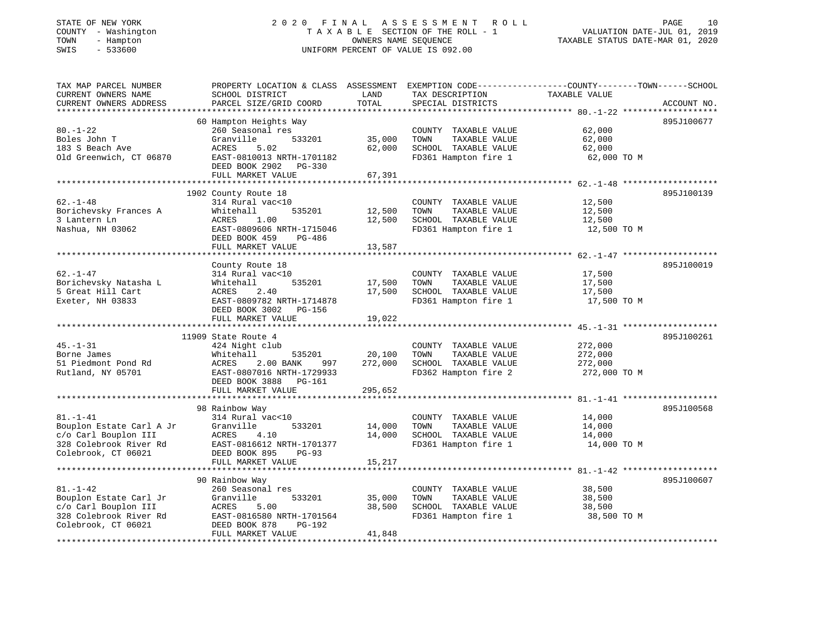## STATE OF NEW YORK 2 0 2 0 F I N A L A S S E S S M E N T R O L L PAGE 10 COUNTY - Washington T A X A B L E SECTION OF THE ROLL - 1 VALUATION DATE-JUL 01, 2019 TOWN - Hampton OWNERS NAME SEQUENCE TAXABLE STATUS DATE-MAR 01, 2020 SWIS - 533600 UNIFORM PERCENT OF VALUE IS 092.00

| TAX MAP PARCEL NUMBER    | PROPERTY LOCATION & CLASS ASSESSMENT EXEMPTION CODE---------------COUNTY-------TOWN------SCHOOL |         |                       |               |             |
|--------------------------|-------------------------------------------------------------------------------------------------|---------|-----------------------|---------------|-------------|
| CURRENT OWNERS NAME      | SCHOOL DISTRICT                                                                                 | LAND    | TAX DESCRIPTION       | TAXABLE VALUE |             |
| CURRENT OWNERS ADDRESS   | PARCEL SIZE/GRID COORD                                                                          | TOTAL   | SPECIAL DISTRICTS     |               | ACCOUNT NO. |
| **********************   |                                                                                                 |         |                       |               |             |
|                          | 60 Hampton Heights Way                                                                          |         |                       |               | 895J100677  |
| $80. - 1 - 22$           | 260 Seasonal res                                                                                |         | COUNTY TAXABLE VALUE  | 62,000        |             |
| Boles John T             | Granville<br>533201                                                                             | 35,000  | TOWN<br>TAXABLE VALUE | 62,000        |             |
| 183 S Beach Ave          | ACRES<br>5.02                                                                                   | 62,000  | SCHOOL TAXABLE VALUE  | 62,000        |             |
| Old Greenwich, CT 06870  | EAST-0810013 NRTH-1701182                                                                       |         | FD361 Hampton fire 1  | 62,000 TO M   |             |
|                          | DEED BOOK 2902 PG-330                                                                           |         |                       |               |             |
|                          | FULL MARKET VALUE                                                                               | 67,391  |                       |               |             |
|                          |                                                                                                 |         |                       |               |             |
|                          | 1902 County Route 18                                                                            |         |                       |               | 895J100139  |
| $62. - 1 - 48$           | 314 Rural vac<10                                                                                |         | COUNTY TAXABLE VALUE  | 12,500        |             |
| Borichevsky Frances A    | 535201<br>Whitehall                                                                             | 12,500  | TOWN<br>TAXABLE VALUE | 12,500        |             |
| 3 Lantern Ln             | 1.00<br>ACRES                                                                                   | 12,500  | SCHOOL TAXABLE VALUE  | 12,500        |             |
| Nashua, NH 03062         | EAST-0809606 NRTH-1715046                                                                       |         | FD361 Hampton fire 1  | 12,500 TO M   |             |
|                          | DEED BOOK 459<br>PG-486                                                                         |         |                       |               |             |
|                          | FULL MARKET VALUE                                                                               | 13,587  |                       |               |             |
|                          |                                                                                                 |         |                       |               |             |
|                          | County Route 18                                                                                 |         |                       |               | 895J100019  |
| $62. - 1 - 47$           | 314 Rural vac<10                                                                                |         | COUNTY TAXABLE VALUE  | 17,500        |             |
| Borichevsky Natasha L    | 535201<br>Whitehall                                                                             | 17,500  | TAXABLE VALUE<br>TOWN | 17,500        |             |
| 5 Great Hill Cart        | ACRES<br>2.40                                                                                   | 17,500  | SCHOOL TAXABLE VALUE  | 17,500        |             |
| Exeter, NH 03833         | EAST-0809782 NRTH-1714878                                                                       |         | FD361 Hampton fire 1  | 17,500 TO M   |             |
|                          | DEED BOOK 3002 PG-156                                                                           |         |                       |               |             |
|                          | FULL MARKET VALUE                                                                               | 19,022  |                       |               |             |
|                          |                                                                                                 |         |                       |               |             |
|                          | 11909 State Route 4                                                                             |         |                       |               | 895J100261  |
| $45. - 1 - 31$           | 424 Night club                                                                                  |         | COUNTY TAXABLE VALUE  | 272,000       |             |
| Borne James              | Whitehall<br>535201                                                                             | 20,100  | TOWN<br>TAXABLE VALUE | 272,000       |             |
|                          |                                                                                                 | 272,000 |                       |               |             |
| 51 Piedmont Pond Rd      | 2.00 BANK<br>ACRES<br>997<br>EAST-0807016 NRTH-1729933                                          |         | SCHOOL TAXABLE VALUE  | 272,000       |             |
| Rutland, NY 05701        |                                                                                                 |         | FD362 Hampton fire 2  | 272,000 TO M  |             |
|                          | DEED BOOK 3888 PG-161                                                                           |         |                       |               |             |
|                          | FULL MARKET VALUE                                                                               | 295,652 |                       |               |             |
|                          |                                                                                                 |         |                       |               |             |
|                          | 98 Rainbow Way                                                                                  |         |                       |               | 895J100568  |
| $81. - 1 - 41$           | 314 Rural vac<10                                                                                |         | COUNTY TAXABLE VALUE  | 14,000        |             |
| Bouplon Estate Carl A Jr | 533201<br>Granville                                                                             | 14,000  | TOWN<br>TAXABLE VALUE | 14,000        |             |
| c/o Carl Bouplon III     | ACRES<br>4.10                                                                                   | 14,000  | SCHOOL TAXABLE VALUE  | 14,000        |             |
| 328 Colebrook River Rd   | EAST-0816612 NRTH-1701377                                                                       |         | FD361 Hampton fire 1  | 14,000 TO M   |             |
| Colebrook, CT 06021      | DEED BOOK 895<br>$PG-93$                                                                        |         |                       |               |             |
|                          | FULL MARKET VALUE                                                                               | 15,217  |                       |               |             |
|                          |                                                                                                 |         |                       |               |             |
|                          | 90 Rainbow Way                                                                                  |         |                       |               | 895J100607  |
| $81. - 1 - 42$           | 260 Seasonal res                                                                                |         | COUNTY TAXABLE VALUE  | 38,500        |             |
| Bouplon Estate Carl Jr   | Granville<br>533201                                                                             | 35,000  | TAXABLE VALUE<br>TOWN | 38,500        |             |
| c/o Carl Bouplon III     | ACRES<br>5.00                                                                                   | 38,500  | SCHOOL TAXABLE VALUE  | 38,500        |             |
| 328 Colebrook River Rd   | EAST-0816580 NRTH-1701564                                                                       |         | FD361 Hampton fire 1  | 38,500 TO M   |             |
| Colebrook, CT 06021      | DEED BOOK 878<br>PG-192                                                                         |         |                       |               |             |
|                          | FULL MARKET VALUE                                                                               | 41,848  |                       |               |             |
|                          |                                                                                                 |         |                       |               |             |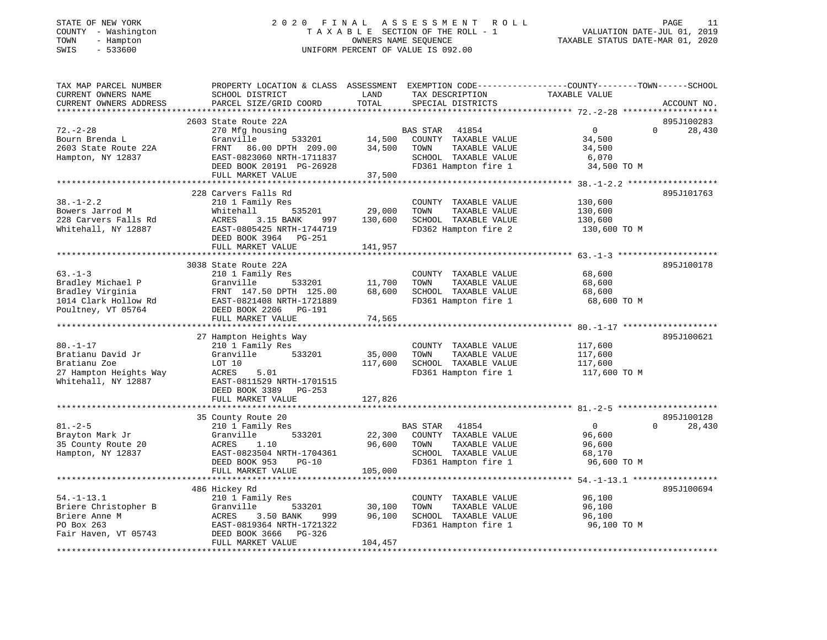## STATE OF NEW YORK 2 0 2 0 F I N A L A S S E S S M E N T R O L L PAGE 11 COUNTY - Washington T A X A B L E SECTION OF THE ROLL - 1 VALUATION DATE-JUL 01, 2019 TOWN - Hampton OWNERS NAME SEQUENCE TAXABLE STATUS DATE-MAR 01, 2020 SWIS - 533600 UNIFORM PERCENT OF VALUE IS 092.00

| TAX MAP PARCEL NUMBER<br>CURRENT OWNERS NAME<br>CURRENT OWNERS ADDRESS                               | PROPERTY LOCATION & CLASS ASSESSMENT<br>SCHOOL DISTRICT<br>PARCEL SIZE/GRID COORD                                                                                         | LAND<br>TOTAL                | TAX DESCRIPTION<br>SPECIAL DISTRICTS                                                                               | EXEMPTION CODE-----------------COUNTY-------TOWN------SCHOOL<br>TAXABLE VALUE | ACCOUNT NO.          |
|------------------------------------------------------------------------------------------------------|---------------------------------------------------------------------------------------------------------------------------------------------------------------------------|------------------------------|--------------------------------------------------------------------------------------------------------------------|-------------------------------------------------------------------------------|----------------------|
| *********************                                                                                | *************************                                                                                                                                                 |                              |                                                                                                                    |                                                                               |                      |
| $72. - 2 - 28$<br>Bourn Brenda L<br>2603 State Route 22A<br>Hampton, NY 12837                        | 2603 State Route 22A<br>270 Mfg housing<br>Granville<br>533201<br>FRNT<br>86.00 DPTH 209.00<br>EAST-0823060 NRTH-1711837<br>DEED BOOK 20191 PG-26928<br>FULL MARKET VALUE | 14,500<br>34,500<br>37,500   | BAS STAR<br>41854<br>COUNTY TAXABLE VALUE<br>TAXABLE VALUE<br>TOWN<br>SCHOOL TAXABLE VALUE<br>FD361 Hampton fire 1 | $\mathbf{0}$<br>$\mathbf 0$<br>34,500<br>34,500<br>6,070<br>34,500 TO M       | 895J100283<br>28,430 |
|                                                                                                      |                                                                                                                                                                           |                              |                                                                                                                    |                                                                               |                      |
| $38. - 1 - 2.2$<br>Bowers Jarrod M<br>228 Carvers Falls Rd<br>Whitehall, NY 12887                    | 228 Carvers Falls Rd<br>210 1 Family Res<br>Whitehall<br>535201<br>3.15 BANK<br>ACRES<br>997<br>EAST-0805425 NRTH-1744719<br>DEED BOOK 3964<br>PG-251                     | 29,000<br>130,600            | COUNTY TAXABLE VALUE<br>TOWN<br>TAXABLE VALUE<br>SCHOOL TAXABLE VALUE<br>FD362 Hampton fire 2                      | 130,600<br>130,600<br>130,600<br>130,600 TO M                                 | 895J101763           |
|                                                                                                      | FULL MARKET VALUE                                                                                                                                                         | 141,957                      |                                                                                                                    |                                                                               |                      |
|                                                                                                      | 3038 State Route 22A                                                                                                                                                      |                              |                                                                                                                    |                                                                               | 895J100178           |
| $63 - 1 - 3$<br>Bradley Michael P<br>Bradley Virginia<br>1014 Clark Hollow Rd<br>Poultney, VT 05764  | 210 1 Family Res<br>Granville<br>533201<br>FRNT 147.50 DPTH 125.00<br>EAST-0821408 NRTH-1721889<br>DEED BOOK 2206 PG-191<br>FULL MARKET VALUE                             | 11,700<br>68,600<br>74,565   | COUNTY TAXABLE VALUE<br>TOWN<br>TAXABLE VALUE<br>SCHOOL TAXABLE VALUE<br>FD361 Hampton fire 1                      | 68,600<br>68,600<br>68,600<br>68,600 TO M                                     |                      |
|                                                                                                      | ***********************                                                                                                                                                   | ************                 |                                                                                                                    |                                                                               |                      |
| $80. - 1 - 17$<br>Bratianu David Jr<br>Bratianu Zoe<br>27 Hampton Heights Way<br>Whitehall, NY 12887 | 27 Hampton Heights Way<br>210 1 Family Res<br>533201<br>Granville<br>LOT 10<br>ACRES<br>5.01<br>EAST-0811529 NRTH-1701515<br>DEED BOOK 3389 PG-253<br>FULL MARKET VALUE   | 35,000<br>117,600<br>127,826 | COUNTY TAXABLE VALUE<br>TOWN<br>TAXABLE VALUE<br>SCHOOL TAXABLE VALUE<br>FD361 Hampton fire 1                      | 117,600<br>117,600<br>117,600<br>117,600 TO M                                 | 895J100621           |
|                                                                                                      |                                                                                                                                                                           |                              |                                                                                                                    |                                                                               |                      |
| $81. - 2 - 5$<br>Brayton Mark Jr<br>35 County Route 20<br>Hampton, NY 12837                          | 35 County Route 20<br>210 1 Family Res<br>Granville<br>533201<br>ACRES<br>1.10<br>EAST-0823504 NRTH-1704361<br>DEED BOOK 953<br>$PG-10$                                   | 22,300<br>96,600             | BAS STAR<br>41854<br>COUNTY TAXABLE VALUE<br>TOWN<br>TAXABLE VALUE<br>SCHOOL TAXABLE VALUE<br>FD361 Hampton fire 1 | $\mathbf{0}$<br>$\Omega$<br>96,600<br>96,600<br>68,170<br>96,600 TO M         | 895J100128<br>28,430 |
|                                                                                                      | FULL MARKET VALUE                                                                                                                                                         | 105,000                      |                                                                                                                    |                                                                               |                      |
|                                                                                                      | 486 Hickey Rd                                                                                                                                                             |                              |                                                                                                                    |                                                                               | 895J100694           |
| $54. - 1 - 13.1$<br>Briere Christopher B<br>Briere Anne M<br>PO Box 263<br>Fair Haven, VT 05743      | 210 1 Family Res<br>Granville<br>533201<br>3.50 BANK<br>ACRES<br>999<br>EAST-0819364 NRTH-1721322<br>DEED BOOK 3666<br>PG-326<br>FULL MARKET VALUE                        | 30,100<br>96,100<br>104,457  | COUNTY TAXABLE VALUE<br>TOWN<br>TAXABLE VALUE<br>SCHOOL TAXABLE VALUE<br>FD361 Hampton fire 1                      | 96,100<br>96,100<br>96,100<br>96,100 TO M                                     |                      |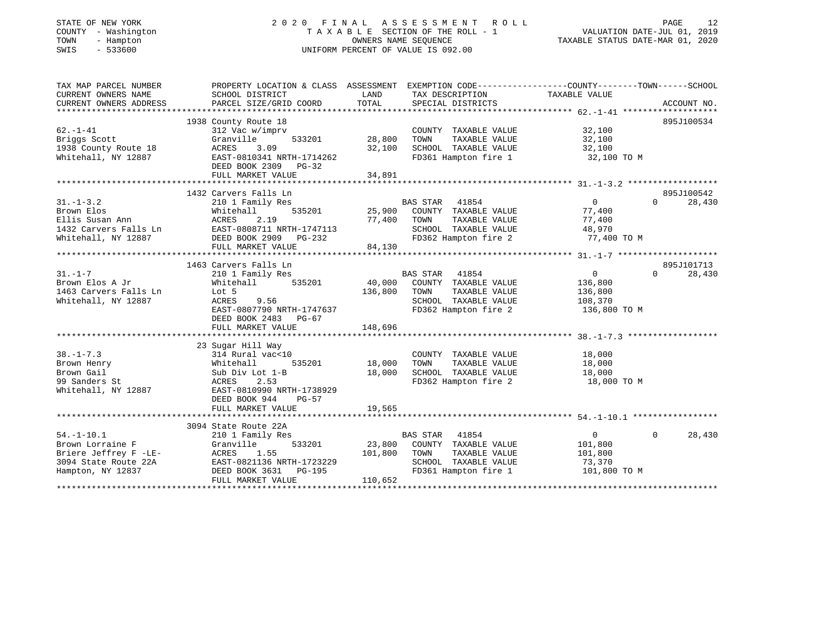#### STATE OF NEW YORK 2 0 2 0 F I N A L A S S E S S M E N T R O L L PAGE 12COUNTY - Washington T A X A B L E SECTION OF THE ROLL - 1 TOWN - Hampton OWNERS NAME SEQUENCE TAXABLE STATUS DATE-MAR 01, 2020 SWIS - 533600 UNIFORM PERCENT OF VALUE IS 092.00

VALUATION DATE-JUL 01, 2019

| TAX MAP PARCEL NUMBER                                                                                                                                                                                                                        | PROPERTY LOCATION & CLASS ASSESSMENT EXEMPTION CODE---------------COUNTY-------TOWN-----SCHOOL                                                                        |         |                                    |                                            |                             |
|----------------------------------------------------------------------------------------------------------------------------------------------------------------------------------------------------------------------------------------------|-----------------------------------------------------------------------------------------------------------------------------------------------------------------------|---------|------------------------------------|--------------------------------------------|-----------------------------|
| CURRENT OWNERS NAME                                                                                                                                                                                                                          | SCHOOL DISTRICT                                                                                                                                                       |         | LAND TAX DESCRIPTION TAXABLE VALUE |                                            |                             |
| CURRENT OWNERS ADDRESS                                                                                                                                                                                                                       |                                                                                                                                                                       |         |                                    |                                            |                             |
|                                                                                                                                                                                                                                              |                                                                                                                                                                       |         |                                    |                                            |                             |
|                                                                                                                                                                                                                                              | 1938 County Route 18                                                                                                                                                  |         | COUNTY TAXABLE VALUE 32,100        |                                            | 895J100534                  |
|                                                                                                                                                                                                                                              |                                                                                                                                                                       |         |                                    |                                            |                             |
|                                                                                                                                                                                                                                              |                                                                                                                                                                       |         |                                    |                                            |                             |
|                                                                                                                                                                                                                                              |                                                                                                                                                                       |         | SCHOOL TAXABLE VALUE 32,100        |                                            |                             |
| Whitehall, NY 12887 EAST-0810341 NRTH-1714262                                                                                                                                                                                                |                                                                                                                                                                       |         | FD361 Hampton fire 1 32,100 TO M   |                                            |                             |
|                                                                                                                                                                                                                                              | DEED BOOK 2309 PG-32                                                                                                                                                  |         |                                    |                                            |                             |
|                                                                                                                                                                                                                                              | FULL MARKET VALUE                                                                                                                                                     | 34,891  |                                    |                                            |                             |
|                                                                                                                                                                                                                                              |                                                                                                                                                                       |         |                                    |                                            |                             |
|                                                                                                                                                                                                                                              | 1432 Carvers Falls Ln                                                                                                                                                 |         |                                    |                                            | 895J100542                  |
|                                                                                                                                                                                                                                              |                                                                                                                                                                       |         |                                    | $\begin{array}{c} 0 \\ 77,400 \end{array}$ | $\Omega$<br>28,430          |
|                                                                                                                                                                                                                                              |                                                                                                                                                                       |         |                                    |                                            |                             |
|                                                                                                                                                                                                                                              |                                                                                                                                                                       |         |                                    |                                            |                             |
|                                                                                                                                                                                                                                              |                                                                                                                                                                       |         |                                    |                                            |                             |
| 31.-1-3.2<br>Brown Elos Mhitehall S35201<br>Ellis Susan Ann ACRES 2.19<br>1432 Carvers Falls Ln EAST-0808711 NRTH-1747113<br>Whitehall, NY 12887<br>25,900 COUNTY TAXABLE VALUE 77,400<br>25,900 COUNTY TAXABLE VALUE 77,400<br>25,900 COUNT |                                                                                                                                                                       |         |                                    |                                            |                             |
|                                                                                                                                                                                                                                              | FULL MARKET VALUE                                                                                                                                                     | 84,130  |                                    |                                            |                             |
|                                                                                                                                                                                                                                              |                                                                                                                                                                       |         |                                    |                                            |                             |
|                                                                                                                                                                                                                                              | 1463 Carvers Falls Ln                                                                                                                                                 |         |                                    |                                            | 895J101713                  |
|                                                                                                                                                                                                                                              | 210 1 Family Res                                                                                                                                                      |         | BAS STAR 41854                     | $\overline{0}$                             | $0 \qquad \qquad$<br>28,430 |
|                                                                                                                                                                                                                                              |                                                                                                                                                                       |         |                                    | 136,800<br>136,800                         |                             |
|                                                                                                                                                                                                                                              |                                                                                                                                                                       |         |                                    |                                            |                             |
| Whitehall, NY 12887                                                                                                                                                                                                                          |                                                                                                                                                                       |         | SCHOOL TAXABLE VALUE 108,370       |                                            |                             |
|                                                                                                                                                                                                                                              | Whitehall 535201 40,000 COUNTY TAXABLE VALUE<br>Lot 5 136,800 TOWN TAXABLE VALUE<br>RCRES 9.56 SCHOOL TAXABLE VALUE<br>EAST-0807790 NRTH-1747637 FD362 Hampton fire 2 |         |                                    | 136,800 TO M                               |                             |
|                                                                                                                                                                                                                                              | DEED BOOK 2483 PG-67                                                                                                                                                  |         |                                    |                                            |                             |
|                                                                                                                                                                                                                                              |                                                                                                                                                                       |         |                                    |                                            |                             |
|                                                                                                                                                                                                                                              |                                                                                                                                                                       |         |                                    |                                            |                             |
|                                                                                                                                                                                                                                              | 23 Sugar Hill Way                                                                                                                                                     |         |                                    |                                            |                             |
| $38. - 1 - 7.3$                                                                                                                                                                                                                              |                                                                                                                                                                       |         | $COUNTY TXABLE VALUE 18,000$       |                                            |                             |
|                                                                                                                                                                                                                                              | $314$ Rural vac<10<br>Whitehall 535201 18,000                                                                                                                         |         | TOWN TAXABLE VALUE                 | 18,000                                     |                             |
|                                                                                                                                                                                                                                              |                                                                                                                                                                       |         | SCHOOL TAXABLE VALUE 18,000        |                                            |                             |
|                                                                                                                                                                                                                                              |                                                                                                                                                                       |         | FD362 Hampton fire 2               | 18,000 TO M                                |                             |
| 38.-1-7.3<br>Brown Henry Mhitehall 535201 18,000<br>Brown Gail Sub Div Lot 1-B 18,000<br>99 Sanders St ACRES 2.53<br>Whitehall, NY 12887 EAST-0810990 NRTH-1738929                                                                           |                                                                                                                                                                       |         |                                    |                                            |                             |
|                                                                                                                                                                                                                                              | DEED BOOK 944<br>PG-57                                                                                                                                                |         |                                    |                                            |                             |
|                                                                                                                                                                                                                                              | FULL MARKET VALUE                                                                                                                                                     | 19,565  |                                    |                                            |                             |
|                                                                                                                                                                                                                                              |                                                                                                                                                                       |         |                                    |                                            |                             |
|                                                                                                                                                                                                                                              | 3094 State Route 22A<br>State Route 22A<br>210 1 Family Res                                                                                                           |         |                                    |                                            |                             |
| $54. - 1 - 10.1$                                                                                                                                                                                                                             |                                                                                                                                                                       |         | BAS STAR 41854                     | $\overline{0}$                             | $0 \t 28,430$               |
| Brown Lorraine F                                                                                                                                                                                                                             | Granville 533201 23,800 COUNTY TAXABLE VALUE 101,800                                                                                                                  |         |                                    |                                            |                             |
|                                                                                                                                                                                                                                              |                                                                                                                                                                       |         |                                    | 101,800                                    |                             |
|                                                                                                                                                                                                                                              |                                                                                                                                                                       |         |                                    | 73,370                                     |                             |
| Briere Jeffrey F -LE-<br>3094 State Route 22A EAST-0821136 NRTH-1723229 SCHOOL TAXABLE VALUE<br>Hampton, NY 12837 DEED BOOK 3631 PG-195 FD361 Hampton fire 1                                                                                 |                                                                                                                                                                       |         | FD361 Hampton fire 1 101,800 TO M  |                                            |                             |
|                                                                                                                                                                                                                                              | FULL MARKET VALUE                                                                                                                                                     | 110,652 |                                    |                                            |                             |
|                                                                                                                                                                                                                                              |                                                                                                                                                                       |         |                                    |                                            |                             |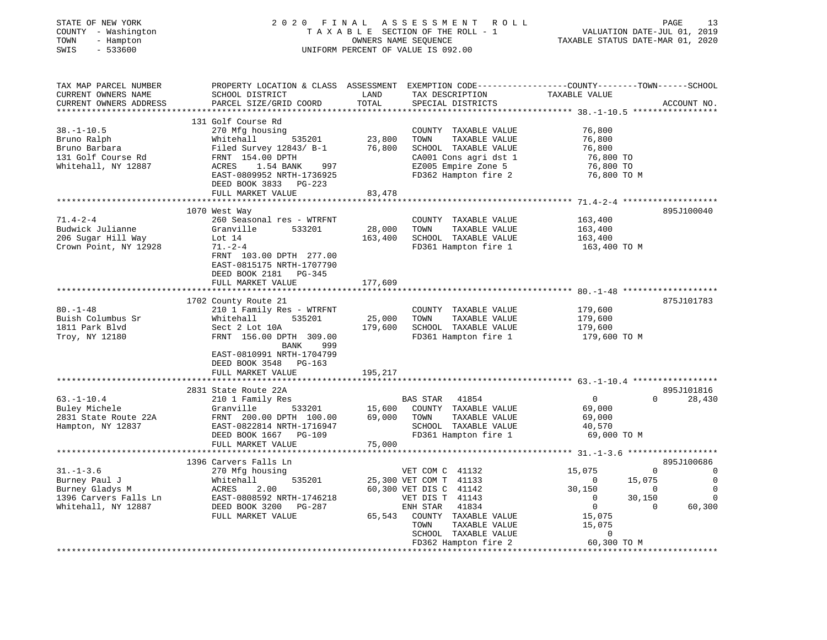| STATE OF NEW YORK<br>COUNTY - Washington<br>TOWN<br>- Hampton<br>SWIS<br>$-533600$                  | 2020 FINAL ASSESSMENT ROLL<br>TAXABLE SECTION OF THE ROLL - 1<br>UNIFORM PERCENT OF VALUE IS 092.00                                                                                                              | PAGE<br>13<br>VALUATION DATE-JUL 01, 2019<br>TAXABLE STATUS DATE-MAR 01, 2020 |                                                                                                                                               |                                                                                                                         |                                                                                                        |
|-----------------------------------------------------------------------------------------------------|------------------------------------------------------------------------------------------------------------------------------------------------------------------------------------------------------------------|-------------------------------------------------------------------------------|-----------------------------------------------------------------------------------------------------------------------------------------------|-------------------------------------------------------------------------------------------------------------------------|--------------------------------------------------------------------------------------------------------|
| TAX MAP PARCEL NUMBER<br>CURRENT OWNERS NAME<br>CURRENT OWNERS ADDRESS                              | PROPERTY LOCATION & CLASS ASSESSMENT EXEMPTION CODE----------------COUNTY-------TOWN-----SCHOOL<br>SCHOOL DISTRICT<br>PARCEL SIZE/GRID COORD                                                                     | LAND<br>TOTAL                                                                 | TAX DESCRIPTION<br>SPECIAL DISTRICTS                                                                                                          | TAXABLE VALUE                                                                                                           | ACCOUNT NO.                                                                                            |
| $38. - 1 - 10.5$<br>Bruno Ralph<br>Bruno Barbara<br>131 Golf Course Rd<br>Whitehall, NY 12887       | 131 Golf Course Rd<br>270 Mfg housing<br>Whitehall<br>535201<br>Filed Survey 12843/ B-1<br>FRNT 154.00 DPTH<br>1.54 BANK 997<br>ACRES<br>EAST-0809952 NRTH-1736925<br>DEED BOOK 3833 PG-223<br>FULL MARKET VALUE | 23,800<br>76,800<br>83,478                                                    | COUNTY TAXABLE VALUE<br>TOWN<br>TAXABLE VALUE<br>SCHOOL TAXABLE VALUE<br>CA001 Cons agri dst 1<br>EZ005 Empire Zone 5<br>FD362 Hampton fire 2 | 76,800<br>76,800<br>76,800<br>76,800 TO<br>76,800 TO<br>76,800 TO M                                                     |                                                                                                        |
|                                                                                                     |                                                                                                                                                                                                                  |                                                                               |                                                                                                                                               |                                                                                                                         |                                                                                                        |
| $71.4 - 2 - 4$<br>Budwick Julianne<br>206 Sugar Hill Way<br>Crown Point, NY 12928                   | 1070 West Way<br>260 Seasonal res - WTRFNT<br>Granville<br>533201<br>Lot 14<br>$71. - 2 - 4$<br>FRNT 103.00 DPTH 277.00<br>EAST-0815175 NRTH-1707790<br>DEED BOOK 2181 PG-345                                    | 28,000<br>163,400                                                             | COUNTY TAXABLE VALUE<br>TOWN<br>TAXABLE VALUE<br>SCHOOL TAXABLE VALUE<br>FD361 Hampton fire 1                                                 | 163,400<br>163,400<br>163,400<br>163,400 TO M                                                                           | 895J100040                                                                                             |
|                                                                                                     | FULL MARKET VALUE                                                                                                                                                                                                | 177,609                                                                       |                                                                                                                                               |                                                                                                                         |                                                                                                        |
| $80. - 1 - 48$<br>Buish Columbus Sr<br>1811 Park Blvd<br>Troy, NY 12180                             | ************************<br>1702 County Route 21<br>210 1 Family Res - WTRFNT<br>Whitehall<br>535201<br>Sect 2 Lot 10A<br>FRNT 156.00 DPTH 309.00                                                                | 25,000<br>179,600                                                             | COUNTY TAXABLE VALUE<br>TOWN<br>TAXABLE VALUE<br>SCHOOL TAXABLE VALUE<br>FD361 Hampton fire 1                                                 | 179,600<br>179,600<br>179,600<br>179,600 TO M                                                                           | 875J101783                                                                                             |
|                                                                                                     | BANK<br>999<br>EAST-0810991 NRTH-1704799<br>DEED BOOK 3548 PG-163<br>FULL MARKET VALUE                                                                                                                           | 195,217                                                                       |                                                                                                                                               |                                                                                                                         |                                                                                                        |
|                                                                                                     |                                                                                                                                                                                                                  |                                                                               |                                                                                                                                               |                                                                                                                         |                                                                                                        |
| $63. - 1 - 10.4$<br>Buley Michele<br>2831 State Route 22A<br>Hampton, NY 12837                      | 2831 State Route 22A<br>210 1 Family Res<br>533201<br>Granville<br>FRNT 200.00 DPTH 100.00<br>EAST-0822814 NRTH-1716947<br>DEED BOOK 1667 PG-109<br>FULL MARKET VALUE                                            | 15,600<br>69,000<br>75,000                                                    | BAS STAR 41854<br>COUNTY TAXABLE VALUE<br>TAXABLE VALUE<br>TOWN<br>SCHOOL TAXABLE VALUE<br>FD361 Hampton fire 1                               | $\mathbf{0}$<br>69,000<br>69,000<br>40,570<br>69,000 TO M                                                               | 895J101816<br>$0 \qquad \qquad$<br>28,430                                                              |
|                                                                                                     |                                                                                                                                                                                                                  |                                                                               |                                                                                                                                               |                                                                                                                         |                                                                                                        |
| $31. - 1 - 3.6$<br>Burney Paul J<br>Burney Gladys M<br>1396 Carvers Falls Ln<br>Whitehall, NY 12887 | 1396 Carvers Falls Ln<br>270 Mfg housing<br>Whitehall<br>535201<br>2.00<br>ACRES<br>EAST-0808592 NRTH-1746218<br>DEED BOOK 3200 PG-287                                                                           |                                                                               | VET COM C 41132<br>25,300 VET COM T 41133<br>60,300 VET DIS C 41142<br>VET DIS T 41143<br>ENH STAR 41834                                      | 15,075<br>0<br>15,075<br>$\sim$ 0<br>30,150<br>$\overline{0}$<br>$\overline{0}$<br>30,150<br>$\overline{0}$<br>$\Omega$ | 895J100686<br>$\overline{0}$<br>$\overline{\phantom{0}}$<br>$\overline{0}$<br>$\overline{0}$<br>60,300 |
|                                                                                                     | FULL MARKET VALUE                                                                                                                                                                                                | 65,543                                                                        | COUNTY TAXABLE VALUE<br>TAXABLE VALUE<br>TOWN<br>SCHOOL TAXABLE VALUE<br>FD362 Hampton fire 2                                                 | 15,075<br>15,075<br>0<br>60,300 TO M                                                                                    |                                                                                                        |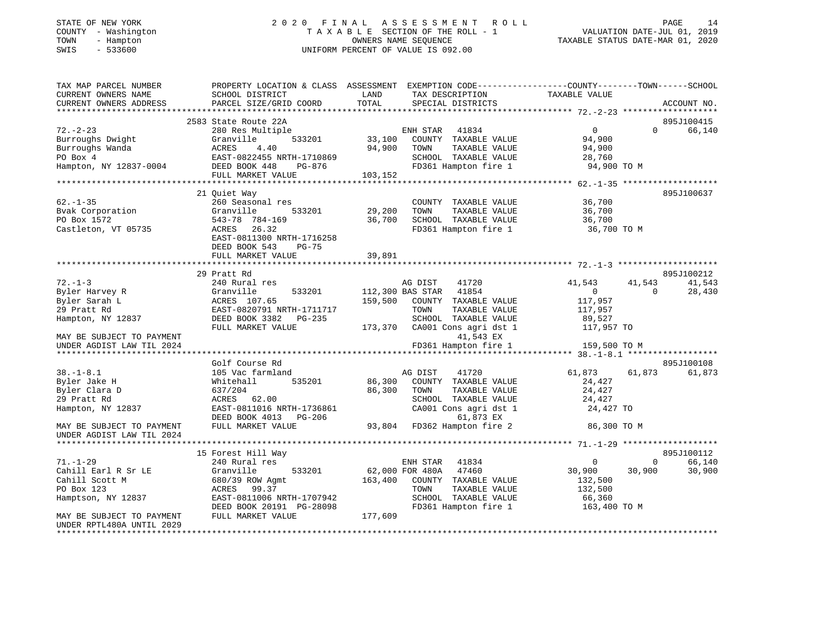## STATE OF NEW YORK 2 0 2 0 F I N A L A S S E S S M E N T R O L L PAGE 14 COUNTY - Washington T A X A B L E SECTION OF THE ROLL - 1 VALUATION DATE-JUL 01, 2019 TOWN - Hampton OWNERS NAME SEQUENCE TAXABLE STATUS DATE-MAR 01, 2020 SWIS - 533600 UNIFORM PERCENT OF VALUE IS 092.00UNIFORM PERCENT OF VALUE IS 092.00

| TAX MAP PARCEL NUMBER                      |                               |                                 | PROPERTY LOCATION & CLASS ASSESSMENT EXEMPTION CODE---------------COUNTY-------TOWN-----SCHOOL |
|--------------------------------------------|-------------------------------|---------------------------------|------------------------------------------------------------------------------------------------|
| CURRENT OWNERS NAME                        | SCHOOL DISTRICT               | LAND<br>TAX DESCRIPTION         | TAXABLE VALUE                                                                                  |
| CURRENT OWNERS ADDRESS                     | PARCEL SIZE/GRID COORD        | TOTAL<br>SPECIAL DISTRICTS      | ACCOUNT NO.                                                                                    |
|                                            |                               |                                 |                                                                                                |
|                                            | 2583 State Route 22A          |                                 | 895J100415                                                                                     |
| $72. - 2 - 23$                             | 280 Res Multiple              | ENH STAR<br>41834               | $\overline{0}$<br>$\Omega$<br>66,140                                                           |
| Burroughs Dwight                           | 533201<br>Granville           | 33,100<br>COUNTY TAXABLE VALUE  | 94,900                                                                                         |
| Burroughs Wanda                            | ACRES<br>4.40                 | 94,900<br>TOWN<br>TAXABLE VALUE | 94,900                                                                                         |
| PO Box 4                                   | EAST-0822455 NRTH-1710869     | SCHOOL TAXABLE VALUE            | 28,760                                                                                         |
| Hampton, NY 12837-0004                     | DEED BOOK 448<br>PG-876       | FD361 Hampton fire 1            | 94,900 TO M                                                                                    |
|                                            | FULL MARKET VALUE             | 103,152                         |                                                                                                |
|                                            |                               |                                 |                                                                                                |
|                                            | 21 Quiet Way                  |                                 | 895J100637                                                                                     |
| $62. - 1 - 35$                             | 260 Seasonal res              | COUNTY TAXABLE VALUE            | 36,700                                                                                         |
| Bvak Corporation                           | Granville<br>533201           | 29,200<br>TOWN<br>TAXABLE VALUE | 36,700                                                                                         |
| PO Box 1572                                | 543-78 784-169                | SCHOOL TAXABLE VALUE<br>36,700  | 36,700                                                                                         |
| Castleton, VT 05735                        | ACRES<br>26.32                | FD361 Hampton fire 1            | 36,700 TO M                                                                                    |
|                                            | EAST-0811300 NRTH-1716258     |                                 |                                                                                                |
|                                            | DEED BOOK 543<br><b>PG-75</b> |                                 |                                                                                                |
|                                            | FULL MARKET VALUE             | 39,891                          |                                                                                                |
|                                            | 29 Pratt Rd                   |                                 | 895J100212                                                                                     |
| $72. - 1 - 3$                              | 240 Rural res                 | AG DIST<br>41720                | 41,543<br>41,543<br>41,543                                                                     |
|                                            | Granville<br>533201           | 41854<br>112,300 BAS STAR       | $\overline{0}$<br>$\Omega$<br>28,430                                                           |
| 72.-1-3<br>Byler Harvey R<br>I lev Sarah L | ACRES 107.65                  | 159,500<br>COUNTY TAXABLE VALUE | 117,957                                                                                        |
| 29 Pratt Rd                                | EAST-0820791 NRTH-1711717     | TOWN<br>TAXABLE VALUE           | 117,957                                                                                        |
| Hampton, NY 12837                          | DEED BOOK 3382 PG-235         | SCHOOL TAXABLE VALUE            | 89,527                                                                                         |
|                                            | FULL MARKET VALUE             | 173,370 CA001 Cons agri dst 1   | 117,957 TO                                                                                     |
| MAY BE SUBJECT TO PAYMENT                  |                               | 41,543 EX                       |                                                                                                |
| UNDER AGDIST LAW TIL 2024                  |                               | FD361 Hampton fire 1            | 159,500 TO M                                                                                   |
|                                            |                               |                                 |                                                                                                |
|                                            | Golf Course Rd                |                                 | 895J100108                                                                                     |
| $38. - 1 - 8.1$                            | 105 Vac farmland              | AG DIST<br>41720                | 61,873<br>61,873<br>61,873                                                                     |
| Byler Jake H                               | Whitehall<br>535201           | 86,300<br>COUNTY TAXABLE VALUE  | 24,427                                                                                         |
| Byler Clara D                              | 637/204                       | 86,300<br>TAXABLE VALUE<br>TOWN | 24,427                                                                                         |
| 29 Pratt Rd                                | ACRES 62.00                   | SCHOOL TAXABLE VALUE            | 24,427                                                                                         |
| Hampton, NY 12837                          | EAST-0811016 NRTH-1736861     | CA001 Cons agri dst 1           | 24,427 TO                                                                                      |
|                                            | DEED BOOK 4013 PG-206         | 61,873 EX                       |                                                                                                |
| MAY BE SUBJECT TO PAYMENT                  | FULL MARKET VALUE             | 93,804 FD362 Hampton fire 2     | 86,300 TO M                                                                                    |
| UNDER AGDIST LAW TIL 2024                  |                               |                                 |                                                                                                |
|                                            |                               |                                 |                                                                                                |
|                                            | 15 Forest Hill Way            |                                 | 895J100112                                                                                     |
| $71. - 1 - 29$                             | 240 Rural res                 | ENH STAR 41834                  | 66,140<br>$\overline{0}$<br>$\Omega$                                                           |
| Cahill Earl R Sr LE                        | Granville<br>533201           | 47460<br>62,000 FOR 480A        | 30,900<br>30,900<br>30,900                                                                     |
| Cahill Scott M                             | 680/39 ROW Agmt               | 163,400 COUNTY TAXABLE VALUE    | 132,500                                                                                        |
| PO Box 123                                 | 99.37<br>ACRES                | TOWN<br>TAXABLE VALUE           | 132,500                                                                                        |
| Hamptson, NY 12837                         | EAST-0811006 NRTH-1707942     | SCHOOL TAXABLE VALUE            | 66,360                                                                                         |
|                                            | DEED BOOK 20191 PG-28098      | FD361 Hampton fire 1            | 163,400 TO M                                                                                   |
| MAY BE SUBJECT TO PAYMENT                  | FULL MARKET VALUE             | 177,609                         |                                                                                                |
| UNDER RPTL480A UNTIL 2029                  |                               |                                 |                                                                                                |
|                                            |                               |                                 |                                                                                                |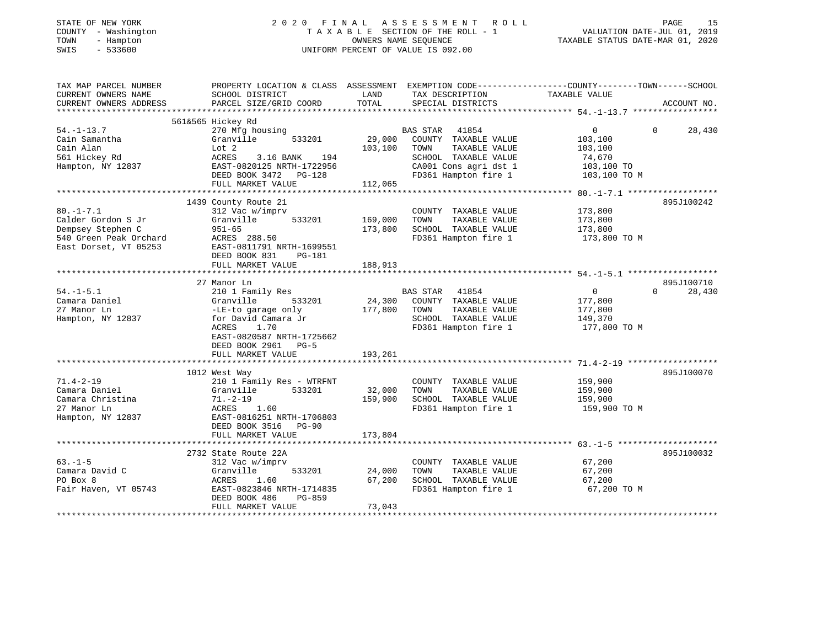| STATE OF NEW YORK<br>COUNTY - Washington<br>TOWN<br>- Hampton<br>$-533600$<br>SWIS |                                                                                                                         | 2020 FINAL ASSESSMENT ROLL<br>TAXABLE SECTION OF THE ROLL - 1<br>OWNERS NAME SEQUENCE<br>UNIFORM PERCENT OF VALUE IS 092.00 |                                                                                                                   |  |  |
|------------------------------------------------------------------------------------|-------------------------------------------------------------------------------------------------------------------------|-----------------------------------------------------------------------------------------------------------------------------|-------------------------------------------------------------------------------------------------------------------|--|--|
| TAX MAP PARCEL NUMBER<br>CURRENT OWNERS NAME                                       | SCHOOL DISTRICT                                                                                                         | TAX DESCRIPTION<br>LAND                                                                                                     | PROPERTY LOCATION & CLASS ASSESSMENT EXEMPTION CODE----------------COUNTY-------TOWN------SCHOOL<br>TAXABLE VALUE |  |  |
| CURRENT OWNERS ADDRESS                                                             | PARCEL SIZE/GRID COORD                                                                                                  | TOTAL<br>SPECIAL DISTRICTS                                                                                                  | ACCOUNT NO.                                                                                                       |  |  |
|                                                                                    | 561&565 Hickey Rd                                                                                                       |                                                                                                                             |                                                                                                                   |  |  |
| 54.-1-13.7                                                                         | 270 Mfg housing                                                                                                         | BAS STAR 41854                                                                                                              | $\overline{0}$<br>$\Omega$<br>28,430                                                                              |  |  |
| Cain Samantha                                                                      | Granville<br>533201                                                                                                     | 29,000<br>COUNTY TAXABLE VALUE                                                                                              | 103,100                                                                                                           |  |  |
| Cain Alan                                                                          | Lot 2                                                                                                                   | 103,100<br>TOWN<br>TAXABLE VALUE                                                                                            | 103,100                                                                                                           |  |  |
| 561 Hickey Rd                                                                      | ACRES 3.16 BANK 194                                                                                                     | SCHOOL TAXABLE VALUE                                                                                                        | 74,670                                                                                                            |  |  |
| Hampton, NY 12837                                                                  | EAST-0820125 NRTH-1722956                                                                                               | CA001 Cons agri dst 1                                                                                                       | 103,100 TO                                                                                                        |  |  |
|                                                                                    | DEED BOOK 3472 PG-128                                                                                                   | FD361 Hampton fire 1<br>112,065                                                                                             | 103,100 TO M                                                                                                      |  |  |
|                                                                                    | FULL MARKET VALUE                                                                                                       |                                                                                                                             |                                                                                                                   |  |  |
|                                                                                    | 1439 County Route 21                                                                                                    |                                                                                                                             | 895J100242                                                                                                        |  |  |
| $80. - 1 - 7.1$                                                                    | 312 Vac w/imprv                                                                                                         | COUNTY TAXABLE VALUE                                                                                                        | 173,800                                                                                                           |  |  |
| Calder Gordon S Jr                                                                 | Granville<br>533201                                                                                                     | 169,000<br>TAXABLE VALUE<br>TOWN                                                                                            | 173,800                                                                                                           |  |  |
| Dempsey Stephen C                                                                  | 951-65                                                                                                                  | SCHOOL TAXABLE VALUE<br>173,800                                                                                             | 173,800                                                                                                           |  |  |
|                                                                                    | 540 Green Peak Orchard                 ACRES   288.50<br>East Dorset, VT 05253                EAST-0811791 NRTH-1699551 | FD361 Hampton fire 1                                                                                                        | 173,800 TO M                                                                                                      |  |  |
|                                                                                    |                                                                                                                         |                                                                                                                             |                                                                                                                   |  |  |
|                                                                                    | DEED BOOK 831 PG-181                                                                                                    |                                                                                                                             |                                                                                                                   |  |  |
|                                                                                    | FULL MARKET VALUE                                                                                                       | 188,913                                                                                                                     |                                                                                                                   |  |  |
|                                                                                    | 27 Manor Ln                                                                                                             |                                                                                                                             | 895J100710                                                                                                        |  |  |
| $54. - 1 - 5.1$                                                                    | 210 1 Family Res                                                                                                        | BAS STAR 41854                                                                                                              | $\overline{0}$<br>28,430<br>$\Omega$                                                                              |  |  |
| Camara Daniel                                                                      | 533201                                                                                                                  | 24,300<br>COUNTY TAXABLE VALUE                                                                                              | 177,800                                                                                                           |  |  |
| 27 Manor Ln                                                                        |                                                                                                                         | 177,800<br>TOWN<br>TAXABLE VALUE                                                                                            | 177,800                                                                                                           |  |  |
| Hampton, NY 12837                                                                  | Granville 5332<br>-LE-to garage only<br>for David Camara Jr                                                             | SCHOOL TAXABLE VALUE                                                                                                        | 149,370                                                                                                           |  |  |
|                                                                                    | ACRES<br>1.70                                                                                                           | FD361 Hampton fire 1                                                                                                        | 177,800 TO M                                                                                                      |  |  |
|                                                                                    | EAST-0820587 NRTH-1725662                                                                                               |                                                                                                                             |                                                                                                                   |  |  |
|                                                                                    | DEED BOOK 2961 PG-5                                                                                                     |                                                                                                                             |                                                                                                                   |  |  |
|                                                                                    | FULL MARKET VALUE                                                                                                       | 193,261                                                                                                                     |                                                                                                                   |  |  |
|                                                                                    | 1012 West Way                                                                                                           |                                                                                                                             | 895J100070                                                                                                        |  |  |
| 71.4-2-19                                                                          | 210 1 Family Res - WTRFNT                                                                                               | COUNTY TAXABLE VALUE                                                                                                        | 159,900                                                                                                           |  |  |
| Camara Daniel                                                                      | Granville 533201                                                                                                        | 32,000<br>TOWN<br>TAXABLE VALUE                                                                                             | 159,900                                                                                                           |  |  |
| Camara Christina                                                                   |                                                                                                                         | 159,900<br>SCHOOL TAXABLE VALUE                                                                                             | 159,900                                                                                                           |  |  |
| 27 Manor Ln                                                                        | 71.-2-19<br>ACRES 1.60                                                                                                  | FD361 Hampton fire 1                                                                                                        | 159,900 ТО М                                                                                                      |  |  |
| Hampton, NY 12837                                                                  | EAST-0816251 NRTH-1706803                                                                                               |                                                                                                                             |                                                                                                                   |  |  |
|                                                                                    | DEED BOOK 3516 PG-90                                                                                                    |                                                                                                                             |                                                                                                                   |  |  |
|                                                                                    | FULL MARKET VALUE                                                                                                       | 173,804                                                                                                                     |                                                                                                                   |  |  |
|                                                                                    | 2732 State Route 22A                                                                                                    |                                                                                                                             | 895J100032                                                                                                        |  |  |
| 63.-1-5                                                                            | 312 Vac w/imprv                                                                                                         | COUNTY TAXABLE VALUE                                                                                                        | 67,200                                                                                                            |  |  |
| Camara David C                                                                     | 533201<br>Granville                                                                                                     | 24,000<br>TOWN<br>TAXABLE VALUE                                                                                             | 67,200                                                                                                            |  |  |
| PO Box 8                                                                           | ACRES                                                                                                                   | 67,200<br>SCHOOL TAXABLE VALUE                                                                                              | 67,200                                                                                                            |  |  |
| Fair Haven, VT 05743                                                               | ACRES 1.60<br>EAST-0823846 NRTH-1714835                                                                                 | FD361 Hampton fire 1                                                                                                        | 67,200 TO M                                                                                                       |  |  |
|                                                                                    | PG-859<br>DEED BOOK 486                                                                                                 |                                                                                                                             |                                                                                                                   |  |  |
|                                                                                    | FULL MARKET VALUE                                                                                                       | 73,043                                                                                                                      |                                                                                                                   |  |  |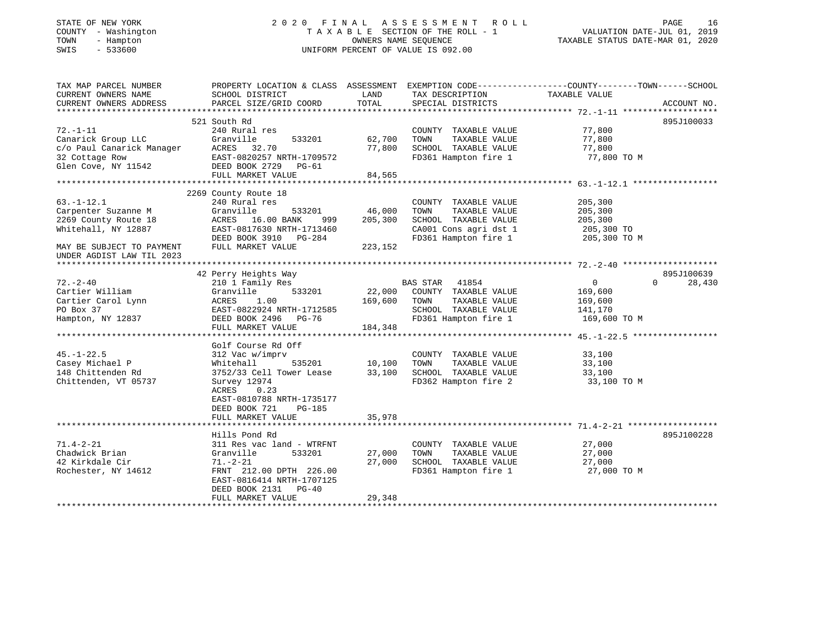## STATE OF NEW YORK 2 0 2 0 F I N A L A S S E S S M E N T R O L L PAGE 16 COUNTY - Washington T A X A B L E SECTION OF THE ROLL - 1 VALUATION DATE-JUL 01, 2019 TOWN - Hampton OWNERS NAME SEQUENCE TAXABLE STATUS DATE-MAR 01, 2020 SWIS - 533600 UNIFORM PERCENT OF VALUE IS 092.00

| TAX MAP PARCEL NUMBER                                                                                                                            | PROPERTY LOCATION & CLASS ASSESSMENT EXEMPTION CODE----------------COUNTY-------TOWN------SCHOOL                                                                                  |                              |                                                                                                                        |                                                                 |                                  |
|--------------------------------------------------------------------------------------------------------------------------------------------------|-----------------------------------------------------------------------------------------------------------------------------------------------------------------------------------|------------------------------|------------------------------------------------------------------------------------------------------------------------|-----------------------------------------------------------------|----------------------------------|
| CURRENT OWNERS NAME<br>CURRENT OWNERS ADDRESS                                                                                                    | SCHOOL DISTRICT<br>PARCEL SIZE/GRID COORD                                                                                                                                         | LAND<br>TOTAL                | TAX DESCRIPTION<br>SPECIAL DISTRICTS                                                                                   | TAXABLE VALUE                                                   | ACCOUNT NO.                      |
|                                                                                                                                                  | 521 South Rd                                                                                                                                                                      |                              |                                                                                                                        |                                                                 | 895J100033                       |
| $72. - 1 - 11$<br>Canarick Group LLC<br>c/o Paul Canarick Manager<br>32 Cottage Row                                                              | 240 Rural res<br>Granville<br>533201<br>ACRES 32.70                                                                                                                               | 62,700<br>77,800             | COUNTY TAXABLE VALUE<br>TOWN<br>TAXABLE VALUE<br>SCHOOL TAXABLE VALUE                                                  | 77,800<br>77,800<br>77,800                                      |                                  |
| 32 Cottage Row<br>Glen Cove, NY 11542                                                                                                            | EAST-0820257 NRTH-1709572<br>DEED BOOK 2729 PG-61<br>FULL MARKET VALUE                                                                                                            | 84,565                       | FD361 Hampton fire 1                                                                                                   | 77,800 TO M                                                     |                                  |
|                                                                                                                                                  |                                                                                                                                                                                   |                              |                                                                                                                        |                                                                 |                                  |
| $63. - 1 - 12.1$<br>Carpenter Suzanne M<br>2269 County Route 18<br>Whitehall, NY 12887<br>MAY BE SUBJECT TO PAYMENT<br>UNDER AGDIST LAW TIL 2023 | 2269 County Route 18<br>240 Rural res<br>Granville<br>533201<br>ACRES 16.00 BANK<br>999<br>EAST-0817630 NRTH-1713460<br>DEED BOOK 3910 PG-284<br>FULL MARKET VALUE                | 46,000<br>205,300<br>223,152 | COUNTY TAXABLE VALUE<br>TAXABLE VALUE<br>TOWN<br>SCHOOL TAXABLE VALUE<br>CA001 Cons agri dst 1<br>FD361 Hampton fire 1 | 205,300<br>205,300<br>205,300<br>205,300 TO<br>205,300 TO M     |                                  |
|                                                                                                                                                  |                                                                                                                                                                                   |                              |                                                                                                                        |                                                                 |                                  |
| $72. - 2 - 40$<br>Cartier William<br>Cartier Carol Lynn<br>PO Box 37<br>Hampton, NY 12837                                                        | 42 Perry Heights Way<br>210 1 Family Res<br>Granville<br>533201<br>1.00<br>ACRES<br>EAST-0822924 NRTH-1712585<br>DEED BOOK 2496 PG-76<br>FULL MARKET VALUE                        | 22,000<br>169,600<br>184,348 | BAS STAR 41854<br>COUNTY TAXABLE VALUE<br>TOWN<br>TAXABLE VALUE<br>SCHOOL TAXABLE VALUE<br>FD361 Hampton fire 1        | $\overline{0}$<br>169,600<br>169,600<br>141,170<br>169,600 TO M | 895J100639<br>28,430<br>$\Omega$ |
|                                                                                                                                                  |                                                                                                                                                                                   |                              |                                                                                                                        |                                                                 |                                  |
| $45. - 1 - 22.5$<br>Casey Michael P<br>148 Chittenden Rd<br>Chittenden, VT 05737                                                                 | Golf Course Rd Off<br>312 Vac w/imprv<br>535201<br>Whitehall<br>3752/33 Cell Tower Lease<br>Survey 12974<br>ACRES<br>0.23<br>EAST-0810788 NRTH-1735177<br>DEED BOOK 721<br>PG-185 | 10,100<br>33,100             | COUNTY TAXABLE VALUE<br>TOWN<br>TAXABLE VALUE<br>SCHOOL TAXABLE VALUE<br>FD362 Hampton fire 2                          | 33,100<br>33,100<br>33,100<br>33,100 TO M                       |                                  |
|                                                                                                                                                  | FULL MARKET VALUE                                                                                                                                                                 | 35,978                       |                                                                                                                        |                                                                 |                                  |
|                                                                                                                                                  | Hills Pond Rd                                                                                                                                                                     |                              |                                                                                                                        |                                                                 | 895J100228                       |
| $71.4 - 2 - 21$<br>Chadwick Brian<br>42 Kirkdale Cir<br>Rochester, NY 14612                                                                      | 311 Res vac land - WTRFNT<br>533201<br>Granville<br>$71. - 2 - 21$<br>FRNT 212.00 DPTH 226.00<br>EAST-0816414 NRTH-1707125<br>DEED BOOK 2131 PG-40<br>FULL MARKET VALUE           | 27,000<br>27,000<br>29,348   | COUNTY TAXABLE VALUE<br>TOWN<br>TAXABLE VALUE<br>SCHOOL TAXABLE VALUE<br>FD361 Hampton fire 1                          | 27,000<br>27,000<br>27,000<br>27,000 TO M                       |                                  |
|                                                                                                                                                  |                                                                                                                                                                                   |                              |                                                                                                                        |                                                                 |                                  |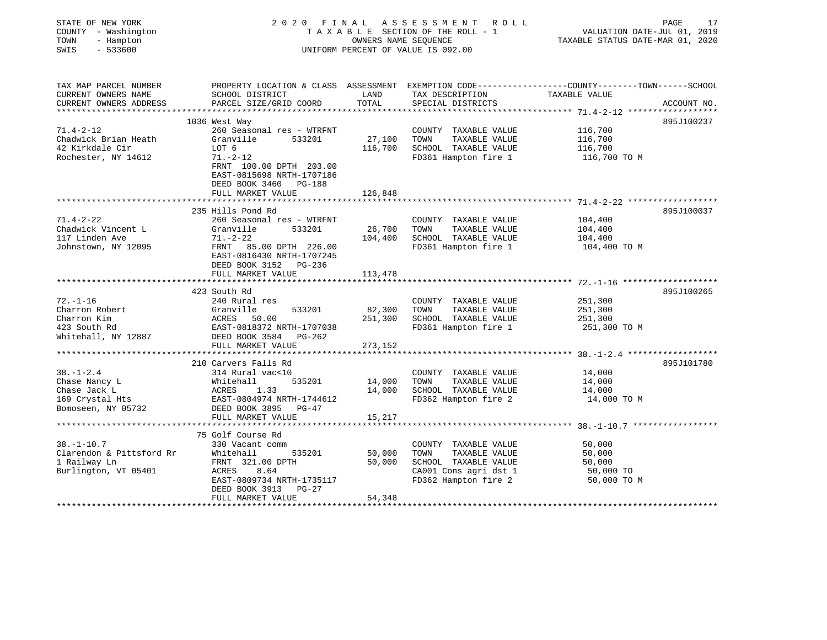| STATE OF NEW YORK<br>COUNTY - Washington<br>TOWN<br>- Hampton<br>SWIS<br>$-533600$ | 2020 FINAL<br>TAXABLE SECTION OF THE ROLL - 1<br>UNIFORM PERCENT OF VALUE IS 092.00 | 17<br>PAGE<br>VALUATION DATE-JUL 01, 2019<br>TAXABLE STATUS DATE-MAR 01, 2020 |                                               |                                                                                                                                 |
|------------------------------------------------------------------------------------|-------------------------------------------------------------------------------------|-------------------------------------------------------------------------------|-----------------------------------------------|---------------------------------------------------------------------------------------------------------------------------------|
| TAX MAP PARCEL NUMBER<br>CURRENT OWNERS NAME<br>CURRENT OWNERS ADDRESS             | SCHOOL DISTRICT<br>PARCEL SIZE/GRID COORD                                           | LAND<br>TOTAL                                                                 | TAX DESCRIPTION<br>SPECIAL DISTRICTS          | PROPERTY LOCATION & CLASS ASSESSMENT EXEMPTION CODE----------------COUNTY-------TOWN-----SCHOOL<br>TAXABLE VALUE<br>ACCOUNT NO. |
|                                                                                    |                                                                                     |                                                                               |                                               |                                                                                                                                 |
|                                                                                    | 1036 West Way                                                                       |                                                                               |                                               | 895J100237                                                                                                                      |
| $71.4 - 2 - 12$<br>Chadwick Brian Heath                                            | 260 Seasonal res - WTRFNT<br>Granville<br>533201                                    | 27,100                                                                        | COUNTY TAXABLE VALUE<br>TOWN<br>TAXABLE VALUE | 116,700<br>116,700                                                                                                              |
| 42 Kirkdale Cir<br>Rochester, NY 14612                                             | LOT 6<br>$71. - 2 - 12$                                                             | 116,700                                                                       | SCHOOL TAXABLE VALUE<br>FD361 Hampton fire 1  | 116,700<br>116,700 TO M                                                                                                         |
|                                                                                    | FRNT 100.00 DPTH 203.00<br>EAST-0815698 NRTH-1707186<br>DEED BOOK 3460 PG-188       |                                                                               |                                               |                                                                                                                                 |
|                                                                                    | FULL MARKET VALUE                                                                   | 126,848                                                                       |                                               |                                                                                                                                 |
|                                                                                    | 235 Hills Pond Rd                                                                   |                                                                               |                                               | 895J100037                                                                                                                      |
| $71.4 - 2 - 22$                                                                    | 260 Seasonal res - WTRFNT                                                           |                                                                               | COUNTY TAXABLE VALUE                          | 104,400                                                                                                                         |
| Chadwick Vincent L                                                                 | Granville<br>533201                                                                 | 26,700                                                                        | TOWN<br>TAXABLE VALUE                         | 104,400                                                                                                                         |
| 117 Linden Ave                                                                     | $71. - 2 - 22$                                                                      | 104,400                                                                       | SCHOOL TAXABLE VALUE                          | 104,400                                                                                                                         |
| Johnstown, NY 12095                                                                | FRNT 85.00 DPTH 226.00<br>EAST-0816430 NRTH-1707245<br>DEED BOOK 3152 PG-236        |                                                                               | FD361 Hampton fire 1                          | 104,400 TO M                                                                                                                    |
|                                                                                    | FULL MARKET VALUE                                                                   | 113,478                                                                       |                                               |                                                                                                                                 |
|                                                                                    |                                                                                     |                                                                               |                                               | ******************* 72.-1-16 ********************                                                                               |
|                                                                                    | 423 South Rd                                                                        |                                                                               |                                               | 895J100265                                                                                                                      |
| $72. - 1 - 16$<br>Charron Robert                                                   | 240 Rural res<br>533201<br>Granville                                                | 82,300                                                                        | COUNTY TAXABLE VALUE<br>TOWN<br>TAXABLE VALUE | 251,300                                                                                                                         |
| Charron Kim                                                                        | ACRES<br>50.00                                                                      | 251,300                                                                       | SCHOOL TAXABLE VALUE                          | 251,300<br>251,300                                                                                                              |
| 423 South Rd                                                                       | EAST-0818372 NRTH-1707038                                                           |                                                                               | FD361 Hampton fire 1                          | 251,300 TO M                                                                                                                    |
| Whitehall, NY 12887                                                                | DEED BOOK 3584 PG-262                                                               |                                                                               |                                               |                                                                                                                                 |
|                                                                                    | FULL MARKET VALUE                                                                   | 273,152                                                                       |                                               |                                                                                                                                 |
|                                                                                    | **************************                                                          |                                                                               |                                               |                                                                                                                                 |
| $38. - 1 - 2.4$                                                                    | 210 Carvers Falls Rd<br>314 Rural vac<10                                            |                                                                               | COUNTY TAXABLE VALUE                          | 895J101780<br>14,000                                                                                                            |
| Chase Nancy L                                                                      | Whitehall<br>535201                                                                 | 14,000                                                                        | TAXABLE VALUE<br>TOWN                         | 14,000                                                                                                                          |
| Chase Jack L                                                                       | ACRES<br>1.33                                                                       | 14,000                                                                        | SCHOOL TAXABLE VALUE                          | 14,000                                                                                                                          |
| 169 Crystal Hts                                                                    | EAST-0804974 NRTH-1744612                                                           |                                                                               | FD362 Hampton fire 2                          | 14,000 TO M                                                                                                                     |
| Bomoseen, NY 05732                                                                 | DEED BOOK 3895<br>$PG-47$                                                           |                                                                               |                                               |                                                                                                                                 |
|                                                                                    | FULL MARKET VALUE                                                                   | 15,217                                                                        |                                               |                                                                                                                                 |
|                                                                                    |                                                                                     |                                                                               |                                               |                                                                                                                                 |
|                                                                                    | 75 Golf Course Rd                                                                   |                                                                               |                                               |                                                                                                                                 |
| $38. - 1 - 10.7$                                                                   | 330 Vacant comm                                                                     |                                                                               | COUNTY TAXABLE VALUE                          | 50,000                                                                                                                          |
| Clarendon & Pittsford Rr<br>1 Railway Ln                                           | Whitehall<br>535201<br>FRNT 321.00 DPTH                                             | 50,000<br>50,000                                                              | TOWN<br>TAXABLE VALUE<br>SCHOOL TAXABLE VALUE | 50,000<br>50,000                                                                                                                |
| Burlington, VT 05401                                                               | 8.64<br>ACRES                                                                       |                                                                               | CA001 Cons agri dst 1                         | 50,000 TO                                                                                                                       |
|                                                                                    | EAST-0809734 NRTH-1735117                                                           |                                                                               | FD362 Hampton fire 2                          | 50,000 TO M                                                                                                                     |
|                                                                                    | DEED BOOK 3913 PG-27                                                                |                                                                               |                                               |                                                                                                                                 |
|                                                                                    | FULL MARKET VALUE                                                                   | 54,348                                                                        |                                               |                                                                                                                                 |
|                                                                                    |                                                                                     |                                                                               |                                               |                                                                                                                                 |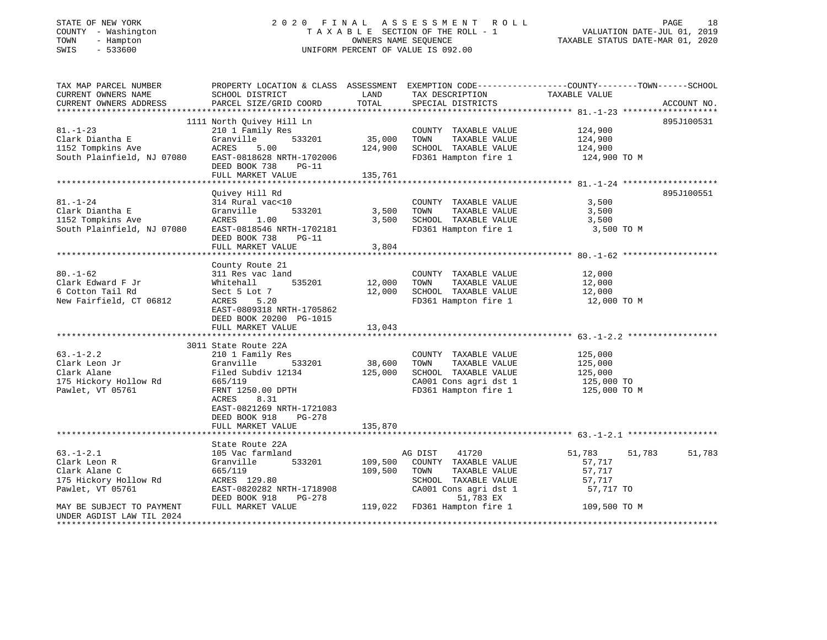## STATE OF NEW YORK 2 0 2 0 F I N A L A S S E S S M E N T R O L L PAGE 18 COUNTY - Washington T A X A B L E SECTION OF THE ROLL - 1 VALUATION DATE-JUL 01, 2019 TOWN - Hampton OWNERS NAME SEQUENCE TAXABLE STATUS DATE-MAR 01, 2020 SWIS - 533600 UNIFORM PERCENT OF VALUE IS 092.00

| TAX MAP PARCEL NUMBER                         |                                                                 |               |                                      | PROPERTY LOCATION & CLASS ASSESSMENT EXEMPTION CODE----------------COUNTY-------TOWN------SCHOOL |             |
|-----------------------------------------------|-----------------------------------------------------------------|---------------|--------------------------------------|--------------------------------------------------------------------------------------------------|-------------|
| CURRENT OWNERS NAME<br>CURRENT OWNERS ADDRESS | SCHOOL DISTRICT<br>PARCEL SIZE/GRID COORD                       | LAND<br>TOTAL | TAX DESCRIPTION<br>SPECIAL DISTRICTS | TAXABLE VALUE                                                                                    | ACCOUNT NO. |
|                                               |                                                                 |               |                                      |                                                                                                  |             |
|                                               | 1111 North Ouivey Hill Ln                                       |               |                                      |                                                                                                  | 895J100531  |
| $81. - 1 - 23$                                | 210 1 Family Res                                                |               | COUNTY TAXABLE VALUE                 | 124,900                                                                                          |             |
| Clark Diantha E                               | Granville<br>533201                                             | 35,000        | TOWN<br>TAXABLE VALUE                | 124,900                                                                                          |             |
| 1152 Tompkins Ave                             | ACRES<br>5.00                                                   | 124,900       | SCHOOL TAXABLE VALUE                 | 124,900                                                                                          |             |
| South Plainfield, NJ 07080                    | EAST-0818628 NRTH-1702006<br>DEED BOOK 738<br>$PG-11$           |               | FD361 Hampton fire 1                 | 124,900 TO M                                                                                     |             |
|                                               | FULL MARKET VALUE                                               | 135,761       |                                      |                                                                                                  |             |
|                                               |                                                                 |               |                                      |                                                                                                  |             |
|                                               | Quivey Hill Rd                                                  |               |                                      |                                                                                                  | 895J100551  |
| $81. - 1 - 24$                                | 314 Rural vac<10                                                |               | COUNTY TAXABLE VALUE                 | 3,500                                                                                            |             |
| Clark Diantha E                               | 533201<br>Granville                                             | 3,500         | TOWN<br>TAXABLE VALUE                | 3,500                                                                                            |             |
| 1152 Tompkins Ave                             | ACRES<br>1.00                                                   | 3,500         | SCHOOL TAXABLE VALUE                 | 3,500                                                                                            |             |
| South Plainfield, NJ 07080                    | EAST-0818546 NRTH-1702181                                       |               | FD361 Hampton fire 1                 | 3,500 TO M                                                                                       |             |
|                                               | DEED BOOK 738<br>$PG-11$                                        |               |                                      |                                                                                                  |             |
|                                               | FULL MARKET VALUE                                               | 3,804         |                                      |                                                                                                  |             |
|                                               | County Route 21                                                 |               |                                      |                                                                                                  |             |
| $80. - 1 - 62$                                | 311 Res vac land                                                |               | COUNTY TAXABLE VALUE                 | 12,000                                                                                           |             |
| Clark Edward F Jr                             | 535201<br>Whitehall                                             | 12,000        | TOWN<br>TAXABLE VALUE                | 12,000                                                                                           |             |
| 6 Cotton Tail Rd                              | Sect 5 Lot 7                                                    | 12,000        | SCHOOL TAXABLE VALUE                 | 12,000                                                                                           |             |
| New Fairfield, CT 06812                       | ACRES 5.20                                                      |               | FD361 Hampton fire 1                 | 12,000 TO M                                                                                      |             |
|                                               | EAST-0809318 NRTH-1705862                                       |               |                                      |                                                                                                  |             |
|                                               | DEED BOOK 20200 PG-1015                                         |               |                                      |                                                                                                  |             |
|                                               | FULL MARKET VALUE                                               | 13,043        |                                      |                                                                                                  |             |
|                                               |                                                                 |               |                                      |                                                                                                  |             |
|                                               | 3011 State Route 22A                                            |               |                                      |                                                                                                  |             |
| $63. - 1 - 2.2$                               | 210 1 Family Res                                                |               | COUNTY TAXABLE VALUE                 | 125,000                                                                                          |             |
| Clark Leon Jr                                 | 533201<br>Granville                                             | 38,600        | TOWN<br>TAXABLE VALUE                | 125,000                                                                                          |             |
| Clark Alane                                   | Filed Subdiv 12134                                              | 125,000       | SCHOOL TAXABLE VALUE                 | 125,000                                                                                          |             |
| 175 Hickory Hollow Rd                         | 665/119                                                         |               | CA001 Cons agri dst 1                | 125,000 TO                                                                                       |             |
| Pawlet, VT 05761                              | FRNT 1250.00 DPTH<br>8.31<br>ACRES<br>EAST-0821269 NRTH-1721083 |               | FD361 Hampton fire 1                 | 125,000 TO M                                                                                     |             |
|                                               | DEED BOOK 918<br>PG-278                                         |               |                                      |                                                                                                  |             |
|                                               | FULL MARKET VALUE                                               | 135,870       |                                      |                                                                                                  |             |
|                                               |                                                                 |               |                                      |                                                                                                  |             |
|                                               | State Route 22A                                                 |               |                                      |                                                                                                  |             |
| $63. - 1 - 2.1$                               | 105 Vac farmland                                                |               | AG DIST<br>41720                     | 51,783<br>51,783                                                                                 | 51,783      |
| Clark Leon R                                  | 533201<br>Granville                                             | 109,500       | COUNTY TAXABLE VALUE                 | 57,717                                                                                           |             |
| Clark Alane C                                 | 665/119                                                         | 109,500       | TOWN<br>TAXABLE VALUE                | 57,717                                                                                           |             |
| 175 Hickory Hollow Rd                         | ACRES 129.80                                                    |               | SCHOOL TAXABLE VALUE                 | 57,717                                                                                           |             |
| Pawlet, VT 05761                              | EAST-0820282 NRTH-1718908                                       |               | CA001 Cons agri dst 1                | 57,717 TO                                                                                        |             |
|                                               | DEED BOOK 918<br>PG-278                                         |               | 51,783 EX                            |                                                                                                  |             |
| MAY BE SUBJECT TO PAYMENT                     | FULL MARKET VALUE                                               | 119,022       | FD361 Hampton fire 1                 | 109,500 TO M                                                                                     |             |
| UNDER AGDIST LAW TIL 2024                     |                                                                 |               |                                      |                                                                                                  |             |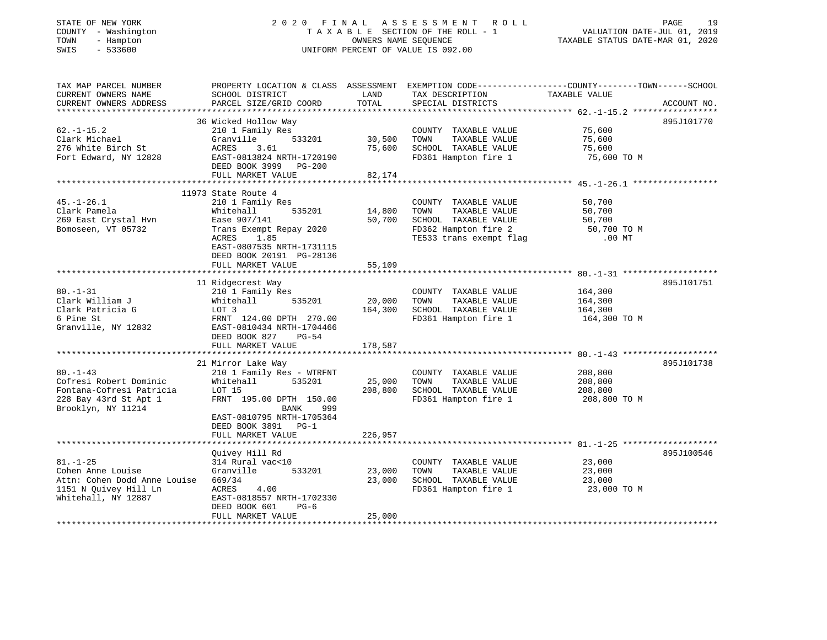## STATE OF NEW YORK 2 0 2 0 F I N A L A S S E S S M E N T R O L L PAGE 19 COUNTY - Washington T A X A B L E SECTION OF THE ROLL - 1 VALUATION DATE-JUL 01, 2019 TOWN - Hampton OWNERS NAME SEQUENCE TAXABLE STATUS DATE-MAR 01, 2020 SWIS - 533600 UNIFORM PERCENT OF VALUE IS 092.00

| TAX MAP PARCEL NUMBER<br>CURRENT OWNERS NAME<br>CURRENT OWNERS ADDRESS                                              | PROPERTY LOCATION & CLASS ASSESSMENT<br>SCHOOL DISTRICT<br>PARCEL SIZE/GRID COORD                                                                                                   | LAND<br>TOTAL                | EXEMPTION CODE----------------COUNTY-------TOWN------SCHOOL<br>TAX DESCRIPTION<br>SPECIAL DISTRICTS                      | TAXABLE VALUE                                         | ACCOUNT NO. |
|---------------------------------------------------------------------------------------------------------------------|-------------------------------------------------------------------------------------------------------------------------------------------------------------------------------------|------------------------------|--------------------------------------------------------------------------------------------------------------------------|-------------------------------------------------------|-------------|
| **************************                                                                                          | 36 Wicked Hollow Way                                                                                                                                                                |                              |                                                                                                                          |                                                       | 895J101770  |
| $62. - 1 - 15.2$<br>Clark Michael<br>276 White Birch St<br>Fort Edward, NY 12828                                    | 210 1 Family Res<br>533201<br>Granville<br>ACRES<br>3.61<br>EAST-0813824 NRTH-1720190<br>DEED BOOK 3999 PG-200<br>FULL MARKET VALUE                                                 | 30,500<br>75,600<br>82,174   | COUNTY TAXABLE VALUE<br>TOWN<br>TAXABLE VALUE<br>SCHOOL TAXABLE VALUE<br>FD361 Hampton fire 1                            | 75,600<br>75,600<br>75,600<br>75,600 TO M             |             |
|                                                                                                                     |                                                                                                                                                                                     |                              |                                                                                                                          |                                                       |             |
| $45. - 1 - 26.1$<br>Clark Pamela<br>269 East Crystal Hvn<br>Bomoseen, VT 05732                                      | 11973 State Route 4<br>210 1 Family Res<br>535201<br>Whitehall<br>Ease 907/141<br>Trans Exempt Repay 2020<br>ACRES<br>1.85<br>EAST-0807535 NRTH-1731115<br>DEED BOOK 20191 PG-28136 | 14,800<br>50,700             | COUNTY TAXABLE VALUE<br>TOWN<br>TAXABLE VALUE<br>SCHOOL TAXABLE VALUE<br>FD362 Hampton fire 2<br>TE533 trans exempt flag | 50,700<br>50,700<br>50,700<br>50,700 TO M<br>$.00$ MT |             |
|                                                                                                                     | FULL MARKET VALUE                                                                                                                                                                   | 55,109                       |                                                                                                                          |                                                       |             |
| $80. - 1 - 31$<br>Clark William J<br>Clark Patricia G<br>6 Pine St<br>Granville, NY 12832                           | 11 Ridgecrest Way<br>210 1 Family Res<br>Whitehall<br>535201<br>LOT 3<br>FRNT 124.00 DPTH 270.00<br>EAST-0810434 NRTH-1704466<br>DEED BOOK 827<br>PG-54<br>FULL MARKET VALUE        | 20,000<br>164,300<br>178,587 | COUNTY TAXABLE VALUE<br>TOWN<br>TAXABLE VALUE<br>SCHOOL TAXABLE VALUE<br>FD361 Hampton fire 1                            | 164,300<br>164,300<br>164,300<br>164,300 TO M         | 895J101751  |
|                                                                                                                     | 21 Mirror Lake Way                                                                                                                                                                  |                              |                                                                                                                          |                                                       | 895J101738  |
| $80. - 1 - 43$<br>Cofresi Robert Dominic<br>Fontana-Cofresi Patricia<br>228 Bay 43rd St Apt 1<br>Brooklyn, NY 11214 | 210 1 Family Res - WTRFNT<br>535201<br>Whitehall<br>LOT 15<br>FRNT 195.00 DPTH 150.00<br><b>BANK</b><br>999<br>EAST-0810795 NRTH-1705364<br>DEED BOOK 3891 PG-1                     | 25,000<br>208,800            | COUNTY TAXABLE VALUE<br>TAXABLE VALUE<br>TOWN<br>SCHOOL TAXABLE VALUE<br>FD361 Hampton fire 1                            | 208,800<br>208,800<br>208,800<br>208,800 TO M         |             |
|                                                                                                                     | FULL MARKET VALUE                                                                                                                                                                   | 226,957<br>*************     |                                                                                                                          |                                                       |             |
|                                                                                                                     | Quivey Hill Rd                                                                                                                                                                      |                              |                                                                                                                          |                                                       | 895J100546  |
| $81. - 1 - 25$<br>Cohen Anne Louise<br>Attn: Cohen Dodd Anne Louise<br>1151 N Quivey Hill Ln<br>Whitehall, NY 12887 | 314 Rural vac<10<br>Granville<br>533201<br>669/34<br>ACRES<br>4.00<br>EAST-0818557 NRTH-1702330<br>DEED BOOK 601<br>$PG-6$                                                          | 23,000<br>23,000             | COUNTY TAXABLE VALUE<br>TAXABLE VALUE<br>TOWN<br>SCHOOL TAXABLE VALUE<br>FD361 Hampton fire 1                            | 23,000<br>23,000<br>23,000<br>23,000 TO M             |             |
|                                                                                                                     | FULL MARKET VALUE                                                                                                                                                                   | 25,000                       |                                                                                                                          |                                                       |             |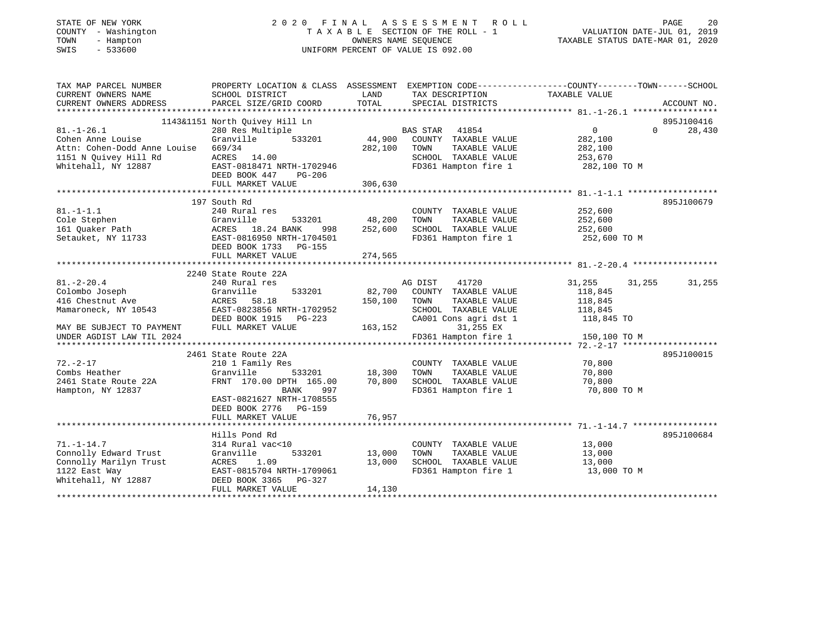| STATE OF NEW YORK<br>COUNTY - Washington<br>TOWN<br>- Hampton<br>SWIS<br>$-533600$ | 2020 FINAL                                         | OWNERS NAME SEQUENCE    | A S S E S S M E N T<br>R O L L<br>TAXABLE SECTION OF THE ROLL - 1<br>UNIFORM PERCENT OF VALUE IS 092.00 | PAGE<br>20<br>VALUATION DATE-JUL 01, 2019<br>TAXABLE STATUS DATE-MAR 01, 2020                                    |
|------------------------------------------------------------------------------------|----------------------------------------------------|-------------------------|---------------------------------------------------------------------------------------------------------|------------------------------------------------------------------------------------------------------------------|
| TAX MAP PARCEL NUMBER<br>CURRENT OWNERS NAME                                       | SCHOOL DISTRICT                                    | LAND                    | TAX DESCRIPTION                                                                                         | PROPERTY LOCATION & CLASS ASSESSMENT EXEMPTION CODE----------------COUNTY-------TOWN-----SCHOOL<br>TAXABLE VALUE |
| CURRENT OWNERS ADDRESS                                                             | PARCEL SIZE/GRID COORD                             | TOTAL                   | SPECIAL DISTRICTS                                                                                       | ACCOUNT NO.                                                                                                      |
|                                                                                    |                                                    |                         |                                                                                                         |                                                                                                                  |
| $81. - 1 - 26.1$                                                                   | 1143&1151 North Quivey Hill Ln<br>280 Res Multiple |                         | <b>BAS STAR</b><br>41854                                                                                | 895J100416<br>$\mathbf{0}$<br>$\Omega$<br>28,430                                                                 |
| Cohen Anne Louise                                                                  | Granville<br>533201                                | 44,900                  | COUNTY TAXABLE VALUE                                                                                    | 282,100                                                                                                          |
| Attn: Cohen-Dodd Anne Louise                                                       | 669/34                                             | 282,100                 | TOWN<br>TAXABLE VALUE                                                                                   | 282,100                                                                                                          |
| 1151 N Quivey Hill Rd                                                              | ACRES<br>14.00                                     |                         | SCHOOL TAXABLE VALUE                                                                                    | 253,670                                                                                                          |
| Whitehall, NY 12887                                                                | EAST-0818471 NRTH-1702946                          |                         | FD361 Hampton fire 1                                                                                    | 282,100 TO M                                                                                                     |
|                                                                                    | DEED BOOK 447<br>$PG-206$                          |                         |                                                                                                         |                                                                                                                  |
|                                                                                    | FULL MARKET VALUE                                  | 306,630<br>************ |                                                                                                         | *********************** 81. -1-1.1 *******************                                                           |
|                                                                                    | 197 South Rd                                       |                         |                                                                                                         | 895J100679                                                                                                       |
| $81. - 1 - 1.1$                                                                    | 240 Rural res                                      |                         | COUNTY TAXABLE VALUE                                                                                    | 252,600                                                                                                          |
| Cole Stephen                                                                       | Granville<br>533201                                | 48,200                  | TOWN<br>TAXABLE VALUE                                                                                   | 252,600                                                                                                          |
| 161 Quaker Path                                                                    | ACRES 18.24 BANK<br>998                            | 252,600                 | SCHOOL TAXABLE VALUE                                                                                    | 252,600                                                                                                          |
| Setauket, NY 11733                                                                 | EAST-0816950 NRTH-1704501                          |                         | FD361 Hampton fire 1                                                                                    | 252,600 TO M                                                                                                     |
|                                                                                    | DEED BOOK 1733 PG-155                              |                         |                                                                                                         |                                                                                                                  |
|                                                                                    | FULL MARKET VALUE                                  | 274,565                 |                                                                                                         |                                                                                                                  |
|                                                                                    | 2240 State Route 22A                               |                         |                                                                                                         |                                                                                                                  |
| $81. - 2 - 20.4$                                                                   | 240 Rural res                                      |                         | AG DIST<br>41720                                                                                        | 31,255<br>31,255<br>31,255                                                                                       |
| Colombo Joseph                                                                     | Granville<br>533201                                | 82,700                  | COUNTY TAXABLE VALUE                                                                                    | 118,845                                                                                                          |
| 416 Chestnut Ave                                                                   | ACRES<br>58.18                                     | 150,100                 | TOWN<br>TAXABLE VALUE                                                                                   | 118,845                                                                                                          |
| Mamaroneck, NY 10543                                                               | EAST-0823856 NRTH-1702952                          |                         | SCHOOL TAXABLE VALUE                                                                                    | 118,845                                                                                                          |
|                                                                                    | DEED BOOK 1915 PG-223                              |                         | CA001 Cons agri dst 1                                                                                   | 118,845 TO                                                                                                       |
| MAY BE SUBJECT TO PAYMENT                                                          | FULL MARKET VALUE                                  | 163,152                 | 31,255 EX                                                                                               |                                                                                                                  |
| UNDER AGDIST LAW TIL 2024                                                          |                                                    |                         | FD361 Hampton fire 1                                                                                    | 150,100 TO M                                                                                                     |
|                                                                                    | 2461 State Route 22A                               |                         |                                                                                                         | 895J100015                                                                                                       |
| $72. - 2 - 17$                                                                     | 210 1 Family Res                                   |                         | COUNTY TAXABLE VALUE                                                                                    | 70,800                                                                                                           |
| Combs Heather                                                                      | Granville<br>533201                                | 18,300                  | TAXABLE VALUE<br>TOWN                                                                                   | 70,800                                                                                                           |
| 2461 State Route 22A                                                               | FRNT 170.00 DPTH 165.00                            | 70,800                  | SCHOOL TAXABLE VALUE                                                                                    | 70,800                                                                                                           |
| Hampton, NY 12837                                                                  | BANK<br>997                                        |                         | FD361 Hampton fire 1                                                                                    | 70,800 TO M                                                                                                      |
|                                                                                    | EAST-0821627 NRTH-1708555                          |                         |                                                                                                         |                                                                                                                  |
|                                                                                    | DEED BOOK 2776 PG-159                              |                         |                                                                                                         |                                                                                                                  |
|                                                                                    | FULL MARKET VALUE                                  | 76,957                  |                                                                                                         |                                                                                                                  |
|                                                                                    | Hills Pond Rd                                      |                         |                                                                                                         | 895J100684                                                                                                       |
| $71. - 1 - 14.7$                                                                   | 314 Rural vac<10                                   |                         | COUNTY TAXABLE VALUE                                                                                    | 13,000                                                                                                           |
| Connolly Edward Trust                                                              | Granville<br>533201                                | 13,000                  | TOWN<br>TAXABLE VALUE                                                                                   | 13,000                                                                                                           |
| Connolly Marilyn Trust                                                             | ACRES<br>1.09                                      | 13,000                  | SCHOOL TAXABLE VALUE                                                                                    | 13,000                                                                                                           |
|                                                                                    |                                                    |                         |                                                                                                         |                                                                                                                  |
| 1122 East Way                                                                      | EAST-0815704 NRTH-1709061                          |                         | FD361 Hampton fire 1                                                                                    | 13,000 TO M                                                                                                      |
| Whitehall, NY 12887                                                                | DEED BOOK 3365<br>PG-327<br>FULL MARKET VALUE      | 14,130                  |                                                                                                         |                                                                                                                  |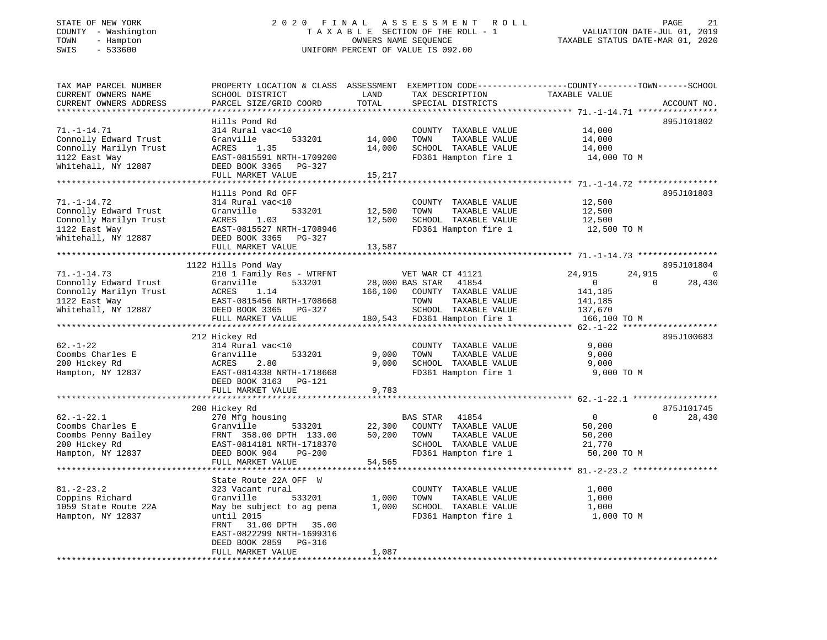## STATE OF NEW YORK 2 0 2 0 F I N A L A S S E S S M E N T R O L L PAGE 21 COUNTY - Washington T A X A B L E SECTION OF THE ROLL - 1 VALUATION DATE-JUL 01, 2019 TOWN - Hampton OWNERS NAME SEQUENCE TAXABLE STATUS DATE-MAR 01, 2020 SWIS - 533600 UNIFORM PERCENT OF VALUE IS 092.00

| TAX MAP PARCEL NUMBER                                    | PROPERTY LOCATION & CLASS ASSESSMENT EXEMPTION CODE----------------COUNTY-------TOWN-----SCHOOL |         |                              |                |                          |
|----------------------------------------------------------|-------------------------------------------------------------------------------------------------|---------|------------------------------|----------------|--------------------------|
| CURRENT OWNERS NAME                                      | SCHOOL DISTRICT                                                                                 | LAND    | TAX DESCRIPTION              | TAXABLE VALUE  |                          |
| CURRENT OWNERS ADDRESS<br>****************************** | PARCEL SIZE/GRID COORD                                                                          | TOTAL   | SPECIAL DISTRICTS            |                | ACCOUNT NO.              |
|                                                          |                                                                                                 |         |                              |                |                          |
|                                                          | Hills Pond Rd                                                                                   |         |                              |                | 895J101802               |
| $71. - 1 - 14.71$                                        | 314 Rural vac<10                                                                                |         | COUNTY TAXABLE VALUE         | 14,000         |                          |
| Connolly Edward Trust                                    | Granville<br>533201                                                                             | 14,000  | TOWN<br>TAXABLE VALUE        | 14,000         |                          |
| Connolly Marilyn Trust                                   | 1.35<br>ACRES                                                                                   | 14,000  | SCHOOL TAXABLE VALUE         | 14,000         |                          |
| 1122 East Way                                            | EAST-0815591 NRTH-1709200                                                                       |         | FD361 Hampton fire 1         | 14,000 TO M    |                          |
| Whitehall, NY 12887                                      | DEED BOOK 3365 PG-327                                                                           |         |                              |                |                          |
|                                                          | FULL MARKET VALUE                                                                               | 15,217  |                              |                |                          |
|                                                          |                                                                                                 |         |                              |                |                          |
|                                                          | Hills Pond Rd OFF                                                                               |         |                              |                | 895J101803               |
| $71. - 1 - 14.72$                                        | 314 Rural vac<10                                                                                |         | COUNTY TAXABLE VALUE         | 12,500         |                          |
| Connolly Edward Trust                                    | 533201<br>Granville                                                                             | 12,500  | TAXABLE VALUE<br>TOWN        | 12,500         |                          |
| Connolly Marilyn Trust                                   | ACRES<br>1.03                                                                                   | 12,500  | SCHOOL TAXABLE VALUE         | 12,500         |                          |
| 1122 East Way                                            | EAST-0815527 NRTH-1708946                                                                       |         | FD361 Hampton fire 1         | 12,500 TO M    |                          |
| Whitehall, NY 12887                                      | DEED BOOK 3365 PG-327                                                                           |         |                              |                |                          |
|                                                          | FULL MARKET VALUE                                                                               | 13,587  |                              |                |                          |
|                                                          |                                                                                                 |         |                              |                |                          |
|                                                          | 1122 Hills Pond Way                                                                             |         |                              |                | 895J101804               |
| $71. - 1 - 14.73$                                        | 210 1 Family Res - WTRFNT                                                                       |         | VET WAR CT 41121             | 24,915         | 24,915<br>$\overline{0}$ |
| Connolly Edward Trust                                    | Granville<br>533201                                                                             |         | 41854<br>28,000 BAS STAR     | $\overline{0}$ | $\Omega$<br>28,430       |
| Connolly Marilyn Trust                                   | ACRES<br>1.14                                                                                   | 166,100 | COUNTY TAXABLE VALUE         | 141,185        |                          |
| 1122 East Way                                            | EAST-0815456 NRTH-1708668                                                                       |         | TOWN<br>TAXABLE VALUE        | 141,185        |                          |
| Whitehall, NY 12887                                      | DEED BOOK 3365 PG-327                                                                           |         | SCHOOL TAXABLE VALUE         | 137,670        |                          |
|                                                          | FULL MARKET VALUE                                                                               |         | 180,543 FD361 Hampton fire 1 | 166,100 TO M   |                          |
|                                                          |                                                                                                 |         |                              |                |                          |
|                                                          | 212 Hickey Rd                                                                                   |         |                              |                | 895J100683               |
| $62. - 1 - 22$                                           | 314 Rural vac<10                                                                                |         | COUNTY TAXABLE VALUE         | 9,000          |                          |
| Coombs Charles E                                         | Granville<br>533201                                                                             | 9,000   | TOWN<br>TAXABLE VALUE        | 9,000          |                          |
| 200 Hickey Rd                                            | ACRES<br>2.80                                                                                   | 9,000   | SCHOOL TAXABLE VALUE         | 9,000          |                          |
| Hampton, NY 12837                                        | EAST-0814338 NRTH-1718668                                                                       |         | FD361 Hampton fire 1         | 9,000 TO M     |                          |
|                                                          | DEED BOOK 3163 PG-121                                                                           |         |                              |                |                          |
|                                                          | FULL MARKET VALUE                                                                               | 9,783   |                              |                |                          |
|                                                          |                                                                                                 |         |                              |                |                          |
|                                                          | 200 Hickey Rd                                                                                   |         |                              |                | 875J101745               |
| $62. - 1 - 22.1$                                         | 270 Mfg housing                                                                                 |         | BAS STAR<br>41854            | $\overline{0}$ | $\Omega$<br>28,430       |
| Coombs Charles E                                         | Granville<br>533201                                                                             | 22,300  | COUNTY TAXABLE VALUE         | 50,200         |                          |
| Coombs Penny Bailey                                      | FRNT 358.00 DPTH 133.00                                                                         | 50,200  | TOWN<br>TAXABLE VALUE        | 50,200         |                          |
| 200 Hickey Rd                                            | EAST-0814181 NRTH-1718370                                                                       |         | SCHOOL TAXABLE VALUE         | 21,770         |                          |
| Hampton, NY 12837                                        | DEED BOOK 904<br>$PG-200$                                                                       |         | FD361 Hampton fire 1         | 50,200 TO M    |                          |
|                                                          | FULL MARKET VALUE                                                                               | 54,565  |                              |                |                          |
|                                                          |                                                                                                 |         |                              |                |                          |
|                                                          | State Route 22A OFF W                                                                           |         |                              |                |                          |
| $81. - 2 - 23.2$                                         | 323 Vacant rural                                                                                |         | COUNTY TAXABLE VALUE         | 1,000          |                          |
| Coppins Richard                                          | Granville<br>533201                                                                             | 1,000   | TAXABLE VALUE<br>TOWN        | 1,000          |                          |
| 1059 State Route 22A                                     | May be subject to ag pena                                                                       | 1,000   | SCHOOL TAXABLE VALUE         | 1,000          |                          |
| Hampton, NY 12837                                        | until 2015                                                                                      |         | FD361 Hampton fire 1         | 1,000 TO M     |                          |
|                                                          | 31.00 DPTH 35.00<br>FRNT                                                                        |         |                              |                |                          |
|                                                          | EAST-0822299 NRTH-1699316                                                                       |         |                              |                |                          |
|                                                          | DEED BOOK 2859 PG-316                                                                           |         |                              |                |                          |
|                                                          | FULL MARKET VALUE                                                                               | 1,087   |                              |                |                          |
|                                                          |                                                                                                 |         |                              |                |                          |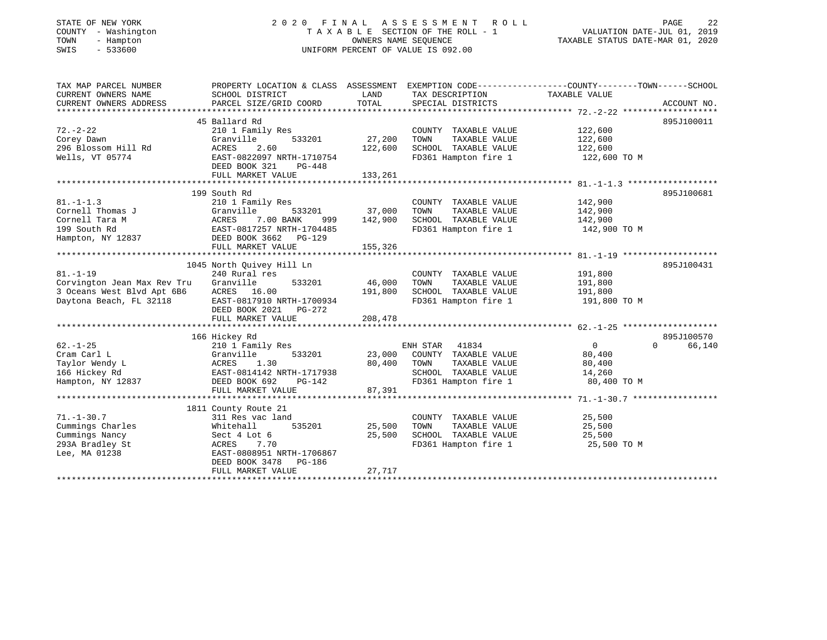## STATE OF NEW YORK 2 0 2 0 F I N A L A S S E S S M E N T R O L L PAGE 22 COUNTY - Washington T A X A B L E SECTION OF THE ROLL - 1 VALUATION DATE-JUL 01, 2019 TOWN - Hampton OWNERS NAME SEQUENCE TAXABLE STATUS DATE-MAR 01, 2020 SWIS - 533600 UNIFORM PERCENT OF VALUE IS 092.00

| TAX MAP PARCEL NUMBER       | PROPERTY LOCATION & CLASS ASSESSMENT    |         | EXEMPTION CODE-----------------COUNTY-------TOWN------SCHOOL |                |                    |
|-----------------------------|-----------------------------------------|---------|--------------------------------------------------------------|----------------|--------------------|
| CURRENT OWNERS NAME         | SCHOOL DISTRICT                         | LAND    | TAX DESCRIPTION                                              | TAXABLE VALUE  |                    |
| CURRENT OWNERS ADDRESS      | PARCEL SIZE/GRID COORD                  | TOTAL   | SPECIAL DISTRICTS                                            |                | ACCOUNT NO.        |
|                             |                                         |         |                                                              |                |                    |
|                             | 45 Ballard Rd                           |         |                                                              |                | 895J100011         |
| $72. - 2 - 22$              | 210 1 Family Res                        |         | COUNTY TAXABLE VALUE                                         | 122,600        |                    |
| Corey Dawn                  | Granville<br>533201                     | 27,200  | TAXABLE VALUE<br>TOWN                                        | 122,600        |                    |
| 296 Blossom Hill Rd         | 2.60<br>ACRES                           | 122,600 | SCHOOL TAXABLE VALUE                                         | 122,600        |                    |
| Wells, VT 05774             | EAST-0822097 NRTH-1710754               |         | FD361 Hampton fire 1                                         | 122,600 TO M   |                    |
|                             | DEED BOOK 321<br>PG-448                 |         |                                                              |                |                    |
|                             | FULL MARKET VALUE                       | 133,261 |                                                              |                |                    |
|                             |                                         |         |                                                              |                |                    |
|                             | 199 South Rd                            |         |                                                              |                | 895J100681         |
| $81. - 1 - 1.3$             | 210 1 Family Res                        |         | COUNTY TAXABLE VALUE                                         | 142,900        |                    |
| Cornell Thomas J            | Granville<br>533201                     | 37,000  | TOWN<br>TAXABLE VALUE                                        | 142,900        |                    |
| Cornell Tara M              | 7.00 BANK<br>ACRES<br>999               | 142,900 | SCHOOL TAXABLE VALUE                                         | 142,900        |                    |
| 199 South Rd                | EAST-0817257 NRTH-1704485               |         | FD361 Hampton fire 1                                         | 142,900 TO M   |                    |
| Hampton, NY 12837           | DEED BOOK 3662 PG-129                   |         |                                                              |                |                    |
|                             | FULL MARKET VALUE                       | 155,326 |                                                              |                |                    |
|                             |                                         |         |                                                              |                |                    |
|                             | 1045 North Ouivey Hill Ln               |         |                                                              |                | 895J100431         |
| $81. - 1 - 19$              | 240 Rural res                           |         | COUNTY TAXABLE VALUE                                         | 191,800        |                    |
| Corvington Jean Max Rev Tru | Granville<br>533201                     | 46,000  | TOWN<br>TAXABLE VALUE                                        | 191,800        |                    |
| 3 Oceans West Blvd Apt 6B6  | ACRES<br>16.00                          | 191,800 | SCHOOL TAXABLE VALUE                                         | 191,800        |                    |
| Daytona Beach, FL 32118     | EAST-0817910 NRTH-1700934               |         | FD361 Hampton fire 1                                         | 191,800 TO M   |                    |
|                             | DEED BOOK 2021    PG-272                | 208,478 |                                                              |                |                    |
|                             | FULL MARKET VALUE                       |         |                                                              |                |                    |
|                             | 166 Hickey Rd                           |         |                                                              |                | 895J100570         |
| $62. - 1 - 25$              |                                         |         | ENH STAR 41834                                               | $\overline{0}$ | $\Omega$<br>66,140 |
| Cram Carl L                 | 210 1 Family Res<br>533201<br>Granville | 23,000  | COUNTY TAXABLE VALUE                                         | 80,400         |                    |
| Taylor Wendy L              | ACRES<br>1.30                           | 80,400  | TAXABLE VALUE<br>TOWN                                        | 80,400         |                    |
| 166 Hickey Rd               | EAST-0814142 NRTH-1717938               |         | SCHOOL TAXABLE VALUE                                         | 14,260         |                    |
| Hampton, NY 12837           | DEED BOOK 692<br>PG-142                 |         | FD361 Hampton fire 1                                         | 80,400 TO M    |                    |
|                             | FULL MARKET VALUE                       | 87,391  |                                                              |                |                    |
|                             |                                         |         |                                                              |                |                    |
|                             | 1811 County Route 21                    |         |                                                              |                |                    |
| $71. - 1 - 30.7$            | 311 Res vac land                        |         | COUNTY TAXABLE VALUE                                         | 25,500         |                    |
| Cummings Charles            | 535201<br>Whitehall                     | 25,500  | TOWN<br>TAXABLE VALUE                                        | 25,500         |                    |
| Cummings Nancy              | Sect 4 Lot 6                            | 25,500  | SCHOOL TAXABLE VALUE                                         | 25,500         |                    |
| 293A Bradley St             | ACRES<br>7.70                           |         | FD361 Hampton fire 1                                         | 25,500 TO M    |                    |
| Lee, MA 01238               | EAST-0808951 NRTH-1706867               |         |                                                              |                |                    |
|                             | DEED BOOK 3478<br>PG-186                |         |                                                              |                |                    |
|                             | FULL MARKET VALUE                       | 27,717  |                                                              |                |                    |
|                             |                                         |         |                                                              |                |                    |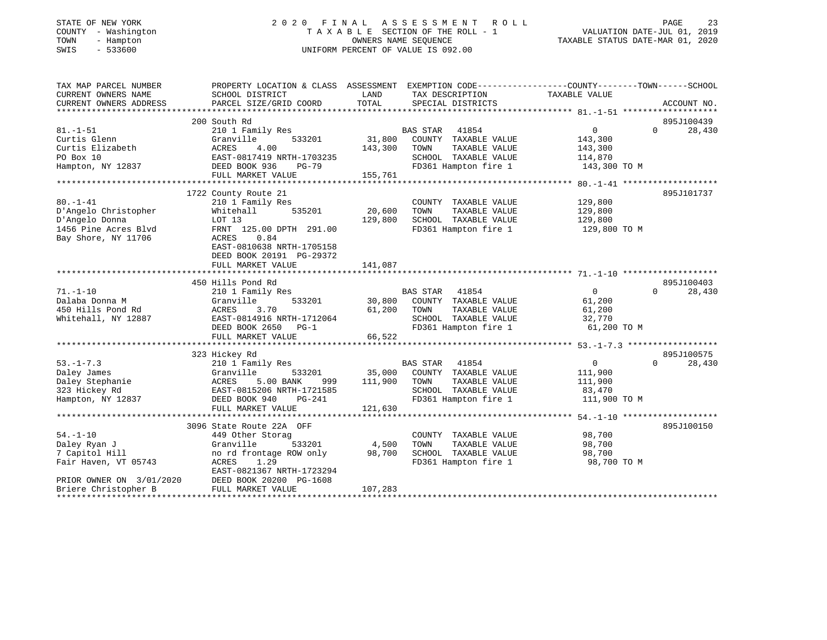## STATE OF NEW YORK 2 0 2 0 F I N A L A S S E S S M E N T R O L L PAGE 23 COUNTY - Washington T A X A B L E SECTION OF THE ROLL - 1 VALUATION DATE-JUL 01, 2019 TOWN - Hampton OWNERS NAME SEQUENCE TAXABLE STATUS DATE-MAR 01, 2020 SWIS - 533600 UNIFORM PERCENT OF VALUE IS 092.00

| TAX MAP PARCEL NUMBER<br>CURRENT OWNERS NAME | PROPERTY LOCATION & CLASS ASSESSMENT EXEMPTION CODE----------------COUNTY-------TOWN------SCHOOL<br>SCHOOL DISTRICT | LAND<br>TOTAL | TAX DESCRIPTION<br>SPECIAL DISTRICTS         | TAXABLE VALUE         |                    |
|----------------------------------------------|---------------------------------------------------------------------------------------------------------------------|---------------|----------------------------------------------|-----------------------|--------------------|
| CURRENT OWNERS ADDRESS                       | PARCEL SIZE/GRID COORD                                                                                              |               |                                              |                       | ACCOUNT NO.        |
|                                              | 200 South Rd                                                                                                        |               |                                              |                       | 895J100439         |
| $81. - 1 - 51$                               | 210 1 Family Res                                                                                                    |               | BAS STAR<br>41854                            | $\overline{0}$        | 28,430<br>$\Omega$ |
| Curtis Glenn                                 | Granville<br>533201                                                                                                 | 31,800        | COUNTY TAXABLE VALUE                         | 143,300               |                    |
| Curtis Elizabeth                             | ACRES<br>4.00                                                                                                       | 143,300       | TAXABLE VALUE<br>TOWN                        | 143,300               |                    |
| PO Box 10                                    | EAST-0817419 NRTH-1703235                                                                                           |               | SCHOOL TAXABLE VALUE                         | 114,870               |                    |
| Hampton, NY 12837                            | DEED BOOK 936<br>PG-79                                                                                              |               | FD361 Hampton fire 1                         | 143,300 TO M          |                    |
|                                              | FULL MARKET VALUE                                                                                                   | 155,761       |                                              |                       |                    |
|                                              |                                                                                                                     |               |                                              |                       |                    |
|                                              | 1722 County Route 21                                                                                                |               |                                              |                       | 895J101737         |
| $80. - 1 - 41$                               | 210 1 Family Res                                                                                                    |               | COUNTY TAXABLE VALUE                         | 129,800               |                    |
| D'Angelo Christopher                         | 535201<br>Whitehall                                                                                                 | 20,600        | TAXABLE VALUE<br>TOWN                        | 129,800               |                    |
| D'Angelo Donna                               | LOT 13                                                                                                              | 129,800       | SCHOOL TAXABLE VALUE                         | 129,800               |                    |
| 1456 Pine Acres Blvd                         | FRNT 125.00 DPTH 291.00                                                                                             |               | FD361 Hampton fire 1                         | 129,800 TO M          |                    |
| Bay Shore, NY 11706                          | 0.84<br>ACRES                                                                                                       |               |                                              |                       |                    |
|                                              | EAST-0810638 NRTH-1705158                                                                                           |               |                                              |                       |                    |
|                                              | DEED BOOK 20191 PG-29372                                                                                            |               |                                              |                       |                    |
|                                              | FULL MARKET VALUE                                                                                                   | 141,087       |                                              |                       |                    |
|                                              |                                                                                                                     |               |                                              |                       |                    |
|                                              | 450 Hills Pond Rd                                                                                                   |               |                                              |                       | 895J100403         |
| $71. - 1 - 10$                               | 210 1 Family Res                                                                                                    |               | BAS STAR 41854                               | 0                     | $\Omega$<br>28,430 |
| Dalaba Donna M                               | Granville<br>533201                                                                                                 | 30,800        | COUNTY TAXABLE VALUE                         | 61,200                |                    |
| 450 Hills Pond Rd                            | 3.70<br>ACRES                                                                                                       | 61,200        | TOWN<br>TAXABLE VALUE                        | 61,200                |                    |
| Whitehall, NY 12887                          | EAST-0814916 NRTH-1712064<br>DEED BOOK 2650                                                                         |               | SCHOOL TAXABLE VALUE<br>FD361 Hampton fire 1 | 32,770<br>61,200 TO M |                    |
|                                              | $PG-1$<br>FULL MARKET VALUE                                                                                         |               |                                              |                       |                    |
|                                              |                                                                                                                     | 66,522        |                                              |                       |                    |
|                                              | 323 Hickey Rd                                                                                                       |               |                                              |                       | 895J100575         |
| $53. - 1 - 7.3$                              | 210 1 Family Res                                                                                                    |               | BAS STAR 41854                               | $\overline{0}$        | $\Omega$<br>28,430 |
| Daley James                                  | Granville<br>533201                                                                                                 | 35,000        | COUNTY TAXABLE VALUE                         | 111,900               |                    |
| Daley Stephanie                              | ACRES<br>5.00 BANK<br>999                                                                                           | 111,900       | TOWN<br>TAXABLE VALUE                        | 111,900               |                    |
| 323 Hickey Rd                                | EAST-0815206 NRTH-1721585                                                                                           |               | SCHOOL TAXABLE VALUE                         | 83,470                |                    |
| Hampton, NY 12837                            | DEED BOOK 940<br>PG-241                                                                                             |               | FD361 Hampton fire 1                         | 111,900 TO M          |                    |
|                                              | FULL MARKET VALUE                                                                                                   | 121,630       |                                              |                       |                    |
|                                              |                                                                                                                     |               |                                              |                       |                    |
|                                              | 3096 State Route 22A OFF                                                                                            |               |                                              |                       | 895J100150         |
| $54. - 1 - 10$                               | 449 Other Storag                                                                                                    |               | COUNTY TAXABLE VALUE                         | 98,700                |                    |
| Daley Ryan J                                 | Granville<br>533201                                                                                                 | 4,500         | TOWN<br>TAXABLE VALUE                        | 98,700                |                    |
| 7 Capitol Hill                               | no rd frontage ROW only                                                                                             | 98,700        | SCHOOL TAXABLE VALUE                         | 98,700                |                    |
| Fair Haven, VT 05743                         | ACRES<br>1.29                                                                                                       |               | FD361 Hampton fire 1                         | 98,700 TO M           |                    |
|                                              | EAST-0821367 NRTH-1723294                                                                                           |               |                                              |                       |                    |
| PRIOR OWNER ON 3/01/2020                     | DEED BOOK 20200 PG-1608                                                                                             |               |                                              |                       |                    |
| Briere Christopher B                         | FULL MARKET VALUE                                                                                                   | 107,283       |                                              |                       |                    |
|                                              |                                                                                                                     |               |                                              |                       |                    |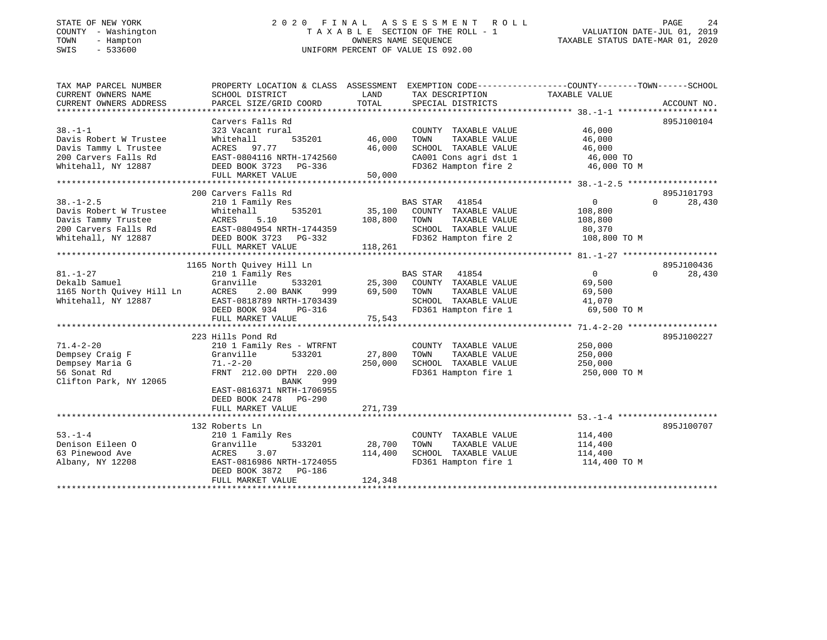#### STATE OF NEW YORK 2 0 2 0 F I N A L A S S E S S M E N T R O L L PAGE 24COUNTY - Washington  $T A X A B L E$  SECTION OF THE ROLL - 1<br>TOWN - Hampton DATE-JUL 000NERS NAME SEQUENCE TOWN - Hampton OWNERS NAME SEQUENCE TAXABLE STATUS DATE-MAR 01, 2020 SWIS - 533600 UNIFORM PERCENT OF VALUE IS 092.00

| TAX MAP PARCEL NUMBER     | PROPERTY LOCATION & CLASS ASSESSMENT EXEMPTION CODE----------------COUNTY-------TOWN------SCHOOL |         |                                    |                                   |                    |
|---------------------------|--------------------------------------------------------------------------------------------------|---------|------------------------------------|-----------------------------------|--------------------|
| CURRENT OWNERS NAME       | SCHOOL DISTRICT                                                                                  | LAND    | TAX DESCRIPTION                    | TAXABLE VALUE                     |                    |
| CURRENT OWNERS ADDRESS    | PARCEL SIZE/GRID COORD                                                                           | TOTAL   | SPECIAL DISTRICTS                  |                                   | ACCOUNT NO.        |
|                           |                                                                                                  |         |                                    |                                   |                    |
|                           | Carvers Falls Rd                                                                                 |         |                                    |                                   | 895J100104         |
| $38. - 1 - 1$             | 323 Vacant rural                                                                                 |         | COUNTY TAXABLE VALUE               | 46,000                            |                    |
| Davis Robert W Trustee    | 535201<br>Whitehall                                                                              | 46,000  | TAXABLE VALUE<br>TOWN              | 46,000                            |                    |
| Davis Tammy L Trustee     | ACRES 97.77                                                                                      | 46,000  | SCHOOL TAXABLE VALUE               | 46,000                            |                    |
| 200 Carvers Falls Rd      | EAST-0804116 NRTH-1742560                                                                        |         | CA001 Cons agri dst 1              | 46,000 TO                         |                    |
| Whitehall, NY 12887       | DEED BOOK 3723 PG-336                                                                            |         | FD362 Hampton fire 2               | 46,000 TO M                       |                    |
|                           | FULL MARKET VALUE                                                                                | 50,000  |                                    |                                   |                    |
|                           |                                                                                                  |         |                                    |                                   |                    |
|                           | 200 Carvers Falls Rd                                                                             |         |                                    |                                   | 895J101793         |
| $38. - 1 - 2.5$           | 210 1 Family Res                                                                                 |         | BAS STAR 41854                     | $\overline{0}$                    | $\Omega$<br>28,430 |
| Davis Robert W Trustee    | 535201<br>Whitehall                                                                              |         | 35,100 COUNTY TAXABLE VALUE        | 108,800                           |                    |
| Davis Tammy Trustee       | ACRES<br>5.10                                                                                    | 108,800 | TAXABLE VALUE<br>TOWN              | 108,800                           |                    |
|                           |                                                                                                  |         | SCHOOL TAXABLE VALUE               | 80,370<br>108,800 TO M            |                    |
| Whitehall, NY 12887       | DEED BOOK 3723 PG-332                                                                            |         | FD362 Hampton fire 2               |                                   |                    |
|                           | FULL MARKET VALUE                                                                                | 118,261 |                                    |                                   |                    |
|                           |                                                                                                  |         |                                    |                                   |                    |
|                           | 1165 North Quivey Hill Ln                                                                        |         |                                    |                                   | 895J100436         |
| $81. - 1 - 27$            | 210 1 Family Res                                                                                 |         | BAS STAR 41854                     | $\overline{0}$                    | 28,430<br>$\Omega$ |
| Dekalb Samuel             | Granville                                                                                        |         | 533201 25,300 COUNTY TAXABLE VALUE | 69,500                            |                    |
| 1165 North Quivey Hill Ln | ACRES<br>2.00 BANK<br>999                                                                        | 69,500  | TAXABLE VALUE<br>TOWN              | 69,500                            |                    |
| Whitehall, NY 12887       | EAST-0818789 NRTH-1703439                                                                        |         | SCHOOL TAXABLE VALUE 41,070        |                                   |                    |
|                           | DEED BOOK 934 PG-316                                                                             |         | FD361 Hampton fire 1               | 69,500 TO M                       |                    |
|                           | FULL MARKET VALUE                                                                                | 75,543  |                                    |                                   |                    |
|                           |                                                                                                  |         |                                    |                                   |                    |
|                           | 223 Hills Pond Rd                                                                                |         |                                    |                                   | 895J100227         |
| $71.4 - 2 - 20$           | 210 1 Family Res - WTRFNT                                                                        |         | COUNTY TAXABLE VALUE               | 250,000                           |                    |
| Dempsey Craig F           | Granville<br>533201                                                                              | 27,800  | TOWN<br>TAXABLE VALUE              | 250,000                           |                    |
| Dempsey Maria G           | $71. - 2 - 20$                                                                                   | 250,000 | SCHOOL TAXABLE VALUE               | 250,000                           |                    |
| 56 Sonat Rd               | FRNT 212.00 DPTH 220.00                                                                          |         |                                    | FD361 Hampton fire 1 250,000 TO M |                    |
| Clifton Park, NY 12065    | BANK<br>999                                                                                      |         |                                    |                                   |                    |
|                           | EAST-0816371 NRTH-1706955                                                                        |         |                                    |                                   |                    |
|                           | DEED BOOK 2478 PG-290                                                                            |         |                                    |                                   |                    |
|                           | FULL MARKET VALUE                                                                                | 271,739 |                                    |                                   |                    |
|                           |                                                                                                  |         |                                    |                                   |                    |
|                           | 132 Roberts Ln                                                                                   |         |                                    |                                   | 895J100707         |
| $53 - 1 - 4$              | 210 1 Family Res                                                                                 |         | COUNTY TAXABLE VALUE               | 114,400                           |                    |
| Denison Eileen O          | Granville<br>533201                                                                              | 28,700  | TOWN<br>TAXABLE VALUE              | 114,400                           |                    |
| 63 Pinewood Ave           | 3.07<br>ACRES                                                                                    | 114,400 | SCHOOL TAXABLE VALUE               | 114,400                           |                    |
| Albany, NY 12208          | EAST-0816986 NRTH-1724055                                                                        |         | FD361 Hampton fire 1               | 114,400 TO M                      |                    |
|                           | DEED BOOK 3872<br>PG-186                                                                         |         |                                    |                                   |                    |
|                           | FULL MARKET VALUE                                                                                | 124,348 |                                    |                                   |                    |
|                           |                                                                                                  |         |                                    |                                   |                    |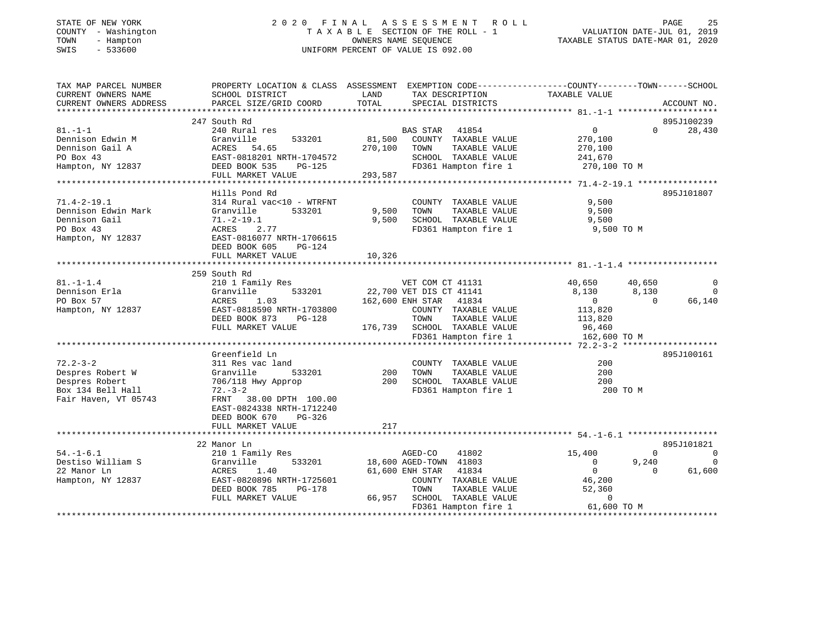| STATE OF NEW YORK |              |
|-------------------|--------------|
| COUNTY            | - Washington |
| TOWN<br>$-$       | Hampton      |
| <b>CMTC</b>       | - 533600     |

# STATE OF NEW YORK 2 0 2 0 F I N A L A S S E S S M E N T R O L L PAGE 25T A X A B L E SECTION OF THE ROLL - 1<br>OWNERS NAME SEQUENCE SWIS - 533600 UNIFORM PERCENT OF VALUE IS 092.00

TAXABLE STATUS DATE-MAR 01, 2020

| TAX MAP PARCEL NUMBER  |                           |                                  | PROPERTY LOCATION & CLASS ASSESSMENT EXEMPTION CODE----------------COUNTY-------TOWN------SCHOOL |
|------------------------|---------------------------|----------------------------------|--------------------------------------------------------------------------------------------------|
| CURRENT OWNERS NAME    | SCHOOL DISTRICT           | TAX DESCRIPTION<br>LAND          | TAXABLE VALUE                                                                                    |
| CURRENT OWNERS ADDRESS | PARCEL SIZE/GRID COORD    | TOTAL<br>SPECIAL DISTRICTS       | ACCOUNT NO.                                                                                      |
|                        |                           |                                  |                                                                                                  |
|                        | 247 South Rd              |                                  | 895J100239                                                                                       |
| $81. - 1 - 1$          | 240 Rural res             | BAS STAR 41854                   | $\overline{0}$<br>$\Omega$<br>28,430                                                             |
| Dennison Edwin M       | Granville<br>533201       | 81,500<br>COUNTY TAXABLE VALUE   | 270,100                                                                                          |
| Dennison Gail A        | ACRES<br>54.65            | 270,100<br>TAXABLE VALUE<br>TOWN | 270,100                                                                                          |
| PO Box 43              | EAST-0818201 NRTH-1704572 | SCHOOL TAXABLE VALUE             | 241,670                                                                                          |
| Hampton, NY 12837      | DEED BOOK 535<br>PG-125   | FD361 Hampton fire 1             | 270,100 TO M                                                                                     |
|                        | FULL MARKET VALUE         | 293,587                          |                                                                                                  |
|                        |                           |                                  |                                                                                                  |
|                        | Hills Pond Rd             |                                  | 895J101807                                                                                       |
| $71.4 - 2 - 19.1$      | 314 Rural vac<10 - WTRFNT | COUNTY TAXABLE VALUE             | 9,500                                                                                            |
| Dennison Edwin Mark    | 533201<br>Granville       | 9,500<br>TOWN<br>TAXABLE VALUE   | 9,500                                                                                            |
| Dennison Gail          | $71. - 2 - 19.1$          | 9,500<br>SCHOOL TAXABLE VALUE    | 9,500                                                                                            |
| PO Box 43              | 2.77<br>ACRES             | FD361 Hampton fire 1             | 9,500 TO M                                                                                       |
| Hampton, NY 12837      | EAST-0816077 NRTH-1706615 |                                  |                                                                                                  |
|                        | DEED BOOK 605<br>$PG-124$ |                                  |                                                                                                  |
|                        | FULL MARKET VALUE         | 10,326                           |                                                                                                  |
|                        |                           |                                  |                                                                                                  |
|                        | 259 South Rd              |                                  |                                                                                                  |
| $81. - 1 - 1.4$        | 210 1 Family Res          | VET COM CT 41131                 | 40,650<br>40,650<br>$\overline{0}$                                                               |
| Dennison Erla          | 533201<br>Granville       | 22,700 VET DIS CT 41141          | 8,130<br>8,130<br>$\overline{0}$                                                                 |
| PO Box 57              | 1.03<br>ACRES             | 162,600 ENH STAR 41834           | 66,140<br>$\overline{0}$<br>$\overline{0}$                                                       |
| Hampton, NY 12837      | EAST-0818590 NRTH-1703800 | COUNTY TAXABLE VALUE             | 113,820                                                                                          |
|                        | DEED BOOK 873<br>PG-128   | TOWN<br>TAXABLE VALUE            | 113,820                                                                                          |
|                        | FULL MARKET VALUE         | 176,739 SCHOOL TAXABLE VALUE     | 96,460                                                                                           |
|                        |                           | FD361 Hampton fire 1             | 162,600 TO M                                                                                     |
|                        |                           |                                  |                                                                                                  |
|                        | Greenfield Ln             |                                  | 895J100161                                                                                       |
| $72.2 - 3 - 2$         | 311 Res vac land          | COUNTY TAXABLE VALUE             | 200                                                                                              |
| Despres Robert W       | Granville<br>533201       | 200<br>TOWN<br>TAXABLE VALUE     | 200                                                                                              |
| Despres Robert         | 706/118 Hwy Approp        | 200<br>SCHOOL TAXABLE VALUE      | 200                                                                                              |
| Box 134 Bell Hall      | $72. - 3 - 2$             | FD361 Hampton fire 1             | 200 TO M                                                                                         |
| Fair Haven, VT 05743   | FRNT 38.00 DPTH 100.00    |                                  |                                                                                                  |
|                        | EAST-0824338 NRTH-1712240 |                                  |                                                                                                  |
|                        | DEED BOOK 670<br>PG-326   |                                  |                                                                                                  |
|                        | FULL MARKET VALUE         | 217                              |                                                                                                  |
|                        |                           |                                  |                                                                                                  |
|                        | 22 Manor Ln               |                                  | 895J101821                                                                                       |
| $54. - 1 - 6.1$        | 210 1 Family Res          | AGED-CO<br>41802                 | 15,400<br>$\Omega$<br>$\Omega$                                                                   |
| Destiso William S      | Granville<br>533201       | 18,600 AGED-TOWN 41803           | 9,240<br>$\overline{0}$<br>$\overline{0}$                                                        |
| 22 Manor Ln            | ACRES<br>1.40             | 61,600 ENH STAR 41834            | $\overline{0}$<br>$\Omega$<br>61,600                                                             |
| Hampton, NY 12837      | EAST-0820896 NRTH-1725601 | COUNTY TAXABLE VALUE             | 46,200                                                                                           |
|                        | DEED BOOK 785<br>PG-178   | TOWN<br>TAXABLE VALUE            | 52,360                                                                                           |
|                        | FULL MARKET VALUE         | 66,957 SCHOOL TAXABLE VALUE      | $\Omega$                                                                                         |
|                        |                           | FD361 Hampton fire 1             | 61,600 TO M                                                                                      |
|                        |                           |                                  |                                                                                                  |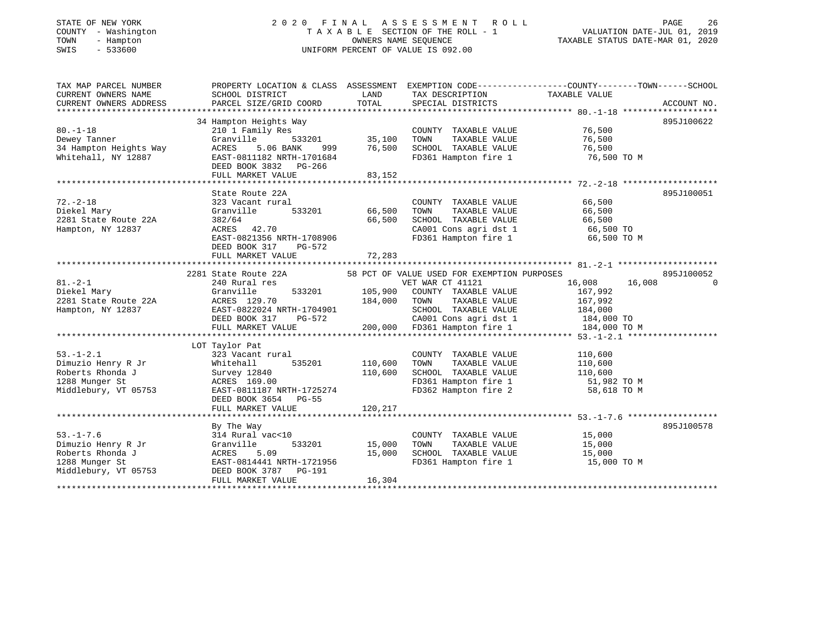## STATE OF NEW YORK 2 0 2 0 F I N A L A S S E S S M E N T R O L L PAGE 26 COUNTY - Washington T A X A B L E SECTION OF THE ROLL - 1 VALUATION DATE-JUL 01, 2019 TOWN - Hampton OWNERS NAME SEQUENCE TAXABLE STATUS DATE-MAR 01, 2020 SWIS - 533600 UNIFORM PERCENT OF VALUE IS 092.00

| TAX MAP PARCEL NUMBER  |                                                                  |                         |                                                     | PROPERTY LOCATION & CLASS ASSESSMENT EXEMPTION CODE----------------COUNTY-------TOWN------SCHOOL |                          |
|------------------------|------------------------------------------------------------------|-------------------------|-----------------------------------------------------|--------------------------------------------------------------------------------------------------|--------------------------|
| CURRENT OWNERS NAME    | SCHOOL DISTRICT                                                  | LAND                    | TAX DESCRIPTION                                     | TAXABLE VALUE                                                                                    |                          |
| CURRENT OWNERS ADDRESS | PARCEL SIZE/GRID COORD                                           | TOTAL                   | SPECIAL DISTRICTS                                   | ACCOUNT NO.                                                                                      |                          |
|                        |                                                                  |                         |                                                     |                                                                                                  |                          |
|                        | 34 Hampton Heights Way                                           |                         |                                                     | 895J100622                                                                                       |                          |
| $80. - 1 - 18$         | 210 1 Family Res                                                 |                         | COUNTY TAXABLE VALUE                                | 76,500                                                                                           |                          |
| Dewey Tanner           | Granville                                                        | -<br>533201 35,100      | TAXABLE VALUE<br>TOWN                               | 76,500                                                                                           |                          |
| 34 Hampton Heights Way | ACRES<br>5.06 BANK                                               | 999 76,500              | SCHOOL TAXABLE VALUE 76,500                         |                                                                                                  |                          |
| Whitehall, NY 12887    | EAST-0811182 NRTH-1701684                                        |                         | FD361 Hampton fire 1                                | 76,500 ТО М                                                                                      |                          |
|                        | DEED BOOK 3832 PG-266                                            |                         |                                                     |                                                                                                  |                          |
|                        | FULL MARKET VALUE                                                | 83,152                  |                                                     |                                                                                                  |                          |
|                        |                                                                  |                         |                                                     |                                                                                                  |                          |
|                        | State Route 22A                                                  |                         |                                                     | 895J100051                                                                                       |                          |
| $72. - 2 - 18$         | 323 Vacant rural                                                 |                         | COUNTY TAXABLE VALUE                                | 66,500                                                                                           |                          |
| Diekel Mary            | 533201<br>Granville                                              | 66,500                  | TOWN<br>TAXABLE VALUE                               | 66,500                                                                                           |                          |
| 2281 State Route 22A   | 382/64                                                           | 66,500                  | SCHOOL TAXABLE VALUE 66,500                         |                                                                                                  |                          |
| Hampton, NY 12837      | ACRES 42.70                                                      |                         |                                                     | CA001 Cons agri dst 1 66,500 TO<br>FD361 Hampton fire 1 66,500 TO                                |                          |
|                        | EAST-0821356 NRTH-1708906                                        |                         |                                                     | 66,500 TO M                                                                                      |                          |
|                        | DEED BOOK 317<br>PG-572                                          |                         |                                                     |                                                                                                  |                          |
|                        | FULL MARKET VALUE                                                | 72,283                  |                                                     |                                                                                                  |                          |
|                        |                                                                  |                         |                                                     |                                                                                                  |                          |
|                        | 2281 State Route 22A 58 PCT OF VALUE USED FOR EXEMPTION PURPOSES |                         |                                                     | 895J100052                                                                                       |                          |
| $81 - 2 - 1$           | 240 Rural res                                                    |                         | VET WAR CT 41121                                    | 16,008<br>16,008                                                                                 | $\overline{\phantom{0}}$ |
| Diekel Mary            | Granville                                                        |                         | 533201 105,900 COUNTY TAXABLE VALUE                 | 167,992                                                                                          |                          |
| 2281 State Route 22A   | ACRES 129.70<br>EAST-0822024 NRTH-1704901<br>ACRES 129.70        | 184,000                 | TOWN<br>TAXABLE VALUE                               | 167,992                                                                                          |                          |
| Hampton, NY 12837      | EAST-0822024 NRTH-1704901<br>DEED BOOK 317 PG-572                |                         |                                                     | SCHOOL TAXABLE VALUE 184,000<br>CA001 Cons agri dst 1 184,000 TO                                 |                          |
|                        |                                                                  |                         |                                                     |                                                                                                  |                          |
|                        | FULL MARKET VALUE                                                |                         |                                                     | 200,000 FD361 Hampton fire 1 184,000 TO M                                                        |                          |
|                        |                                                                  |                         |                                                     |                                                                                                  |                          |
|                        | LOT Taylor Pat                                                   |                         |                                                     |                                                                                                  |                          |
| $53. - 1 - 2.1$        | 323 Vacant rural<br>$\frac{1}{535201}$ 110 For                   |                         | COUNTY TAXABLE VALUE                                | 110,600                                                                                          |                          |
| Dimuzio Henry R Jr     | Whitehall                                                        | 110,600                 | TOWN<br>TAXABLE VALUE                               | 110,600                                                                                          |                          |
| Roberts Rhonda J       | Survey 12840                                                     | 110,600                 | SCHOOL TAXABLE VALUE 110,600                        |                                                                                                  |                          |
| 1288 Munger St         | ACRES 169.00                                                     |                         | FD361 Hampton fire 1<br>FD362 Hampton fire 2        | 51,982 TO M                                                                                      |                          |
| Middlebury, VT 05753   | EAST-0811187 NRTH-1725274                                        |                         |                                                     | 58,618 TO M                                                                                      |                          |
|                        | DEED BOOK 3654 PG-55                                             |                         |                                                     |                                                                                                  |                          |
|                        | FULL MARKET VALUE                                                | 120,217                 |                                                     |                                                                                                  |                          |
|                        |                                                                  |                         |                                                     |                                                                                                  |                          |
| $53. - 1 - 7.6$        | By The Way<br>$314$ Rural vac< $10$                              |                         |                                                     | 895J100578<br>15,000                                                                             |                          |
| Dimuzio Henry R Jr     |                                                                  |                         | COUNTY TAXABLE VALUE                                | 15,000                                                                                           |                          |
| Roberts Rhonda J       | Granville                                                        | 533201 15,000<br>15,000 | TOWN<br>TAXABLE VALUE                               |                                                                                                  |                          |
| 1288 Munger St         | ACRES<br>5.09<br>EAST-0814441 NRTH-1721956                       |                         | SCHOOL TAXABLE VALUE 15,000<br>FD361 Hampton fire 1 | 15,000 TO M                                                                                      |                          |
| Middlebury, VT 05753   | DEED BOOK 3787 PG-191                                            |                         |                                                     |                                                                                                  |                          |
|                        | FULL MARKET VALUE                                                | 16,304                  |                                                     |                                                                                                  |                          |
|                        |                                                                  |                         |                                                     |                                                                                                  |                          |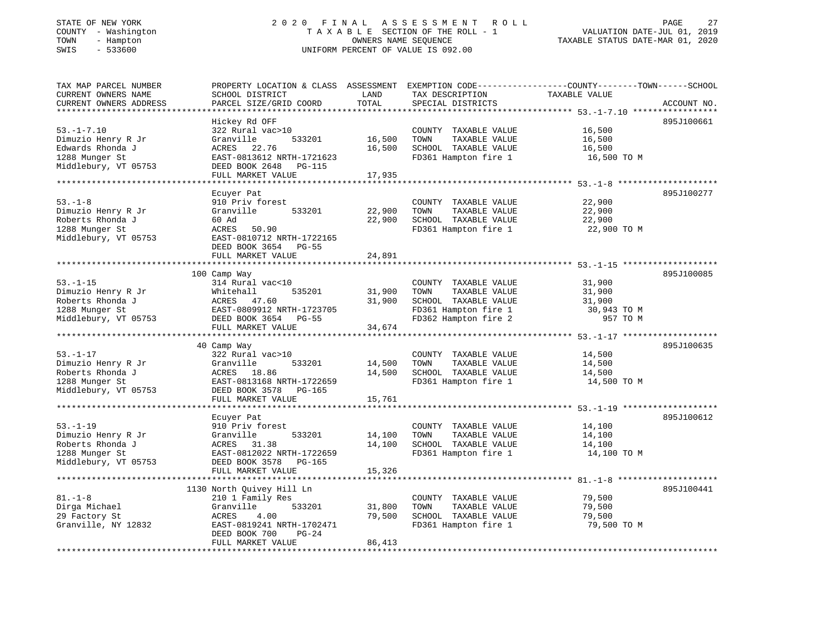## STATE OF NEW YORK 2 0 2 0 F I N A L A S S E S S M E N T R O L L PAGE 27 COUNTY - Washington T A X A B L E SECTION OF THE ROLL - 1 VALUATION DATE-JUL 01, 2019 TOWN - Hampton OWNERS NAME SEQUENCE TAXABLE STATUS DATE-MAR 01, 2020 SWIS - 533600 UNIFORM PERCENT OF VALUE IS 092.00

| TAX MAP PARCEL NUMBER<br>CURRENT OWNERS NAME<br>CURRENT OWNERS ADDRESS                               | PROPERTY LOCATION & CLASS ASSESSMENT<br>SCHOOL DISTRICT<br>PARCEL SIZE/GRID COORD                                                                      | LAND<br>TOTAL              | TAX DESCRIPTION<br>SPECIAL DISTRICTS                                                                                  | EXEMPTION CODE-----------------COUNTY-------TOWN------SCHOOL<br>TAXABLE VALUE<br>ACCOUNT NO. |
|------------------------------------------------------------------------------------------------------|--------------------------------------------------------------------------------------------------------------------------------------------------------|----------------------------|-----------------------------------------------------------------------------------------------------------------------|----------------------------------------------------------------------------------------------|
| *********************                                                                                |                                                                                                                                                        |                            |                                                                                                                       |                                                                                              |
| $53. - 1 - 7.10$<br>Dimuzio Henry R Jr<br>Edwards Rhonda J<br>1288 Munger St<br>Middlebury, VT 05753 | Hickey Rd OFF<br>322 Rural vac>10<br>533201<br>Granville<br>ACRES 22.76<br>EAST-0813612 NRTH-1721623<br>DEED BOOK 2648<br>PG-115                       | 16,500<br>16,500           | COUNTY TAXABLE VALUE<br>TOWN<br>TAXABLE VALUE<br>SCHOOL TAXABLE VALUE<br>FD361 Hampton fire 1                         | 895J100661<br>16,500<br>16,500<br>16,500<br>16,500 TO M                                      |
|                                                                                                      | FULL MARKET VALUE                                                                                                                                      | 17,935                     |                                                                                                                       |                                                                                              |
|                                                                                                      | Ecuyer Pat                                                                                                                                             |                            |                                                                                                                       | 895J100277                                                                                   |
| $53. - 1 - 8$<br>Dimuzio Henry R Jr<br>Roberts Rhonda J<br>1288 Munger St<br>Middlebury, VT 05753    | 910 Priv forest<br>533201<br>Granville<br>60 Ad<br>ACRES<br>50.90<br>EAST-0810712 NRTH-1722165<br>DEED BOOK 3654<br>$PG-55$                            | 22,900<br>22,900           | COUNTY TAXABLE VALUE<br>TOWN<br>TAXABLE VALUE<br>SCHOOL TAXABLE VALUE<br>FD361 Hampton fire 1                         | 22,900<br>22,900<br>22,900<br>22,900 TO M                                                    |
|                                                                                                      | FULL MARKET VALUE                                                                                                                                      | 24,891                     |                                                                                                                       |                                                                                              |
|                                                                                                      |                                                                                                                                                        |                            |                                                                                                                       |                                                                                              |
| $53. - 1 - 15$<br>Dimuzio Henry R Jr<br>Roberts Rhonda J<br>1288 Munger St<br>Middlebury, VT 05753   | 100 Camp Way<br>314 Rural vac<10<br>535201<br>Whitehall<br>ACRES<br>47.60<br>EAST-0809912 NRTH-1723705<br>DEED BOOK 3654 PG-55                         | 31,900<br>31,900           | COUNTY TAXABLE VALUE<br>TOWN<br>TAXABLE VALUE<br>SCHOOL TAXABLE VALUE<br>FD361 Hampton fire 1<br>FD362 Hampton fire 2 | 895J100085<br>31,900<br>31,900<br>31,900<br>30,943 TO M<br>957 TO M                          |
|                                                                                                      | FULL MARKET VALUE                                                                                                                                      | 34,674                     |                                                                                                                       |                                                                                              |
|                                                                                                      |                                                                                                                                                        |                            |                                                                                                                       |                                                                                              |
| $53. - 1 - 17$<br>Dimuzio Henry R Jr<br>Roberts Rhonda J<br>1288 Munger St<br>Middlebury, VT 05753   | 40 Camp Way<br>322 Rural vac>10<br>Granville<br>533201<br>ACRES<br>18.86<br>EAST-0813168 NRTH-1722659<br>DEED BOOK 3578<br>PG-165<br>FULL MARKET VALUE | 14,500<br>14,500<br>15,761 | COUNTY TAXABLE VALUE<br>TOWN<br>TAXABLE VALUE<br>SCHOOL TAXABLE VALUE<br>FD361 Hampton fire 1                         | 895J100635<br>14,500<br>14,500<br>14,500<br>14,500 TO M                                      |
|                                                                                                      |                                                                                                                                                        |                            |                                                                                                                       |                                                                                              |
| $53. - 1 - 19$<br>Dimuzio Henry R Jr<br>Roberts Rhonda J<br>1288 Munger St<br>Middlebury, VT 05753   | Ecuyer Pat<br>910 Priv forest<br>Granville<br>533201<br>ACRES<br>31.38<br>EAST-0812022 NRTH-1722659<br>DEED BOOK 3578<br>PG-165                        | 14,100<br>14,100           | COUNTY TAXABLE VALUE<br>TOWN<br>TAXABLE VALUE<br>SCHOOL TAXABLE VALUE<br>FD361 Hampton fire 1                         | 895J100612<br>14,100<br>14,100<br>14,100<br>14,100 TO M                                      |
|                                                                                                      | FULL MARKET VALUE                                                                                                                                      | 15,326                     |                                                                                                                       |                                                                                              |
|                                                                                                      | 1130 North Quivey Hill Ln                                                                                                                              |                            |                                                                                                                       | 895J100441                                                                                   |
| $81. - 1 - 8$<br>Dirga Michael<br>29 Factory St<br>Granville, NY 12832                               | 210 1 Family Res<br>Granville<br>533201<br>4.00<br>ACRES<br>EAST-0819241 NRTH-1702471<br>DEED BOOK 700<br>$PG-24$<br>FULL MARKET VALUE                 | 31,800<br>79,500<br>86,413 | COUNTY TAXABLE VALUE<br>TOWN<br>TAXABLE VALUE<br>SCHOOL TAXABLE VALUE<br>FD361 Hampton fire 1                         | 79,500<br>79,500<br>79,500<br>79,500 TO M                                                    |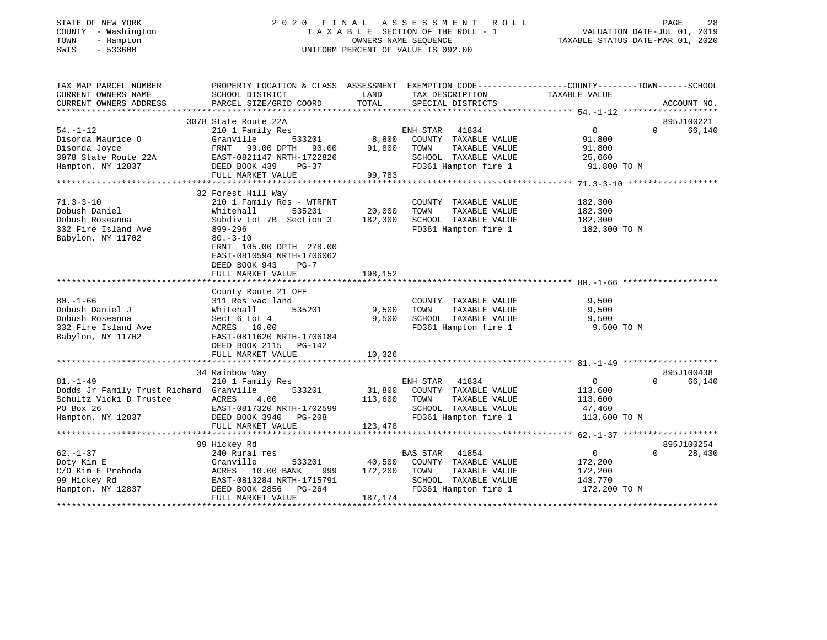## STATE OF NEW YORK 2 0 2 0 F I N A L A S S E S S M E N T R O L L PAGE 28 COUNTY - Washington T A X A B L E SECTION OF THE ROLL - 1 VALUATION DATE-JUL 01, 2019 TOWN - Hampton OWNERS NAME SEQUENCE TAXABLE STATUS DATE-MAR 01, 2020 SWIS - 533600 UNIFORM PERCENT OF VALUE IS 092.00

| TAX MAP PARCEL NUMBER                         |                                                |                   | PROPERTY LOCATION & CLASS ASSESSMENT EXEMPTION CODE---------------COUNTY-------TOWN-----SCHOOL |                    |                    |
|-----------------------------------------------|------------------------------------------------|-------------------|------------------------------------------------------------------------------------------------|--------------------|--------------------|
| CURRENT OWNERS NAME<br>CURRENT OWNERS ADDRESS | SCHOOL DISTRICT<br>PARCEL SIZE/GRID COORD      | LAND<br>TOTAL     | TAX DESCRIPTION<br>SPECIAL DISTRICTS                                                           | TAXABLE VALUE      | ACCOUNT NO.        |
|                                               |                                                |                   |                                                                                                |                    |                    |
|                                               | 3078 State Route 22A                           |                   |                                                                                                |                    | 895J100221         |
| $54. - 1 - 12$                                | 210 1 Family Res                               |                   | ENH STAR 41834                                                                                 | $\overline{0}$     | 66,140<br>$\Omega$ |
| Disorda Maurice O                             | Granville<br>533201                            | 8,800             | COUNTY TAXABLE VALUE                                                                           | 91,800             |                    |
| Disorda Joyce                                 | FRNT 99.00 DPTH 90.00 91,800 TOWN              |                   | TAXABLE VALUE                                                                                  | 91,800             |                    |
| 3078 State Route 22A                          | EAST-0821147 NRTH-1722826                      |                   | SCHOOL TAXABLE VALUE                                                                           | 25,660             |                    |
| Hampton, NY 12837                             | DEED BOOK 439<br>PG-37                         |                   | FD361 Hampton fire 1                                                                           | 91,800 TO M        |                    |
|                                               | FULL MARKET VALUE                              | 99,783            |                                                                                                |                    |                    |
|                                               |                                                |                   |                                                                                                |                    |                    |
|                                               | 32 Forest Hill Way                             |                   |                                                                                                |                    |                    |
| $71.3 - 3 - 10$                               | 210 1 Family Res - WTRFNT                      |                   | COUNTY TAXABLE VALUE                                                                           | 182,300            |                    |
| Dobush Daniel<br>Dobush Roseanna              | Whitehall<br>535201<br>Subdiv Lot 7B Section 3 | 20,000<br>182,300 | TAXABLE VALUE<br>TOWN<br>SCHOOL TAXABLE VALUE                                                  | 182,300<br>182,300 |                    |
| 332 Fire Island Ave                           | 899-296                                        |                   | FD361 Hampton fire 1                                                                           | 182,300 TO M       |                    |
| Babylon, NY 11702                             | $80. - 3 - 10$                                 |                   |                                                                                                |                    |                    |
|                                               | FRNT 105.00 DPTH 278.00                        |                   |                                                                                                |                    |                    |
|                                               | EAST-0810594 NRTH-1706062                      |                   |                                                                                                |                    |                    |
|                                               | DEED BOOK 943<br>$PG-7$                        |                   |                                                                                                |                    |                    |
|                                               | FULL MARKET VALUE                              | 198,152           |                                                                                                |                    |                    |
|                                               |                                                |                   |                                                                                                |                    |                    |
|                                               | County Route 21 OFF                            |                   |                                                                                                |                    |                    |
| $80. - 1 - 66$                                | 311 Res vac land                               |                   | COUNTY TAXABLE VALUE                                                                           | 9,500              |                    |
| Dobush Daniel J                               | 535201<br>Whitehall                            | 9,500             | TOWN<br>TAXABLE VALUE                                                                          | 9,500              |                    |
| Dobush Roseanna                               | Sect 6 Lot 4                                   | 9,500             | SCHOOL TAXABLE VALUE                                                                           | 9,500              |                    |
| 332 Fire Island Ave                           | ACRES 10.00                                    |                   | FD361 Hampton fire 1                                                                           | 9,500 TO M         |                    |
| Babylon, NY 11702                             | EAST-0811620 NRTH-1706184                      |                   |                                                                                                |                    |                    |
|                                               | DEED BOOK 2115<br>PG-142                       |                   |                                                                                                |                    |                    |
|                                               | FULL MARKET VALUE                              | 10,326            |                                                                                                |                    |                    |
|                                               | 34 Rainbow Way                                 |                   |                                                                                                |                    | 895J100438         |
| $81. - 1 - 49$                                | 210 1 Family Res                               |                   | ENH STAR 41834                                                                                 | $\overline{0}$     | 66,140<br>$\Omega$ |
| Dodds Jr Family Trust Richard Granville       | 533201                                         |                   | 31,800 COUNTY TAXABLE VALUE                                                                    | 113,600            |                    |
| Schultz Vicki D Trustee                       | ACRES<br>4.00                                  | 113,600 TOWN      | TAXABLE VALUE                                                                                  | 113,600            |                    |
| PO Box 26                                     | EAST-0817320 NRTH-1702599                      |                   | SCHOOL TAXABLE VALUE                                                                           | 47,460             |                    |
| Hampton, NY 12837                             | DEED BOOK 3940 PG-208                          |                   | FD361 Hampton fire 1                                                                           | 113,600 TO M       |                    |
|                                               | FULL MARKET VALUE                              | 123,478           |                                                                                                |                    |                    |
|                                               |                                                |                   |                                                                                                |                    |                    |
|                                               | 99 Hickey Rd                                   |                   |                                                                                                |                    | 895J100254         |
| $62. - 1 - 37$                                | 240 Rural res                                  |                   | <b>BAS STAR</b><br>41854                                                                       | $\overline{0}$     | 28,430<br>$\Omega$ |
| Doty Kim E                                    | 533201<br>Granville                            |                   | 40,500 COUNTY TAXABLE VALUE                                                                    | 172,200            |                    |
| C/O Kim E Prehoda                             | ACRES 10.00 BANK<br>999                        | 172,200           | TOWN<br>TAXABLE VALUE                                                                          | 172,200            |                    |
| 99 Hickey Rd                                  | EAST-0813284 NRTH-1715791                      |                   | SCHOOL TAXABLE VALUE                                                                           | 143,770            |                    |
| Hampton, NY 12837                             | DEED BOOK 2856 PG-264                          |                   | FD361 Hampton fire 1                                                                           | 172,200 TO M       |                    |
|                                               | FULL MARKET VALUE                              | 187,174           |                                                                                                |                    |                    |
|                                               |                                                |                   |                                                                                                |                    |                    |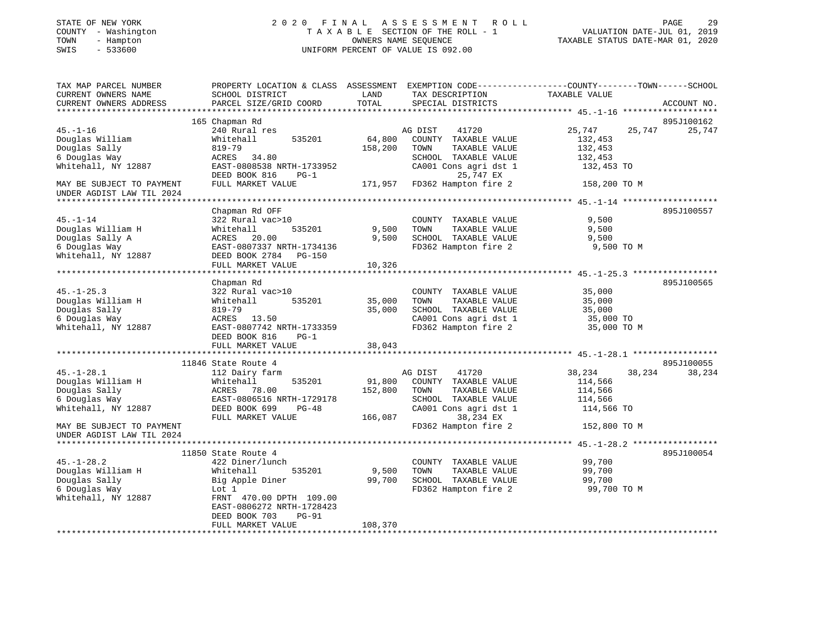| STATE OF NEW YORK   |  | 2020 FINAL ASSESSMEN               |
|---------------------|--|------------------------------------|
| COUNTY - Washington |  | TAXABLE SECTION OF THE ROL         |
| TOWN - Hampton      |  | OWNERS NAME SEQUENCE               |
| SWIS - 533600       |  | UNIFORM PERCENT OF VALUE IS 092.00 |
|                     |  |                                    |
|                     |  |                                    |
|                     |  |                                    |

#### A S S E S S M E N T R O L L PAGE 29 COUNTY - Washington T A X A B L E SECTION OF THE ROLL - 1 VALUATION DATE-JUL 01, 2019 TOWN - Hampton OWNERS NAME SEQUENCE TAXABLE STATUS DATE-MAR 01, 2020

| PAGE                      |  |  |
|---------------------------|--|--|
| ALUATION DATE-JUL 01, 201 |  |  |

| TAX MAP PARCEL NUMBER<br>CURRENT OWNERS NAME | PROPERTY LOCATION & CLASS ASSESSMENT EXEMPTION CODE---------------COUNTY-------TOWN-----SCHOOL<br>SCHOOL DISTRICT | LAND    | TAX DESCRIPTION TAXABLE VALUE                 |                             |             |
|----------------------------------------------|-------------------------------------------------------------------------------------------------------------------|---------|-----------------------------------------------|-----------------------------|-------------|
| CURRENT OWNERS ADDRESS                       | PARCEL SIZE/GRID COORD                                                                                            | TOTAL   | SPECIAL DISTRICTS                             |                             | ACCOUNT NO. |
|                                              |                                                                                                                   |         |                                               |                             |             |
| $45. - 1 - 16$                               | 165 Chapman Rd                                                                                                    |         |                                               |                             | 895J100162  |
| Douglas William                              | 240 Rural res<br>535201<br>Whitehall                                                                              | 64,800  | AG DIST<br>41720<br>COUNTY TAXABLE VALUE      | 25,747<br>25,747<br>132,453 | 25,747      |
| Douglas Sally                                | 819-79                                                                                                            | 158,200 | TOWN<br>TAXABLE VALUE                         | 132,453                     |             |
| 6 Douglas Way                                | ACRES 34.80                                                                                                       |         | SCHOOL TAXABLE VALUE                          | 132,453                     |             |
| Whitehall, NY 12887                          | EAST-0808538 NRTH-1733952                                                                                         |         | CA001 Cons agri dst 1                         | 132,453 TO                  |             |
|                                              | DEED BOOK 816<br>$PG-1$                                                                                           |         | 25,747 EX                                     |                             |             |
| MAY BE SUBJECT TO PAYMENT                    | FULL MARKET VALUE                                                                                                 |         | 171,957 FD362 Hampton fire 2                  | 158,200 TO M                |             |
| UNDER AGDIST LAW TIL 2024                    |                                                                                                                   |         |                                               |                             |             |
| * * * * * * * * * * * * * * * * *            |                                                                                                                   |         |                                               |                             |             |
|                                              | Chapman Rd OFF                                                                                                    |         |                                               |                             | 895J100557  |
| $45. - 1 - 14$                               | 322 Rural vac>10                                                                                                  |         | COUNTY TAXABLE VALUE                          | 9,500                       |             |
| Douglas William H                            | 535201<br>Whitehall                                                                                               | 9,500   | TOWN<br>TAXABLE VALUE                         | 9,500                       |             |
| Douglas Sally A                              | ACRES<br>20.00                                                                                                    | 9,500   | SCHOOL TAXABLE VALUE                          | 9,500                       |             |
| 6 Douglas Way                                | EAST-0807337 NRTH-1734136                                                                                         |         | FD362 Hampton fire 2                          | 9,500 TO M                  |             |
| Whitehall, NY 12887                          | DEED BOOK 2784 PG-150                                                                                             |         |                                               |                             |             |
|                                              | FULL MARKET VALUE                                                                                                 | 10,326  |                                               |                             |             |
|                                              |                                                                                                                   |         |                                               |                             |             |
|                                              | Chapman Rd                                                                                                        |         |                                               |                             | 895J100565  |
| $45. - 1 - 25.3$                             | 322 Rural vac>10                                                                                                  |         | COUNTY TAXABLE VALUE                          | 35,000                      |             |
| Douglas William H                            | 535201<br>Whitehall                                                                                               | 35,000  | TAXABLE VALUE<br>TOWN                         | 35,000                      |             |
| Douglas Sally                                | $819 - 79$                                                                                                        | 35,000  | SCHOOL TAXABLE VALUE                          | 35,000                      |             |
| 6 Douglas Way                                | ACRES 13.50                                                                                                       |         | CA001 Cons agri dst 1<br>FD362 Hampton fire 2 | 35,000 TO                   |             |
| Whitehall, NY 12887                          | EAST-0807742 NRTH-1733359<br>DEED BOOK 816<br>$PG-1$                                                              |         |                                               | 35,000 TO M                 |             |
|                                              | FULL MARKET VALUE                                                                                                 | 38,043  |                                               |                             |             |
|                                              |                                                                                                                   |         |                                               |                             |             |
|                                              | 11846 State Route 4                                                                                               |         |                                               |                             | 895J100055  |
| $45. - 1 - 28.1$                             | 112 Dairy farm                                                                                                    |         | AG DIST<br>41720                              | 38,234<br>38,234            | 38,234      |
| Douglas William H                            | 535201<br>Whitehall                                                                                               | 91,800  | COUNTY TAXABLE VALUE                          | 114,566                     |             |
| Douglas Sally                                | ACRES 78.00                                                                                                       | 152,800 | TOWN<br>TAXABLE VALUE                         | 114,566                     |             |
| 6 Douglas Way                                | EAST-0806516 NRTH-1729178                                                                                         |         | SCHOOL TAXABLE VALUE                          | 114,566                     |             |
| Whitehall, NY 12887                          | DEED BOOK 699<br>$PG-48$                                                                                          |         | CA001 Cons agri dst 1                         | 114,566 TO                  |             |
|                                              | FULL MARKET VALUE                                                                                                 | 166,087 | 38,234 EX                                     |                             |             |
| MAY BE SUBJECT TO PAYMENT                    |                                                                                                                   |         | FD362 Hampton fire 2                          | 152,800 TO M                |             |
| UNDER AGDIST LAW TIL 2024                    |                                                                                                                   |         |                                               |                             |             |
|                                              |                                                                                                                   |         |                                               |                             |             |
|                                              | 11850 State Route 4                                                                                               |         |                                               |                             | 895J100054  |
| $45. - 1 - 28.2$                             | 422 Diner/lunch                                                                                                   |         | COUNTY TAXABLE VALUE                          | 99,700                      |             |
| Douglas William H                            | Whitehall<br>535201                                                                                               | 9,500   | TOWN<br>TAXABLE VALUE                         | 99,700                      |             |
| Douglas Sally                                | Big Apple Diner                                                                                                   | 99,700  | SCHOOL TAXABLE VALUE                          | 99,700                      |             |
| 6 Douglas Way                                | Lot 1                                                                                                             |         | FD362 Hampton fire 2                          | 99,700 TO M                 |             |
| Whitehall, NY 12887                          | FRNT 470.00 DPTH 109.00                                                                                           |         |                                               |                             |             |
|                                              | EAST-0806272 NRTH-1728423                                                                                         |         |                                               |                             |             |
|                                              | $PG-91$<br>DEED BOOK 703<br>FULL MARKET VALUE                                                                     | 108,370 |                                               |                             |             |
| **********************************           |                                                                                                                   |         |                                               |                             |             |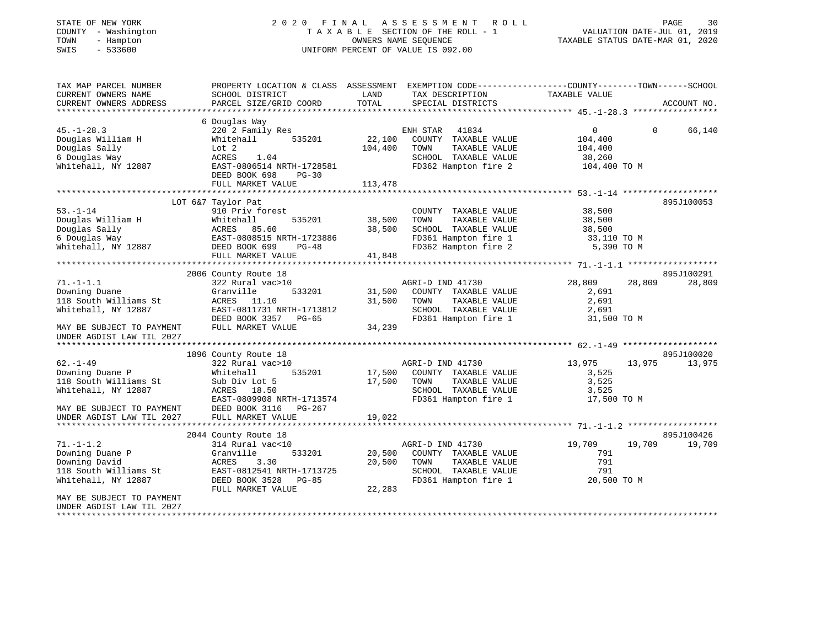| STATE OF NEW YORK<br>COUNTY - Washington<br>TOWN<br>- Hampton<br>$-533600$<br>SWIS | 2020 FINAL ASSESSMENT<br>TAXABLE SECTION OF THE ROLL - 1<br>UNIFORM PERCENT OF VALUE IS 092.00                      |                  | PAGE<br>30<br>VALUATION DATE-JUL 01, 2019<br>TAXABLE STATUS DATE-MAR 01, 2020 |                           |                    |
|------------------------------------------------------------------------------------|---------------------------------------------------------------------------------------------------------------------|------------------|-------------------------------------------------------------------------------|---------------------------|--------------------|
| TAX MAP PARCEL NUMBER<br>CURRENT OWNERS NAME                                       | PROPERTY LOCATION & CLASS ASSESSMENT EXEMPTION CODE----------------COUNTY-------TOWN------SCHOOL<br>SCHOOL DISTRICT | LAND             | TAX DESCRIPTION                                                               | TAXABLE VALUE             |                    |
| CURRENT OWNERS ADDRESS                                                             | PARCEL SIZE/GRID COORD                                                                                              | TOTAL            | SPECIAL DISTRICTS                                                             |                           | ACCOUNT NO.        |
|                                                                                    |                                                                                                                     |                  |                                                                               |                           |                    |
| $45. - 1 - 28.3$                                                                   | 6 Douglas Way<br>220 2 Family Res                                                                                   |                  | ENH STAR<br>41834                                                             | $\mathbf{0}$              | $\Omega$<br>66,140 |
| Douglas William H                                                                  | Whitehall<br>535201                                                                                                 | 22,100           | COUNTY TAXABLE VALUE                                                          | 104,400                   |                    |
| Douglas Sally                                                                      | Lot 2                                                                                                               | 104,400          | TOWN<br>TAXABLE VALUE                                                         | 104,400                   |                    |
| 6 Douglas Way                                                                      | ACRES<br>1.04                                                                                                       |                  | SCHOOL TAXABLE VALUE                                                          | 38,260                    |                    |
| Whitehall, NY 12887                                                                | EAST-0806514 NRTH-1728581                                                                                           |                  | FD362 Hampton fire 2                                                          | 104,400 TO M              |                    |
|                                                                                    | DEED BOOK 698<br>$PG-30$                                                                                            |                  |                                                                               |                           |                    |
|                                                                                    | FULL MARKET VALUE                                                                                                   | 113,478          |                                                                               |                           |                    |
|                                                                                    |                                                                                                                     |                  |                                                                               |                           |                    |
|                                                                                    | LOT 6&7 Taylor Pat                                                                                                  |                  |                                                                               |                           | 895J100053         |
| $53. - 1 - 14$                                                                     | 910 Priv forest<br>535201                                                                                           |                  | COUNTY TAXABLE VALUE<br>TOWN                                                  | 38,500                    |                    |
| Douglas William H                                                                  | Whitehall                                                                                                           | 38,500<br>38,500 | TAXABLE VALUE                                                                 | 38,500                    |                    |
| Douglas Sally                                                                      | ACRES<br>85.60<br>EAST-0808515 NRTH-1723886                                                                         |                  | SCHOOL TAXABLE VALUE<br>FD361 Hampton fire 1                                  | 38,500                    |                    |
| 6 Douglas Way<br>Whitehall, NY 12887                                               | PG-48                                                                                                               |                  | FD362 Hampton fire 2                                                          | 33,110 TO M<br>5,390 TO M |                    |
|                                                                                    | DEED BOOK 699<br>FULL MARKET VALUE                                                                                  | 41,848           |                                                                               |                           |                    |
|                                                                                    |                                                                                                                     |                  |                                                                               |                           |                    |
|                                                                                    | 2006 County Route 18                                                                                                |                  |                                                                               |                           | 895J100291         |
| $71. - 1 - 1.1$                                                                    | 322 Rural vac>10                                                                                                    |                  | AGRI-D IND 41730                                                              | 28,809                    | 28,809<br>28,809   |
| Downing Duane                                                                      | Granville<br>533201                                                                                                 | 31,500           | COUNTY TAXABLE VALUE                                                          | 2,691                     |                    |
| 118 South Williams St                                                              | ACRES<br>11.10                                                                                                      | 31,500           | TOWN<br>TAXABLE VALUE                                                         | 2,691                     |                    |
| Whitehall, NY 12887                                                                | EAST-0811731 NRTH-1713812                                                                                           |                  | SCHOOL TAXABLE VALUE                                                          | 2,691                     |                    |
|                                                                                    | DEED BOOK 3357 PG-65                                                                                                |                  | FD361 Hampton fire 1                                                          | 31,500 TO M               |                    |
| MAY BE SUBJECT TO PAYMENT                                                          | FULL MARKET VALUE                                                                                                   | 34,239           |                                                                               |                           |                    |
| UNDER AGDIST LAW TIL 2027                                                          |                                                                                                                     |                  |                                                                               |                           |                    |
|                                                                                    |                                                                                                                     |                  |                                                                               |                           |                    |
|                                                                                    | 1896 County Route 18                                                                                                |                  |                                                                               |                           | 895J100020         |
| $62. - 1 - 49$                                                                     | 322 Rural vac>10                                                                                                    |                  | AGRI-D IND 41730                                                              | 13,975                    | 13,975<br>13,975   |
| Downing Duane P                                                                    | Whitehall<br>535201                                                                                                 | 17,500           | COUNTY TAXABLE VALUE                                                          | 3,525                     |                    |
| 118 South Williams St                                                              | Sub Div Lot 5                                                                                                       | 17,500           | TOWN<br>TAXABLE VALUE                                                         | 3,525                     |                    |
| Whitehall, NY 12887                                                                | ACRES 18.50                                                                                                         |                  | SCHOOL TAXABLE VALUE                                                          | 3,525                     |                    |
|                                                                                    | EAST-0809908 NRTH-1713574                                                                                           |                  | FD361 Hampton fire 1                                                          | 17,500 TO M               |                    |
| MAY BE SUBJECT TO PAYMENT                                                          | DEED BOOK 3116 PG-267                                                                                               |                  |                                                                               |                           |                    |
| UNDER AGDIST LAW TIL 2027                                                          | FULL MARKET VALUE                                                                                                   | 19,022           |                                                                               |                           |                    |
|                                                                                    |                                                                                                                     |                  |                                                                               |                           |                    |
|                                                                                    | 2044 County Route 18                                                                                                |                  |                                                                               |                           | 895J100426         |
| $71. - 1 - 1.2$                                                                    | 314 Rural vac<10                                                                                                    |                  | AGRI-D IND 41730                                                              | 19,709                    | 19,709<br>19,709   |
| Downing Duane P                                                                    | Granville<br>533201                                                                                                 | 20,500           | COUNTY TAXABLE VALUE                                                          | 791                       |                    |
| Downing David                                                                      | ACRES<br>3.30                                                                                                       | 20,500           | TOWN<br>TAXABLE VALUE                                                         | 791                       |                    |
| 118 South Williams St                                                              | EAST-0812541 NRTH-1713725                                                                                           |                  | SCHOOL TAXABLE VALUE                                                          | 791                       |                    |
| Whitehall, NY 12887                                                                | DEED BOOK 3528 PG-85<br>FULL MARKET VALUE                                                                           | 22,283           | FD361 Hampton fire 1                                                          | 20,500 TO M               |                    |
|                                                                                    |                                                                                                                     |                  |                                                                               |                           |                    |
| MAY BE SUBJECT TO PAYMENT<br>UNDER AGDIST LAW TIL 2027                             |                                                                                                                     |                  |                                                                               |                           |                    |
| **************************                                                         |                                                                                                                     |                  |                                                                               |                           |                    |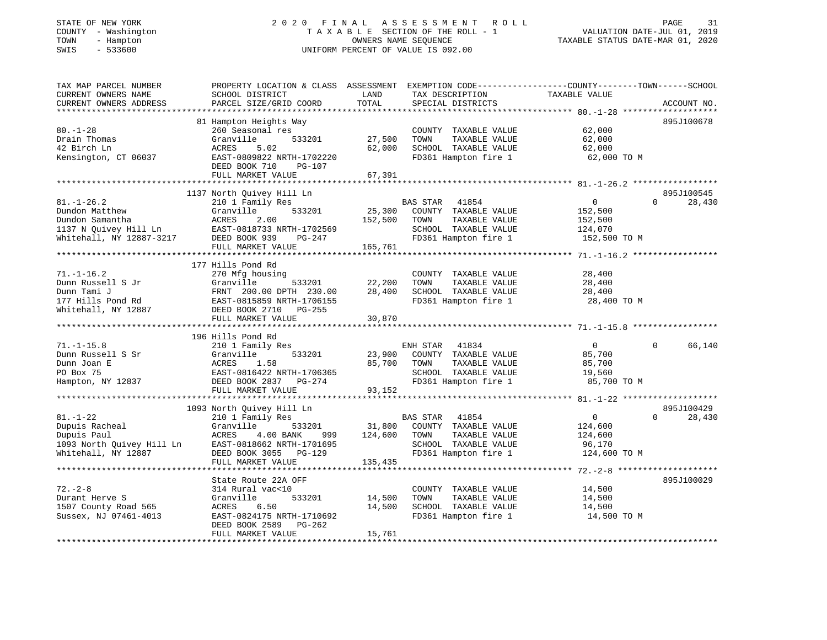## STATE OF NEW YORK 2 0 2 0 F I N A L A S S E S S M E N T R O L L PAGE 31 COUNTY - Washington T A X A B L E SECTION OF THE ROLL - 1 VALUATION DATE-JUL 01, 2019 TOWN - Hampton OWNERS NAME SEQUENCE TAXABLE STATUS DATE-MAR 01, 2020 SWIS - 533600 UNIFORM PERCENT OF VALUE IS 092.00

| TAX MAP PARCEL NUMBER<br>CURRENT OWNERS NAME<br>CURRENT OWNERS ADDRESS                                                   | PROPERTY LOCATION & CLASS ASSESSMENT<br>SCHOOL DISTRICT<br>PARCEL SIZE/GRID COORD                                                                                       | LAND<br>TOTAL                | EXEMPTION CODE-----------------COUNTY-------TOWN------SCHOOL<br>TAX DESCRIPTION<br>SPECIAL DISTRICTS               | TAXABLE VALUE                                                  | ACCOUNT NO.                      |
|--------------------------------------------------------------------------------------------------------------------------|-------------------------------------------------------------------------------------------------------------------------------------------------------------------------|------------------------------|--------------------------------------------------------------------------------------------------------------------|----------------------------------------------------------------|----------------------------------|
|                                                                                                                          |                                                                                                                                                                         |                              |                                                                                                                    |                                                                |                                  |
| $80. - 1 - 28$<br>Drain Thomas<br>42 Birch Ln<br>Kensington, CT 06037                                                    | 81 Hampton Heights Way<br>260 Seasonal res<br>Granville<br>533201<br>ACRES<br>5.02<br>EAST-0809822 NRTH-1702220<br>DEED BOOK 710<br>PG-107<br>FULL MARKET VALUE         | 27,500<br>62,000<br>67,391   | COUNTY TAXABLE VALUE<br>TOWN<br>TAXABLE VALUE<br>SCHOOL TAXABLE VALUE<br>FD361 Hampton fire 1                      | 62,000<br>62,000<br>62,000<br>62,000 TO M                      | 895J100678                       |
|                                                                                                                          |                                                                                                                                                                         |                              |                                                                                                                    |                                                                |                                  |
| $81. - 1 - 26.2$<br>Dundon Matthew<br>Dundon Samantha<br>1137 N Quivey Hill Ln<br>11987-3217<br>Whitehall, NY 12887-3217 | 1137 North Quivey Hill Ln<br>210 1 Family Res<br>Granville<br>533201<br>ACRES<br>2.00<br>EAST-0818733 NRTH-1702569<br>DEED BOOK 939<br>PG-247<br>FULL MARKET VALUE      | 25,300<br>152,500<br>165,761 | BAS STAR<br>41854<br>COUNTY TAXABLE VALUE<br>TOWN<br>TAXABLE VALUE<br>SCHOOL TAXABLE VALUE<br>FD361 Hampton fire 1 | $\mathbf{0}$<br>152,500<br>152,500<br>124,070<br>152,500 TO M  | 895J100545<br>$\Omega$<br>28,430 |
|                                                                                                                          | 177 Hills Pond Rd                                                                                                                                                       |                              |                                                                                                                    |                                                                |                                  |
| $71. - 1 - 16.2$<br>Dunn Russell S Jr<br>Dunn Tami J<br>177 Hills Pond Rd<br>Whitehall, NY 12887                         | 270 Mfg housing<br>Granville<br>533201<br>FRNT 200.00 DPTH 230.00<br>FRNT 200.00 DEIR 200.00<br>EAST-0815859 NRTH-1706155<br>DEED BOOK 2710 PG-255<br>FULL MARKET VALUE | 22,200<br>28,400<br>30,870   | COUNTY TAXABLE VALUE<br>TAXABLE VALUE<br>TOWN<br>SCHOOL TAXABLE VALUE<br>FD361 Hampton fire 1                      | 28,400<br>28,400<br>28,400<br>28,400 TO M                      |                                  |
|                                                                                                                          |                                                                                                                                                                         |                              |                                                                                                                    |                                                                |                                  |
| $71. - 1 - 15.8$<br>Dunn Russell S Sr<br>Dunn Joan E<br>PO Box 75<br>Hampton, NY 12837                                   | 196 Hills Pond Rd<br>210 1 Family Res<br>Granville<br>533201<br>ACRES<br>1.58<br>EAST-0816422 NRTH-1706365<br>DEED BOOK 2837 PG-274<br>FULL MARKET VALUE                | 23,900<br>85,700<br>93,152   | ENH STAR<br>41834<br>COUNTY TAXABLE VALUE<br>TAXABLE VALUE<br>TOWN<br>SCHOOL TAXABLE VALUE<br>FD361 Hampton fire 1 | $\overline{0}$<br>85,700<br>85,700<br>19,560<br>85,700 TO M    | 66,140<br>$\Omega$               |
|                                                                                                                          | 1093 North Quivey Hill Ln                                                                                                                                               |                              |                                                                                                                    |                                                                | 895J100429                       |
| $81. - 1 - 22$<br>Dupuis Racheal<br>Dupuis Paul<br>1093 North Quivey Hill Ln<br>Whitehall, NY 12887                      | 210 1 Family Res<br>Granville<br>533201<br>ACRES<br>4.00 BANK<br>999<br>EAST-0818662 NRTH-1701695<br>DEED BOOK 3055 PG-129<br>FULL MARKET VALUE                         | 31,800<br>124,600<br>135,435 | 41854<br>BAS STAR<br>COUNTY TAXABLE VALUE<br>TAXABLE VALUE<br>TOWN<br>SCHOOL TAXABLE VALUE<br>FD361 Hampton fire 1 | $\overline{0}$<br>124,600<br>124,600<br>96,170<br>124,600 TO M | 28,430<br>$\Omega$               |
|                                                                                                                          |                                                                                                                                                                         |                              |                                                                                                                    |                                                                |                                  |
| $72. - 2 - 8$<br>Durant Herve S<br>1507 County Road 565<br>Sussex, NJ 07461-4013                                         | State Route 22A OFF<br>314 Rural vac<10<br>Granville<br>533201<br>6.50<br>ACRES<br>EAST-0824175 NRTH-1710692<br>DEED BOOK 2589<br>PG-262<br>FULL MARKET VALUE           | 14,500<br>14,500<br>15,761   | COUNTY TAXABLE VALUE<br>TAXABLE VALUE<br>TOWN<br>SCHOOL TAXABLE VALUE<br>FD361 Hampton fire 1                      | 14,500<br>14,500<br>14,500<br>14,500 TO M                      | 895J100029                       |
|                                                                                                                          |                                                                                                                                                                         |                              |                                                                                                                    |                                                                |                                  |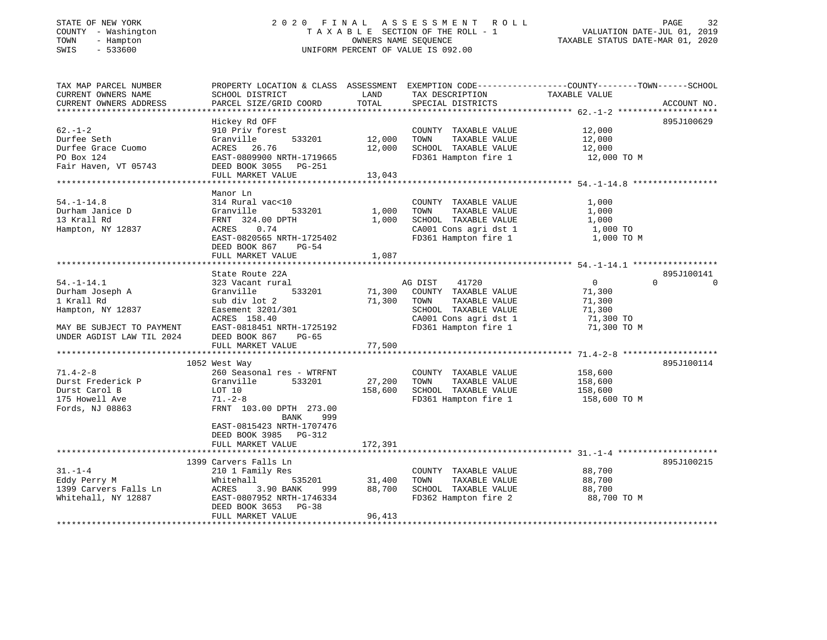## STATE OF NEW YORK 2 0 2 0 F I N A L A S S E S S M E N T R O L L PAGE 32 COUNTY - Washington T A X A B L E SECTION OF THE ROLL - 1 VALUATION DATE-JUL 01, 2019 TOWN - Hampton OWNERS NAME SEQUENCE TAXABLE STATUS DATE-MAR 01, 2020 SWIS - 533600 UNIFORM PERCENT OF VALUE IS 092.00

| TAX MAP PARCEL NUMBER<br>CURRENT OWNERS NAME<br>CURRENT OWNERS ADDRESS  | PROPERTY LOCATION & CLASS ASSESSMENT EXEMPTION CODE----------------COUNTY-------TOWN------SCHOOL<br>SCHOOL DISTRICT<br>PARCEL SIZE/GRID COORD   | LAND<br>TOTAL           | TAX DESCRIPTION<br>SPECIAL DISTRICTS                                                                                   | TAXABLE VALUE                                     | ACCOUNT NO.        |
|-------------------------------------------------------------------------|-------------------------------------------------------------------------------------------------------------------------------------------------|-------------------------|------------------------------------------------------------------------------------------------------------------------|---------------------------------------------------|--------------------|
|                                                                         |                                                                                                                                                 |                         |                                                                                                                        |                                                   |                    |
| $62 - 1 - 2$<br>Durfee Seth                                             | Hickey Rd OFF<br>910 Priv forest<br>533201                                                                                                      |                         | COUNTY TAXABLE VALUE<br>TOWN<br>TAXABLE VALUE                                                                          | 12,000                                            | 895J100629         |
| Durfee Grace Cuomo<br>PO Box 124                                        | Granville<br>ACRES 26.76<br>EAST-0809900 NRTH-1719665                                                                                           | 12,000<br>12,000        | SCHOOL TAXABLE VALUE<br>FD361 Hampton fire 1                                                                           | 12,000<br>12,000<br>12,000 TO M                   |                    |
| Fair Haven, VT 05743                                                    | DEED BOOK 3055 PG-251<br>FULL MARKET VALUE                                                                                                      | 13,043                  |                                                                                                                        |                                                   |                    |
|                                                                         |                                                                                                                                                 |                         |                                                                                                                        |                                                   |                    |
| $54. - 1 - 14.8$<br>Durham Janice D<br>13 Krall Rd<br>Hampton, NY 12837 | Manor Ln<br>314 Rural vac<10<br>Granville<br>533201<br>FRNT 324.00 DPTH<br>0.74<br>ACRES<br>EAST-0820565 NRTH-1725402<br>DEED BOOK 867<br>PG-54 | 1,000<br>1,000<br>1,087 | COUNTY TAXABLE VALUE<br>TOWN<br>TAXABLE VALUE<br>SCHOOL TAXABLE VALUE<br>CA001 Cons agri dst 1<br>FD361 Hampton fire 1 | 1,000<br>1,000<br>1,000<br>1,000 TO<br>1,000 TO M |                    |
|                                                                         | FULL MARKET VALUE                                                                                                                               |                         |                                                                                                                        |                                                   |                    |
|                                                                         | State Route 22A                                                                                                                                 |                         |                                                                                                                        |                                                   | 895J100141         |
| $54. - 1 - 14.1$                                                        | 323 Vacant rural                                                                                                                                |                         | AG DIST<br>41720                                                                                                       | $\overline{0}$                                    | $\cap$<br>$\Omega$ |
| Durham Joseph A                                                         | Granville<br>533201                                                                                                                             | 71,300                  | COUNTY TAXABLE VALUE                                                                                                   | 71,300                                            |                    |
| 1 Krall Rd                                                              | sub div lot 2                                                                                                                                   | 71,300                  | TOWN<br>TAXABLE VALUE                                                                                                  | 71,300                                            |                    |
| Hampton, NY 12837                                                       | Easement 3201/301<br>ACRES 158.40                                                                                                               |                         | SCHOOL TAXABLE VALUE<br>CA001 Cons agri dst 1                                                                          | 71,300                                            |                    |
| MAY BE SUBJECT TO PAYMENT                                               | EAST-0818451 NRTH-1725192                                                                                                                       |                         | FD361 Hampton fire 1                                                                                                   | 71,300 TO<br>71,300 TO M                          |                    |
| UNDER AGDIST LAW TIL 2024                                               | DEED BOOK 867<br>PG-65                                                                                                                          |                         |                                                                                                                        |                                                   |                    |
|                                                                         | FULL MARKET VALUE                                                                                                                               | 77,500                  |                                                                                                                        |                                                   |                    |
|                                                                         | 1052 West Way                                                                                                                                   |                         |                                                                                                                        |                                                   | 895J100114         |
| $71.4 - 2 - 8$                                                          | 260 Seasonal res - WTRFNT                                                                                                                       |                         | COUNTY TAXABLE VALUE                                                                                                   | 158,600                                           |                    |
| Durst Frederick P                                                       | Granville<br>533201                                                                                                                             | 27,200                  | TOWN<br>TAXABLE VALUE                                                                                                  | 158,600                                           |                    |
| Durst Carol B                                                           | LOT 10                                                                                                                                          | 158,600                 | SCHOOL TAXABLE VALUE                                                                                                   | 158,600                                           |                    |
| 175 Howell Ave                                                          | $71. - 2 - 8$                                                                                                                                   |                         | FD361 Hampton fire 1                                                                                                   | 158,600 TO M                                      |                    |
| Fords, NJ 08863                                                         | FRNT 103.00 DPTH 273.00<br>BANK<br>999<br>EAST-0815423 NRTH-1707476<br>DEED BOOK 3985 PG-312                                                    |                         |                                                                                                                        |                                                   |                    |
|                                                                         | FULL MARKET VALUE                                                                                                                               | 172,391                 |                                                                                                                        |                                                   |                    |
|                                                                         |                                                                                                                                                 |                         |                                                                                                                        |                                                   |                    |
|                                                                         | 1399 Carvers Falls Ln                                                                                                                           |                         |                                                                                                                        |                                                   | 895J100215         |
| $31. - 1 - 4$                                                           | 210 1 Family Res                                                                                                                                |                         | COUNTY TAXABLE VALUE                                                                                                   | 88,700                                            |                    |
| Eddy Perry M                                                            | Whitehall<br>535201                                                                                                                             | 31,400                  | TAXABLE VALUE<br>TOWN                                                                                                  | 88,700                                            |                    |
| 1399 Carvers Falls Ln<br>Whitehall, NY 12887                            | ACRES<br>3.90 BANK<br>999<br>EAST-0807952 NRTH-1746334<br>DEED BOOK 3653<br>$PG-38$                                                             | 88,700                  | SCHOOL TAXABLE VALUE<br>FD362 Hampton fire 2                                                                           | 88,700<br>88,700 TO M                             |                    |
|                                                                         | FULL MARKET VALUE                                                                                                                               | 96,413                  |                                                                                                                        |                                                   |                    |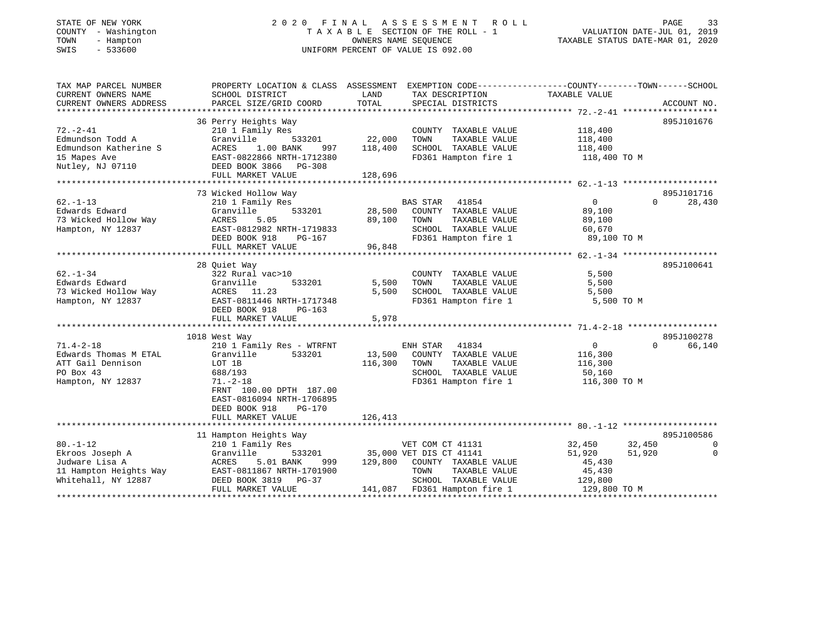## STATE OF NEW YORK 2 0 2 0 F I N A L A S S E S S M E N T R O L L PAGE 33 COUNTY - Washington T A X A B L E SECTION OF THE ROLL - 1 VALUATION DATE-JUL 01, 2019 TOWN - Hampton OWNERS NAME SEQUENCE TAXABLE STATUS DATE-MAR 01, 2020 SWIS - 533600 UNIFORM PERCENT OF VALUE IS 092.00UNIFORM PERCENT OF VALUE IS 092.00

| TAX MAP PARCEL NUMBER<br>CURRENT OWNERS NAME<br>CURRENT OWNERS ADDRESS | PROPERTY LOCATION & CLASS ASSESSMENT EXEMPTION CODE----------------COUNTY-------TOWN------SCHOOL<br>SCHOOL DISTRICT<br>PARCEL SIZE/GRID COORD | LAND<br>TOTAL     | TAX DESCRIPTION<br>SPECIAL DISTRICTS          | TAXABLE VALUE      | ACCOUNT NO.           |
|------------------------------------------------------------------------|-----------------------------------------------------------------------------------------------------------------------------------------------|-------------------|-----------------------------------------------|--------------------|-----------------------|
|                                                                        |                                                                                                                                               |                   |                                               |                    |                       |
|                                                                        | 36 Perry Heights Way                                                                                                                          |                   |                                               |                    | 895J101676            |
| $72. - 2 - 41$                                                         | 210 1 Family Res                                                                                                                              |                   | COUNTY TAXABLE VALUE                          | 118,400            |                       |
| Edmundson Todd A<br>Edmundson Katherine S                              | 533201<br>Granville<br>ACRES<br>1.00 BANK                                                                                                     | 22,000<br>118,400 | TAXABLE VALUE<br>TOWN<br>SCHOOL TAXABLE VALUE | 118,400<br>118,400 |                       |
| 15 Mapes Ave                                                           | 997<br>EAST-0822866 NRTH-1712380                                                                                                              |                   | FD361 Hampton fire 1                          | 118,400 TO M       |                       |
| Nutley, NJ 07110                                                       | DEED BOOK 3866 PG-308                                                                                                                         |                   |                                               |                    |                       |
|                                                                        | FULL MARKET VALUE                                                                                                                             | 128,696           |                                               |                    |                       |
|                                                                        |                                                                                                                                               |                   |                                               |                    |                       |
|                                                                        | 73 Wicked Hollow Way                                                                                                                          |                   |                                               |                    | 895J101716            |
| $62. - 1 - 13$                                                         | 210 1 Family Res                                                                                                                              |                   | BAS STAR<br>41854                             | $\mathbf 0$        | 28,430<br>$\Omega$    |
| Edwards Edward                                                         | Granville<br>533201                                                                                                                           | 28,500            | COUNTY TAXABLE VALUE                          | 89,100             |                       |
| 73 Wicked Hollow Way                                                   | ACRES<br>5.05                                                                                                                                 | 89,100            | TOWN<br>TAXABLE VALUE                         | 89,100             |                       |
| Hampton, NY 12837                                                      | EAST-0812982 NRTH-1719833                                                                                                                     |                   | SCHOOL TAXABLE VALUE                          | 60,670             |                       |
|                                                                        | DEED BOOK 918<br>PG-167                                                                                                                       |                   | FD361 Hampton fire 1                          | 89,100 TO M        |                       |
|                                                                        | FULL MARKET VALUE                                                                                                                             | 96,848            |                                               |                    |                       |
|                                                                        |                                                                                                                                               |                   |                                               |                    |                       |
|                                                                        | 28 Ouiet Way                                                                                                                                  |                   |                                               |                    | 895J100641            |
| $62 - 1 - 34$                                                          | 322 Rural vac>10                                                                                                                              |                   | COUNTY TAXABLE VALUE                          | 5,500              |                       |
| Edwards Edward                                                         | Granville<br>533201                                                                                                                           | 5,500             | TOWN<br>TAXABLE VALUE                         | 5,500              |                       |
| 73 Wicked Hollow Way                                                   | ACRES<br>11.23                                                                                                                                | 5,500             | SCHOOL TAXABLE VALUE                          | 5,500              |                       |
| Hampton, NY 12837                                                      | EAST-0811446 NRTH-1717348                                                                                                                     |                   | FD361 Hampton fire 1                          | 5,500 TO M         |                       |
|                                                                        | DEED BOOK 918<br>PG-163                                                                                                                       |                   |                                               |                    |                       |
|                                                                        | FULL MARKET VALUE                                                                                                                             | 5,978             |                                               |                    |                       |
|                                                                        |                                                                                                                                               |                   |                                               |                    |                       |
|                                                                        | 1018 West Way                                                                                                                                 |                   |                                               |                    | 895J100278            |
| $71.4 - 2 - 18$                                                        | 210 1 Family Res - WTRFNT                                                                                                                     |                   | ENH STAR<br>41834                             | $\mathbf{0}$       | 66,140<br>$\Omega$    |
| Edwards Thomas M ETAL                                                  | Granville<br>533201                                                                                                                           | 13,500            | COUNTY TAXABLE VALUE                          | 116,300            |                       |
| ATT Gail Dennison                                                      | LOT 1B                                                                                                                                        | 116,300           | TAXABLE VALUE<br>TOWN                         | 116,300            |                       |
| PO Box 43                                                              | 688/193                                                                                                                                       |                   | SCHOOL TAXABLE VALUE                          | 50,160             |                       |
| Hampton, NY 12837                                                      | $71. - 2 - 18$                                                                                                                                |                   | FD361 Hampton fire 1                          | 116,300 TO M       |                       |
|                                                                        | FRNT 100.00 DPTH 187.00                                                                                                                       |                   |                                               |                    |                       |
|                                                                        | EAST-0816094 NRTH-1706895                                                                                                                     |                   |                                               |                    |                       |
|                                                                        | DEED BOOK 918<br>$PG-170$                                                                                                                     |                   |                                               |                    |                       |
|                                                                        | FULL MARKET VALUE                                                                                                                             | 126,413           |                                               |                    |                       |
|                                                                        |                                                                                                                                               |                   |                                               |                    |                       |
|                                                                        | 11 Hampton Heights Way                                                                                                                        |                   |                                               |                    | 895J100586            |
| $80. - 1 - 12$                                                         | 210 1 Family Res                                                                                                                              |                   | VET COM CT 41131                              | 32,450             | 32,450<br>0           |
| Ekroos Joseph A                                                        | Granville<br>533201                                                                                                                           |                   | 35,000 VET DIS CT 41141                       | 51,920             | $\mathbf 0$<br>51,920 |
| Judware Lisa A                                                         | ACRES<br>5.01 BANK<br>999                                                                                                                     | 129,800           | COUNTY TAXABLE VALUE                          | 45,430             |                       |
| 11 Hampton Heights Way                                                 | EAST-0811867 NRTH-1701900                                                                                                                     |                   | TOWN<br>TAXABLE VALUE                         | 45,430             |                       |
| Whitehall, NY 12887                                                    | DEED BOOK 3819<br>PG-37                                                                                                                       |                   | SCHOOL TAXABLE VALUE                          | 129,800            |                       |
|                                                                        | FULL MARKET VALUE                                                                                                                             |                   | 141,087 FD361 Hampton fire 1                  | 129,800 TO M       |                       |
|                                                                        |                                                                                                                                               |                   |                                               |                    |                       |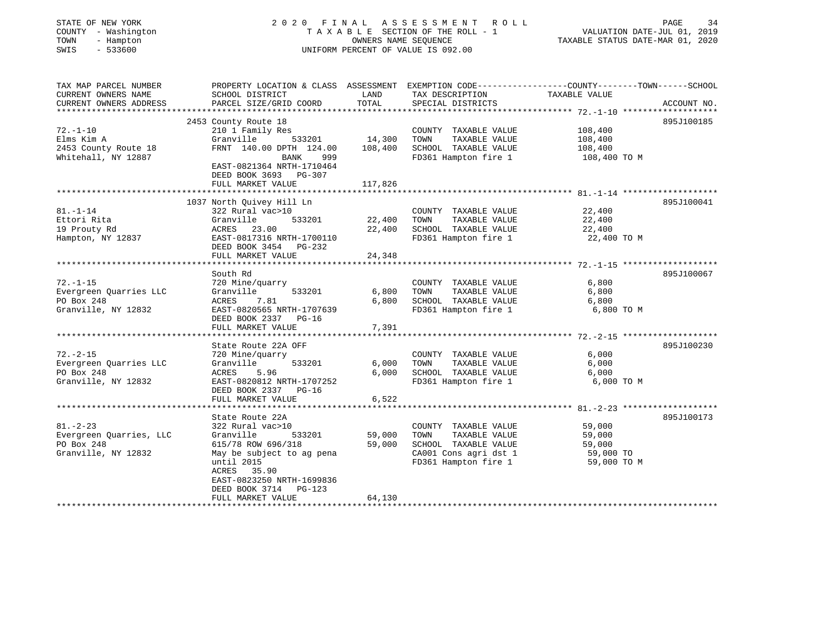| STATE OF NEW YORK<br>COUNTY - Washington<br>TOWN<br>- Hampton<br>SWIS<br>$-533600$ |                                                                         | OWNERS NAME SEQUENCE | 2020 FINAL ASSESSMENT ROLL<br>TAXABLE SECTION OF THE ROLL - 1<br>UNIFORM PERCENT OF VALUE IS 092.00 | PAGE<br>34<br>VALUATION DATE-JUL 01, 2019<br>TAXABLE STATUS DATE-MAR 01, 2020                                     |
|------------------------------------------------------------------------------------|-------------------------------------------------------------------------|----------------------|-----------------------------------------------------------------------------------------------------|-------------------------------------------------------------------------------------------------------------------|
| TAX MAP PARCEL NUMBER<br>CURRENT OWNERS NAME                                       | SCHOOL DISTRICT                                                         | LAND                 | TAX DESCRIPTION                                                                                     | PROPERTY LOCATION & CLASS ASSESSMENT EXEMPTION CODE----------------COUNTY-------TOWN------SCHOOL<br>TAXABLE VALUE |
| CURRENT OWNERS ADDRESS                                                             | PARCEL SIZE/GRID COORD                                                  | TOTAL                | SPECIAL DISTRICTS                                                                                   | ACCOUNT NO.                                                                                                       |
|                                                                                    | 2453 County Route 18                                                    |                      |                                                                                                     | 895J100185                                                                                                        |
| $72. - 1 - 10$                                                                     | 210 1 Family Res                                                        |                      | COUNTY TAXABLE VALUE                                                                                | 108,400                                                                                                           |
| Elms Kim A                                                                         | Granville<br>533201                                                     | 14,300               | TOWN<br>TAXABLE VALUE                                                                               | 108,400                                                                                                           |
| 2453 County Route 18                                                               | FRNT 140.00 DPTH 124.00                                                 | 108,400              | SCHOOL TAXABLE VALUE                                                                                | 108,400                                                                                                           |
| Whitehall, NY 12887                                                                | 999<br>BANK<br>EAST-0821364 NRTH-1710464<br>DEED BOOK 3693 PG-307       |                      | FD361 Hampton fire 1                                                                                | 108,400 TO M                                                                                                      |
|                                                                                    | FULL MARKET VALUE                                                       | 117,826              |                                                                                                     |                                                                                                                   |
|                                                                                    |                                                                         |                      |                                                                                                     |                                                                                                                   |
|                                                                                    | 1037 North Quivey Hill Ln                                               |                      |                                                                                                     | 895J100041                                                                                                        |
| $81. - 1 - 14$                                                                     | 322 Rural vac>10                                                        |                      | COUNTY TAXABLE VALUE                                                                                | 22,400                                                                                                            |
| Ettori Rita                                                                        | Granville<br>533201                                                     | 22,400               | TAXABLE VALUE<br>TOWN                                                                               | 22,400                                                                                                            |
| 19 Prouty Rd                                                                       | ACRES 23.00                                                             | 22,400               | SCHOOL TAXABLE VALUE                                                                                | 22,400                                                                                                            |
| Hampton, NY 12837                                                                  | EAST-0817316 NRTH-1700110<br>DEED BOOK 3454 PG-232<br>FULL MARKET VALUE | 24,348               | FD361 Hampton fire 1                                                                                | 22,400 TO M                                                                                                       |
|                                                                                    |                                                                         |                      |                                                                                                     |                                                                                                                   |
|                                                                                    | South Rd                                                                |                      |                                                                                                     | 895J100067                                                                                                        |
| $72. - 1 - 15$                                                                     | 720 Mine/quarry                                                         |                      | COUNTY TAXABLE VALUE                                                                                | 6,800                                                                                                             |
| Evergreen Quarries LLC                                                             | 533201<br>Granville                                                     | 6,800                | TAXABLE VALUE<br>TOWN                                                                               | 6,800                                                                                                             |
| PO Box 248                                                                         | ACRES<br>7.81                                                           | 6,800                | SCHOOL TAXABLE VALUE                                                                                | 6,800                                                                                                             |
| Granville, NY 12832                                                                | EAST-0820565 NRTH-1707639                                               |                      | FD361 Hampton fire 1                                                                                | 6,800 TO M                                                                                                        |
|                                                                                    | DEED BOOK 2337 PG-16                                                    |                      |                                                                                                     |                                                                                                                   |
|                                                                                    | FULL MARKET VALUE                                                       | 7,391                |                                                                                                     |                                                                                                                   |
|                                                                                    | ************************                                                |                      |                                                                                                     |                                                                                                                   |
|                                                                                    | State Route 22A OFF                                                     |                      |                                                                                                     | 895J100230                                                                                                        |
| $72. - 2 - 15$                                                                     | 720 Mine/quarry                                                         |                      | COUNTY TAXABLE VALUE                                                                                | 6,000                                                                                                             |
| Evergreen Quarries LLC                                                             | Granville<br>533201                                                     | 6,000                | TOWN<br>TAXABLE VALUE                                                                               | 6,000                                                                                                             |
| PO Box 248                                                                         | ACRES<br>5.96                                                           | 6.000                | SCHOOL TAXABLE VALUE                                                                                | 6,000                                                                                                             |
| Granville, NY 12832                                                                | EAST-0820812 NRTH-1707252                                               |                      | FD361 Hampton fire 1                                                                                | 6,000 TO M                                                                                                        |
|                                                                                    | DEED BOOK 2337 PG-16                                                    |                      |                                                                                                     |                                                                                                                   |
|                                                                                    | FULL MARKET VALUE                                                       | 6,522                |                                                                                                     |                                                                                                                   |
|                                                                                    |                                                                         |                      |                                                                                                     |                                                                                                                   |
|                                                                                    | State Route 22A                                                         |                      |                                                                                                     | 895J100173                                                                                                        |
| $81. - 2 - 23$                                                                     | 322 Rural vac>10                                                        |                      | COUNTY TAXABLE VALUE                                                                                | 59,000                                                                                                            |
| Evergreen Quarries, LLC                                                            | Granville<br>533201                                                     | 59,000               | TAXABLE VALUE<br>TOWN                                                                               | 59,000                                                                                                            |
| PO Box 248                                                                         | 615/78 ROW 696/318                                                      | 59,000               | SCHOOL TAXABLE VALUE                                                                                | 59,000                                                                                                            |
| Granville, NY 12832                                                                | May be subject to ag pena                                               |                      | CA001 Cons agri dst 1                                                                               | 59,000 TO                                                                                                         |
|                                                                                    | until 2015                                                              |                      | FD361 Hampton fire 1                                                                                | 59,000 TO M                                                                                                       |
|                                                                                    | ACRES 35.90<br>EAST-0823250 NRTH-1699836                                |                      |                                                                                                     |                                                                                                                   |

\*\*\*\*\*\*\*\*\*\*\*\*\*\*\*\*\*\*\*\*\*\*\*\*\*\*\*\*\*\*\*\*\*\*\*\*\*\*\*\*\*\*\*\*\*\*\*\*\*\*\*\*\*\*\*\*\*\*\*\*\*\*\*\*\*\*\*\*\*\*\*\*\*\*\*\*\*\*\*\*\*\*\*\*\*\*\*\*\*\*\*\*\*\*\*\*\*\*\*\*\*\*\*\*\*\*\*\*\*\*\*\*\*\*\*\*\*\*\*\*\*\*\*\*\*\*\*\*\*\*\*\*

 DEED BOOK 3714 PG-123FULL MARKET VALUE 64,130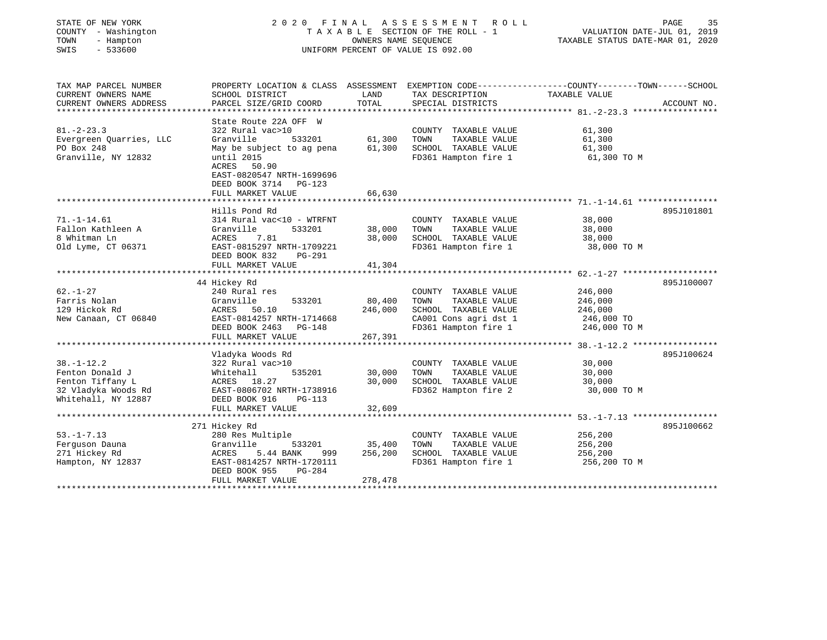| STATE OF NEW YORK<br>COUNTY - Washington<br>TOWN<br>- Hampton<br>$-533600$<br>SWIS                    | A S S E S S M E N T<br>2020 FINAL<br>R O L L<br>TAXABLE SECTION OF THE ROLL - 1<br>OWNERS NAME SEOUENCE<br>UNIFORM PERCENT OF VALUE IS 092.00                                                            |                              |                                                                                                                        | PAGE<br>35<br>VALUATION DATE-JUL 01, 2019<br>TAXABLE STATUS DATE-MAR 01, 2020                                                    |
|-------------------------------------------------------------------------------------------------------|----------------------------------------------------------------------------------------------------------------------------------------------------------------------------------------------------------|------------------------------|------------------------------------------------------------------------------------------------------------------------|----------------------------------------------------------------------------------------------------------------------------------|
| TAX MAP PARCEL NUMBER<br>CURRENT OWNERS NAME<br>CURRENT OWNERS ADDRESS<br>*************************   | SCHOOL DISTRICT<br>PARCEL SIZE/GRID COORD                                                                                                                                                                | LAND<br>TOTAL                | TAX DESCRIPTION<br>SPECIAL DISTRICTS                                                                                   | PROPERTY LOCATION & CLASS ASSESSMENT EXEMPTION CODE----------------COUNTY-------TOWN------SCHOOL<br>TAXABLE VALUE<br>ACCOUNT NO. |
| $81. - 2 - 23.3$<br>Evergreen Quarries, LLC<br>PO Box 248<br>Granville, NY 12832                      | State Route 22A OFF W<br>322 Rural vac>10<br>Granville<br>533201<br>May be subject to ag pena<br>until 2015<br>ACRES<br>50.90<br>EAST-0820547 NRTH-1699696<br>DEED BOOK 3714 PG-123<br>FULL MARKET VALUE | 61,300<br>61,300<br>66,630   | COUNTY TAXABLE VALUE<br>TOWN<br>TAXABLE VALUE<br>SCHOOL TAXABLE VALUE<br>FD361 Hampton fire 1                          | 61,300<br>61,300<br>61,300<br>61,300 TO M                                                                                        |
|                                                                                                       |                                                                                                                                                                                                          |                              |                                                                                                                        |                                                                                                                                  |
| $71. - 1 - 14.61$<br>Fallon Kathleen A<br>8 Whitman Ln<br>Old Lyme, CT 06371                          | Hills Pond Rd<br>314 Rural vac<10 - WTRFNT<br>Granville<br>533201<br>7.81<br>ACRES<br>EAST-0815297 NRTH-1709221<br>DEED BOOK 832<br>PG-291                                                               | 38,000<br>38,000             | COUNTY TAXABLE VALUE<br>TOWN<br>TAXABLE VALUE<br>SCHOOL TAXABLE VALUE<br>FD361 Hampton fire 1                          | 895J101801<br>38,000<br>38,000<br>38,000<br>38,000 TO M                                                                          |
|                                                                                                       | FULL MARKET VALUE                                                                                                                                                                                        | 41,304                       |                                                                                                                        |                                                                                                                                  |
|                                                                                                       |                                                                                                                                                                                                          |                              |                                                                                                                        |                                                                                                                                  |
| $62. - 1 - 27$<br>Farris Nolan<br>129 Hickok Rd<br>New Canaan, CT 06840                               | 44 Hickey Rd<br>240 Rural res<br>Granville<br>533201<br>ACRES<br>50.10<br>EAST-0814257 NRTH-1714668<br>DEED BOOK 2463<br>PG-148<br>FULL MARKET VALUE                                                     | 80,400<br>246,000<br>267,391 | COUNTY TAXABLE VALUE<br>TOWN<br>TAXABLE VALUE<br>SCHOOL TAXABLE VALUE<br>CA001 Cons agri dst 1<br>FD361 Hampton fire 1 | 895J100007<br>246,000<br>246,000<br>246,000<br>246,000 TO<br>246,000 TO M                                                        |
|                                                                                                       |                                                                                                                                                                                                          |                              |                                                                                                                        |                                                                                                                                  |
| $38. - 1 - 12.2$<br>Fenton Donald J<br>Fenton Tiffany L<br>32 Vladyka Woods Rd<br>Whitehall, NY 12887 | Vladyka Woods Rd<br>322 Rural vac>10<br>Whitehall<br>535201<br>ACRES 18.27<br>EAST-0806702 NRTH-1738916<br>DEED BOOK 916<br>PG-113<br>FULL MARKET VALUE                                                  | 30,000<br>30,000<br>32,609   | COUNTY TAXABLE VALUE<br>TOWN<br>TAXABLE VALUE<br>SCHOOL TAXABLE VALUE<br>FD362 Hampton fire 2                          | 895J100624<br>30,000<br>30,000<br>30,000<br>30,000 TO M                                                                          |
|                                                                                                       | 271 Hickey Rd                                                                                                                                                                                            |                              |                                                                                                                        | 895J100662                                                                                                                       |
| $53. - 1 - 7.13$<br>Ferguson Dauna<br>271 Hickey Rd<br>Hampton, NY 12837                              | 280 Res Multiple<br>Granville<br>533201<br>ACRES<br>5.44 BANK<br>999<br>EAST-0814257 NRTH-1720111<br>DEED BOOK 955<br>PG-284<br>הזדד גזר חהת שם גזר דדוה                                                 | 35,400<br>256,200<br>270 470 | COUNTY TAXABLE VALUE<br>TOWN<br>TAXABLE VALUE<br>SCHOOL TAXABLE VALUE<br>FD361 Hampton fire 1                          | 256,200<br>256,200<br>256,200<br>256,200 TO M                                                                                    |

FULL MARKET VALUE 278,478 \*\*\*\*\*\*\*\*\*\*\*\*\*\*\*\*\*\*\*\*\*\*\*\*\*\*\*\*\*\*\*\*\*\*\*\*\*\*\*\*\*\*\*\*\*\*\*\*\*\*\*\*\*\*\*\*\*\*\*\*\*\*\*\*\*\*\*\*\*\*\*\*\*\*\*\*\*\*\*\*\*\*\*\*\*\*\*\*\*\*\*\*\*\*\*\*\*\*\*\*\*\*\*\*\*\*\*\*\*\*\*\*\*\*\*\*\*\*\*\*\*\*\*\*\*\*\*\*\*\*\*\*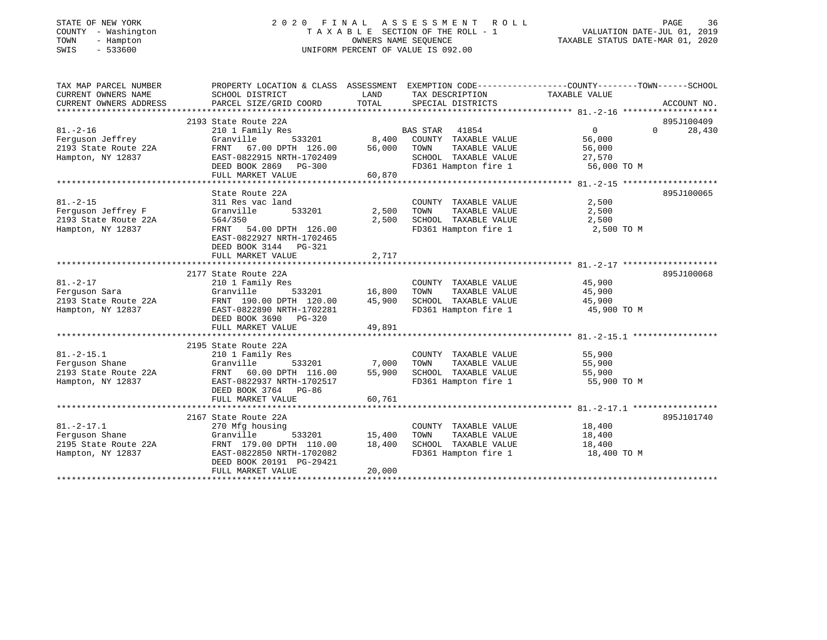| STATE OF NEW YORK |        |              |
|-------------------|--------|--------------|
| COUNTY            |        | - Washington |
| TOWN              |        | - Hampton    |
| SMTS              | $\sim$ | 533600       |

# STATE OF NEW YORK 2 0 2 0 F I N A L A S S E S S M E N T R O L L PAGE 36COUNTY - Washington T A X A B L E SECTION OF THE ROLL - 1 VALUATION DATE-JUL 01, 2019 SWIS - 533600 UNIFORM PERCENT OF VALUE IS 092.00

TAXABLE STATUS DATE-MAR 01, 2020

| TAX MAP PARCEL NUMBER                      |                                                |                  |                                               | PROPERTY LOCATION & CLASS ASSESSMENT EXEMPTION CODE---------------COUNTY-------TOWN-----SCHOOL |  |
|--------------------------------------------|------------------------------------------------|------------------|-----------------------------------------------|------------------------------------------------------------------------------------------------|--|
| CURRENT OWNERS NAME                        | SCHOOL DISTRICT                                | LAND             | TAX DESCRIPTION                               | TAXABLE VALUE                                                                                  |  |
| CURRENT OWNERS ADDRESS                     | PARCEL SIZE/GRID COORD                         | TOTAL            | SPECIAL DISTRICTS                             | ACCOUNT NO.                                                                                    |  |
|                                            |                                                |                  |                                               |                                                                                                |  |
|                                            | 2193 State Route 22A                           |                  |                                               | 895J100409                                                                                     |  |
| $81. - 2 - 16$                             | 210 1 Family Res                               |                  | BAS STAR 41854<br>8,400 COUNTY TAXABLE VALUE  | 28,430<br>$\overline{0}$<br>$\Omega$                                                           |  |
| Ferquson Jeffrey                           | Granville<br>533201                            |                  |                                               | 56,000                                                                                         |  |
| 2193 State Route 22A                       | 67.00 DPTH 126.00<br>FRNT                      | 56,000           | TOWN<br>TAXABLE VALUE                         | 56,000                                                                                         |  |
| Hampton, NY 12837                          | EAST-0822915 NRTH-1702409                      |                  | SCHOOL TAXABLE VALUE 27,570                   |                                                                                                |  |
|                                            | DEED BOOK 2869<br>PG-300                       |                  | FD361 Hampton fire 1                          | 56,000 TO M                                                                                    |  |
|                                            | FULL MARKET VALUE                              | 60,870           |                                               |                                                                                                |  |
|                                            |                                                |                  |                                               |                                                                                                |  |
|                                            | State Route 22A                                |                  |                                               | 895J100065                                                                                     |  |
| $81. - 2 - 15$                             | 311 Res vac land<br>533201                     |                  | COUNTY TAXABLE VALUE                          | 2,500                                                                                          |  |
| Ferguson Jeffrey F<br>2193 State Route 22A | Granville<br>564/350                           | 2,500<br>2,500   | TOWN<br>TAXABLE VALUE<br>SCHOOL TAXABLE VALUE | 2,500<br>2,500                                                                                 |  |
| Hampton, NY 12837                          | FRNT<br>54.00 DPTH 126.00                      |                  | FD361 Hampton fire 1                          | 2,500 TO M                                                                                     |  |
|                                            | EAST-0822927 NRTH-1702465                      |                  |                                               |                                                                                                |  |
|                                            | DEED BOOK 3144 PG-321                          |                  |                                               |                                                                                                |  |
|                                            | FULL MARKET VALUE                              | 2,717            |                                               |                                                                                                |  |
|                                            |                                                |                  |                                               |                                                                                                |  |
|                                            | 2177 State Route 22A                           |                  |                                               | 895J100068                                                                                     |  |
| $81. - 2 - 17$                             | 210 1 Family Res                               |                  | COUNTY TAXABLE VALUE                          | 45,900                                                                                         |  |
| Ferquson Sara                              | Granville                                      | 533201 16,800    | TOWN<br>TAXABLE VALUE                         | 45,900                                                                                         |  |
| 2193 State Route 22A                       | FRNT 190.00 DPTH 120.00                        | 45,900           | SCHOOL TAXABLE VALUE                          | 45,900                                                                                         |  |
| Hampton, NY 12837                          | EAST-0822890 NRTH-1702281                      |                  | FD361 Hampton fire 1                          | 45,900 TO M                                                                                    |  |
|                                            | DEED BOOK 3690<br>PG-320                       |                  |                                               |                                                                                                |  |
|                                            | FULL MARKET VALUE                              | 49,891           |                                               |                                                                                                |  |
|                                            |                                                |                  |                                               |                                                                                                |  |
|                                            | 2195 State Route 22A                           |                  |                                               |                                                                                                |  |
| $81. - 2 - 15.1$                           | 210 1 Family Res                               |                  | COUNTY TAXABLE VALUE                          | 55,900                                                                                         |  |
| Ferquson Shane                             | Granville                                      | 533201 7,000     | TOWN<br>TAXABLE VALUE                         | 55,900                                                                                         |  |
| 2193 State Route 22A                       | FRNT 60.00 DPTH 116.00 55,900                  |                  | SCHOOL TAXABLE VALUE                          | 55,900                                                                                         |  |
| Hampton, NY 12837                          | EAST-0822937 NRTH-1702517                      |                  | FD361 Hampton fire 1                          | 55,900 TO M                                                                                    |  |
|                                            | DEED BOOK 3764 PG-86                           |                  |                                               |                                                                                                |  |
|                                            | FULL MARKET VALUE                              | 60,761           |                                               |                                                                                                |  |
|                                            |                                                |                  |                                               |                                                                                                |  |
|                                            | 2167 State Route 22A                           |                  |                                               | 895J101740                                                                                     |  |
| $81. -2 - 17.1$                            | 270 Mfg housing                                |                  | COUNTY TAXABLE VALUE                          | 18,400                                                                                         |  |
| Ferguson Shane<br>2195 State Route 22A     | Granville<br>533201<br>FRNT 179.00 DPTH 110.00 | 15,400<br>18,400 | TOWN<br>TAXABLE VALUE<br>SCHOOL TAXABLE VALUE | 18,400<br>18,400                                                                               |  |
| Hampton, NY 12837                          | EAST-0822850 NRTH-1702082                      |                  | FD361 Hampton fire 1                          | 18,400 TO M                                                                                    |  |
|                                            | DEED BOOK 20191 PG-29421                       |                  |                                               |                                                                                                |  |
|                                            | FULL MARKET VALUE                              | 20,000           |                                               |                                                                                                |  |
|                                            |                                                |                  |                                               |                                                                                                |  |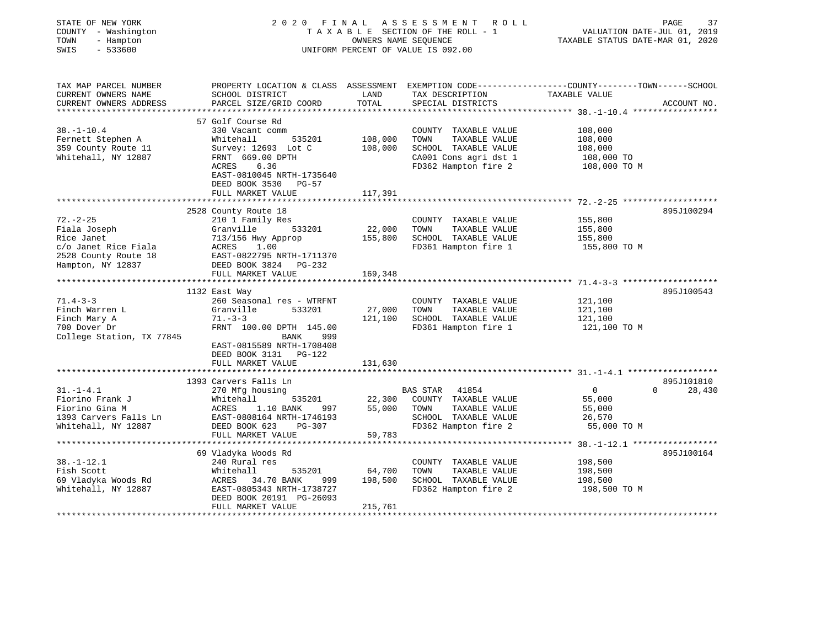| STATE OF NEW YORK<br>COUNTY - Washington<br>TOWN<br>- Hampton<br>$-533600$<br>SWIS | 2020 FINAL                                                                                       |             | ASSESSMENT ROLL<br>TAXABLE SECTION OF THE ROLL - 1<br>OWNERS NAME SEQUENCE<br>UNIFORM PERCENT OF VALUE IS 092.00 | VALUATION DATE-JUL 01, 2019<br>TAXABLE STATUS DATE-MAR 01, 2020 | 37<br>PAGE         |
|------------------------------------------------------------------------------------|--------------------------------------------------------------------------------------------------|-------------|------------------------------------------------------------------------------------------------------------------|-----------------------------------------------------------------|--------------------|
|                                                                                    |                                                                                                  |             |                                                                                                                  |                                                                 |                    |
| TAX MAP PARCEL NUMBER                                                              | PROPERTY LOCATION & CLASS ASSESSMENT EXEMPTION CODE----------------COUNTY-------TOWN------SCHOOL |             |                                                                                                                  |                                                                 |                    |
| CURRENT OWNERS NAME                                                                | SCHOOL DISTRICT                                                                                  | LAND        | TAX DESCRIPTION                                                                                                  | TAXABLE VALUE                                                   |                    |
| CURRENT OWNERS ADDRESS<br>***********************                                  | PARCEL SIZE/GRID COORD                                                                           | TOTAL       | SPECIAL DISTRICTS                                                                                                |                                                                 | ACCOUNT NO.        |
|                                                                                    |                                                                                                  |             |                                                                                                                  |                                                                 |                    |
| $38. - 1 - 10.4$                                                                   | 57 Golf Course Rd<br>330 Vacant comm                                                             |             | COUNTY TAXABLE VALUE                                                                                             | 108,000                                                         |                    |
| Fernett Stephen A                                                                  | Whitehall<br>535201                                                                              | 108,000     | TOWN<br>TAXABLE VALUE                                                                                            | 108,000                                                         |                    |
| 359 County Route 11                                                                | Survey: 12693 Lot C                                                                              | 108,000     | SCHOOL TAXABLE VALUE                                                                                             | 108,000                                                         |                    |
| Whitehall, NY 12887                                                                | FRNT 669.00 DPTH                                                                                 |             | CA001 Cons agri dst 1                                                                                            | 108,000 TO                                                      |                    |
|                                                                                    | ACRES<br>6.36                                                                                    |             | FD362 Hampton fire 2                                                                                             | 108,000 TO M                                                    |                    |
|                                                                                    | EAST-0810045 NRTH-1735640                                                                        |             |                                                                                                                  |                                                                 |                    |
|                                                                                    | DEED BOOK 3530 PG-57                                                                             |             |                                                                                                                  |                                                                 |                    |
|                                                                                    | FULL MARKET VALUE                                                                                | 117,391     |                                                                                                                  |                                                                 |                    |
|                                                                                    |                                                                                                  |             |                                                                                                                  |                                                                 |                    |
|                                                                                    | 2528 County Route 18                                                                             |             |                                                                                                                  |                                                                 | 895J100294         |
| $72. - 2 - 25$<br>Fiala Joseph                                                     | 210 1 Family Res<br>Granville<br>533201                                                          | 22,000      | COUNTY TAXABLE VALUE<br>TOWN<br>TAXABLE VALUE                                                                    | 155,800<br>155,800                                              |                    |
| Rice Janet                                                                         | 713/156 Hwy Approp                                                                               | 155,800     | SCHOOL TAXABLE VALUE                                                                                             | 155,800                                                         |                    |
| c/o Janet Rice Fiala                                                               | 1.00<br>ACRES                                                                                    |             | FD361 Hampton fire 1                                                                                             | 155,800 TO M                                                    |                    |
| 2528 County Route 18                                                               | EAST-0822795 NRTH-1711370                                                                        |             |                                                                                                                  |                                                                 |                    |
| Hampton, NY 12837                                                                  | DEED BOOK 3824 PG-232                                                                            |             |                                                                                                                  |                                                                 |                    |
|                                                                                    | FULL MARKET VALUE                                                                                | 169,348     |                                                                                                                  |                                                                 |                    |
|                                                                                    | *********                                                                                        | *********** |                                                                                                                  |                                                                 |                    |
|                                                                                    | 1132 East Way                                                                                    |             |                                                                                                                  |                                                                 | 895J100543         |
| $71.4 - 3 - 3$                                                                     | 260 Seasonal res - WTRFNT                                                                        |             | COUNTY TAXABLE VALUE                                                                                             | 121,100                                                         |                    |
| Finch Warren L                                                                     | Granville<br>533201                                                                              | 27,000      | TOWN<br>TAXABLE VALUE                                                                                            | 121,100                                                         |                    |
| Finch Mary A                                                                       | $71. - 3 - 3$                                                                                    | 121,100     | SCHOOL TAXABLE VALUE                                                                                             | 121,100                                                         |                    |
| 700 Dover Dr<br>College Station, TX 77845                                          | FRNT 100.00 DPTH 145.00<br><b>BANK</b><br>999                                                    |             | FD361 Hampton fire 1                                                                                             | 121,100 TO M                                                    |                    |
|                                                                                    | EAST-0815589 NRTH-1708408                                                                        |             |                                                                                                                  |                                                                 |                    |
|                                                                                    | DEED BOOK 3131 PG-122                                                                            |             |                                                                                                                  |                                                                 |                    |
|                                                                                    | FULL MARKET VALUE                                                                                | 131,630     |                                                                                                                  |                                                                 |                    |
|                                                                                    |                                                                                                  |             |                                                                                                                  |                                                                 |                    |
|                                                                                    | 1393 Carvers Falls Ln                                                                            |             |                                                                                                                  |                                                                 | 895J101810         |
| $31. - 1 - 4.1$                                                                    | 270 Mfg housing                                                                                  |             | <b>BAS STAR</b><br>41854                                                                                         | $\overline{0}$                                                  | $\Omega$<br>28,430 |
| Fiorino Frank J                                                                    | Whitehall<br>535201                                                                              | 22,300      | COUNTY TAXABLE VALUE                                                                                             | 55,000                                                          |                    |
| Fiorino Gina M                                                                     | ACRES<br>1.10 BANK<br>997                                                                        | 55,000      | TOWN<br>TAXABLE VALUE                                                                                            | 55,000                                                          |                    |
| 1393 Carvers Falls Ln                                                              | EAST-0808164 NRTH-1746193                                                                        |             | SCHOOL TAXABLE VALUE                                                                                             | 26,570                                                          |                    |
| Whitehall, NY 12887                                                                | DEED BOOK 623<br>PG-307<br>FULL MARKET VALUE                                                     | 59,783      | FD362 Hampton fire 2                                                                                             | 55,000 TO M                                                     |                    |
|                                                                                    | ********************                                                                             |             |                                                                                                                  |                                                                 |                    |
|                                                                                    | 69 Vladyka Woods Rd                                                                              |             |                                                                                                                  |                                                                 | 895J100164         |
| $38. - 1 - 12.1$                                                                   | 240 Rural res                                                                                    |             | COUNTY TAXABLE VALUE                                                                                             | 198,500                                                         |                    |
| Fish Scott                                                                         | Whitehall<br>535201                                                                              | 64,700      | TOWN<br>TAXABLE VALUE                                                                                            | 198,500                                                         |                    |
| 69 Vladyka Woods Rd                                                                | ACRES 34.70 BANK<br>999                                                                          | 198,500     | SCHOOL TAXABLE VALUE                                                                                             | 198,500                                                         |                    |
| Whitehall, NY 12887                                                                | EAST-0805343 NRTH-1738727                                                                        |             | FD362 Hampton fire 2                                                                                             | 198,500 TO M                                                    |                    |
|                                                                                    | DEED BOOK 20191 PG-26093                                                                         |             |                                                                                                                  |                                                                 |                    |
|                                                                                    | FULL MARKET VALUE                                                                                | 215,761     |                                                                                                                  |                                                                 |                    |
|                                                                                    |                                                                                                  |             |                                                                                                                  |                                                                 |                    |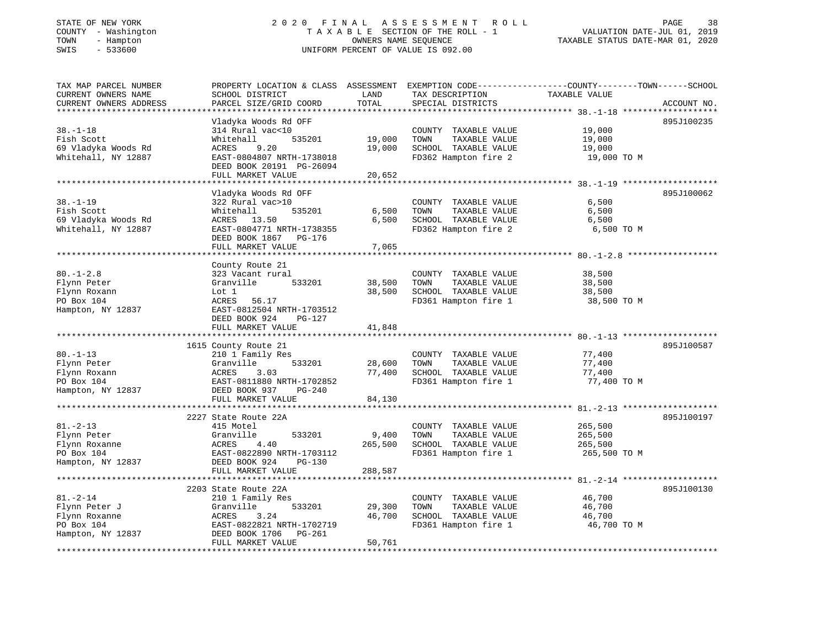### STATE OF NEW YORK 2 0 2 0 F I N A L A S S E S S M E N T R O L L PAGE 38COUNTY - Washington  $T A X A B L E$  SECTION OF THE ROLL - 1<br>TOWN - Hampton DATE-JUL 000NERS NAME SEQUENCE TOWN - Hampton OWNERS NAME SEQUENCE TAXABLE STATUS DATE-MAR 01, 2020 SWIS - 533600 UNIFORM PERCENT OF VALUE IS 092.00

# VALUATION DATE-JUL 01, 2019

| TAX MAP PARCEL NUMBER<br>CURRENT OWNERS NAME<br>CURRENT OWNERS ADDRESS     | PROPERTY LOCATION & CLASS ASSESSMENT<br>SCHOOL DISTRICT<br>PARCEL SIZE/GRID COORD                             | LAND<br>TOTAL    | TAX DESCRIPTION<br>SPECIAL DISTRICTS                                                          | EXEMPTION CODE-----------------COUNTY-------TOWN------SCHOOL<br>TAXABLE VALUE | ACCOUNT NO. |
|----------------------------------------------------------------------------|---------------------------------------------------------------------------------------------------------------|------------------|-----------------------------------------------------------------------------------------------|-------------------------------------------------------------------------------|-------------|
|                                                                            | **************                                                                                                | ********         |                                                                                               |                                                                               |             |
| $38. - 1 - 18$<br>Fish Scott<br>69 Vladyka Woods Rd<br>Whitehall, NY 12887 | Vladyka Woods Rd OFF<br>314 Rural vac<10<br>Whitehall<br>535201<br>9.20<br>ACRES<br>EAST-0804807 NRTH-1738018 | 19,000<br>19,000 | COUNTY TAXABLE VALUE<br>TOWN<br>TAXABLE VALUE<br>SCHOOL TAXABLE VALUE<br>FD362 Hampton fire 2 | 19,000<br>19,000<br>19,000<br>19,000 TO M                                     | 895J100235  |
|                                                                            | DEED BOOK 20191 PG-26094<br>FULL MARKET VALUE                                                                 | 20,652           |                                                                                               |                                                                               |             |
|                                                                            |                                                                                                               |                  |                                                                                               |                                                                               |             |
|                                                                            | Vladyka Woods Rd OFF                                                                                          |                  |                                                                                               |                                                                               | 895J100062  |
| $38. - 1 - 19$                                                             | 322 Rural vac>10                                                                                              |                  | COUNTY TAXABLE VALUE                                                                          | 6,500                                                                         |             |
| Fish Scott                                                                 | Whitehall<br>535201                                                                                           | 6,500            | TAXABLE VALUE<br>TOWN                                                                         | 6,500                                                                         |             |
| 69 Vladyka Woods Rd                                                        | ACRES 13.50                                                                                                   | 6,500            | SCHOOL TAXABLE VALUE                                                                          | 6,500                                                                         |             |
| Whitehall, NY 12887                                                        | EAST-0804771 NRTH-1738355                                                                                     |                  | FD362 Hampton fire 2                                                                          | 6,500 TO M                                                                    |             |
|                                                                            | DEED BOOK 1867<br>PG-176                                                                                      |                  |                                                                                               |                                                                               |             |
|                                                                            | FULL MARKET VALUE                                                                                             | 7,065            |                                                                                               |                                                                               |             |
|                                                                            |                                                                                                               |                  |                                                                                               |                                                                               |             |
| $80. - 1 - 2.8$                                                            | County Route 21<br>323 Vacant rural                                                                           |                  | COUNTY TAXABLE VALUE                                                                          | 38,500                                                                        |             |
| Flynn Peter                                                                | Granville<br>533201                                                                                           | 38,500           | TOWN<br>TAXABLE VALUE                                                                         | 38,500                                                                        |             |
| Flynn Roxann                                                               | Lot 1                                                                                                         | 38,500           | SCHOOL TAXABLE VALUE                                                                          | 38,500                                                                        |             |
| PO Box 104                                                                 | ACRES<br>56.17                                                                                                |                  | FD361 Hampton fire 1                                                                          | 38,500 TO M                                                                   |             |
| Hampton, NY 12837                                                          | EAST-0812504 NRTH-1703512                                                                                     |                  |                                                                                               |                                                                               |             |
|                                                                            | DEED BOOK 924<br>PG-127                                                                                       |                  |                                                                                               |                                                                               |             |
|                                                                            | FULL MARKET VALUE                                                                                             | 41,848           |                                                                                               |                                                                               |             |
|                                                                            |                                                                                                               |                  |                                                                                               |                                                                               |             |
|                                                                            | 1615 County Route 21                                                                                          |                  |                                                                                               |                                                                               | 895J100587  |
| $80. - 1 - 13$                                                             | 210 1 Family Res                                                                                              |                  | COUNTY TAXABLE VALUE                                                                          | 77,400                                                                        |             |
| Flynn Peter                                                                | 533201<br>Granville                                                                                           | 28,600           | TAXABLE VALUE<br>TOWN                                                                         | 77,400                                                                        |             |
| Flynn Roxann                                                               | ACRES<br>3.03                                                                                                 | 77,400           | SCHOOL TAXABLE VALUE                                                                          | 77,400                                                                        |             |
| PO Box 104                                                                 | EAST-0811880 NRTH-1702852                                                                                     |                  | FD361 Hampton fire 1                                                                          | 77,400 TO M                                                                   |             |
| Hampton, NY 12837                                                          | DEED BOOK 937<br>PG-240                                                                                       |                  |                                                                                               |                                                                               |             |
|                                                                            | FULL MARKET VALUE                                                                                             | 84,130           |                                                                                               |                                                                               |             |
|                                                                            | *************************                                                                                     |                  |                                                                                               |                                                                               |             |
|                                                                            | 2227 State Route 22A                                                                                          |                  |                                                                                               |                                                                               | 895J100197  |
| $81. - 2 - 13$                                                             | 415 Motel                                                                                                     |                  | COUNTY TAXABLE VALUE                                                                          | 265,500                                                                       |             |
| Flynn Peter                                                                | Granville<br>533201                                                                                           | 9,400            | TAXABLE VALUE<br>TOWN                                                                         | 265,500                                                                       |             |
| Flynn Roxanne                                                              | 4.40<br>ACRES                                                                                                 | 265,500          | SCHOOL TAXABLE VALUE                                                                          | 265,500                                                                       |             |
| PO Box 104                                                                 | EAST-0822890 NRTH-1703112                                                                                     |                  | FD361 Hampton fire 1                                                                          | 265,500 TO M                                                                  |             |
| Hampton, NY 12837                                                          | DEED BOOK 924<br>$PG-130$                                                                                     |                  |                                                                                               |                                                                               |             |
|                                                                            | FULL MARKET VALUE                                                                                             | 288,587          |                                                                                               |                                                                               |             |
|                                                                            | ********************                                                                                          |                  |                                                                                               | ********* 81.-2-14 *******                                                    |             |
|                                                                            | 2203 State Route 22A                                                                                          |                  |                                                                                               |                                                                               | 895J100130  |
| $81. - 2 - 14$                                                             | 210 1 Family Res                                                                                              |                  | COUNTY TAXABLE VALUE                                                                          | 46,700                                                                        |             |
| Flynn Peter J                                                              | Granville<br>533201                                                                                           | 29,300           | TOWN<br>TAXABLE VALUE                                                                         | 46,700                                                                        |             |
| Flynn Roxanne                                                              | <b>ACRES</b><br>3.24                                                                                          | 46,700           | SCHOOL TAXABLE VALUE                                                                          | 46,700                                                                        |             |
| PO Box 104                                                                 | EAST-0822821 NRTH-1702719                                                                                     |                  | FD361 Hampton fire 1                                                                          | 46,700 TO M                                                                   |             |
| Hampton, NY 12837                                                          | DEED BOOK 1706<br>PG-261                                                                                      |                  |                                                                                               |                                                                               |             |
|                                                                            | FULL MARKET VALUE                                                                                             | 50,761           |                                                                                               |                                                                               |             |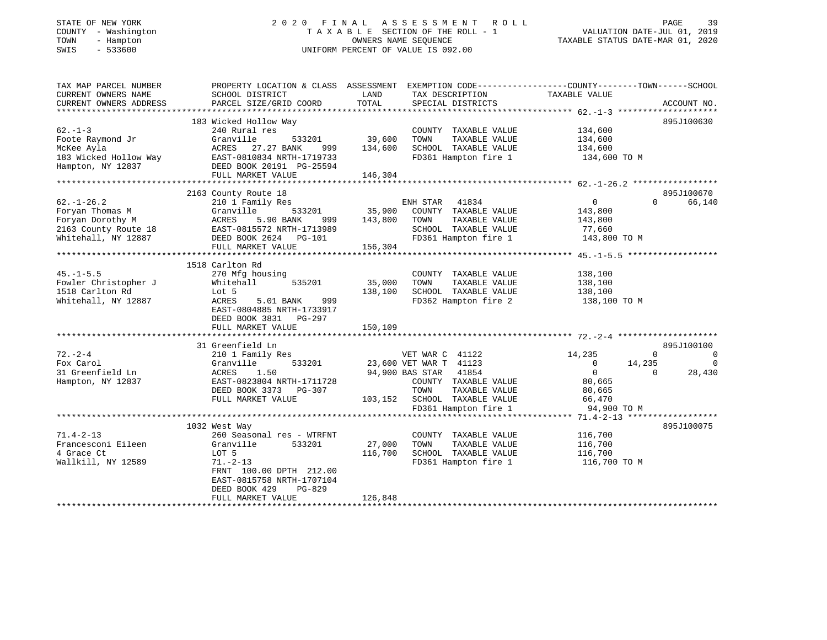# STATE OF NEW YORK 2 0 2 0 F I N A L A S S E S S M E N T R O L L PAGE 39 COUNTY - Washington T A X A B L E SECTION OF THE ROLL - 1 VALUATION DATE-JUL 01, 2019 TOWN - Hampton OWNERS NAME SEQUENCE TAXABLE STATUS DATE-MAR 01, 2020 SWIS - 533600 UNIFORM PERCENT OF VALUE IS 092.00

| TAX MAP PARCEL NUMBER<br>CURRENT OWNERS NAME                                      | SCHOOL DISTRICT                                                                                                                                                                 | PROPERTY LOCATION & CLASS ASSESSMENT EXEMPTION CODE---------------COUNTY-------TOWN-----SCHOOL<br>LAND<br>TAX DESCRIPTION                                                 | TAXABLE VALUE                                                                                                                                                           |
|-----------------------------------------------------------------------------------|---------------------------------------------------------------------------------------------------------------------------------------------------------------------------------|---------------------------------------------------------------------------------------------------------------------------------------------------------------------------|-------------------------------------------------------------------------------------------------------------------------------------------------------------------------|
| CURRENT OWNERS ADDRESS                                                            | PARCEL SIZE/GRID COORD                                                                                                                                                          | TOTAL<br>SPECIAL DISTRICTS                                                                                                                                                | ACCOUNT NO.                                                                                                                                                             |
| $62 - 1 - 3$<br>Foote Raymond Jr                                                  | 183 Wicked Hollow Way<br>240 Rural res<br>Granville                                                                                                                             | COUNTY TAXABLE VALUE 134,600<br>533201 39,600<br>TOWN<br>TAXABLE VALUE                                                                                                    | 895J100630<br>134,600                                                                                                                                                   |
| McKee Ayla<br>Hampton, NY 12837                                                   | ACRES 27.27 BANK<br>183 Wicked Hollow Way 68ST-0810834 NRTH-1719733<br>DEED BOOK 20191 PG-25594                                                                                 | 999 134,600<br>9733<br>SCHOOL TAXABLE VALUE<br>FD361 Hampton fire 1                                                                                                       | 134,600<br>134,600 TO M                                                                                                                                                 |
|                                                                                   | 2163 County Route 18                                                                                                                                                            |                                                                                                                                                                           | 895J100670                                                                                                                                                              |
| $62. - 1 - 26.2$<br>Foryan Thomas M<br>Foryan Dorothy M<br>ACRES                  | 210 1 Family Res<br>Granville<br>5.90 BANK<br>2163 County Route 18<br>Whitehall, NY 12887 COUNDEED BOOK 2624 PG-101<br>FULL MARKET VALUE 156,304<br>FULL MARKET VALUE           | SCHOOL TAXABLE VALUE<br>FD361 Hampton fire 1<br>156,304                                                                                                                   | $0 \qquad \qquad$<br>$\Omega$<br>66,140<br>143,800<br>143,800<br>77,660<br>$11,000$<br>143,800 TO M                                                                     |
|                                                                                   | 1518 Carlton Rd                                                                                                                                                                 |                                                                                                                                                                           |                                                                                                                                                                         |
| $45. - 1 - 5.5$<br>Fowler Christopher J<br>1518 Carlton Rd<br>Whitehall, NY 12887 | 270 Mfg housing<br>535201<br>Whitehall<br>Lot 5<br>ACRES<br>5.01 BANK<br>999<br>EAST-0804885 NRTH-1733917<br>DEED BOOK 3831 PG-297                                              | COUNTY TAXABLE VALUE<br>35,000 TOWN<br>TAXABLE VALUE<br>SCHOOL TAXABLE VALUE<br>138,100<br>SUNUUL TAXABLE VALUE<br>FD362 Hampton fire 2                                   | 138,100<br>138,100<br>138,100<br>138,100 TO M                                                                                                                           |
|                                                                                   | FULL MARKET VALUE                                                                                                                                                               | 150,109                                                                                                                                                                   |                                                                                                                                                                         |
|                                                                                   | 31 Greenfield Ln                                                                                                                                                                |                                                                                                                                                                           | 895J100100                                                                                                                                                              |
| $72. - 2 - 4$<br>Fox Carol<br>31 Greenfield Ln<br>Hampton, NY 12837               | 210 1 Family Res<br>533201<br>Granville<br>1.50<br>ACRES<br>EAST-0823804 NRTH-1711728<br>DEED BOOK 3373 PG-307<br>FULL MARKET VALUE                                             | VET WAR C 41122<br>23,600 VET WAR T 41123<br>94,900 BAS STAR 41854<br>COUNTY TAXABLE VALUE<br>TOWN<br>TAXABLE VALUE<br>TUWN TANABLE VALUE<br>103,152 SCHOOL TAXABLE VALUE | 14,235<br>$\overline{0}$<br>$\Omega$<br>$\overline{0}$<br>14,235<br>$\overline{0}$<br>$\overline{0}$<br>28,430<br>$\Omega$<br>80,665<br>80,665<br>66,470<br>94,900 TO M |
|                                                                                   |                                                                                                                                                                                 |                                                                                                                                                                           |                                                                                                                                                                         |
| $71.4 - 2 - 13$<br>Francesconi Eileen<br>4 Grace Ct<br>Wallkill, NY 12589         | 1032 West Way<br>260 Seasonal res - WTRFNT<br>Granville<br>533201<br>LOT 5<br>$71. - 2 - 13$<br>FRNT 100.00 DPTH 212.00<br>EAST-0815758 NRTH-1707104<br>DEED BOOK 429<br>PG-829 | COUNTY TAXABLE VALUE<br>27,000 TOWN<br>TAXABLE VALUE<br>SCHOOL TAXABLE VALUE 116,700<br>116,700<br>FD361 Hampton fire 1                                                   | 895J100075<br>116,700<br>116,700<br>116,700 TO M                                                                                                                        |
|                                                                                   | FULL MARKET VALUE                                                                                                                                                               | 126,848                                                                                                                                                                   |                                                                                                                                                                         |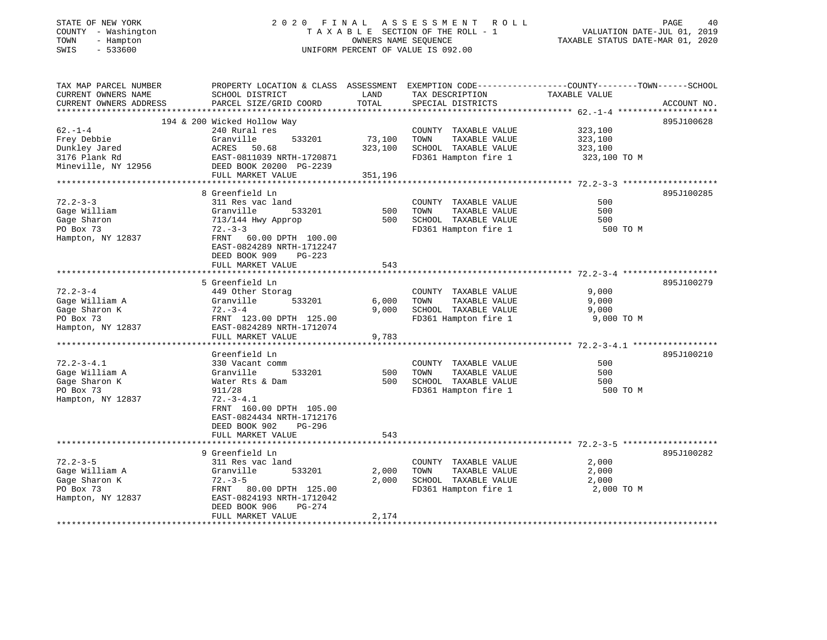### STATE OF NEW YORK 2 0 2 0 F I N A L A S S E S S M E N T R O L L PAGE 40 COUNTY - Washington T A X A B L E SECTION OF THE ROLL - 1 VALUATION DATE-JUL 01, 2019 TOWN - Hampton OWNERS NAME SEQUENCE TAXABLE STATUS DATE-MAR 01, 2020 SWIS - 533600 UNIFORM PERCENT OF VALUE IS 092.00

| TAX MAP PARCEL NUMBER  |                             |         |                       | PROPERTY LOCATION & CLASS ASSESSMENT EXEMPTION CODE----------------COUNTY-------TOWN------SCHOOL |             |
|------------------------|-----------------------------|---------|-----------------------|--------------------------------------------------------------------------------------------------|-------------|
| CURRENT OWNERS NAME    | SCHOOL DISTRICT             | LAND    | TAX DESCRIPTION       | <b>TAXABLE VALUE</b>                                                                             |             |
| CURRENT OWNERS ADDRESS | PARCEL SIZE/GRID COORD      | TOTAL   | SPECIAL DISTRICTS     |                                                                                                  | ACCOUNT NO. |
|                        |                             |         |                       |                                                                                                  |             |
|                        | 194 & 200 Wicked Hollow Way |         |                       |                                                                                                  | 895J100628  |
| $62 - 1 - 4$           | 240 Rural res               |         | COUNTY TAXABLE VALUE  | 323,100                                                                                          |             |
| Frey Debbie            | Granville<br>533201         | 73,100  | TOWN<br>TAXABLE VALUE | 323,100                                                                                          |             |
| Dunkley Jared          | <b>ACRES</b><br>50.68       | 323,100 | SCHOOL TAXABLE VALUE  | 323,100                                                                                          |             |
| 3176 Plank Rd          | EAST-0811039 NRTH-1720871   |         | FD361 Hampton fire 1  | 323,100 TO M                                                                                     |             |
| Mineville, NY 12956    | DEED BOOK 20200 PG-2239     |         |                       |                                                                                                  |             |
|                        | FULL MARKET VALUE           | 351,196 |                       |                                                                                                  |             |
|                        |                             |         |                       |                                                                                                  |             |
|                        | 8 Greenfield Ln             |         |                       |                                                                                                  | 895J100285  |
| $72.2 - 3 - 3$         | 311 Res vac land            |         | COUNTY TAXABLE VALUE  | 500                                                                                              |             |
| Gage William           | Granville<br>533201         | 500     | TOWN<br>TAXABLE VALUE | 500                                                                                              |             |
| Gage Sharon            | 713/144 Hwy Approp          | 500     | SCHOOL TAXABLE VALUE  | 500                                                                                              |             |
| PO Box 73              | $72 - 3 - 3$                |         | FD361 Hampton fire 1  | 500 TO M                                                                                         |             |
| Hampton, NY 12837      | FRNT<br>60.00 DPTH 100.00   |         |                       |                                                                                                  |             |
|                        | EAST-0824289 NRTH-1712247   |         |                       |                                                                                                  |             |
|                        | DEED BOOK 909<br>$PG-223$   |         |                       |                                                                                                  |             |
|                        | FULL MARKET VALUE           | 543     |                       |                                                                                                  |             |
|                        |                             |         |                       |                                                                                                  |             |
|                        | 5 Greenfield Ln             |         |                       |                                                                                                  | 895J100279  |
| $72.2 - 3 - 4$         | 449 Other Storag            |         | COUNTY TAXABLE VALUE  | 9,000                                                                                            |             |
| Gage William A         | 533201<br>Granville         | 6,000   | TAXABLE VALUE<br>TOWN | 9,000                                                                                            |             |
| Gage Sharon K          | $72 - 3 - 4$                | 9,000   | SCHOOL TAXABLE VALUE  | 9,000                                                                                            |             |
| PO Box 73              | FRNT 123.00 DPTH 125.00     |         | FD361 Hampton fire 1  | 9,000 TO M                                                                                       |             |
| Hampton, NY 12837      | EAST-0824289 NRTH-1712074   |         |                       |                                                                                                  |             |
|                        | FULL MARKET VALUE           | 9,783   |                       |                                                                                                  |             |
|                        |                             |         |                       |                                                                                                  |             |
|                        | Greenfield Ln               |         |                       |                                                                                                  | 895J100210  |
| $72.2 - 3 - 4.1$       | 330 Vacant comm             |         | COUNTY TAXABLE VALUE  | 500                                                                                              |             |
| Gage William A         | Granville<br>533201         | 500     | TOWN<br>TAXABLE VALUE | 500                                                                                              |             |
| Gage Sharon K          | Water Rts & Dam             | 500     | SCHOOL TAXABLE VALUE  | 500                                                                                              |             |
| PO Box 73              | 911/28                      |         | FD361 Hampton fire 1  | 500 TO M                                                                                         |             |
| Hampton, NY 12837      | $72. - 3 - 4.1$             |         |                       |                                                                                                  |             |
|                        | FRNT 160.00 DPTH 105.00     |         |                       |                                                                                                  |             |
|                        | EAST-0824434 NRTH-1712176   |         |                       |                                                                                                  |             |
|                        | DEED BOOK 902<br>$PG-296$   |         |                       |                                                                                                  |             |
|                        | FULL MARKET VALUE           | 543     |                       |                                                                                                  |             |
|                        |                             |         |                       |                                                                                                  |             |
|                        | 9 Greenfield Ln             |         |                       |                                                                                                  | 895J100282  |
| $72.2 - 3 - 5$         | 311 Res vac land            |         | COUNTY TAXABLE VALUE  | 2,000                                                                                            |             |
| Gage William A         | Granville<br>533201         | 2,000   | TOWN<br>TAXABLE VALUE | 2,000                                                                                            |             |
| Gage Sharon K          | $72. - 3 - 5$               | 2,000   | SCHOOL TAXABLE VALUE  | 2,000                                                                                            |             |
| PO Box 73              | FRNT<br>80.00 DPTH 125.00   |         | FD361 Hampton fire 1  | 2,000 TO M                                                                                       |             |
| Hampton, NY 12837      | EAST-0824193 NRTH-1712042   |         |                       |                                                                                                  |             |
|                        | DEED BOOK 906<br>PG-274     |         |                       |                                                                                                  |             |
|                        | FULL MARKET VALUE           | 2,174   |                       |                                                                                                  |             |
|                        |                             |         |                       |                                                                                                  |             |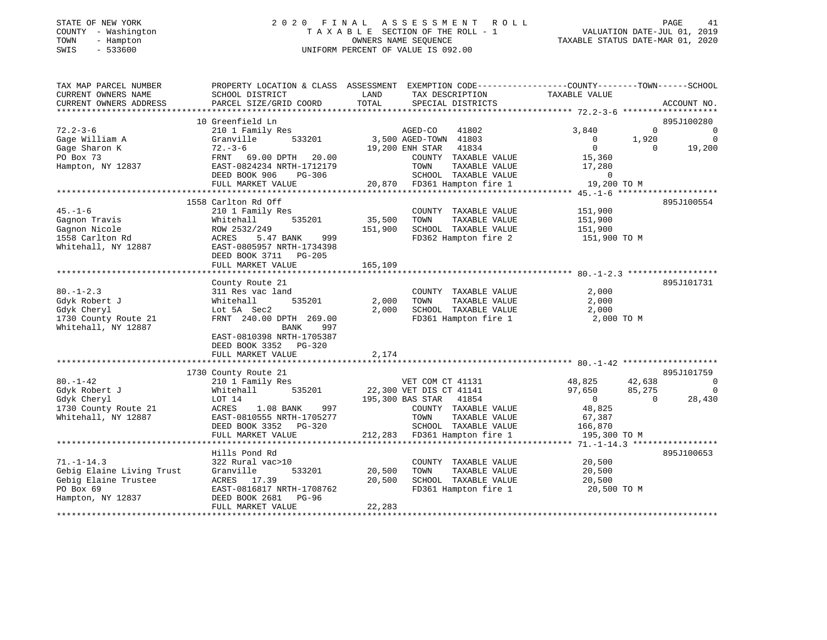# STATE OF NEW YORK 2 0 2 0 F I N A L A S S E S S M E N T R O L L PAGE 41 COUNTY - Washington T A X A B L E SECTION OF THE ROLL - 1 VALUATION DATE-JUL 01, 2019 TOWN - Hampton OWNERS NAME SEQUENCE TAXABLE STATUS DATE-MAR 01, 2020 SWIS - 533600 UNIFORM PERCENT OF VALUE IS 092.00

| TAX MAP PARCEL NUMBER     | PROPERTY LOCATION & CLASS ASSESSMENT EXEMPTION CODE---------------COUNTY-------TOWN-----SCHOOL |         |                                                     |                |             |                |
|---------------------------|------------------------------------------------------------------------------------------------|---------|-----------------------------------------------------|----------------|-------------|----------------|
| CURRENT OWNERS NAME       | SCHOOL DISTRICT                                                                                | LAND    | TAX DESCRIPTION                                     | TAXABLE VALUE  |             |                |
| CURRENT OWNERS ADDRESS    | PARCEL SIZE/GRID COORD                                                                         | TOTAL   | SPECIAL DISTRICTS                                   |                |             | ACCOUNT NO.    |
|                           |                                                                                                |         |                                                     |                |             |                |
|                           | 10 Greenfield Ln                                                                               |         |                                                     |                |             | 895J100280     |
| $72.2 - 3 - 6$            | 210 1 Family Res                                                                               |         | AGED-CO<br>41802                                    | 3,840          | $\mathbf 0$ | $\overline{0}$ |
| Gage William A            | Granville<br>533201                                                                            |         | 3,500 AGED-TOWN 41803                               | $\overline{0}$ | 1,920       | $\overline{0}$ |
| Gage Sharon K             | $72. - 3 - 6$                                                                                  |         | 41834<br>19,200 ENH STAR                            | $\overline{0}$ | $\Omega$    | 19,200         |
| PO Box 73                 | FRNT 69.00 DPTH 20.00                                                                          |         | COUNTY TAXABLE VALUE                                | 15,360         |             |                |
| Hampton, NY 12837         | EAST-0824234 NRTH-1712179                                                                      |         | TOWN<br>TAXABLE VALUE                               | 17,280         |             |                |
|                           | DEED BOOK 906<br>PG-306                                                                        |         | SCHOOL TAXABLE VALUE                                | $\Omega$       |             |                |
|                           | FULL MARKET VALUE                                                                              |         | SCHOOL TAXABLE VALUE<br>20,870 FD361 Hampton fire 1 | 19,200 TO M    |             |                |
|                           |                                                                                                |         |                                                     |                |             |                |
|                           | 1558 Carlton Rd Off                                                                            |         |                                                     |                |             | 895J100554     |
| $45. - 1 - 6$             | 210 1 Family Res                                                                               |         | COUNTY TAXABLE VALUE                                | 151,900        |             |                |
| Gagnon Travis             | 535201<br>Whitehall                                                                            | 35,500  | TAXABLE VALUE<br>TOWN                               | 151,900        |             |                |
| Gagnon Nicole             | ROW 2532/249                                                                                   | 151,900 | SCHOOL TAXABLE VALUE                                | 151,900        |             |                |
| 1558 Carlton Rd           | 5.47 BANK 999<br>ACRES                                                                         |         | FD362 Hampton fire 2                                | 151,900 TO M   |             |                |
| Whitehall, NY 12887       | EAST-0805957 NRTH-1734398                                                                      |         |                                                     |                |             |                |
|                           | DEED BOOK 3711 PG-205                                                                          |         |                                                     |                |             |                |
|                           | FULL MARKET VALUE                                                                              | 165,109 |                                                     |                |             |                |
|                           |                                                                                                |         |                                                     |                |             |                |
|                           |                                                                                                |         |                                                     |                |             | 895J101731     |
| $80. - 1 - 2.3$           | County Route 21                                                                                |         |                                                     | 2,000          |             |                |
| Gdyk Robert J             | 311 Res vac land<br>535201                                                                     | 2,000   | COUNTY TAXABLE VALUE<br>TOWN<br>TAXABLE VALUE       | 2,000          |             |                |
| Gdyk Cheryl               | Whitehall                                                                                      | 2,000   | SCHOOL TAXABLE VALUE                                | 2,000          |             |                |
|                           | Lot 5A Sec2                                                                                    |         |                                                     |                |             |                |
| 1730 County Route 21      | FRNT 240.00 DPTH 269.00                                                                        |         | FD361 Hampton fire 1                                | 2,000 TO M     |             |                |
| Whitehall, NY 12887       | BANK<br>997                                                                                    |         |                                                     |                |             |                |
|                           | EAST-0810398 NRTH-1705387                                                                      |         |                                                     |                |             |                |
|                           | DEED BOOK 3352 PG-320                                                                          |         |                                                     |                |             |                |
|                           | FULL MARKET VALUE                                                                              | 2,174   |                                                     |                |             |                |
|                           |                                                                                                |         |                                                     |                |             |                |
|                           | 1730 County Route 21                                                                           |         |                                                     |                |             | 895J101759     |
| $80. - 1 - 42$            | 210 1 Family Res                                                                               |         | VET COM CT 41131                                    | 48,825         | 42,638      | $\overline{0}$ |
| Gdyk Robert J             | 535201<br>Whitehall                                                                            |         | 22,300 VET DIS CT 41141                             | 97,650         | 85,275      | $\Omega$       |
| Gdyk Cheryl               | LOT 14                                                                                         |         | 195,300 BAS STAR 41854                              | $\overline{0}$ | $\Omega$    | 28,430         |
| 1730 County Route 21      | 997<br>ACRES<br>$1.08$ BANK                                                                    |         | COUNTY TAXABLE VALUE                                | 48,825         |             |                |
| Whitehall, NY 12887       | EAST-0810555 NRTH-1705277                                                                      |         | TOWN<br>TAXABLE VALUE                               | 67,387         |             |                |
|                           | DEED BOOK 3352 PG-320                                                                          |         | SCHOOL TAXABLE VALUE                                | 166,870        |             |                |
|                           |                                                                                                |         |                                                     |                |             |                |
|                           |                                                                                                |         |                                                     |                |             |                |
|                           | Hills Pond Rd                                                                                  |         |                                                     |                |             | 895J100653     |
| $71. - 1 - 14.3$          | 322 Rural vac>10                                                                               |         | COUNTY TAXABLE VALUE                                | 20,500         |             |                |
| Gebig Elaine Living Trust | Granville<br>533201                                                                            | 20,500  | TOWN<br>TAXABLE VALUE                               | 20,500         |             |                |
| Gebig Elaine Trustee      | ACRES 17.39                                                                                    | 20,500  | SCHOOL TAXABLE VALUE                                | 20,500         |             |                |
| PO Box 69                 | EAST-0816817 NRTH-1708762                                                                      |         | FD361 Hampton fire 1                                | 20,500 TO M    |             |                |
| Hampton, NY 12837         | DEED BOOK 2681<br>PG-96                                                                        |         |                                                     |                |             |                |
|                           | FULL MARKET VALUE                                                                              | 22,283  |                                                     |                |             |                |
|                           |                                                                                                |         |                                                     |                |             |                |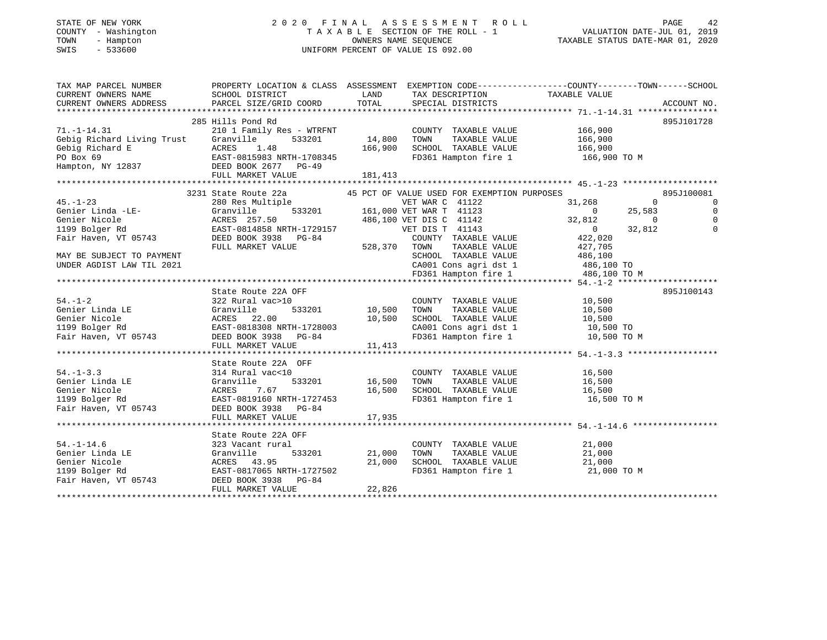### STATE OF NEW YORK 2 0 2 0 F I N A L A S S E S S M E N T R O L L PAGE 42 COUNTY - Washington T A X A B L E SECTION OF THE ROLL - 1 VALUATION DATE-JUL 01, 2019 TOWN - Hampton OWNERS NAME SEQUENCE TAXABLE STATUS DATE-MAR 01, 2020 SWIS - 533600 UNIFORM PERCENT OF VALUE IS 092.00UNIFORM PERCENT OF VALUE IS 092.00

| TAX MAP PARCEL NUMBER<br>CURRENT OWNERS NAME<br>CURRENT OWNERS ADDRESS DESCRIPTION PORT TOTAL SPECIAL DISTRICTS ACCOUNT NO.<br>- TOTAL SPECIAL DISTRICTS ACCOUNT NO ARCEL SIZE/GRID COORD TOTAL SPECIAL DISTRICTS ACCOUNT NO.<br>CURRENT OWNERS ADDRESS | PROPERTY LOCATION & CLASS ASSESSMENT EXEMPTION CODE---------------COUNTY-------TOWN-----SCHOOL<br>SCHOOL DISTRICT                                                                                                                                |        | LAND TAX DESCRIPTION                                                                                                                                                | -----COUNTY---<br>TAXABLE VALUE<br>          |                |
|---------------------------------------------------------------------------------------------------------------------------------------------------------------------------------------------------------------------------------------------------------|--------------------------------------------------------------------------------------------------------------------------------------------------------------------------------------------------------------------------------------------------|--------|---------------------------------------------------------------------------------------------------------------------------------------------------------------------|----------------------------------------------|----------------|
|                                                                                                                                                                                                                                                         |                                                                                                                                                                                                                                                  |        |                                                                                                                                                                     |                                              |                |
|                                                                                                                                                                                                                                                         | 285 Hills Pond Rd                                                                                                                                                                                                                                |        |                                                                                                                                                                     |                                              | 895J101728     |
| $71. - 1 - 14.31$                                                                                                                                                                                                                                       | 210 1 Family Res - WTRFNT                                                                                                                                                                                                                        |        |                                                                                                                                                                     |                                              |                |
| Gebig Richard Living Trust                                                                                                                                                                                                                              | ly Res - WTRFNT COUNT<br>533201 14,800 TOWN<br>Granville                                                                                                                                                                                         |        | COUNTY TAXABLE VALUE 166,900<br>TOWN TAXABLE VALUE 166,900<br>TAXABLE VALUE                                                                                         |                                              |                |
|                                                                                                                                                                                                                                                         |                                                                                                                                                                                                                                                  |        |                                                                                                                                                                     |                                              |                |
|                                                                                                                                                                                                                                                         |                                                                                                                                                                                                                                                  |        |                                                                                                                                                                     | FD361 Hampton fire 1 166,900 TO M            |                |
| Gebig Richard E<br>PO Box 69<br>Hampton, NY 12837<br>Hampton, NY 12837<br>DEED BOOK 2677<br>DEED BOOK 2677<br>DEED BOOK 2677<br>PG-49<br>PG-49                                                                                                          |                                                                                                                                                                                                                                                  |        |                                                                                                                                                                     |                                              |                |
|                                                                                                                                                                                                                                                         | FULL MARKET VALUE                                                                                                                                                                                                                                |        |                                                                                                                                                                     |                                              |                |
|                                                                                                                                                                                                                                                         |                                                                                                                                                                                                                                                  |        |                                                                                                                                                                     |                                              |                |
|                                                                                                                                                                                                                                                         | 3231 State Route 22a                                                                                                                                                                                                                             |        | 45 PCT OF VALUE USED FOR EXEMPTION PURPOSES                                                                                                                         |                                              | 895J100081     |
| $45. - 1 - 23$                                                                                                                                                                                                                                          |                                                                                                                                                                                                                                                  |        |                                                                                                                                                                     | $\sim$ 0                                     | $\overline{0}$ |
| 45.-1-23<br>Genier Linda -LE-                                                                                                                                                                                                                           |                                                                                                                                                                                                                                                  |        |                                                                                                                                                                     | 25,583                                       | 0              |
| Genier Nicole                                                                                                                                                                                                                                           |                                                                                                                                                                                                                                                  |        |                                                                                                                                                                     |                                              | $\overline{0}$ |
| 1199 Bolger Rd                                                                                                                                                                                                                                          |                                                                                                                                                                                                                                                  |        |                                                                                                                                                                     | $32,812$ 0<br>0 32,812                       | $\mathbf 0$    |
| Fair Haven, VT 05743                                                                                                                                                                                                                                    |                                                                                                                                                                                                                                                  |        |                                                                                                                                                                     |                                              |                |
|                                                                                                                                                                                                                                                         |                                                                                                                                                                                                                                                  |        |                                                                                                                                                                     |                                              |                |
|                                                                                                                                                                                                                                                         |                                                                                                                                                                                                                                                  |        |                                                                                                                                                                     |                                              |                |
| MAY BE SUBJECT TO PAYMENT                                                                                                                                                                                                                               |                                                                                                                                                                                                                                                  |        |                                                                                                                                                                     |                                              |                |
| UNDER AGDIST LAW TIL 2021                                                                                                                                                                                                                               |                                                                                                                                                                                                                                                  |        |                                                                                                                                                                     |                                              |                |
| UNDER AGDIST LAW TIL 2021 (2011 CONS agri dst 1 486,100 TO 1995)<br>FD361 Hampton fire 1 486,100 TO M 1986,100 TO 1996,100 FD361 Hampton fire 1 486,100 TO M                                                                                            |                                                                                                                                                                                                                                                  |        |                                                                                                                                                                     |                                              |                |
|                                                                                                                                                                                                                                                         | 31,268<br>280 Res Multiple<br>67 AMR T 41122<br>280 Res Multiple<br>533201 161,000 VET DIS C 41142 32,812<br>285T-0814858 NRTH-1729157<br>285T-0814858 NRTH-1729157<br>285T-0814858 NRTH-1729157<br>285T-0814858 NRTH-1729157<br>286,100 VET DIS |        |                                                                                                                                                                     |                                              |                |
|                                                                                                                                                                                                                                                         | State Route 22A OFF                                                                                                                                                                                                                              |        |                                                                                                                                                                     |                                              | 895J100143     |
|                                                                                                                                                                                                                                                         |                                                                                                                                                                                                                                                  |        | COUNTY TAXABLE VALUE 10,500                                                                                                                                         |                                              |                |
|                                                                                                                                                                                                                                                         | 22A OFF<br>c>10<br>533201 10,500                                                                                                                                                                                                                 |        | TOWN                                                                                                                                                                | TAXABLE VALUE 10,500<br>TAXABLE VALUE 10,500 |                |
|                                                                                                                                                                                                                                                         |                                                                                                                                                                                                                                                  |        |                                                                                                                                                                     |                                              |                |
|                                                                                                                                                                                                                                                         |                                                                                                                                                                                                                                                  |        | SCHOOL TAXABLE VALUE 10,500<br>CA001 Cons agri dst 1 10,500 TO                                                                                                      |                                              |                |
|                                                                                                                                                                                                                                                         |                                                                                                                                                                                                                                                  |        |                                                                                                                                                                     | FD361 Hampton fire 1 10,500 TO M             |                |
| 94.-1-2<br>Cenier Linda LE (Stanville 1933201)<br>Cenier Nicole 199 Bolger Rd EAST-0818308 NRTH-1728003<br>THE MONEY NAILLE 11,413<br>CEED BOOK 3938 PG-84<br>CHEED BOOK 3938 PG-84<br>CHEED BOOK 3938 PG-84<br>CHEED BOOK 3938 PG-84<br>CHEED          |                                                                                                                                                                                                                                                  |        |                                                                                                                                                                     |                                              |                |
|                                                                                                                                                                                                                                                         |                                                                                                                                                                                                                                                  |        |                                                                                                                                                                     |                                              |                |
|                                                                                                                                                                                                                                                         | State Route 22A OFF                                                                                                                                                                                                                              |        |                                                                                                                                                                     |                                              |                |
| $54. - 1 - 3.3$                                                                                                                                                                                                                                         | 314 Rural vac<10                                                                                                                                                                                                                                 |        | COUNTY TAXABLE VALUE 16,500                                                                                                                                         |                                              |                |
|                                                                                                                                                                                                                                                         |                                                                                                                                                                                                                                                  |        |                                                                                                                                                                     |                                              |                |
| Genier Linda LE Granville 533201<br>Genier Nicole ACRES 7.67<br>1199 Bolger Rd EAST-0819160 NRTH-1727453<br>Fair Haven, VT 05743 DEED BOOK 3938 PG-84<br>FILL MAPKET VALUE                                                                              |                                                                                                                                                                                                                                                  |        | $\begin{array}{cccccc} 533201 & 16,500 & 70\text{WN} & 7\text{AXABLE VALUE} & & 16,500 \\ & & 16,500 & 5\text{CHOOL} & 7\text{AXABLE VALUE} & & 16,500 \end{array}$ |                                              |                |
|                                                                                                                                                                                                                                                         |                                                                                                                                                                                                                                                  |        |                                                                                                                                                                     | FD361 Hampton fire 1 16,500 TO M             |                |
|                                                                                                                                                                                                                                                         |                                                                                                                                                                                                                                                  |        |                                                                                                                                                                     |                                              |                |
|                                                                                                                                                                                                                                                         | FULL MARKET VALUE                                                                                                                                                                                                                                | 17,935 |                                                                                                                                                                     |                                              |                |
|                                                                                                                                                                                                                                                         |                                                                                                                                                                                                                                                  |        |                                                                                                                                                                     |                                              |                |
|                                                                                                                                                                                                                                                         | State Route 22A OFF                                                                                                                                                                                                                              |        |                                                                                                                                                                     |                                              |                |
| $54. - 1 - 14.6$                                                                                                                                                                                                                                        |                                                                                                                                                                                                                                                  |        | COUNTY TAXABLE VALUE                                                                                                                                                |                                              |                |
|                                                                                                                                                                                                                                                         | 533201 21,000 TOWN                                                                                                                                                                                                                               |        | TAXABLE VALUE                                                                                                                                                       | $21,000$<br>$21,000$                         |                |
|                                                                                                                                                                                                                                                         |                                                                                                                                                                                                                                                  |        | SCHOOL TAXABLE VALUE                                                                                                                                                |                                              |                |
|                                                                                                                                                                                                                                                         | ACRES 43.95 21,000<br>EAST-0817065 NRTH-1727502                                                                                                                                                                                                  | 21,000 |                                                                                                                                                                     | 21,000                                       |                |
|                                                                                                                                                                                                                                                         |                                                                                                                                                                                                                                                  |        |                                                                                                                                                                     | FD361 Hampton fire 1 21,000 TO M             |                |
|                                                                                                                                                                                                                                                         |                                                                                                                                                                                                                                                  |        |                                                                                                                                                                     |                                              |                |
|                                                                                                                                                                                                                                                         | FULL MARKET VALUE                                                                                                                                                                                                                                | 22,826 |                                                                                                                                                                     |                                              |                |
|                                                                                                                                                                                                                                                         |                                                                                                                                                                                                                                                  |        |                                                                                                                                                                     |                                              |                |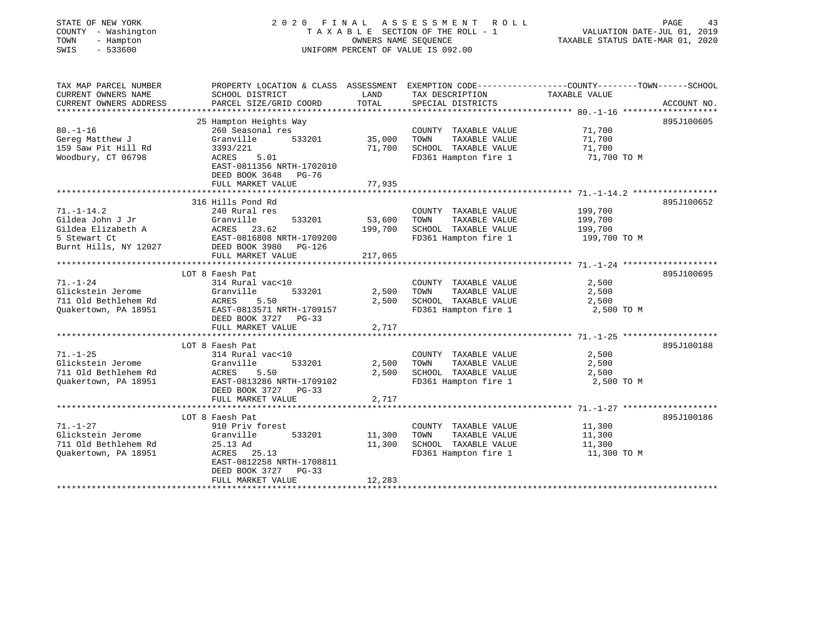| STATE OF NEW YORK<br>COUNTY - Washington<br>TOWN<br>- Hampton<br>$-533600$<br>SWIS |                                                                                                 | OWNERS NAME SEQUENCE | 2020 FINAL ASSESSMENT ROLL<br>TAXABLE SECTION OF THE ROLL - 1<br>UNIFORM PERCENT OF VALUE IS 092.00 | TAXABLE STATUS DATE-MAR 01, 2020 | PAGE<br>43<br>VALUATION DATE-JUL 01, 2019 |
|------------------------------------------------------------------------------------|-------------------------------------------------------------------------------------------------|----------------------|-----------------------------------------------------------------------------------------------------|----------------------------------|-------------------------------------------|
| TAX MAP PARCEL NUMBER                                                              | PROPERTY LOCATION & CLASS ASSESSMENT EXEMPTION CODE----------------COUNTY-------TOWN-----SCHOOL |                      |                                                                                                     |                                  |                                           |
| CURRENT OWNERS NAME                                                                | SCHOOL DISTRICT                                                                                 | LAND                 | TAX DESCRIPTION                                                                                     | TAXABLE VALUE                    |                                           |
| CURRENT OWNERS ADDRESS<br>**********************                                   | PARCEL SIZE/GRID COORD                                                                          | TOTAL                | SPECIAL DISTRICTS                                                                                   |                                  | ACCOUNT NO.                               |
|                                                                                    | 25 Hampton Heights Way                                                                          |                      |                                                                                                     |                                  | 895J100605                                |
| $80. - 1 - 16$                                                                     | 260 Seasonal res                                                                                |                      | COUNTY TAXABLE VALUE                                                                                | 71,700                           |                                           |
| Gereg Matthew J                                                                    | Granville<br>533201                                                                             | 35,000               | TAXABLE VALUE<br>TOWN                                                                               | 71,700                           |                                           |
| 159 Saw Pit Hill Rd                                                                | 3393/221                                                                                        | 71,700               | SCHOOL TAXABLE VALUE                                                                                | 71,700                           |                                           |
| Woodbury, CT 06798                                                                 | 5.01<br>ACRES<br>EAST-0811356 NRTH-1702010<br>DEED BOOK 3648 PG-76                              |                      | FD361 Hampton fire 1                                                                                | 71,700 TO M                      |                                           |
|                                                                                    | FULL MARKET VALUE                                                                               | 77,935               |                                                                                                     |                                  |                                           |
|                                                                                    |                                                                                                 |                      |                                                                                                     |                                  |                                           |
|                                                                                    | 316 Hills Pond Rd                                                                               |                      |                                                                                                     |                                  | 895J100652                                |
| $71. - 1 - 14.2$                                                                   | 240 Rural res                                                                                   |                      | COUNTY TAXABLE VALUE                                                                                | 199,700                          |                                           |
| Gildea John J Jr                                                                   | 533201<br>Granville                                                                             | 53,600               | TAXABLE VALUE<br>TOWN                                                                               | 199,700                          |                                           |
| Gildea Elizabeth A                                                                 | ACRES 23.62                                                                                     | 199,700              | SCHOOL TAXABLE VALUE                                                                                | 199,700                          |                                           |
| 5 Stewart Ct                                                                       | EAST-0816808 NRTH-1709200                                                                       |                      | FD361 Hampton fire 1                                                                                | 199,700 TO M                     |                                           |
| Burnt Hills, NY 12027                                                              | DEED BOOK 3980<br>PG-126                                                                        |                      |                                                                                                     |                                  |                                           |
|                                                                                    | FULL MARKET VALUE                                                                               | 217,065              |                                                                                                     |                                  |                                           |
|                                                                                    |                                                                                                 |                      |                                                                                                     |                                  |                                           |
|                                                                                    | LOT 8 Faesh Pat                                                                                 |                      |                                                                                                     |                                  | 895J100695                                |
| $71. - 1 - 24$                                                                     | 314 Rural vac<10                                                                                |                      | COUNTY TAXABLE VALUE                                                                                | 2,500                            |                                           |
| Glickstein Jerome                                                                  | Granville<br>533201                                                                             | 2,500                | TAXABLE VALUE<br>TOWN                                                                               | 2,500                            |                                           |
| 711 Old Bethlehem Rd                                                               | ACRES<br>5.50                                                                                   | 2,500                | SCHOOL TAXABLE VALUE                                                                                | 2,500                            |                                           |
| Quakertown, PA 18951                                                               | EAST-0813571 NRTH-1709157                                                                       |                      | FD361 Hampton fire 1                                                                                | 2,500 TO M                       |                                           |
|                                                                                    | DEED BOOK 3727 PG-33                                                                            |                      |                                                                                                     |                                  |                                           |
|                                                                                    | FULL MARKET VALUE<br>********************                                                       | 2,717                |                                                                                                     |                                  |                                           |
|                                                                                    | LOT 8 Faesh Pat                                                                                 |                      |                                                                                                     |                                  | 895J100188                                |
| $71. - 1 - 25$                                                                     | 314 Rural vac<10                                                                                |                      | COUNTY TAXABLE VALUE                                                                                | 2,500                            |                                           |
| Glickstein Jerome                                                                  | 533201<br>Granville                                                                             | 2,500                | TAXABLE VALUE<br>TOWN                                                                               | 2,500                            |                                           |
| 711 Old Bethlehem Rd                                                               | 5.50<br>ACRES                                                                                   | 2,500                | SCHOOL TAXABLE VALUE                                                                                | 2,500                            |                                           |
| Quakertown, PA 18951                                                               | EAST-0813286 NRTH-1709102                                                                       |                      | FD361 Hampton fire 1                                                                                | 2,500 TO M                       |                                           |
|                                                                                    | DEED BOOK 3727 PG-33                                                                            |                      |                                                                                                     |                                  |                                           |
|                                                                                    | FULL MARKET VALUE                                                                               | 2,717                |                                                                                                     |                                  |                                           |
|                                                                                    |                                                                                                 |                      |                                                                                                     |                                  |                                           |
|                                                                                    | LOT 8 Faesh Pat                                                                                 |                      |                                                                                                     |                                  | 895J100186                                |
| 71.-1-27                                                                           | 910 Priv forest                                                                                 |                      | COUNTY TAXABLE VALUE                                                                                | 11,300                           |                                           |
| Glickstein Jerome                                                                  | Granville<br>533201                                                                             | 11,300               | TOWN<br>TAXABLE VALUE                                                                               | 11,300                           |                                           |
| 711 Old Bethlehem Rd                                                               | 25.13 Ad                                                                                        | 11,300               | SCHOOL TAXABLE VALUE                                                                                | 11,300                           |                                           |
| Quakertown, PA 18951                                                               | ACRES 25.13<br>EAST-0812258 NRTH-1708811                                                        |                      | FD361 Hampton fire 1                                                                                | 11,300 TO M                      |                                           |
|                                                                                    | DEED BOOK 3727 PG-33                                                                            |                      |                                                                                                     |                                  |                                           |
|                                                                                    | FULL MARKET VALUE                                                                               | 12,283               |                                                                                                     |                                  |                                           |
|                                                                                    |                                                                                                 |                      |                                                                                                     |                                  |                                           |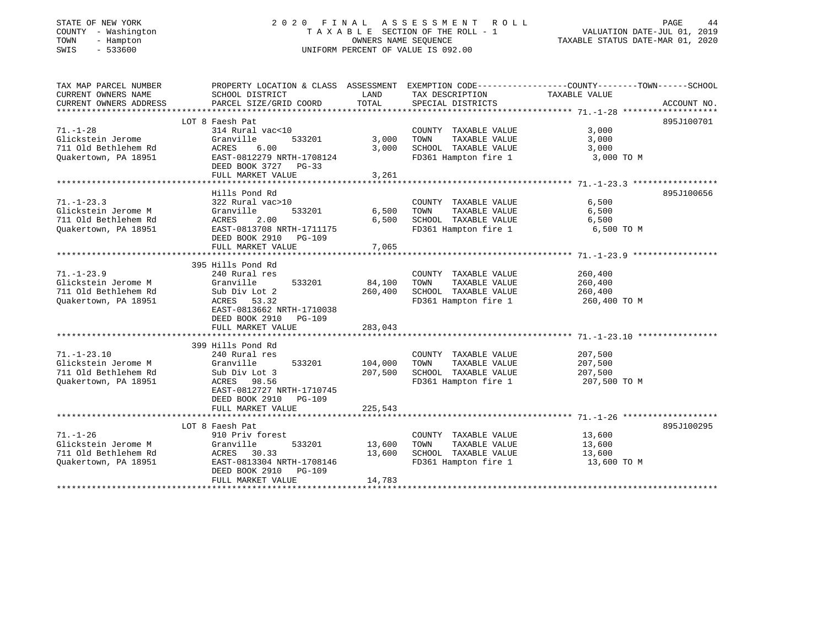# STATE OF NEW YORK 2 0 2 0 F I N A L A S S E S S M E N T R O L L PAGE 44 COUNTY - Washington T A X A B L E SECTION OF THE ROLL - 1 VALUATION DATE-JUL 01, 2019 TOWN - Hampton OWNERS NAME SEQUENCE TAXABLE STATUS DATE-MAR 01, 2020 SWIS - 533600 UNIFORM PERCENT OF VALUE IS 092.00

| TAX MAP PARCEL NUMBER<br>CURRENT OWNERS NAME<br>CURRENT OWNERS ADDRESS | SCHOOL DISTRICT<br>PARCEL SIZE/GRID COORD | LAND<br>TOTAL | TAX DESCRIPTION<br>SPECIAL DISTRICTS          | PROPERTY LOCATION & CLASS ASSESSMENT EXEMPTION CODE----------------COUNTY-------TOWN------SCHOOL<br>TAXABLE VALUE<br>ACCOUNT NO. |
|------------------------------------------------------------------------|-------------------------------------------|---------------|-----------------------------------------------|----------------------------------------------------------------------------------------------------------------------------------|
|                                                                        |                                           |               |                                               |                                                                                                                                  |
|                                                                        | LOT 8 Faesh Pat                           |               |                                               | 895J100701                                                                                                                       |
| $71. - 1 - 28$                                                         | 314 Rural vac<10                          |               | COUNTY TAXABLE VALUE                          | 3,000                                                                                                                            |
| Glickstein Jerome                                                      | Granville<br>533201                       | 3,000         | TOWN<br>TAXABLE VALUE                         | 3,000                                                                                                                            |
| 711 Old Bethlehem Rd                                                   | ACRES<br>6.00                             | 3,000         | SCHOOL TAXABLE VALUE                          | 3,000                                                                                                                            |
| Quakertown, PA 18951                                                   | EAST-0812279 NRTH-1708124                 |               | FD361 Hampton fire 1                          | 3,000 TO M                                                                                                                       |
|                                                                        | DEED BOOK 3727 PG-33                      |               |                                               |                                                                                                                                  |
|                                                                        | FULL MARKET VALUE                         | 3,261         |                                               |                                                                                                                                  |
|                                                                        |                                           |               |                                               |                                                                                                                                  |
|                                                                        | Hills Pond Rd                             |               |                                               | 895J100656                                                                                                                       |
| $71. - 1 - 23.3$                                                       | 322 Rural vac>10                          |               | COUNTY TAXABLE VALUE                          | 6,500                                                                                                                            |
| Glickstein Jerome M                                                    | Granville<br>533201                       | 6,500         | TOWN<br>TAXABLE VALUE                         | 6,500                                                                                                                            |
| 711 Old Bethlehem Rd                                                   | ACRES<br>2.00                             | 6,500         | SCHOOL TAXABLE VALUE                          | 6,500                                                                                                                            |
| Quakertown, PA 18951                                                   | EAST-0813708 NRTH-1711175                 |               | FD361 Hampton fire 1                          | 6,500 TO M                                                                                                                       |
|                                                                        | DEED BOOK 2910 PG-109                     |               |                                               |                                                                                                                                  |
|                                                                        | FULL MARKET VALUE                         | 7,065         |                                               |                                                                                                                                  |
|                                                                        |                                           |               |                                               |                                                                                                                                  |
|                                                                        | 395 Hills Pond Rd                         |               |                                               |                                                                                                                                  |
| $71. - 1 - 23.9$                                                       | 240 Rural res                             |               | COUNTY TAXABLE VALUE                          | 260,400                                                                                                                          |
| Glickstein Jerome M                                                    | Granville<br>533201                       | 84,100        | TAXABLE VALUE<br>TOWN                         | 260,400                                                                                                                          |
| 711 Old Bethlehem Rd                                                   | Sub Div Lot 2                             | 260,400       | SCHOOL TAXABLE VALUE                          | 260,400                                                                                                                          |
| Ouakertown, PA 18951                                                   | ACRES 53.32                               |               | FD361 Hampton fire 1                          | 260,400 TO M                                                                                                                     |
|                                                                        | EAST-0813662 NRTH-1710038                 |               |                                               |                                                                                                                                  |
|                                                                        | DEED BOOK 2910 PG-109                     |               |                                               |                                                                                                                                  |
|                                                                        | FULL MARKET VALUE                         | 283,043       |                                               |                                                                                                                                  |
|                                                                        |                                           |               |                                               |                                                                                                                                  |
|                                                                        | 399 Hills Pond Rd                         |               |                                               |                                                                                                                                  |
| $71. - 1 - 23.10$                                                      | 240 Rural res                             |               | COUNTY TAXABLE VALUE                          | 207,500                                                                                                                          |
| Glickstein Jerome M                                                    | Granville 533201                          | 104,000       | TOWN<br>TAXABLE VALUE                         | 207,500                                                                                                                          |
| 711 Old Bethlehem Rd                                                   | Sub Div Lot 3                             | 207,500       | SCHOOL TAXABLE VALUE                          | 207,500                                                                                                                          |
| Ouakertown, PA 18951                                                   | ACRES 98.56                               |               | FD361 Hampton fire 1                          | 207,500 TO M                                                                                                                     |
|                                                                        | EAST-0812727 NRTH-1710745                 |               |                                               |                                                                                                                                  |
|                                                                        | DEED BOOK 2910<br>PG-109                  |               |                                               |                                                                                                                                  |
|                                                                        | FULL MARKET VALUE                         | 225,543       |                                               |                                                                                                                                  |
|                                                                        |                                           |               |                                               |                                                                                                                                  |
|                                                                        | LOT 8 Faesh Pat                           |               |                                               | 895J100295                                                                                                                       |
| $71. - 1 - 26$<br>Glickstein Jerome M                                  | 910 Priv forest<br>Granville<br>533201    | 13,600        | COUNTY TAXABLE VALUE<br>TAXABLE VALUE<br>TOWN | 13,600                                                                                                                           |
| 711 Old Bethlehem Rd                                                   |                                           |               | SCHOOL TAXABLE VALUE                          | 13,600                                                                                                                           |
| Quakertown, PA 18951                                                   | ACRES 30.33<br>EAST-0813304 NRTH-1708146  | 13,600        | FD361 Hampton fire 1                          | 13,600<br>13,600 TO M                                                                                                            |
|                                                                        | DEED BOOK 2910 PG-109                     |               |                                               |                                                                                                                                  |
|                                                                        | FULL MARKET VALUE                         | 14,783        |                                               |                                                                                                                                  |
|                                                                        |                                           |               |                                               |                                                                                                                                  |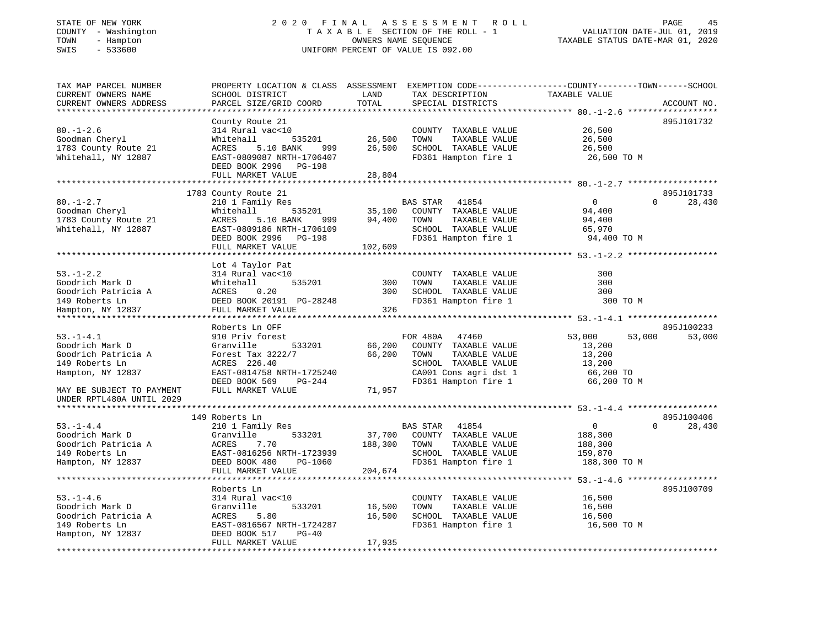### STATE OF NEW YORK 2 0 2 0 F I N A L A S S E S S M E N T R O L L PAGE 45 COUNTY - Washington T A X A B L E SECTION OF THE ROLL - 1 VALUATION DATE-JUL 01, 2019 TOWN - Hampton OWNERS NAME SEQUENCE TAXABLE STATUS DATE-MAR 01, 2020 SWIS - 533600 UNIFORM PERCENT OF VALUE IS 092.00

| TAX MAP PARCEL NUMBER     | PROPERTY LOCATION & CLASS ASSESSMENT EXEMPTION CODE----------------COUNTY-------TOWN------SCHOOL |         |                          |                            |             |
|---------------------------|--------------------------------------------------------------------------------------------------|---------|--------------------------|----------------------------|-------------|
| CURRENT OWNERS NAME       | SCHOOL DISTRICT                                                                                  | LAND    | TAX DESCRIPTION          | TAXABLE VALUE              |             |
| CURRENT OWNERS ADDRESS    | PARCEL SIZE/GRID COORD                                                                           | TOTAL   | SPECIAL DISTRICTS        |                            | ACCOUNT NO. |
|                           |                                                                                                  |         |                          |                            |             |
|                           | County Route 21                                                                                  |         |                          |                            | 895J101732  |
| $80. - 1 - 2.6$           | 314 Rural vac<10                                                                                 |         | COUNTY TAXABLE VALUE     | 26,500                     |             |
| Goodman Cheryl            | Whitehall<br>535201                                                                              | 26,500  | TAXABLE VALUE<br>TOWN    | 26,500                     |             |
| 1783 County Route 21      | ACRES<br>5.10 BANK<br>999                                                                        | 26,500  | SCHOOL TAXABLE VALUE     | 26,500                     |             |
| Whitehall, NY 12887       | EAST-0809087 NRTH-1706407                                                                        |         | FD361 Hampton fire 1     | 26,500 TO M                |             |
|                           | DEED BOOK 2996 PG-198                                                                            |         |                          |                            |             |
|                           | FULL MARKET VALUE                                                                                | 28,804  |                          |                            |             |
|                           |                                                                                                  |         |                          |                            |             |
|                           | 1783 County Route 21                                                                             |         |                          |                            | 895J101733  |
| $80. - 1 - 2.7$           | 210 1 Family Res                                                                                 |         | <b>BAS STAR</b><br>41854 | $\Omega$<br>$\Omega$       | 28,430      |
| Goodman Cheryl            | 535201<br>Whitehall                                                                              | 35,100  | COUNTY TAXABLE VALUE     | 94,400                     |             |
| 1783 County Route 21      | ACRES<br>5.10 BANK<br>999                                                                        | 94,400  | TOWN<br>TAXABLE VALUE    | 94,400                     |             |
| Whitehall, NY 12887       | EAST-0809186 NRTH-1706109                                                                        |         | SCHOOL TAXABLE VALUE     | 65,970                     |             |
|                           | DEED BOOK 2996 PG-198                                                                            |         | FD361 Hampton fire 1     | 94,400 TO M                |             |
|                           | FULL MARKET VALUE                                                                                | 102,609 |                          |                            |             |
|                           |                                                                                                  |         |                          |                            |             |
|                           | Lot 4 Taylor Pat                                                                                 |         |                          |                            |             |
| $53. - 1 - 2.2$           | 314 Rural vac<10                                                                                 |         | COUNTY TAXABLE VALUE     | 300                        |             |
| Goodrich Mark D           | 535201<br>Whitehall                                                                              | 300     | TOWN<br>TAXABLE VALUE    | 300                        |             |
| Goodrich Patricia A       | 0.20<br>ACRES                                                                                    | 300     | SCHOOL TAXABLE VALUE     | 300                        |             |
| 149 Roberts Ln            | DEED BOOK 20191 PG-28248                                                                         |         | FD361 Hampton fire 1     | 300 TO M                   |             |
| Hampton, NY 12837         | FULL MARKET VALUE                                                                                | 326     |                          |                            |             |
|                           |                                                                                                  |         |                          |                            |             |
|                           | Roberts Ln OFF                                                                                   |         |                          |                            | 895J100233  |
| $53. - 1 - 4.1$           | 910 Priv forest                                                                                  |         | FOR 480A 47460           | 53,000<br>53,000           | 53,000      |
| Goodrich Mark D           | 533201<br>Granville                                                                              | 66,200  | COUNTY TAXABLE VALUE     | 13,200                     |             |
| Goodrich Patricia A       | Forest Tax 3222/7                                                                                | 66,200  | TAXABLE VALUE<br>TOWN    | 13,200                     |             |
| 149 Roberts Ln            | ACRES 226.40                                                                                     |         | SCHOOL TAXABLE VALUE     | 13,200                     |             |
| Hampton, NY 12837         | EAST-0814758 NRTH-1725240                                                                        |         | CA001 Cons agri dst 1    | 66,200 TO                  |             |
|                           | DEED BOOK 569<br>PG-244                                                                          |         | FD361 Hampton fire 1     | 66,200 TO M                |             |
| MAY BE SUBJECT TO PAYMENT | FULL MARKET VALUE                                                                                | 71,957  |                          |                            |             |
| UNDER RPTL480A UNTIL 2029 |                                                                                                  |         |                          |                            |             |
|                           |                                                                                                  |         |                          |                            |             |
|                           | 149 Roberts Ln                                                                                   |         |                          |                            | 895J100406  |
| $53. - 1 - 4.4$           | 210 1 Family Res                                                                                 |         | 41854<br>BAS STAR        | $\overline{0}$<br>$\Omega$ | 28,430      |
| Goodrich Mark D           | 533201<br>Granville                                                                              | 37,700  | COUNTY TAXABLE VALUE     | 188,300                    |             |
| Goodrich Patricia A       | ACRES<br>7.70                                                                                    | 188,300 | TOWN<br>TAXABLE VALUE    | 188,300                    |             |
| 149 Roberts Ln            | EAST-0816256 NRTH-1723939                                                                        |         | SCHOOL TAXABLE VALUE     | 159,870                    |             |
| Hampton, NY 12837         | DEED BOOK 480<br>PG-1060                                                                         |         | FD361 Hampton fire 1     | 188,300 TO M               |             |
|                           |                                                                                                  |         |                          |                            |             |
|                           | FULL MARKET VALUE                                                                                | 204,674 |                          |                            |             |
|                           |                                                                                                  |         |                          |                            |             |
|                           | Roberts Ln                                                                                       |         |                          |                            | 895J100709  |
| $53. - 1 - 4.6$           | 314 Rural vac<10                                                                                 |         | COUNTY TAXABLE VALUE     | 16,500                     |             |
| Goodrich Mark D           | 533201<br>Granville                                                                              | 16,500  | TOWN<br>TAXABLE VALUE    | 16,500                     |             |
| Goodrich Patricia A       | 5.80<br>ACRES                                                                                    | 16,500  | SCHOOL TAXABLE VALUE     | 16,500                     |             |
| 149 Roberts Ln            | EAST-0816567 NRTH-1724287                                                                        |         | FD361 Hampton fire 1     | 16,500 TO M                |             |
| Hampton, NY 12837         | DEED BOOK 517<br>$PG-40$<br>FULL MARKET VALUE                                                    | 17,935  |                          |                            |             |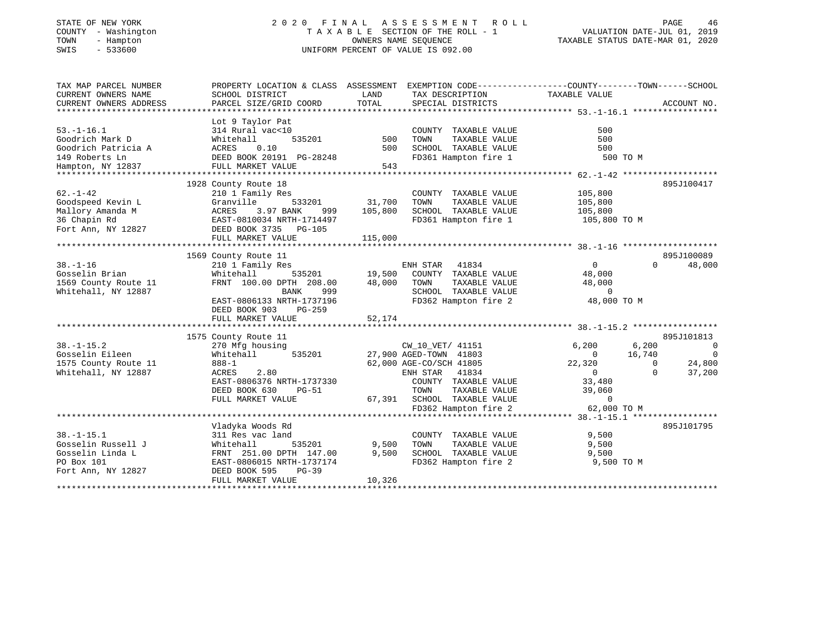# STATE OF NEW YORK 2 0 2 0 F I N A L A S S E S S M E N T R O L L PAGE 46 COUNTY - Washington T A X A B L E SECTION OF THE ROLL - 1 VALUATION DATE-JUL 01, 2019 TOWN - Hampton OWNERS NAME SEQUENCE TAXABLE STATUS DATE-MAR 01, 2020 SWIS - 533600 UNIFORM PERCENT OF VALUE IS 092.00

| TAX MAP PARCEL NUMBER<br>CURRENT OWNERS NAME<br>CURRENT OWNERS ADDRESS                                                                                                | PROPERTY LOCATION & CLASS ASSESSMENT EXEMPTION CODE----------------COUNTY-------TOWN------SCHOOL<br>SCHOOL DISTRICT<br>PARCEL SIZE/GRID COORD                                                                                                                                                                                                                    | LAND<br>TOTAL                | TAX DESCRIPTION<br>SPECIAL DISTRICTS                                                                                                                                                                                                                                                                                     | TAXABLE VALUE                                                                                                                                                                               | ACCOUNT NO.                                                                                                                              |
|-----------------------------------------------------------------------------------------------------------------------------------------------------------------------|------------------------------------------------------------------------------------------------------------------------------------------------------------------------------------------------------------------------------------------------------------------------------------------------------------------------------------------------------------------|------------------------------|--------------------------------------------------------------------------------------------------------------------------------------------------------------------------------------------------------------------------------------------------------------------------------------------------------------------------|---------------------------------------------------------------------------------------------------------------------------------------------------------------------------------------------|------------------------------------------------------------------------------------------------------------------------------------------|
| $53. - 1 - 16.1$<br>Goodrich Mark D<br>Goodrich Patricia A<br>149 Roberts Ln<br>Hampton, NY 12837                                                                     | Lot 9 Taylor Pat<br>314 Rural vac<10<br>Whitehall<br>535201<br>ACRES<br>0.10<br>DEED BOOK 20191 PG-28248<br>FULL MARKET VALUE                                                                                                                                                                                                                                    | 500<br>500<br>543            | COUNTY TAXABLE VALUE<br>TAXABLE VALUE<br>TOWN<br>SCHOOL TAXABLE VALUE<br>FD361 Hampton fire 1                                                                                                                                                                                                                            | 500<br>500<br>500<br>500 TO M                                                                                                                                                               |                                                                                                                                          |
|                                                                                                                                                                       |                                                                                                                                                                                                                                                                                                                                                                  |                              |                                                                                                                                                                                                                                                                                                                          |                                                                                                                                                                                             |                                                                                                                                          |
| $62. - 1 - 42$<br>Goodspeed Kevin L<br>Mallory Amanda M<br>36 Chapin Rd<br>Fort Ann, NY 12827                                                                         | 1928 County Route 18<br>210 1 Family Res<br>Granville<br>533201<br>ACRES<br>3.97 BANK<br>999<br>EAST-0810034 NRTH-1714497<br>DEED BOOK 3735 PG-105<br>FULL MARKET VALUE                                                                                                                                                                                          | 31,700<br>105,800<br>115,000 | COUNTY TAXABLE VALUE<br>TOWN<br>TAXABLE VALUE<br>SCHOOL TAXABLE VALUE<br>FD361 Hampton fire 1                                                                                                                                                                                                                            | 105,800<br>105,800<br>105,800<br>105,800 TO M                                                                                                                                               | 895J100417                                                                                                                               |
|                                                                                                                                                                       |                                                                                                                                                                                                                                                                                                                                                                  |                              |                                                                                                                                                                                                                                                                                                                          |                                                                                                                                                                                             |                                                                                                                                          |
| $38. - 1 - 16$<br>Gosselin Brian<br>1569 County Route 11<br>Whitehall, NY 12887<br>$38. - 1 - 15.2$<br>Gosselin Eileen<br>1575 County Route 11<br>Whitehall, NY 12887 | 1569 County Route 11<br>210 1 Family Res<br>535201<br>Whitehall<br>FRNT 100.00 DPTH 208.00<br>BANK<br>999<br>EAST-0806133 NRTH-1737196<br>DEED BOOK 903<br>PG-259<br>FULL MARKET VALUE<br>1575 County Route 11<br>270 Mfg housing<br>535201<br>Whitehall<br>888-1<br>ACRES<br>2.80<br>EAST-0806376 NRTH-1737330<br>DEED BOOK 630<br>$PG-51$<br>FULL MARKET VALUE | 19,500<br>48,000<br>52,174   | ENH STAR<br>41834<br>COUNTY TAXABLE VALUE<br>TAXABLE VALUE<br>TOWN<br>SCHOOL TAXABLE VALUE<br>FD362 Hampton fire 2<br>CW_10_VET/ 41151<br>27,900 AGED-TOWN 41803<br>62,000 AGE-CO/SCH 41805<br>41834<br>ENH STAR<br>COUNTY TAXABLE VALUE<br>TOWN<br>TAXABLE VALUE<br>67,391 SCHOOL TAXABLE VALUE<br>FD362 Hampton fire 2 | $\mathbf{0}$<br>48,000<br>48,000<br>$\overline{0}$<br>48,000 TO M<br>6,200<br>6,200<br>16,740<br>$\mathbf{0}$<br>22,320<br>$\overline{0}$<br>33,480<br>39,060<br>$\mathbf 0$<br>62,000 TO M | 895J100089<br>$\Omega$<br>48,000<br>895J101813<br>$\overline{0}$<br>$\overline{\phantom{0}}$<br>$\Omega$<br>24,800<br>$\Omega$<br>37,200 |
| $38. - 1 - 15.1$<br>Gosselin Russell J<br>Gosselin Linda L<br>PO Box 101<br>Fort Ann, NY 12827                                                                        | Vladyka Woods Rd<br>311 Res vac land<br>Whitehall<br>535201<br>FRNT 251.00 DPTH 147.00<br>EAST-0806015 NRTH-1737174<br>DEED BOOK 595<br>$PG-39$<br>FULL MARKET VALUE                                                                                                                                                                                             | 9,500<br>9,500<br>10,326     | COUNTY TAXABLE VALUE<br>TOWN<br>TAXABLE VALUE<br>SCHOOL TAXABLE VALUE<br>FD362 Hampton fire 2                                                                                                                                                                                                                            | 9,500<br>9,500<br>9,500<br>9,500 TO M                                                                                                                                                       | 895J101795                                                                                                                               |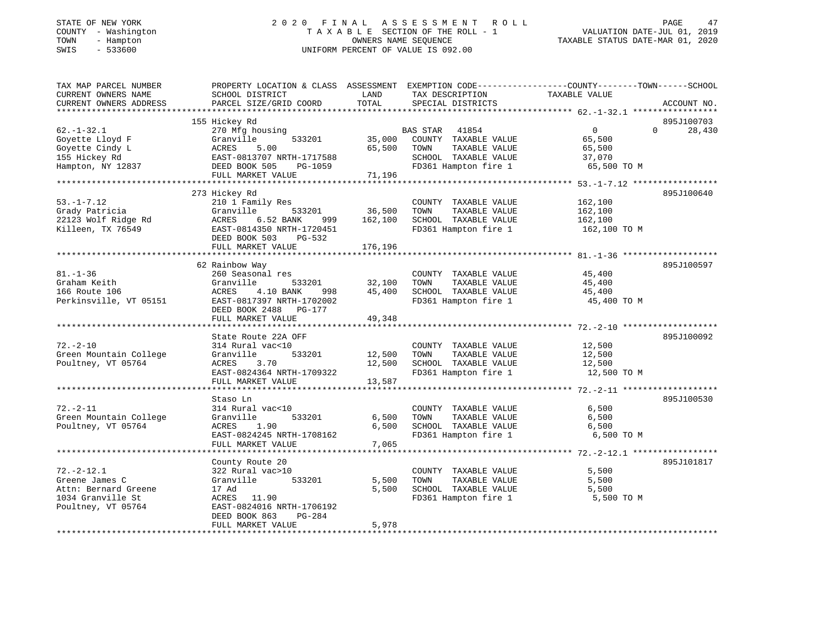# STATE OF NEW YORK 2 0 2 0 F I N A L A S S E S S M E N T R O L L PAGE 47 COUNTY - Washington T A X A B L E SECTION OF THE ROLL - 1 VALUATION DATE-JUL 01, 2019 TOWN - Hampton OWNERS NAME SEQUENCE TAXABLE STATUS DATE-MAR 01, 2020 SWIS - 533600 UNIFORM PERCENT OF VALUE IS 092.00

| TAX MAP PARCEL NUMBER  |                                                |         |                       | PROPERTY LOCATION & CLASS ASSESSMENT EXEMPTION CODE----------------COUNTY-------TOWN------SCHOOL |             |
|------------------------|------------------------------------------------|---------|-----------------------|--------------------------------------------------------------------------------------------------|-------------|
| CURRENT OWNERS NAME    | SCHOOL DISTRICT                                | LAND    | TAX DESCRIPTION       | TAXABLE VALUE                                                                                    |             |
| CURRENT OWNERS ADDRESS | PARCEL SIZE/GRID COORD                         | TOTAL   | SPECIAL DISTRICTS     |                                                                                                  | ACCOUNT NO. |
|                        |                                                |         |                       |                                                                                                  | 895J100703  |
| $62. - 1 - 32.1$       | 155 Hickey Rd                                  |         | BAS STAR 41854        | $\overline{0}$<br>$\Omega$                                                                       | 28,430      |
| Goyette Lloyd F        | 270 Mfg housing<br>Granville<br>533201         | 35,000  | COUNTY TAXABLE VALUE  | 65,500                                                                                           |             |
| Goyette Cindy L        | ACRES<br>5.00                                  | 65,500  | TOWN<br>TAXABLE VALUE | 65,500                                                                                           |             |
| 155 Hickey Rd          | EAST-0813707 NRTH-1717588                      |         | SCHOOL TAXABLE VALUE  | 37,070                                                                                           |             |
| Hampton, NY 12837      | DEED BOOK 505<br>PG-1059                       |         | FD361 Hampton fire 1  | 65,500 TO M                                                                                      |             |
|                        | FULL MARKET VALUE                              | 71,196  |                       |                                                                                                  |             |
|                        |                                                |         |                       |                                                                                                  |             |
|                        | 273 Hickey Rd                                  |         |                       |                                                                                                  | 895J100640  |
| $53. - 1 - 7.12$       | 210 1 Family Res                               |         | COUNTY TAXABLE VALUE  | 162,100                                                                                          |             |
| Grady Patricia         | Granville<br>533201                            | 36,500  | TAXABLE VALUE<br>TOWN | 162,100                                                                                          |             |
| 22123 Wolf Ridge Rd    | ACRES<br>6.52 BANK<br>999                      | 162,100 | SCHOOL TAXABLE VALUE  | 162,100                                                                                          |             |
| Killeen, TX 76549      | EAST-0814350 NRTH-1720451                      |         | FD361 Hampton fire 1  | 162,100 TO M                                                                                     |             |
|                        | DEED BOOK 503<br>PG-532                        |         |                       |                                                                                                  |             |
|                        | FULL MARKET VALUE                              | 176,196 |                       |                                                                                                  |             |
|                        |                                                |         |                       |                                                                                                  |             |
|                        | 62 Rainbow Way                                 |         |                       |                                                                                                  | 895J100597  |
| $81. - 1 - 36$         | 260 Seasonal res                               |         | COUNTY TAXABLE VALUE  | 45,400                                                                                           |             |
| Graham Keith           | Granville<br>533201                            | 32,100  | TAXABLE VALUE<br>TOWN | 45,400                                                                                           |             |
| 166 Route 106          | ACRES 4.10 BANK<br>998                         | 45,400  | SCHOOL TAXABLE VALUE  | 45,400                                                                                           |             |
| Perkinsville, VT 05151 | EAST-0817397 NRTH-1702002                      |         | FD361 Hampton fire 1  | 45,400 TO M                                                                                      |             |
|                        | DEED BOOK 2488 PG-177                          |         |                       |                                                                                                  |             |
|                        | FULL MARKET VALUE                              | 49,348  |                       |                                                                                                  |             |
|                        |                                                |         |                       |                                                                                                  |             |
|                        | State Route 22A OFF                            |         |                       |                                                                                                  | 895J100092  |
| $72. - 2 - 10$         | 314 Rural vac<10                               |         | COUNTY TAXABLE VALUE  | 12,500                                                                                           |             |
| Green Mountain College | Granville<br>533201                            | 12,500  | TAXABLE VALUE<br>TOWN | 12,500                                                                                           |             |
| Poultney, VT 05764     | ACRES<br>3.70                                  | 12,500  | SCHOOL TAXABLE VALUE  | 12,500                                                                                           |             |
|                        | EAST-0824364 NRTH-1709322                      |         | FD361 Hampton fire 1  | 12,500 TO M                                                                                      |             |
|                        | FULL MARKET VALUE                              | 13,587  |                       |                                                                                                  |             |
|                        |                                                |         |                       |                                                                                                  |             |
|                        | Staso Ln                                       |         |                       |                                                                                                  | 895J100530  |
| $72. - 2 - 11$         | 314 Rural vac<10                               |         | COUNTY TAXABLE VALUE  | 6,500                                                                                            |             |
| Green Mountain College | Granville<br>533201                            | 6,500   | TOWN<br>TAXABLE VALUE | 6,500                                                                                            |             |
| Poultney, VT 05764     | ACRES 1.90                                     | 6,500   | SCHOOL TAXABLE VALUE  | 6,500                                                                                            |             |
|                        | EAST-0824245 NRTH-1708162<br>FULL MARKET VALUE | 7,065   | FD361 Hampton fire 1  | 6,500 TO M                                                                                       |             |
|                        |                                                |         |                       |                                                                                                  |             |
|                        | County Route 20                                |         |                       |                                                                                                  | 895J101817  |
| $72. - 2 - 12.1$       | 322 Rural vac>10                               |         | COUNTY TAXABLE VALUE  | 5,500                                                                                            |             |
| Greene James C         | 533201<br>Granville                            | 5,500   | TAXABLE VALUE<br>TOWN | 5,500                                                                                            |             |
| Attn: Bernard Greene   | 17 Ad                                          | 5,500   | SCHOOL TAXABLE VALUE  | 5,500                                                                                            |             |
| 1034 Granville St      | ACRES 11.90                                    |         | FD361 Hampton fire 1  | 5,500 TO M                                                                                       |             |
| Poultney, VT 05764     | EAST-0824016 NRTH-1706192                      |         |                       |                                                                                                  |             |
|                        | DEED BOOK 863<br>PG-284                        |         |                       |                                                                                                  |             |
|                        | FULL MARKET VALUE                              | 5,978   |                       |                                                                                                  |             |
|                        |                                                |         |                       |                                                                                                  |             |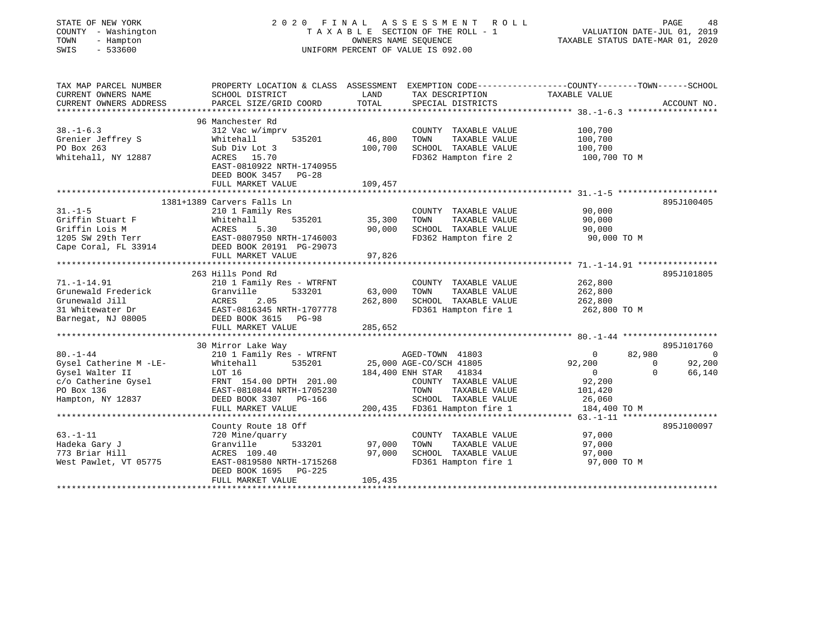| STATE OF NEW YORK<br>COUNTY - Washington<br>TOWN<br>- Hampton<br>$-533600$<br>SWIS |                                                                                                 | OWNERS NAME SEQUENCE    | 2020 FINAL ASSESSMENT ROLL<br>TAXABLE SECTION OF THE ROLL - 1<br>UNIFORM PERCENT OF VALUE IS 092.00 | VALUATION DATE-JUL 01, 2019<br>TAXABLE STATUS DATE-MAR 01, 2020 | 48<br>PAGE  |
|------------------------------------------------------------------------------------|-------------------------------------------------------------------------------------------------|-------------------------|-----------------------------------------------------------------------------------------------------|-----------------------------------------------------------------|-------------|
| TAX MAP PARCEL NUMBER                                                              | PROPERTY LOCATION & CLASS ASSESSMENT EXEMPTION CODE---------------COUNTY-------TOWN------SCHOOL |                         |                                                                                                     |                                                                 |             |
| CURRENT OWNERS NAME                                                                | SCHOOL DISTRICT                                                                                 | LAND                    | TAX DESCRIPTION                                                                                     | TAXABLE VALUE                                                   |             |
| CURRENT OWNERS ADDRESS<br>**********************                                   | PARCEL SIZE/GRID COORD<br>**************************                                            | TOTAL<br>************** | SPECIAL DISTRICTS                                                                                   |                                                                 | ACCOUNT NO. |
|                                                                                    | 96 Manchester Rd                                                                                |                         |                                                                                                     |                                                                 |             |
| $38. - 1 - 6.3$                                                                    | 312 Vac w/imprv                                                                                 |                         | COUNTY TAXABLE VALUE                                                                                | 100,700                                                         |             |
| Grenier Jeffrey S                                                                  | Whitehall<br>535201                                                                             | 46,800                  | TOWN<br>TAXABLE VALUE                                                                               | 100,700                                                         |             |
| PO Box 263                                                                         | Sub Div Lot 3                                                                                   | 100,700                 | SCHOOL TAXABLE VALUE                                                                                | 100,700                                                         |             |
| Whitehall, NY 12887                                                                | ACRES 15.70                                                                                     |                         | FD362 Hampton fire 2                                                                                | 100,700 TO M                                                    |             |
|                                                                                    | EAST-0810922 NRTH-1740955<br>DEED BOOK 3457 PG-28                                               |                         |                                                                                                     |                                                                 |             |
|                                                                                    | FULL MARKET VALUE                                                                               | 109,457                 |                                                                                                     |                                                                 |             |
|                                                                                    |                                                                                                 |                         |                                                                                                     |                                                                 |             |
|                                                                                    | 1381+1389 Carvers Falls Ln                                                                      |                         |                                                                                                     |                                                                 | 895J100405  |
| $31. - 1 - 5$                                                                      | 210 1 Family Res                                                                                |                         | COUNTY TAXABLE VALUE                                                                                | 90,000                                                          |             |
| Griffin Stuart F                                                                   | 535201<br>Whitehall                                                                             | 35,300                  | TOWN<br>TAXABLE VALUE                                                                               | 90,000                                                          |             |
| Griffin Lois M                                                                     | ACRES<br>5.30                                                                                   | 90,000                  | SCHOOL TAXABLE VALUE                                                                                | 90,000                                                          |             |
| 1205 SW 29th Terr                                                                  | EAST-0807950 NRTH-1746003                                                                       |                         | FD362 Hampton fire 2                                                                                | 90,000 TO M                                                     |             |
| Cape Coral, FL 33914                                                               | DEED BOOK 20191 PG-29073<br>FULL MARKET VALUE                                                   | 97,826                  |                                                                                                     |                                                                 |             |
| 71.-1-14.91<br>Grunewald Frederick                                                 | 263 Hills Pond Rd<br>210 1 Family Res - WTRFNT<br>Granville<br>533201                           | 63,000                  | COUNTY TAXABLE VALUE<br>TOWN<br>TAXABLE VALUE                                                       | 262,800<br>262,800                                              | 895J101805  |
| Grunewald Jill                                                                     | ACRES<br>2.05                                                                                   | 262,800                 | SCHOOL TAXABLE VALUE                                                                                | 262,800                                                         |             |
| 31 Whitewater Dr                                                                   | EAST-0816345 NRTH-1707778                                                                       |                         | FD361 Hampton fire 1                                                                                | 262,800 TO M                                                    |             |
| Barnegat, NJ 08005                                                                 | DEED BOOK 3615 PG-98                                                                            |                         |                                                                                                     |                                                                 |             |
|                                                                                    | FULL MARKET VALUE                                                                               | 285,652                 |                                                                                                     |                                                                 |             |
|                                                                                    |                                                                                                 |                         |                                                                                                     |                                                                 |             |
|                                                                                    |                                                                                                 |                         |                                                                                                     |                                                                 |             |
|                                                                                    | 30 Mirror Lake Way                                                                              |                         |                                                                                                     |                                                                 | 895J101760  |
| $80. - 1 - 44$                                                                     | 210 1 Family Res - WTRFNT                                                                       |                         | AGED-TOWN 41803                                                                                     | $\mathbf{0}$<br>82,980                                          | 0           |
| Gysel Catherine M -LE-                                                             | Whitehall<br>535201                                                                             |                         | 25,000 AGE-CO/SCH 41805                                                                             | 92,200<br>$\Omega$                                              | 92,200      |
| Gysel Walter II                                                                    | LOT 16                                                                                          | 184,400 ENH STAR        | 41834                                                                                               | $\overline{0}$<br>$\Omega$                                      | 66,140      |
| c/o Catherine Gysel                                                                | FRNT 154.00 DPTH 201.00                                                                         |                         | COUNTY TAXABLE VALUE                                                                                | 92,200                                                          |             |
| PO Box 136                                                                         | EAST-0810844 NRTH-1705230                                                                       |                         | TOWN<br>TAXABLE VALUE                                                                               | 101,420                                                         |             |
| Hampton, NY 12837                                                                  | DEED BOOK 3307 PG-166<br>FULL MARKET VALUE                                                      |                         | SCHOOL TAXABLE VALUE                                                                                | 26,060                                                          |             |
|                                                                                    |                                                                                                 |                         | 200,435 FD361 Hampton fire 1                                                                        | 184,400 TO M                                                    |             |
|                                                                                    | County Route 18 Off                                                                             |                         |                                                                                                     |                                                                 | 895J100097  |
| $63. - 1 - 11$                                                                     | 720 Mine/quarry                                                                                 |                         | COUNTY TAXABLE VALUE                                                                                | 97,000                                                          |             |
| Hadeka Gary J                                                                      | Granville<br>533201                                                                             | 97,000                  | TOWN<br>TAXABLE VALUE                                                                               | 97,000                                                          |             |
| 773 Briar Hill                                                                     | ACRES 109.40                                                                                    | 97,000                  | SCHOOL TAXABLE VALUE                                                                                | 97,000                                                          |             |
| West Pawlet, VT 05775                                                              | EAST-0819580 NRTH-1715268<br>DEED BOOK 1695<br>PG-225                                           |                         | FD361 Hampton fire 1                                                                                | 97,000 TO M                                                     |             |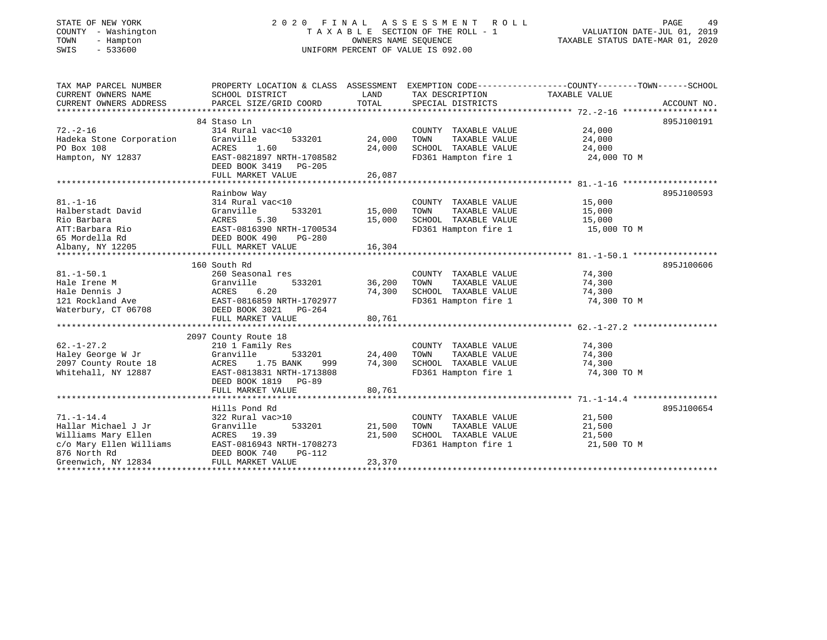# STATE OF NEW YORK 2 0 2 0 F I N A L A S S E S S M E N T R O L L PAGE 49 COUNTY - Washington T A X A B L E SECTION OF THE ROLL - 1 VALUATION DATE-JUL 01, 2019 TOWN - Hampton OWNERS NAME SEQUENCE TAXABLE STATUS DATE-MAR 01, 2020 SWIS - 533600 UNIFORM PERCENT OF VALUE IS 092.00

| TAX MAP PARCEL NUMBER                   |                                                    |               |                                              | PROPERTY LOCATION & CLASS ASSESSMENT EXEMPTION CODE----------------COUNTY-------TOWN------SCHOOL |
|-----------------------------------------|----------------------------------------------------|---------------|----------------------------------------------|--------------------------------------------------------------------------------------------------|
| CURRENT OWNERS NAME                     | SCHOOL DISTRICT                                    | LAND          | TAX DESCRIPTION                              | TAXABLE VALUE                                                                                    |
| CURRENT OWNERS ADDRESS                  | PARCEL SIZE/GRID COORD                             | TOTAL         | SPECIAL DISTRICTS                            | ACCOUNT NO.                                                                                      |
|                                         |                                                    |               |                                              |                                                                                                  |
|                                         | 84 Staso Ln                                        |               |                                              | 895J100191                                                                                       |
| $72. - 2 - 16$                          | 314 Rural vac<10                                   |               | COUNTY TAXABLE VALUE                         | 24,000                                                                                           |
| Hadeka Stone Corporation                | Granville<br>533201                                | 24,000        | TOWN<br>TAXABLE VALUE                        | 24,000                                                                                           |
| PO Box 108                              | ACRES<br>1.60                                      | 24,000        | SCHOOL TAXABLE VALUE                         | 24,000                                                                                           |
| Hampton, NY 12837                       | EAST-0821897 NRTH-1708582                          |               | FD361 Hampton fire 1                         | 24,000 TO M                                                                                      |
|                                         | DEED BOOK 3419 PG-205                              |               |                                              |                                                                                                  |
|                                         | FULL MARKET VALUE                                  | 26,087        |                                              |                                                                                                  |
|                                         |                                                    |               |                                              |                                                                                                  |
|                                         | Rainbow Way                                        |               |                                              | 895J100593                                                                                       |
| $81. - 1 - 16$                          | 314 Rural vac<10                                   |               | COUNTY TAXABLE VALUE                         | 15,000                                                                                           |
| Halberstadt David                       | Granville<br>533201                                | 15,000        | TAXABLE VALUE<br>TOWN                        | 15,000                                                                                           |
| Rio Barbara                             | ACRES<br>5.30                                      | 15,000        | SCHOOL TAXABLE VALUE                         | 15,000                                                                                           |
| ATT:Barbara Rio                         | EAST-0816390 NRTH-1700534                          |               | FD361 Hampton fire 1                         | 15,000 TO M                                                                                      |
| 65 Mordella Rd                          | DEED BOOK 490<br>PG-280                            |               |                                              |                                                                                                  |
| Albany, NY 12205                        | FULL MARKET VALUE                                  | 16,304        |                                              |                                                                                                  |
|                                         |                                                    |               |                                              |                                                                                                  |
|                                         | 160 South Rd                                       |               |                                              | 895J100606                                                                                       |
| $81.-1-50.1$                            | 260 Seasonal res                                   |               | COUNTY TAXABLE VALUE                         | 74,300                                                                                           |
| Hale Irene M                            | 533201<br>Granville                                | 36,200        | TOWN<br>TAXABLE VALUE                        | 74,300                                                                                           |
| Hale Dennis J                           | ACRES<br>6.20                                      | 74,300        | SCHOOL TAXABLE VALUE                         | 74,300                                                                                           |
| 121 Rockland Ave                        | EAST-0816859 NRTH-1702977<br>DEED BOOK 3021 PG-264 |               | FD361 Hampton fire 1                         | 74,300 TO M                                                                                      |
| Waterbury, CT 06708                     | DEED BOOK 3021 PG-264                              |               |                                              |                                                                                                  |
|                                         | FULL MARKET VALUE                                  | 80,761        |                                              |                                                                                                  |
|                                         |                                                    |               |                                              |                                                                                                  |
|                                         | 2097 County Route 18                               |               |                                              |                                                                                                  |
| $62. - 1 - 27.2$                        | 210 1 Family Res                                   |               | COUNTY TAXABLE VALUE                         | 74,300                                                                                           |
| Haley George W Jr                       | Granville                                          | 533201 24,400 | TOWN<br>TAXABLE VALUE                        | 74,300                                                                                           |
| 2097 County Route 18                    | ACRES 1.75 BANK                                    | 999 74,300    | SCHOOL TAXABLE VALUE<br>FD361 Hampton fire 1 | 74,300                                                                                           |
| Whitehall, NY 12887                     | EAST-0813831 NRTH-1713808                          |               |                                              | 74,300 TO M                                                                                      |
|                                         | DEED BOOK 1819 PG-89                               |               |                                              |                                                                                                  |
|                                         | FULL MARKET VALUE                                  | 80,761        |                                              |                                                                                                  |
|                                         |                                                    |               |                                              |                                                                                                  |
|                                         | Hills Pond Rd                                      |               |                                              | 895J100654                                                                                       |
| $71. - 1 - 14.4$                        | 322 Rural vac>10                                   |               | COUNTY TAXABLE VALUE                         | 21,500                                                                                           |
| Hallar Michael J Jr                     | Granville<br>533201                                | 21,500        | TOWN<br>TAXABLE VALUE                        | 21,500                                                                                           |
| Williams Mary Ellen                     | ACRES 19.39<br>EAST-0816943 NRTH-1708273           | 21,500        | SCHOOL TAXABLE VALUE<br>FD361 Hampton fire 1 | 21,500<br>21,500 TO M                                                                            |
| c/o Mary Ellen Williams<br>876 North Rd | DEED BOOK 740                                      |               |                                              |                                                                                                  |
| Greenwich, NY 12834                     | PG-112<br>FULL MARKET VALUE                        | 23,370        |                                              |                                                                                                  |
|                                         |                                                    |               |                                              |                                                                                                  |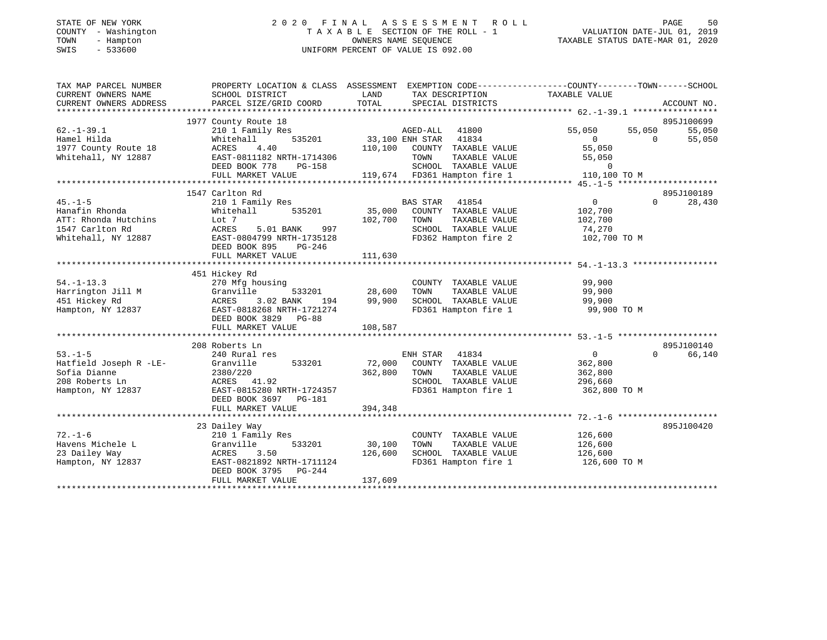### STATE OF NEW YORK 2 0 2 0 F I N A L A S S E S S M E N T R O L L PAGE 50 COUNTY - Washington T A X A B L E SECTION OF THE ROLL - 1 VALUATION DATE-JUL 01, 2019 TOWN - Hampton OWNERS NAME SEQUENCE TAXABLE STATUS DATE-MAR 01, 2020 SWIS - 533600 UNIFORM PERCENT OF VALUE IS 092.00

| TAX MAP PARCEL NUMBER<br>CURRENT OWNERS NAME | PROPERTY LOCATION & CLASS ASSESSMENT EXEMPTION CODE---------------COUNTY-------TOWN-----SCHOOL<br>SCHOOL DISTRICT | LAND    | TAX DESCRIPTION                                      | TAXABLE VALUE  |                |             |
|----------------------------------------------|-------------------------------------------------------------------------------------------------------------------|---------|------------------------------------------------------|----------------|----------------|-------------|
| CURRENT OWNERS ADDRESS                       | PARCEL SIZE/GRID COORD                                                                                            | TOTAL   | SPECIAL DISTRICTS                                    |                |                | ACCOUNT NO. |
|                                              | 1977 County Route 18                                                                                              |         |                                                      |                |                | 895J100699  |
| $62. - 1 - 39.1$                             | 210 1 Family Res                                                                                                  |         | AGED-ALL<br>41800                                    | 55,050         | 55,050         | 55,050      |
| Hamel Hilda                                  | 535201<br>Whitehall                                                                                               |         | 33,100 ENH STAR 41834                                | $\overline{0}$ | $\overline{0}$ | 55,050      |
| 1977 County Route 18                         | ACRES<br>4.40                                                                                                     | 110,100 | COUNTY TAXABLE VALUE                                 | 55,050         |                |             |
| Whitehall, NY 12887                          | EAST-0811182 NRTH-1714306                                                                                         |         | TOWN<br>TAXABLE VALUE                                | 55,050         |                |             |
|                                              | DEED BOOK 778<br>PG-158                                                                                           |         |                                                      | $\overline{0}$ |                |             |
|                                              | FULL MARKET VALUE                                                                                                 |         | SCHOOL TAXABLE VALUE<br>119,674 FD361 Hampton fire 1 | 110,100 TO M   |                |             |
|                                              |                                                                                                                   |         |                                                      |                |                |             |
|                                              | 1547 Carlton Rd                                                                                                   |         |                                                      |                |                | 895J100189  |
| $45. -1 - 5$                                 | 210 1 Family Res                                                                                                  |         | <b>BAS STAR</b><br>41854                             | $\overline{0}$ | $\Omega$       | 28,430      |
| Hanafin Rhonda                               | Whitehall<br>535201                                                                                               |         | 35,000 COUNTY TAXABLE VALUE                          | 102,700        |                |             |
| ATT: Rhonda Hutchins                         | Lot 7                                                                                                             | 102,700 | TAXABLE VALUE<br>TOWN                                | 102,700        |                |             |
| 1547 Carlton Rd                              | ACRES<br>5.01 BANK<br>997                                                                                         |         | SCHOOL TAXABLE VALUE                                 | 74,270         |                |             |
| Whitehall, NY 12887                          | EAST-0804799 NRTH-1735128                                                                                         |         | FD362 Hampton fire 2                                 | 102,700 TO M   |                |             |
|                                              | DEED BOOK 895<br>PG-246                                                                                           |         |                                                      |                |                |             |
|                                              | FULL MARKET VALUE                                                                                                 | 111,630 |                                                      |                |                |             |
|                                              | 451 Hickey Rd                                                                                                     |         |                                                      |                |                |             |
| $54. -1 - 13.3$                              | 270 Mfg housing                                                                                                   |         | COUNTY TAXABLE VALUE                                 | 99,900         |                |             |
| Harrington Jill M                            | 533201<br>Granville                                                                                               | 28,600  | TAXABLE VALUE<br>TOWN                                | 99,900         |                |             |
| 451 Hickey Rd                                | 194<br>3.02 BANK<br>ACRES                                                                                         | 99,900  | SCHOOL TAXABLE VALUE 99,900                          |                |                |             |
| Hampton, NY 12837                            | EAST-0818268 NRTH-1721274                                                                                         |         | FD361 Hampton fire 1                                 | 99,900 TO M    |                |             |
|                                              | DEED BOOK 3829 PG-88                                                                                              |         |                                                      |                |                |             |
|                                              | FULL MARKET VALUE                                                                                                 | 108,587 |                                                      |                |                |             |
|                                              |                                                                                                                   |         |                                                      |                |                |             |
|                                              | 208 Roberts Ln                                                                                                    |         |                                                      |                |                | 895J100140  |
| $53. -1 - 5$                                 | 240 Rural res                                                                                                     |         | ENH STAR<br>41834                                    | $\overline{0}$ | $\Omega$       | 66,140      |
| Hatfield Joseph R -LE-                       | Granville<br>533201                                                                                               |         | 72,000 COUNTY TAXABLE VALUE                          | 362,800        |                |             |
| Sofia Dianne                                 | 2380/220                                                                                                          | 362,800 | TOWN<br>TAXABLE VALUE                                | 362,800        |                |             |
| 208 Roberts Ln                               | ACRES 41.92                                                                                                       |         | SCHOOL TAXABLE VALUE                                 | 296,660        |                |             |
| Hampton, NY 12837                            | EAST-0815280 NRTH-1724357                                                                                         |         | FD361 Hampton fire 1                                 | 362,800 ТО М   |                |             |
|                                              | DEED BOOK 3697 PG-181                                                                                             |         |                                                      |                |                |             |
|                                              | FULL MARKET VALUE                                                                                                 | 394,348 |                                                      |                |                |             |
|                                              |                                                                                                                   |         |                                                      |                |                |             |
|                                              | 23 Dailey Way                                                                                                     |         |                                                      |                |                | 895J100420  |
| $72. - 1 - 6$                                | 210 1 Family Res                                                                                                  |         | COUNTY TAXABLE VALUE                                 | 126,600        |                |             |
| Havens Michele L                             | Granville<br>533201                                                                                               | 30,100  | TAXABLE VALUE<br>TOWN                                | 126,600        |                |             |
| 23 Dailey Way                                | 3.50<br>ACRES                                                                                                     | 126,600 | SCHOOL TAXABLE VALUE                                 | 126,600        |                |             |
| Hampton, NY 12837                            | EAST-0821892 NRTH-1711124                                                                                         |         | FD361 Hampton fire 1                                 | 126,600 TO M   |                |             |
|                                              | DEED BOOK 3795 PG-244<br>FULL MARKET VALUE                                                                        | 137,609 |                                                      |                |                |             |
|                                              |                                                                                                                   |         |                                                      |                |                |             |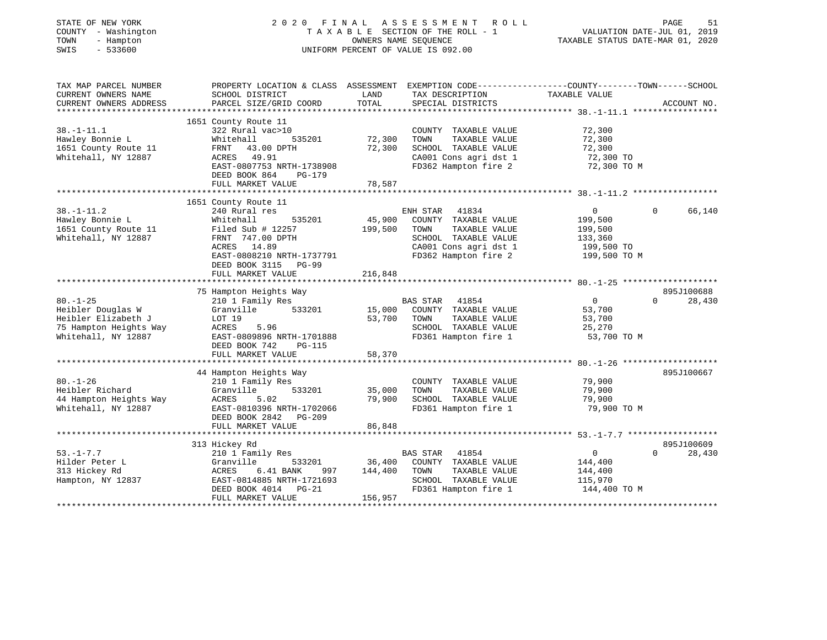| STATE OF NEW YORK<br>COUNTY<br>- Washington<br>TOWN<br>- Hampton<br>$-533600$<br>SWIS |                                                                                                 |                                         | 2020 FINAL ASSESSMENT<br>R O L L<br>TAXABLE SECTION OF THE ROLL - 1<br>OWNERS NAME SEQUENCE<br>UNIFORM PERCENT OF VALUE IS 092.00 | TAXABLE STATUS DATE-MAR 01, 2020 | PAGE<br>51<br>VALUATION DATE-JUL 01, 2019 |
|---------------------------------------------------------------------------------------|-------------------------------------------------------------------------------------------------|-----------------------------------------|-----------------------------------------------------------------------------------------------------------------------------------|----------------------------------|-------------------------------------------|
| TAX MAP PARCEL NUMBER                                                                 | PROPERTY LOCATION & CLASS ASSESSMENT EXEMPTION CODE----------------COUNTY-------TOWN-----SCHOOL |                                         |                                                                                                                                   |                                  |                                           |
| CURRENT OWNERS NAME<br>CURRENT OWNERS ADDRESS                                         | SCHOOL DISTRICT<br>PARCEL SIZE/GRID COORD                                                       | LAND<br>TOTAL                           | TAX DESCRIPTION<br>SPECIAL DISTRICTS                                                                                              | TAXABLE VALUE                    | ACCOUNT NO.                               |
|                                                                                       |                                                                                                 |                                         |                                                                                                                                   |                                  |                                           |
|                                                                                       | 1651 County Route 11                                                                            |                                         |                                                                                                                                   |                                  |                                           |
| $38. - 1 - 11.1$                                                                      | 322 Rural vac>10                                                                                |                                         | COUNTY TAXABLE VALUE                                                                                                              | 72,300                           |                                           |
| Hawley Bonnie L                                                                       | Whitehall<br>535201                                                                             | 72,300                                  | TOWN<br>TAXABLE VALUE                                                                                                             | 72,300                           |                                           |
| 1651 County Route 11                                                                  | 43.00 DPTH<br>FRNT                                                                              | 72,300                                  | SCHOOL TAXABLE VALUE                                                                                                              | 72,300                           |                                           |
| Whitehall, NY 12887                                                                   | 49.91<br>ACRES                                                                                  |                                         | CA001 Cons agri dst 1                                                                                                             | 72,300 TO                        |                                           |
|                                                                                       | EAST-0807753 NRTH-1738908                                                                       |                                         | FD362 Hampton fire 2                                                                                                              | 72,300 TO M                      |                                           |
|                                                                                       | DEED BOOK 864<br>PG-179                                                                         |                                         |                                                                                                                                   |                                  |                                           |
|                                                                                       | FULL MARKET VALUE<br>************************                                                   | 78,587                                  |                                                                                                                                   |                                  |                                           |
|                                                                                       | 1651 County Route 11                                                                            |                                         |                                                                                                                                   |                                  |                                           |
| $38. - 1 - 11.2$                                                                      | 240 Rural res                                                                                   |                                         | ENH STAR<br>41834                                                                                                                 | $\overline{0}$                   | 66,140<br>$\mathbf 0$                     |
| Hawley Bonnie L                                                                       | Whitehall<br>535201                                                                             | 45,900                                  | COUNTY TAXABLE VALUE                                                                                                              | 199,500                          |                                           |
| 1651 County Route 11                                                                  | Filed Sub $# 12257$                                                                             | 199,500                                 | TOWN<br>TAXABLE VALUE                                                                                                             | 199,500                          |                                           |
| Whitehall, NY 12887                                                                   | FRNT 747.00 DPTH                                                                                |                                         | SCHOOL TAXABLE VALUE                                                                                                              | 133,360                          |                                           |
|                                                                                       | ACRES 14.89                                                                                     |                                         | CA001 Cons agri dst 1                                                                                                             | 199,500 TO                       |                                           |
|                                                                                       | EAST-0808210 NRTH-1737791                                                                       |                                         | FD362 Hampton fire 2                                                                                                              | 199,500 TO M                     |                                           |
|                                                                                       | DEED BOOK 3115 PG-99                                                                            |                                         |                                                                                                                                   |                                  |                                           |
|                                                                                       | FULL MARKET VALUE                                                                               | 216,848                                 |                                                                                                                                   |                                  |                                           |
|                                                                                       |                                                                                                 |                                         |                                                                                                                                   |                                  |                                           |
| $80. - 1 - 25$                                                                        | 75 Hampton Heights Way<br>210 1 Family Res                                                      |                                         | <b>BAS STAR</b><br>41854                                                                                                          | $\mathbf 0$                      | 895J100688<br>$\Omega$<br>28,430          |
| Heibler Douglas W                                                                     | Granville<br>533201                                                                             | 15,000                                  | COUNTY TAXABLE VALUE                                                                                                              | 53,700                           |                                           |
| Heibler Elizabeth J                                                                   | LOT 19                                                                                          | 53,700                                  | TOWN<br>TAXABLE VALUE                                                                                                             | 53,700                           |                                           |
| 75 Hampton Heights Way                                                                | ACRES<br>5.96                                                                                   |                                         | SCHOOL TAXABLE VALUE                                                                                                              | 25,270                           |                                           |
| Whitehall, NY 12887                                                                   | EAST-0809896 NRTH-1701888                                                                       |                                         | FD361 Hampton fire 1                                                                                                              | 53,700 TO M                      |                                           |
|                                                                                       | DEED BOOK 742<br>PG-115                                                                         |                                         |                                                                                                                                   |                                  |                                           |
|                                                                                       | FULL MARKET VALUE                                                                               | 58,370                                  |                                                                                                                                   |                                  |                                           |
|                                                                                       | ***************************                                                                     | * * * * * * * * * * * * * * * * * * * * |                                                                                                                                   |                                  |                                           |
|                                                                                       | 44 Hampton Heights Way                                                                          |                                         |                                                                                                                                   |                                  | 895J100667                                |
| $80. - 1 - 26$                                                                        | 210 1 Family Res                                                                                |                                         | COUNTY TAXABLE VALUE                                                                                                              | 79,900                           |                                           |
| Heibler Richard                                                                       | 533201<br>Granville                                                                             | 35,000                                  | TAXABLE VALUE<br>TOWN                                                                                                             | 79,900                           |                                           |
| 44 Hampton Heights Way<br>Whitehall, NY 12887                                         | ACRES<br>5.02<br>EAST-0810396 NRTH-1702066                                                      | 79,900                                  | SCHOOL TAXABLE VALUE<br>FD361 Hampton fire 1                                                                                      | 79,900<br>79,900 TO M            |                                           |
|                                                                                       | DEED BOOK 2842 PG-209                                                                           |                                         |                                                                                                                                   |                                  |                                           |
|                                                                                       | FULL MARKET VALUE                                                                               | 86,848                                  |                                                                                                                                   |                                  |                                           |
|                                                                                       |                                                                                                 |                                         |                                                                                                                                   |                                  |                                           |
|                                                                                       | 313 Hickey Rd                                                                                   |                                         |                                                                                                                                   |                                  | 895J100609                                |
| $53. - 1 - 7.7$                                                                       | 210 1 Family Res                                                                                |                                         | 41854<br>BAS STAR                                                                                                                 | 0                                | $\Omega$<br>28,430                        |
| Hilder Peter L                                                                        | Granville<br>533201                                                                             | 36,400                                  | COUNTY TAXABLE VALUE                                                                                                              | 144,400                          |                                           |
| 313 Hickey Rd                                                                         | ACRES<br>6.41 BANK<br>997                                                                       | 144,400                                 | TOWN<br>TAXABLE VALUE                                                                                                             | 144,400                          |                                           |
| Hampton, NY 12837                                                                     | EAST-0814885 NRTH-1721693                                                                       |                                         | SCHOOL TAXABLE VALUE                                                                                                              | 115,970                          |                                           |
|                                                                                       | DEED BOOK 4014<br>$PG-21$                                                                       |                                         | FD361 Hampton fire 1                                                                                                              | 144,400 TO M                     |                                           |
|                                                                                       | FULL MARKET VALUE<br>***********************                                                    | 156,957                                 |                                                                                                                                   |                                  |                                           |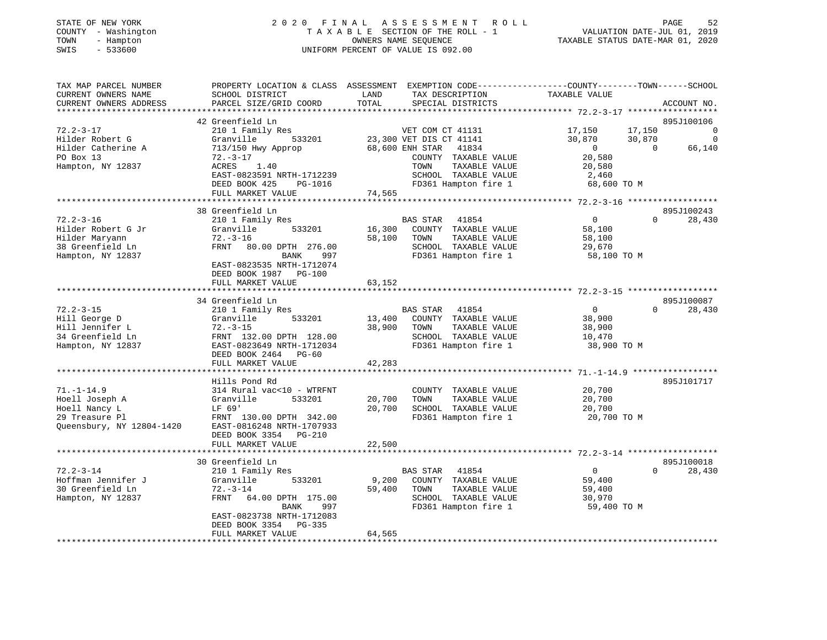| STATE OF NEW YORK |              |
|-------------------|--------------|
| COUNTY            | - Washington |
| TOWN<br>$-$       | Hampton      |
| SWTS              | $-533600$    |

### STATE OF NEW YORK 2 0 2 0 F I N A L A S S E S S M E N T R O L L PAGE 52 COUNTY - Washington T A X A B L E SECTION OF THE ROLL - 1 VALUATION DATE-JUL 01, 2019 OWNERS NAME SEQUENCE TAXABLE STATUS DATE-MAR 01, 2020 SWIS - 533600 UNIFORM PERCENT OF VALUE IS 092.00

| TAX MAP PARCEL NUMBER<br>CURRENT OWNERS NAME<br>CURRENT OWNERS ADDRESS | SCHOOL DISTRICT<br>PARCEL SIZE/GRID COORD             | LAND<br>TOTAL    | PROPERTY LOCATION & CLASS ASSESSMENT EXEMPTION CODE----------------COUNTY-------TOWN-----SCHOOL<br>TAX DESCRIPTION<br>SPECIAL DISTRICTS | TAXABLE VALUE    | ACCOUNT NO.        |          |
|------------------------------------------------------------------------|-------------------------------------------------------|------------------|-----------------------------------------------------------------------------------------------------------------------------------------|------------------|--------------------|----------|
| *******************                                                    |                                                       |                  |                                                                                                                                         |                  | **********         |          |
| $72.2 - 3 - 17$                                                        | 42 Greenfield Ln<br>210 1 Family Res                  |                  | VET COM CT 41131                                                                                                                        | 17,150<br>17,150 | 895J100106         | $\Omega$ |
| Hilder Robert G                                                        | Granville<br>533201                                   |                  | 23,300 VET DIS CT 41141                                                                                                                 | 30,870<br>30,870 |                    | $\Omega$ |
| Hilder Catherine A                                                     | 713/150 Hwy Approp                                    |                  | 68,600 ENH STAR<br>41834                                                                                                                | $\overline{0}$   | 66,140<br>$\Omega$ |          |
| PO Box 13<br>Hampton, NY 12837                                         | $72. - 3 - 17$<br>ACRES<br>1.40                       |                  | COUNTY TAXABLE VALUE<br>TAXABLE VALUE<br>TOWN                                                                                           | 20,580<br>20,580 |                    |          |
|                                                                        | EAST-0823591 NRTH-1712239                             |                  | SCHOOL TAXABLE VALUE                                                                                                                    | 2,460            |                    |          |
|                                                                        | DEED BOOK 425<br>PG-1016                              |                  | FD361 Hampton fire 1                                                                                                                    | 68,600 TO M      |                    |          |
|                                                                        | FULL MARKET VALUE                                     | 74,565           |                                                                                                                                         |                  |                    |          |
|                                                                        |                                                       |                  |                                                                                                                                         |                  |                    |          |
|                                                                        | 38 Greenfield Ln                                      |                  |                                                                                                                                         |                  | 895J100243         |          |
| $72.2 - 3 - 16$                                                        | 210 1 Family Res                                      |                  | <b>BAS STAR</b><br>41854                                                                                                                | $\overline{0}$   | $\Omega$<br>28,430 |          |
| Hilder Robert G Jr                                                     | Granville<br>533201                                   | 16,300           | COUNTY TAXABLE VALUE                                                                                                                    | 58,100           |                    |          |
| Hilder Maryann                                                         | $72. - 3 - 16$                                        | 58,100           | TOWN<br>TAXABLE VALUE                                                                                                                   | 58,100           |                    |          |
| 38 Greenfield Ln                                                       | FRNT 80.00 DPTH 276.00                                |                  | SCHOOL TAXABLE VALUE                                                                                                                    | 29,670           |                    |          |
| Hampton, NY 12837                                                      | BANK<br>997                                           |                  | FD361 Hampton fire 1                                                                                                                    | 58,100 TO M      |                    |          |
|                                                                        | EAST-0823535 NRTH-1712074                             |                  |                                                                                                                                         |                  |                    |          |
|                                                                        | DEED BOOK 1987 PG-100                                 |                  |                                                                                                                                         |                  |                    |          |
|                                                                        | FULL MARKET VALUE                                     | 63,152           |                                                                                                                                         |                  |                    |          |
|                                                                        | 34 Greenfield Ln                                      |                  |                                                                                                                                         |                  | 895J100087         |          |
| $72.2 - 3 - 15$                                                        | 210 1 Family Res                                      |                  | 41854<br><b>BAS STAR</b>                                                                                                                | $\overline{0}$   | $\Omega$<br>28,430 |          |
| Hill George D                                                          | Granville<br>533201                                   | 13,400           | COUNTY TAXABLE VALUE                                                                                                                    | 38,900           |                    |          |
| Hill Jennifer L                                                        | $72. - 3 - 15$                                        | 38,900           | TAXABLE VALUE<br>TOWN                                                                                                                   | 38,900           |                    |          |
| 34 Greenfield Ln                                                       | FRNT 132.00 DPTH 128.00                               |                  | SCHOOL TAXABLE VALUE                                                                                                                    | 10,470           |                    |          |
| Hampton, NY 12837                                                      | EAST-0823649 NRTH-1712034                             |                  | FD361 Hampton fire 1                                                                                                                    | 38,900 TO M      |                    |          |
|                                                                        | DEED BOOK 2464<br>PG-60                               |                  |                                                                                                                                         |                  |                    |          |
|                                                                        | FULL MARKET VALUE                                     | 42,283           |                                                                                                                                         |                  |                    |          |
|                                                                        |                                                       |                  |                                                                                                                                         |                  |                    |          |
|                                                                        | Hills Pond Rd                                         |                  |                                                                                                                                         |                  | 895J101717         |          |
| $71. - 1 - 14.9$                                                       | 314 Rural vac<10 - WTRFNT                             |                  | COUNTY TAXABLE VALUE<br>TAXABLE VALUE                                                                                                   | 20,700           |                    |          |
| Hoell Joseph A<br>Hoell Nancy L                                        | Granville<br>533201<br>LF 69'                         | 20,700<br>20,700 | TOWN<br>SCHOOL TAXABLE VALUE                                                                                                            | 20,700<br>20,700 |                    |          |
| 29 Treasure Pl                                                         | FRNT 130.00 DPTH 342.00                               |                  | FD361 Hampton fire 1                                                                                                                    | 20,700 TO M      |                    |          |
| Queensbury, NY 12804-1420                                              | EAST-0816248 NRTH-1707933                             |                  |                                                                                                                                         |                  |                    |          |
|                                                                        | DEED BOOK 3354 PG-210                                 |                  |                                                                                                                                         |                  |                    |          |
|                                                                        | FULL MARKET VALUE                                     | 22,500           |                                                                                                                                         |                  |                    |          |
|                                                                        |                                                       |                  |                                                                                                                                         |                  |                    |          |
|                                                                        | 30 Greenfield Ln                                      |                  |                                                                                                                                         |                  | 895J100018         |          |
| $72.2 - 3 - 14$                                                        | 210 1 Family Res                                      |                  | <b>BAS STAR</b><br>41854                                                                                                                | $\overline{0}$   | $\Omega$<br>28,430 |          |
| Hoffman Jennifer J                                                     | Granville<br>533201                                   | 9,200            | COUNTY TAXABLE VALUE                                                                                                                    | 59,400           |                    |          |
| 30 Greenfield Ln                                                       | $72. - 3 - 14$                                        | 59,400           | TOWN<br>TAXABLE VALUE                                                                                                                   | 59,400           |                    |          |
| Hampton, NY 12837                                                      | FRNT<br>64.00 DPTH 175.00                             |                  | SCHOOL TAXABLE VALUE                                                                                                                    | 30,970           |                    |          |
|                                                                        | BANK<br>997                                           |                  | FD361 Hampton fire 1                                                                                                                    | 59,400 TO M      |                    |          |
|                                                                        | EAST-0823738 NRTH-1712083<br>DEED BOOK 3354<br>PG-335 |                  |                                                                                                                                         |                  |                    |          |
|                                                                        | FULL MARKET VALUE                                     | 64,565           |                                                                                                                                         |                  |                    |          |
| **********************                                                 |                                                       |                  |                                                                                                                                         |                  |                    |          |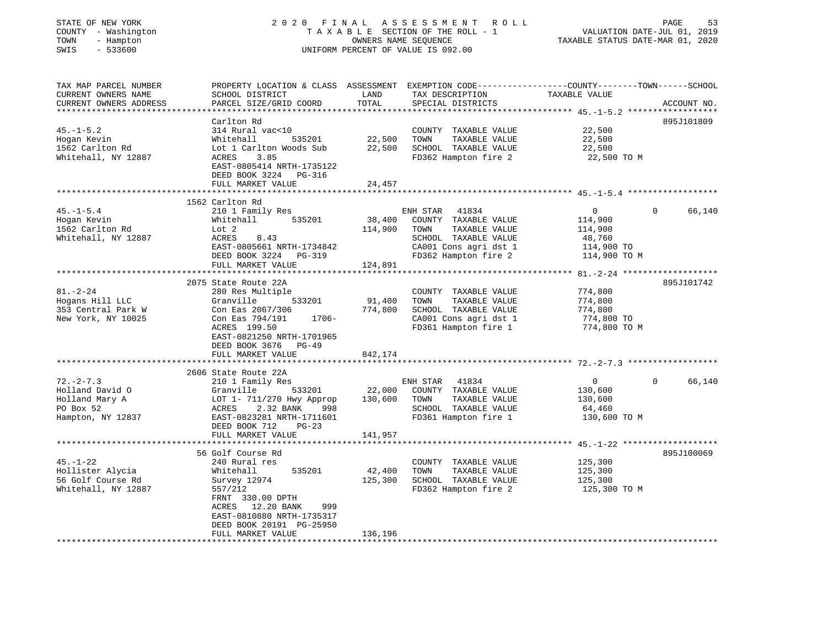| STATE OF NEW YORK<br>COUNTY - Washington<br>TOWN<br>- Hampton<br>SWIS<br>$-533600$ |                                                                                                                                               | OWNERS NAME SEQUENCE        | 2020 FINAL ASSESSMENT<br>R O L L<br>TAXABLE SECTION OF THE ROLL - 1<br>UNIFORM PERCENT OF VALUE IS 092.00 | VALUATION DATE-JUL 01, 2019<br>TAXABLE STATUS DATE-MAR 01, 2020 | 53<br>PAGE         |
|------------------------------------------------------------------------------------|-----------------------------------------------------------------------------------------------------------------------------------------------|-----------------------------|-----------------------------------------------------------------------------------------------------------|-----------------------------------------------------------------|--------------------|
| TAX MAP PARCEL NUMBER<br>CURRENT OWNERS NAME<br>CURRENT OWNERS ADDRESS             | PROPERTY LOCATION & CLASS ASSESSMENT EXEMPTION CODE----------------COUNTY-------TOWN------SCHOOL<br>SCHOOL DISTRICT<br>PARCEL SIZE/GRID COORD | LAND<br>TOTAL               | TAX DESCRIPTION<br>SPECIAL DISTRICTS                                                                      | TAXABLE VALUE                                                   | ACCOUNT NO.        |
|                                                                                    | Carlton Rd                                                                                                                                    |                             |                                                                                                           |                                                                 | 895J101809         |
| $45. - 1 - 5.2$                                                                    | 314 Rural vac<10                                                                                                                              |                             | COUNTY TAXABLE VALUE                                                                                      | 22,500                                                          |                    |
| Hogan Kevin                                                                        | Whitehall<br>535201                                                                                                                           | 22,500                      | TOWN<br>TAXABLE VALUE                                                                                     | 22,500                                                          |                    |
| 1562 Carlton Rd                                                                    | Lot 1 Carlton Woods Sub                                                                                                                       | 22,500                      | SCHOOL TAXABLE VALUE                                                                                      | 22,500                                                          |                    |
| Whitehall, NY 12887                                                                | 3.85<br>ACRES<br>EAST-0805414 NRTH-1735122<br>DEED BOOK 3224 PG-316                                                                           |                             | FD362 Hampton fire 2                                                                                      | 22,500 TO M                                                     |                    |
|                                                                                    | FULL MARKET VALUE                                                                                                                             | 24,457                      |                                                                                                           |                                                                 |                    |
|                                                                                    | 1562 Carlton Rd                                                                                                                               |                             |                                                                                                           |                                                                 |                    |
| $45. - 1 - 5.4$                                                                    | 210 1 Family Res                                                                                                                              |                             | ENH STAR<br>41834                                                                                         | $\overline{0}$                                                  | 0<br>66,140        |
| Hogan Kevin                                                                        | 535201<br>Whitehall                                                                                                                           | 38,400                      | COUNTY TAXABLE VALUE                                                                                      | 114,900                                                         |                    |
| 1562 Carlton Rd                                                                    | Lot 2                                                                                                                                         | 114,900                     | TOWN<br>TAXABLE VALUE                                                                                     | 114,900                                                         |                    |
| Whitehall, NY 12887                                                                | ACRES<br>8.43                                                                                                                                 |                             | SCHOOL TAXABLE VALUE                                                                                      | 48,760                                                          |                    |
|                                                                                    | EAST-0805661 NRTH-1734842                                                                                                                     |                             | CA001 Cons agri dst 1                                                                                     | 114,900 TO                                                      |                    |
|                                                                                    | DEED BOOK 3224 PG-319<br>FULL MARKET VALUE                                                                                                    | 124,891                     | FD362 Hampton fire 2                                                                                      | 114,900 TO M                                                    |                    |
|                                                                                    |                                                                                                                                               |                             |                                                                                                           |                                                                 |                    |
|                                                                                    | 2075 State Route 22A                                                                                                                          |                             |                                                                                                           |                                                                 | 895J101742         |
| $81. - 2 - 24$                                                                     | 280 Res Multiple                                                                                                                              |                             | COUNTY TAXABLE VALUE                                                                                      | 774,800                                                         |                    |
| Hogans Hill LLC                                                                    | Granville<br>533201                                                                                                                           | 91,400                      | TOWN<br>TAXABLE VALUE                                                                                     | 774,800                                                         |                    |
| 353 Central Park W                                                                 | Con Eas 2067/306                                                                                                                              | 774,800                     | SCHOOL TAXABLE VALUE                                                                                      | 774,800                                                         |                    |
| New York, NY 10025                                                                 | Con Eas 794/191<br>1706-                                                                                                                      |                             | CA001 Cons agri dst 1                                                                                     | 774,800 TO                                                      |                    |
|                                                                                    | ACRES 199.50<br>EAST-0821250 NRTH-1701965                                                                                                     |                             | FD361 Hampton fire 1                                                                                      | 774,800 TO M                                                    |                    |
|                                                                                    | DEED BOOK 3676 PG-49                                                                                                                          |                             |                                                                                                           |                                                                 |                    |
|                                                                                    | FULL MARKET VALUE                                                                                                                             | 842,174                     |                                                                                                           |                                                                 |                    |
|                                                                                    |                                                                                                                                               |                             |                                                                                                           |                                                                 |                    |
|                                                                                    | 2606 State Route 22A                                                                                                                          |                             |                                                                                                           |                                                                 |                    |
| $72. - 2 - 7.3$                                                                    | 210 1 Family Res                                                                                                                              |                             | ENH STAR 41834                                                                                            | $\overline{0}$                                                  | $\Omega$<br>66,140 |
| Holland David O                                                                    | Granville<br>533201                                                                                                                           | 22,000                      | COUNTY TAXABLE VALUE                                                                                      | 130,600                                                         |                    |
| Holland Mary A<br>PO Box 52                                                        | LOT 1- 711/270 Hwy Approp<br>ACRES<br>2.32 BANK<br>998                                                                                        | 130,600                     | TOWN<br>TAXABLE VALUE<br>SCHOOL TAXABLE VALUE                                                             | 130,600<br>64,460                                               |                    |
| Hampton, NY 12837                                                                  | EAST-0823281 NRTH-1711601                                                                                                                     |                             | FD361 Hampton fire 1                                                                                      | 130,600 TO M                                                    |                    |
|                                                                                    | DEED BOOK 712<br>$PG-23$                                                                                                                      |                             |                                                                                                           |                                                                 |                    |
|                                                                                    | FULL MARKET VALUE                                                                                                                             | 141,957                     |                                                                                                           |                                                                 |                    |
|                                                                                    |                                                                                                                                               |                             |                                                                                                           |                                                                 |                    |
|                                                                                    | 56 Golf Course Rd                                                                                                                             |                             |                                                                                                           |                                                                 | 895J100069         |
| $45. - 1 - 22$                                                                     | 240 Rural res                                                                                                                                 |                             | COUNTY TAXABLE VALUE                                                                                      | 125,300                                                         |                    |
| Hollister Alycia<br>56 Golf Course Rd                                              | 535201<br>Whitehall<br>Survey 12974                                                                                                           | 42,400<br>125,300           | TAXABLE VALUE<br>TOWN<br>SCHOOL TAXABLE VALUE                                                             | 125,300<br>125,300                                              |                    |
| Whitehall, NY 12887                                                                | 557/212                                                                                                                                       |                             | FD362 Hampton fire 2                                                                                      | 125,300 TO M                                                    |                    |
|                                                                                    | FRNT 330.00 DPTH                                                                                                                              |                             |                                                                                                           |                                                                 |                    |
|                                                                                    | ACRES 12.20 BANK<br>999                                                                                                                       |                             |                                                                                                           |                                                                 |                    |
|                                                                                    | EAST-0810880 NRTH-1735317                                                                                                                     |                             |                                                                                                           |                                                                 |                    |
|                                                                                    | DEED BOOK 20191 PG-25950                                                                                                                      |                             |                                                                                                           |                                                                 |                    |
|                                                                                    | FULL MARKET VALUE                                                                                                                             | 136,196<br>**************** |                                                                                                           |                                                                 |                    |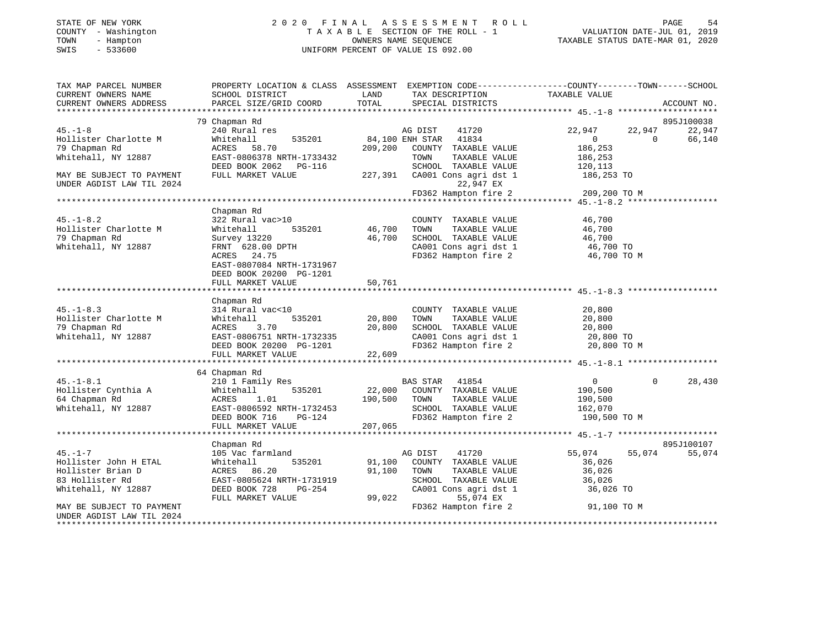# STATE OF NEW YORK 2 0 2 0 F I N A L A S S E S S M E N T R O L L PAGE 54 COUNTY - Washington T A X A B L E SECTION OF THE ROLL - 1 VALUATION DATE-JUL 01, 2019 TOWN - Hampton OWNERS NAME SEQUENCE TAXABLE STATUS DATE-MAR 01, 2020 SWIS - 533600 UNIFORM PERCENT OF VALUE IS 092.00

| TAX MAP PARCEL NUMBER<br>CURRENT OWNERS NAME | PROPERTY LOCATION & CLASS ASSESSMENT EXEMPTION CODE----------------COUNTY-------TOWN------SCHOOL<br>SCHOOL DISTRICT | LAND         | TAX DESCRIPTION                                | TAXABLE VALUE          |                |                      |
|----------------------------------------------|---------------------------------------------------------------------------------------------------------------------|--------------|------------------------------------------------|------------------------|----------------|----------------------|
| CURRENT OWNERS ADDRESS                       | PARCEL SIZE/GRID COORD                                                                                              | TOTAL        | SPECIAL DISTRICTS                              |                        |                | ACCOUNT NO.          |
|                                              |                                                                                                                     |              |                                                |                        |                |                      |
| $45. - 1 - 8$                                | 79 Chapman Rd<br>240 Rural res                                                                                      |              |                                                | 22,947                 | 22,947         | 895J100038<br>22,947 |
| Hollister Charlotte M                        | Whitehall<br>535201                                                                                                 |              | AG DIST 41720<br>84,100 ENH STAR 41834         | $\overline{0}$         | $\overline{0}$ | 66,140               |
| 79 Chapman Rd                                | ACRES 58.70                                                                                                         | 209,200      | COUNTY TAXABLE VALUE                           | 186,253                |                |                      |
| Whitehall, NY 12887                          | EAST-0806378 NRTH-1733432                                                                                           |              | TAXABLE VALUE<br>TOWN                          | 186,253                |                |                      |
|                                              | DEED BOOK 2062 PG-116                                                                                               |              | SCHOOL TAXABLE VALUE                           | 120,113                |                |                      |
| MAY BE SUBJECT TO PAYMENT                    | FULL MARKET VALUE                                                                                                   |              | 227,391 CA001 Cons agri dst 1                  | 186,253 TO             |                |                      |
| UNDER AGDIST LAW TIL 2024                    |                                                                                                                     |              | 22,947 EX                                      |                        |                |                      |
|                                              |                                                                                                                     |              | FD362 Hampton fire 2                           | 209,200 TO M           |                |                      |
|                                              |                                                                                                                     |              |                                                |                        |                |                      |
|                                              | Chapman Rd                                                                                                          |              |                                                |                        |                |                      |
| $45. - 1 - 8.2$                              | 322 Rural vac>10                                                                                                    |              | COUNTY TAXABLE VALUE                           | 46,700                 |                |                      |
| Hollister Charlotte M                        | Whitehall<br>535201                                                                                                 | 46,700       | TOWN<br>TAXABLE VALUE                          | 46,700                 |                |                      |
| 79 Chapman Rd                                | Survey 13220                                                                                                        | 46,700       | SCHOOL TAXABLE VALUE                           | 46,700                 |                |                      |
| Whitehall, NY 12887                          | FRNT 628.00 DPTH                                                                                                    |              | CA001 Cons agri dst 1<br>CA001 Cons agri dst 1 | 46,700 TO<br>46 700 TO |                |                      |
|                                              | ACRES 24.75                                                                                                         |              | FD362 Hampton fire 2                           | 46,700 TO M            |                |                      |
|                                              | EAST-0807084 NRTH-1731967                                                                                           |              |                                                |                        |                |                      |
|                                              | DEED BOOK 20200 PG-1201                                                                                             | 50,761       |                                                |                        |                |                      |
|                                              | FULL MARKET VALUE                                                                                                   |              |                                                |                        |                |                      |
|                                              | Chapman Rd                                                                                                          |              |                                                |                        |                |                      |
| $45. - 1 - 8.3$                              | 314 Rural vac<10                                                                                                    |              | COUNTY TAXABLE VALUE                           | 20,800                 |                |                      |
| Hollister Charlotte M                        | 535201<br>Whitehall                                                                                                 | 20,800       | TOWN<br>TAXABLE VALUE                          | 20,800                 |                |                      |
| 79 Chapman Rd                                | 3.70<br>ACRES                                                                                                       | 20,800       | SCHOOL TAXABLE VALUE                           | 20,800                 |                |                      |
| Whitehall, NY 12887                          | EAST-0806751 NRTH-1732335                                                                                           |              |                                                | 20,800 TO              |                |                      |
|                                              | DEED BOOK 20200 PG-1201                                                                                             |              | CA001 Cons agri dst 1<br>FD362 Hampton fire 2  | 20,800 TO M            |                |                      |
|                                              | FULL MARKET VALUE                                                                                                   | 22,609       |                                                |                        |                |                      |
|                                              |                                                                                                                     |              |                                                |                        |                |                      |
|                                              | 64 Chapman Rd                                                                                                       |              |                                                |                        |                |                      |
| $45. - 1 - 8.1$                              | 210 1 Family Res                                                                                                    |              | BAS STAR 41854                                 | $\overline{0}$         | $\Omega$       | 28,430               |
| Hollister Cynthia A                          | 535201<br>Whitehall                                                                                                 |              | 22,000 COUNTY TAXABLE VALUE                    | 190,500                |                |                      |
| 64 Chapman Rd                                | 1.01<br>ACRES                                                                                                       | 190,500 TOWN | TAXABLE VALUE                                  | 190,500                |                |                      |
| Whitehall, NY 12887                          | EAST-0806592 NRTH-1732453                                                                                           |              | SCHOOL TAXABLE VALUE                           | 162,070                |                |                      |
|                                              | DEED BOOK 716<br>$PG-124$                                                                                           |              | FD362 Hampton fire 2                           | 190,500 TO M           |                |                      |
|                                              | FULL MARKET VALUE                                                                                                   | 207,065      |                                                |                        |                |                      |
|                                              | Chapman Rd                                                                                                          |              |                                                |                        |                | 895J100107           |
| $45. - 1 - 7$                                | 105 Vac farmland                                                                                                    |              | 41720<br>AG DIST                               | 55,074                 | 55,074         | 55,074               |
| Hollister John H ETAL                        | 535201<br>Whitehall                                                                                                 |              | 91,100 COUNTY TAXABLE VALUE                    | 36,026                 |                |                      |
| Hollister Brian D                            | ACRES 86.20                                                                                                         | 91,100       | TOWN<br>TAXABLE VALUE                          | 36,026                 |                |                      |
| 83 Hollister Rd                              | EAST-0805624 NRTH-1731919                                                                                           |              | SCHOOL TAXABLE VALUE                           | 36,026                 |                |                      |
| Whitehall, NY 12887                          | DEED BOOK 728<br>PG-254                                                                                             |              | CA001 Cons agri dst 1                          | 36,026 TO              |                |                      |
|                                              | FULL MARKET VALUE                                                                                                   |              | 99,022<br>55,074 EX                            |                        |                |                      |
| MAY BE SUBJECT TO PAYMENT                    |                                                                                                                     |              | FD362 Hampton fire 2                           | 91,100 TO M            |                |                      |
| UNDER AGDIST LAW TIL 2024                    |                                                                                                                     |              |                                                |                        |                |                      |
|                                              |                                                                                                                     |              |                                                |                        |                |                      |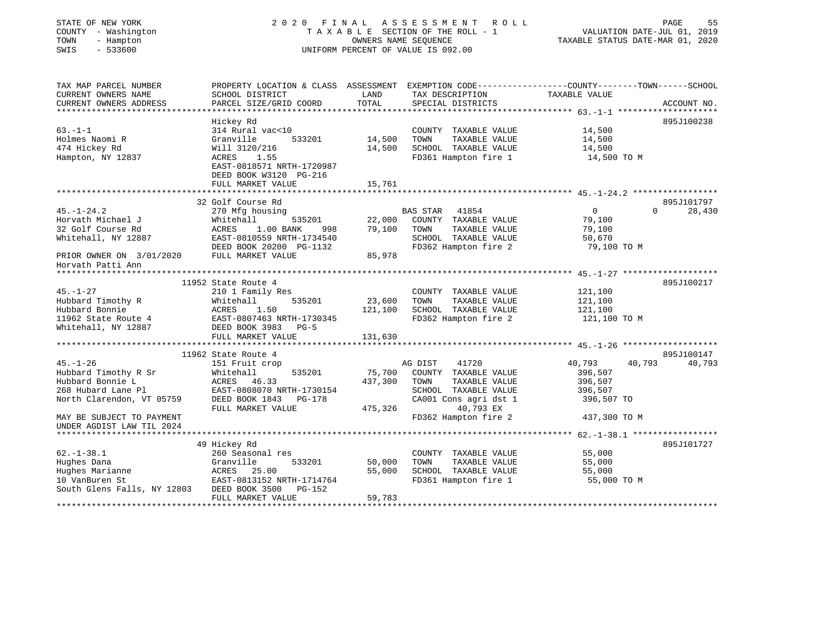| STATE OF NEW YORK<br>COUNTY - Washington<br>TOWN<br>- Hampton<br>SWIS<br>$-533600$ |                                                     | OWNERS NAME SEOUENCE | 2020 FINAL ASSESSMENT ROLL<br>TAXABLE SECTION OF THE ROLL - 1<br>UNIFORM PERCENT OF VALUE IS 092.00 | PAGE<br>55<br>VALUATION DATE-JUL 01, 2019<br>TAXABLE STATUS DATE-MAR 01, 2020                    |
|------------------------------------------------------------------------------------|-----------------------------------------------------|----------------------|-----------------------------------------------------------------------------------------------------|--------------------------------------------------------------------------------------------------|
| TAX MAP PARCEL NUMBER                                                              |                                                     |                      |                                                                                                     | PROPERTY LOCATION & CLASS ASSESSMENT EXEMPTION CODE----------------COUNTY-------TOWN------SCHOOL |
| CURRENT OWNERS NAME                                                                | SCHOOL DISTRICT                                     | LAND                 | TAX DESCRIPTION                                                                                     | TAXABLE VALUE                                                                                    |
| CURRENT OWNERS ADDRESS                                                             | PARCEL SIZE/GRID COORD                              | TOTAL                | SPECIAL DISTRICTS                                                                                   | ACCOUNT NO.                                                                                      |
|                                                                                    | Hickey Rd                                           |                      |                                                                                                     | 895J100238                                                                                       |
| $63. -1 - 1$                                                                       | 314 Rural vac<10                                    |                      | COUNTY TAXABLE VALUE                                                                                | 14,500                                                                                           |
| Holmes Naomi R                                                                     | 533201<br>Granville                                 | 14,500               | TOWN<br>TAXABLE VALUE                                                                               | 14,500                                                                                           |
| 474 Hickey Rd                                                                      | Will 3120/216                                       | 14,500               | SCHOOL TAXABLE VALUE                                                                                | 14,500                                                                                           |
| Hampton, NY 12837                                                                  | ACRES<br>1.55                                       |                      | FD361 Hampton fire 1                                                                                | 14,500 TO M                                                                                      |
|                                                                                    | EAST-0818571 NRTH-1720987<br>DEED BOOK W3120 PG-216 |                      |                                                                                                     |                                                                                                  |
|                                                                                    | FULL MARKET VALUE                                   | 15,761               |                                                                                                     |                                                                                                  |
|                                                                                    | 32 Golf Course Rd                                   |                      |                                                                                                     | 895J101797                                                                                       |
| $45. - 1 - 24.2$                                                                   | 270 Mfg housing                                     |                      | BAS STAR 41854                                                                                      | $\overline{0}$<br>$\Omega$<br>28,430                                                             |
| Horvath Michael J                                                                  | Whitehall<br>535201                                 | 22,000               | COUNTY TAXABLE VALUE                                                                                | 79,100                                                                                           |
| 32 Golf Course Rd                                                                  | ACRES<br>1.00 BANK<br>998                           | 79,100               | TOWN<br>TAXABLE VALUE                                                                               | 79,100                                                                                           |
| Whitehall, NY 12887                                                                | EAST-0810559 NRTH-1734540                           |                      | SCHOOL TAXABLE VALUE                                                                                | 50,670                                                                                           |
|                                                                                    | DEED BOOK 20200 PG-1132                             |                      | FD362 Hampton fire 2                                                                                | 79,100 TO M                                                                                      |
| PRIOR OWNER ON 3/01/2020                                                           | FULL MARKET VALUE                                   | 85,978               |                                                                                                     |                                                                                                  |
| Horvath Patti Ann                                                                  |                                                     |                      |                                                                                                     |                                                                                                  |
|                                                                                    | 11952 State Route 4                                 |                      |                                                                                                     | 895J100217                                                                                       |
| $45. - 1 - 27$                                                                     | 210 1 Family Res                                    |                      | COUNTY TAXABLE VALUE                                                                                | 121,100                                                                                          |
| Hubbard Timothy R                                                                  | Whitehall<br>535201                                 | 23,600               | TOWN<br>TAXABLE VALUE                                                                               | 121,100                                                                                          |
| Hubbard Bonnie                                                                     | 1.50<br>ACRES                                       | 121,100              | SCHOOL TAXABLE VALUE                                                                                | 121,100                                                                                          |
| 11962 State Route 4                                                                | EAST-0807463 NRTH-1730345                           |                      | FD362 Hampton fire 2                                                                                | 121,100 TO M                                                                                     |
| Whitehall, NY 12887                                                                | DEED BOOK 3983 PG-5                                 |                      |                                                                                                     |                                                                                                  |
|                                                                                    | FULL MARKET VALUE                                   | 131,630              |                                                                                                     |                                                                                                  |
|                                                                                    |                                                     |                      |                                                                                                     |                                                                                                  |
| $45. - 1 - 26$                                                                     | 11962 State Route 4                                 |                      | AG DIST<br>41720                                                                                    | 895J100147<br>40,793<br>40,793<br>40,793                                                         |
| Hubbard Timothy R Sr                                                               | 151 Fruit crop<br>Whitehall<br>535201               | 75,700               | COUNTY TAXABLE VALUE                                                                                | 396,507                                                                                          |
| Hubbard Bonnie L                                                                   | ACRES<br>46.33                                      | 437,300              | TOWN<br>TAXABLE VALUE                                                                               | 396,507                                                                                          |
| 268 Hubard Lane Pl                                                                 | EAST-0808070 NRTH-1730154                           |                      | SCHOOL TAXABLE VALUE                                                                                | 396,507                                                                                          |
| North Clarendon, VT 05759                                                          | DEED BOOK 1843 PG-178                               |                      | CA001 Cons agri dst 1                                                                               | 396,507 TO                                                                                       |
|                                                                                    | FULL MARKET VALUE                                   | 475,326              | 40,793 EX                                                                                           |                                                                                                  |
| MAY BE SUBJECT TO PAYMENT                                                          |                                                     |                      | FD362 Hampton fire 2                                                                                | 437,300 TO M                                                                                     |
| UNDER AGDIST LAW TIL 2024                                                          |                                                     |                      |                                                                                                     |                                                                                                  |
|                                                                                    | 49 Hickey Rd                                        |                      |                                                                                                     | 895J101727                                                                                       |
| $62. - 1 - 38.1$                                                                   | 260 Seasonal res                                    |                      | COUNTY TAXABLE VALUE                                                                                | 55,000                                                                                           |
| Hughes Dana                                                                        | Granville<br>533201                                 | 50,000               | TOWN<br>TAXABLE VALUE                                                                               | 55,000                                                                                           |
| Hughes Dana<br>Hughes Marianne                                                     | ACRES<br>25.00                                      | 55,000               | SCHOOL TAXABLE VALUE                                                                                | 55,000                                                                                           |
| 10 VanBuren St                                                                     | EAST-0813152 NRTH-1714764                           |                      | FD361 Hampton fire 1                                                                                | 55,000 TO M                                                                                      |
| South Glens Falls, NY 12803                                                        | DEED BOOK 3500<br>PG-152                            |                      |                                                                                                     |                                                                                                  |
|                                                                                    | FULL MARKET VALUE                                   | 59,783               |                                                                                                     |                                                                                                  |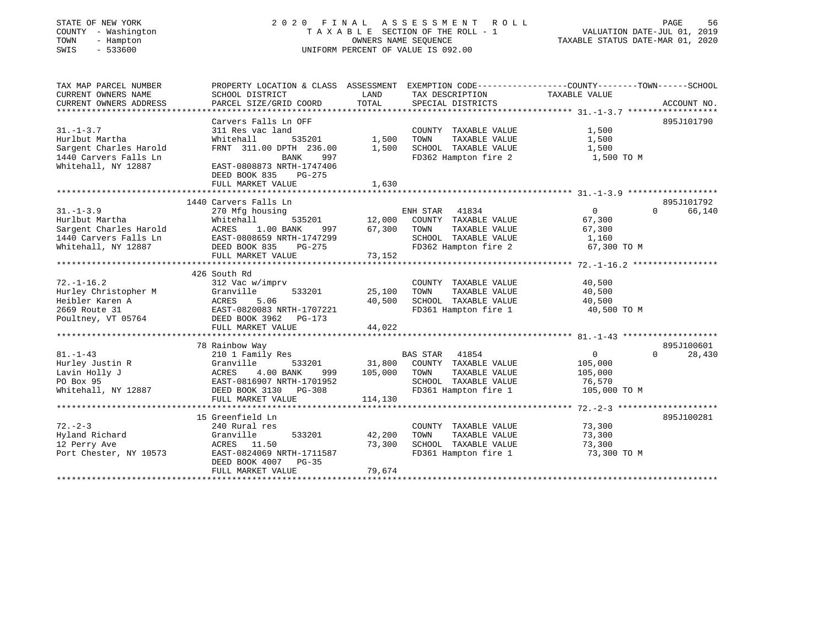# STATE OF NEW YORK 2 0 2 0 F I N A L A S S E S S M E N T R O L L PAGE 56 COUNTY - Washington T A X A B L E SECTION OF THE ROLL - 1 VALUATION DATE-JUL 01, 2019 TOWN - Hampton OWNERS NAME SEQUENCE TAXABLE STATUS DATE-MAR 01, 2020 SWIS - 533600 UNIFORM PERCENT OF VALUE IS 092.00

| TAX MAP PARCEL NUMBER<br>CURRENT OWNERS NAME<br>CURRENT OWNERS ADDRESS | PROPERTY LOCATION & CLASS ASSESSMENT EXEMPTION CODE---------------COUNTY-------TOWN------SCHOOL<br>SCHOOL DISTRICT<br>PARCEL SIZE/GRID COORD | LAND<br>TOTAL    | TAX DESCRIPTION<br>SPECIAL DISTRICTS | TAXABLE VALUE  | ACCOUNT NO.        |
|------------------------------------------------------------------------|----------------------------------------------------------------------------------------------------------------------------------------------|------------------|--------------------------------------|----------------|--------------------|
|                                                                        |                                                                                                                                              |                  |                                      |                |                    |
|                                                                        | Carvers Falls Ln OFF                                                                                                                         |                  |                                      |                | 895J101790         |
| $31. - 1 - 3.7$                                                        | 311 Res vac land                                                                                                                             |                  | COUNTY TAXABLE VALUE                 | 1,500          |                    |
| Hurlbut Martha                                                         | $535201$ 1,500<br>Whitehall                                                                                                                  |                  | TOWN<br>TAXABLE VALUE                | 1,500          |                    |
| Sargent Charles Harold                                                 | FRNT 311.00 DPTH 236.00                                                                                                                      | 1,500            | SCHOOL TAXABLE VALUE                 | 1,500          |                    |
| 1440 Carvers Falls Ln                                                  | 997<br>BANK                                                                                                                                  |                  | FD362 Hampton fire 2                 | 1,500 TO M     |                    |
| Whitehall, NY 12887                                                    | EAST-0808873 NRTH-1747406<br>DEED BOOK 835<br>PG-275                                                                                         |                  |                                      |                |                    |
|                                                                        | FULL MARKET VALUE                                                                                                                            | 1,630            |                                      |                |                    |
|                                                                        |                                                                                                                                              |                  |                                      |                |                    |
|                                                                        | 1440 Carvers Falls Ln                                                                                                                        |                  |                                      |                | 895J101792         |
| $31 - 1 - 3.9$                                                         | 270 Mfg housing                                                                                                                              |                  | ENH STAR<br>41834                    | $\overline{0}$ | 66,140<br>$\Omega$ |
|                                                                        |                                                                                                                                              |                  | 535201 12,000 COUNTY TAXABLE VALUE   | 67,300         |                    |
|                                                                        |                                                                                                                                              |                  | TAXABLE VALUE                        | 67,300         |                    |
|                                                                        |                                                                                                                                              |                  | SCHOOL TAXABLE VALUE 1,160           |                |                    |
|                                                                        |                                                                                                                                              |                  |                                      |                |                    |
|                                                                        |                                                                                                                                              |                  |                                      |                |                    |
|                                                                        |                                                                                                                                              |                  |                                      |                |                    |
|                                                                        | 426 South Rd                                                                                                                                 |                  |                                      |                |                    |
| $72. - 1 - 16.2$                                                       | 312 Vac w/imprv                                                                                                                              |                  | COUNTY TAXABLE VALUE                 | 40,500         |                    |
| Hurley Christopher M Granville                                         |                                                                                                                                              | $533201$ 25,100  | TAXABLE VALUE<br>TOWN                | 40,500         |                    |
| Heibler Karen A                                                        | ACRES 5.06<br>EAST-0820083 NRTH-1707221                                                                                                      | 40,500           | SCHOOL TAXABLE VALUE                 | 40,500         |                    |
| 2669 Route 31                                                          |                                                                                                                                              |                  | FD361 Hampton fire 1                 | 40,500 TO M    |                    |
| Poultney, VT 05764 DEED BOOK 3962 PG-173                               |                                                                                                                                              |                  |                                      |                |                    |
|                                                                        | FULL MARKET VALUE                                                                                                                            | 44,022           |                                      |                |                    |
|                                                                        |                                                                                                                                              |                  |                                      |                |                    |
|                                                                        | 78 Rainbow Way                                                                                                                               |                  |                                      |                | 895J100601         |
| $81. - 1 - 43$                                                         | kainbow Way<br>210 1 Family Res                                                                                                              |                  |                                      | $\overline{0}$ | $\Omega$<br>28,430 |
|                                                                        | Granville                                                                                                                                    |                  |                                      | 105,000        |                    |
| Hurley Justin R<br>Lavin Holly J                                       | 4.00 BANK<br>ACRES                                                                                                                           | 999 105,000 TOWN | TAXABLE VALUE                        | 105,000        |                    |
| PO Box 95                                                              | EAST-0816907 NRTH-1701952                                                                                                                    |                  | SCHOOL TAXABLE VALUE                 | 76,570         |                    |
|                                                                        | DEED BOOK 3130    PG-308                                                                                                                     |                  | FD361 Hampton fire 1                 | 105,000 TO M   |                    |
| Whitehall, NY 12887                                                    |                                                                                                                                              |                  |                                      |                |                    |
|                                                                        | FULL MARKET VALUE                                                                                                                            | 114,130          |                                      |                |                    |
|                                                                        |                                                                                                                                              |                  |                                      |                |                    |
|                                                                        | 15 Greenfield Ln                                                                                                                             |                  |                                      |                | 895J100281         |
| $72. - 2 - 3$                                                          | 240 Rural res                                                                                                                                |                  | COUNTY TAXABLE VALUE                 | 73,300         |                    |
| Hyland Richard                                                         | 533201<br>Granville                                                                                                                          | 42,200           | TOWN<br>TAXABLE VALUE                | 73,300         |                    |
| 12 Perry Ave                                                           | ACRES 11.50                                                                                                                                  | 73,300           | SCHOOL TAXABLE VALUE                 | 73,300         |                    |
| Port Chester, NY 10573                                                 | EAST-0824069 NRTH-1711587                                                                                                                    |                  | FD361 Hampton fire 1                 | 73,300 TO M    |                    |
|                                                                        | DEED BOOK 4007 PG-35                                                                                                                         |                  |                                      |                |                    |
|                                                                        | FULL MARKET VALUE                                                                                                                            | 79,674           |                                      |                |                    |
|                                                                        |                                                                                                                                              |                  |                                      |                |                    |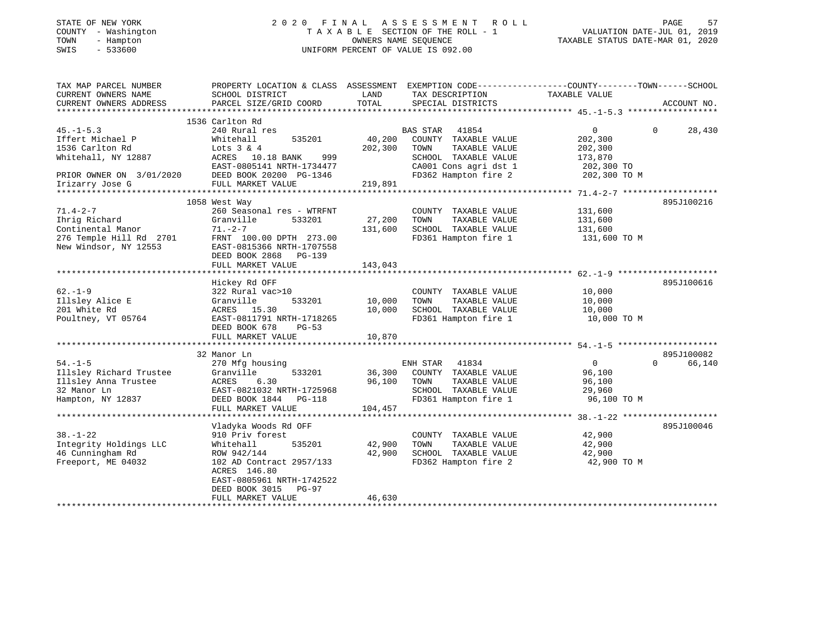| STATE OF NEW YORK |              |
|-------------------|--------------|
| COUNTY            | - Washington |
| TOWN              | - Hampton    |
| CM T C            | 533600       |

# STATE OF NEW YORK 2 0 2 0 F I N A L A S S E S S M E N T R O L L PAGE 57T A X A B L E SECTION OF THE ROLL - 1<br>OWNERS NAME SEQUENCE SWIS - 533600 UNIFORM PERCENT OF VALUE IS 092.00

TAXABLE STATUS DATE-MAR 01, 2020

| TAX MAP PARCEL NUMBER<br>CURRENT OWNERS NAME | PROPERTY LOCATION & CLASS ASSESSMENT EXEMPTION CODE---------------COUNTY-------TOWN------SCHOOL<br>SCHOOL DISTRICT | LAND    | TAX DESCRIPTION       | TAXABLE VALUE     |                    |
|----------------------------------------------|--------------------------------------------------------------------------------------------------------------------|---------|-----------------------|-------------------|--------------------|
| CURRENT OWNERS ADDRESS                       | PARCEL SIZE/GRID COORD                                                                                             | TOTAL   | SPECIAL DISTRICTS     |                   | ACCOUNT NO.        |
|                                              |                                                                                                                    |         |                       |                   |                    |
|                                              | 1536 Carlton Rd                                                                                                    |         |                       |                   |                    |
| $45. -1 - 5.3$                               | 240 Rural res                                                                                                      |         | BAS STAR 41854        | $0 \qquad \qquad$ | $\Omega$<br>28,430 |
| Iffert Michael P                             | Whitehall<br>535201                                                                                                | 40,200  | COUNTY TAXABLE VALUE  | 202,300           |                    |
| 1536 Carlton Rd                              | Lots $3 & 4$                                                                                                       | 202,300 | TOWN<br>TAXABLE VALUE | 202,300           |                    |
| Whitehall, NY 12887                          | ACRES 10.18 BANK<br>999                                                                                            |         | SCHOOL TAXABLE VALUE  | 173,870           |                    |
|                                              | EAST-0805141 NRTH-1734477                                                                                          |         | CA001 Cons agri dst 1 | 202,300 TO        |                    |
| PRIOR OWNER ON 3/01/2020                     | DEED BOOK 20200 PG-1346                                                                                            |         | FD362 Hampton fire 2  | 202,300 TO M      |                    |
| Irizarry Jose G                              | FULL MARKET VALUE                                                                                                  | 219,891 |                       |                   |                    |
|                                              |                                                                                                                    |         |                       |                   |                    |
|                                              | 1058 West Way                                                                                                      |         |                       |                   | 895J100216         |
| $71.4 - 2 - 7$                               | 260 Seasonal res - WTRFNT                                                                                          |         | COUNTY TAXABLE VALUE  | 131,600           |                    |
| Ihrig Richard                                | 533201<br>Granville                                                                                                | 27,200  | TOWN<br>TAXABLE VALUE | 131,600           |                    |
| Continental Manor                            | $71. -2 - 7$                                                                                                       | 131,600 | SCHOOL TAXABLE VALUE  | 131,600           |                    |
| 276 Temple Hill Rd 2701                      | FRNT 100.00 DPTH 273.00                                                                                            |         | FD361 Hampton fire 1  | 131,600 TO M      |                    |
| New Windsor, NY 12553                        | EAST-0815366 NRTH-1707558                                                                                          |         |                       |                   |                    |
|                                              | DEED BOOK 2868 PG-139                                                                                              |         |                       |                   |                    |
|                                              | FULL MARKET VALUE                                                                                                  | 143,043 |                       |                   |                    |
|                                              |                                                                                                                    |         |                       |                   |                    |
|                                              | Hickey Rd OFF                                                                                                      |         |                       |                   | 895J100616         |
| $62. - 1 - 9$                                | 322 Rural vac>10                                                                                                   |         | COUNTY TAXABLE VALUE  | 10,000            |                    |
| Illsley Alice E                              | 533201<br>Granville                                                                                                | 10,000  | TAXABLE VALUE<br>TOWN | 10,000            |                    |
| 201 White Rd                                 | ACRES 15.30                                                                                                        | 10,000  | SCHOOL TAXABLE VALUE  | 10,000            |                    |
| Poultney, VT 05764                           | EAST-0811791 NRTH-1718265                                                                                          |         | FD361 Hampton fire 1  | 10,000 TO M       |                    |
|                                              | DEED BOOK 678<br>$PG-53$                                                                                           |         |                       |                   |                    |
|                                              | FULL MARKET VALUE                                                                                                  | 10,870  |                       |                   |                    |
|                                              |                                                                                                                    |         |                       |                   |                    |
|                                              | 32 Manor Ln                                                                                                        |         |                       |                   | 895J100082         |
| $54. - 1 - 5$                                | 270 Mfg housing                                                                                                    |         | ENH STAR 41834        | $\overline{0}$    | $\Omega$<br>66,140 |
| Illsley Richard Trustee                      | 533201                                                                                                             | 36,300  | COUNTY TAXABLE VALUE  | 96,100            |                    |
|                                              | Granville<br>ACRES<br>6.30                                                                                         | 96,100  | TOWN                  |                   |                    |
| Illsley Anna Trustee                         |                                                                                                                    |         | TAXABLE VALUE         | 96,100            |                    |
| 32 Manor Ln                                  | EAST-0821032 NRTH-1725968                                                                                          |         | SCHOOL TAXABLE VALUE  | 29,960            |                    |
| Hampton, NY 12837                            | DEED BOOK 1844 PG-118                                                                                              |         | FD361 Hampton fire 1  | 96,100 TO M       |                    |
|                                              | FULL MARKET VALUE                                                                                                  | 104,457 |                       |                   |                    |
|                                              |                                                                                                                    |         |                       |                   |                    |
|                                              | Vladyka Woods Rd OFF                                                                                               |         |                       |                   | 895J100046         |
| $38. - 1 - 22$                               | 910 Priv forest                                                                                                    |         | COUNTY TAXABLE VALUE  | 42,900            |                    |
| Integrity Holdings LLC                       | 535201<br>Whitehall                                                                                                | 42,900  | TOWN<br>TAXABLE VALUE | 42,900            |                    |
| 46 Cunningham Rd                             | ROW 942/144                                                                                                        | 42,900  | SCHOOL TAXABLE VALUE  | 42,900            |                    |
| Freeport, ME 04032                           | 102 AD Contract 2957/133                                                                                           |         | FD362 Hampton fire 2  | 42,900 TO M       |                    |
|                                              | ACRES 146.80                                                                                                       |         |                       |                   |                    |
|                                              | EAST-0805961 NRTH-1742522                                                                                          |         |                       |                   |                    |
|                                              | DEED BOOK 3015<br>$PG-97$                                                                                          |         |                       |                   |                    |
|                                              | FULL MARKET VALUE                                                                                                  | 46,630  |                       |                   |                    |
|                                              |                                                                                                                    |         |                       |                   |                    |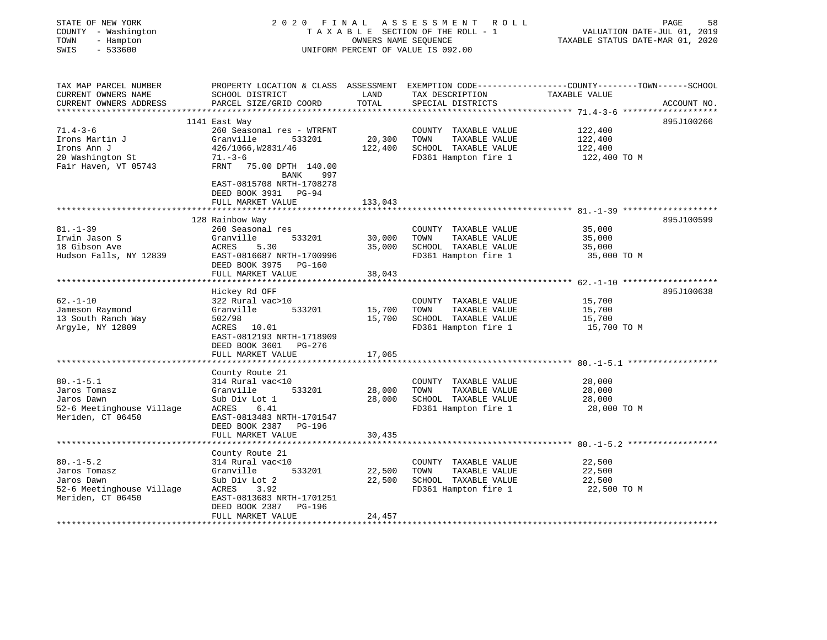| STATE OF NEW YORK<br>COUNTY - Washington<br>- Hampton<br>TOWN<br>$-533600$<br>SWIS |                                                                                       | OWNERS NAME SEQUENCE | 2020 FINAL ASSESSMENT ROLL<br>TAXABLE SECTION OF THE ROLL - 1<br>UNIFORM PERCENT OF VALUE IS 092.00 | PAGE<br>VALUATION DATE-JUL 01, 2019<br>TAXABLE STATUS DATE-MAR 01, 2020                                                         | 58 |
|------------------------------------------------------------------------------------|---------------------------------------------------------------------------------------|----------------------|-----------------------------------------------------------------------------------------------------|---------------------------------------------------------------------------------------------------------------------------------|----|
| TAX MAP PARCEL NUMBER<br>CURRENT OWNERS NAME<br>CURRENT OWNERS ADDRESS             | SCHOOL DISTRICT<br>PARCEL SIZE/GRID COORD                                             | LAND<br>TOTAL        | TAX DESCRIPTION<br>SPECIAL DISTRICTS                                                                | PROPERTY LOCATION & CLASS ASSESSMENT EXEMPTION CODE---------------COUNTY-------TOWN------SCHOOL<br>TAXABLE VALUE<br>ACCOUNT NO. |    |
|                                                                                    |                                                                                       |                      |                                                                                                     |                                                                                                                                 |    |
|                                                                                    | 1141 East Way                                                                         |                      |                                                                                                     | 895J100266                                                                                                                      |    |
| $71.4 - 3 - 6$                                                                     | 260 Seasonal res - WTRFNT                                                             |                      | COUNTY TAXABLE VALUE                                                                                | 122,400                                                                                                                         |    |
| Irons Martin J<br>Irons Ann J                                                      | Granville<br>533201<br>426/1066, W2831/46                                             | 20,300<br>122,400    | TOWN<br>TAXABLE VALUE<br>SCHOOL TAXABLE VALUE                                                       | 122,400<br>122,400                                                                                                              |    |
| 20 Washington St                                                                   | $71. - 3 - 6$                                                                         |                      | FD361 Hampton fire 1                                                                                | 122,400 TO M                                                                                                                    |    |
| Fair Haven, VT 05743                                                               | FRNT 75.00 DPTH 140.00                                                                |                      |                                                                                                     |                                                                                                                                 |    |
|                                                                                    | 997<br>BANK<br>EAST-0815708 NRTH-1708278<br>DEED BOOK 3931 PG-94<br>FULL MARKET VALUE | 133,043              |                                                                                                     |                                                                                                                                 |    |
|                                                                                    |                                                                                       |                      |                                                                                                     |                                                                                                                                 |    |
|                                                                                    | 128 Rainbow Way                                                                       |                      |                                                                                                     | 895J100599                                                                                                                      |    |
| $81. - 1 - 39$                                                                     | 260 Seasonal res                                                                      |                      | COUNTY TAXABLE VALUE                                                                                | 35,000                                                                                                                          |    |
| Irwin Jason S                                                                      | Granville<br>533201                                                                   | 30,000               | TAXABLE VALUE<br>TOWN                                                                               | 35,000                                                                                                                          |    |
| 18 Gibson Ave                                                                      | ACRES<br>5.30                                                                         | 35,000               | SCHOOL TAXABLE VALUE                                                                                | 35,000                                                                                                                          |    |
| Hudson Falls, NY 12839                                                             | EAST-0816687 NRTH-1700996<br>DEED BOOK 3975 PG-160<br>FULL MARKET VALUE               | 38,043               | FD361 Hampton fire 1                                                                                | 35,000 TO M                                                                                                                     |    |
|                                                                                    | *******************                                                                   |                      |                                                                                                     |                                                                                                                                 |    |
|                                                                                    | Hickey Rd OFF                                                                         |                      |                                                                                                     | 895J100638                                                                                                                      |    |
| $62. - 1 - 10$                                                                     | 322 Rural vac>10                                                                      |                      | COUNTY TAXABLE VALUE                                                                                | 15,700                                                                                                                          |    |
| Jameson Raymond                                                                    | Granville<br>533201                                                                   | 15,700               | TOWN<br>TAXABLE VALUE                                                                               | 15,700                                                                                                                          |    |
| 13 South Ranch Way                                                                 | 502/98                                                                                | 15,700               | SCHOOL TAXABLE VALUE                                                                                | 15,700                                                                                                                          |    |
| Argyle, NY 12809                                                                   | ACRES 10.01<br>EAST-0812193 NRTH-1718909<br>DEED BOOK 3601 PG-276                     |                      | FD361 Hampton fire 1                                                                                | 15,700 TO M                                                                                                                     |    |
|                                                                                    | FULL MARKET VALUE                                                                     | 17,065               |                                                                                                     |                                                                                                                                 |    |
|                                                                                    | County Route 21                                                                       |                      |                                                                                                     |                                                                                                                                 |    |
| $80. -1 - 5.1$                                                                     | 314 Rural vac<10                                                                      |                      | COUNTY TAXABLE VALUE                                                                                | 28,000                                                                                                                          |    |
| Jaros Tomasz                                                                       | Granville<br>533201                                                                   | 28,000               | TAXABLE VALUE<br>TOWN                                                                               | 28,000                                                                                                                          |    |
| Jaros Dawn                                                                         | Sub Div Lot 1                                                                         | 28,000               | SCHOOL TAXABLE VALUE                                                                                | 28,000                                                                                                                          |    |
| 52-6 Meetinghouse Village                                                          | ACRES<br>6.41                                                                         |                      | FD361 Hampton fire 1                                                                                | 28,000 TO M                                                                                                                     |    |
| Meriden, CT 06450                                                                  | EAST-0813483 NRTH-1701547<br>DEED BOOK 2387<br>PG-196                                 |                      |                                                                                                     |                                                                                                                                 |    |
|                                                                                    | FULL MARKET VALUE                                                                     | 30,435               |                                                                                                     |                                                                                                                                 |    |
|                                                                                    | County Route 21                                                                       |                      |                                                                                                     |                                                                                                                                 |    |
| $80. - 1 - 5.2$                                                                    | 314 Rural vac<10                                                                      |                      | COUNTY TAXABLE VALUE                                                                                | 22,500                                                                                                                          |    |
| Jaros Tomasz                                                                       | 533201<br>Granville                                                                   | 22,500               | TAXABLE VALUE<br>TOWN                                                                               | 22,500                                                                                                                          |    |
| Jaros Dawn                                                                         | Sub Div Lot 2                                                                         | 22,500               | SCHOOL TAXABLE VALUE                                                                                | 22,500                                                                                                                          |    |
| 52-6 Meetinghouse Village                                                          | ACRES<br>3.92                                                                         |                      | FD361 Hampton fire 1                                                                                | 22,500 TO M                                                                                                                     |    |
| Meriden, CT 06450                                                                  | EAST-0813683 NRTH-1701251<br>DEED BOOK 2387<br>PG-196                                 |                      |                                                                                                     |                                                                                                                                 |    |
|                                                                                    | FULL MARKET VALUE                                                                     | 24,457               |                                                                                                     |                                                                                                                                 |    |
|                                                                                    |                                                                                       |                      |                                                                                                     |                                                                                                                                 |    |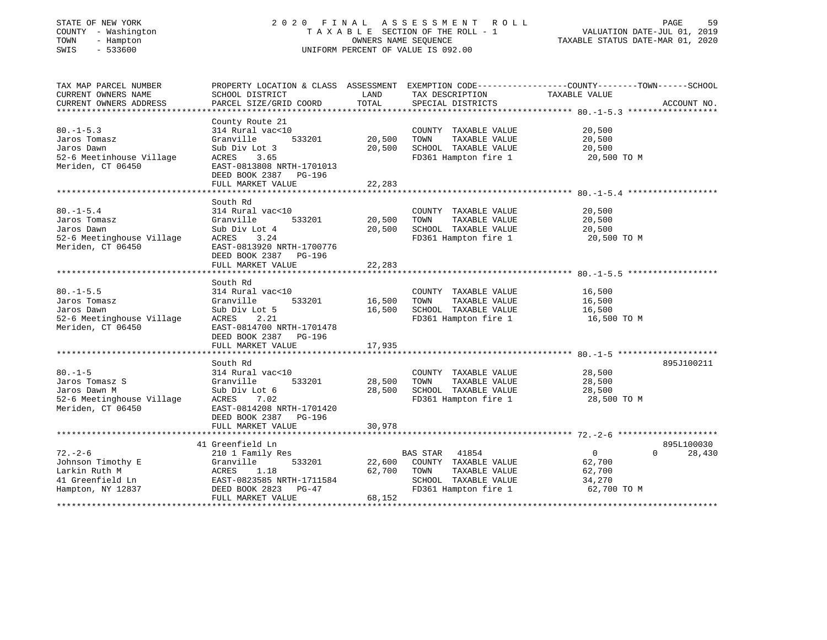# STATE OF NEW YORK 2 0 2 0 F I N A L A S S E S S M E N T R O L L PAGE 59 COUNTY - Washington T A X A B L E SECTION OF THE ROLL - 1 VALUATION DATE-JUL 01, 2019 TOWN - Hampton OWNERS NAME SEQUENCE TAXABLE STATUS DATE-MAR 01, 2020 SWIS - 533600 UNIFORM PERCENT OF VALUE IS 092.00

| TAX MAP PARCEL NUMBER<br>CURRENT OWNERS NAME<br>CURRENT OWNERS ADDRESS                           | PROPERTY LOCATION & CLASS ASSESSMENT<br>SCHOOL DISTRICT<br>PARCEL SIZE/GRID COORD                                                                                | LAND<br>TOTAL              | TAX DESCRIPTION<br>SPECIAL DISTRICTS                                                                               | EXEMPTION CODE-----------------COUNTY-------TOWN------SCHOOL<br>TAXABLE VALUE | ACCOUNT NO.          |
|--------------------------------------------------------------------------------------------------|------------------------------------------------------------------------------------------------------------------------------------------------------------------|----------------------------|--------------------------------------------------------------------------------------------------------------------|-------------------------------------------------------------------------------|----------------------|
|                                                                                                  |                                                                                                                                                                  |                            |                                                                                                                    |                                                                               |                      |
| $80. -1 - 5.3$<br>Jaros Tomasz<br>Jaros Dawn<br>52-6 Meetinhouse Village<br>Meriden, CT 06450    | County Route 21<br>314 Rural vac<10<br>Granville<br>533201<br>Sub Div Lot 3<br>ACRES<br>3.65<br>EAST-0813808 NRTH-1701013<br>DEED BOOK 2387 PG-196               | 20,500<br>20,500           | COUNTY TAXABLE VALUE<br>TOWN<br>TAXABLE VALUE<br>SCHOOL TAXABLE VALUE<br>FD361 Hampton fire 1                      | 20,500<br>20,500<br>20,500<br>20,500 TO M                                     |                      |
|                                                                                                  | FULL MARKET VALUE                                                                                                                                                | 22,283                     |                                                                                                                    |                                                                               |                      |
|                                                                                                  |                                                                                                                                                                  |                            |                                                                                                                    |                                                                               |                      |
| $80. - 1 - 5.4$<br>Jaros Tomasz<br>Jaros Dawn<br>52-6 Meetinghouse Village<br>Meriden, CT 06450  | South Rd<br>314 Rural vac<10<br>Granville<br>533201<br>Sub Div Lot 4<br>ACRES<br>3.24<br>EAST-0813920 NRTH-1700776<br>DEED BOOK 2387 PG-196                      | 20,500<br>20,500<br>22,283 | COUNTY TAXABLE VALUE<br>TAXABLE VALUE<br>TOWN<br>SCHOOL TAXABLE VALUE<br>FD361 Hampton fire 1                      | 20,500<br>20,500<br>20,500<br>20,500 TO M                                     |                      |
|                                                                                                  | FULL MARKET VALUE                                                                                                                                                |                            |                                                                                                                    |                                                                               |                      |
| $80. -1 - 5.5$<br>Jaros Tomasz<br>Jaros Dawn<br>52-6 Meetinghouse Village<br>Meriden, CT 06450   | South Rd<br>314 Rural vac<10<br>533201<br>Granville<br>Sub Div Lot 5<br>ACRES<br>2.21<br>EAST-0814700 NRTH-1701478<br>DEED BOOK 2387 PG-196                      | 16,500<br>16,500           | COUNTY TAXABLE VALUE<br>TAXABLE VALUE<br>TOWN<br>SCHOOL TAXABLE VALUE<br>FD361 Hampton fire 1                      | 16,500<br>16,500<br>16,500<br>16,500 TO M                                     |                      |
|                                                                                                  | FULL MARKET VALUE                                                                                                                                                | 17,935                     |                                                                                                                    |                                                                               |                      |
| $80. -1 - 5$<br>Jaros Tomasz S<br>Jaros Dawn M<br>52-6 Meetinghouse Village<br>Meriden, CT 06450 | South Rd<br>314 Rural vac<10<br>Granville<br>533201<br>Sub Div Lot 6<br>ACRES<br>7.02<br>EAST-0814208 NRTH-1701420<br>DEED BOOK 2387 PG-196<br>FULL MARKET VALUE | 28,500<br>28,500<br>30,978 | COUNTY TAXABLE VALUE<br>TAXABLE VALUE<br>TOWN<br>SCHOOL TAXABLE VALUE<br>FD361 Hampton fire 1                      | 28,500<br>28,500<br>28,500<br>28,500 TO M                                     | 895J100211           |
|                                                                                                  |                                                                                                                                                                  |                            |                                                                                                                    |                                                                               |                      |
| $72. - 2 - 6$<br>Johnson Timothy E<br>Larkin Ruth M<br>41 Greenfield Ln<br>Hampton, NY 12837     | 41 Greenfield Ln<br>210 1 Family Res<br>Granville<br>533201<br>ACRES<br>1.18<br>EAST-0823585 NRTH-1711584<br>DEED BOOK 2823<br>PG-47                             | 22,600<br>62,700           | BAS STAR<br>41854<br>COUNTY TAXABLE VALUE<br>TOWN<br>TAXABLE VALUE<br>SCHOOL TAXABLE VALUE<br>FD361 Hampton fire 1 | $\overline{0}$<br>$\Omega$<br>62,700<br>62,700<br>34,270<br>62,700 TO M       | 895L100030<br>28,430 |
|                                                                                                  | FULL MARKET VALUE                                                                                                                                                | 68,152                     |                                                                                                                    |                                                                               |                      |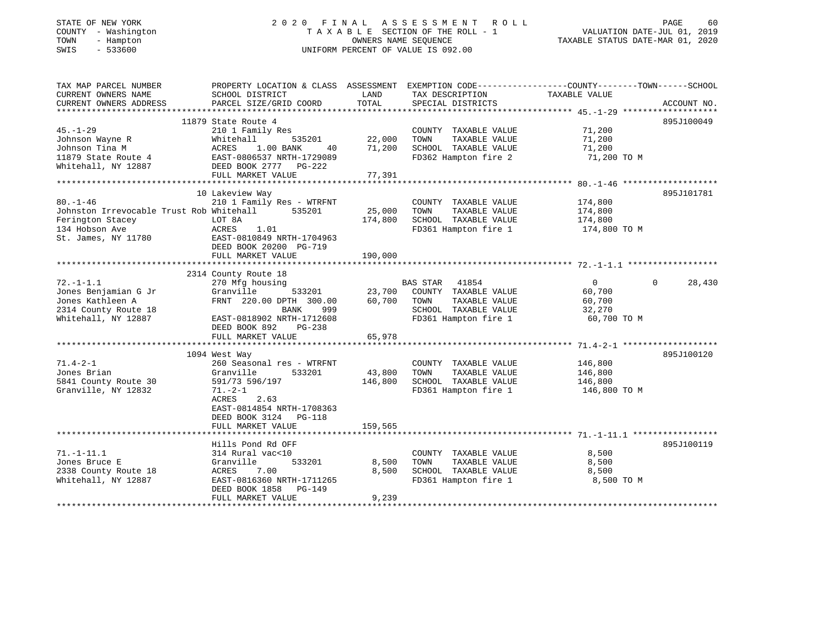### STATE OF NEW YORK GOOD CONTRAINING A LINE OF TIN A LINE SERIES SIME IN THE OLD LINE OF A LINE CONTRACTED AND RE COUNTY - Washington  $T A X A B L E$  SECTION OF THE ROLL - 1<br>TOWN - Hampton DATE-JUL 000NERS NAME SEQUENCE TOWN - Hampton OWNERS NAME SEQUENCE TAXABLE STATUS DATE-MAR 01, 2020 SWIS - 533600 UNIFORM PERCENT OF VALUE IS 092.00

VALUATION DATE-JUL 01, 2019

| TAX MAP PARCEL NUMBER<br>CURRENT OWNERS NAME                                                                            | PROPERTY LOCATION & CLASS ASSESSMENT EXEMPTION CODE----------------COUNTY-------TOWN------SCHOOL<br>SCHOOL DISTRICT                                                                              | LAND                         | TAX DESCRIPTION                                                                                                 | TAXABLE VALUE                                               |                    |
|-------------------------------------------------------------------------------------------------------------------------|--------------------------------------------------------------------------------------------------------------------------------------------------------------------------------------------------|------------------------------|-----------------------------------------------------------------------------------------------------------------|-------------------------------------------------------------|--------------------|
| CURRENT OWNERS ADDRESS                                                                                                  | PARCEL SIZE/GRID COORD                                                                                                                                                                           | TOTAL                        | SPECIAL DISTRICTS                                                                                               |                                                             | ACCOUNT NO.        |
| $45. - 1 - 29$                                                                                                          | 11879 State Route 4<br>210 1 Family Res                                                                                                                                                          |                              | COUNTY TAXABLE VALUE                                                                                            | 71,200                                                      | 895J100049         |
| Johnson Wayne R<br>Johnson Tina M<br>11879 State Route 4 EAST-0806537 NRTH-1729089<br>Whitehall, NY 12887               | Whitehall<br>535201<br>1.00 BANK<br>ACRES<br>40<br>DEED BOOK 2777 PG-222                                                                                                                         | 22,000<br>71,200             | TOWN<br>TAXABLE VALUE<br>SCHOOL TAXABLE VALUE<br>FD362 Hampton fire 2                                           | 71,200<br>71,200<br>71,200 TO M                             |                    |
|                                                                                                                         |                                                                                                                                                                                                  |                              |                                                                                                                 |                                                             |                    |
|                                                                                                                         | 10 Lakeview Way                                                                                                                                                                                  |                              |                                                                                                                 |                                                             | 895J101781         |
| $80. - 1 - 46$<br>Johnston Irrevocable Trust Rob Whitehall<br>Ferington Stacey<br>134 Hobson Ave<br>St. James, NY 11780 | 210 1 Family Res - WTRFNT<br>535201<br>LOT 8A<br>ACRES<br>1.01<br>EAST-0810849 NRTH-1704963<br>DEED BOOK 20200 PG-719                                                                            | 25,000<br>174,800            | COUNTY TAXABLE VALUE<br>TAXABLE VALUE<br>TOWN<br>SCHOOL TAXABLE VALUE<br>FD361 Hampton fire 1                   | 174,800<br>174,800<br>174,800<br>174,800 TO M               |                    |
|                                                                                                                         |                                                                                                                                                                                                  |                              |                                                                                                                 |                                                             |                    |
|                                                                                                                         |                                                                                                                                                                                                  |                              |                                                                                                                 |                                                             |                    |
| $72. - 1 - 1.1$<br>Jones Benjamian G Jr<br>Jones Kathleen A<br>2314 County Route 18<br>Whitehall, NY 12887              | 2314 County Route 18<br>270 Mfg housing<br>533201<br>Granville<br>FRNT 220.00 DPTH 300.00<br>999<br>BANK<br>EAST-0818902 NRTH-1712608<br>DEED BOOK 892<br>PG-238<br>FULL MARKET VALUE            | 23,700<br>60,700<br>65,978   | BAS STAR 41854<br>COUNTY TAXABLE VALUE<br>TOWN<br>TAXABLE VALUE<br>SCHOOL TAXABLE VALUE<br>FD361 Hampton fire 1 | $\overline{0}$<br>60,700<br>60,700<br>32,270<br>60,700 TO M | $\Omega$<br>28,430 |
|                                                                                                                         |                                                                                                                                                                                                  |                              |                                                                                                                 |                                                             |                    |
| $71.4 - 2 - 1$<br>Jones Brian<br>5841 County Route 30<br>Granville, NY 12832                                            | 1094 West Way<br>260 Seasonal res - WTRFNT<br>Granville<br>533201<br>591/73 596/197<br>$71. - 2 - 1$<br>ACRES<br>2.63<br>EAST-0814854 NRTH-1708363<br>DEED BOOK 3124 PG-118<br>FULL MARKET VALUE | 43,800<br>146,800<br>159,565 | COUNTY TAXABLE VALUE<br>TAXABLE VALUE<br>TOWN<br>SCHOOL TAXABLE VALUE<br>FD361 Hampton fire 1                   | 146,800<br>146,800<br>146,800<br>146,800 TO M               | 895J100120         |
|                                                                                                                         |                                                                                                                                                                                                  |                              |                                                                                                                 |                                                             |                    |
| $71. - 1 - 11.1$<br>Jones Bruce E<br>2338 County Route 18<br>Whitehall, NY 12887                                        | Hills Pond Rd OFF<br>314 Rural vac<10<br>Granville<br>533201<br>7.00<br>ACRES<br>EAST-0816360 NRTH-1711265<br>DEED BOOK 1858 PG-149<br>FULL MARKET VALUE                                         | 8,500<br>8,500<br>9,239      | COUNTY TAXABLE VALUE<br>TAXABLE VALUE<br>TOWN<br>SCHOOL TAXABLE VALUE<br>FD361 Hampton fire 1                   | 8,500<br>8,500<br>8,500<br>8,500 TO M                       | 895J100119         |
|                                                                                                                         |                                                                                                                                                                                                  |                              |                                                                                                                 |                                                             |                    |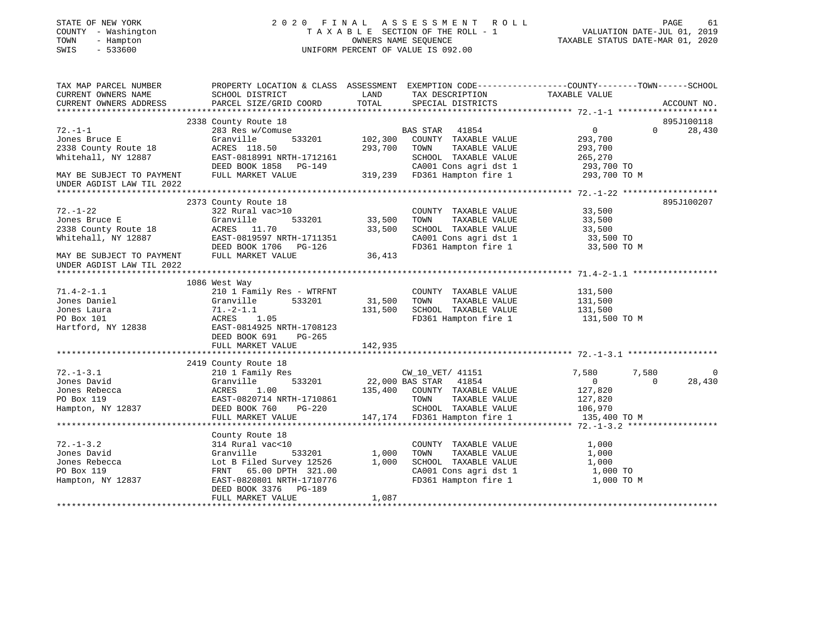# STATE OF NEW YORK 2 0 2 0 F I N A L A S S E S S M E N T R O L L PAGE 61 COUNTY - Washington T A X A B L E SECTION OF THE ROLL - 1 VALUATION DATE-JUL 01, 2019 TOWN - Hampton OWNERS NAME SEQUENCE TAXABLE STATUS DATE-MAR 01, 2020 SWIS - 533600 UNIFORM PERCENT OF VALUE IS 092.00

| TAX MAP PARCEL NUMBER                                  | PROPERTY LOCATION & CLASS ASSESSMENT EXEMPTION CODE----------------COUNTY-------TOWN------SCHOOL |               |                              |                   |                    |
|--------------------------------------------------------|--------------------------------------------------------------------------------------------------|---------------|------------------------------|-------------------|--------------------|
| CURRENT OWNERS NAME                                    | SCHOOL DISTRICT                                                                                  | LAND<br>TOTAL | TAX DESCRIPTION              | TAXABLE VALUE     |                    |
| CURRENT OWNERS ADDRESS                                 | PARCEL SIZE/GRID COORD                                                                           |               | SPECIAL DISTRICTS            |                   | ACCOUNT NO.        |
|                                                        | 2338 County Route 18                                                                             |               |                              |                   | 895J100118         |
| $72. - 1 - 1$                                          | 283 Res w/Comuse                                                                                 |               | BAS STAR 41854               | $0 \qquad \qquad$ | $\Omega$<br>28,430 |
| Jones Bruce E                                          | 533201<br>Granville                                                                              | 102,300       | COUNTY TAXABLE VALUE         | 293,700           |                    |
| 2338 County Route 18                                   | ACRES 118.50                                                                                     | 293,700       | TOWN<br>TAXABLE VALUE        | 293,700           |                    |
| Whitehall, NY 12887                                    | EAST-0818991 NRTH-1712161                                                                        |               | SCHOOL TAXABLE VALUE         | 265,270           |                    |
|                                                        | DEED BOOK 1858 PG-149                                                                            |               | CA001 Cons agri dst 1        | 293,700 TO        |                    |
| MAY BE SUBJECT TO PAYMENT                              | FULL MARKET VALUE                                                                                |               | 319,239 FD361 Hampton fire 1 | 293,700 TO M      |                    |
| UNDER AGDIST LAW TIL 2022                              |                                                                                                  |               |                              |                   |                    |
|                                                        |                                                                                                  |               |                              |                   |                    |
|                                                        | 2373 County Route 18                                                                             |               |                              |                   | 895J100207         |
| $72. - 1 - 22$                                         | 322 Rural vac>10                                                                                 |               | COUNTY TAXABLE VALUE         | 33,500            |                    |
| Jones Bruce E                                          | 533201<br>Granville                                                                              | 33,500        | TOWN<br>TAXABLE VALUE        | 33,500            |                    |
| 2338 County Route 18                                   | ACRES 11.70                                                                                      | 33,500        | SCHOOL TAXABLE VALUE         | 33,500            |                    |
| Whitehall, NY 12887                                    | EAST-0819597 NRTH-1711351                                                                        |               | CA001 Cons agri dst 1        | 33,500 TO         |                    |
|                                                        | DEED BOOK 1706 PG-126                                                                            |               | FD361 Hampton fire 1         | 33,500 TO M       |                    |
| MAY BE SUBJECT TO PAYMENT<br>UNDER AGDIST LAW TIL 2022 | FULL MARKET VALUE                                                                                | 36,413        |                              |                   |                    |
|                                                        |                                                                                                  |               |                              |                   |                    |
|                                                        | 1086 West Way                                                                                    |               |                              |                   |                    |
| $71.4 - 2 - 1.1$                                       | 210 1 Family Res - WTRFNT                                                                        |               | COUNTY TAXABLE VALUE         | 131,500           |                    |
| Jones Daniel                                           | Granville<br>533201                                                                              | 31,500        | TOWN<br>TAXABLE VALUE        | 131,500           |                    |
| Jones Laura                                            | $71.-2-1.1$                                                                                      | 131,500       | SCHOOL TAXABLE VALUE         | 131,500           |                    |
| PO Box 101                                             | ACRES 1.05                                                                                       |               | FD361 Hampton fire 1         | 131,500 TO M      |                    |
| Hartford, NY 12838                                     | EAST-0814925 NRTH-1708123                                                                        |               |                              |                   |                    |
|                                                        | DEED BOOK 691<br>PG-265                                                                          |               |                              |                   |                    |
|                                                        | FULL MARKET VALUE                                                                                | 142,935       |                              |                   |                    |
|                                                        |                                                                                                  |               |                              |                   |                    |
|                                                        | 2419 County Route 18                                                                             |               |                              |                   |                    |
| $72. - 1 - 3.1$                                        | 210 1 Family Res                                                                                 |               | CW_10_VET/ 41151             | 7,580<br>7,580    | 0                  |
| Jones David                                            | Granville<br>533201                                                                              |               | 22,000 BAS STAR 41854        | $\mathbf 0$       | $\Omega$<br>28,430 |
| Jones Rebecca                                          | 1.00<br>ACRES                                                                                    | 135,400       | COUNTY TAXABLE VALUE         | 127,820           |                    |
| PO Box 119                                             | EAST-0820714 NRTH-1710861                                                                        |               | TOWN<br>TAXABLE VALUE        | 127,820           |                    |
| Hampton, NY 12837                                      | DEED BOOK 760<br>PG-220                                                                          |               | SCHOOL TAXABLE VALUE         | 106,970           |                    |
|                                                        | FULL MARKET VALUE                                                                                |               | 147,174 FD361 Hampton fire 1 | 135,400 TO M      |                    |
|                                                        |                                                                                                  |               |                              |                   |                    |
|                                                        | County Route 18                                                                                  |               |                              |                   |                    |
| $72. - 1 - 3.2$                                        | 314 Rural vac<10                                                                                 |               | COUNTY TAXABLE VALUE         | 1,000             |                    |
| Jones David                                            | 533201<br>Granville                                                                              | 1,000         | TOWN<br>TAXABLE VALUE        | 1,000             |                    |
| Jones Rebecca                                          | Lot B Filed Survey 12526                                                                         | 1,000         | SCHOOL TAXABLE VALUE         | 1,000             |                    |
| PO Box 119                                             | FRNT 65.00 DPTH 321.00                                                                           |               | CA001 Cons agri dst 1        | 1,000 TO          |                    |
| Hampton, NY 12837                                      | EAST-0820801 NRTH-1710776                                                                        |               | FD361 Hampton fire 1         | 1,000 TO M        |                    |
|                                                        | DEED BOOK 3376 PG-189                                                                            |               |                              |                   |                    |
|                                                        | FULL MARKET VALUE                                                                                | 1,087         |                              |                   |                    |
|                                                        |                                                                                                  |               |                              |                   |                    |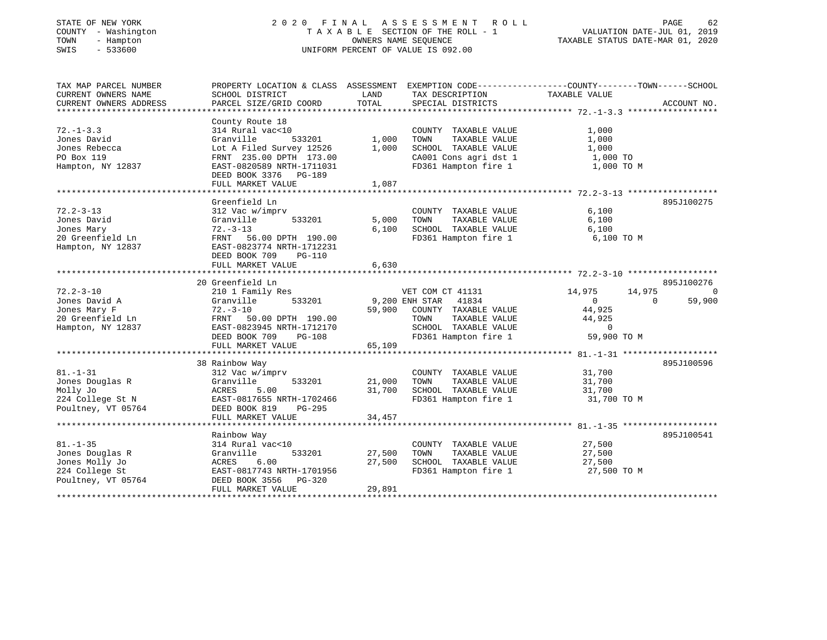# STATE OF NEW YORK 2 0 2 0 F I N A L A S S E S S M E N T R O L L PAGE 62 COUNTY - Washington T A X A B L E SECTION OF THE ROLL - 1 VALUATION DATE-JUL 01, 2019 TOWN - Hampton OWNERS NAME SEQUENCE TAXABLE STATUS DATE-MAR 01, 2020 SWIS - 533600 UNIFORM PERCENT OF VALUE IS 092.00

| TAX MAP PARCEL NUMBER<br>CURRENT OWNERS NAME | PROPERTY LOCATION & CLASS ASSESSMENT EXEMPTION CODE---------------COUNTY-------TOWN-----SCHOOL<br>SCHOOL DISTRICT | LAND           | TAX DESCRIPTION                               | TAXABLE VALUE              |             |
|----------------------------------------------|-------------------------------------------------------------------------------------------------------------------|----------------|-----------------------------------------------|----------------------------|-------------|
| CURRENT OWNERS ADDRESS                       | PARCEL SIZE/GRID COORD                                                                                            | TOTAL          | SPECIAL DISTRICTS                             |                            | ACCOUNT NO. |
|                                              | County Route 18                                                                                                   |                |                                               |                            |             |
| $72. - 1 - 3.3$                              | 314 Rural vac<10                                                                                                  |                | COUNTY TAXABLE VALUE                          | 1,000                      |             |
| Jones David                                  | 533201<br>Granville                                                                                               | 1,000          | TAXABLE VALUE<br>TOWN                         | 1,000                      |             |
| Jones Rebecca                                | Lot A Filed Survey 12526                                                                                          | 1,000          | SCHOOL TAXABLE VALUE                          | 1,000                      |             |
| PO Box 119                                   | FRNT 235.00 DPTH 173.00                                                                                           |                | CA001 Cons agri dst 1                         | 1,000 TO                   |             |
| Hampton, NY 12837                            | EAST-0820589 NRTH-1711031                                                                                         |                | FD361 Hampton fire 1                          | 1,000 TO M                 |             |
|                                              | DEED BOOK 3376 PG-189                                                                                             |                |                                               |                            |             |
|                                              | FULL MARKET VALUE                                                                                                 | 1,087          |                                               |                            |             |
|                                              |                                                                                                                   |                |                                               |                            |             |
|                                              | Greenfield Ln                                                                                                     |                |                                               |                            | 895J100275  |
| $72.2 - 3 - 13$                              | 312 Vac w/imprv                                                                                                   |                | COUNTY TAXABLE VALUE                          | 6,100                      |             |
| Jones David                                  | Granville<br>533201                                                                                               | 5,000          | TOWN<br>TAXABLE VALUE                         | 6,100                      |             |
| Jones Mary                                   | $72. - 3 - 13$                                                                                                    | 6,100          | SCHOOL TAXABLE VALUE                          | 6,100                      |             |
| 20 Greenfield Ln                             | FRNT 56.00 DPTH 190.00                                                                                            |                | FD361 Hampton fire 1                          | 6,100 TO M                 |             |
| Hampton, NY 12837                            | EAST-0823774 NRTH-1712231                                                                                         |                |                                               |                            |             |
|                                              | DEED BOOK 709<br>PG-110                                                                                           |                |                                               |                            |             |
|                                              | FULL MARKET VALUE                                                                                                 | 6,630          |                                               |                            |             |
|                                              |                                                                                                                   |                |                                               |                            |             |
|                                              | 20 Greenfield Ln                                                                                                  |                |                                               |                            | 895J100276  |
| $72.2 - 3 - 10$                              | 210 1 Family Res                                                                                                  |                | VET COM CT 41131                              | 14,975<br>14,975           | $\Omega$    |
| Jones David A                                | 533201<br>Granville                                                                                               | 9,200 ENH STAR | 41834                                         | $\overline{0}$<br>$\Omega$ | 59,900      |
| Jones Mary F                                 | $72. - 3 - 10$                                                                                                    | 59,900         | COUNTY TAXABLE VALUE                          | 44,925                     |             |
| 20 Greenfield Ln                             | FRNT 50.00 DPTH 190.00                                                                                            |                | TAXABLE VALUE<br>TOWN                         | 44,925                     |             |
| Hampton, NY 12837                            | EAST-0823945 NRTH-1712170                                                                                         |                | SCHOOL TAXABLE VALUE                          | $\sim$ 0                   |             |
|                                              | DEED BOOK 709<br>PG-108                                                                                           |                | FD361 Hampton fire 1                          | 59,900 TO M                |             |
|                                              | FULL MARKET VALUE                                                                                                 | 65,109         |                                               |                            |             |
|                                              |                                                                                                                   |                |                                               |                            |             |
|                                              | 38 Rainbow Way                                                                                                    |                |                                               |                            | 895J100596  |
| $81. - 1 - 31$                               | 312 Vac w/imprv                                                                                                   |                | COUNTY TAXABLE VALUE                          | 31,700                     |             |
| Jones Douglas R                              | Granville<br>533201                                                                                               | 21,000         | TOWN<br>TAXABLE VALUE                         | 31,700                     |             |
| Molly Jo                                     | 5.00<br>ACRES                                                                                                     | 31,700         | SCHOOL TAXABLE VALUE                          | 31,700                     |             |
| 224 College St N                             | EAST-0817655 NRTH-1702466                                                                                         |                | FD361 Hampton fire 1                          | 31,700 TO M                |             |
| Poultney, VT 05764                           | DEED BOOK 819<br>PG-295                                                                                           |                |                                               |                            |             |
|                                              | FULL MARKET VALUE                                                                                                 | 34,457         |                                               |                            |             |
|                                              |                                                                                                                   |                |                                               |                            | 895J100541  |
| $81. - 1 - 35$                               | Rainbow Way<br>314 Rural vac<10                                                                                   |                |                                               | 27,500                     |             |
| Jones Douglas R                              | 533201<br>Granville                                                                                               | 27,500         | COUNTY TAXABLE VALUE<br>TOWN<br>TAXABLE VALUE | 27,500                     |             |
| Jones Molly Jo                               | 6.00<br>ACRES                                                                                                     | 27,500         | SCHOOL TAXABLE VALUE                          | 27,500                     |             |
| 224 College St                               | EAST-0817743 NRTH-1701956                                                                                         |                | FD361 Hampton fire 1                          | 27,500 TO M                |             |
| Poultney, VT 05764                           | DEED BOOK 3556 PG-320                                                                                             |                |                                               |                            |             |
|                                              | FULL MARKET VALUE                                                                                                 | 29,891         |                                               |                            |             |
|                                              |                                                                                                                   |                |                                               |                            |             |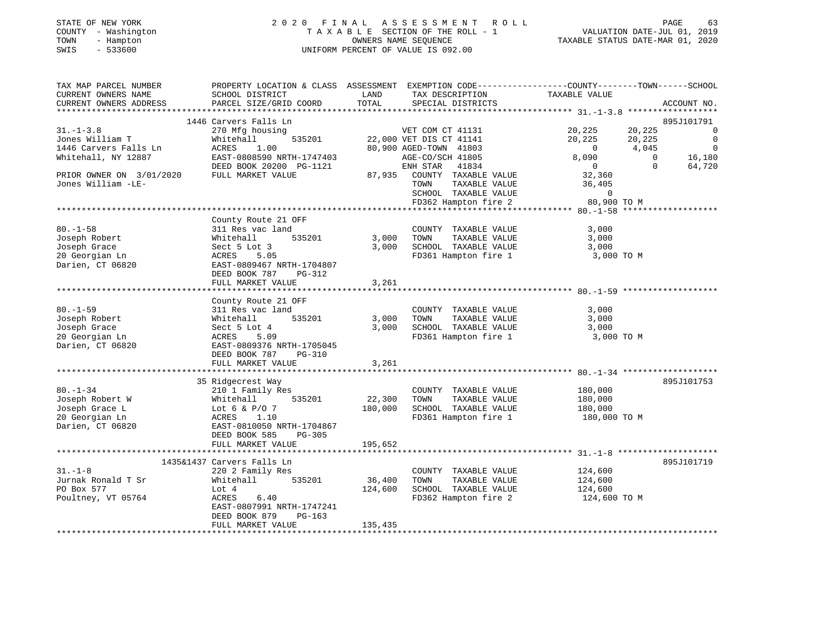| STATE OF NEW YORK |              |
|-------------------|--------------|
| COUNTY            | - Washington |
| TOWN              | - Hampton    |
| SWTS              | $-533600$    |

### STATE OF NEW YORK 2 0 2 0 F I N A L A S S E S S M E N T R O L L PAGE 63 COUNTY - Washington T A X A B L E SECTION OF THE ROLL - 1 VALUATION DATE-JUL 01, 2019 TOWN - Hampton OWNERS NAME SEQUENCE TAXABLE STATUS DATE-MAR 01, 2020 SWIS - 533600 UNIFORM PERCENT OF VALUE IS 092.00

| TAX MAP PARCEL NUMBER<br>CURRENT OWNERS NAME | SCHOOL DISTRICT                                            | LAND<br>TOTAL | PROPERTY LOCATION & CLASS ASSESSMENT EXEMPTION CODE----------------COUNTY-------TOWN-----SCHOOL<br>TAX DESCRIPTION            | TAXABLE VALUE                              |                |                          |
|----------------------------------------------|------------------------------------------------------------|---------------|-------------------------------------------------------------------------------------------------------------------------------|--------------------------------------------|----------------|--------------------------|
| CURRENT OWNERS ADDRESS                       | PARCEL SIZE/GRID COORD                                     |               | SPECIAL DISTRICTS                                                                                                             |                                            |                | ACCOUNT NO.              |
|                                              | 1446 Carvers Falls Ln                                      |               |                                                                                                                               |                                            |                | 895J101791               |
| $31. - 1 - 3.8$                              | 270 Mfg housing                                            |               | VET COM CT 41131<br>535201 22,000 VET DIS CT 41141<br>80,900 AGED-TOWN 41803<br>TH-1747403 AGE-CO/SCH 41805<br>NET CTAR 41805 | 20,225                                     | 20,225         | $\overline{\phantom{0}}$ |
| Jones William T                              | Whitehall                                                  |               |                                                                                                                               | 20,225                                     | 20,225         | $\overline{0}$           |
| 1446 Carvers Falls Ln                        | ACRES<br>1.00                                              |               |                                                                                                                               | $0 \t 4,045$                               |                | $\overline{0}$           |
| Whitehall, NY 12887                          | EAST-0808590 NRTH-1747403                                  |               |                                                                                                                               | 8,090                                      |                | 0 16,180<br>0 16,180     |
|                                              | DEED BOOK 20200 PG-1121                                    |               | ENH STAR 41834<br>87,935 COUNTY TAXABLE VALUE                                                                                 | $\begin{array}{c} 0 \\ 32,360 \end{array}$ | $\overline{0}$ | 64,720                   |
| PRIOR OWNER ON 3/01/2020 FULL MARKET VALUE   |                                                            |               |                                                                                                                               |                                            |                |                          |
| Jones William -LE-                           |                                                            |               | TAXABLE VALUE<br>TOWN                                                                                                         | 36,405                                     |                |                          |
|                                              |                                                            |               | SCHOOL TAXABLE VALUE                                                                                                          | $\overline{0}$                             |                |                          |
|                                              |                                                            |               | FD362 Hampton fire 2 80,900 TO M                                                                                              |                                            |                |                          |
|                                              | County Route 21 OFF                                        |               |                                                                                                                               |                                            |                |                          |
| $80. - 1 - 58$                               | 311 Res vac land                                           |               | COUNTY TAXABLE VALUE                                                                                                          | 3,000                                      |                |                          |
| Joseph Robert                                | 535201<br>Whitehall                                        |               | 3,000 TOWN<br>TAXABLE VALUE                                                                                                   | 3,000                                      |                |                          |
| Joseph Grace                                 | Sect 5 Lot 3                                               |               | 3,000 SCHOOL TAXABLE VALUE                                                                                                    | 3,000                                      |                |                          |
| 20 Georgian Ln                               | ACRES<br>5.05                                              |               | FD361 Hampton fire 1                                                                                                          | 3,000 TO M                                 |                |                          |
| Darien, CT 06820                             | EAST-0809467 NRTH-1704807                                  |               |                                                                                                                               |                                            |                |                          |
|                                              | DEED BOOK 787 PG-312                                       |               |                                                                                                                               |                                            |                |                          |
|                                              | FULL MARKET VALUE                                          | 3,261         |                                                                                                                               |                                            |                |                          |
|                                              |                                                            |               |                                                                                                                               |                                            |                |                          |
|                                              | County Route 21 OFF                                        |               |                                                                                                                               |                                            |                |                          |
| $80. - 1 - 59$                               | 311 Res vac land                                           |               | COUNTY TAXABLE VALUE                                                                                                          | 3,000                                      |                |                          |
| Joseph Robert                                | Whitehall<br>535201                                        | 3,000         | AND THAT THAT THE VALUE SCHOOL TAXABLE VALUE                                                                                  | 3,000                                      |                |                          |
| Joseph Grace                                 | Sect 5 Lot 4                                               | 3,000         |                                                                                                                               | 3,000                                      |                |                          |
| 20 Georgian Ln                               | ACRES 5.09                                                 |               | FD361 Hampton fire 1                                                                                                          | 3,000 TO M                                 |                |                          |
| Darien, CT 06820                             | EAST-0809376 NRTH-1705045                                  |               |                                                                                                                               |                                            |                |                          |
|                                              | DEED BOOK 787 PG-310                                       |               |                                                                                                                               |                                            |                |                          |
|                                              | FULL MARKET VALUE                                          | 3,261         |                                                                                                                               |                                            |                |                          |
|                                              | 35 Ridgecrest Way                                          |               |                                                                                                                               |                                            |                | 895J101753               |
| $80. - 1 - 34$                               | 210 1 Family Res                                           |               | COUNTY TAXABLE VALUE                                                                                                          | 180,000                                    |                |                          |
| Joseph Robert W                              | 535201<br>Whitehall                                        | 22,300 TOWN   | TAXABLE VALUE                                                                                                                 | 180,000                                    |                |                          |
| Joseph Grace L                               |                                                            |               | 180,000 SCHOOL TAXABLE VALUE                                                                                                  | 180,000                                    |                |                          |
| 20 Georgian Ln                               | Whitehall<br>Lot 6 & P/O 7<br>ACRES 1.10<br>EAST-0810050 N |               | FD361 Hampton fire 1 180,000 TO M                                                                                             |                                            |                |                          |
| Darien, CT 06820                             | EAST-0810050 NRTH-1704867                                  |               |                                                                                                                               |                                            |                |                          |
|                                              | PG-305<br>DEED BOOK 585                                    |               |                                                                                                                               |                                            |                |                          |
|                                              | FULL MARKET VALUE                                          | 195,652       |                                                                                                                               |                                            |                |                          |
|                                              |                                                            |               |                                                                                                                               |                                            |                |                          |
|                                              | 1435&1437 Carvers Falls Ln                                 |               |                                                                                                                               |                                            |                | 895J101719               |
| $31. - 1 - 8$                                | 220 2 Family Res                                           |               | COUNTY TAXABLE VALUE                                                                                                          | 124,600                                    |                |                          |
| Jurnak Ronald T Sr                           | Whitehall 535201                                           | 36,400        | TOWN<br>TAXABLE VALUE                                                                                                         | 124,600                                    |                |                          |
| PO Box 577                                   | Lot 4                                                      | 124,600       | SCHOOL TAXABLE VALUE 124,600<br>FD362 Hampton fire 2 124,600 TO M                                                             |                                            |                |                          |
| Poultney, VT 05764                           | ACRES<br>6.40                                              |               |                                                                                                                               |                                            |                |                          |
|                                              | EAST-0807991 NRTH-1747241                                  |               |                                                                                                                               |                                            |                |                          |
|                                              | DEED BOOK 879<br>PG-163                                    |               |                                                                                                                               |                                            |                |                          |
|                                              | FULL MARKET VALUE                                          | 135,435       |                                                                                                                               |                                            |                |                          |
|                                              |                                                            |               |                                                                                                                               |                                            |                |                          |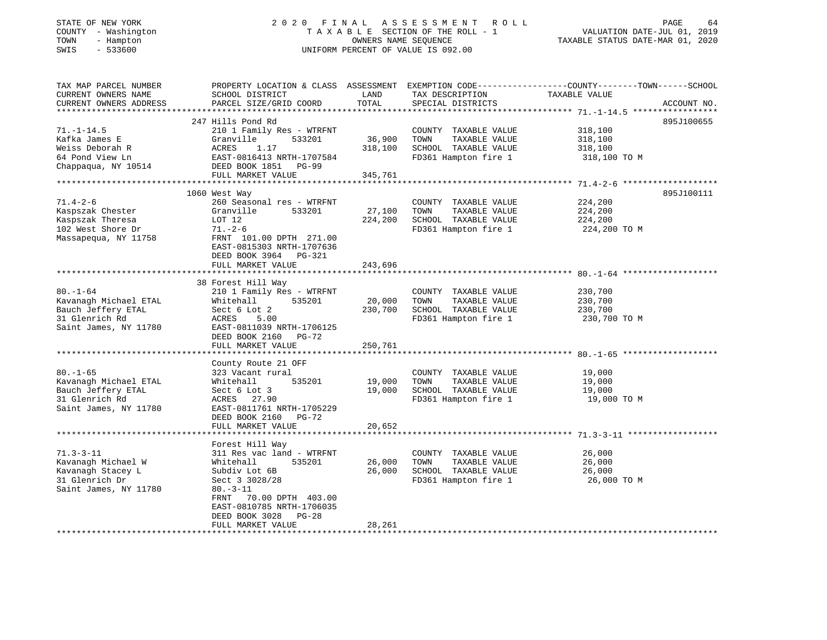# STATE OF NEW YORK 2 0 2 0 F I N A L A S S E S S M E N T R O L L PAGE 64 COUNTY - Washington T A X A B L E SECTION OF THE ROLL - 1 VALUATION DATE-JUL 01, 2019 TOWN - Hampton OWNERS NAME SEQUENCE TAXABLE STATUS DATE-MAR 01, 2020 SWIS - 533600 UNIFORM PERCENT OF VALUE IS 092.00

| TAX MAP PARCEL NUMBER<br>CURRENT OWNERS NAME<br>CURRENT OWNERS ADDRESS                              | PROPERTY LOCATION & CLASS ASSESSMENT EXEMPTION CODE-----------------COUNTY-------TOWN------SCHOOL<br>SCHOOL DISTRICT<br>PARCEL SIZE/GRID COORD               | LAND<br>TOTAL     | TAX DESCRIPTION<br>SPECIAL DISTRICTS                                                          | TAXABLE VALUE                                 | ACCOUNT NO. |
|-----------------------------------------------------------------------------------------------------|--------------------------------------------------------------------------------------------------------------------------------------------------------------|-------------------|-----------------------------------------------------------------------------------------------|-----------------------------------------------|-------------|
|                                                                                                     |                                                                                                                                                              |                   |                                                                                               |                                               |             |
| $71. - 1 - 14.5$                                                                                    | 247 Hills Pond Rd<br>210 1 Family Res - WTRFNT                                                                                                               |                   | COUNTY TAXABLE VALUE                                                                          | 318,100                                       | 895J100655  |
| Kafka James E<br>Weiss Deborah R<br>64 Pond View Ln                                                 | Granville<br>533201<br>1.17<br>ACRES<br>EAST-0816413 NRTH-1707584                                                                                            | 36,900<br>318,100 | TOWN<br>TAXABLE VALUE<br>SCHOOL TAXABLE VALUE<br>FD361 Hampton fire 1                         | 318,100<br>318,100<br>318,100 TO M            |             |
| Chappaqua, NY 10514                                                                                 | DEED BOOK 1851 PG-99<br>FULL MARKET VALUE                                                                                                                    | 345,761           |                                                                                               |                                               |             |
|                                                                                                     | *************************                                                                                                                                    | * * * * * * * * * |                                                                                               | ********************* 71.4-2-6                |             |
|                                                                                                     | 1060 West Way                                                                                                                                                |                   |                                                                                               |                                               | 895J100111  |
| $71.4 - 2 - 6$<br>Kaspszak Chester<br>Kaspszak Theresa<br>102 West Shore Dr<br>Massapequa, NY 11758 | 260 Seasonal res - WTRFNT<br>Granville<br>533201<br>LOT 12<br>$71. - 2 - 6$<br>FRNT 101.00 DPTH 271.00<br>EAST-0815303 NRTH-1707636<br>DEED BOOK 3964 PG-321 | 27,100<br>224,200 | COUNTY TAXABLE VALUE<br>TOWN<br>TAXABLE VALUE<br>SCHOOL TAXABLE VALUE<br>FD361 Hampton fire 1 | 224,200<br>224,200<br>224,200<br>224,200 TO M |             |
|                                                                                                     | FULL MARKET VALUE                                                                                                                                            | 243,696           |                                                                                               |                                               |             |
|                                                                                                     |                                                                                                                                                              |                   |                                                                                               |                                               |             |
| $80. - 1 - 64$                                                                                      | 38 Forest Hill Way<br>210 1 Family Res - WTRFNT                                                                                                              |                   | COUNTY TAXABLE VALUE                                                                          | 230,700                                       |             |
| Kavanagh Michael ETAL                                                                               | Whitehall<br>535201                                                                                                                                          | 20,000            | TOWN<br>TAXABLE VALUE                                                                         | 230,700                                       |             |
| Bauch Jeffery ETAL                                                                                  | Sect 6 Lot 2                                                                                                                                                 | 230,700           | SCHOOL TAXABLE VALUE                                                                          | 230,700                                       |             |
| 31 Glenrich Rd<br>Saint James, NY 11780                                                             | ACRES<br>5.00<br>EAST-0811039 NRTH-1706125<br>DEED BOOK 2160<br>PG-72<br>FULL MARKET VALUE                                                                   | 250,761           | FD361 Hampton fire 1                                                                          | 230,700 TO M                                  |             |
|                                                                                                     |                                                                                                                                                              |                   |                                                                                               |                                               |             |
| $80. - 1 - 65$                                                                                      | County Route 21 OFF<br>323 Vacant rural                                                                                                                      |                   | COUNTY TAXABLE VALUE                                                                          | 19,000                                        |             |
| Kavanagh Michael ETAL                                                                               | 535201<br>Whitehall                                                                                                                                          | 19,000            | TOWN<br>TAXABLE VALUE                                                                         | 19,000                                        |             |
| Bauch Jeffery ETAL<br>31 Glenrich Rd<br>Saint James, NY 11780                                       | Sect 6 Lot 3<br>ACRES 27.90<br>EAST-0811761 NRTH-1705229<br>DEED BOOK 2160 PG-72                                                                             | 19,000            | SCHOOL TAXABLE VALUE<br>FD361 Hampton fire 1                                                  | 19,000<br>19,000 TO M                         |             |
|                                                                                                     | FULL MARKET VALUE                                                                                                                                            | 20,652            |                                                                                               |                                               |             |
|                                                                                                     |                                                                                                                                                              |                   |                                                                                               |                                               |             |
|                                                                                                     | Forest Hill Way                                                                                                                                              |                   |                                                                                               |                                               |             |
| $71.3 - 3 - 11$                                                                                     | 311 Res vac land - WTRFNT                                                                                                                                    |                   | COUNTY TAXABLE VALUE                                                                          | 26,000                                        |             |
| Kavanagh Michael W                                                                                  | Whitehall<br>535201                                                                                                                                          | 26,000            | TAXABLE VALUE<br>TOWN                                                                         | 26,000                                        |             |
| Kavanagh Stacey L                                                                                   | Subdiv Lot 6B                                                                                                                                                | 26,000            | SCHOOL TAXABLE VALUE                                                                          | 26,000                                        |             |
| 31 Glenrich Dr<br>Saint James, NY 11780                                                             | Sect 3 3028/28<br>$80. - 3 - 11$<br>70.00 DPTH 403.00<br>FRNT<br>EAST-0810785 NRTH-1706035                                                                   |                   | FD361 Hampton fire 1                                                                          | 26,000 TO M                                   |             |
|                                                                                                     | DEED BOOK 3028<br>PG-28                                                                                                                                      |                   |                                                                                               |                                               |             |
|                                                                                                     | FULL MARKET VALUE                                                                                                                                            | 28,261            |                                                                                               |                                               |             |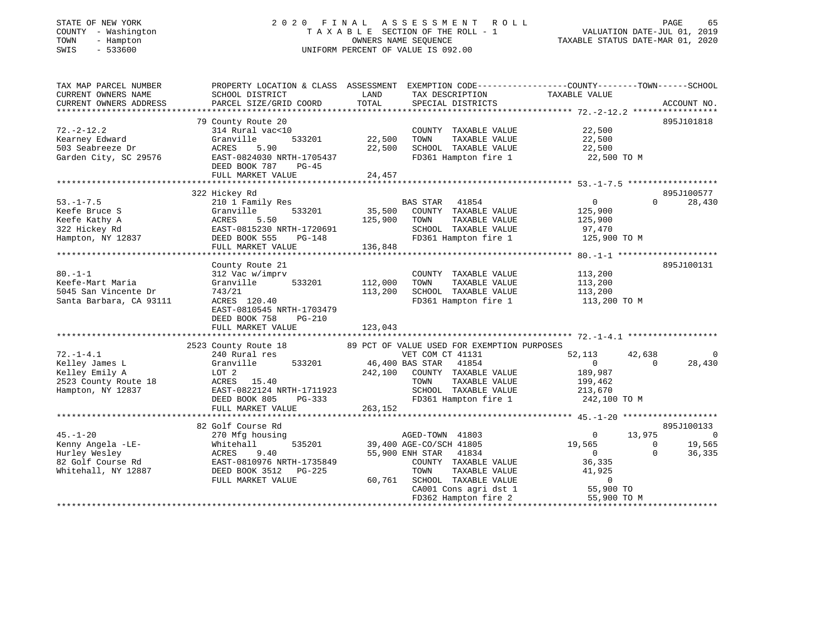# STATE OF NEW YORK 2 0 2 0 F I N A L A S S E S S M E N T R O L L PAGE 65 COUNTY - Washington T A X A B L E SECTION OF THE ROLL - 1 VALUATION DATE-JUL 01, 2019 TOWN - Hampton OWNERS NAME SEQUENCE TAXABLE STATUS DATE-MAR 01, 2020 SWIS - 533600 UNIFORM PERCENT OF VALUE IS 092.00

| TAX MAP PARCEL NUMBER<br>CURRENT OWNERS NAME<br>CURRENT OWNERS ADDRESS                           | SCHOOL DISTRICT<br>PARCEL SIZE/GRID COORD                                                                                                                          | LAND<br>TAX DESCRIPTION<br>TOTAL<br>SPECIAL DISTRICTS                                                                                                                                                           | PROPERTY LOCATION & CLASS ASSESSMENT EXEMPTION CODE----------------COUNTY-------TOWN------SCHOOL<br>TAXABLE VALUE<br>ACCOUNT NO.                                                                |
|--------------------------------------------------------------------------------------------------|--------------------------------------------------------------------------------------------------------------------------------------------------------------------|-----------------------------------------------------------------------------------------------------------------------------------------------------------------------------------------------------------------|-------------------------------------------------------------------------------------------------------------------------------------------------------------------------------------------------|
|                                                                                                  |                                                                                                                                                                    |                                                                                                                                                                                                                 |                                                                                                                                                                                                 |
| $72. - 2 - 12.2$<br>Kearney Edward<br>503 Seabreeze Dr<br>Garden City, SC 29576                  | 79 County Route 20<br>314 Rural vac<10<br>Granville<br>533201<br>ACRES<br>5.90<br>EAST-0824030 NRTH-1705437<br>DEED BOOK 787<br>PG-45<br>FULL MARKET VALUE         | COUNTY TAXABLE VALUE<br>22,500<br>TOWN<br>TAXABLE VALUE<br>22,500<br>SCHOOL TAXABLE VALUE<br>FD361 Hampton fire 1<br>24,457                                                                                     | 895J101818<br>22,500<br>22,500<br>22,500<br>22,500 TO M                                                                                                                                         |
|                                                                                                  |                                                                                                                                                                    |                                                                                                                                                                                                                 |                                                                                                                                                                                                 |
| $53. - 1 - 7.5$<br>Keefe Bruce S<br>Keefe Kathy A<br>322 Hickey Rd<br>Hampton, NY 12837          | 322 Hickey Rd<br>210 1 Family Res<br>Granville<br>533201<br>ACRES<br>5.50<br>EAST-0815230 NRTH-1720691<br>DEED BOOK 555<br>PG-148<br>FULL MARKET VALUE             | BAS STAR<br>41854<br>35,500<br>COUNTY TAXABLE VALUE<br>125,900<br>TAXABLE VALUE<br>TOWN<br>SCHOOL TAXABLE VALUE<br>FD361 Hampton fire 1<br>136,848                                                              | 895J100577<br>28,430<br>$\overline{0}$<br>$\Omega$<br>125,900<br>125,900<br>97,470<br>125,900 TO M                                                                                              |
|                                                                                                  |                                                                                                                                                                    |                                                                                                                                                                                                                 |                                                                                                                                                                                                 |
| $80. -1 - 1$<br>Keefe-Mart Maria<br>5045 San Vincente Dr<br>Santa Barbara, CA 93111              | County Route 21<br>312 Vac w/imprv<br>533201<br>Granville<br>743/21<br>ACRES 120.40<br>EAST-0810545 NRTH-1703479<br>DEED BOOK 758<br>$PG-210$<br>FULL MARKET VALUE | COUNTY TAXABLE VALUE<br>112,000<br>TAXABLE VALUE<br>TOWN<br>SCHOOL TAXABLE VALUE<br>113,200<br>FD361 Hampton fire 1<br>123,043                                                                                  | 895J100131<br>113,200<br>113,200<br>113,200<br>113,200 TO M                                                                                                                                     |
|                                                                                                  |                                                                                                                                                                    |                                                                                                                                                                                                                 |                                                                                                                                                                                                 |
| $72. - 1 - 4.1$<br>Kelley James L<br>Kelley Emily A<br>2523 County Route 18<br>Hampton, NY 12837 | 2523 County Route 18<br>240 Rural res<br>Granville<br>533201<br>LOT 2<br>ACRES 15.40<br>EAST-0822124 NRTH-1711923<br>DEED BOOK 805<br>PG-333<br>FULL MARKET VALUE  | 89 PCT OF VALUE USED FOR EXEMPTION PURPOSES<br>VET COM CT 41131<br>46,400 BAS STAR 41854<br>242,100<br>COUNTY TAXABLE VALUE<br>TAXABLE VALUE<br>TOWN<br>SCHOOL TAXABLE VALUE<br>FD361 Hampton fire 1<br>263,152 | 52,113<br>42,638<br>$\Omega$<br>28,430<br>$\overline{0}$<br>$\Omega$<br>189,987<br>199,462<br>213,670<br>242,100 TO M                                                                           |
|                                                                                                  |                                                                                                                                                                    |                                                                                                                                                                                                                 |                                                                                                                                                                                                 |
| $45. - 1 - 20$<br>Kenny Angela -LE-<br>Hurley Wesley<br>82 Golf Course Rd<br>Whitehall, NY 12887 | 82 Golf Course Rd<br>270 Mfg housing<br>535201<br>Whitehall<br>9.40<br>ACRES<br>EAST-0810976 NRTH-1735849<br>DEED BOOK 3512 PG-225<br>FULL MARKET VALUE            | AGED-TOWN 41803<br>39,400 AGE-CO/SCH 41805<br>55,900 ENH STAR 41834<br>COUNTY TAXABLE VALUE<br>TOWN<br>TAXABLE VALUE<br>SCHOOL TAXABLE VALUE<br>60,761<br>CA001 Cons agri dst 1<br>FD362 Hampton fire 2         | 895J100133<br>13,975<br>$\Omega$<br>$\overline{0}$<br>19,565<br>19,565<br>$\overline{0}$<br>36,335<br>$\overline{0}$<br>$\Omega$<br>36,335<br>41,925<br>$\mathbf 0$<br>55,900 TO<br>55,900 TO M |
|                                                                                                  |                                                                                                                                                                    |                                                                                                                                                                                                                 |                                                                                                                                                                                                 |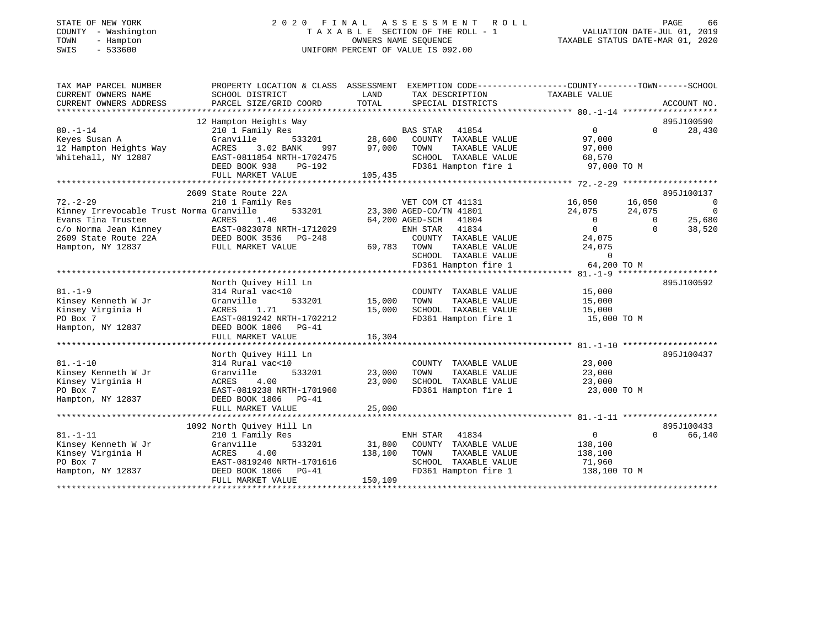### STATE OF NEW YORK GOOD CONTRACTED A LIMIT A S S E S S M E N T R O L L CORRENT CONTROLLER CONTRACTED AGE CONTROLLER COUNTY - Washington  $T A X A B L E$  SECTION OF THE ROLL - 1<br>TOWN - Hampton DATE-JUL 2001 OWNERS NAME SEQUENCE TOWN - Hampton OWNERS NAME SEQUENCE TAXABLE STATUS DATE-MAR 01, 2020 SWIS - 533600 UNIFORM PERCENT OF VALUE IS 092.00

VALUATION DATE-JUL 01, 2019

| TAX MAP PARCEL NUMBER                             |                                            |             | PROPERTY LOCATION & CLASS ASSESSMENT EXEMPTION CODE---------------COUNTY-------TOWN-----SCHOOL |                       |                |                          |
|---------------------------------------------------|--------------------------------------------|-------------|------------------------------------------------------------------------------------------------|-----------------------|----------------|--------------------------|
| CURRENT OWNERS NAME                               | SCHOOL DISTRICT                            | LAND        | TAX DESCRIPTION                                                                                | TAXABLE VALUE         |                |                          |
| CURRENT OWNERS ADDRESS                            | PARCEL SIZE/GRID COORD                     | TOTAL       | SPECIAL DISTRICTS                                                                              |                       |                | ACCOUNT NO.              |
|                                                   |                                            |             |                                                                                                |                       |                |                          |
|                                                   | 12 Hampton Heights Way                     |             |                                                                                                |                       |                | 895J100590               |
| $80. - 1 - 14$                                    | 210 1 Family Res                           |             | <b>BAS STAR</b><br>41854                                                                       | $\overline{0}$        | $\Omega$       | 28,430                   |
| Keyes Susan A                                     | Granville<br>533201                        | 28,600      | COUNTY TAXABLE VALUE                                                                           | 97,000                |                |                          |
| 12 Hampton Heights Way                            | ACRES<br>3.02 BANK<br>997                  | 97,000      | TAXABLE VALUE<br>TOWN                                                                          | 97,000                |                |                          |
| Whitehall, NY 12887                               | EAST-0811854 NRTH-1702475                  |             | SCHOOL TAXABLE VALUE                                                                           | 68,570                |                |                          |
|                                                   | DEED BOOK 938<br>PG-192                    |             | FD361 Hampton fire 1                                                                           | 97,000 TO M           |                |                          |
|                                                   | FULL MARKET VALUE                          | 105,435     |                                                                                                |                       |                |                          |
|                                                   |                                            |             |                                                                                                |                       |                |                          |
|                                                   | 2609 State Route 22A                       |             |                                                                                                |                       |                | 895J100137               |
| $72. - 2 - 29$                                    | 210 1 Family Res                           |             | VET COM CT 41131                                                                               | 16,050                | 16,050         | $\overline{0}$           |
| Kinney Irrevocable Trust Norma Granville          | 533201                                     |             | 23,300 AGED-CO/TN 41801                                                                        | 24,075                | 24,075         | $\overline{\phantom{0}}$ |
| Evans Tina Trustee                                | ACRES<br>1.40                              |             | 64,200 AGED-SCH<br>41804                                                                       | $\overline{0}$        | $\overline{0}$ | 25,680                   |
| c/o Norma Jean Kinney $EAST-0823078 NRTH-1712029$ |                                            |             | 41834<br>ENH STAR                                                                              | $\overline{0}$        | $\Omega$       | 38,520                   |
| 2609 State Route 22A                              | DEED BOOK 3536 PG-248<br>FULL MARKET VALUE |             | COUNTY TAXABLE VALUE                                                                           | 24,075                |                |                          |
| Hampton, NY 12837                                 |                                            | 69,783 TOWN | TAXABLE VALUE                                                                                  | 24,075                |                |                          |
|                                                   |                                            |             | SCHOOL TAXABLE VALUE                                                                           | $\Omega$              |                |                          |
|                                                   |                                            |             | FD361 Hampton fire 1                                                                           | 64,200 TO M           |                |                          |
|                                                   |                                            |             |                                                                                                |                       |                |                          |
|                                                   | North Quivey Hill Ln                       |             |                                                                                                |                       |                | 895J100592               |
| $81. - 1 - 9$                                     | 314 Rural vac<10                           |             | COUNTY TAXABLE VALUE                                                                           | 15,000                |                |                          |
| Kinsey Kenneth W Jr                               | Granville<br>533201                        | 15,000      | TOWN<br>TAXABLE VALUE                                                                          | 15,000                |                |                          |
| Kinsey Virginia H                                 | ACRES<br>1.71                              | 15,000      | SCHOOL TAXABLE VALUE                                                                           | 15,000                |                |                          |
| PO Box 7                                          | EAST-0819242 NRTH-1702212                  |             | FD361 Hampton fire 1                                                                           | 15,000 TO M           |                |                          |
| Hampton, NY 12837                                 | DEED BOOK 1806 PG-41                       |             |                                                                                                |                       |                |                          |
|                                                   | FULL MARKET VALUE                          | 16,304      |                                                                                                |                       |                |                          |
|                                                   |                                            |             |                                                                                                |                       |                |                          |
|                                                   | North Quivey Hill Ln                       |             |                                                                                                |                       |                | 895J100437               |
| $81. - 1 - 10$                                    | 314 Rural vac<10                           | 23,000      | COUNTY TAXABLE VALUE                                                                           | 23,000                |                |                          |
| Kinsey Kenneth W Jr<br>Kinsey Virginia H          | 533201<br>Granville<br>ACRES<br>4.00       | 23,000      | TAXABLE VALUE<br>TOWN<br>SCHOOL TAXABLE VALUE                                                  | 23,000                |                |                          |
|                                                   |                                            |             | FD361 Hampton fire 1                                                                           | 23,000<br>23,000 TO M |                |                          |
| PO Box 7                                          | EAST-0819238 NRTH-1701960                  |             |                                                                                                |                       |                |                          |
| Hampton, NY 12837                                 | DEED BOOK 1806 PG-41<br>FULL MARKET VALUE  | 25,000      |                                                                                                |                       |                |                          |
|                                                   |                                            |             |                                                                                                |                       |                |                          |
|                                                   | 1092 North Quivey Hill Ln                  |             |                                                                                                |                       |                | 895J100433               |
| $81. - 1 - 11$                                    | 210 1 Family Res                           |             | ENH STAR<br>41834                                                                              | 0                     | $\Omega$       | 66,140                   |
| Kinsey Kenneth W Jr                               | Granville<br>533201                        | 31,800      | COUNTY TAXABLE VALUE                                                                           | 138,100               |                |                          |
| Kinsey Virginia H                                 | ACRES<br>4.00                              | 138,100     | TOWN<br>TAXABLE VALUE                                                                          | 138,100               |                |                          |
| PO Box 7                                          | EAST-0819240 NRTH-1701616                  |             | SCHOOL TAXABLE VALUE                                                                           | 71,960                |                |                          |
| Hampton, NY 12837                                 | DEED BOOK 1806 PG-41                       |             | FD361 Hampton fire 1                                                                           | 138,100 TO M          |                |                          |
|                                                   | FULL MARKET VALUE                          | 150,109     |                                                                                                |                       |                |                          |
|                                                   |                                            |             |                                                                                                |                       |                |                          |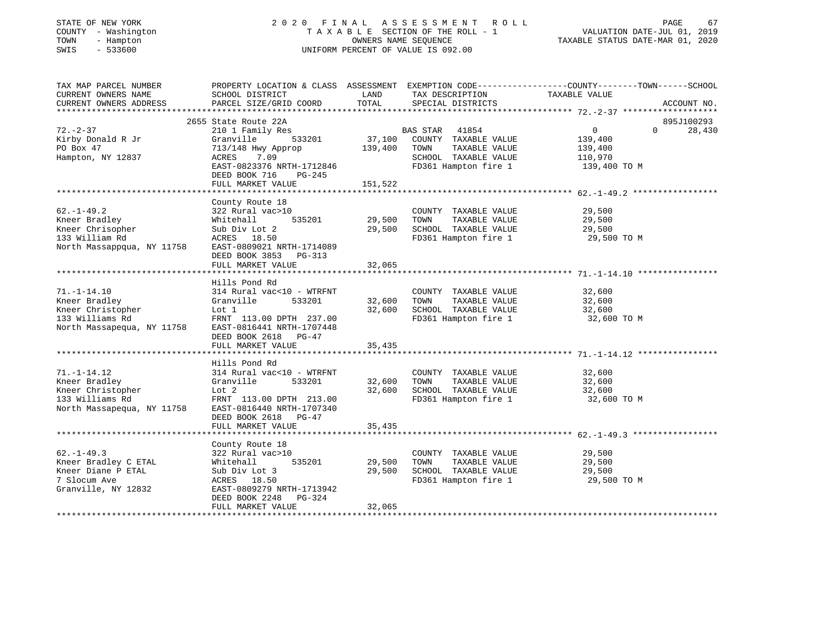### STATE OF NEW YORK 2 0 2 0 F I N A L A S S E S S M E N T R O L L PAGE 67 COUNTY - Washington T A X A B L E SECTION OF THE ROLL - 1 VALUATION DATE-JUL 01, 2019 TOWN - Hampton OWNERS NAME SEQUENCE TAXABLE STATUS DATE-MAR 01, 2020 SWIS - 533600 UNIFORM PERCENT OF VALUE IS 092.00

| TAX MAP PARCEL NUMBER<br>CURRENT OWNERS NAME            | PROPERTY LOCATION & CLASS ASSESSMENT EXEMPTION CODE---------------COUNTY-------TOWN-----SCHOOL<br>SCHOOL DISTRICT | LAND    | TAX DESCRIPTION                              | TAXABLE VALUE  |          |             |
|---------------------------------------------------------|-------------------------------------------------------------------------------------------------------------------|---------|----------------------------------------------|----------------|----------|-------------|
| CURRENT OWNERS ADDRESS                                  | PARCEL SIZE/GRID COORD                                                                                            | TOTAL   | SPECIAL DISTRICTS                            |                |          | ACCOUNT NO. |
|                                                         |                                                                                                                   |         |                                              |                |          |             |
|                                                         | 2655 State Route 22A                                                                                              |         |                                              |                |          | 895J100293  |
| $72. - 2 - 37$                                          | 210 1 Family Res                                                                                                  | 37,100  | BAS STAR 41854                               | $\overline{0}$ | $\Omega$ | 28,430      |
| Kirby Donald R Jr                                       | 533201<br>Granville                                                                                               |         | COUNTY TAXABLE VALUE                         | 139,400        |          |             |
| PO Box 47                                               | 713/148 Hwy Approp                                                                                                | 139,400 | TOWN<br>TAXABLE VALUE                        | 139,400        |          |             |
| Hampton, NY 12837                                       | 7.09<br>ACRES<br>EAST-0823376 NRTH-1712846                                                                        |         | SCHOOL TAXABLE VALUE<br>FD361 Hampton fire 1 | 110,970        |          |             |
|                                                         | DEED BOOK 716<br>PG-245                                                                                           |         |                                              | 139,400 TO M   |          |             |
|                                                         | FULL MARKET VALUE                                                                                                 | 151,522 |                                              |                |          |             |
|                                                         |                                                                                                                   |         |                                              |                |          |             |
|                                                         | County Route 18                                                                                                   |         |                                              |                |          |             |
| $62. - 1 - 49.2$                                        | 322 Rural vac>10                                                                                                  |         | COUNTY TAXABLE VALUE                         | 29,500         |          |             |
| Kneer Bradley                                           | 535201<br>Whitehall                                                                                               | 29,500  | TOWN<br>TAXABLE VALUE                        | 29,500         |          |             |
| Kneer Chrisopher                                        | Sub Div Lot 2                                                                                                     | 29,500  | SCHOOL TAXABLE VALUE                         | 29,500         |          |             |
| 133 William Rd                                          | ACRES 18.50                                                                                                       |         | FD361 Hampton fire 1                         | 29,500 TO M    |          |             |
| North Massappqua, NY 11758                              | EAST-0809021 NRTH-1714089                                                                                         |         |                                              |                |          |             |
|                                                         | DEED BOOK 3853 PG-313                                                                                             |         |                                              |                |          |             |
|                                                         | FULL MARKET VALUE                                                                                                 | 32,065  |                                              |                |          |             |
|                                                         |                                                                                                                   |         |                                              |                |          |             |
|                                                         | Hills Pond Rd                                                                                                     |         |                                              |                |          |             |
| $71. - 1 - 14.10$                                       | 314 Rural vac<10 - WTRFNT                                                                                         |         | COUNTY TAXABLE VALUE                         | 32,600         |          |             |
| Kneer Bradley                                           | 533201<br>Granville                                                                                               | 32,600  | TOWN<br>TAXABLE VALUE                        | 32,600         |          |             |
|                                                         | Lot 1                                                                                                             | 32,600  | SCHOOL TAXABLE VALUE                         | 32,600         |          |             |
| Kneer Christopher<br>122 Williams Rd<br>133 Williams Rd | FRNT 113.00 DPTH 237.00                                                                                           |         | FD361 Hampton fire 1                         | 32,600 TO M    |          |             |
| North Massapequa, NY 11758                              | EAST-0816441 NRTH-1707448                                                                                         |         |                                              |                |          |             |
|                                                         | DEED BOOK 2618 PG-47                                                                                              |         |                                              |                |          |             |
|                                                         | FULL MARKET VALUE                                                                                                 | 35,435  |                                              |                |          |             |
|                                                         |                                                                                                                   |         |                                              |                |          |             |
|                                                         | Hills Pond Rd                                                                                                     |         |                                              |                |          |             |
| $71. - 1 - 14.12$                                       | 314 Rural vac<10 - WTRFNT                                                                                         |         | COUNTY TAXABLE VALUE                         | 32,600         |          |             |
| Kneer Bradley                                           | Granville<br>533201                                                                                               | 32,600  | TOWN<br>TAXABLE VALUE                        | 32,600         |          |             |
| Kneer Christopher                                       | Lot 2                                                                                                             | 32,600  | SCHOOL TAXABLE VALUE                         | 32,600         |          |             |
| 133 Williams Rd                                         | FRNT 113.00 DPTH 213.00                                                                                           |         | FD361 Hampton fire 1                         | 32,600 TO M    |          |             |
| North Massapequa, NY 11758                              | EAST-0816440 NRTH-1707340                                                                                         |         |                                              |                |          |             |
|                                                         | DEED BOOK 2618 PG-47                                                                                              |         |                                              |                |          |             |
|                                                         | FULL MARKET VALUE                                                                                                 | 35,435  |                                              |                |          |             |
|                                                         |                                                                                                                   |         |                                              |                |          |             |
|                                                         | County Route 18                                                                                                   |         |                                              |                |          |             |
| $62. - 1 - 49.3$                                        | 322 Rural vac>10                                                                                                  |         | COUNTY TAXABLE VALUE                         | 29,500         |          |             |
| Kneer Bradley C ETAL                                    | Whitehall<br>535201                                                                                               | 29,500  | TOWN<br>TAXABLE VALUE                        | 29,500         |          |             |
| Kneer Diane P ETAL                                      | Sub Div Lot 3                                                                                                     | 29,500  | SCHOOL TAXABLE VALUE                         | 29,500         |          |             |
| 7 Slocum Ave                                            | ACRES 18.50                                                                                                       |         | FD361 Hampton fire 1                         | 29,500 TO M    |          |             |
| Granville, NY 12832                                     | EAST-0809279 NRTH-1713942                                                                                         |         |                                              |                |          |             |
|                                                         | DEED BOOK 2248<br>PG-324                                                                                          |         |                                              |                |          |             |
|                                                         | FULL MARKET VALUE                                                                                                 | 32,065  |                                              |                |          |             |
|                                                         |                                                                                                                   |         |                                              |                |          |             |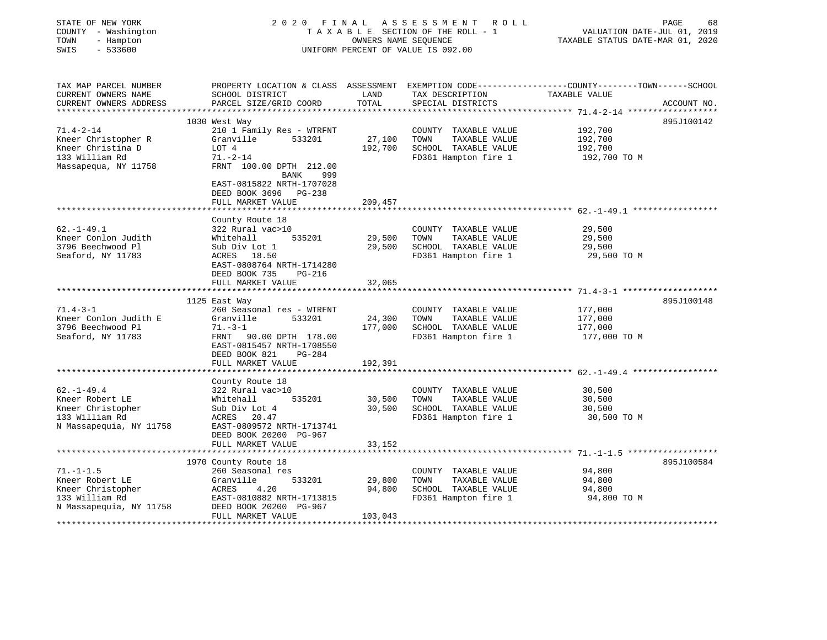| STATE OF NEW YORK<br>COUNTY - Washington<br>TOWN<br>- Hampton<br>SWIS<br>$-533600$ | 2020 FINAL ASSESSMENT ROLL<br>TAXABLE SECTION OF THE ROLL - 1<br>UNIFORM PERCENT OF VALUE IS 092.00               | PAGE<br>68<br>VALUATION DATE-JUL 01, 2019<br>TAXABLE STATUS DATE-MAR 01, 2020 |                                               |                                                                                                                   |
|------------------------------------------------------------------------------------|-------------------------------------------------------------------------------------------------------------------|-------------------------------------------------------------------------------|-----------------------------------------------|-------------------------------------------------------------------------------------------------------------------|
| TAX MAP PARCEL NUMBER<br>CURRENT OWNERS NAME                                       | SCHOOL DISTRICT                                                                                                   | LAND                                                                          | TAX DESCRIPTION                               | PROPERTY LOCATION & CLASS ASSESSMENT EXEMPTION CODE----------------COUNTY-------TOWN------SCHOOL<br>TAXABLE VALUE |
| CURRENT OWNERS ADDRESS                                                             | PARCEL SIZE/GRID COORD                                                                                            | TOTAL                                                                         | SPECIAL DISTRICTS                             | ACCOUNT NO.                                                                                                       |
|                                                                                    |                                                                                                                   |                                                                               |                                               |                                                                                                                   |
| $71.4 - 2 - 14$                                                                    | 1030 West Way<br>210 1 Family Res - WTRFNT                                                                        |                                                                               | COUNTY TAXABLE VALUE                          | 895J100142<br>192,700                                                                                             |
| Kneer Christopher R                                                                | 533201<br>Granville                                                                                               | 27,100                                                                        | TOWN<br>TAXABLE VALUE                         | 192,700                                                                                                           |
| Kneer Christina D                                                                  | LOT 4                                                                                                             | 192,700                                                                       | SCHOOL TAXABLE VALUE                          | 192,700                                                                                                           |
| 133 William Rd                                                                     | $71. - 2 - 14$                                                                                                    |                                                                               | FD361 Hampton fire 1                          | 192,700 TO M                                                                                                      |
| Massapequa, NY 11758                                                               | FRNT 100.00 DPTH 212.00<br>BANK<br>999<br>EAST-0815822 NRTH-1707028<br>DEED BOOK 3696 PG-238<br>FULL MARKET VALUE | 209,457                                                                       |                                               |                                                                                                                   |
|                                                                                    |                                                                                                                   |                                                                               |                                               |                                                                                                                   |
|                                                                                    | County Route 18                                                                                                   |                                                                               |                                               |                                                                                                                   |
| $62. - 1 - 49.1$                                                                   | 322 Rural vac>10                                                                                                  |                                                                               | COUNTY TAXABLE VALUE                          | 29,500                                                                                                            |
| Kneer Conlon Judith                                                                | 535201<br>Whitehall                                                                                               | 29,500                                                                        | TOWN<br>TAXABLE VALUE                         | 29,500                                                                                                            |
| 3796 Beechwood Pl<br>Seaford, NY 11783                                             | Sub Div Lot 1<br>ACRES 18.50                                                                                      | 29,500                                                                        | SCHOOL TAXABLE VALUE<br>FD361 Hampton fire 1  | 29,500<br>29,500 TO M                                                                                             |
|                                                                                    | EAST-0808764 NRTH-1714280<br>DEED BOOK 735<br>PG-216<br>FULL MARKET VALUE                                         | 32,065                                                                        |                                               |                                                                                                                   |
|                                                                                    |                                                                                                                   |                                                                               |                                               |                                                                                                                   |
|                                                                                    | 1125 East Way                                                                                                     |                                                                               |                                               | 895J100148                                                                                                        |
| $71.4 - 3 - 1$                                                                     | 260 Seasonal res - WTRFNT                                                                                         |                                                                               | COUNTY TAXABLE VALUE                          | 177,000                                                                                                           |
| Kneer Conlon Judith E<br>3796 Beechwood Pl                                         | Granville<br>533201<br>$71. - 3 - 1$                                                                              | 24,300<br>177,000                                                             | TOWN<br>TAXABLE VALUE<br>SCHOOL TAXABLE VALUE | 177,000<br>177,000                                                                                                |
| Seaford, NY 11783                                                                  | FRNT 90.00 DPTH 178.00                                                                                            |                                                                               | FD361 Hampton fire 1                          | 177,000 TO M                                                                                                      |
|                                                                                    | EAST-0815457 NRTH-1708550<br>DEED BOOK 821<br>PG-284                                                              |                                                                               |                                               |                                                                                                                   |
|                                                                                    | FULL MARKET VALUE                                                                                                 | 192,391                                                                       |                                               |                                                                                                                   |
|                                                                                    |                                                                                                                   |                                                                               |                                               |                                                                                                                   |
| $62. - 1 - 49.4$                                                                   | County Route 18<br>322 Rural vac>10                                                                               |                                                                               | COUNTY TAXABLE VALUE                          | 30,500                                                                                                            |
| Kneer Robert LE                                                                    | 535201<br>Whitehall                                                                                               | 30,500                                                                        | TAXABLE VALUE<br>TOWN                         | 30,500                                                                                                            |
| Kneer Christopher                                                                  | Sub Div Lot 4                                                                                                     | 30,500                                                                        | SCHOOL TAXABLE VALUE                          | 30,500                                                                                                            |
| 133 William Rd                                                                     | ACRES 20.47                                                                                                       |                                                                               | FD361 Hampton fire 1                          | 30,500 TO M                                                                                                       |
| N Massapequia, NY 11758                                                            | EAST-0809572 NRTH-1713741<br>DEED BOOK 20200 PG-967                                                               |                                                                               |                                               |                                                                                                                   |
|                                                                                    | FULL MARKET VALUE                                                                                                 | 33,152                                                                        |                                               |                                                                                                                   |
|                                                                                    |                                                                                                                   |                                                                               |                                               | 895J100584                                                                                                        |
| $71. - 1 - 1.5$                                                                    | 1970 County Route 18<br>260 Seasonal res                                                                          |                                                                               | COUNTY TAXABLE VALUE                          | 94,800                                                                                                            |
| Kneer Robert LE                                                                    | Granville<br>533201                                                                                               | 29,800                                                                        | TOWN<br>TAXABLE VALUE                         | 94,800                                                                                                            |
| Kneer Christopher                                                                  | 4.20<br>ACRES                                                                                                     | 94,800                                                                        | SCHOOL TAXABLE VALUE                          | 94,800                                                                                                            |
| 133 William Rd                                                                     | EAST-0810882 NRTH-1713815                                                                                         |                                                                               | FD361 Hampton fire 1                          | 94,800 TO M                                                                                                       |
| N Massapequia, NY 11758                                                            | DEED BOOK 20200 PG-967<br>FULL MARKET VALUE                                                                       | 103,043                                                                       |                                               |                                                                                                                   |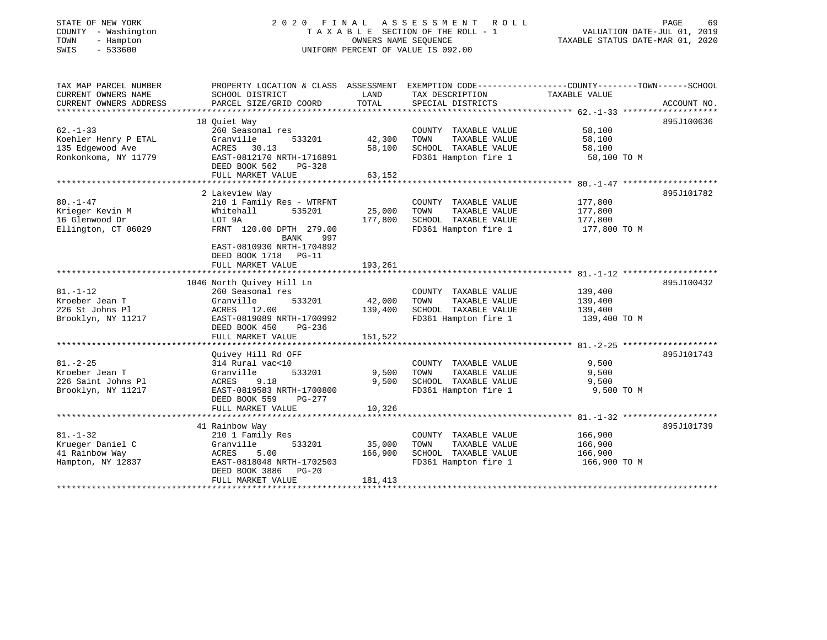# STATE OF NEW YORK 2 0 2 0 F I N A L A S S E S S M E N T R O L L PAGE 69 COUNTY - Washington T A X A B L E SECTION OF THE ROLL - 1 VALUATION DATE-JUL 01, 2019 TOWN - Hampton OWNERS NAME SEQUENCE TAXABLE STATUS DATE-MAR 01, 2020 SWIS - 533600 UNIFORM PERCENT OF VALUE IS 092.00

| TAX MAP PARCEL NUMBER<br>CURRENT OWNERS NAME | PROPERTY LOCATION & CLASS ASSESSMENT EXEMPTION CODE---------------COUNTY-------TOWN------SCHOOL<br>SCHOOL DISTRICT | LAND    | TAX DESCRIPTION       | TAXABLE VALUE |             |
|----------------------------------------------|--------------------------------------------------------------------------------------------------------------------|---------|-----------------------|---------------|-------------|
| CURRENT OWNERS ADDRESS                       | PARCEL SIZE/GRID COORD                                                                                             | TOTAL   | SPECIAL DISTRICTS     |               | ACCOUNT NO. |
|                                              | 18 Quiet Way                                                                                                       |         |                       |               | 895J100636  |
| $62 - 1 - 33$                                | 260 Seasonal res                                                                                                   |         | COUNTY TAXABLE VALUE  | 58,100        |             |
| Koehler Henry P ETAL                         | Granville<br>533201                                                                                                | 42,300  | TOWN<br>TAXABLE VALUE | 58,100        |             |
| 135 Edgewood Ave                             | ACRES<br>30.13                                                                                                     | 58,100  | SCHOOL TAXABLE VALUE  | 58,100        |             |
| Ronkonkoma, NY 11779                         | EAST-0812170 NRTH-1716891                                                                                          |         | FD361 Hampton fire 1  | 58,100 TO M   |             |
|                                              | DEED BOOK 562<br>$PG-328$                                                                                          |         |                       |               |             |
|                                              | FULL MARKET VALUE                                                                                                  | 63,152  |                       |               |             |
|                                              |                                                                                                                    |         |                       |               |             |
|                                              | 2 Lakeview Way                                                                                                     |         |                       |               | 895J101782  |
| $80. -1 - 47$                                | 210 1 Family Res - WTRFNT                                                                                          |         | COUNTY TAXABLE VALUE  | 177,800       |             |
| Krieger Kevin M                              | Whitehall<br>535201                                                                                                | 25,000  | TOWN<br>TAXABLE VALUE | 177,800       |             |
| 16 Glenwood Dr                               | LOT 9A                                                                                                             | 177,800 | SCHOOL TAXABLE VALUE  | 177,800       |             |
| Ellington, CT 06029                          | FRNT 120.00 DPTH 279.00                                                                                            |         | FD361 Hampton fire 1  | 177,800 TO M  |             |
|                                              | BANK<br>997                                                                                                        |         |                       |               |             |
|                                              | EAST-0810930 NRTH-1704892                                                                                          |         |                       |               |             |
|                                              | DEED BOOK 1718 PG-11                                                                                               |         |                       |               |             |
|                                              | FULL MARKET VALUE                                                                                                  | 193,261 |                       |               |             |
|                                              |                                                                                                                    |         |                       |               |             |
|                                              | 1046 North Quivey Hill Ln                                                                                          |         |                       |               | 895J100432  |
| $81. - 1 - 12$                               | 260 Seasonal res                                                                                                   |         | COUNTY TAXABLE VALUE  | 139,400       |             |
| Kroeber Jean T                               | 533201<br>Granville                                                                                                | 42,000  | TOWN<br>TAXABLE VALUE | 139,400       |             |
| 226 St Johns Pl                              | ACRES 12.00                                                                                                        | 139,400 | SCHOOL TAXABLE VALUE  | 139,400       |             |
| Brooklyn, NY 11217                           | EAST-0819089 NRTH-1700992                                                                                          |         | FD361 Hampton fire 1  | 139,400 TO M  |             |
|                                              | DEED BOOK 450<br>$PG-236$                                                                                          |         |                       |               |             |
|                                              | FULL MARKET VALUE                                                                                                  | 151,522 |                       |               |             |
|                                              |                                                                                                                    |         |                       |               |             |
|                                              | Ouivey Hill Rd OFF                                                                                                 |         |                       |               | 895J101743  |
| $81. - 2 - 25$                               | 314 Rural vac<10                                                                                                   |         | COUNTY TAXABLE VALUE  | 9,500         |             |
| Kroeber Jean T                               | Granville<br>533201                                                                                                | 9,500   | TOWN<br>TAXABLE VALUE | 9,500         |             |
| 226 Saint Johns Pl                           | ACRES<br>9.18                                                                                                      | 9,500   | SCHOOL TAXABLE VALUE  | 9,500         |             |
| Brooklyn, NY 11217                           | EAST-0819583 NRTH-1700800                                                                                          |         | FD361 Hampton fire 1  | 9,500 TO M    |             |
|                                              | DEED BOOK 559<br>$PG-277$                                                                                          |         |                       |               |             |
|                                              | FULL MARKET VALUE                                                                                                  | 10,326  |                       |               |             |
|                                              | 41 Rainbow Way                                                                                                     |         |                       |               | 895J101739  |
| $81. - 1 - 32$                               | 210 1 Family Res                                                                                                   |         | COUNTY TAXABLE VALUE  | 166,900       |             |
| Krueger Daniel C                             | 533201<br>Granville                                                                                                | 35,000  | TOWN<br>TAXABLE VALUE | 166,900       |             |
| 41 Rainbow Way                               | 5.00<br>ACRES                                                                                                      | 166,900 | SCHOOL TAXABLE VALUE  | 166,900       |             |
| Hampton, NY 12837                            | EAST-0818048 NRTH-1702503                                                                                          |         | FD361 Hampton fire 1  | 166,900 TO M  |             |
|                                              | DEED BOOK 3886 PG-20                                                                                               |         |                       |               |             |
|                                              | FULL MARKET VALUE                                                                                                  | 181,413 |                       |               |             |
|                                              |                                                                                                                    |         |                       |               |             |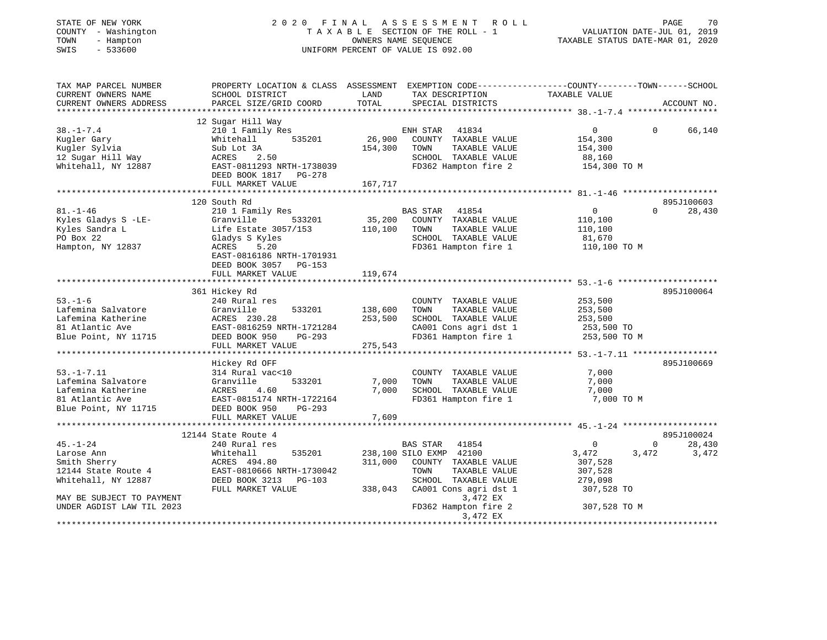| STATE OF NEW YORK<br>COUNTY - Washington<br>- Hampton<br>TOWN<br>$-533600$<br>SWIS                      |                                                                                                                                               |                         | 2020 FINAL ASSESSMENT ROLL<br>TAXABLE SECTION OF THE ROLL - 1<br>OWNERS NAME SEQUENCE<br>UNIFORM PERCENT OF VALUE IS 092.00                    | VALUATION DATE-JUL 01, 2019<br>TAXABLE STATUS DATE-MAR 01, 2020              | PAGE<br>70                           |
|---------------------------------------------------------------------------------------------------------|-----------------------------------------------------------------------------------------------------------------------------------------------|-------------------------|------------------------------------------------------------------------------------------------------------------------------------------------|------------------------------------------------------------------------------|--------------------------------------|
| TAX MAP PARCEL NUMBER<br>CURRENT OWNERS NAME<br>CURRENT OWNERS ADDRESS                                  | PROPERTY LOCATION & CLASS ASSESSMENT EXEMPTION CODE----------------COUNTY-------TOWN------SCHOOL<br>SCHOOL DISTRICT<br>PARCEL SIZE/GRID COORD | LAND<br>TOTAL           | TAX DESCRIPTION TAXABLE VALUE<br>SPECIAL DISTRICTS                                                                                             |                                                                              | ACCOUNT NO.                          |
|                                                                                                         |                                                                                                                                               |                         |                                                                                                                                                |                                                                              |                                      |
| $38. - 1 - 7.4$<br>Kugler Gary                                                                          | 12 Sugar Hill Way<br>210 1 Family Res<br>Whitehall<br>535201<br>Sub Lot 3A                                                                    | 26,900                  | ENH STAR 41834<br>COUNTY TAXABLE VALUE<br>TAXABLE VALUE<br>TOWN                                                                                | $\overline{0}$<br>$\Omega$<br>154,300                                        | 66,140                               |
| Kugler Sylvia<br>12 Sugar Hill Way<br>Whitehall, NY 12887                                               | ACRES 2.50<br>EAST-0811293 NRTH-1738039<br>DEED BOOK 1817 PG-278                                                                              | 154,300                 | SCHOOL TAXABLE VALUE<br>FD362 Hampton fire 2                                                                                                   | 154,300<br>88,160<br>154,300 TO M                                            |                                      |
|                                                                                                         | FULL MARKET VALUE                                                                                                                             | 167,717                 |                                                                                                                                                |                                                                              |                                      |
|                                                                                                         |                                                                                                                                               |                         |                                                                                                                                                |                                                                              | 895J100603                           |
| $81. - 1 - 46$<br>Kyles Gladys S -LE-<br>Kyles Sandra L                                                 | 120 South Rd<br>210 1 Family Res<br>Granville 533201<br>Life Estate 3057/153                                                                  | 110,100                 | BAS STAR 41854<br>35,200 COUNTY TAXABLE VALUE<br>TOWN<br>TAXABLE VALUE                                                                         | $\overline{0}$<br>$\Omega$<br>110,100<br>110,100                             | 28,430                               |
| PO Box 22<br>Hampton, NY 12837                                                                          | Gladys S Kyles<br>ACRES<br>5.20<br>EAST-0816186 NRTH-1701931<br>DEED BOOK 3057 PG-153<br>FULL MARKET VALUE                                    | 119,674                 | SCHOOL TAXABLE VALUE<br>FD361 Hampton fire 1                                                                                                   | 81,670<br>110,100 TO M                                                       |                                      |
|                                                                                                         |                                                                                                                                               | * * * * * * * * * * * * |                                                                                                                                                | ******************************* 53. -1-6 ********************                |                                      |
|                                                                                                         | 361 Hickey Rd                                                                                                                                 |                         |                                                                                                                                                |                                                                              | 895J100064                           |
| $53. - 1 - 6$<br>Lafemina Salvatore<br>Lafemina Katherine<br>81 Atlantic Ave                            | 240 Rural res<br>533201<br>Granville<br>ACRES 230.28<br>EAST-0816259 N<br>EAST-0816259 NRTH-1721284                                           | 138,600<br>253,500      | COUNTY TAXABLE VALUE<br>TAXABLE VALUE<br>TOWN<br>SCHOOL TAXABLE VALUE<br>CA001 Cons agri dst 1                                                 | 253,500<br>253,500<br>253,500<br>253,500 TO                                  |                                      |
| Blue Point, NY 11715                                                                                    | DEED BOOK 950<br>PG-293                                                                                                                       |                         | FD361 Hampton fire 1                                                                                                                           | 253,500 TO M                                                                 |                                      |
|                                                                                                         | FULL MARKET VALUE                                                                                                                             | 275,543                 |                                                                                                                                                |                                                                              |                                      |
|                                                                                                         | Hickey Rd OFF                                                                                                                                 |                         |                                                                                                                                                |                                                                              | 895J100669                           |
| $53. - 1 - 7.11$<br>Lafemina Salvatore<br>Lafemina Katherine<br>81 Atlantic Ave<br>Blue Point, NY 11715 | 314 Rural vac<10<br>Granville<br>ACRES 4.60<br>EAST-0815174 N<br>DEED BOOK 950<br>533201<br>EAST-0815174 NRTH-1722164<br>PG-293               | 7,000<br>7,000          | COUNTY TAXABLE VALUE<br>TOWN<br>TAXABLE VALUE<br>SCHOOL TAXABLE VALUE<br>FD361 Hampton fire 1                                                  | 7,000<br>7,000<br>7,000<br>7,000 TO M                                        |                                      |
|                                                                                                         | FULL MARKET VALUE                                                                                                                             | 7,609                   |                                                                                                                                                |                                                                              |                                      |
|                                                                                                         | ************************<br>12144 State Route 4                                                                                               |                         |                                                                                                                                                |                                                                              | 895J100024                           |
| $45. - 1 - 24$<br>Larose Ann<br>Smith Sherry<br>12144 State Route 4<br>Whitehall, NY 12887              | 240 Rural res<br>Whitehall<br>535201<br>ACRES 494.80<br>EAST-0810666 NRTH-1730042<br>DEED BOOK 3213 PG-103<br>FULL MARKET VALUE               | 311,000<br>338,043      | BAS STAR<br>41854<br>238,100 SILO EXMP 42100<br>COUNTY TAXABLE VALUE<br>TAXABLE VALUE<br>TOWN<br>SCHOOL TAXABLE VALUE<br>CA001 Cons agri dst 1 | $\mathbf 0$<br>3,472<br>3,472<br>307,528<br>307,528<br>279,098<br>307,528 TO | $0 \qquad \qquad$<br>28,430<br>3,472 |
| MAY BE SUBJECT TO PAYMENT<br>UNDER AGDIST LAW TIL 2023                                                  |                                                                                                                                               |                         | 3,472 EX<br>FD362 Hampton fire 2<br>3,472 EX                                                                                                   | 307,528 TO M                                                                 | ****************                     |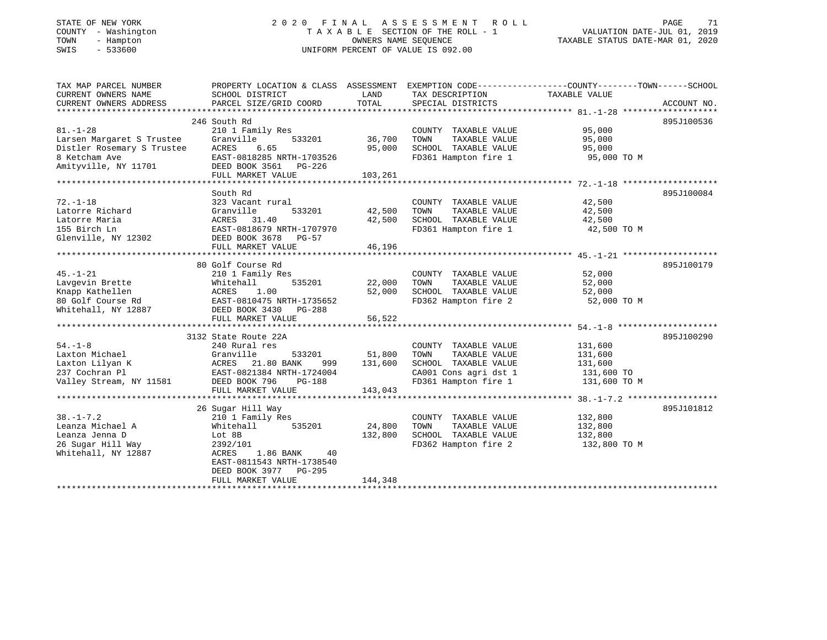### STATE OF NEW YORK 2 0 2 0 F I N A L A S S E S S M E N T R O L L PAGE 71COUNTY - Washington  $T A X A B L E$  SECTION OF THE ROLL - 1<br>TOWN - Hampton DWNERS NAME SEQUENCE TOWN - Hampton OWNERS NAME SEQUENCE TAXABLE STATUS DATE-MAR 01, 2020 SWIS - 533600 UNIFORM PERCENT OF VALUE IS 092.00

VALUATION DATE-JUL 01, 2019

| TAX MAP PARCEL NUMBER                                                                                                                                               | PROPERTY LOCATION & CLASS ASSESSMENT EXEMPTION CODE----------------COUNTY-------TOWN------SCHOOL |               |                                  |                                   |             |
|---------------------------------------------------------------------------------------------------------------------------------------------------------------------|--------------------------------------------------------------------------------------------------|---------------|----------------------------------|-----------------------------------|-------------|
| CURRENT OWNERS NAME                                                                                                                                                 | SCHOOL DISTRICT                                                                                  | LAND          | TAX DESCRIPTION                  | TAXABLE VALUE                     |             |
| CURRENT OWNERS ADDRESS                                                                                                                                              | PARCEL SIZE/GRID COORD                                                                           | TOTAL         | SPECIAL DISTRICTS                |                                   | ACCOUNT NO. |
|                                                                                                                                                                     |                                                                                                  |               |                                  |                                   |             |
|                                                                                                                                                                     | 246 South Rd                                                                                     |               |                                  |                                   | 895J100536  |
| $81. - 1 - 28$                                                                                                                                                      | 210 1 Family Res                                                                                 |               | COUNTY TAXABLE VALUE             | 95,000                            |             |
| Larsen Margaret S Trustee                                                                                                                                           | Granville<br>533201                                                                              | 36,700        | TAXABLE VALUE<br>TOWN            | 95,000                            |             |
| Distler Rosemary S Trustee                                                                                                                                          | ACRES<br>6.65                                                                                    | 95,000        | SCHOOL TAXABLE VALUE 95,000      |                                   |             |
|                                                                                                                                                                     | EAST-0818285 NRTH-1703526                                                                        |               | FD361 Hampton fire 1             | 95,000 TO M                       |             |
| 8 Ketcham Ave                         EAST-0818285 NRTH-170352<br>Amityville, NY 11701             DEED BOOK 3561   PG-226                                          |                                                                                                  |               |                                  |                                   |             |
|                                                                                                                                                                     | FULL MARKET VALUE                                                                                | 103,261       |                                  |                                   |             |
|                                                                                                                                                                     |                                                                                                  |               |                                  |                                   |             |
|                                                                                                                                                                     | South Rd                                                                                         |               |                                  |                                   | 895J100084  |
| $72. - 1 - 18$                                                                                                                                                      | 323 Vacant rural                                                                                 |               | COUNTY TAXABLE VALUE             | 42,500                            |             |
| Latorre Richard                                                                                                                                                     | Granville<br>533201                                                                              | 42,500        | TOWN<br>TAXABLE VALUE            | 42,500                            |             |
| Latorre Maria                                                                                                                                                       | ACRES 31.40                                                                                      | 42,500        | SCHOOL TAXABLE VALUE 42,500      |                                   |             |
| 155 Birch Ln                                                                                                                                                        | EAST-0818679 NRTH-1707970                                                                        |               | FD361 Hampton fire 1             | 42,500 TO M                       |             |
| Glenville, NY 12302                                                                                                                                                 | DEED BOOK 3678 PG-57                                                                             |               |                                  |                                   |             |
|                                                                                                                                                                     | FULL MARKET VALUE                                                                                | 46,196        |                                  |                                   |             |
|                                                                                                                                                                     |                                                                                                  |               |                                  |                                   |             |
|                                                                                                                                                                     | 80 Golf Course Rd                                                                                |               |                                  |                                   | 895J100179  |
| $45. - 1 - 21$                                                                                                                                                      | 210 1 Family Res                                                                                 |               | COUNTY TAXABLE VALUE             |                                   |             |
|                                                                                                                                                                     | 535201                                                                                           | 22,000        | TOWN<br>TAXABLE VALUE            | 52,000<br>52,000                  |             |
| Eavgevin Brette Mhitehall 535201<br>Knapp Kathellen ACRES 1.00<br>80 Golf Course Rd EAST-0810475 NRTH-1735652<br>Whitehall, NY 12887 DEED BOOK 3430 PG-288          |                                                                                                  | 52,000        |                                  | 52,000                            |             |
|                                                                                                                                                                     |                                                                                                  |               | SCHOOL TAXABLE VALUE             |                                   |             |
|                                                                                                                                                                     |                                                                                                  |               |                                  | FD362 Hampton fire 2 52,000 TO M  |             |
|                                                                                                                                                                     |                                                                                                  |               |                                  |                                   |             |
|                                                                                                                                                                     | FULL MARKET VALUE                                                                                | 56,522        |                                  |                                   |             |
|                                                                                                                                                                     |                                                                                                  |               |                                  |                                   |             |
|                                                                                                                                                                     | 3132 State Route 22A                                                                             |               |                                  |                                   | 895J100290  |
| $54. - 1 - 8$                                                                                                                                                       | 240 Rural res                                                                                    |               | COUNTY TAXABLE VALUE             | 131,600                           |             |
|                                                                                                                                                                     | Granville                                                                                        | 533201 51,800 | TAXABLE VALUE<br>TOWN            | 131,600                           |             |
|                                                                                                                                                                     |                                                                                                  | 999 131,600   | SCHOOL TAXABLE VALUE             | 131,600                           |             |
| Laxton Michael Granville 533201<br>Laxton Lilyan K ACRES 21.80 BANK 999<br>237 Cochran Pl EAST-0821384 NRTH-1724004<br>Valley Stream, NY 11581 DEED BOOK 796 PG-188 |                                                                                                  |               | CA001 Cons agri dst 1 131,600 TO |                                   |             |
|                                                                                                                                                                     |                                                                                                  |               | FD361 Hampton fire 1             | 131,600 TO M                      |             |
|                                                                                                                                                                     | FULL MARKET VALUE                                                                                | 143,043       |                                  |                                   |             |
|                                                                                                                                                                     |                                                                                                  |               |                                  |                                   |             |
|                                                                                                                                                                     | 26 Sugar Hill Way                                                                                |               |                                  |                                   | 895J101812  |
| $38. - 1 - 7.2$                                                                                                                                                     | 210 1 Family Res                                                                                 |               | COUNTY TAXABLE VALUE             | 132,800                           |             |
| Leanza Michael A                                                                                                                                                    | Whitehall 535201                                                                                 | 24,800        | TOWN<br>TAXABLE VALUE            | 132,800                           |             |
| Leanza Jenna D                                                                                                                                                      | Lot 8B                                                                                           | 132,800       | SCHOOL TAXABLE VALUE             | 132,800                           |             |
| 26 Sugar Hill Way                                                                                                                                                   | 2392/101                                                                                         |               |                                  | FD362 Hampton fire 2 132,800 TO M |             |
| Whitehall, NY 12887                                                                                                                                                 | ACRES 1.86 BANK<br>40                                                                            |               |                                  |                                   |             |
|                                                                                                                                                                     | EAST-0811543 NRTH-1738540                                                                        |               |                                  |                                   |             |
|                                                                                                                                                                     | DEED BOOK 3977 PG-295                                                                            |               |                                  |                                   |             |
|                                                                                                                                                                     | FULL MARKET VALUE                                                                                | 144,348       |                                  |                                   |             |
|                                                                                                                                                                     |                                                                                                  |               |                                  |                                   |             |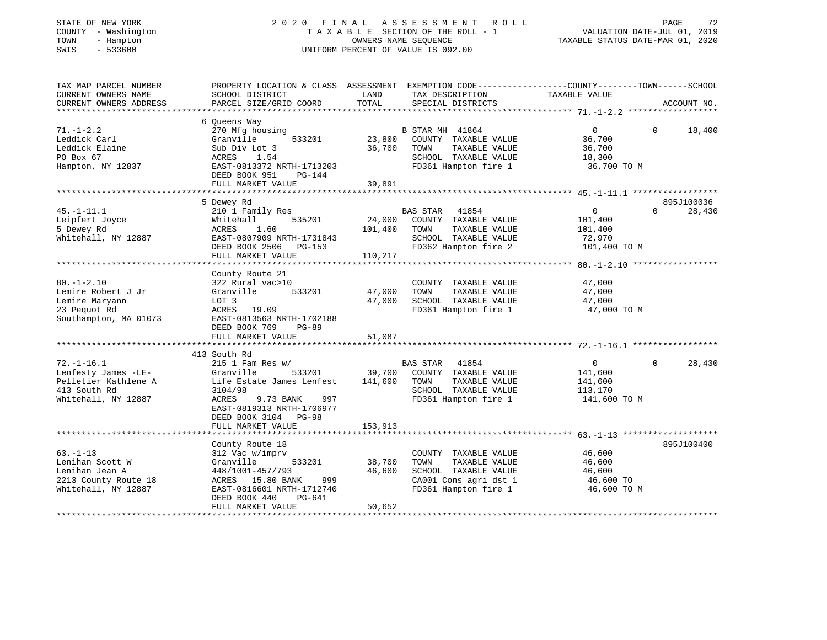### STATE OF NEW YORK 2 0 2 0 F I N A L A S S E S S M E N T R O L L PAGE 72 COUNTY - Washington T A X A B L E SECTION OF THE ROLL - 1 VALUATION DATE-JUL 01, 2019 TOWN - Hampton OWNERS NAME SEQUENCE TAXABLE STATUS DATE-MAR 01, 2020 SWIS - 533600 UNIFORM PERCENT OF VALUE IS 092.00

| TAX MAP PARCEL NUMBER                         | PROPERTY LOCATION & CLASS ASSESSMENT EXEMPTION CODE---------------COUNTY-------TOWN-----SCHOOL | LAND    |                                      | TAXABLE VALUE  |          |             |
|-----------------------------------------------|------------------------------------------------------------------------------------------------|---------|--------------------------------------|----------------|----------|-------------|
| CURRENT OWNERS NAME<br>CURRENT OWNERS ADDRESS | SCHOOL DISTRICT<br>PARCEL SIZE/GRID COORD                                                      | TOTAL   | TAX DESCRIPTION<br>SPECIAL DISTRICTS |                |          | ACCOUNT NO. |
|                                               |                                                                                                |         |                                      |                |          |             |
|                                               | 6 Oueens Way                                                                                   |         |                                      |                |          |             |
| $71. - 1 - 2.2$                               | 270 Mfg housing                                                                                |         | B STAR MH 41864                      | $\overline{0}$ | $\Omega$ | 18,400      |
| Leddick Carl                                  | 533201<br>Granville                                                                            | 23,800  | COUNTY TAXABLE VALUE                 | 36,700         |          |             |
| Leddick Elaine                                | Sub Div Lot 3                                                                                  | 36,700  | TOWN<br>TAXABLE VALUE                | 36,700         |          |             |
| PO Box 67                                     | ACRES<br>1.54                                                                                  |         | SCHOOL TAXABLE VALUE                 | 18,300         |          |             |
| Hampton, NY 12837                             | EAST-0813372 NRTH-1713203                                                                      |         | FD361 Hampton fire 1                 | 36,700 TO M    |          |             |
|                                               | DEED BOOK 951<br>$PG-144$                                                                      |         |                                      |                |          |             |
|                                               | FULL MARKET VALUE                                                                              | 39,891  |                                      |                |          |             |
|                                               | 5 Dewey Rd                                                                                     |         |                                      |                |          | 895J100036  |
| $45. - 1 - 11.1$                              | 210 1 Family Res                                                                               |         | <b>BAS STAR</b><br>41854             | $\overline{0}$ | $\Omega$ | 28,430      |
|                                               |                                                                                                | 24,000  |                                      |                |          |             |
| Leipfert Joyce<br>5 Dewey Rd                  | 535201<br>Whitehall                                                                            |         | COUNTY TAXABLE VALUE                 | 101,400        |          |             |
|                                               | 1.60<br>ACRES                                                                                  | 101,400 | TOWN<br>TAXABLE VALUE                | 101,400        |          |             |
| Whitehall, NY 12887                           | EAST-0807909 NRTH-1731843                                                                      |         | SCHOOL TAXABLE VALUE                 | 72,970         |          |             |
|                                               | DEED BOOK 2506<br>PG-153                                                                       |         | FD362 Hampton fire 2                 | 101,400 TO M   |          |             |
|                                               | FULL MARKET VALUE                                                                              | 110,217 |                                      |                |          |             |
|                                               | County Route 21                                                                                |         |                                      |                |          |             |
| $80. - 1 - 2.10$                              | 322 Rural vac>10                                                                               |         | COUNTY TAXABLE VALUE                 | 47,000         |          |             |
| Lemire Robert J Jr                            | 533201<br>Granville                                                                            | 47,000  | TOWN<br>TAXABLE VALUE                | 47,000         |          |             |
| Lemire Maryann                                | LOT 3                                                                                          | 47,000  | SCHOOL TAXABLE VALUE                 | 47,000         |          |             |
| 23 Pequot Rd                                  | ACRES 19.09                                                                                    |         | FD361 Hampton fire 1                 | 47,000 TO M    |          |             |
| Southampton, MA 01073                         | EAST-0813563 NRTH-1702188                                                                      |         |                                      |                |          |             |
|                                               | DEED BOOK 769<br>$PG-89$                                                                       |         |                                      |                |          |             |
|                                               | FULL MARKET VALUE                                                                              | 51,087  |                                      |                |          |             |
|                                               |                                                                                                |         |                                      |                |          |             |
|                                               | 413 South Rd                                                                                   |         |                                      |                |          |             |
| $72. - 1 - 16.1$                              | $215$ 1 Fam Res w/                                                                             |         | 41854<br>BAS STAR                    | $\overline{0}$ | $\Omega$ | 28,430      |
| Lenfesty James -LE-                           | 533201<br>Granville                                                                            | 39,700  | COUNTY TAXABLE VALUE                 | 141,600        |          |             |
| Pelletier Kathlene A                          | Life Estate James Lenfest                                                                      | 141,600 | TOWN<br>TAXABLE VALUE                | 141,600        |          |             |
| 413 South Rd                                  | 3104/98                                                                                        |         | SCHOOL TAXABLE VALUE                 | 113,170        |          |             |
| Whitehall, NY 12887                           | ACRES<br>9.73 BANK<br>997                                                                      |         | FD361 Hampton fire 1                 | 141,600 TO M   |          |             |
|                                               | EAST-0819313 NRTH-1706977                                                                      |         |                                      |                |          |             |
|                                               | DEED BOOK 3104 PG-98                                                                           |         |                                      |                |          |             |
|                                               | FULL MARKET VALUE                                                                              | 153,913 |                                      |                |          |             |
|                                               |                                                                                                |         |                                      |                |          |             |
|                                               | County Route 18                                                                                |         |                                      |                |          | 895J100400  |
| $63. -1 - 13$                                 | 312 Vac w/imprv                                                                                |         | COUNTY TAXABLE VALUE                 | 46,600         |          |             |
| Lenihan Scott W                               | 533201<br>Granville                                                                            | 38,700  | TOWN<br>TAXABLE VALUE                | 46,600         |          |             |
| Lenihan Jean A                                | 448/1001-457/793                                                                               | 46,600  | SCHOOL TAXABLE VALUE                 | 46,600         |          |             |
| 2213 County Route 18                          | ACRES 15.80 BANK<br>999                                                                        |         | CA001 Cons agri dst 1                | 46,600 TO      |          |             |
| Whitehall, NY 12887                           | EAST-0816601 NRTH-1712740                                                                      |         | FD361 Hampton fire 1                 | 46,600 TO M    |          |             |
|                                               | DEED BOOK 440<br>PG-641                                                                        |         |                                      |                |          |             |
|                                               | FULL MARKET VALUE                                                                              | 50,652  |                                      |                |          |             |
|                                               |                                                                                                |         |                                      |                |          |             |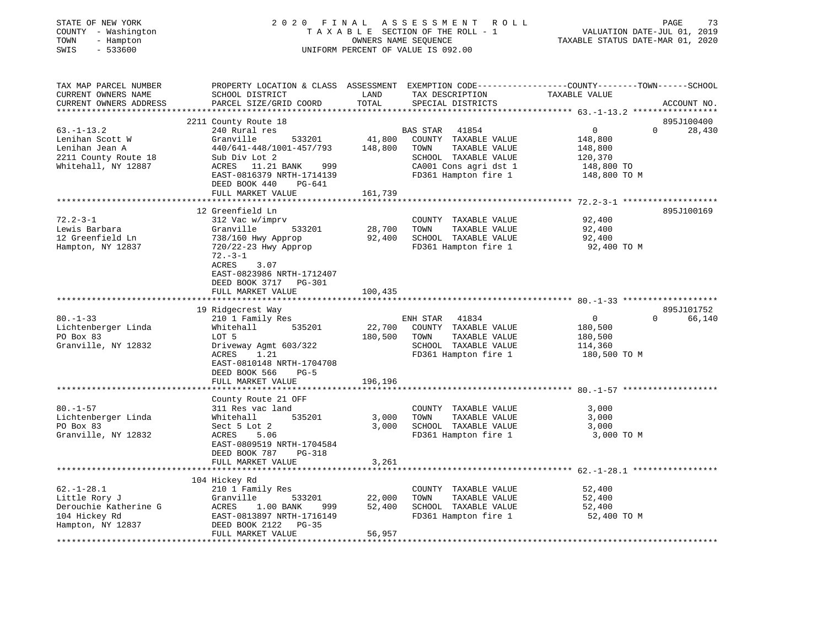| STATE OF NEW YORK<br>COUNTY - Washington<br>- Hampton<br>TOWN<br>SWIS<br>$-533600$                  | 2020 FINAL<br>TAXABLE SECTION OF THE ROLL - 1<br>UNIFORM PERCENT OF VALUE IS 092.00                                                                                                                                   | PAGE<br>73<br>VALUATION DATE-JUL 01, 2019<br>TAXABLE STATUS DATE-MAR 01, 2020 |                                                                                                                                             |                                                                                                                |
|-----------------------------------------------------------------------------------------------------|-----------------------------------------------------------------------------------------------------------------------------------------------------------------------------------------------------------------------|-------------------------------------------------------------------------------|---------------------------------------------------------------------------------------------------------------------------------------------|----------------------------------------------------------------------------------------------------------------|
| TAX MAP PARCEL NUMBER<br>CURRENT OWNERS NAME<br>CURRENT OWNERS ADDRESS<br>**********************    | PROPERTY LOCATION & CLASS ASSESSMENT<br>SCHOOL DISTRICT<br>PARCEL SIZE/GRID COORD                                                                                                                                     | LAND<br>TOTAL                                                                 | TAX DESCRIPTION<br>SPECIAL DISTRICTS                                                                                                        | EXEMPTION CODE-----------------COUNTY-------TOWN------SCHOOL<br>TAXABLE VALUE<br>ACCOUNT NO.                   |
| $63. -1 - 13.2$<br>Lenihan Scott W<br>Lenihan Jean A<br>2211 County Route 18<br>Whitehall, NY 12887 | 2211 County Route 18<br>240 Rural res<br>Granville<br>533201<br>440/641-448/1001-457/793<br>Sub Div Lot 2<br>ACRES 11.21 BANK<br>999<br>EAST-0816379 NRTH-1714139<br>DEED BOOK 440<br>PG-641<br>FULL MARKET VALUE     | 41,800<br>148,800<br>161,739                                                  | BAS STAR<br>41854<br>COUNTY TAXABLE VALUE<br>TOWN<br>TAXABLE VALUE<br>SCHOOL TAXABLE VALUE<br>CA001 Cons agri dst 1<br>FD361 Hampton fire 1 | 895J100400<br>$\mathbf 0$<br>$\Omega$<br>28,430<br>148,800<br>148,800<br>120,370<br>148,800 TO<br>148,800 TO M |
|                                                                                                     | ***********************                                                                                                                                                                                               | **************                                                                |                                                                                                                                             |                                                                                                                |
| $72.2 - 3 - 1$<br>Lewis Barbara<br>12 Greenfield Ln<br>Hampton, NY 12837                            | 12 Greenfield Ln<br>312 Vac w/imprv<br>Granville<br>533201<br>738/160 Hwy Approp<br>720/22-23 Hwy Approp<br>$72. - 3 - 1$<br>ACRES<br>3.07<br>EAST-0823986 NRTH-1712407<br>DEED BOOK 3717 PG-301<br>FULL MARKET VALUE | 28,700<br>92,400<br>100,435                                                   | COUNTY TAXABLE VALUE<br>TOWN<br>TAXABLE VALUE<br>SCHOOL TAXABLE VALUE<br>FD361 Hampton fire 1                                               | 895J100169<br>92,400<br>92,400<br>92,400<br>92,400 TO M                                                        |
|                                                                                                     |                                                                                                                                                                                                                       |                                                                               |                                                                                                                                             |                                                                                                                |
| $80. - 1 - 33$<br>Lichtenberger Linda<br>PO Box 83<br>Granville, NY 12832                           | 19 Ridgecrest Way<br>210 1 Family Res<br>Whitehall<br>535201<br>LOT 5<br>Driveway Agmt 603/322<br>ACRES<br>1.21<br>EAST-0810148 NRTH-1704708<br>DEED BOOK 566<br>$PG-5$                                               | 22,700<br>180,500                                                             | ENH STAR<br>41834<br>COUNTY TAXABLE VALUE<br>TOWN<br>TAXABLE VALUE<br>SCHOOL TAXABLE VALUE<br>FD361 Hampton fire 1                          | 895J101752<br>66,140<br>$\overline{0}$<br>$\Omega$<br>180,500<br>180,500<br>114,360<br>180,500 TO M            |
|                                                                                                     | FULL MARKET VALUE                                                                                                                                                                                                     | 196,196                                                                       |                                                                                                                                             |                                                                                                                |
| $80. - 1 - 57$<br>Lichtenberger Linda<br>PO Box 83<br>Granville, NY 12832                           | County Route 21 OFF<br>311 Res vac land<br>Whitehall<br>535201<br>Sect 5 Lot 2<br>ACRES<br>5.06<br>EAST-0809519 NRTH-1704584<br>DEED BOOK 787<br>PG-318<br>FULL MARKET VALUE                                          | 3,000<br>3,000<br>3,261                                                       | COUNTY TAXABLE VALUE<br>TOWN<br>TAXABLE VALUE<br>SCHOOL TAXABLE VALUE<br>FD361 Hampton fire 1                                               | 3,000<br>3,000<br>3,000<br>3,000 TO M                                                                          |
|                                                                                                     |                                                                                                                                                                                                                       |                                                                               |                                                                                                                                             |                                                                                                                |
| $62. - 1 - 28.1$<br>Little Rory J<br>Derouchie Katherine G<br>104 Hickey Rd<br>Hampton, NY 12837    | 104 Hickey Rd<br>210 1 Family Res<br>Granville<br>533201<br>ACRES<br>1.00 BANK<br>999<br>EAST-0813897 NRTH-1716149<br>DEED BOOK 2122<br>$PG-35$<br>FULL MARKET VALUE                                                  | 22,000<br>52,400<br>56,957                                                    | COUNTY TAXABLE VALUE<br>TOWN<br>TAXABLE VALUE<br>SCHOOL TAXABLE VALUE<br>FD361 Hampton fire 1                                               | 52,400<br>52,400<br>52,400<br>52,400 TO M                                                                      |
|                                                                                                     |                                                                                                                                                                                                                       |                                                                               |                                                                                                                                             |                                                                                                                |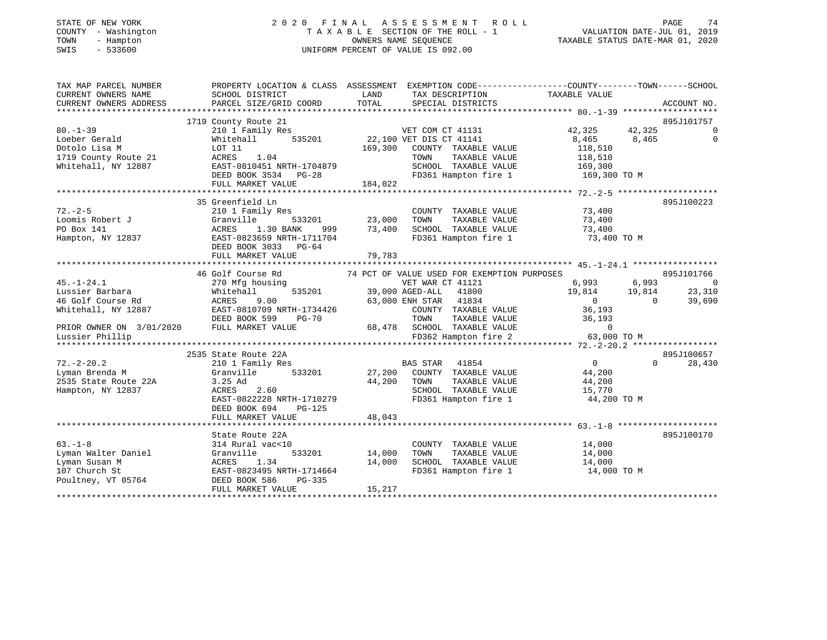| STATE OF NEW YORK<br>COUNTY - Washington<br>- Hampton<br>TOWN<br>SWIS<br>$-533600$ | 2020 FINAL ASSESSMENT ROLL<br>T A X A B L E SECTION OF THE ROLL - 1<br>UNIFORM PERCENT OF VALUE IS 092.00                | VALUATION DATE-JUL 01, 2019<br>TAXABLE STATUS DATE-MAR 01, 2020 | PAGE<br>74                                           |                                  |                             |
|------------------------------------------------------------------------------------|--------------------------------------------------------------------------------------------------------------------------|-----------------------------------------------------------------|------------------------------------------------------|----------------------------------|-----------------------------|
|                                                                                    | TAX MAP PARCEL NUMBER THE PROPERTY LOCATION & CLASS ASSESSMENT EXEMPTION CODE---------------COUNTY-------TOWN-----SCHOOL |                                                                 |                                                      |                                  |                             |
| CURRENT OWNERS NAME<br>CURRENT OWNERS ADDRESS                                      | SCHOOL DISTRICT<br>PARCEL SIZE/GRID COORD                                                                                | LAND<br>TOTAL                                                   | TAX DESCRIPTION TAXABLE VALUE<br>SPECIAL DISTRICTS   |                                  | ACCOUNT NO.                 |
|                                                                                    |                                                                                                                          |                                                                 |                                                      |                                  |                             |
|                                                                                    | 1719 County Route 21                                                                                                     |                                                                 |                                                      |                                  | 895J101757                  |
| $80. - 1 - 39$                                                                     | 210 1 Family Res                                                                                                         |                                                                 | VET COM CT 41131                                     | 42,325<br>42,325                 | $\Omega$                    |
| Loeber Gerald                                                                      | 535201<br>Whitehall                                                                                                      |                                                                 | 22,100 VET DIS CT 41141                              | 8,465<br>8,465                   | $\mathbf 0$                 |
| Dotolo Lisa M                                                                      | LOT 11                                                                                                                   | 169,300                                                         | COUNTY TAXABLE VALUE                                 | 118,510                          |                             |
| 1719 County Route 21                                                               | 1.04<br>ACRES                                                                                                            |                                                                 | TOWN<br>TAXABLE VALUE                                | 118,510                          |                             |
| Whitehall, NY 12887                                                                | EAST-0810451 NRTH-1704879                                                                                                |                                                                 | SCHOOL TAXABLE VALUE                                 | 169,300                          |                             |
|                                                                                    | DEED BOOK 3534 PG-28                                                                                                     |                                                                 | FD361 Hampton fire 1                                 | 169,300 TO M                     |                             |
|                                                                                    | FULL MARKET VALUE                                                                                                        | 184,022                                                         |                                                      |                                  |                             |
|                                                                                    | 35 Greenfield Ln                                                                                                         |                                                                 |                                                      |                                  | 895J100223                  |
| $72. - 2 - 5$                                                                      | 210 1 Family Res                                                                                                         |                                                                 | COUNTY TAXABLE VALUE                                 | 73,400                           |                             |
| Loomis Robert J                                                                    | Granville<br>533201                                                                                                      | 23,000                                                          | TOWN<br>TAXABLE VALUE                                | 73,400                           |                             |
| PO Box 141                                                                         | ACRES<br>1.30 BANK<br>999                                                                                                | 73,400                                                          | SCHOOL TAXABLE VALUE                                 | 73,400                           |                             |
| Hampton, NY 12837                                                                  | EAST-0823659 NRTH-1711704                                                                                                |                                                                 | FD361 Hampton fire 1                                 | 73,400 TO M                      |                             |
|                                                                                    | DEED BOOK 3033 PG-64                                                                                                     |                                                                 |                                                      |                                  |                             |
|                                                                                    | FULL MARKET VALUE                                                                                                        | 79,783                                                          |                                                      |                                  |                             |
|                                                                                    |                                                                                                                          |                                                                 |                                                      |                                  |                             |
|                                                                                    | 46 Golf Course Rd                                                                                                        |                                                                 | 74 PCT OF VALUE USED FOR EXEMPTION PURPOSES          |                                  | 895J101766                  |
| $45. - 1 - 24.1$                                                                   | 270 Mfg housing                                                                                                          |                                                                 | VET WAR CT 41121                                     | 6,993<br>6,993                   | $\sim$ 0                    |
| Lussier Barbara                                                                    | 535201<br>Whitehall                                                                                                      |                                                                 | 41800<br>39,000 AGED-ALL                             | 19,814<br>19,814                 | 23,310                      |
| 46 Golf Course Rd                                                                  | 9.00<br>ACRES                                                                                                            |                                                                 | 63,000 ENH STAR 41834                                | $\overline{0}$<br>$\overline{0}$ | 39,690                      |
| Whitehall, NY 12887                                                                | EAST-0810709 NRTH-1734426                                                                                                |                                                                 | COUNTY TAXABLE VALUE                                 | 36,193                           |                             |
| PRIOR OWNER ON 3/01/2020                                                           | DEED BOOK 599<br>PG-70<br>FULL MARKET VALUE                                                                              |                                                                 | TOWN<br>TAXABLE VALUE<br>68,478 SCHOOL TAXABLE VALUE | 36,193<br>$\Omega$               |                             |
| Lussier Phillip                                                                    |                                                                                                                          |                                                                 | FD362 Hampton fire 2 63,000 TO M                     |                                  |                             |
|                                                                                    |                                                                                                                          |                                                                 |                                                      |                                  |                             |
|                                                                                    | 2535 State Route 22A                                                                                                     |                                                                 |                                                      |                                  | 895J100657                  |
| $72. - 2 - 20.2$                                                                   | 210 1 Family Res                                                                                                         |                                                                 | BAS STAR 41854                                       | $\overline{0}$                   | $0 \qquad \qquad$<br>28,430 |
| Lyman Brenda M                                                                     | Granville 533201                                                                                                         |                                                                 | 27,200 COUNTY TAXABLE VALUE                          | 44,200                           |                             |
| 2535 State Route 22A                                                               | $3.25$ Ad                                                                                                                | 44,200                                                          | TAXABLE VALUE<br>TOWN                                | 44,200                           |                             |
| Hampton, NY 12837                                                                  | 2.60<br>ACRES                                                                                                            |                                                                 | SCHOOL TAXABLE VALUE                                 | 15,770                           |                             |
|                                                                                    | EAST-0822228 NRTH-1710279                                                                                                |                                                                 | FD361 Hampton fire 1                                 | 44,200 TO M                      |                             |
|                                                                                    | DEED BOOK 694<br>PG-125                                                                                                  |                                                                 |                                                      |                                  |                             |
|                                                                                    | FULL MARKET VALUE                                                                                                        | 48,043                                                          |                                                      |                                  |                             |
|                                                                                    |                                                                                                                          |                                                                 |                                                      |                                  |                             |
|                                                                                    | State Route 22A                                                                                                          |                                                                 |                                                      |                                  | 895J100170                  |
| $63 - 1 - 8$                                                                       | 314 Rural vac<10                                                                                                         |                                                                 | COUNTY TAXABLE VALUE                                 | 14,000                           |                             |
| Lyman Walter Daniel                                                                | 533201<br>Granville                                                                                                      | 14,000                                                          | TAXABLE VALUE<br>TOWN                                | 14,000                           |                             |
| Lyman Susan M                                                                      | ACRES 1.34                                                                                                               | 14,000                                                          | SCHOOL TAXABLE VALUE                                 | 14,000                           |                             |
| 107 Church St                                                                      | EAST-0823495 NRTH-1714664                                                                                                |                                                                 | FD361 Hampton fire 1                                 | 14,000 TO M                      |                             |
| Poultney, VT 05764                                                                 | DEED BOOK 586<br>PG-335                                                                                                  |                                                                 |                                                      |                                  |                             |
|                                                                                    | FULL MARKET VALUE                                                                                                        | 15,217                                                          |                                                      |                                  |                             |

\*\*\*\*\*\*\*\*\*\*\*\*\*\*\*\*\*\*\*\*\*\*\*\*\*\*\*\*\*\*\*\*\*\*\*\*\*\*\*\*\*\*\*\*\*\*\*\*\*\*\*\*\*\*\*\*\*\*\*\*\*\*\*\*\*\*\*\*\*\*\*\*\*\*\*\*\*\*\*\*\*\*\*\*\*\*\*\*\*\*\*\*\*\*\*\*\*\*\*\*\*\*\*\*\*\*\*\*\*\*\*\*\*\*\*\*\*\*\*\*\*\*\*\*\*\*\*\*\*\*\*\*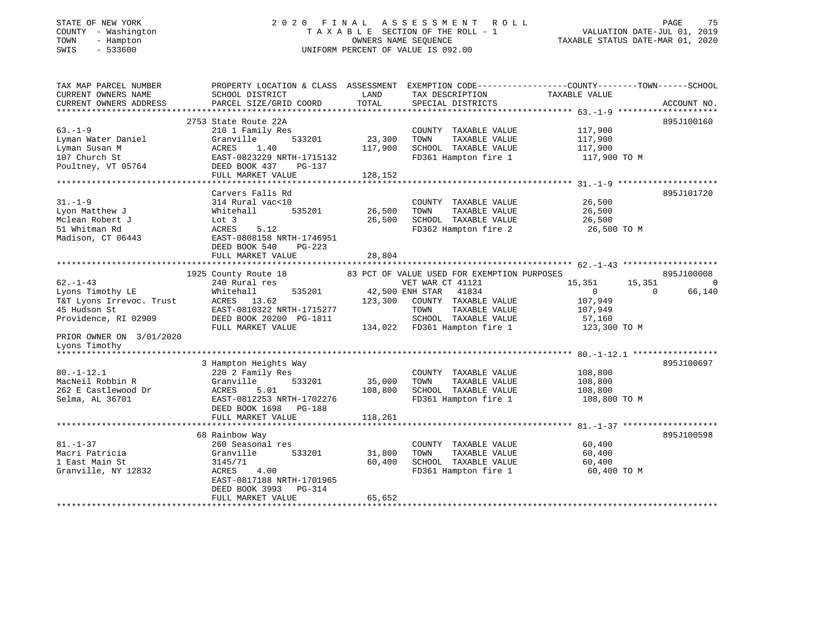#### STATE OF NEW YORK 2 0 2 0 F I N A L A S S E S S M E N T R O L L PAGE 75COUNTY - Washington  $T A X A B L E$  SECTION OF THE ROLL - 1<br>TOWN - Hampton DATE-JUL 000NERS NAME SEQUENCE TOWN - Hampton OWNERS NAME SEQUENCE TAXABLE STATUS DATE-MAR 01, 2020 SWIS - 533600 UNIFORM PERCENT OF VALUE IS 092.00

VALUATION DATE-JUL 01, 2019

| TAX MAP PARCEL NUMBER<br>CURRENT OWNERS NAME<br>CURRENT OWNERS ADDRESS                                                                             | SCHOOL DISTRICT<br>PARCEL SIZE/GRID COORD                                                                                                                           | LAND<br>TOTAL                | TAX DESCRIPTION<br>SPECIAL DISTRICTS                                                                                                                                                                 | PROPERTY LOCATION & CLASS ASSESSMENT EXEMPTION CODE---------------COUNTY-------TOWN-----SCHOOL<br>TAXABLE VALUE | ACCOUNT NO.                      |
|----------------------------------------------------------------------------------------------------------------------------------------------------|---------------------------------------------------------------------------------------------------------------------------------------------------------------------|------------------------------|------------------------------------------------------------------------------------------------------------------------------------------------------------------------------------------------------|-----------------------------------------------------------------------------------------------------------------|----------------------------------|
| $63. - 1 - 9$<br>Lyman Water Daniel<br>Lyman Susan M<br>107 Church St<br>Poultney, VT 05764                                                        | 2753 State Route 22A<br>210 1 Family Res<br>Granville<br>533201<br>ACRES<br>1.40<br>EAST-0823229 NRTH-1715132<br>DEED BOOK 437<br>PG-137<br>FULL MARKET VALUE       | 23,300<br>117,900<br>128,152 | COUNTY TAXABLE VALUE<br>TOWN<br>TAXABLE VALUE<br>SCHOOL TAXABLE VALUE<br>FD361 Hampton fire 1                                                                                                        | 117,900<br>117,900<br>117,900<br>117,900 TO M                                                                   | 895J100160                       |
| $31. - 1 - 9$<br>Lyon Matthew J<br>Mclean Robert J<br>51 Whitman Rd<br>Madison, CT 06443                                                           | Carvers Falls Rd<br>314 Rural vac<10<br>Whitehall<br>535201<br>Lot 3<br>ACRES<br>5.12<br>EAST-0808158 NRTH-1746951<br>DEED BOOK 540<br>PG-223<br>FULL MARKET VALUE  | 26,500<br>26,500<br>28,804   | COUNTY TAXABLE VALUE<br>TAXABLE VALUE<br>TOWN<br>SCHOOL TAXABLE VALUE<br>FD362 Hampton fire 2                                                                                                        | 26,500<br>26,500<br>26,500<br>26,500 TO M                                                                       | 895J101720                       |
| $62 - 1 - 43$<br>Lyons Timothy LE<br>T&T Lyons Irrevoc. Trust<br>45 Hudson St<br>Providence, RI 02909<br>PRIOR OWNER ON 3/01/2020<br>Lyons Timothy | 1925 County Route 18<br>240 Rural res<br>Whitehall<br>535201<br>ACRES 13.62<br>EAST-0810322 NRTH-1715277<br>DEED BOOK 20200 PG-1811<br>FULL MARKET VALUE            | 123,300                      | 83 PCT OF VALUE USED FOR EXEMPTION PURPOSES<br>VET WAR CT 41121<br>42,500 ENH STAR<br>41834<br>COUNTY TAXABLE VALUE<br>TOWN<br>TAXABLE VALUE<br>SCHOOL TAXABLE VALUE<br>134,022 FD361 Hampton fire 1 | 15,351<br>15,351<br>$\overline{0}$<br>$\Omega$<br>107,949<br>107,949<br>57,160<br>123,300 TO M                  | 895J100008<br>$\Omega$<br>66,140 |
| *******************<br>$80. - 1 - 12.1$<br>MacNeil Robbin R<br>262 E Castlewood Dr<br>Selma, AL 36701                                              | 3 Hampton Heights Way<br>220 2 Family Res<br>Granville<br>533201<br>ACRES<br>5.01<br>EAST-0812253 NRTH-1702276<br>DEED BOOK 1698<br>PG-188<br>FULL MARKET VALUE     | 35,000<br>108,800<br>118,261 | COUNTY TAXABLE VALUE<br>TOWN<br>TAXABLE VALUE<br>SCHOOL TAXABLE VALUE<br>FD361 Hampton fire 1                                                                                                        | 108,800<br>108,800<br>108,800<br>108,800 TO M                                                                   | 895J100697                       |
| $81. - 1 - 37$<br>Macri Patricia<br>1 East Main St<br>Granville, NY 12832                                                                          | 68 Rainbow Way<br>260 Seasonal res<br>533201<br>Granville<br>3145/71<br>ACRES<br>4.00<br>EAST-0817188 NRTH-1701965<br>DEED BOOK 3993<br>PG-314<br>FULL MARKET VALUE | 31,800<br>60,400<br>65,652   | COUNTY TAXABLE VALUE<br>TOWN<br>TAXABLE VALUE<br>SCHOOL TAXABLE VALUE<br>FD361 Hampton fire 1                                                                                                        | 60,400<br>60,400<br>60,400<br>60,400 TO M                                                                       | 895J100598                       |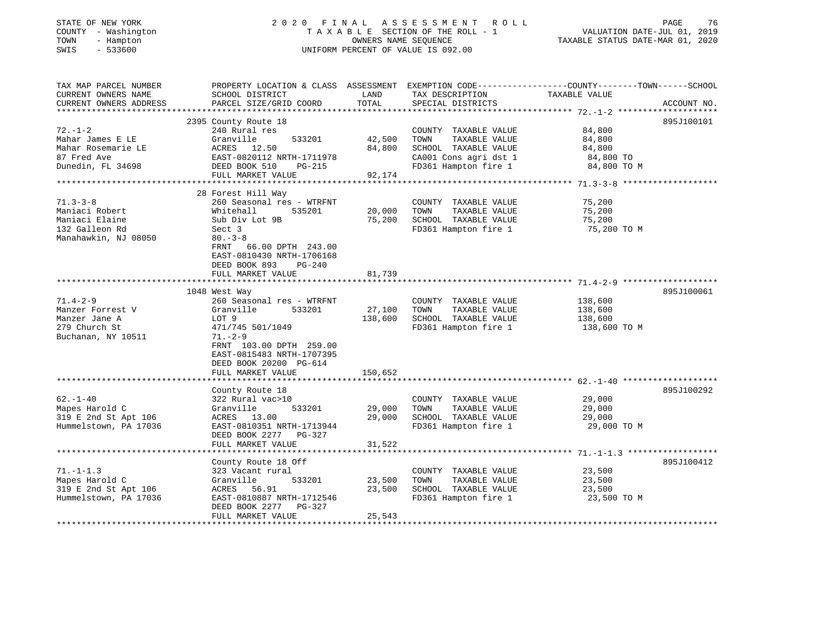# STATE OF NEW YORK 2 0 2 0 F I N A L A S S E S S M E N T R O L L PAGE 76 COUNTY - Washington T A X A B L E SECTION OF THE ROLL - 1 VALUATION DATE-JUL 01, 2019 TOWN - Hampton OWNERS NAME SEQUENCE TAXABLE STATUS DATE-MAR 01, 2020 SWIS - 533600 UNIFORM PERCENT OF VALUE IS 092.00

| TAX MAP PARCEL NUMBER<br>CURRENT OWNERS NAME<br>CURRENT OWNERS ADDRESS | PROPERTY LOCATION & CLASS ASSESSMENT<br>SCHOOL DISTRICT<br>PARCEL SIZE/GRID COORD | LAND<br>TOTAL | TAX DESCRIPTION<br>SPECIAL DISTRICTS | EXEMPTION CODE-----------------COUNTY-------TOWN------SCHOOL<br>TAXABLE VALUE | ACCOUNT NO. |
|------------------------------------------------------------------------|-----------------------------------------------------------------------------------|---------------|--------------------------------------|-------------------------------------------------------------------------------|-------------|
|                                                                        |                                                                                   |               |                                      |                                                                               |             |
|                                                                        | 2395 County Route 18                                                              |               |                                      |                                                                               | 895J100101  |
| $72. - 1 - 2$                                                          | 240 Rural res                                                                     |               | COUNTY TAXABLE VALUE                 | 84,800                                                                        |             |
| Mahar James E LE                                                       | 533201<br>Granville                                                               | 42,500        | TOWN<br>TAXABLE VALUE                | 84,800                                                                        |             |
| Mahar Rosemarie LE                                                     | ACRES 12.50                                                                       | 84,800        | SCHOOL TAXABLE VALUE                 | 84,800                                                                        |             |
| 87 Fred Ave                                                            | EAST-0820112 NRTH-1711978                                                         |               | CA001 Cons agri dst 1                | 84,800 TO                                                                     |             |
| Dunedin, FL 34698                                                      | DEED BOOK 510<br>PG-215                                                           |               | FD361 Hampton fire 1                 | 84,800 TO M                                                                   |             |
|                                                                        | FULL MARKET VALUE                                                                 | 92,174        |                                      |                                                                               |             |
|                                                                        | 28 Forest Hill Way                                                                |               |                                      |                                                                               |             |
| $71.3 - 3 - 8$                                                         | 260 Seasonal res - WTRFNT                                                         |               | COUNTY TAXABLE VALUE                 | 75,200                                                                        |             |
| Maniaci Robert                                                         | 535201<br>Whitehall                                                               | 20,000        | TOWN<br>TAXABLE VALUE                | 75,200                                                                        |             |
| Maniaci Elaine                                                         | Sub Div Lot 9B                                                                    | 75,200        | SCHOOL TAXABLE VALUE                 | 75,200                                                                        |             |
| 132 Galleon Rd                                                         | Sect 3                                                                            |               | FD361 Hampton fire 1                 | 75,200 TO M                                                                   |             |
| Manahawkin, NJ 08050                                                   | $80 - 3 - 8$                                                                      |               |                                      |                                                                               |             |
|                                                                        | FRNT<br>66.00 DPTH 243.00                                                         |               |                                      |                                                                               |             |
|                                                                        | EAST-0810430 NRTH-1706168                                                         |               |                                      |                                                                               |             |
|                                                                        | DEED BOOK 893<br>$PG-240$                                                         |               |                                      |                                                                               |             |
|                                                                        | FULL MARKET VALUE                                                                 | 81,739        |                                      |                                                                               |             |
|                                                                        |                                                                                   |               |                                      |                                                                               |             |
|                                                                        | 1048 West Way                                                                     |               |                                      |                                                                               | 895J100061  |
| $71.4 - 2 - 9$                                                         | 260 Seasonal res - WTRFNT                                                         |               | COUNTY TAXABLE VALUE                 | 138,600                                                                       |             |
| Manzer Forrest V                                                       | Granville<br>533201                                                               | 27,100        | TOWN<br>TAXABLE VALUE                | 138,600                                                                       |             |
| Manzer Jane A                                                          | LOT 9                                                                             | 138,600       | SCHOOL TAXABLE VALUE                 | 138,600                                                                       |             |
| 279 Church St                                                          | 471/745 501/1049                                                                  |               | FD361 Hampton fire 1                 | 138,600 TO M                                                                  |             |
| Buchanan, NY 10511                                                     | $71. - 2 - 9$                                                                     |               |                                      |                                                                               |             |
|                                                                        | FRNT 103.00 DPTH 259.00                                                           |               |                                      |                                                                               |             |
|                                                                        | EAST-0815483 NRTH-1707395                                                         |               |                                      |                                                                               |             |
|                                                                        | DEED BOOK 20200 PG-614                                                            |               |                                      |                                                                               |             |
|                                                                        | FULL MARKET VALUE                                                                 | 150,652       |                                      |                                                                               |             |
|                                                                        |                                                                                   |               |                                      |                                                                               | 895J100292  |
| $62. - 1 - 40$                                                         | County Route 18<br>322 Rural vac>10                                               |               | COUNTY TAXABLE VALUE                 | 29,000                                                                        |             |
| Mapes Harold C                                                         | 533201<br>Granville                                                               | 29,000        | TAXABLE VALUE<br>TOWN                | 29,000                                                                        |             |
| 319 E 2nd St Apt 106                                                   | ACRES 13.00                                                                       | 29,000        | SCHOOL TAXABLE VALUE                 | 29,000                                                                        |             |
| Hummelstown, PA 17036                                                  | EAST-0810351 NRTH-1713944                                                         |               | FD361 Hampton fire 1                 | 29,000 TO M                                                                   |             |
|                                                                        | DEED BOOK 2277 PG-327                                                             |               |                                      |                                                                               |             |
|                                                                        | FULL MARKET VALUE                                                                 | 31,522        |                                      |                                                                               |             |
|                                                                        |                                                                                   |               |                                      |                                                                               |             |
|                                                                        | County Route 18 Off                                                               |               |                                      |                                                                               | 895J100412  |
| $71. - 1 - 1.3$                                                        | 323 Vacant rural                                                                  |               | COUNTY TAXABLE VALUE                 | 23,500                                                                        |             |
| Mapes Harold C                                                         | Granville<br>533201                                                               | 23,500        | TOWN<br>TAXABLE VALUE                | 23,500                                                                        |             |
| 319 E 2nd St Apt 106                                                   | ACRES<br>56.91                                                                    | 23,500        | SCHOOL TAXABLE VALUE                 | 23,500                                                                        |             |
| Hummelstown, PA 17036                                                  | EAST-0810887 NRTH-1712546                                                         |               | FD361 Hampton fire 1                 | 23,500 TO M                                                                   |             |
|                                                                        | DEED BOOK 2277 PG-327                                                             |               |                                      |                                                                               |             |
|                                                                        | FULL MARKET VALUE                                                                 | 25,543        |                                      |                                                                               |             |
|                                                                        |                                                                                   |               |                                      |                                                                               |             |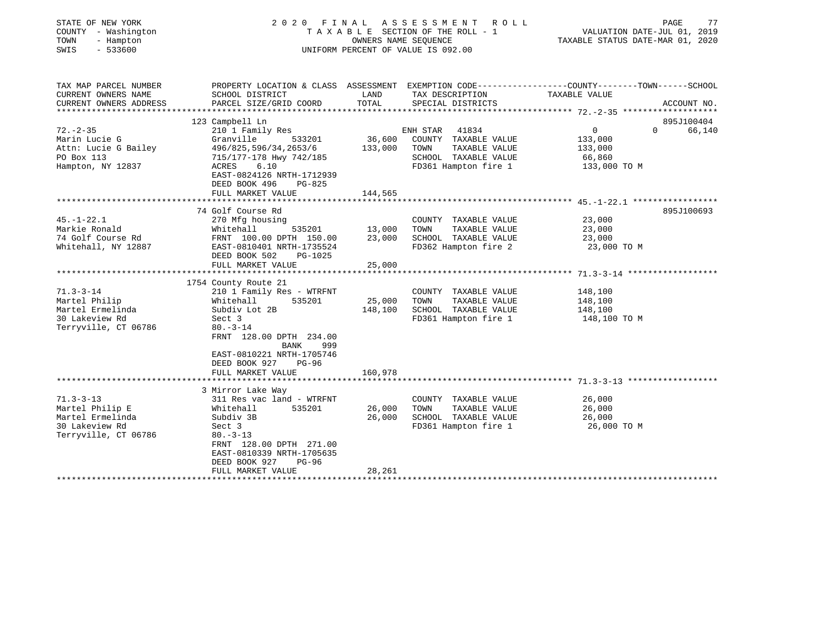| STATE OF NEW YORK<br>COUNTY - Washington<br>TOWN<br>- Hampton<br>$-533600$<br>SWIS | 2020<br>FINAL<br>TAXABLE SECTION OF THE ROLL - 1<br>UNIFORM PERCENT OF VALUE IS 092.00 | PAGE<br>77<br>VALUATION DATE-JUL 01, 2019<br>TAXABLE STATUS DATE-MAR 01, 2020 |                                      |                                                                                                  |             |
|------------------------------------------------------------------------------------|----------------------------------------------------------------------------------------|-------------------------------------------------------------------------------|--------------------------------------|--------------------------------------------------------------------------------------------------|-------------|
| TAX MAP PARCEL NUMBER<br>CURRENT OWNERS NAME                                       |                                                                                        | LAND                                                                          |                                      | PROPERTY LOCATION & CLASS ASSESSMENT EXEMPTION CODE----------------COUNTY-------TOWN------SCHOOL |             |
| CURRENT OWNERS ADDRESS                                                             | SCHOOL DISTRICT<br>PARCEL SIZE/GRID COORD                                              | TOTAL                                                                         | TAX DESCRIPTION<br>SPECIAL DISTRICTS | TAXABLE VALUE                                                                                    | ACCOUNT NO. |
|                                                                                    |                                                                                        |                                                                               |                                      |                                                                                                  |             |
|                                                                                    | 123 Campbell Ln                                                                        |                                                                               |                                      |                                                                                                  | 895J100404  |
| $72. - 2 - 35$                                                                     | 210 1 Family Res                                                                       |                                                                               | ENH STAR 41834                       | $\overline{0}$<br>$\Omega$                                                                       | 66,140      |
| Marin Lucie G                                                                      | 533201<br>Granville                                                                    | 36,600                                                                        | COUNTY TAXABLE VALUE                 | 133,000                                                                                          |             |
| Attn: Lucie G Bailey                                                               | 496/825,596/34,2653/6                                                                  | 133,000                                                                       | TOWN<br>TAXABLE VALUE                | 133,000                                                                                          |             |
| PO Box 113                                                                         | 715/177-178 Hwy 742/185                                                                |                                                                               | SCHOOL TAXABLE VALUE                 | 66,860                                                                                           |             |
| Hampton, NY 12837                                                                  | 6.10<br>ACRES<br>EAST-0824126 NRTH-1712939<br>DEED BOOK 496<br>$PG-825$                |                                                                               | FD361 Hampton fire 1                 | 133,000 TO M                                                                                     |             |
|                                                                                    | FULL MARKET VALUE                                                                      | 144,565                                                                       |                                      |                                                                                                  |             |
|                                                                                    | ******************************                                                         |                                                                               |                                      |                                                                                                  |             |
|                                                                                    | 74 Golf Course Rd                                                                      |                                                                               |                                      |                                                                                                  | 895J100693  |
| $45. - 1 - 22.1$                                                                   | 270 Mfg housing                                                                        |                                                                               | COUNTY TAXABLE VALUE                 | 23,000                                                                                           |             |
| Markie Ronald                                                                      | Whitehall<br>535201                                                                    | 13,000                                                                        | TAXABLE VALUE<br>TOWN                | 23,000                                                                                           |             |
| 74 Golf Course Rd                                                                  | FRNT 100.00 DPTH 150.00                                                                | 23,000                                                                        | SCHOOL TAXABLE VALUE                 | 23,000                                                                                           |             |
| Whitehall, NY 12887                                                                | EAST-0810401 NRTH-1735524<br>DEED BOOK 502<br>PG-1025                                  |                                                                               | FD362 Hampton fire 2                 | 23,000 TO M                                                                                      |             |
|                                                                                    | FULL MARKET VALUE                                                                      | 25,000                                                                        |                                      |                                                                                                  |             |
|                                                                                    |                                                                                        |                                                                               |                                      |                                                                                                  |             |
|                                                                                    | 1754 County Route 21                                                                   |                                                                               |                                      |                                                                                                  |             |
| $71.3 - 3 - 14$                                                                    | 210 1 Family Res - WTRFNT                                                              |                                                                               | COUNTY TAXABLE VALUE                 | 148,100                                                                                          |             |
| Martel Philip                                                                      | Whitehall<br>535201                                                                    | 25,000                                                                        | TOWN<br>TAXABLE VALUE                | 148,100                                                                                          |             |
| Martel Ermelinda                                                                   | Subdiv Lot 2B                                                                          | 148,100                                                                       | SCHOOL TAXABLE VALUE                 | 148,100                                                                                          |             |
| 30 Lakeview Rd                                                                     | Sect 3                                                                                 |                                                                               | FD361 Hampton fire 1                 | 148,100 TO M                                                                                     |             |
| Terryville, CT 06786                                                               | $80. -3 - 14$<br>FRNT 128.00 DPTH 234.00<br>BANK<br>999                                |                                                                               |                                      |                                                                                                  |             |
|                                                                                    | EAST-0810221 NRTH-1705746<br>DEED BOOK 927<br>PG-96                                    |                                                                               |                                      |                                                                                                  |             |
|                                                                                    | FULL MARKET VALUE                                                                      | 160,978                                                                       |                                      |                                                                                                  |             |
|                                                                                    | 3 Mirror Lake Way                                                                      |                                                                               |                                      |                                                                                                  |             |
| $71.3 - 3 - 13$                                                                    | 311 Res vac land - WTRFNT                                                              |                                                                               | COUNTY TAXABLE VALUE                 | 26,000                                                                                           |             |
| Martel Philip E                                                                    | 535201<br>Whitehall                                                                    | 26,000                                                                        | TOWN<br>TAXABLE VALUE                | 26,000                                                                                           |             |
| Martel Ermelinda                                                                   | Subdiv 3B                                                                              | 26,000                                                                        | SCHOOL TAXABLE VALUE                 | 26,000                                                                                           |             |
| 30 Lakeview Rd                                                                     | Sect 3                                                                                 |                                                                               | FD361 Hampton fire 1                 | 26,000 TO M                                                                                      |             |
| Terryville, CT 06786                                                               | $80. - 3 - 13$                                                                         |                                                                               |                                      |                                                                                                  |             |
|                                                                                    | FRNT 128.00 DPTH 271.00                                                                |                                                                               |                                      |                                                                                                  |             |
|                                                                                    | EAST-0810339 NRTH-1705635                                                              |                                                                               |                                      |                                                                                                  |             |
|                                                                                    | DEED BOOK 927<br>$PG-96$                                                               |                                                                               |                                      |                                                                                                  |             |
|                                                                                    |                                                                                        | 28,261                                                                        |                                      |                                                                                                  |             |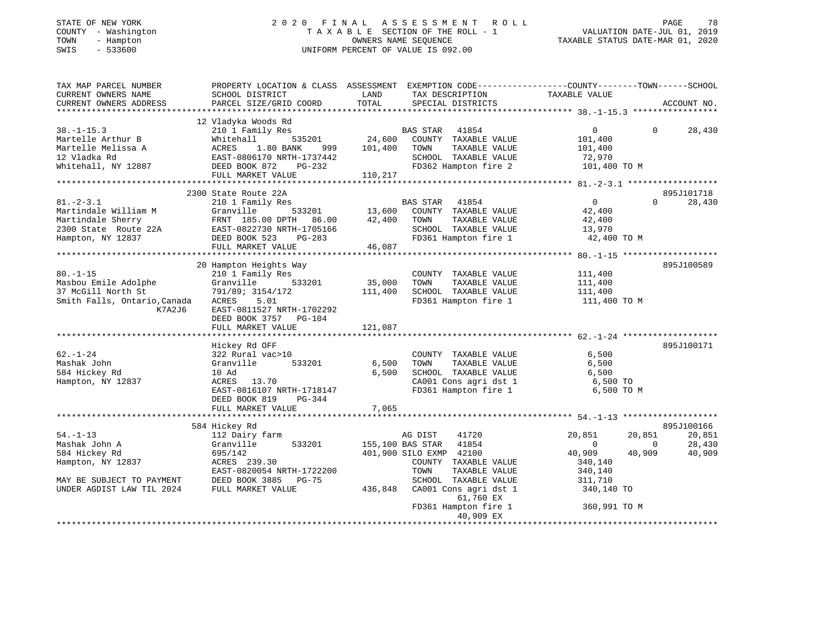#### STATE OF NEW YORK 2 0 2 0 F I N A L A S S E S S M E N T R O L L PAGE 78COUNTY - Washington  $T A X A B L E$  SECTION OF THE ROLL - 1<br>TOWN - Hampton DATE-JUL 000NERS NAME SEQUENCE TOWN - Hampton OWNERS NAME SEQUENCE TAXABLE STATUS DATE-MAR 01, 2020 SWIS - 533600 UNIFORM PERCENT OF VALUE IS 092.00

VALUATION DATE-JUL  $01$ , 2019

| TAX MAP PARCEL NUMBER                                                                                                                                                                                 | PROPERTY LOCATION & CLASS ASSESSMENT EXEMPTION CODE---------------COUNTY-------TOWN-----SCHOOL |         |                             |                |                          |             |
|-------------------------------------------------------------------------------------------------------------------------------------------------------------------------------------------------------|------------------------------------------------------------------------------------------------|---------|-----------------------------|----------------|--------------------------|-------------|
| CURRENT OWNERS NAME                                                                                                                                                                                   | SCHOOL DISTRICT                                                                                | LAND    | TAX DESCRIPTION             | TAXABLE VALUE  |                          |             |
| CURRENT OWNERS ADDRESS                                                                                                                                                                                | PARCEL SIZE/GRID COORD                                                                         | TOTAL   | SPECIAL DISTRICTS           |                |                          | ACCOUNT NO. |
| *************************                                                                                                                                                                             |                                                                                                |         |                             |                |                          |             |
|                                                                                                                                                                                                       | 12 Vladyka Woods Rd                                                                            |         |                             |                |                          |             |
| $38. - 1 - 15.3$                                                                                                                                                                                      | 210 1 Family Res                                                                               |         | BAS STAR<br>41854           | $\overline{0}$ | $\Omega$                 | 28,430      |
| Martelle Arthur B                                                                                                                                                                                     | 535201<br>Whitehall                                                                            |         | 24,600 COUNTY TAXABLE VALUE | 101,400        |                          |             |
| Martelle Melissa A                                                                                                                                                                                    | ACRES<br>1.80 BANK<br>999                                                                      | 101,400 | TOWN<br>TAXABLE VALUE       | 101,400        |                          |             |
| 12 Vladka Rd                                                                                                                                                                                          | EAST-0806170 NRTH-1737442                                                                      |         | SCHOOL TAXABLE VALUE        | 72,970         |                          |             |
| Whitehall, NY 12887                                                                                                                                                                                   | DEED BOOK 872<br>PG-232                                                                        |         | FD362 Hampton fire 2        | 101,400 TO M   |                          |             |
|                                                                                                                                                                                                       | FULL MARKET VALUE                                                                              | 110,217 |                             |                |                          |             |
|                                                                                                                                                                                                       |                                                                                                |         |                             |                |                          |             |
|                                                                                                                                                                                                       | 2300 State Route 22A                                                                           |         |                             |                |                          | 895J101718  |
| $81. - 2 - 3.1$                                                                                                                                                                                       | 210 1 Family Res                                                                               |         | BAS STAR<br>41854           | $\overline{0}$ | $\Omega$                 | 28,430      |
| Martindale William M<br>Martindale William M Granville 533201<br>Martindale Sherry FRNT 185.00 DPTH 86.00<br>2300 State Route 22A EAST-0822730 NRTH-1705166<br>Hampton, NY 12837 DEED BOOK 523 PG-283 | 533201                                                                                         |         | 13,600 COUNTY TAXABLE VALUE | 42,400         |                          |             |
|                                                                                                                                                                                                       |                                                                                                | 42,400  | TOWN<br>TAXABLE VALUE       | 42,400         |                          |             |
|                                                                                                                                                                                                       |                                                                                                |         | SCHOOL TAXABLE VALUE        | 13,970         |                          |             |
| Hampton, NY 12837                                                                                                                                                                                     | DEED BOOK 523                                                                                  |         | FD361 Hampton fire 1        | 42,400 TO M    |                          |             |
|                                                                                                                                                                                                       | FULL MARKET VALUE                                                                              | 46,087  |                             |                |                          |             |
|                                                                                                                                                                                                       |                                                                                                |         |                             |                |                          |             |
|                                                                                                                                                                                                       | 20 Hampton Heights Way                                                                         |         |                             |                |                          | 895J100589  |
| $80. -1 - 15$                                                                                                                                                                                         | 210 1 Family Res                                                                               |         | COUNTY TAXABLE VALUE        | 111,400        |                          |             |
| Masbou Emile Adolphe                                                                                                                                                                                  | Granville 533201                                                                               | 35,000  | TAXABLE VALUE<br>TOWN       | 111,400        |                          |             |
| 37 McGill North St                                                                                                                                                                                    | 791/89; 3154/172                                                                               | 111,400 | SCHOOL TAXABLE VALUE        | 111,400        |                          |             |
| Smith Falls, Ontario, Canada                                                                                                                                                                          | 5.01<br>ACRES                                                                                  |         | FD361 Hampton fire 1        | 111,400 TO M   |                          |             |
| K7A2J6                                                                                                                                                                                                | EAST-0811527 NRTH-1702292                                                                      |         |                             |                |                          |             |
|                                                                                                                                                                                                       | DEED BOOK 3757 PG-104                                                                          |         |                             |                |                          |             |
|                                                                                                                                                                                                       | FULL MARKET VALUE                                                                              | 121,087 |                             |                |                          |             |
|                                                                                                                                                                                                       |                                                                                                |         |                             |                |                          |             |
|                                                                                                                                                                                                       | Hickey Rd OFF                                                                                  |         |                             |                |                          | 895J100171  |
| $62. - 1 - 24$                                                                                                                                                                                        | 322 Rural vac>10                                                                               |         | COUNTY TAXABLE VALUE        | 6,500          |                          |             |
| Mashak John                                                                                                                                                                                           | 533201<br>Granville                                                                            | 6,500   | TAXABLE VALUE<br>TOWN       | 6,500          |                          |             |
| 584 Hickey Rd                                                                                                                                                                                         | 10 Ad                                                                                          | 6,500   | SCHOOL TAXABLE VALUE        | 6,500          |                          |             |
| Hampton, NY 12837                                                                                                                                                                                     | ACRES 13.70                                                                                    |         | CA001 Cons agri dst 1       | $6,500$ TO     |                          |             |
|                                                                                                                                                                                                       | EAST-0816107 NRTH-1718147                                                                      |         | FD361 Hampton fire 1        | 6,500 TO M     |                          |             |
|                                                                                                                                                                                                       | DEED BOOK 819<br>PG-344                                                                        |         |                             |                |                          |             |
|                                                                                                                                                                                                       | FULL MARKET VALUE                                                                              | 7,065   |                             |                |                          |             |
|                                                                                                                                                                                                       |                                                                                                |         |                             |                |                          |             |
|                                                                                                                                                                                                       | 584 Hickey Rd                                                                                  |         |                             |                |                          | 895J100166  |
| $54. - 1 - 13$                                                                                                                                                                                        | 112 Dairy farm                                                                                 |         | AG DIST<br>41720            | 20,851         | 20,851                   | 20,851      |
| Mashak John A                                                                                                                                                                                         | 533201<br>Granville                                                                            |         | 155,100 BAS STAR<br>41854   | $\overline{0}$ | $\overline{\phantom{0}}$ | 28,430      |
| 584 Hickey Rd                                                                                                                                                                                         | 695/142                                                                                        |         | 401,900 SILO EXMP 42100     | 40,909         | 40,909                   | 40,909      |
| Hampton, NY 12837                                                                                                                                                                                     | ACRES 239.30                                                                                   |         | COUNTY TAXABLE VALUE        | 340,140        |                          |             |
|                                                                                                                                                                                                       | EAST-0820054 NRTH-1722200                                                                      |         | TOWN<br>TAXABLE VALUE       | 340,140        |                          |             |
| MAY BE SUBJECT TO PAYMENT                                                                                                                                                                             | DEED BOOK 3885 PG-75                                                                           |         | SCHOOL TAXABLE VALUE        | 311,710        |                          |             |
| UNDER AGDIST LAW TIL 2024                                                                                                                                                                             | FULL MARKET VALUE                                                                              | 436,848 | CA001 Cons agri dst 1       | 340,140 TO     |                          |             |
|                                                                                                                                                                                                       |                                                                                                |         | 61,760 EX                   |                |                          |             |
|                                                                                                                                                                                                       |                                                                                                |         | FD361 Hampton fire 1        | 360,991 TO M   |                          |             |
|                                                                                                                                                                                                       |                                                                                                |         | 40,909 EX                   |                |                          |             |
|                                                                                                                                                                                                       |                                                                                                |         |                             |                |                          |             |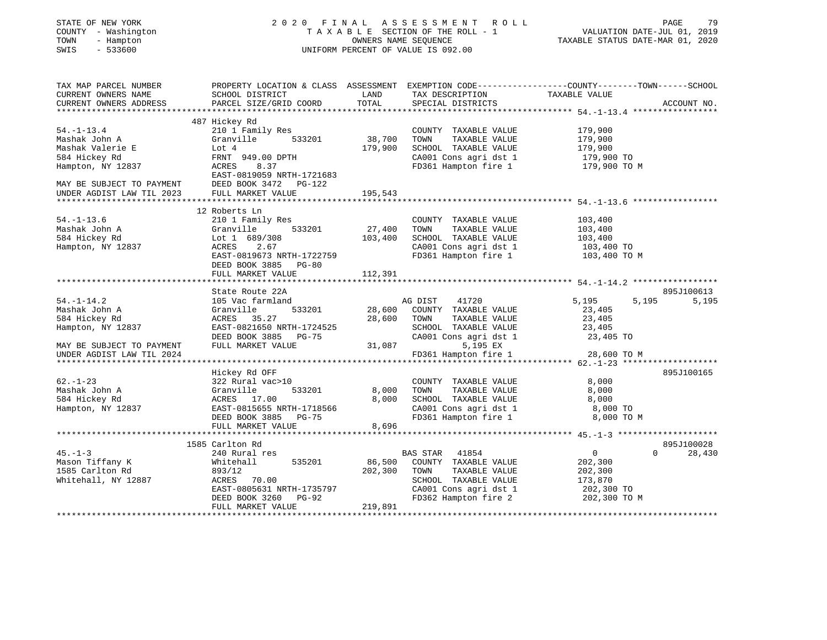| STATE OF NEW YORK |  |                   |  |
|-------------------|--|-------------------|--|
| COUNTY            |  | - Washington      |  |
| TOWN              |  | - Hampton         |  |
| $\alpha$          |  | $F \cap C \cap C$ |  |

# STATE OF NEW YORK 2 0 2 0 F I N A L A S S E S S M E N T R O L L PAGE 79 COUNTY - Washington T A X A B L E SECTION OF THE ROLL - 1 VALUATION DATE-JUL 01, 2019 TOWN - Hampton OWNERS NAME SEQUENCE TAXABLE STATUS DATE-MAR 01, 2020 SWIS - 533600 UNIFORM PERCENT OF VALUE IS 092.00UNIFORM PERCENT OF VALUE IS 092.00

| TAX MAP PARCEL NUMBER<br>CURRENT OWNERS NAME           | SCHOOL DISTRICT           | LAND    | TAX DESCRIPTION                   | PROPERTY LOCATION & CLASS ASSESSMENT EXEMPTION CODE----------------COUNTY-------TOWN------SCHOOL<br>TAXABLE VALUE |             |
|--------------------------------------------------------|---------------------------|---------|-----------------------------------|-------------------------------------------------------------------------------------------------------------------|-------------|
| CURRENT OWNERS ADDRESS                                 | PARCEL SIZE/GRID COORD    | TOTAL   | SPECIAL DISTRICTS                 |                                                                                                                   | ACCOUNT NO. |
|                                                        | 487 Hickey Rd             |         |                                   |                                                                                                                   |             |
| $54. - 1 - 13.4$                                       | 210 1 Family Res          |         | COUNTY TAXABLE VALUE              | 179,900                                                                                                           |             |
| Mashak John A                                          | Granville<br>533201       | 38,700  | TOWN<br>TAXABLE VALUE             | 179,900                                                                                                           |             |
| Mashak Valerie E                                       | Lot 4                     | 179,900 | SCHOOL TAXABLE VALUE              | 179,900                                                                                                           |             |
| 584 Hickey Rd                                          | FRNT 949.00 DPTH          |         | CA001 Cons agri dst 1             | 179,900 TO                                                                                                        |             |
| Hampton, NY 12837                                      | 8.37<br>ACRES             |         | FD361 Hampton fire 1              | 179,900 TO M                                                                                                      |             |
|                                                        | EAST-0819059 NRTH-1721683 |         |                                   |                                                                                                                   |             |
|                                                        | DEED BOOK 3472 PG-122     |         |                                   |                                                                                                                   |             |
| MAY BE SUBJECT TO PAYMENT<br>UNDER AGDIST LAW TIL 2023 | FULL MARKET VALUE         | 195,543 |                                   |                                                                                                                   |             |
|                                                        |                           |         |                                   |                                                                                                                   |             |
|                                                        | 12 Roberts Ln             |         |                                   |                                                                                                                   |             |
| $54. - 1 - 13.6$                                       | 210 1 Family Res          |         | COUNTY TAXABLE VALUE              | 103,400                                                                                                           |             |
| Mashak John A                                          | 533201<br>Granville       | 27,400  | TAXABLE VALUE<br>TOWN             | 103,400                                                                                                           |             |
| 584 Hickey Rd                                          | Lot 1 689/308             | 103,400 | SCHOOL TAXABLE VALUE              | 103,400                                                                                                           |             |
| Hampton, NY 12837                                      | ACRES<br>2.67             |         | CA001 Cons agri dst 1             | 103,400 TO                                                                                                        |             |
|                                                        | EAST-0819673 NRTH-1722759 |         | FD361 Hampton fire 1 103,400 TO M |                                                                                                                   |             |
|                                                        | DEED BOOK 3885 PG-80      |         |                                   |                                                                                                                   |             |
|                                                        | FULL MARKET VALUE         | 112,391 |                                   |                                                                                                                   |             |
|                                                        |                           |         |                                   |                                                                                                                   |             |
|                                                        | State Route 22A           |         |                                   |                                                                                                                   | 895J100613  |
| $54. - 1 - 14.2$                                       | 105 Vac farmland          |         | AG DIST 41720                     | 5,195<br>5,195                                                                                                    | 5,195       |
| Mashak John A                                          | Granville<br>533201       | 28,600  | COUNTY TAXABLE VALUE              | 23,405                                                                                                            |             |
| 584 Hickey Rd                                          | ACRES 35.27               | 28,600  | TAXABLE VALUE<br>TOWN             | 23,405                                                                                                            |             |
| Hampton, NY 12837                                      | EAST-0821650 NRTH-1724525 |         | SCHOOL TAXABLE VALUE              | 23,405                                                                                                            |             |
|                                                        | DEED BOOK 3885 PG-75      |         | CA001 Cons agri dst 1             | 23,405 TO                                                                                                         |             |
| MAY BE SUBJECT TO PAYMENT                              | FULL MARKET VALUE         | 31,087  | 5,195 EX                          |                                                                                                                   |             |
| UNDER AGDIST LAW TIL 2024                              |                           |         | FD361 Hampton fire 1              | 28,600 TO M                                                                                                       |             |
|                                                        |                           |         |                                   |                                                                                                                   |             |
|                                                        | Hickey Rd OFF             |         |                                   |                                                                                                                   | 895J100165  |
| $62. - 1 - 23$                                         | 322 Rural vac>10          |         | COUNTY TAXABLE VALUE              | 8,000                                                                                                             |             |
| Mashak John A                                          | Granville<br>533201       | 8,000   | TOWN<br>TAXABLE VALUE             | 8,000                                                                                                             |             |
| 584 Hickey Rd                                          | ACRES 17.00               | 8,000   | SCHOOL TAXABLE VALUE              | 8,000                                                                                                             |             |
| Hampton, NY 12837                                      | EAST-0815655 NRTH-1718566 |         | CA001 Cons agri dst 1             | 8,000 TO                                                                                                          |             |
|                                                        | DEED BOOK 3885 PG-75      |         | FD361 Hampton fire 1              | 8,000 TO M                                                                                                        |             |
|                                                        | FULL MARKET VALUE         | 8,696   |                                   |                                                                                                                   |             |
|                                                        | 1585 Carlton Rd           |         |                                   |                                                                                                                   | 895J100028  |
| $45. - 1 - 3$                                          | 240 Rural res             |         | BAS STAR 41854                    | $\overline{0}$<br>$\Omega$                                                                                        | 28,430      |
| Mason Tiffany K                                        | Whitehall<br>535201       | 86,500  | COUNTY TAXABLE VALUE              | 202,300                                                                                                           |             |
| 1585 Carlton Rd                                        | 893/12                    | 202,300 | TAXABLE VALUE<br>TOWN             | 202,300                                                                                                           |             |
| Whitehall, NY 12887                                    | ACRES 70.00               |         | SCHOOL TAXABLE VALUE              | 173,870                                                                                                           |             |
|                                                        | EAST-0805631 NRTH-1735797 |         | CA001 Cons agri dst 1             | 202,300 TO                                                                                                        |             |
|                                                        | DEED BOOK 3260 PG-92      |         | FD362 Hampton fire 2              | 202,300 TO M                                                                                                      |             |
|                                                        | FULL MARKET VALUE         | 219,891 |                                   |                                                                                                                   |             |
|                                                        |                           |         |                                   |                                                                                                                   |             |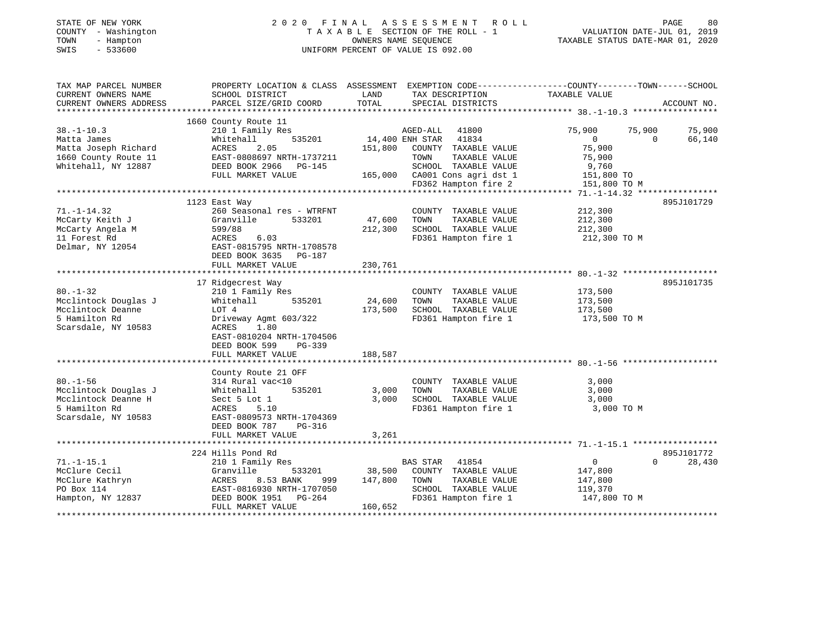#### STATE OF NEW YORK GOOD CONTRACTED AS SERIES SOME NOT ROLL THE ROLL PAGE 80 COUNTY - Washington T A X A B L E SECTION OF THE ROLL - 1 TOWN - Hampton OWNERS NAME SEQUENCE TAXABLE STATUS DATE-MAR 01, 2020 SWIS - 533600 UNIFORM PERCENT OF VALUE IS 092.00

| TAX MAP PARCEL NUMBER  | PROPERTY LOCATION & CLASS ASSESSMENT EXEMPTION CODE----------------COUNTY-------TOWN------SCHOOL |         |                               |                |                    |
|------------------------|--------------------------------------------------------------------------------------------------|---------|-------------------------------|----------------|--------------------|
| CURRENT OWNERS NAME    | SCHOOL DISTRICT                                                                                  | LAND    | TAX DESCRIPTION               | TAXABLE VALUE  |                    |
| CURRENT OWNERS ADDRESS | PARCEL SIZE/GRID COORD                                                                           | TOTAL   | SPECIAL DISTRICTS             |                | ACCOUNT NO.        |
|                        |                                                                                                  |         |                               |                |                    |
|                        | 1660 County Route 11                                                                             |         |                               |                |                    |
| $38. - 1 - 10.3$       | 210 1 Family Res                                                                                 |         | AGED-ALL 41800                | 75,900         | 75,900<br>75,900   |
| Matta James            | 535201<br>Whitehall                                                                              |         | 14,400 ENH STAR<br>41834      | $\overline{0}$ | 66,140<br>$\Omega$ |
| Matta Joseph Richard   | 2.05<br>ACRES                                                                                    | 151,800 | COUNTY TAXABLE VALUE          | 75,900         |                    |
| 1660 County Route 11   | EAST-0808697 NRTH-1737211                                                                        |         | TOWN<br>TAXABLE VALUE         | 75,900         |                    |
| Whitehall, NY 12887    | DEED BOOK 2966 PG-145                                                                            |         | SCHOOL TAXABLE VALUE          | 9,760          |                    |
|                        | FULL MARKET VALUE                                                                                |         | 165,000 CA001 Cons agri dst 1 | 151,800 TO     |                    |
|                        |                                                                                                  |         | FD362 Hampton fire 2          | 151,800 TO M   |                    |
|                        |                                                                                                  |         |                               |                |                    |
|                        | 1123 East Way                                                                                    |         |                               |                | 895J101729         |
| $71. - 1 - 14.32$      | 260 Seasonal res - WTRFNT                                                                        |         | COUNTY TAXABLE VALUE          | 212,300        |                    |
| McCarty Keith J        | 533201<br>Granville                                                                              | 47,600  | TOWN<br>TAXABLE VALUE         | 212,300        |                    |
| McCarty Angela M       | 599/88                                                                                           | 212,300 | SCHOOL TAXABLE VALUE          | 212,300        |                    |
| 11 Forest Rd           | ACRES<br>6.03                                                                                    |         | FD361 Hampton fire 1          | 212,300 TO M   |                    |
| Delmar, NY 12054       | EAST-0815795 NRTH-1708578                                                                        |         |                               |                |                    |
|                        | DEED BOOK 3635 PG-187                                                                            |         |                               |                |                    |
|                        | FULL MARKET VALUE                                                                                | 230,761 |                               |                |                    |
|                        |                                                                                                  |         |                               |                |                    |
|                        | 17 Ridgecrest Way                                                                                |         |                               |                | 895J101735         |
| $80. - 1 - 32$         | 210 1 Family Res                                                                                 |         | COUNTY TAXABLE VALUE          | 173,500        |                    |
| Mcclintock Douglas J   | Whitehall<br>535201                                                                              | 24,600  | TOWN<br>TAXABLE VALUE         | 173,500        |                    |
| Mcclintock Deanne      | LOT 4                                                                                            | 173,500 | SCHOOL TAXABLE VALUE          | 173,500        |                    |
| 5 Hamilton Rd          | Driveway Agmt 603/322                                                                            |         | FD361 Hampton fire 1          | 173,500 TO M   |                    |
| Scarsdale, NY 10583    | ACRES<br>1.80                                                                                    |         |                               |                |                    |
|                        | EAST-0810204 NRTH-1704506                                                                        |         |                               |                |                    |
|                        | DEED BOOK 599<br>$PG-339$                                                                        |         |                               |                |                    |
|                        | FULL MARKET VALUE                                                                                | 188,587 |                               |                |                    |
|                        |                                                                                                  |         |                               |                |                    |
|                        |                                                                                                  |         |                               |                |                    |
|                        | County Route 21 OFF                                                                              |         |                               |                |                    |
| $80. - 1 - 56$         | 314 Rural vac<10                                                                                 |         | COUNTY TAXABLE VALUE          | 3,000          |                    |
| Mcclintock Douglas J   | 535201<br>Whitehall                                                                              | 3,000   | TOWN<br>TAXABLE VALUE         | 3,000          |                    |
| Mcclintock Deanne H    | Sect 5 Lot 1                                                                                     | 3,000   | SCHOOL TAXABLE VALUE          | 3,000          |                    |
| 5 Hamilton Rd          | ACRES<br>5.10                                                                                    |         | FD361 Hampton fire 1          | 3,000 TO M     |                    |
| Scarsdale, NY 10583    | EAST-0809573 NRTH-1704369                                                                        |         |                               |                |                    |
|                        | DEED BOOK 787<br>PG-316                                                                          |         |                               |                |                    |
|                        | FULL MARKET VALUE                                                                                | 3,261   |                               |                |                    |
|                        |                                                                                                  |         |                               |                |                    |
|                        | 224 Hills Pond Rd                                                                                |         |                               |                | 895J101772         |
| $71. - 1 - 15.1$       | 210 1 Family Res                                                                                 |         | <b>BAS STAR</b><br>41854      | $\overline{0}$ | $\Omega$<br>28,430 |
| McClure Cecil          | Granville<br>533201                                                                              | 38,500  | COUNTY TAXABLE VALUE          | 147,800        |                    |
| McClure Kathryn        | ACRES<br>8.53 BANK<br>999                                                                        | 147,800 | TOWN<br>TAXABLE VALUE         | 147,800        |                    |
| PO Box 114             | EAST-0816930 NRTH-1707050                                                                        |         | SCHOOL TAXABLE VALUE          | 119,370        |                    |
| Hampton, NY 12837      | DEED BOOK 1951<br>PG-264                                                                         |         | FD361 Hampton fire 1          | 147,800 TO M   |                    |
|                        | FULL MARKET VALUE                                                                                | 160,652 |                               |                |                    |
|                        |                                                                                                  |         |                               |                |                    |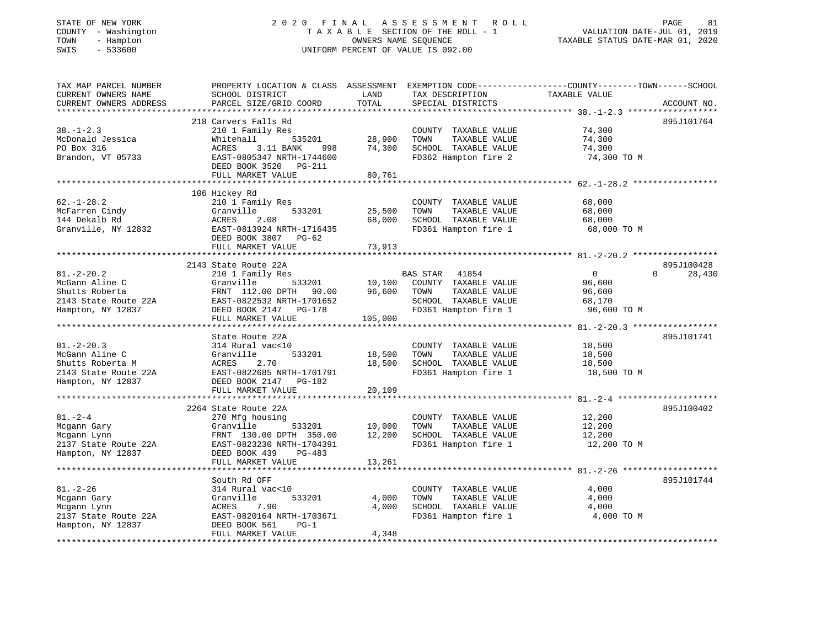# STATE OF NEW YORK 2 0 2 0 F I N A L A S S E S S M E N T R O L L PAGE 81 COUNTY - Washington T A X A B L E SECTION OF THE ROLL - 1 VALUATION DATE-JUL 01, 2019 TOWN - Hampton OWNERS NAME SEQUENCE TAXABLE STATUS DATE-MAR 01, 2020 SWIS - 533600 UNIFORM PERCENT OF VALUE IS 092.00

| TAX MAP PARCEL NUMBER  |                                                     |         |                       | PROPERTY LOCATION & CLASS ASSESSMENT EXEMPTION CODE----------------COUNTY-------TOWN------SCHOOL |
|------------------------|-----------------------------------------------------|---------|-----------------------|--------------------------------------------------------------------------------------------------|
| CURRENT OWNERS NAME    | SCHOOL DISTRICT                                     | LAND    | TAX DESCRIPTION       | TAXABLE VALUE                                                                                    |
| CURRENT OWNERS ADDRESS | PARCEL SIZE/GRID COORD                              | TOTAL   | SPECIAL DISTRICTS     | ACCOUNT NO.                                                                                      |
|                        |                                                     |         |                       |                                                                                                  |
|                        | 218 Carvers Falls Rd                                |         |                       | 895J101764                                                                                       |
| $38. - 1 - 2.3$        | 210 1 Family Res                                    |         | COUNTY TAXABLE VALUE  | 74,300                                                                                           |
| McDonald Jessica       | Whitehall<br>535201                                 | 28,900  | TOWN<br>TAXABLE VALUE | 74,300                                                                                           |
| PO Box 316             | ACRES<br>3.11 BANK<br>998                           | 74,300  | SCHOOL TAXABLE VALUE  | 74,300                                                                                           |
| Brandon, VT 05733      | EAST-0805347 NRTH-1744600                           |         | FD362 Hampton fire 2  | 74,300 TO M                                                                                      |
|                        | DEED BOOK 3520 PG-211                               |         |                       |                                                                                                  |
|                        | FULL MARKET VALUE                                   | 80,761  |                       |                                                                                                  |
|                        |                                                     |         |                       |                                                                                                  |
|                        | 106 Hickey Rd                                       |         |                       |                                                                                                  |
| $62. - 1 - 28.2$       | 210 1 Family Res                                    |         | COUNTY TAXABLE VALUE  | 68,000                                                                                           |
| McFarren Cindy         | 533201<br>Granville                                 | 25,500  | TAXABLE VALUE<br>TOWN | 68,000                                                                                           |
| 144 Dekalb Rd          | ACRES<br>2.08                                       | 68,000  | SCHOOL TAXABLE VALUE  | 68,000                                                                                           |
| Granville, NY 12832    | EAST-0813924 NRTH-1716435                           |         | FD361 Hampton fire 1  | 68,000 TO M                                                                                      |
|                        | DEED BOOK 3807 PG-62                                |         |                       |                                                                                                  |
|                        | FULL MARKET VALUE                                   | 73,913  |                       |                                                                                                  |
|                        |                                                     |         |                       |                                                                                                  |
|                        | 2143 State Route 22A                                |         |                       | 895J100428                                                                                       |
| $81. - 2 - 20.2$       | 210 1 Family Res                                    |         | BAS STAR 41854        | $\overline{0}$<br>28,430<br>$\Omega$                                                             |
| McGann Aline C         | Granville<br>533201                                 | 10,100  | COUNTY TAXABLE VALUE  | 96,600                                                                                           |
| Shutts Roberta         |                                                     | 96,600  | TAXABLE VALUE<br>TOWN | 96,600                                                                                           |
| 2143 State Route 22A   | FRNT 112.00 DPTH 90.00<br>EAST-0822532 NRTH-1701652 |         | SCHOOL TAXABLE VALUE  | 68,170                                                                                           |
| Hampton, NY 12837      | DEED BOOK 2147 PG-178                               |         | FD361 Hampton fire 1  | 96,600 TO M                                                                                      |
|                        | FULL MARKET VALUE                                   | 105,000 |                       |                                                                                                  |
|                        |                                                     |         |                       |                                                                                                  |
|                        | State Route 22A                                     |         |                       | 895J101741                                                                                       |
| $81. - 2 - 20.3$       | 314 Rural vac<10                                    |         | COUNTY TAXABLE VALUE  | 18,500                                                                                           |
| McGann Aline C         | Granville<br>533201                                 | 18,500  | TAXABLE VALUE<br>TOWN | 18,500                                                                                           |
| Shutts Roberta M       | ACRES<br>2.70                                       | 18,500  | SCHOOL TAXABLE VALUE  | 18,500                                                                                           |
| 2143 State Route 22A   | EAST-0822685 NRTH-1701791                           |         | FD361 Hampton fire 1  | 18,500 TO M                                                                                      |
| Hampton, NY 12837      | DEED BOOK 2147 PG-182                               |         |                       |                                                                                                  |
|                        | FULL MARKET VALUE                                   | 20,109  |                       |                                                                                                  |
|                        |                                                     |         |                       |                                                                                                  |
|                        | 2264 State Route 22A                                |         |                       | 895J100402                                                                                       |
| $81. - 2 - 4$          | 270 Mfg housing                                     |         | COUNTY TAXABLE VALUE  | 12,200                                                                                           |
| Mcgann Gary            | Granville<br>533201                                 | 10,000  | TOWN<br>TAXABLE VALUE | 12,200                                                                                           |
| Mcgann Lynn            | FRNT 130.00 DPTH 350.00                             | 12,200  | SCHOOL TAXABLE VALUE  | 12,200                                                                                           |
| 2137 State Route 22A   | EAST-0823230 NRTH-1704391                           |         | FD361 Hampton fire 1  | 12,200 TO M                                                                                      |
| Hampton, NY 12837      | DEED BOOK 439<br>PG-483                             |         |                       |                                                                                                  |
|                        | FULL MARKET VALUE                                   | 13,261  |                       |                                                                                                  |
|                        |                                                     |         |                       |                                                                                                  |
|                        | South Rd OFF                                        |         |                       | 895J101744                                                                                       |
| $81. - 2 - 26$         | 314 Rural vac<10                                    |         | COUNTY TAXABLE VALUE  | 4,000                                                                                            |
| Mcgann Gary            | Granville<br>533201                                 | 4,000   | TOWN<br>TAXABLE VALUE | 4,000                                                                                            |
| Mcgann Lynn            |                                                     | 4,000   | SCHOOL TAXABLE VALUE  | 4,000                                                                                            |
|                        | 7.90<br>ACRES                                       |         |                       |                                                                                                  |
| 2137 State Route 22A   | EAST-0820164 NRTH-1703671                           |         | FD361 Hampton fire 1  | 4,000 TO M                                                                                       |
| Hampton, NY 12837      | DEED BOOK 561<br>$PG-1$                             |         |                       |                                                                                                  |
|                        | FULL MARKET VALUE                                   | 4,348   |                       |                                                                                                  |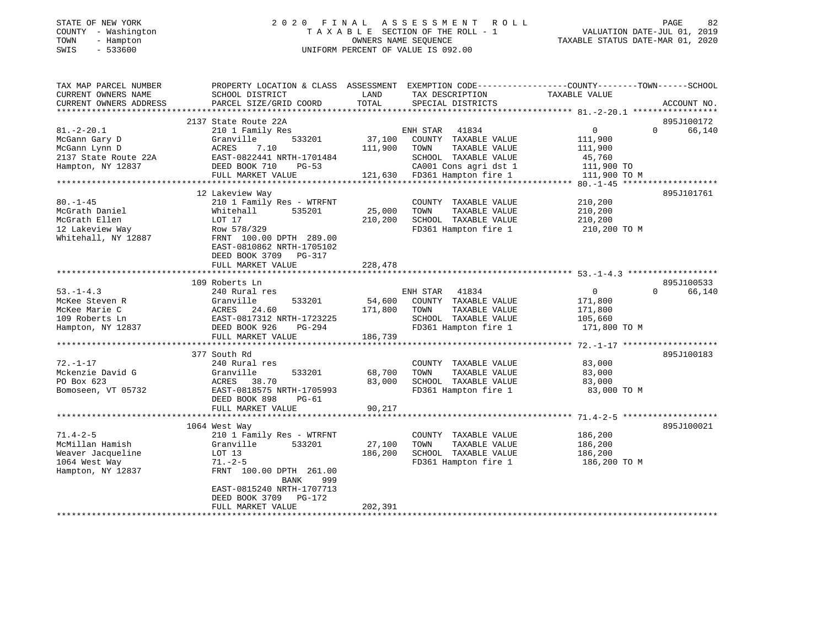# STATE OF NEW YORK 2 0 2 0 F I N A L A S S E S S M E N T R O L L PAGE 82 COUNTY - Washington T A X A B L E SECTION OF THE ROLL - 1 VALUATION DATE-JUL 01, 2019 TOWN - Hampton OWNERS NAME SEQUENCE TAXABLE STATUS DATE-MAR 01, 2020 SWIS - 533600 UNIFORM PERCENT OF VALUE IS 092.00

| TAX MAP PARCEL NUMBER  | PROPERTY LOCATION & CLASS ASSESSMENT EXEMPTION CODE----------------COUNTY-------TOWN------SCHOOL |         |                              |                |                    |
|------------------------|--------------------------------------------------------------------------------------------------|---------|------------------------------|----------------|--------------------|
| CURRENT OWNERS NAME    | SCHOOL DISTRICT                                                                                  | LAND    | TAX DESCRIPTION              | TAXABLE VALUE  |                    |
| CURRENT OWNERS ADDRESS | PARCEL SIZE/GRID COORD                                                                           | TOTAL   | SPECIAL DISTRICTS            |                | ACCOUNT NO.        |
|                        |                                                                                                  |         |                              |                |                    |
|                        | 2137 State Route 22A                                                                             |         |                              |                | 895J100172         |
| $81. - 2 - 20.1$       | 210 1 Family Res                                                                                 |         | ENH STAR 41834               | $\overline{0}$ | $\Omega$<br>66,140 |
| McGann Gary D          | 533201<br>Granville                                                                              | 37,100  | COUNTY TAXABLE VALUE         | 111,900        |                    |
| McGann Lynn D          | ACRES<br>7.10                                                                                    | 111,900 | TAXABLE VALUE<br>TOWN        | 111,900        |                    |
| 2137 State Route 22A   | EAST-0822441 NRTH-1701484                                                                        |         | SCHOOL TAXABLE VALUE         | 45,760         |                    |
| Hampton, NY 12837      | DEED BOOK 710<br>$PG-53$                                                                         |         | CA001 Cons agri dst 1        | 111,900 TO     |                    |
|                        | FULL MARKET VALUE                                                                                |         | 121,630 FD361 Hampton fire 1 | 111,900 TO M   |                    |
|                        |                                                                                                  |         |                              |                |                    |
|                        | 12 Lakeview Way                                                                                  |         |                              |                | 895J101761         |
| $80. - 1 - 45$         | 210 1 Family Res - WTRFNT                                                                        |         | COUNTY TAXABLE VALUE         | 210,200        |                    |
| McGrath Daniel         | Whitehall<br>535201                                                                              | 25,000  | TOWN<br>TAXABLE VALUE        | 210,200        |                    |
| McGrath Ellen          | LOT 17                                                                                           | 210,200 | SCHOOL TAXABLE VALUE         | 210,200        |                    |
| 12 Lakeview Way        | Row 578/329                                                                                      |         | FD361 Hampton fire 1         | 210,200 TO M   |                    |
| Whitehall, NY 12887    | FRNT 100.00 DPTH 289.00                                                                          |         |                              |                |                    |
|                        | EAST-0810862 NRTH-1705102                                                                        |         |                              |                |                    |
|                        | DEED BOOK 3709 PG-317                                                                            |         |                              |                |                    |
|                        | FULL MARKET VALUE                                                                                | 228,478 |                              |                |                    |
|                        |                                                                                                  |         |                              |                |                    |
|                        | 109 Roberts Ln                                                                                   |         |                              |                | 895J100533         |
| $53. -1 - 4.3$         | 240 Rural res                                                                                    |         | ENH STAR 41834               | $\mathbf 0$    | $\Omega$<br>66,140 |
| McKee Steven R         | 533201<br>Granville                                                                              | 54,600  | COUNTY TAXABLE VALUE         | 171,800        |                    |
| McKee Marie C          | ACRES<br>24.60                                                                                   | 171,800 | TOWN<br>TAXABLE VALUE        | 171,800        |                    |
| 109 Roberts Ln         | EAST-0817312 NRTH-1723225                                                                        |         | SCHOOL TAXABLE VALUE         | 105,660        |                    |
| Hampton, NY 12837      | DEED BOOK 926<br>PG-294                                                                          |         | FD361 Hampton fire 1         | 171,800 TO M   |                    |
|                        | FULL MARKET VALUE                                                                                | 186,739 |                              |                |                    |
|                        |                                                                                                  |         |                              |                |                    |
|                        | 377 South Rd                                                                                     |         |                              |                | 895J100183         |
| $72. - 1 - 17$         | 240 Rural res                                                                                    |         | COUNTY TAXABLE VALUE         | 83,000         |                    |
| Mckenzie David G       | 533201<br>Granville                                                                              | 68,700  | TOWN<br>TAXABLE VALUE        | 83,000         |                    |
| PO Box 623             | ACRES<br>38.70                                                                                   | 83,000  | SCHOOL TAXABLE VALUE         | 83,000         |                    |
| Bomoseen, VT 05732     | EAST-0818575 NRTH-1705993                                                                        |         | FD361 Hampton fire 1         | 83,000 TO M    |                    |
|                        | DEED BOOK 898<br>PG-61                                                                           |         |                              |                |                    |
|                        | FULL MARKET VALUE                                                                                | 90,217  |                              |                |                    |
|                        |                                                                                                  |         |                              |                |                    |
|                        | 1064 West Way                                                                                    |         |                              |                | 895J100021         |
| $71.4 - 2 - 5$         | 210 1 Family Res - WTRFNT                                                                        |         | COUNTY TAXABLE VALUE         | 186,200        |                    |
| McMillan Hamish        | 533201<br>Granville                                                                              | 27,100  | TOWN<br>TAXABLE VALUE        | 186,200        |                    |
| Weaver Jacqueline      | LOT 13                                                                                           | 186,200 | SCHOOL TAXABLE VALUE         | 186,200        |                    |
| 1064 West Way          | $71. - 2 - 5$                                                                                    |         | FD361 Hampton fire 1         | 186,200 TO M   |                    |
| Hampton, NY 12837      | FRNT 100.00 DPTH 261.00                                                                          |         |                              |                |                    |
|                        | BANK<br>999                                                                                      |         |                              |                |                    |
|                        | EAST-0815240 NRTH-1707713                                                                        |         |                              |                |                    |
|                        | DEED BOOK 3709<br>PG-172                                                                         |         |                              |                |                    |
|                        | FULL MARKET VALUE                                                                                | 202,391 |                              |                |                    |
|                        |                                                                                                  |         |                              |                |                    |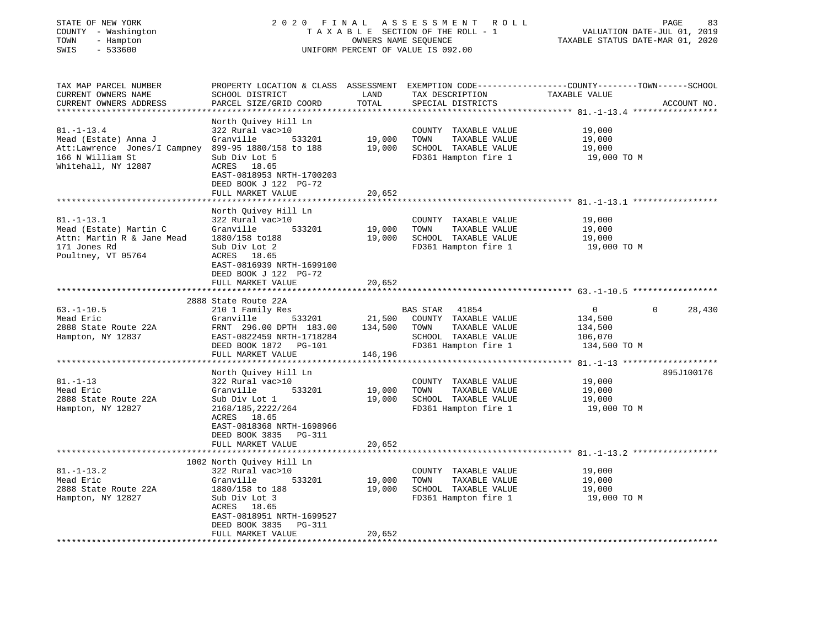| COUNTY - Washington<br>TOWN<br>- Hampton<br>SWIS<br>$-533600$                                                                              | TAXABLE SECTION OF THE ROLL - 1<br>OWNERS NAME SEQUENCE<br>UNIFORM PERCENT OF VALUE IS 092.00                                                                                                             |                           |                                                                                                                | VALUATION DATE-JUL 01, 2019<br>TAXABLE STATUS DATE-MAR 01, 2020                                                   |             |  |
|--------------------------------------------------------------------------------------------------------------------------------------------|-----------------------------------------------------------------------------------------------------------------------------------------------------------------------------------------------------------|---------------------------|----------------------------------------------------------------------------------------------------------------|-------------------------------------------------------------------------------------------------------------------|-------------|--|
| TAX MAP PARCEL NUMBER<br>CURRENT OWNERS NAME<br>CURRENT OWNERS ADDRESS                                                                     | SCHOOL DISTRICT<br>PARCEL SIZE/GRID COORD                                                                                                                                                                 | LAND<br>TOTAL             | TAX DESCRIPTION<br>SPECIAL DISTRICTS                                                                           | PROPERTY LOCATION & CLASS ASSESSMENT EXEMPTION CODE----------------COUNTY-------TOWN------SCHOOL<br>TAXABLE VALUE | ACCOUNT NO. |  |
| $81. - 1 - 13.4$<br>Mead (Estate) Anna J<br>Att:Lawrence Jones/I Campney 899-95 1880/158 to 188<br>166 N William St<br>Whitehall, NY 12887 | North Quivey Hill Ln<br>322 Rural vac>10<br>Granville<br>533201<br>Sub Div Lot 5<br>ACRES 18.65                                                                                                           | 19,000                    | COUNTY TAXABLE VALUE<br>TOWN<br>TAXABLE VALUE<br>19,000 SCHOOL TAXABLE VALUE<br>FD361 Hampton fire 1           | 19,000<br>19,000<br>19,000<br>19,000 TO M                                                                         |             |  |
|                                                                                                                                            | EAST-0818953 NRTH-1700203<br>DEED BOOK J 122 PG-72<br>FULL MARKET VALUE                                                                                                                                   | 20,652                    |                                                                                                                |                                                                                                                   |             |  |
| $81. - 1 - 13.1$<br>Mead (Estate) Martin C<br>Attn: Martin R & Jane Mead<br>171 Jones Rd<br>Poultney, VT 05764                             | North Quivey Hill Ln<br>322 Rural vac>10<br>Granville<br>533201<br>1880/158 to188<br>Sub Div Lot 2<br>ACRES 18.65<br>EAST-0816939 NRTH-1699100<br>DEED BOOK J 122 PG-72<br>FULL MARKET VALUE              | 19,000<br>20,652          | COUNTY TAXABLE VALUE<br>TOWN TAXABLE VALUE<br>19,000 SCHOOL TAXABLE VALUE<br>FD361 Hampton fire 1              | 19,000<br>19,000<br>19,000<br>19,000 TO M                                                                         |             |  |
|                                                                                                                                            |                                                                                                                                                                                                           |                           |                                                                                                                |                                                                                                                   |             |  |
| $63. - 1 - 10.5$<br>Mead Eric<br>2888 State Route 22A<br>Hampton, NY 12837                                                                 | 2888 State Route 22A<br>210 1 Family Res<br>Granville 533201<br>FRNT 296.00 DPTH 183.00<br>EAST-0822459 NRTH-1718284<br>DEED BOOK 1872 PG-101                                                             | 134,500 TOWN              | BAS STAR 41854<br>21,500 COUNTY TAXABLE VALUE<br>TAXABLE VALUE<br>SCHOOL TAXABLE VALUE<br>FD361 Hampton fire 1 | $\overline{0}$<br>$\mathbf 0$<br>134,500<br>134,500<br>106,070<br>134,500 TO M                                    | 28,430      |  |
|                                                                                                                                            | FULL MARKET VALUE                                                                                                                                                                                         | 146,196                   |                                                                                                                |                                                                                                                   |             |  |
| $81. - 1 - 13$<br>Mead Eric<br>2888 State Route 22A<br>Hampton, NY 12827                                                                   | North Quivey Hill Ln<br>322 Rural vac>10<br>533201<br>Granville<br>Sub Div Lot 1<br>2168/185,2222/264<br>ACRES 18.65<br>EAST-0818368 NRTH-1698966<br>DEED BOOK 3835 PG-311                                | 19,000<br>19,000          | COUNTY TAXABLE VALUE<br>TOWN<br>TAXABLE VALUE<br>SCHOOL TAXABLE VALUE<br>FD361 Hampton fire 1                  | 19,000<br>19,000<br>19,000<br>19,000 TO M                                                                         | 895J100176  |  |
|                                                                                                                                            | FULL MARKET VALUE                                                                                                                                                                                         | 20,652                    |                                                                                                                |                                                                                                                   |             |  |
| $81. - 1 - 13.2$<br>Mead Eric<br>2888 State Route 22A<br>Hampton, NY 12827                                                                 | 1002 North Quivey Hill Ln<br>322 Rural vac>10<br>Granville<br>533201<br>1880/158 to 188<br>Sub Div Lot 3<br>ACRES 18.65<br>EAST-0818951 NRTH-1699527<br>DEED BOOK 3835 PG-311<br>הזדד גזז חהת שם גזו דדוה | 19,000<br>19,000<br>20650 | COUNTY TAXABLE VALUE<br>TOWN<br>TAXABLE VALUE<br>SCHOOL TAXABLE VALUE<br>FD361 Hampton fire 1                  | 19,000<br>19,000<br>19,000<br>19,000 TO M                                                                         |             |  |

FULL MARKET VALUE 20,652 \*\*\*\*\*\*\*\*\*\*\*\*\*\*\*\*\*\*\*\*\*\*\*\*\*\*\*\*\*\*\*\*\*\*\*\*\*\*\*\*\*\*\*\*\*\*\*\*\*\*\*\*\*\*\*\*\*\*\*\*\*\*\*\*\*\*\*\*\*\*\*\*\*\*\*\*\*\*\*\*\*\*\*\*\*\*\*\*\*\*\*\*\*\*\*\*\*\*\*\*\*\*\*\*\*\*\*\*\*\*\*\*\*\*\*\*\*\*\*\*\*\*\*\*\*\*\*\*\*\*\*\*

STATE OF NEW YORK 2 0 2 0 F I N A L A S S E S S M E N T R O L L PAGE 83

019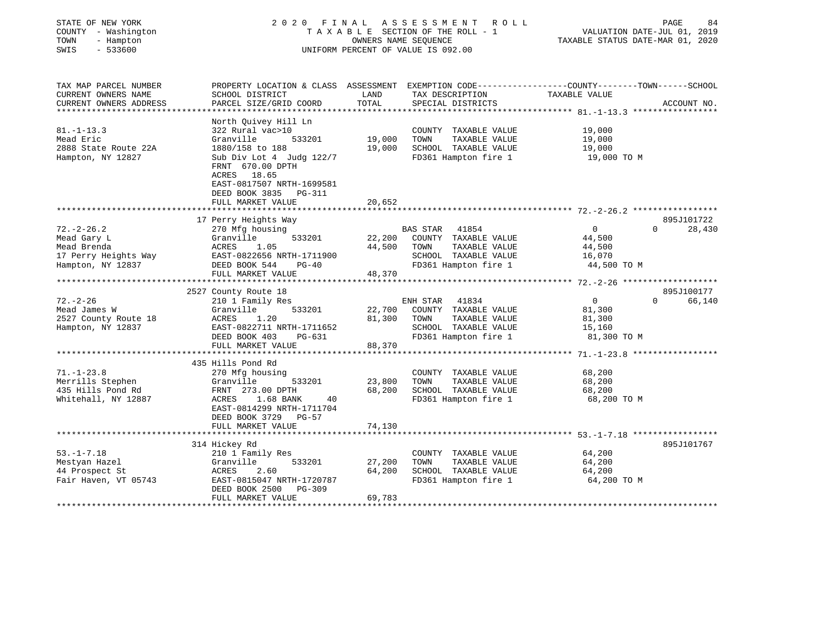| STATE OF NEW YORK<br>COUNTY - Washington<br>TOWN<br>- Hampton<br>SWIS<br>$-533600$          |                                                                                                                                                                                                                              | OWNERS NAME SEOUENCE       | 2020 FINAL ASSESSMENT ROLL<br>TAXABLE SECTION OF THE ROLL - 1<br>UNIFORM PERCENT OF VALUE IS 092.00             | VALUATION DATE-JUL 01, 2019<br>TAXABLE STATUS DATE-MAR 01, 2020 | PAGE<br>84                       |
|---------------------------------------------------------------------------------------------|------------------------------------------------------------------------------------------------------------------------------------------------------------------------------------------------------------------------------|----------------------------|-----------------------------------------------------------------------------------------------------------------|-----------------------------------------------------------------|----------------------------------|
| TAX MAP PARCEL NUMBER<br>CURRENT OWNERS NAME<br>CURRENT OWNERS ADDRESS                      | PROPERTY LOCATION & CLASS ASSESSMENT EXEMPTION CODE---------------COUNTY-------TOWN-----SCHOOL<br>SCHOOL DISTRICT<br>PARCEL SIZE/GRID COORD                                                                                  | LAND<br><b>TOTAL</b>       | TAX DESCRIPTION<br>SPECIAL DISTRICTS                                                                            | TAXABLE VALUE                                                   | ACCOUNT NO.                      |
| $81. - 1 - 13.3$<br>Mead Eric<br>2888 State Route 22A<br>Hampton, NY 12827                  | North Ouivey Hill Ln<br>322 Rural vac>10<br>533201<br>Granville<br>1880/158 to 188<br>Sub Div Lot 4 Judg 122/7<br>FRNT 670.00 DPTH<br>ACRES 18.65<br>EAST-0817507 NRTH-1699581<br>DEED BOOK 3835 PG-311<br>FULL MARKET VALUE | 19,000<br>19,000<br>20,652 | COUNTY TAXABLE VALUE<br>TOWN<br>TAXABLE VALUE<br>SCHOOL TAXABLE VALUE<br>FD361 Hampton fire 1                   | 19,000<br>19,000<br>19,000<br>19,000 TO M                       |                                  |
| $72. - 2 - 26.2$<br>Mead Gary L<br>Mead Brenda<br>17 Perry Heights Way<br>Hampton, NY 12837 | 17 Perry Heights Way<br>270 Mfg housing<br>Granville<br>533201<br>ACRES<br>1.05<br>EAST-0822656 NRTH-1711900<br>DEED BOOK 544<br>$PG-40$<br>FULL MARKET VALUE                                                                | 22,200<br>44,500<br>48,370 | BAS STAR 41854<br>COUNTY TAXABLE VALUE<br>TOWN<br>TAXABLE VALUE<br>SCHOOL TAXABLE VALUE<br>FD361 Hampton fire 1 | $\overline{0}$<br>44,500<br>44,500<br>16,070<br>44,500 TO M     | 895J101722<br>$\Omega$<br>28,430 |
| $72. - 2 - 26$<br>Mead James W<br>2527 County Route 18<br>Hampton, NY 12837                 | 2527 County Route 18<br>210 1 Family Res<br>Granville<br>533201<br>1.20<br>ACRES<br>EAST-0822711 NRTH-1711652<br>DEED BOOK 403<br>PG-631<br>FULL MARKET VALUE                                                                | 22,700<br>81,300<br>88,370 | ENH STAR 41834<br>COUNTY TAXABLE VALUE<br>TAXABLE VALUE<br>TOWN<br>SCHOOL TAXABLE VALUE<br>FD361 Hampton fire 1 | $\overline{0}$<br>81,300<br>81,300<br>15,160<br>81,300 TO M     | 895J100177<br>$\Omega$<br>66,140 |
| $71. - 1 - 23.8$<br>Merrills Stephen<br>435 Hills Pond Rd<br>Whitehall, NY 12887            | 435 Hills Pond Rd<br>270 Mfg housing<br>Granville<br>533201<br>FRNT 273.00 DPTH<br>1.68 BANK<br>ACRES<br>40<br>EAST-0814299 NRTH-1711704<br>DEED BOOK 3729<br>PG-57<br>FULL MARKET VALUE                                     | 23,800<br>68,200<br>74,130 | COUNTY TAXABLE VALUE<br>TOWN<br>TAXABLE VALUE<br>SCHOOL TAXABLE VALUE<br>FD361 Hampton fire 1                   | 68,200<br>68,200<br>68,200<br>68,200 TO M                       |                                  |

|                      | 314 Hickey Rd             |        |                         | 895J101767  |
|----------------------|---------------------------|--------|-------------------------|-------------|
| $53. - 1 - 7.18$     | 210 1 Family Res          |        | TAXABLE VALUE<br>COUNTY | 64,200      |
| Mestyan Hazel        | Granville<br>533201       | 27,200 | TAXABLE VALUE<br>TOWN   | 64,200      |
| 44 Prospect St       | 2.60<br>ACRES             | 64,200 | TAXABLE VALUE<br>SCHOOL | 64,200      |
| Fair Haven, VT 05743 | EAST-0815047 NRTH-1720787 |        | FD361 Hampton fire 1    | 64,200 TO M |
|                      | DEED BOOK 2500 PG-309     |        |                         |             |
|                      | FULL MARKET VALUE         | 69,783 |                         |             |
|                      |                           |        |                         |             |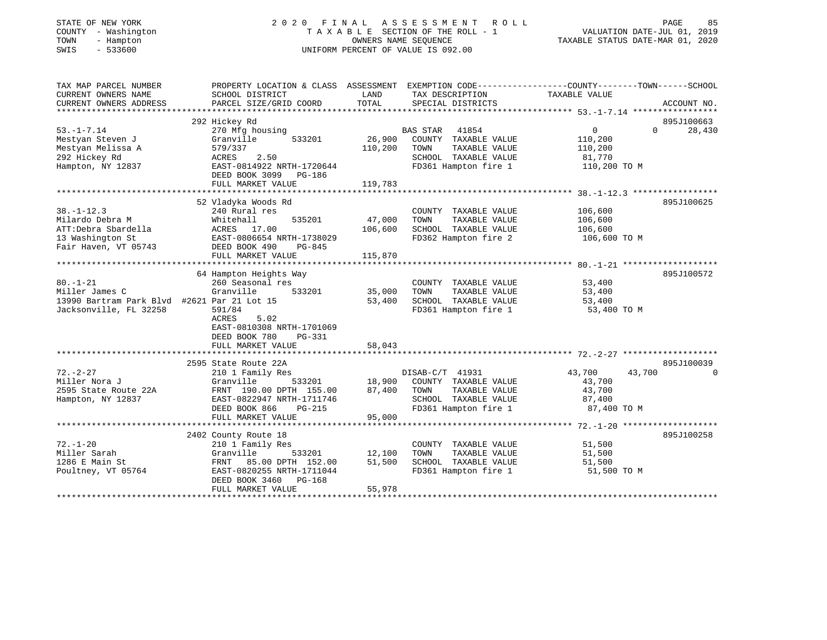| TATE OF NEW YORK |  |                    |  |  |
|------------------|--|--------------------|--|--|
|                  |  | OUNTY - Washington |  |  |
| OWN              |  | - Hampton          |  |  |
| MT C             |  | $-$ 522600         |  |  |

# STATE OF NEW YORK COUNTY - Washington COUNTY - Washington 2 0 2 0 F I N A L A S S E S S M E N T R O L L PAGE 85<br>COUNTY - Washington TA X A B L E SECTION OF THE ROLL - 1 WALUATION DATE-JUL 01, 2019<br>TOWN - Hampton CWNERS NAM T A X A B L E SECTION OF THE ROLL - 1<br>OWNERS NAME SEQUENCE SWIS - 533600 UNIFORM PERCENT OF VALUE IS 092.00

# VALUATION DATE-JUL  $01$ , 2019

TAXABLE STATUS DATE-MAR 01, 2020

| TAX MAP PARCEL NUMBER                       |                                |         |                                    | PROPERTY LOCATION & CLASS ASSESSMENT EXEMPTION CODE----------------COUNTY-------TOWN-----SCHOOL |             |
|---------------------------------------------|--------------------------------|---------|------------------------------------|-------------------------------------------------------------------------------------------------|-------------|
| CURRENT OWNERS NAME                         | SCHOOL DISTRICT                | LAND    | TAX DESCRIPTION                    | TAXABLE VALUE                                                                                   |             |
| CURRENT OWNERS ADDRESS                      | PARCEL SIZE/GRID COORD         | TOTAL   | SPECIAL DISTRICTS                  |                                                                                                 | ACCOUNT NO. |
|                                             |                                |         |                                    |                                                                                                 |             |
|                                             | 292 Hickey Rd                  |         |                                    |                                                                                                 | 895J100663  |
| $53. - 1 - 7.14$                            | 270 Mfg housing                |         | BAS STAR 41854                     | 0<br>$\Omega$                                                                                   | 28,430      |
| Mestyan Steven J                            | 533201<br>Granville            | 26,900  | COUNTY TAXABLE VALUE               | 110,200                                                                                         |             |
| Mestyan Melissa A                           | 579/337                        | 110,200 | TAXABLE VALUE<br>TOWN              | 110,200                                                                                         |             |
| 292 Hickey Rd                               | 2.50<br>ACRES                  |         | SCHOOL TAXABLE VALUE               | 81,770                                                                                          |             |
| Hampton, NY 12837                           | EAST-0814922 NRTH-1720644      |         | FD361 Hampton fire 1               | 110,200 TO M                                                                                    |             |
|                                             | DEED BOOK 3099 PG-186          |         |                                    |                                                                                                 |             |
|                                             | FULL MARKET VALUE              | 119,783 |                                    |                                                                                                 |             |
|                                             |                                |         |                                    |                                                                                                 |             |
|                                             | 52 Vladyka Woods Rd            |         |                                    |                                                                                                 | 895J100625  |
| $38. - 1 - 12.3$                            | 240 Rural res                  |         | COUNTY TAXABLE VALUE               | 106,600                                                                                         |             |
| Milardo Debra M                             | Whitehall<br>535201            | 47,000  | TOWN<br>TAXABLE VALUE              | 106,600                                                                                         |             |
| ATT:Debra Sbardella                         | ACRES 17.00                    | 106,600 | SCHOOL TAXABLE VALUE               | 106,600                                                                                         |             |
| 13 Washington St                            |                                |         | FD362 Hampton fire 2 106,600 TO M  |                                                                                                 |             |
| Fair Haven, VT 05743                        |                                |         |                                    |                                                                                                 |             |
|                                             | FULL MARKET VALUE              | 115,870 |                                    |                                                                                                 |             |
|                                             |                                |         |                                    |                                                                                                 |             |
|                                             | 64 Hampton Heights Way         |         |                                    |                                                                                                 | 895J100572  |
| $80. - 1 - 21$                              | 260 Seasonal res               |         | COUNTY TAXABLE VALUE               | 53,400                                                                                          |             |
| Miller James C                              | Granville<br>533201            | 35,000  | TOWN<br>TAXABLE VALUE              | 53,400                                                                                          |             |
| 13990 Bartram Park Blvd #2621 Par 21 Lot 15 |                                | 53,400  | SCHOOL TAXABLE VALUE 53,400        |                                                                                                 |             |
| Jacksonville, FL 32258                      | 591/84                         |         | FD361 Hampton fire 1 53,400 TO M   |                                                                                                 |             |
|                                             | 5.02<br>ACRES                  |         |                                    |                                                                                                 |             |
|                                             | EAST-0810308 NRTH-1701069      |         |                                    |                                                                                                 |             |
|                                             | DEED BOOK 780<br>PG-331        |         |                                    |                                                                                                 |             |
|                                             | FULL MARKET VALUE              | 58,043  |                                    |                                                                                                 |             |
|                                             |                                |         |                                    |                                                                                                 |             |
|                                             | 2595 State Route 22A           |         |                                    |                                                                                                 | 895J100039  |
| $72. - 2 - 27$                              | 210 1 Family Res               |         | DISAB-C/T 41931                    | 43,700<br>43,700                                                                                | $\Omega$    |
| Miller Nora J                               | Granville                      |         | 533201 18,900 COUNTY TAXABLE VALUE | 43,700                                                                                          |             |
| 2595 State Route 22A                        | FRNT 190.00 DPTH 155.00        | 87,400  | TOWN<br>TAXABLE VALUE              | 43,700                                                                                          |             |
| Hampton, NY 12837                           | EAST-0822947 NRTH-1711746      |         | SCHOOL TAXABLE VALUE               | 87,400<br>87,400 TO M                                                                           |             |
|                                             | DEED BOOK 866<br><b>PG-215</b> |         | FD361 Hampton fire 1               |                                                                                                 |             |
|                                             | FULL MARKET VALUE              | 95,000  |                                    |                                                                                                 |             |
|                                             |                                |         |                                    |                                                                                                 |             |
|                                             | 2402 County Route 18           |         |                                    |                                                                                                 | 895J100258  |
| $72. - 1 - 20$                              | 210 1 Family Res               |         | COUNTY TAXABLE VALUE               | 51,500                                                                                          |             |
| Miller Sarah                                | Granville<br>533201            | 12,100  | TAXABLE VALUE<br>TOWN              | 51,500                                                                                          |             |
| 1286 E Main St                              | FRNT<br>85.00 DPTH 152.00      | 51,500  | SCHOOL TAXABLE VALUE               | 51,500                                                                                          |             |
| Poultney, VT 05764                          | EAST-0820255 NRTH-1711044      |         | FD361 Hampton fire 1               | 51,500 TO M                                                                                     |             |
|                                             | DEED BOOK 3460 PG-168          |         |                                    |                                                                                                 |             |
|                                             | FULL MARKET VALUE              | 55,978  |                                    |                                                                                                 |             |
|                                             |                                |         |                                    |                                                                                                 |             |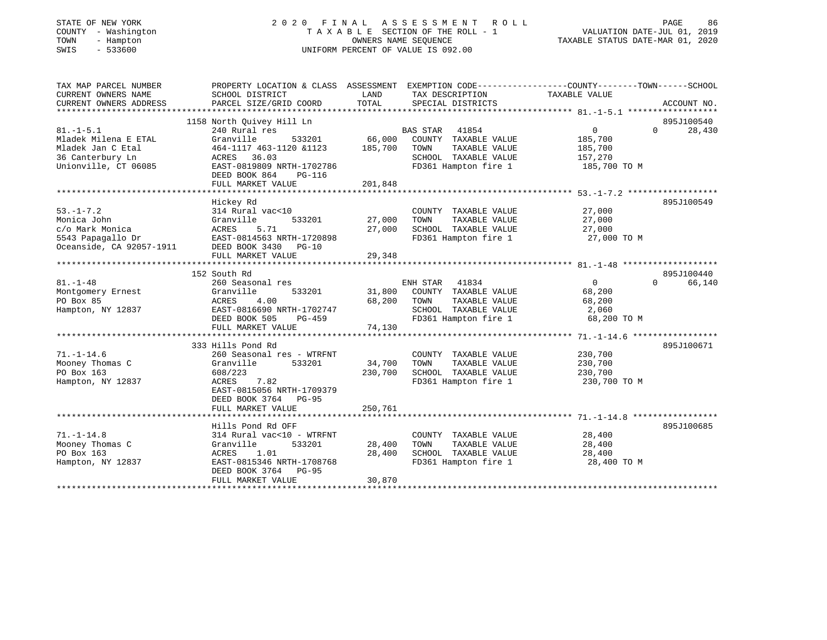| STATE OF NEW YORK |              |
|-------------------|--------------|
| COUNTY            | - Washington |
| TOWN              | - Hampton    |
| SMTS              | $-533600$    |

# STATE OF NEW YORK 2 0 2 0 F I N A L A S S E S S M E N T R O L L PAGE 86 COUNTY - Washington T A X A B L E SECTION OF THE ROLL - 1 VALUATION DATE-JUL 01, 2019 TOWN - Hampton OWNERS NAME SEQUENCE TAXABLE STATUS DATE-MAR 01, 2020 SWIS - 533600 UNIFORM PERCENT OF VALUE IS 092.00

| TAX MAP PARCEL NUMBER    | PROPERTY LOCATION & CLASS ASSESSMENT EXEMPTION CODE---------------COUNTY-------TOWN------SCHOOL |         |                       |                   |                    |
|--------------------------|-------------------------------------------------------------------------------------------------|---------|-----------------------|-------------------|--------------------|
| CURRENT OWNERS NAME      | SCHOOL DISTRICT                                                                                 | LAND    | TAX DESCRIPTION       | TAXABLE VALUE     |                    |
| CURRENT OWNERS ADDRESS   | PARCEL SIZE/GRID COORD                                                                          | TOTAL   | SPECIAL DISTRICTS     |                   | ACCOUNT NO.        |
|                          |                                                                                                 |         |                       |                   |                    |
|                          | 1158 North Quivey Hill Ln                                                                       |         |                       |                   | 895J100540         |
| $81. - 1 - 5.1$          | 240 Rural res                                                                                   |         | <b>BAS STAR</b> 41854 | $\overline{0}$    | 28,430<br>$\Omega$ |
| Mladek Milena E ETAL     | Granville<br>533201                                                                             | 66,000  | COUNTY TAXABLE VALUE  | 185,700           |                    |
| Mladek Jan C Etal        | 464-1117 463-1120 &1123                                                                         | 185,700 | TOWN<br>TAXABLE VALUE | 185,700           |                    |
| 36 Canterbury Ln         | ACRES 36.03                                                                                     |         | SCHOOL TAXABLE VALUE  | 157,270           |                    |
| Unionville, CT 06085     | EAST-0819809 NRTH-1702786                                                                       |         | FD361 Hampton fire 1  | 185,700 TO M      |                    |
|                          | DEED BOOK 864<br>PG-116                                                                         |         |                       |                   |                    |
|                          | FULL MARKET VALUE                                                                               | 201,848 |                       |                   |                    |
|                          |                                                                                                 |         |                       |                   |                    |
|                          | Hickey Rd                                                                                       |         |                       |                   | 895J100549         |
| $53. - 1 - 7.2$          | 314 Rural vac<10                                                                                |         | COUNTY TAXABLE VALUE  | 27,000            |                    |
| Monica John              | 533201<br>Granville                                                                             | 27,000  | TAXABLE VALUE<br>TOWN | 27,000            |                    |
| c/o Mark Monica          | ACRES<br>5.71                                                                                   | 27,000  | SCHOOL TAXABLE VALUE  | 27,000            |                    |
| 5543 Papagallo Dr        | EAST-0814563 NRTH-1720898                                                                       |         | FD361 Hampton fire 1  | 27,000 TO M       |                    |
| Oceanside, CA 92057-1911 | DEED BOOK 3430 PG-10                                                                            |         |                       |                   |                    |
|                          | FULL MARKET VALUE                                                                               | 29,348  |                       |                   |                    |
|                          |                                                                                                 |         |                       |                   |                    |
|                          | 152 South Rd                                                                                    |         |                       |                   | 895J100440         |
| $81. - 1 - 48$           | 260 Seasonal res                                                                                |         | ENH STAR 41834        | $0 \qquad \qquad$ | 66,140<br>$\Omega$ |
| Montgomery Ernest        | 533201<br>Granville                                                                             | 31,800  | COUNTY TAXABLE VALUE  | 68,200            |                    |
| PO Box 85                | 4.00<br>ACRES                                                                                   | 68,200  | TAXABLE VALUE<br>TOWN | 68,200            |                    |
| Hampton, NY 12837        | EAST-0816690 NRTH-1702747                                                                       |         | SCHOOL TAXABLE VALUE  | 2,060             |                    |
|                          | DEED BOOK 505<br>PG-459                                                                         |         | FD361 Hampton fire 1  | 68,200 TO M       |                    |
|                          | FULL MARKET VALUE                                                                               | 74,130  |                       |                   |                    |
|                          | 333 Hills Pond Rd                                                                               |         |                       |                   | 895J100671         |
| $71. - 1 - 14.6$         | 260 Seasonal res - WTRFNT                                                                       |         | COUNTY TAXABLE VALUE  | 230,700           |                    |
| Mooney Thomas C          | 533201<br>Granville                                                                             | 34,700  | TOWN<br>TAXABLE VALUE | 230,700           |                    |
| PO Box 163               | 608/223                                                                                         | 230,700 | SCHOOL TAXABLE VALUE  | 230,700           |                    |
| Hampton, NY 12837        | 7.82<br>ACRES                                                                                   |         | FD361 Hampton fire 1  | 230,700 TO M      |                    |
|                          | EAST-0815056 NRTH-1709379                                                                       |         |                       |                   |                    |
|                          | DEED BOOK 3764 PG-95                                                                            |         |                       |                   |                    |
|                          | FULL MARKET VALUE                                                                               | 250,761 |                       |                   |                    |
|                          |                                                                                                 |         |                       |                   |                    |
|                          | Hills Pond Rd OFF                                                                               |         |                       |                   | 895J100685         |
| $71. - 1 - 14.8$         | 314 Rural vac<10 - WTRFNT                                                                       |         | COUNTY TAXABLE VALUE  | 28,400            |                    |
| Mooney Thomas C          | Granville<br>533201                                                                             | 28,400  | TOWN<br>TAXABLE VALUE | 28,400            |                    |
| PO Box 163               | ACRES<br>1.01                                                                                   | 28,400  | SCHOOL TAXABLE VALUE  | 28,400            |                    |
| Hampton, NY 12837        | EAST-0815346 NRTH-1708768                                                                       |         | FD361 Hampton fire 1  | 28,400 TO M       |                    |
|                          | DEED BOOK 3764 PG-95                                                                            |         |                       |                   |                    |
|                          | FULL MARKET VALUE                                                                               | 30,870  |                       |                   |                    |
|                          |                                                                                                 |         |                       |                   |                    |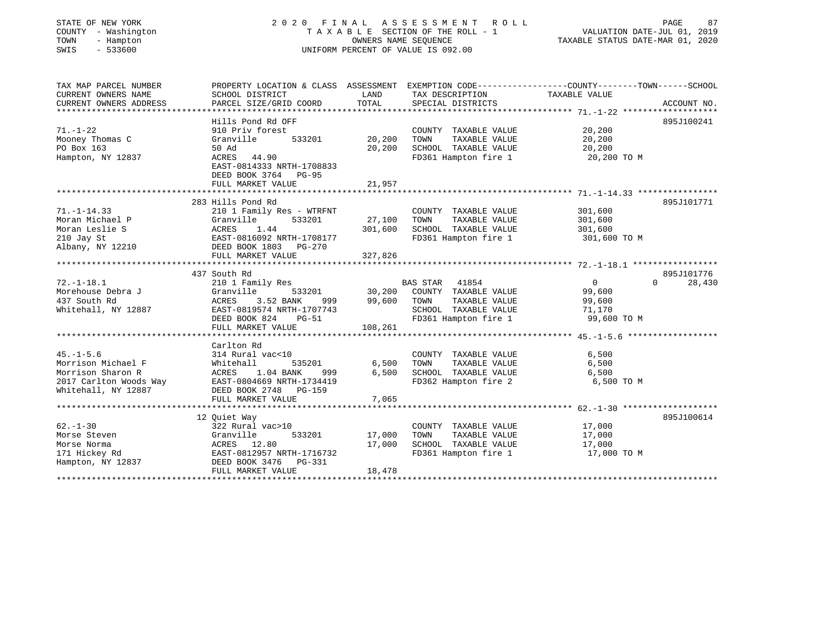#### STATE OF NEW YORK 2 0 2 0 F I N A L A S S E S S M E N T R O L L PAGE 87COUNTY - Washington  $T A X A B L E$  SECTION OF THE ROLL - 1<br>TOWN - Hampton DATE-JUL 000NERS NAME SEQUENCE TOWN - Hampton OWNERS NAME SEQUENCE TAXABLE STATUS DATE-MAR 01, 2020 SWIS - 533600 UNIFORM PERCENT OF VALUE IS 092.00

| TAX MAP PARCEL NUMBER<br>CURRENT OWNERS NAME | PROPERTY LOCATION & CLASS ASSESSMENT EXEMPTION CODE---------------COUNTY-------TOWN------SCHOOL<br>SCHOOL DISTRICT | LAND              | TAX DESCRIPTION                               | TAXABLE VALUE         |                    |
|----------------------------------------------|--------------------------------------------------------------------------------------------------------------------|-------------------|-----------------------------------------------|-----------------------|--------------------|
| CURRENT OWNERS ADDRESS                       | PARCEL SIZE/GRID COORD                                                                                             | TOTAL             | SPECIAL DISTRICTS                             |                       | ACCOUNT NO.        |
|                                              |                                                                                                                    |                   |                                               |                       |                    |
|                                              | Hills Pond Rd OFF                                                                                                  |                   |                                               |                       | 895J100241         |
| $71. - 1 - 22$                               | 910 Priv forest                                                                                                    |                   | COUNTY TAXABLE VALUE                          | 20,200                |                    |
| Mooney Thomas C                              | Granville<br>533201                                                                                                | 20,200            | TOWN<br>TAXABLE VALUE                         | 20,200                |                    |
| PO Box 163                                   | 50 Ad                                                                                                              | 20,200            | SCHOOL TAXABLE VALUE                          | 20,200                |                    |
| Hampton, NY 12837                            | ACRES 44.90<br>EAST-0814333 NRTH-1708833<br>DEED BOOK 3764 PG-95<br>FULL MARKET VALUE                              | 21,957            | FD361 Hampton fire 1 20,200 TO M              |                       |                    |
|                                              |                                                                                                                    |                   |                                               |                       |                    |
|                                              | 283 Hills Pond Rd                                                                                                  |                   |                                               |                       | 895J101771         |
| $71. - 1 - 14.33$                            | 210 1 Family Res - WTRFNT                                                                                          |                   | COUNTY TAXABLE VALUE                          | 301,600               |                    |
| Moran Michael P<br>Moran Leslie S            | Granville<br>533201<br>1.44<br>ACRES                                                                               | 27,100<br>301,600 | TOWN<br>TAXABLE VALUE<br>SCHOOL TAXABLE VALUE | 301,600<br>301,600    |                    |
| 210 Jay St                                   | EAST-0816092 NRTH-1708177                                                                                          |                   | FD361 Hampton fire 1                          | 301,600 TO M          |                    |
| Albany, NY 12210                             | DEED BOOK 1803 PG-270                                                                                              |                   |                                               |                       |                    |
|                                              | FULL MARKET VALUE                                                                                                  | 327,826           |                                               |                       |                    |
|                                              |                                                                                                                    |                   |                                               |                       |                    |
|                                              | 437 South Rd                                                                                                       |                   |                                               |                       | 895J101776         |
| $72. - 1 - 18.1$                             | 210 1 Family Res                                                                                                   |                   | BAS STAR 41854                                | $\overline{0}$        | $\Omega$<br>28,430 |
| Morehouse Debra J                            | Granville                                                                                                          | 533201 30,200     | COUNTY TAXABLE VALUE                          | 99,600                |                    |
| 437 South Rd                                 | ACRES<br>3.52 BANK<br>999                                                                                          | 99,600            | TOWN<br>TAXABLE VALUE                         | 99,600                |                    |
| Whitehall, NY 12887                          | EAST-0819574 NRTH-1707743<br>DEED BOOK 824                                                                         |                   | SCHOOL TAXABLE VALUE<br>FD361 Hampton fire 1  | 71,170<br>99,600 TO M |                    |
|                                              | PG-51<br>FULL MARKET VALUE                                                                                         | 108,261           |                                               |                       |                    |
|                                              |                                                                                                                    |                   |                                               |                       |                    |
|                                              | Carlton Rd                                                                                                         |                   |                                               |                       |                    |
| $45. - 1 - 5.6$                              | 314 Rural vac<10                                                                                                   |                   | COUNTY TAXABLE VALUE                          | 6,500                 |                    |
| Morrison Michael F                           | Whitehall<br>535201                                                                                                | 6,500             | TAXABLE VALUE<br>TOWN                         | 6,500                 |                    |
| Morrison Sharon R                            | 1.04 BANK<br>ACRES<br>999                                                                                          | 6,500             | SCHOOL TAXABLE VALUE                          | 6,500                 |                    |
| 2017 Carlton Woods Way                       | EAST-0804669 NRTH-1734419                                                                                          |                   | FD362 Hampton fire 2                          | 6,500 TO M            |                    |
| Whitehall, NY 12887                          | DEED BOOK 2748 PG-159                                                                                              |                   |                                               |                       |                    |
|                                              | FULL MARKET VALUE                                                                                                  | 7,065             |                                               |                       |                    |
|                                              | 12 Ouiet Way                                                                                                       |                   |                                               |                       | 895J100614         |
| $62 - 1 - 30$                                | 322 Rural vac>10                                                                                                   |                   | COUNTY TAXABLE VALUE                          | 17,000                |                    |
| Morse Steven                                 | Granville<br>533201                                                                                                | 17,000            | TOWN<br>TAXABLE VALUE                         | 17,000                |                    |
| Morse Norma                                  | ACRES 12.80                                                                                                        | 17,000            | SCHOOL TAXABLE VALUE                          | 17,000                |                    |
| 171 Hickey Rd                                | EAST-0812957 NRTH-1716732                                                                                          |                   | FD361 Hampton fire 1                          | 17,000 TO M           |                    |
| Hampton, NY 12837                            | DEED BOOK 3476 PG-331                                                                                              |                   |                                               |                       |                    |
|                                              | FULL MARKET VALUE                                                                                                  | 18,478            |                                               |                       |                    |
|                                              |                                                                                                                    |                   |                                               |                       |                    |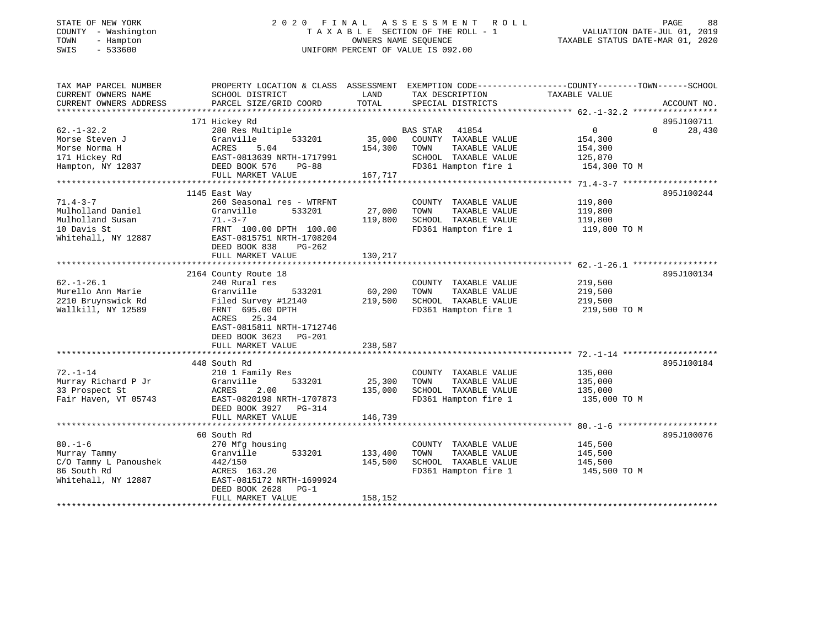# STATE OF NEW YORK 2 0 2 0 F I N A L A S S E S S M E N T R O L L PAGE 88 COUNTY - Washington T A X A B L E SECTION OF THE ROLL - 1 VALUATION DATE-JUL 01, 2019 TOWN - Hampton OWNERS NAME SEQUENCE TAXABLE STATUS DATE-MAR 01, 2020 SWIS - 533600 UNIFORM PERCENT OF VALUE IS 092.00

| TAX MAP PARCEL NUMBER  | PROPERTY LOCATION & CLASS ASSESSMENT |         | EXEMPTION CODE-----------------COUNTY-------TOWN------SCHOOL |                |                    |
|------------------------|--------------------------------------|---------|--------------------------------------------------------------|----------------|--------------------|
| CURRENT OWNERS NAME    | SCHOOL DISTRICT                      | LAND    | TAX DESCRIPTION                                              | TAXABLE VALUE  |                    |
| CURRENT OWNERS ADDRESS | PARCEL SIZE/GRID COORD               | TOTAL   | SPECIAL DISTRICTS                                            |                | ACCOUNT NO.        |
|                        |                                      |         |                                                              |                |                    |
|                        | 171 Hickey Rd                        |         |                                                              |                | 895J100711         |
| $62. - 1 - 32.2$       | 280 Res Multiple                     |         | BAS STAR 41854                                               | $\overline{0}$ | $\Omega$<br>28,430 |
| Morse Steven J         | Granville<br>533201                  | 35,000  | COUNTY TAXABLE VALUE                                         | 154,300        |                    |
| Morse Norma H          | ACRES<br>5.04                        | 154,300 | TOWN<br>TAXABLE VALUE                                        | 154,300        |                    |
| 171 Hickey Rd          | EAST-0813639 NRTH-1717991            |         | SCHOOL TAXABLE VALUE                                         | 125,870        |                    |
| Hampton, NY 12837      | DEED BOOK 576<br>PG-88               |         | FD361 Hampton fire 1                                         | 154,300 TO M   |                    |
|                        | FULL MARKET VALUE                    | 167,717 |                                                              |                |                    |
|                        |                                      |         |                                                              |                |                    |
|                        | 1145 East Way                        |         |                                                              |                | 895J100244         |
| $71.4 - 3 - 7$         | 260 Seasonal res - WTRFNT            |         | COUNTY TAXABLE VALUE                                         | 119,800        |                    |
| Mulholland Daniel      | Granville<br>533201                  | 27,000  | TOWN<br>TAXABLE VALUE                                        | 119,800        |                    |
| Mulholland Susan       | $71. -3 - 7$                         | 119,800 | SCHOOL TAXABLE VALUE                                         | 119,800        |                    |
| 10 Davis St            | FRNT 100.00 DPTH 100.00              |         | FD361 Hampton fire 1                                         | 119,800 TO M   |                    |
| Whitehall, NY 12887    | EAST-0815751 NRTH-1708204            |         |                                                              |                |                    |
|                        | DEED BOOK 838<br>PG-262              |         |                                                              |                |                    |
|                        | FULL MARKET VALUE                    | 130,217 |                                                              |                |                    |
|                        |                                      |         |                                                              |                |                    |
|                        | 2164 County Route 18                 |         |                                                              |                | 895J100134         |
| $62. - 1 - 26.1$       | 240 Rural res                        |         | COUNTY TAXABLE VALUE                                         | 219,500        |                    |
| Murello Ann Marie      | Granville<br>533201                  | 60,200  | TOWN<br>TAXABLE VALUE                                        | 219,500        |                    |
| 2210 Bruynswick Rd     |                                      | 219,500 | SCHOOL TAXABLE VALUE                                         |                |                    |
|                        | Filed Survey #12140                  |         |                                                              | 219,500        |                    |
| Wallkill, NY 12589     | FRNT 695.00 DPTH                     |         | FD361 Hampton fire 1                                         | 219,500 TO M   |                    |
|                        | ACRES 25.34                          |         |                                                              |                |                    |
|                        | EAST-0815811 NRTH-1712746            |         |                                                              |                |                    |
|                        | DEED BOOK 3623 PG-201                |         |                                                              |                |                    |
|                        | FULL MARKET VALUE                    | 238,587 |                                                              |                |                    |
|                        |                                      |         |                                                              |                |                    |
|                        | 448 South Rd                         |         |                                                              |                | 895J100184         |
| $72. - 1 - 14$         | 210 1 Family Res                     |         | COUNTY TAXABLE VALUE                                         | 135,000        |                    |
| Murray Richard P Jr    | Granville<br>533201                  | 25,300  | TOWN<br>TAXABLE VALUE                                        | 135,000        |                    |
| 33 Prospect St         | <b>ACRES</b><br>2.00                 | 135,000 | SCHOOL TAXABLE VALUE                                         | 135,000        |                    |
| Fair Haven, VT 05743   | EAST-0820198 NRTH-1707873            |         | FD361 Hampton fire 1                                         | 135,000 TO M   |                    |
|                        | DEED BOOK 3927 PG-314                |         |                                                              |                |                    |
|                        | FULL MARKET VALUE                    | 146,739 |                                                              |                |                    |
|                        |                                      |         |                                                              |                |                    |
|                        | 60 South Rd                          |         |                                                              |                | 895J100076         |
| $80. - 1 - 6$          | 270 Mfg housing                      |         | COUNTY TAXABLE VALUE                                         | 145,500        |                    |
| Murray Tammy           | Granville<br>533201                  | 133,400 | TOWN<br>TAXABLE VALUE                                        | 145,500        |                    |
| C/O Tammy L Panoushek  | 442/150                              | 145,500 | SCHOOL TAXABLE VALUE                                         | 145,500        |                    |
| 86 South Rd            | ACRES 163.20                         |         | FD361 Hampton fire 1                                         | 145,500 TO M   |                    |
| Whitehall, NY 12887    | EAST-0815172 NRTH-1699924            |         |                                                              |                |                    |
|                        | DEED BOOK 2628<br>$PG-1$             |         |                                                              |                |                    |
|                        | FULL MARKET VALUE                    | 158,152 |                                                              |                |                    |
|                        |                                      |         |                                                              |                |                    |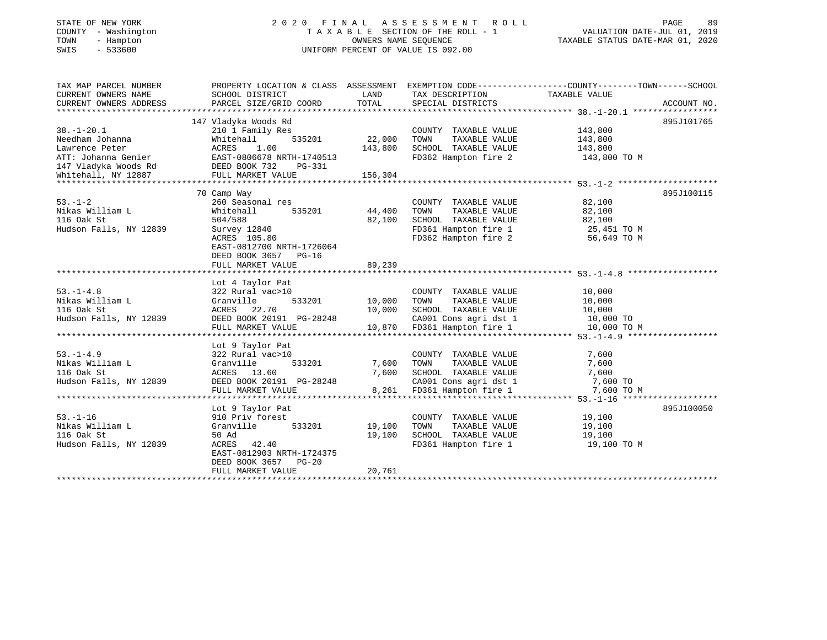# STATE OF NEW YORK 2 0 2 0 F I N A L A S S E S S M E N T R O L L PAGE 89 COUNTY - Washington T A X A B L E SECTION OF THE ROLL - 1 VALUATION DATE-JUL 01, 2019 TOWN - Hampton OWNERS NAME SEQUENCE TAXABLE STATUS DATE-MAR 01, 2020 SWIS - 533600 UNIFORM PERCENT OF VALUE IS 092.00

| TAX MAP PARCEL NUMBER<br>CURRENT OWNERS NAME<br>CURRENT OWNERS ADDRESS | SCHOOL DISTRICT<br>PARCEL SIZE/GRID COORD | LAND<br>TOTAL | TAX DESCRIPTION<br>SPECIAL DISTRICTS         | PROPERTY LOCATION & CLASS ASSESSMENT EXEMPTION CODE----------------COUNTY-------TOWN------SCHOOL<br>TAXABLE VALUE<br>ACCOUNT NO. |
|------------------------------------------------------------------------|-------------------------------------------|---------------|----------------------------------------------|----------------------------------------------------------------------------------------------------------------------------------|
|                                                                        |                                           |               |                                              |                                                                                                                                  |
|                                                                        | 147 Vladyka Woods Rd                      |               |                                              | 895J101765                                                                                                                       |
| $38. - 1 - 20.1$                                                       | 210 1 Family Res                          |               | COUNTY TAXABLE VALUE                         | 143,800                                                                                                                          |
| Needham Johanna                                                        | Whitehall<br>535201                       | 22,000        | TOWN<br>TAXABLE VALUE                        | 143,800                                                                                                                          |
| Lawrence Peter                                                         | ACRES<br>1.00                             | 143,800       | SCHOOL TAXABLE VALUE                         | 143,800                                                                                                                          |
| ATT: Johanna Genier                                                    | EAST-0806678 NRTH-1740513                 |               | FD362 Hampton fire 2                         | 143,800 TO M                                                                                                                     |
| 147 Vladyka Woods Rd DEED BOOK 732                                     | PG-331                                    |               |                                              |                                                                                                                                  |
| Whitehall, NY 12887                                                    | FULL MARKET VALUE                         | 156,304       |                                              |                                                                                                                                  |
|                                                                        |                                           |               |                                              |                                                                                                                                  |
|                                                                        | 70 Camp Way                               |               |                                              | 895J100115                                                                                                                       |
| $53 - 1 - 2$                                                           | 260 Seasonal res                          |               | COUNTY TAXABLE VALUE                         | 82,100                                                                                                                           |
| Nikas William L                                                        | 535201<br>Whitehall                       | 44,400        | TAXABLE VALUE<br>TOWN                        | 82,100                                                                                                                           |
| 116 Oak St                                                             | 504/588                                   | 82,100        | SCHOOL TAXABLE VALUE                         | 82,100                                                                                                                           |
| Hudson Falls, NY 12839                                                 | Survey 12840                              |               |                                              | 25,451 TO M                                                                                                                      |
|                                                                        | ACRES 105.80                              |               | FD361 Hampton fire 1<br>FD362 Hampton fire 2 | 56,649 TO M                                                                                                                      |
|                                                                        | EAST-0812700 NRTH-1726064                 |               |                                              |                                                                                                                                  |
|                                                                        | DEED BOOK 3657 PG-16                      |               |                                              |                                                                                                                                  |
|                                                                        | FULL MARKET VALUE                         | 89,239        |                                              |                                                                                                                                  |
|                                                                        |                                           |               |                                              |                                                                                                                                  |
|                                                                        | Lot 4 Taylor Pat                          |               |                                              |                                                                                                                                  |
| $53. -1 - 4.8$                                                         | 322 Rural vac>10                          |               | COUNTY TAXABLE VALUE                         | 10,000                                                                                                                           |
| Nikas William L                                                        | 533201 10,000<br>Granville                |               | TOWN<br>TAXABLE VALUE                        | 10,000                                                                                                                           |
| 116 Oak St                                                             | ACRES 22.70                               | 10,000        | SCHOOL TAXABLE VALUE                         | 10,000                                                                                                                           |
| Hudson Falls, NY 12839                                                 | DEED BOOK 20191 PG-28248                  |               | CA001 Cons agri dst 1                        | $10,000$ TO                                                                                                                      |
|                                                                        | FULL MARKET VALUE                         | 10,870        | FD361 Hampton fire 1                         | 10,000 TO M                                                                                                                      |
|                                                                        |                                           |               |                                              |                                                                                                                                  |
|                                                                        | Lot 9 Taylor Pat                          |               |                                              |                                                                                                                                  |
| $53. - 1 - 4.9$                                                        | 322 Rural vac>10                          |               | COUNTY TAXABLE VALUE                         | 7,600                                                                                                                            |
| Nikas William L                                                        | Granville<br>533201                       | 7,600         | TOWN<br>TAXABLE VALUE                        | 7,600                                                                                                                            |
| 116 Oak St                                                             | ACRES 13.60                               | 7,600         | SCHOOL TAXABLE VALUE                         | 7,600                                                                                                                            |
| Hudson Falls, NY 12839                                                 | DEED BOOK 20191 PG-28248                  |               | CA001 Cons agri dst 1 7,600 TO               |                                                                                                                                  |
|                                                                        | FULL MARKET VALUE                         | 8,261         | FD361 Hampton fire 1                         | 7,600 TO M                                                                                                                       |
|                                                                        |                                           |               |                                              |                                                                                                                                  |
|                                                                        | Lot 9 Taylor Pat                          |               |                                              | 895J100050                                                                                                                       |
| $53. - 1 - 16$                                                         | 910 Priv forest                           |               | COUNTY TAXABLE VALUE                         | 19,100                                                                                                                           |
| Nikas William L                                                        | Granville<br>533201                       | 19,100        | TOWN<br>TAXABLE VALUE                        | 19,100                                                                                                                           |
| 116 Oak St                                                             | 50 Ad                                     | 19,100        | SCHOOL TAXABLE VALUE                         | 19,100                                                                                                                           |
| Hudson Falls, NY 12839                                                 | ACRES 42.40                               |               | FD361 Hampton fire 1                         | 19,100 TO M                                                                                                                      |
|                                                                        | EAST-0812903 NRTH-1724375                 |               |                                              |                                                                                                                                  |
|                                                                        | DEED BOOK 3657 PG-20                      |               |                                              |                                                                                                                                  |
|                                                                        | FULL MARKET VALUE                         | 20,761        |                                              |                                                                                                                                  |
|                                                                        |                                           |               |                                              |                                                                                                                                  |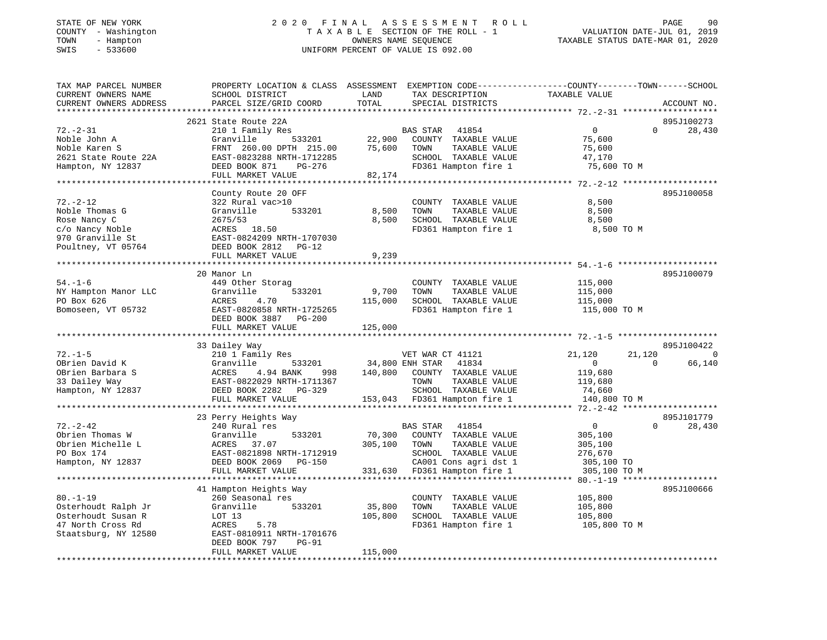# STATE OF NEW YORK 2 0 2 0 F I N A L A S S E S S M E N T R O L L PAGE 90 COUNTY - Washington T A X A B L E SECTION OF THE ROLL - 1 VALUATION DATE-JUL 01, 2019 TOWN - Hampton OWNERS NAME SEQUENCE TAXABLE STATUS DATE-MAR 01, 2020 SWIS - 533600 UNIFORM PERCENT OF VALUE IS 092.00

| TAX MAP PARCEL NUMBER               |                                                                                                                                                                                                               |                        |                              | PROPERTY LOCATION & CLASS ASSESSMENT EXEMPTION CODE----------------COUNTY-------TOWN-----SCHOOL |                          |
|-------------------------------------|---------------------------------------------------------------------------------------------------------------------------------------------------------------------------------------------------------------|------------------------|------------------------------|-------------------------------------------------------------------------------------------------|--------------------------|
| CURRENT OWNERS NAME                 | SCHOOL DISTRICT                                                                                                                                                                                               | LAND                   | TAX DESCRIPTION              | TAXABLE VALUE                                                                                   |                          |
| CURRENT OWNERS ADDRESS              | PARCEL SIZE/GRID COORD                                                                                                                                                                                        | TOTAL                  | SPECIAL DISTRICTS            |                                                                                                 | ACCOUNT NO.              |
|                                     |                                                                                                                                                                                                               |                        |                              |                                                                                                 |                          |
|                                     | 2621 State Route 22A                                                                                                                                                                                          |                        |                              |                                                                                                 | 895J100273               |
| $72. - 2 - 31$                      | 210 1 Family Res                                                                                                                                                                                              |                        | BAS STAR 41854               | $\overline{0}$<br>$\Omega$                                                                      | 28,430                   |
| Noble John A                        | 533201<br>Granville                                                                                                                                                                                           | 22,900<br>75.600       | COUNTY TAXABLE VALUE         | 75,600                                                                                          |                          |
| Noble Karen S                       | FRNT 260.00 DPTH 215.00                                                                                                                                                                                       | 75,600                 | TOWN<br>TAXABLE VALUE        | 75,600                                                                                          |                          |
| 2621 State Route 22A                | EAST-0823288 NRTH-1712285                                                                                                                                                                                     |                        | SCHOOL TAXABLE VALUE         | 47,170                                                                                          |                          |
| Hampton, NY 12837                   | DEED BOOK 871<br>PG-276                                                                                                                                                                                       |                        | FD361 Hampton fire 1         | 75,600 TO M                                                                                     |                          |
|                                     | FULL MARKET VALUE                                                                                                                                                                                             | 82,174                 |                              |                                                                                                 |                          |
|                                     |                                                                                                                                                                                                               |                        |                              |                                                                                                 |                          |
|                                     | County Route 20 OFF                                                                                                                                                                                           |                        |                              |                                                                                                 | 895J100058               |
| $72. - 2 - 12$                      | 322 Rural vac>10                                                                                                                                                                                              |                        | COUNTY TAXABLE VALUE         | 8,500                                                                                           |                          |
| Noble Thomas G                      | Granville<br>533201                                                                                                                                                                                           | 8,500                  | TOWN<br>TAXABLE VALUE        | 8,500                                                                                           |                          |
| Rose Nancy C                        | 2675/53                                                                                                                                                                                                       | 8,500                  | SCHOOL TAXABLE VALUE         | 8,500                                                                                           |                          |
|                                     | ACRES 18.50                                                                                                                                                                                                   |                        | FD361 Hampton fire 1         | 8,500 TO M                                                                                      |                          |
| c/o Nancy Noble<br>970 Granville St | ACRES 18.50<br>EAST-0824209 NRTH-1707030                                                                                                                                                                      |                        |                              |                                                                                                 |                          |
| Poultney, VT 05764                  | DEED BOOK 2812 PG-12                                                                                                                                                                                          |                        |                              |                                                                                                 |                          |
|                                     | FULL MARKET VALUE                                                                                                                                                                                             | 9,239                  |                              |                                                                                                 |                          |
|                                     |                                                                                                                                                                                                               |                        |                              |                                                                                                 |                          |
|                                     | 20 Manor Ln                                                                                                                                                                                                   |                        |                              |                                                                                                 | 895J100079               |
| $54. - 1 - 6$                       | 449 Other Storag                                                                                                                                                                                              |                        | COUNTY TAXABLE VALUE         | 115,000                                                                                         |                          |
| NY Hampton Manor LLC                | Granville<br>533201                                                                                                                                                                                           | 9,700                  | TAXABLE VALUE<br>TOWN        | 115,000                                                                                         |                          |
| PO Box 626                          | ACRES<br>4.70                                                                                                                                                                                                 | 115,000                | SCHOOL TAXABLE VALUE         | 115,000                                                                                         |                          |
| Bomoseen, VT 05732                  | EAST-0820858 NRTH-1725265                                                                                                                                                                                     |                        | FD361 Hampton fire 1         | 115,000 TO M                                                                                    |                          |
|                                     | DEED BOOK 3887 PG-200                                                                                                                                                                                         |                        |                              |                                                                                                 |                          |
|                                     | FULL MARKET VALUE                                                                                                                                                                                             | 125,000                |                              |                                                                                                 |                          |
|                                     |                                                                                                                                                                                                               |                        |                              |                                                                                                 |                          |
|                                     | 33 Dailey Way                                                                                                                                                                                                 |                        |                              |                                                                                                 | 895J100422               |
| $72. - 1 - 5$                       | 210 1 Family Res                                                                                                                                                                                              |                        |                              | 21,120                                                                                          | $\overline{\phantom{0}}$ |
| OBrien David K                      |                                                                                                                                                                                                               | 533201 34,800 ENH STAR | VET WAR CT 41121<br>41834    | 21,120<br>$\overline{0}$<br>$\Omega$                                                            | 66,140                   |
| OBrien Barbara S                    | Granville<br>998                                                                                                                                                                                              |                        | 140,800 COUNTY TAXABLE VALUE | 119,680                                                                                         |                          |
| 33 Dailey Way                       | ACRES<br>4.94 BANK<br>EAST-0822029 NRTH-1711367                                                                                                                                                               |                        | TAXABLE VALUE<br>TOWN        | 119,680                                                                                         |                          |
|                                     |                                                                                                                                                                                                               |                        |                              |                                                                                                 |                          |
|                                     | Hampton, NY 12837 DEED BOOK 2282 PG-329                                                                                                                                                                       |                        | SCHOOL TAXABLE VALUE         | 74,660                                                                                          |                          |
|                                     | FULL MARKET VALUE                                                                                                                                                                                             |                        | 153,043 FD361 Hampton fire 1 | 140,800 TO M                                                                                    |                          |
|                                     |                                                                                                                                                                                                               |                        |                              |                                                                                                 |                          |
|                                     | 23 Perry Heights Way                                                                                                                                                                                          |                        |                              |                                                                                                 | 895J101779               |
| $72. - 2 - 42$                      | 240 Rural res                                                                                                                                                                                                 |                        | BAS STAR 41854               | $\overline{0}$<br>$\Omega$                                                                      | 28,430                   |
| Obrien Thomas W                     | Granville<br>533201                                                                                                                                                                                           | 70,300                 | COUNTY TAXABLE VALUE         | 305,100                                                                                         |                          |
| Obrien Michelle L                   | GIANVIIIE<br>ACRES 37.07<br>EAST-0821898 N<br>ACRES 37.07<br>EAST-0821898 NRTH-1712919 SCHOOL TAXABLE VALUE<br>DEED BOOK 2069 PG-150 CA001 Cons agri dst 1<br>FIII. MARKET VALUE 331,630 FD361 Hampton fire 1 | 305,100                | TAXABLE VALUE<br>TOWN        | 305,100                                                                                         |                          |
| PO Box 174                          |                                                                                                                                                                                                               |                        |                              | 276,670                                                                                         |                          |
| Hampton, NY 12837                   |                                                                                                                                                                                                               |                        | CA001 Cons agri dst 1        | 305,100 TO                                                                                      |                          |
|                                     |                                                                                                                                                                                                               |                        |                              | 305,100 TO M                                                                                    |                          |
|                                     |                                                                                                                                                                                                               |                        |                              |                                                                                                 |                          |
|                                     | 41 Hampton Heights Way                                                                                                                                                                                        |                        |                              |                                                                                                 | 895J100666               |
| $80. - 1 - 19$                      | 260 Seasonal res                                                                                                                                                                                              |                        | COUNTY TAXABLE VALUE         | 105,800                                                                                         |                          |
| Osterhoudt Ralph Jr                 | 533201<br>Granville                                                                                                                                                                                           | 35,800                 | TOWN<br>TAXABLE VALUE        | 105,800                                                                                         |                          |
| Osterhoudt Susan R                  | LOT 13                                                                                                                                                                                                        | 105,800                | SCHOOL TAXABLE VALUE         | 105,800                                                                                         |                          |
| 47 North Cross Rd                   | ACRES<br>5.78                                                                                                                                                                                                 |                        | FD361 Hampton fire 1         | 105,800 TO M                                                                                    |                          |
| Staatsburg, NY 12580                | EAST-0810911 NRTH-1701676                                                                                                                                                                                     |                        |                              |                                                                                                 |                          |
|                                     | DEED BOOK 797<br>$PG-91$                                                                                                                                                                                      |                        |                              |                                                                                                 |                          |
|                                     | FULL MARKET VALUE                                                                                                                                                                                             | 115,000                |                              |                                                                                                 |                          |
|                                     |                                                                                                                                                                                                               |                        |                              |                                                                                                 |                          |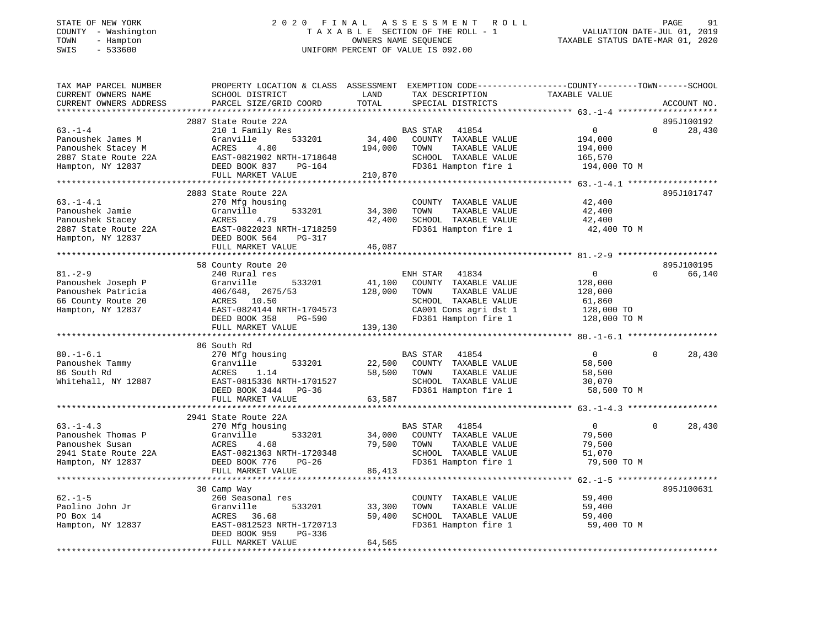# STATE OF NEW YORK 2 0 2 0 F I N A L A S S E S S M E N T R O L L PAGE 91 COUNTY - Washington T A X A B L E SECTION OF THE ROLL - 1 VALUATION DATE-JUL 01, 2019 TOWN - Hampton OWNERS NAME SEQUENCE TAXABLE STATUS DATE-MAR 01, 2020 SWIS - 533600 UNIFORM PERCENT OF VALUE IS 092.00

| TAX MAP PARCEL NUMBER  | PROPERTY LOCATION & CLASS ASSESSMENT EXEMPTION CODE----------------COUNTY-------TOWN-----SCHOOL |               |                       |                |                    |
|------------------------|-------------------------------------------------------------------------------------------------|---------------|-----------------------|----------------|--------------------|
| CURRENT OWNERS NAME    | SCHOOL DISTRICT<br>PARCEL SIZE/GRID COORD                                                       | LAND<br>TOTAL | TAX DESCRIPTION       | TAXABLE VALUE  | ACCOUNT NO.        |
| CURRENT OWNERS ADDRESS |                                                                                                 |               | SPECIAL DISTRICTS     |                |                    |
|                        | 2887 State Route 22A                                                                            |               |                       |                | 895J100192         |
| $63 - 1 - 4$           | 210 1 Family Res                                                                                |               | BAS STAR 41854        | $\circ$        | $\Omega$<br>28,430 |
| Panoushek James M      | 533201<br>Granville                                                                             | 34,400        | COUNTY TAXABLE VALUE  | 194,000        |                    |
| Panoushek Stacey M     | ACRES<br>4.80                                                                                   | 194,000       | TOWN<br>TAXABLE VALUE | 194,000        |                    |
| 2887 State Route 22A   | EAST-0821902 NRTH-1718648                                                                       |               | SCHOOL TAXABLE VALUE  | 165,570        |                    |
| Hampton, NY 12837      | DEED BOOK 837<br>PG-164                                                                         |               | FD361 Hampton fire 1  | 194,000 TO M   |                    |
|                        | FULL MARKET VALUE                                                                               | 210,870       |                       |                |                    |
|                        |                                                                                                 |               |                       |                |                    |
|                        | 2883 State Route 22A                                                                            |               |                       |                | 895J101747         |
| $63. -1 - 4.1$         | 270 Mfg housing                                                                                 |               | COUNTY TAXABLE VALUE  | 42,400         |                    |
| Panoushek Jamie        | Granville<br>533201                                                                             | 34,300        | TOWN<br>TAXABLE VALUE | 42,400         |                    |
| Panoushek Stacey       | 4.79<br>ACRES                                                                                   | 42,400        | SCHOOL TAXABLE VALUE  | 42,400         |                    |
| 2887 State Route 22A   | EAST-0822023 NRTH-1718259                                                                       |               | FD361 Hampton fire 1  | 42,400 TO M    |                    |
| Hampton, NY 12837      | DEED BOOK 564<br>PG-317                                                                         |               |                       |                |                    |
|                        | FULL MARKET VALUE                                                                               | 46,087        |                       |                |                    |
|                        |                                                                                                 |               |                       |                |                    |
|                        | 58 County Route 20                                                                              |               |                       |                | 895J100195         |
| $81. - 2 - 9$          | 240 Rural res                                                                                   |               | ENH STAR 41834        | $\overline{0}$ | 66,140<br>$\Omega$ |
| Panoushek Joseph P     | 533201<br>Granville                                                                             | 41,100        | COUNTY TAXABLE VALUE  | 128,000        |                    |
| Panoushek Patricia     | 406/648, 2675/53                                                                                | 128,000       | TAXABLE VALUE<br>TOWN | 128,000        |                    |
| 66 County Route 20     | ACRES 10.50                                                                                     |               | SCHOOL TAXABLE VALUE  | 61,860         |                    |
| Hampton, NY 12837      | EAST-0824144 NRTH-1704573                                                                       |               | CA001 Cons agri dst 1 | 128,000 TO     |                    |
|                        | DEED BOOK 358<br>PG-590                                                                         |               | FD361 Hampton fire 1  | 128,000 TO M   |                    |
|                        | FULL MARKET VALUE                                                                               | 139,130       |                       |                |                    |
|                        |                                                                                                 |               |                       |                |                    |
|                        | 86 South Rd                                                                                     |               |                       |                |                    |
| $80. - 1 - 6.1$        | 270 Mfg housing                                                                                 |               | BAS STAR<br>41854     | $\overline{0}$ | 28,430<br>$\Omega$ |
| Panoushek Tammy        | 533201<br>Granville                                                                             | 22,500        | COUNTY TAXABLE VALUE  | 58,500         |                    |
| 86 South Rd            | ACRES<br>1.14                                                                                   | 58,500        | TOWN<br>TAXABLE VALUE | 58,500         |                    |
| Whitehall, NY 12887    | EAST-0815336 NRTH-1701527                                                                       |               | SCHOOL TAXABLE VALUE  | 30,070         |                    |
|                        | DEED BOOK 3444 PG-36                                                                            |               | FD361 Hampton fire 1  | 58,500 TO M    |                    |
|                        | FULL MARKET VALUE                                                                               | 63,587        |                       |                |                    |
|                        |                                                                                                 |               |                       |                |                    |
|                        | 2941 State Route 22A                                                                            |               |                       |                |                    |
| $63. -1 - 4.3$         | 270 Mfg housing                                                                                 |               | BAS STAR 41854        | $\overline{0}$ | 28,430<br>$\Omega$ |
| Panoushek Thomas P     | Granville<br>533201                                                                             | 34,000        | COUNTY TAXABLE VALUE  | 79,500         |                    |
| Panoushek Susan        | ACRES<br>4.68                                                                                   | 79,500        | TOWN<br>TAXABLE VALUE | 79,500         |                    |
| 2941 State Route 22A   | EAST-0821363 NRTH-1720348                                                                       |               | SCHOOL TAXABLE VALUE  | 51,070         |                    |
| Hampton, NY 12837      | DEED BOOK 776<br>$PG-26$                                                                        |               | FD361 Hampton fire 1  | 79,500 TO M    |                    |
|                        | FULL MARKET VALUE                                                                               | 86,413        |                       |                |                    |
|                        |                                                                                                 |               |                       |                |                    |
|                        | 30 Camp Way                                                                                     |               |                       |                | 895J100631         |
| $62. -1 - 5$           | 260 Seasonal res                                                                                |               | COUNTY TAXABLE VALUE  | 59,400         |                    |
| Paolino John Jr        | Granville<br>533201                                                                             | 33,300        | TOWN<br>TAXABLE VALUE | 59,400         |                    |
| PO Box 14              | ACRES<br>36.68                                                                                  | 59,400        | SCHOOL TAXABLE VALUE  | 59,400         |                    |
| Hampton, NY 12837      | EAST-0812523 NRTH-1720713                                                                       |               | FD361 Hampton fire 1  | 59,400 TO M    |                    |
|                        | DEED BOOK 959<br>PG-336                                                                         |               |                       |                |                    |
|                        | FULL MARKET VALUE                                                                               | 64,565        |                       |                |                    |
|                        |                                                                                                 |               |                       |                |                    |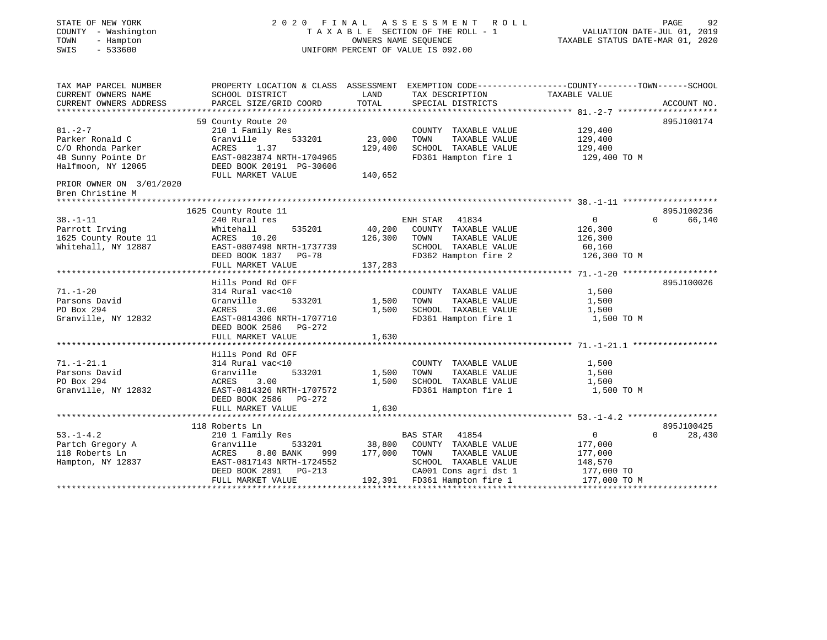| STATE OF NEW YORK<br>COUNTY - Washington<br>- Hampton<br>TOWN<br>$-533600$<br>SWIS                |                                                                                                                                                              | OWNERS NAME SEQUENCE         | 2020 FINAL ASSESSMENT ROLL<br>TAXABLE SECTION OF THE ROLL - 1<br>UNIFORM PERCENT OF VALUE IS 092.00              | VALUATION DATE-JUL 01, 2019<br>TAXABLE STATUS DATE-MAR 01, 2020 | PAGE<br>92                          |
|---------------------------------------------------------------------------------------------------|--------------------------------------------------------------------------------------------------------------------------------------------------------------|------------------------------|------------------------------------------------------------------------------------------------------------------|-----------------------------------------------------------------|-------------------------------------|
| TAX MAP PARCEL NUMBER<br>CURRENT OWNERS NAME<br>CURRENT OWNERS ADDRESS                            | PROPERTY LOCATION & CLASS ASSESSMENT EXEMPTION CODE----------------COUNTY-------TOWN------SCHOOL<br>SCHOOL DISTRICT<br>PARCEL SIZE/GRID COORD                | LAND<br>TOTAL                | TAX DESCRIPTION<br>SPECIAL DISTRICTS                                                                             | TAXABLE VALUE                                                   | ACCOUNT NO.                         |
| $81. - 2 - 7$<br>Parker Ronald C<br>C/O Rhonda Parker<br>4B Sunny Pointe Dr<br>Halfmoon, NY 12065 | 59 County Route 20<br>210 1 Family Res<br>533201<br>Granville<br>ACRES<br>1.37<br>EAST-0823874 NRTH-1704965<br>DEED BOOK 20191 PG-30606<br>FULL MARKET VALUE | 23,000<br>129,400<br>140,652 | COUNTY TAXABLE VALUE<br>TOWN<br>TAXABLE VALUE<br>SCHOOL TAXABLE VALUE<br>FD361 Hampton fire 1                    | 129,400<br>129,400<br>129,400<br>129,400 TO M                   | 895J100174                          |
| PRIOR OWNER ON 3/01/2020<br>Bren Christine M                                                      |                                                                                                                                                              |                              |                                                                                                                  |                                                                 |                                     |
| $38. - 1 - 11$<br>Parrott Irving<br>1625 County Route 11<br>Whitehall, NY 12887                   | 1625 County Route 11<br>240 Rural res<br>Whitehall<br>535201<br>ACRES 10.20<br>EAST-0807498 NRTH-1737739<br>DEED BOOK 1837 PG-78                             | 40,200<br>126,300            | ENH STAR 41834<br>COUNTY TAXABLE VALUE<br>TOWN<br>TAXABLE VALUE<br>SCHOOL TAXABLE VALUE<br>FD362 Hampton fire 2  | $\mathbf{0}$<br>126,300<br>126,300<br>60,160<br>126,300 TO M    | 895J100236<br>$\Omega$<br>66,140    |
|                                                                                                   | FULL MARKET VALUE                                                                                                                                            | 137,283                      |                                                                                                                  |                                                                 |                                     |
| $71. - 1 - 20$<br>Parsons David<br>PO Box 294<br>Granville, NY 12832                              | Hills Pond Rd OFF<br>314 Rural vac<10<br>Granville<br>533201<br>ACRES<br>3.00<br>EAST-0814306 NRTH-1707710<br>DEED BOOK 2586 PG-272                          | 1,500<br>1,500               | COUNTY TAXABLE VALUE<br>TAXABLE VALUE<br>TOWN<br>SCHOOL TAXABLE VALUE<br>FD361 Hampton fire 1                    | 1,500<br>1,500<br>1,500<br>1,500 TO M                           | 895J100026                          |
|                                                                                                   | FULL MARKET VALUE                                                                                                                                            | 1,630                        |                                                                                                                  |                                                                 |                                     |
| $71. - 1 - 21.1$<br>Parsons David<br>PO Box 294<br>Granville, NY 12832                            | Hills Pond Rd OFF<br>314 Rural vac<10<br>533201<br>Granville<br>ACRES<br>3.00<br>EAST-0814326 NRTH-1707572<br>DEED BOOK 2586 PG-272                          | 1,500<br>1,500               | COUNTY TAXABLE VALUE<br>TAXABLE VALUE<br>TOWN<br>SCHOOL TAXABLE VALUE<br>FD361 Hampton fire 1                    | 1,500<br>1,500<br>1,500<br>1,500 TO M                           |                                     |
|                                                                                                   | FULL MARKET VALUE                                                                                                                                            | 1,630                        |                                                                                                                  |                                                                 |                                     |
| $53. - 1 - 4.2$<br>Partch Gregory A<br>118 Roberts Ln<br>Hampton, NY 12837                        | 118 Roberts Ln<br>210 1 Family Res<br>533201<br>Granville<br>8.80 BANK<br>ACRES<br>999<br>EAST-0817143 NRTH-1724552<br>DEED BOOK 2891<br>$PG-213$            | 38,800<br>177,000            | BAS STAR 41854<br>COUNTY TAXABLE VALUE<br>TAXABLE VALUE<br>TOWN<br>SCHOOL TAXABLE VALUE<br>CA001 Cons agri dst 1 | $\mathbf 0$<br>177,000<br>177,000<br>148,570<br>177,000 TO      | 895J100425<br>$\mathbf 0$<br>28,430 |
|                                                                                                   | FULL MARKET VALUE                                                                                                                                            |                              | 192,391 FD361 Hampton fire 1                                                                                     | 177,000 TO M                                                    |                                     |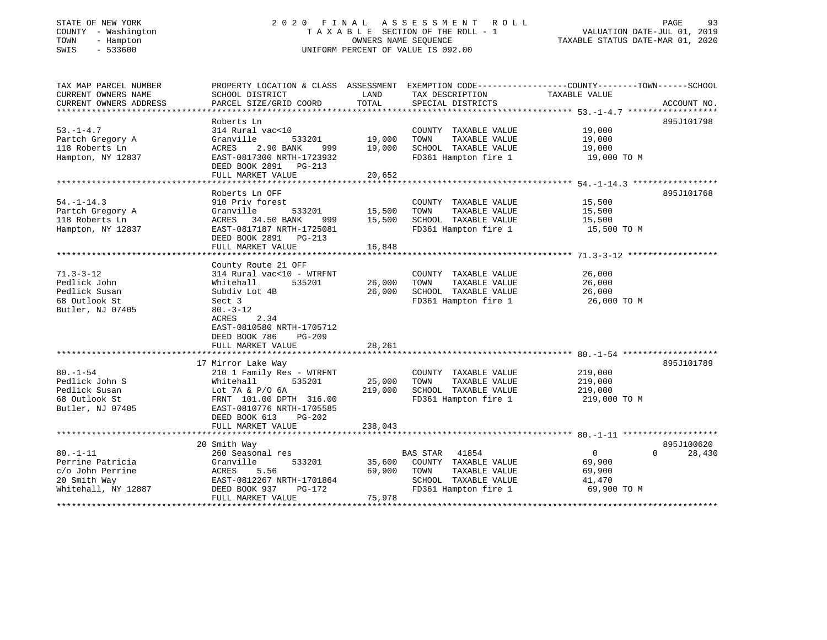# STATE OF NEW YORK 2 0 2 0 F I N A L A S S E S S M E N T R O L L PAGE 93 COUNTY - Washington T A X A B L E SECTION OF THE ROLL - 1 VALUATION DATE-JUL 01, 2019 TOWN - Hampton OWNERS NAME SEQUENCE TAXABLE STATUS DATE-MAR 01, 2020 SWIS - 533600 UNIFORM PERCENT OF VALUE IS 092.00

| TAX MAP PARCEL NUMBER  | PROPERTY LOCATION & CLASS ASSESSMENT EXEMPTION CODE----------------COUNTY-------TOWN------SCHOOL |         |                                               |                            |             |
|------------------------|--------------------------------------------------------------------------------------------------|---------|-----------------------------------------------|----------------------------|-------------|
| CURRENT OWNERS NAME    | SCHOOL DISTRICT                                                                                  | LAND    | TAX DESCRIPTION                               | TAXABLE VALUE              |             |
| CURRENT OWNERS ADDRESS | PARCEL SIZE/GRID COORD                                                                           | TOTAL   | SPECIAL DISTRICTS                             |                            | ACCOUNT NO. |
|                        | Roberts Ln                                                                                       |         |                                               |                            | 895J101798  |
| $53. - 1 - 4.7$        | 314 Rural vac<10                                                                                 |         | COUNTY TAXABLE VALUE                          | 19,000                     |             |
| Partch Gregory A       | Granville<br>533201                                                                              | 19,000  | TOWN<br>TAXABLE VALUE                         | 19,000                     |             |
| 118 Roberts Ln         | 2.90 BANK<br>ACRES<br>999                                                                        | 19,000  | SCHOOL TAXABLE VALUE                          | 19,000                     |             |
| Hampton, NY 12837      | EAST-0817300 NRTH-1723932                                                                        |         | FD361 Hampton fire 1                          | 19,000 TO M                |             |
|                        | DEED BOOK 2891 PG-213                                                                            |         |                                               |                            |             |
|                        | FULL MARKET VALUE                                                                                | 20,652  |                                               |                            |             |
|                        |                                                                                                  |         |                                               |                            |             |
|                        | Roberts Ln OFF                                                                                   |         |                                               |                            | 895J101768  |
| $54. - 1 - 14.3$       | 910 Priv forest                                                                                  |         | COUNTY TAXABLE VALUE                          | 15,500                     |             |
| Partch Gregory A       | Granville<br>533201                                                                              | 15,500  | TAXABLE VALUE<br>TOWN                         | 15,500                     |             |
| 118 Roberts Ln         | ACRES 34.50 BANK<br>999                                                                          | 15,500  | SCHOOL TAXABLE VALUE                          | 15,500                     |             |
| Hampton, NY 12837      | EAST-0817187 NRTH-1725081                                                                        |         | FD361 Hampton fire 1                          | 15,500 TO M                |             |
|                        | DEED BOOK 2891 PG-213                                                                            |         |                                               |                            |             |
|                        | FULL MARKET VALUE                                                                                | 16,848  |                                               |                            |             |
|                        |                                                                                                  |         |                                               |                            |             |
| $71.3 - 3 - 12$        | County Route 21 OFF                                                                              |         |                                               |                            |             |
| Pedlick John           | 314 Rural vac<10 - WTRFNT<br>535201<br>Whitehall                                                 | 26,000  | COUNTY TAXABLE VALUE<br>TAXABLE VALUE<br>TOWN | 26,000<br>26,000           |             |
| Pedlick Susan          | Subdiv Lot 4B                                                                                    | 26,000  | SCHOOL TAXABLE VALUE                          | 26,000                     |             |
| 68 Outlook St          | Sect 3                                                                                           |         | FD361 Hampton fire 1                          | 26,000 TO M                |             |
| Butler, NJ 07405       | $80. - 3 - 12$                                                                                   |         |                                               |                            |             |
|                        | ACRES<br>2.34                                                                                    |         |                                               |                            |             |
|                        | EAST-0810580 NRTH-1705712                                                                        |         |                                               |                            |             |
|                        | DEED BOOK 786<br>PG-209                                                                          |         |                                               |                            |             |
|                        | FULL MARKET VALUE                                                                                | 28,261  |                                               |                            |             |
|                        |                                                                                                  |         |                                               |                            |             |
|                        | 17 Mirror Lake Way                                                                               |         |                                               |                            | 895J101789  |
| $80. - 1 - 54$         | 210 1 Family Res - WTRFNT                                                                        |         | COUNTY TAXABLE VALUE                          | 219,000                    |             |
| Pedlick John S         | Whitehall<br>535201                                                                              | 25,000  | TAXABLE VALUE<br>TOWN                         | 219,000                    |             |
| Pedlick Susan          | Lot 7A & P/O 6A                                                                                  | 219,000 | SCHOOL TAXABLE VALUE                          | 219,000                    |             |
| 68 Outlook St          | FRNT 101.00 DPTH 316.00                                                                          |         | FD361 Hampton fire 1                          | 219,000 TO M               |             |
| Butler, NJ 07405       | EAST-0810776 NRTH-1705585                                                                        |         |                                               |                            |             |
|                        | DEED BOOK 613<br>$PG-202$                                                                        |         |                                               |                            |             |
|                        | FULL MARKET VALUE                                                                                | 238,043 |                                               |                            |             |
|                        |                                                                                                  |         |                                               |                            |             |
|                        | 20 Smith Way                                                                                     |         |                                               |                            | 895J100620  |
| $80. - 1 - 11$         | 260 Seasonal res                                                                                 |         | BAS STAR<br>41854                             | $\overline{0}$<br>$\Omega$ | 28,430      |
| Perrine Patricia       | Granville<br>533201                                                                              | 35,600  | COUNTY TAXABLE VALUE                          | 69,900                     |             |
| c/o John Perrine       | ACRES<br>5.56                                                                                    | 69,900  | TOWN<br>TAXABLE VALUE                         | 69,900                     |             |
| 20 Smith Way           | EAST-0812267 NRTH-1701864                                                                        |         | SCHOOL TAXABLE VALUE                          | 41,470                     |             |
| Whitehall, NY 12887    | PG-172<br>DEED BOOK 937                                                                          |         | FD361 Hampton fire 1                          | 69,900 TO M                |             |
|                        | FULL MARKET VALUE                                                                                | 75,978  |                                               |                            |             |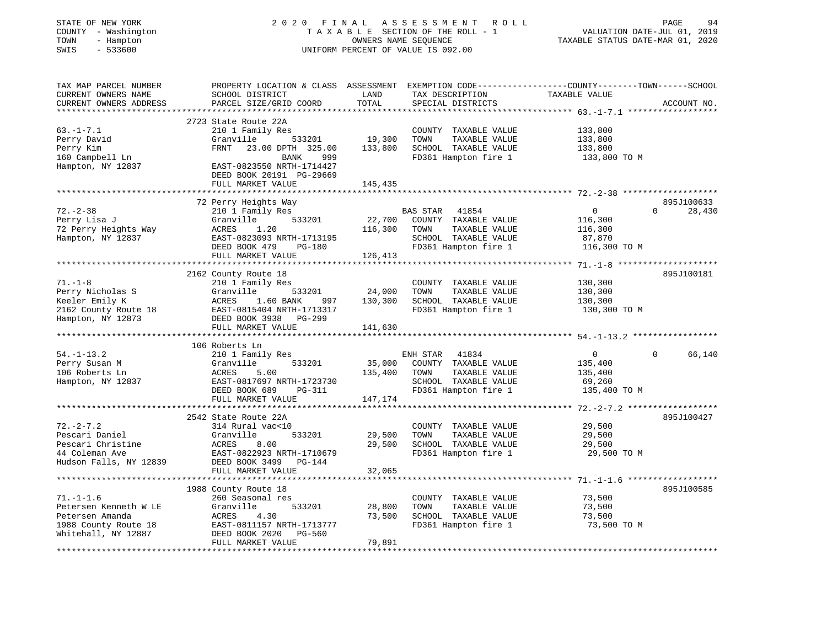| STATE OF NEW YORK<br>COUNTY - Washington<br>TOWN<br>- Hampton<br>$-533600$<br>SWIS | 2020 FINAL                                                                                       |                   | A S S E S S M E N T<br>R O L L<br>TAXABLE SECTION OF THE ROLL - 1<br>OWNERS NAME SEQUENCE<br>UNIFORM PERCENT OF VALUE IS 092.00 | VALUATION DATE-JUL 01, 2019<br>TAXABLE STATUS DATE-MAR 01, 2020 | PAGE<br>94         |
|------------------------------------------------------------------------------------|--------------------------------------------------------------------------------------------------|-------------------|---------------------------------------------------------------------------------------------------------------------------------|-----------------------------------------------------------------|--------------------|
| TAX MAP PARCEL NUMBER                                                              | PROPERTY LOCATION & CLASS ASSESSMENT EXEMPTION CODE----------------COUNTY-------TOWN------SCHOOL |                   |                                                                                                                                 |                                                                 |                    |
| CURRENT OWNERS NAME                                                                | SCHOOL DISTRICT                                                                                  | LAND              | TAX DESCRIPTION                                                                                                                 | TAXABLE VALUE                                                   |                    |
| CURRENT OWNERS ADDRESS                                                             | PARCEL SIZE/GRID COORD                                                                           | TOTAL             | SPECIAL DISTRICTS                                                                                                               |                                                                 | ACCOUNT NO.        |
|                                                                                    |                                                                                                  | * * * * * * * * * |                                                                                                                                 |                                                                 |                    |
|                                                                                    | 2723 State Route 22A                                                                             |                   |                                                                                                                                 |                                                                 |                    |
| $63. -1 - 7.1$                                                                     | 210 1 Family Res                                                                                 |                   | COUNTY TAXABLE VALUE                                                                                                            | 133,800                                                         |                    |
| Perry David                                                                        | Granville<br>533201                                                                              | 19,300            | TOWN<br>TAXABLE VALUE                                                                                                           | 133,800                                                         |                    |
| Perry Kim                                                                          | FRNT<br>23.00 DPTH 325.00                                                                        | 133,800           | SCHOOL TAXABLE VALUE                                                                                                            | 133,800                                                         |                    |
| 160 Campbell Ln<br>Hampton, NY 12837                                               | 999<br>BANK<br>EAST-0823550 NRTH-1714427<br>DEED BOOK 20191 PG-29669                             |                   | FD361 Hampton fire 1                                                                                                            | 133,800 TO M                                                    |                    |
|                                                                                    | FULL MARKET VALUE                                                                                | 145,435           |                                                                                                                                 |                                                                 |                    |
|                                                                                    |                                                                                                  |                   |                                                                                                                                 |                                                                 |                    |
|                                                                                    | 72 Perry Heights Way                                                                             |                   |                                                                                                                                 |                                                                 | 895J100633         |
| $72. - 2 - 38$                                                                     | 210 1 Family Res                                                                                 |                   | <b>BAS STAR</b><br>41854                                                                                                        | $\overline{0}$                                                  | $\Omega$<br>28,430 |
| Perry Lisa J                                                                       | 533201<br>Granville                                                                              | 22,700            | COUNTY TAXABLE VALUE                                                                                                            | 116,300                                                         |                    |
| 72 Perry Heights Way                                                               | ACRES<br>1.20                                                                                    | 116,300           | TOWN<br>TAXABLE VALUE                                                                                                           | 116,300                                                         |                    |
| Hampton, NY 12837                                                                  | EAST-0823093 NRTH-1713195                                                                        |                   | SCHOOL TAXABLE VALUE                                                                                                            | 87,870                                                          |                    |
|                                                                                    | DEED BOOK 479<br>PG-180                                                                          |                   | FD361 Hampton fire 1                                                                                                            | 116,300 TO M                                                    |                    |
|                                                                                    | FULL MARKET VALUE                                                                                | 126,413           |                                                                                                                                 |                                                                 |                    |
|                                                                                    | 2162 County Route 18                                                                             |                   |                                                                                                                                 |                                                                 | 895J100181         |
| $71. - 1 - 8$                                                                      | 210 1 Family Res                                                                                 |                   | COUNTY TAXABLE VALUE                                                                                                            | 130,300                                                         |                    |
| Perry Nicholas S                                                                   | Granville<br>533201                                                                              | 24,000            | TOWN<br>TAXABLE VALUE                                                                                                           | 130,300                                                         |                    |
| Keeler Emily K                                                                     | ACRES<br>1.60 BANK<br>997                                                                        | 130,300           | SCHOOL TAXABLE VALUE                                                                                                            | 130,300                                                         |                    |
| 2162 County Route 18                                                               | EAST-0815404 NRTH-1713317                                                                        |                   | FD361 Hampton fire 1                                                                                                            | 130,300 TO M                                                    |                    |
| Hampton, NY 12873                                                                  | DEED BOOK 3938 PG-299                                                                            |                   |                                                                                                                                 |                                                                 |                    |
|                                                                                    | FULL MARKET VALUE                                                                                | 141,630           |                                                                                                                                 |                                                                 |                    |
|                                                                                    |                                                                                                  |                   |                                                                                                                                 |                                                                 |                    |
|                                                                                    | 106 Roberts Ln                                                                                   |                   |                                                                                                                                 |                                                                 |                    |
| $54. - 1 - 13.2$                                                                   | 210 1 Family Res                                                                                 |                   | ENH STAR<br>41834                                                                                                               | $\mathbf{0}$                                                    | $\Omega$<br>66,140 |
| Perry Susan M<br>106 Roberts Ln                                                    | Granville<br>533201<br>5.00<br>ACRES                                                             | 35,000<br>135,400 | COUNTY TAXABLE VALUE<br>TOWN                                                                                                    | 135,400                                                         |                    |
| Hampton, NY 12837                                                                  | EAST-0817697 NRTH-1723730                                                                        |                   | TAXABLE VALUE<br>SCHOOL TAXABLE VALUE                                                                                           | 135,400<br>69,260                                               |                    |
|                                                                                    | DEED BOOK 689<br>PG-311                                                                          |                   | FD361 Hampton fire 1                                                                                                            | 135,400 TO M                                                    |                    |
|                                                                                    | FULL MARKET VALUE                                                                                | 147,174           |                                                                                                                                 |                                                                 |                    |
|                                                                                    |                                                                                                  |                   |                                                                                                                                 |                                                                 |                    |
|                                                                                    | 2542 State Route 22A                                                                             |                   |                                                                                                                                 |                                                                 | 895J100427         |
| $72. - 2 - 7.2$                                                                    | 314 Rural vac<10                                                                                 |                   | COUNTY TAXABLE VALUE                                                                                                            | 29,500                                                          |                    |
| Pescari Daniel                                                                     | Granville<br>533201                                                                              | 29,500            | TOWN<br>TAXABLE VALUE                                                                                                           | 29,500                                                          |                    |
| Pescari Christine                                                                  | ACRES<br>8.00                                                                                    | 29,500            | SCHOOL TAXABLE VALUE                                                                                                            | 29,500                                                          |                    |
| 44 Coleman Ave                                                                     | EAST-0822923 NRTH-1710679                                                                        |                   | FD361 Hampton fire 1                                                                                                            | 29,500 TO M                                                     |                    |
| Hudson Falls, NY 12839                                                             | DEED BOOK 3499 PG-144                                                                            |                   |                                                                                                                                 |                                                                 |                    |
|                                                                                    | FULL MARKET VALUE                                                                                | 32,065            |                                                                                                                                 |                                                                 |                    |
|                                                                                    |                                                                                                  |                   |                                                                                                                                 |                                                                 | 895J100585         |
| $71. - 1 - 1.6$                                                                    | 1988 County Route 18<br>260 Seasonal res                                                         |                   | COUNTY TAXABLE VALUE                                                                                                            | 73,500                                                          |                    |
| Petersen Kenneth W LE                                                              | Granville<br>533201                                                                              | 28,800            | TOWN<br>TAXABLE VALUE                                                                                                           | 73,500                                                          |                    |
| Petersen Amanda                                                                    | ACRES<br>4.30                                                                                    | 73,500            | SCHOOL TAXABLE VALUE                                                                                                            | 73,500                                                          |                    |
| 1988 County Route 18                                                               | EAST-0811157 NRTH-1713777                                                                        |                   | FD361 Hampton fire 1                                                                                                            | 73,500 TO M                                                     |                    |
| Whitehall, NY 12887                                                                | DEED BOOK 2020<br>PG-560                                                                         |                   |                                                                                                                                 |                                                                 |                    |
|                                                                                    | FULL MARKET VALUE                                                                                | 79,891            |                                                                                                                                 |                                                                 |                    |
|                                                                                    |                                                                                                  |                   |                                                                                                                                 |                                                                 |                    |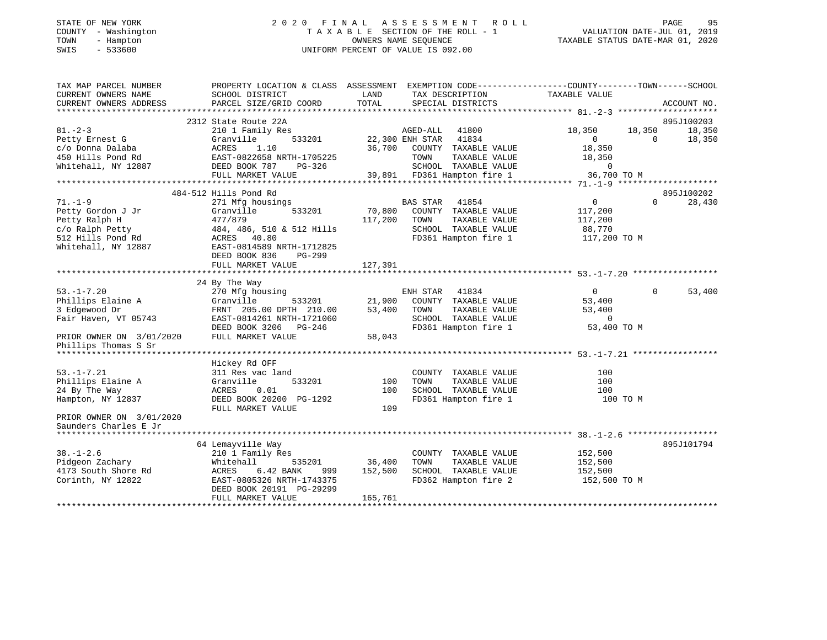# STATE OF NEW YORK 2 0 2 0 F I N A L A S S E S S M E N T R O L L PAGE 95 COUNTY - Washington T A X A B L E SECTION OF THE ROLL - 1 VALUATION DATE-JUL 01, 2019 TOWN - Hampton OWNERS NAME SEQUENCE TAXABLE STATUS DATE-MAR 01, 2020 SWIS - 533600 UNIFORM PERCENT OF VALUE IS 092.00

| TAX MAP PARCEL NUMBER<br>CURRENT OWNERS NAME                                                                                                 | SCHOOL DISTRICT                                                                                                                                                                       | LAND                         | PROPERTY LOCATION & CLASS ASSESSMENT EXEMPTION CODE---------------COUNTY-------TOWN-----SCHOOL<br>TAX DESCRIPTION                                       | TAXABLE VALUE                                                       |                        |                  |
|----------------------------------------------------------------------------------------------------------------------------------------------|---------------------------------------------------------------------------------------------------------------------------------------------------------------------------------------|------------------------------|---------------------------------------------------------------------------------------------------------------------------------------------------------|---------------------------------------------------------------------|------------------------|------------------|
| CURRENT OWNERS ADDRESS                                                                                                                       | PARCEL SIZE/GRID COORD                                                                                                                                                                | TOTAL                        | SPECIAL DISTRICTS                                                                                                                                       |                                                                     | ACCOUNT NO.            |                  |
|                                                                                                                                              | 2312 State Route 22A                                                                                                                                                                  |                              |                                                                                                                                                         |                                                                     | 895J100203             |                  |
| $81. -2 - 3$<br>Petty Ernest G<br>c/o Donna Dalaba<br>450 Hills Pond Rd<br>Whitehall, NY 12887                                               | 210 1 Family Res<br>Granville<br>ACRES<br>1.10<br>EAST-0822658 NRTH-1705225<br>DEED BOOK 787<br>PG-326<br>FULL MARKET VALUE                                                           | 533201 22,300 ENH STAR       | 41800<br>AGED-ALL<br>41834<br>36,700 COUNTY TAXABLE VALUE<br>TOWN<br>TAXABLE VALUE<br>SCHOOL TAXABLE VALUE 0<br>39,891 FD361 Hampton fire 1 36,700 TO M | 18,350<br>$\overline{0}$<br>18,350<br>18,350                        | 18,350<br>$\Omega$     | 18,350<br>18,350 |
|                                                                                                                                              |                                                                                                                                                                                       |                              |                                                                                                                                                         |                                                                     |                        |                  |
| $71. - 1 - 9$<br>Petty Gordon J Jr<br>Petty Ralph H<br>c/o Ralph Petty 484, 486, 510<br>512 Hills Pond Rd ACRES 40.80<br>Whitehall, NY 12887 | 484-512 Hills Pond Rd<br>271 Mfg housings<br>533201<br>Granville<br>477/879<br>484, 486, 510 & 512 Hills<br>EAST-0814589 NRTH-1712825<br>DEED BOOK 836<br>PG-299<br>FULL MARKET VALUE | 70,800<br>117,200<br>127,391 | <b>BAS STAR</b><br>41854<br>COUNTY TAXABLE VALUE<br>TAXABLE VALUE<br>TOWN<br>SCHOOL TAXABLE VALUE<br>FD361 Hampton fire 1                               | $\overline{0}$<br>117,200<br>117,200<br>88,770<br>117,200 TO M      | 895J100202<br>$\Omega$ | 28,430           |
|                                                                                                                                              |                                                                                                                                                                                       |                              |                                                                                                                                                         |                                                                     |                        |                  |
| $53. - 1 - 7.20$<br>Phillips Elaine A<br>3 Edgewood Dr<br>Fair Haven, VT 05743<br>PRIOR OWNER ON 3/01/2020<br>Phillips Thomas S Sr           | 24 By The Way<br>270 Mfg housing<br>533201<br>Granville<br>FRNT 205.00 DPTH 210.00<br>EAST-0814261 NRTH-1721060<br>DEED BOOK 3206 PG-246<br>FULL MARKET VALUE                         | 21,900<br>53,400<br>58,043   | ENH STAR 41834<br>COUNTY TAXABLE VALUE<br>TOWN<br>TAXABLE VALUE<br>SCHOOL TAXABLE VALUE<br>FD361 Hampton fire 1                                         | $\overline{0}$<br>53,400<br>53,400<br>$\overline{0}$<br>53,400 TO M | $\Omega$               | 53,400           |
|                                                                                                                                              |                                                                                                                                                                                       |                              |                                                                                                                                                         |                                                                     |                        |                  |
| $53. -1 - 7.21$<br>Phillips Elaine A<br>24 By The Way<br>Hampton, NY 12837                                                                   | Hickey Rd OFF<br>311 Res vac land<br>Granville<br>533201<br>ACRES<br>0.01<br>DEED BOOK 20200 PG-1292<br>FULL MARKET VALUE                                                             | 100<br>100<br>109            | COUNTY TAXABLE VALUE<br>TAXABLE VALUE<br>TOWN<br>SCHOOL TAXABLE VALUE<br>FD361 Hampton fire 1                                                           | 100<br>100<br>100<br>100 TO M                                       |                        |                  |
| PRIOR OWNER ON 3/01/2020<br>Saunders Charles E Jr                                                                                            |                                                                                                                                                                                       |                              |                                                                                                                                                         |                                                                     |                        |                  |
|                                                                                                                                              |                                                                                                                                                                                       |                              |                                                                                                                                                         |                                                                     |                        |                  |
| $38. - 1 - 2.6$<br>Pidgeon Zachary<br>4173 South Shore Rd<br>Corinth, NY 12822                                                               | 64 Lemayville Way<br>210 1 Family Res<br>Whitehall<br>535201<br>6.42 BANK<br>ACRES<br>999<br>EAST-0805326 NRTH-1743375<br>DEED BOOK 20191 PG-29299<br>FULL MARKET VALUE               | 36,400<br>152,500<br>165,761 | COUNTY TAXABLE VALUE<br>TAXABLE VALUE<br>TOWN<br>SCHOOL TAXABLE VALUE<br>FD362 Hampton fire 2                                                           | 152,500<br>152,500<br>152,500<br>152,500 TO M                       | 895J101794             |                  |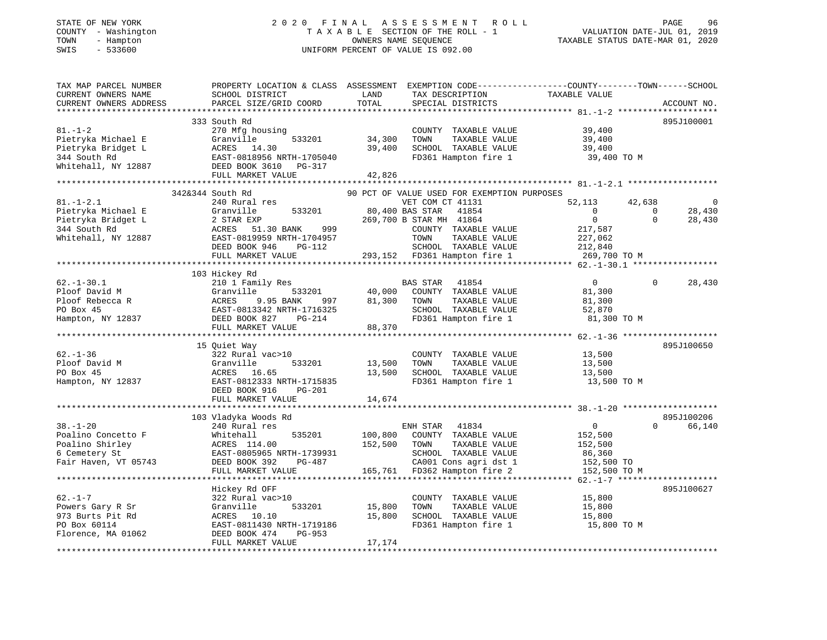# STATE OF NEW YORK 2 0 2 0 F I N A L A S S E S S M E N T R O L L PAGE 96 COUNTY - Washington T A X A B L E SECTION OF THE ROLL - 1 VALUATION DATE-JUL 01, 2019 TOWN - Hampton OWNERS NAME SEQUENCE TAXABLE STATUS DATE-MAR 01, 2020 SWIS - 533600 UNIFORM PERCENT OF VALUE IS 092.00

| TAX MAP PARCEL NUMBER<br>CURRENT OWNERS NAME<br>CURRENT OWNERS ADDRESS                             | PROPERTY LOCATION & CLASS ASSESSMENT<br>SCHOOL DISTRICT<br>PARCEL SIZE/GRID COORD                                                                             | LAND<br>TOTAL              | EXEMPTION CODE-----------------COUNTY-------TOWN------SCHOOL<br>TAX DESCRIPTION<br>SPECIAL DISTRICTS                                                                                                                    | TAXABLE VALUE                                                                      |                                      | ACCOUNT NO.          |
|----------------------------------------------------------------------------------------------------|---------------------------------------------------------------------------------------------------------------------------------------------------------------|----------------------------|-------------------------------------------------------------------------------------------------------------------------------------------------------------------------------------------------------------------------|------------------------------------------------------------------------------------|--------------------------------------|----------------------|
| **************                                                                                     |                                                                                                                                                               | **********                 |                                                                                                                                                                                                                         |                                                                                    |                                      |                      |
| $81. - 1 - 2$<br>Pietryka Michael E<br>Pietryka Bridget L<br>344 South Rd<br>Whitehall, NY 12887   | 333 South Rd<br>270 Mfg housing<br>533201<br>Granville<br>ACRES 14.30<br>EAST-0818956 NRTH-1705040<br>DEED BOOK 3610<br>PG-317<br>FULL MARKET VALUE           | 34,300<br>39,400<br>42,826 | COUNTY TAXABLE VALUE<br>TAXABLE VALUE<br>TOWN<br>SCHOOL TAXABLE VALUE<br>FD361 Hampton fire 1                                                                                                                           | 39,400<br>39,400<br>39,400<br>39,400 TO M                                          |                                      | 895J100001           |
|                                                                                                    | 342&344 South Rd                                                                                                                                              |                            |                                                                                                                                                                                                                         |                                                                                    |                                      |                      |
| $81. - 1 - 2.1$<br>Pietryka Michael E<br>Pietryka Bridget L<br>344 South Rd<br>Whitehall, NY 12887 | 240 Rural res<br>Granville<br>533201<br>2 STAR EXP<br>ACRES<br>51.30 BANK<br>999<br>EAST-0819959 NRTH-1704957<br>DEED BOOK 946<br>PG-112<br>FULL MARKET VALUE | 293,152                    | 90 PCT OF VALUE USED FOR EXEMPTION PURPOSES<br>VET COM CT 41131<br>80,400 BAS STAR<br>41854<br>269,700 B STAR MH 41864<br>COUNTY TAXABLE VALUE<br>TOWN<br>TAXABLE VALUE<br>SCHOOL TAXABLE VALUE<br>FD361 Hampton fire 1 | 52,113<br>$\Omega$<br>$\mathbf 0$<br>217,587<br>227,062<br>212,840<br>269,700 TO M | 42,638<br>$\mathbf 0$<br>$\mathbf 0$ | 28,430<br>28,430     |
|                                                                                                    |                                                                                                                                                               |                            |                                                                                                                                                                                                                         |                                                                                    |                                      |                      |
| $62. - 1 - 30.1$                                                                                   | 103 Hickey Rd<br>210 1 Family Res                                                                                                                             |                            | BAS STAR<br>41854                                                                                                                                                                                                       | $\mathbf{0}$                                                                       | 0                                    | 28,430               |
| Ploof David M<br>Ploof Rebecca R<br>PO Box 45<br>Hampton, NY 12837                                 | Granville<br>533201<br>9.95 BANK<br>ACRES<br>997<br>EAST-0813342 NRTH-1716325<br>DEED BOOK 827<br>$PG-214$                                                    | 40,000<br>81,300           | COUNTY TAXABLE VALUE<br>TAXABLE VALUE<br>TOWN<br>SCHOOL TAXABLE VALUE<br>FD361 Hampton fire 1                                                                                                                           | 81,300<br>81,300<br>52,870<br>81,300 TO M                                          |                                      |                      |
|                                                                                                    | FULL MARKET VALUE                                                                                                                                             | 88,370                     |                                                                                                                                                                                                                         |                                                                                    |                                      |                      |
|                                                                                                    |                                                                                                                                                               |                            |                                                                                                                                                                                                                         |                                                                                    |                                      |                      |
| $62. - 1 - 36$<br>Ploof David M<br>PO Box 45<br>Hampton, NY 12837                                  | 15 Quiet Way<br>322 Rural vac>10<br>Granville<br>533201<br>ACRES<br>16.65<br>EAST-0812333 NRTH-1715835<br>DEED BOOK 916<br>PG-201<br>FULL MARKET VALUE        | 13,500<br>13,500<br>14,674 | COUNTY TAXABLE VALUE<br>TOWN<br>TAXABLE VALUE<br>SCHOOL TAXABLE VALUE<br>FD361 Hampton fire 1                                                                                                                           | 13,500<br>13,500<br>13,500<br>13,500 TO M                                          |                                      | 895J100650           |
|                                                                                                    | * * * * * * * * * * * * * * * * * * *                                                                                                                         |                            |                                                                                                                                                                                                                         |                                                                                    |                                      |                      |
| $38. - 1 - 20$<br>Poalino Concetto F<br>Poalino Shirley<br>6 Cemetery St<br>Fair Haven, VT 05743   | 103 Vladyka Woods Rd<br>240 Rural res<br>Whitehall<br>535201<br>ACRES 114.00<br>EAST-0805965 NRTH-1739931<br>DEED BOOK 392<br>PG-487                          | 100,800<br>152,500         | ENH STAR<br>41834<br>COUNTY TAXABLE VALUE<br>TOWN<br>TAXABLE VALUE<br>SCHOOL TAXABLE VALUE<br>CA001 Cons agri dst 1                                                                                                     | $\mathbf 0$<br>152,500<br>152,500<br>86,360<br>152,500 TO                          | $\Omega$                             | 895J100206<br>66,140 |
|                                                                                                    | FULL MARKET VALUE                                                                                                                                             | 165,761                    | FD362 Hampton fire 2                                                                                                                                                                                                    | 152,500 TO M                                                                       |                                      |                      |
|                                                                                                    |                                                                                                                                                               |                            |                                                                                                                                                                                                                         | $62. - 1 - 7$ ******                                                               |                                      |                      |
| $62. - 1 - 7$                                                                                      | Hickey Rd OFF<br>322 Rural vac>10                                                                                                                             |                            | COUNTY TAXABLE VALUE                                                                                                                                                                                                    | 15,800                                                                             |                                      | 895J100627           |
| Powers Gary R Sr<br>973 Burts Pit Rd<br>PO Box 60114                                               | Granville<br>533201<br>ACRES<br>10.10<br>EAST-0811430 NRTH-1719186                                                                                            | 15,800<br>15,800           | TOWN<br>TAXABLE VALUE<br>SCHOOL TAXABLE VALUE<br>FD361 Hampton fire 1                                                                                                                                                   | 15,800<br>15,800<br>15,800 TO M                                                    |                                      |                      |
| Florence, MA 01062                                                                                 | DEED BOOK 474<br>PG-953<br>FULL MARKET VALUE                                                                                                                  | 17,174                     |                                                                                                                                                                                                                         |                                                                                    |                                      |                      |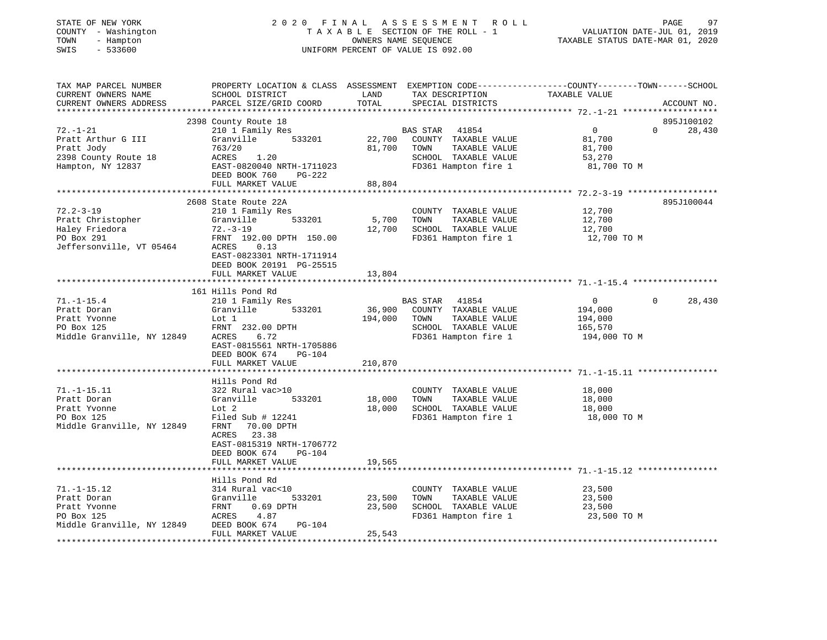# STATE OF NEW YORK 2 0 2 0 F I N A L A S S E S S M E N T R O L L PAGE 97 COUNTY - Washington T A X A B L E SECTION OF THE ROLL - 1 VALUATION DATE-JUL 01, 2019 TOWN - Hampton OWNERS NAME SEQUENCE TAXABLE STATUS DATE-MAR 01, 2020 SWIS - 533600 UNIFORM PERCENT OF VALUE IS 092.00

| TAX MAP PARCEL NUMBER                  | PROPERTY LOCATION & CLASS ASSESSMENT EXEMPTION CODE----------------COUNTY-------TOWN------SCHOOL |              |                                                     |                   |          |             |
|----------------------------------------|--------------------------------------------------------------------------------------------------|--------------|-----------------------------------------------------|-------------------|----------|-------------|
| CURRENT OWNERS NAME                    | SCHOOL DISTRICT                                                                                  | LAND         | TAX DESCRIPTION                                     | TAXABLE VALUE     |          |             |
| CURRENT OWNERS ADDRESS                 | PARCEL SIZE/GRID COORD                                                                           | TOTAL        | SPECIAL DISTRICTS                                   |                   |          | ACCOUNT NO. |
|                                        |                                                                                                  |              |                                                     |                   |          |             |
|                                        | 2398 County Route 18                                                                             |              |                                                     |                   |          | 895J100102  |
| $72. - 1 - 21$                         | 210 1 Family Res                                                                                 |              | BAS STAR 41854<br>22,700 COUNTY TAXABLE VALUE       | $0 \qquad \qquad$ | $\Omega$ | 28,430      |
| Pratt Arthur G III                     | 533201<br>Granville                                                                              |              |                                                     | 81,700            |          |             |
| Pratt Jody                             | 763/20                                                                                           | 81,700       | TAXABLE VALUE<br>TOWN                               | 81,700            |          |             |
| 2398 County Route 18                   | 1.20<br>ACRES                                                                                    |              | SCHOOL TAXABLE VALUE                                | 53,270            |          |             |
| Hampton, NY 12837                      | EAST-0820040 NRTH-1711023                                                                        |              | FD361 Hampton fire 1                                | 81,700 TO M       |          |             |
|                                        | DEED BOOK 760<br>PG-222                                                                          |              |                                                     |                   |          |             |
|                                        | FULL MARKET VALUE                                                                                | 88,804       |                                                     |                   |          |             |
|                                        |                                                                                                  |              |                                                     |                   |          | 895J100044  |
| $72.2 - 3 - 19$                        | 2608 State Route 22A                                                                             |              |                                                     |                   |          |             |
|                                        | 210 1 Family Res<br>533201                                                                       |              | COUNTY TAXABLE VALUE                                | 12,700            |          |             |
| Pratt Christopher                      | Granville                                                                                        | 5,700 TOWN   | TAXABLE VALUE                                       | 12,700            |          |             |
| Haley Friedora                         | 72.-3-19                                                                                         |              | 12,700 SCHOOL TAXABLE VALUE<br>FD361 Hampton fire 1 | 12,700            |          |             |
| PO Box 291<br>Jeffersonville, VT 05464 | FRNT 192.00 DPTH 150.00                                                                          |              |                                                     | 12,700 TO M       |          |             |
|                                        | ACRES 0.13                                                                                       |              |                                                     |                   |          |             |
|                                        | EAST-0823301 NRTH-1711914                                                                        |              |                                                     |                   |          |             |
|                                        | DEED BOOK 20191 PG-25515                                                                         |              |                                                     |                   |          |             |
|                                        | FULL MARKET VALUE                                                                                | 13,804       |                                                     |                   |          |             |
|                                        |                                                                                                  |              |                                                     |                   |          |             |
| $71. - 1 - 15.4$                       | 161 Hills Pond Rd<br>210 1 Family Res                                                            |              | BAS STAR 41854                                      | $\overline{0}$    | $\Omega$ | 28,430      |
| Pratt Doran                            | 533201<br>Granville                                                                              |              | 36,900 COUNTY TAXABLE VALUE                         | 194,000           |          |             |
| Pratt Yvonne                           | Lot 1                                                                                            | 194,000 TOWN | TAXABLE VALUE                                       | 194,000           |          |             |
| PO Box 125                             | FRNT 232.00 DPTH                                                                                 |              | SCHOOL TAXABLE VALUE                                | 165,570           |          |             |
| Middle Granville, NY 12849             | ACRES<br>6.72                                                                                    |              | FD361 Hampton fire 1                                | 194,000 TO M      |          |             |
|                                        | EAST-0815561 NRTH-1705886                                                                        |              |                                                     |                   |          |             |
|                                        | PG-104                                                                                           |              |                                                     |                   |          |             |
|                                        | DEED BOOK 674<br>FULL MARKET VALUE                                                               | 210,870      |                                                     |                   |          |             |
|                                        |                                                                                                  |              |                                                     |                   |          |             |
|                                        | Hills Pond Rd                                                                                    |              |                                                     |                   |          |             |
| $71. - 1 - 15.11$                      | 322 Rural vac>10                                                                                 |              | COUNTY TAXABLE VALUE                                | 18,000            |          |             |
| Pratt Doran                            | Granville<br>533201                                                                              | 18,000       | TAXABLE VALUE<br>TOWN                               | 18,000            |          |             |
| Pratt Yvonne                           | Lot 2                                                                                            | 18,000       | SCHOOL TAXABLE VALUE                                | 18,000            |          |             |
| PO Box 125                             | Filed Sub # 12241                                                                                |              | FD361 Hampton fire 1                                | 18,000 TO M       |          |             |
| Middle Granville, NY 12849             | FRNT<br>70.00 DPTH                                                                               |              |                                                     |                   |          |             |
|                                        | 23.38<br>ACRES                                                                                   |              |                                                     |                   |          |             |
|                                        | EAST-0815319 NRTH-1706772                                                                        |              |                                                     |                   |          |             |
|                                        | DEED BOOK 674<br>PG-104                                                                          |              |                                                     |                   |          |             |
|                                        | FULL MARKET VALUE                                                                                | 19,565       |                                                     |                   |          |             |
|                                        |                                                                                                  |              |                                                     |                   |          |             |
|                                        | Hills Pond Rd                                                                                    |              |                                                     |                   |          |             |
| $71. - 1 - 15.12$                      | 314 Rural vac<10                                                                                 |              | COUNTY TAXABLE VALUE                                | 23,500            |          |             |
| Pratt Doran                            | Granville<br>533201                                                                              | 23,500       | TAXABLE VALUE<br>TOWN                               | 23,500            |          |             |
| Pratt Yvonne                           | FRNT<br>$0.69$ DPTH                                                                              | 23,500       | SCHOOL TAXABLE VALUE                                | 23,500            |          |             |
| PO Box 125                             | ACRES<br>4.87                                                                                    |              | FD361 Hampton fire 1                                | 23,500 TO M       |          |             |
| Middle Granville, NY 12849             | DEED BOOK 674<br>PG-104                                                                          |              |                                                     |                   |          |             |
|                                        | FULL MARKET VALUE                                                                                | 25,543       |                                                     |                   |          |             |
|                                        |                                                                                                  |              |                                                     |                   |          |             |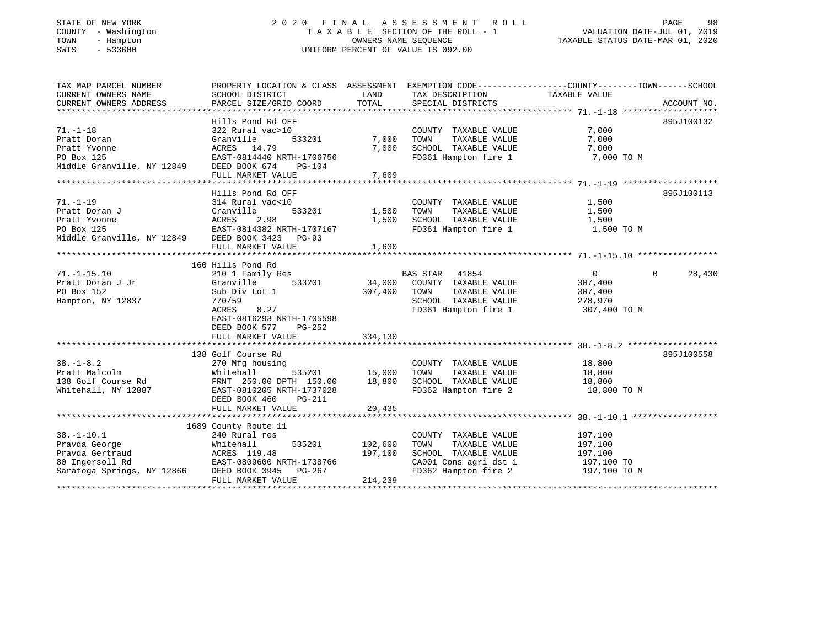#### STATE OF NEW YORK GALL 2020 FINAL ASSESSMENT ROLL GALL PAGE 98 COUNTY - Washington T A X A B L E SECTION OF THE ROLL - 1 VALUATION DATE-JUL 01, 2019 TOWN - Hampton OWNERS NAME SEQUENCE TAXABLE STATUS DATE-MAR 01, 2020 SWIS - 533600 UNIFORM PERCENT OF VALUE IS 092.00

# VALUATION DATE-JUL 01, 2019

| TAX MAP PARCEL NUMBER                                  | PROPERTY LOCATION & CLASS ASSESSMENT EXEMPTION CODE---------------COUNTY-------TOWN------SCHOOL |               |                                   |                |                    |
|--------------------------------------------------------|-------------------------------------------------------------------------------------------------|---------------|-----------------------------------|----------------|--------------------|
| CURRENT OWNERS NAME                                    | SCHOOL DISTRICT                                                                                 | LAND          | TAX DESCRIPTION                   | TAXABLE VALUE  |                    |
| CURRENT OWNERS ADDRESS                                 | PARCEL SIZE/GRID COORD                                                                          | TOTAL         | SPECIAL DISTRICTS                 |                | ACCOUNT NO.        |
|                                                        |                                                                                                 |               |                                   |                |                    |
|                                                        | Hills Pond Rd OFF                                                                               |               |                                   |                | 895J100132         |
| $71. - 1 - 18$                                         | 322 Rural vac>10                                                                                |               | COUNTY TAXABLE VALUE              | 7,000          |                    |
| Pratt Doran                                            | 533201<br>Granville                                                                             | 7,000         | TOWN<br>TAXABLE VALUE             | 7,000          |                    |
| Pratt Yvonne                                           | ACRES 14.79                                                                                     | 7,000         | SCHOOL TAXABLE VALUE              | 7,000          |                    |
| PO Box 125<br>Middle Granville, NY 12849 DEED BOOK 674 | EAST-0814440 NRTH-1706756                                                                       |               | FD361 Hampton fire 1              | 7,000 TO M     |                    |
|                                                        | PG-104                                                                                          |               |                                   |                |                    |
|                                                        | FULL MARKET VALUE                                                                               | 7,609         |                                   |                |                    |
|                                                        |                                                                                                 |               |                                   |                |                    |
|                                                        | Hills Pond Rd OFF                                                                               |               |                                   |                | 895J100113         |
| $71. - 1 - 19$                                         | 314 Rural vac<10                                                                                |               | COUNTY TAXABLE VALUE              | 1,500          |                    |
| Pratt Doran J                                          | Granville<br>533201                                                                             | 1,500         | TOWN<br>TAXABLE VALUE             | 1,500          |                    |
|                                                        |                                                                                                 | 1,500         | SCHOOL TAXABLE VALUE              | 1,500          |                    |
|                                                        |                                                                                                 |               | FD361 Hampton fire 1              | 1,500 TO M     |                    |
|                                                        |                                                                                                 |               |                                   |                |                    |
|                                                        | FULL MARKET VALUE                                                                               | 1,630         |                                   |                |                    |
|                                                        |                                                                                                 |               |                                   |                |                    |
|                                                        | 160 Hills Pond Rd                                                                               |               |                                   |                |                    |
| $71. - 1 - 15.10$                                      | 210 1 Family Res                                                                                |               | <b>BAS STAR</b><br>41854          | $\overline{0}$ | $\Omega$<br>28,430 |
| Pratt Doran J Jr                                       | Granville<br>533201                                                                             | 34,000        | COUNTY TAXABLE VALUE              | 307,400        |                    |
| PO Box 152                                             | Sub Div Lot 1                                                                                   | 307,400       | TAXABLE VALUE<br>TOWN             | 307,400        |                    |
| Hampton, NY 12837                                      | 770/59                                                                                          |               | SCHOOL TAXABLE VALUE 278,970      |                |                    |
|                                                        | ACRES<br>8.27                                                                                   |               | FD361 Hampton fire 1              | 307,400 TO M   |                    |
|                                                        | EAST-0816293 NRTH-1705598                                                                       |               |                                   |                |                    |
|                                                        | DEED BOOK 577<br>PG-252                                                                         |               |                                   |                |                    |
|                                                        | FULL MARKET VALUE                                                                               | 334,130       |                                   |                |                    |
|                                                        |                                                                                                 |               |                                   |                |                    |
| $38. - 1 - 8.2$                                        | 138 Golf Course Rd                                                                              |               |                                   |                | 895J100558         |
|                                                        | 270 Mfg housing                                                                                 |               | COUNTY TAXABLE VALUE              | 18,800         |                    |
| Pratt Malcolm                                          | Whitehall                                                                                       | 535201 15,000 | TOWN<br>TAXABLE VALUE             | 18,800         |                    |
| 138 Golf Course Rd                                     | FRNT 250.00 DPTH 150.00                                                                         | 18,800        | SCHOOL TAXABLE VALUE              | 18,800         |                    |
| Whitehall, NY 12887                                    | EAST-0810205 NRTH-1737028                                                                       |               | FD362 Hampton fire 2              | 18,800 TO M    |                    |
|                                                        | DEED BOOK 460<br>PG-211                                                                         |               |                                   |                |                    |
|                                                        | FULL MARKET VALUE                                                                               | 20,435        |                                   |                |                    |
|                                                        | 1689 County Route 11                                                                            |               |                                   |                |                    |
| $38. - 1 - 10.1$                                       | 240 Rural res                                                                                   |               | COUNTY TAXABLE VALUE              | 197,100        |                    |
| Pravda George                                          | 535201<br>Whitehall                                                                             | 102,600       | TOWN<br>TAXABLE VALUE             | 197,100        |                    |
| Pravda Gertraud                                        |                                                                                                 | 197,100       | SCHOOL TAXABLE VALUE              | 197,100        |                    |
| 80 Ingersoll Rd                                        | ACRES 119.48<br>EAST-0809600 NRTH-1738766                                                       |               | CA001 Cons agri dst 1             | 197,100 TO     |                    |
| Saratoga Springs, NY 12866                             | DEED BOOK 3945 PG-267                                                                           |               | FD362 Hampton fire 2 197,100 TO M |                |                    |
|                                                        | FULL MARKET VALUE                                                                               | 214,239       |                                   |                |                    |
|                                                        |                                                                                                 |               |                                   |                |                    |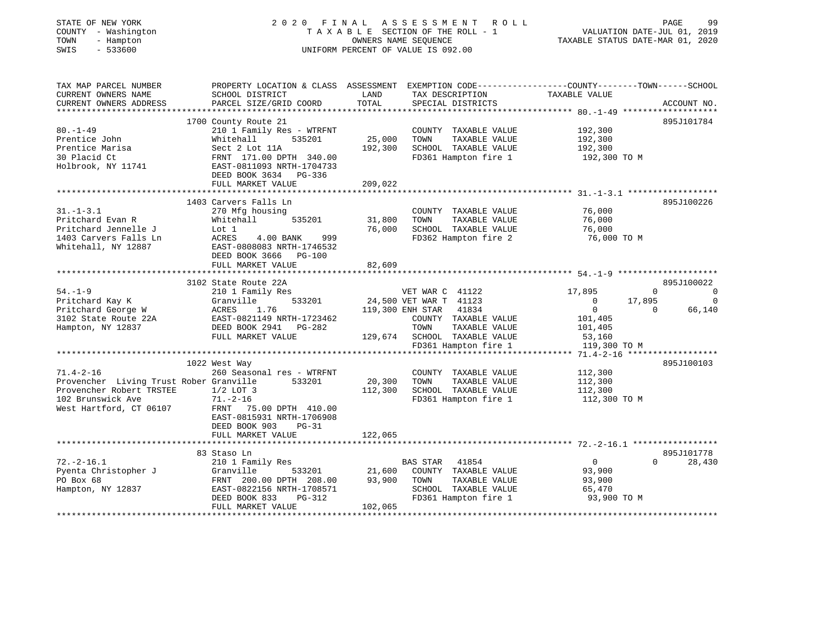| STATE OF NEW YORK<br>COUNTY - Washington<br>TOWN<br>- Hampton<br>SWIS<br>$-533600$                                                     |                                                                                                                                                                                                  |                              | 2020 FINAL ASSESSMENT ROLL<br>TAXABLE SECTION OF THE ROLL - 1<br>OWNERS NAME SEQUENCE<br>UNIFORM PERCENT OF VALUE IS 092.00                  | VALUATION DATE-JUL 01, 2019<br>TAXABLE STATUS DATE-MAR 01, 2020                                              | PAGE<br>99                                           |
|----------------------------------------------------------------------------------------------------------------------------------------|--------------------------------------------------------------------------------------------------------------------------------------------------------------------------------------------------|------------------------------|----------------------------------------------------------------------------------------------------------------------------------------------|--------------------------------------------------------------------------------------------------------------|------------------------------------------------------|
| TAX MAP PARCEL NUMBER<br>CURRENT OWNERS NAME<br>CURRENT OWNERS ADDRESS<br>***********************                                      | PROPERTY LOCATION & CLASS ASSESSMENT EXEMPTION CODE---------------COUNTY-------TOWN-----SCHOOL<br>SCHOOL DISTRICT<br>PARCEL SIZE/GRID COORD                                                      | LAND<br>TOTAL                | TAX DESCRIPTION<br>SPECIAL DISTRICTS                                                                                                         | TAXABLE VALUE                                                                                                | ACCOUNT NO.                                          |
| $80. - 1 - 49$<br>Prentice John<br>Prentice Marisa<br>30 Placid Ct<br>Holbrook, NY 11741                                               | 1700 County Route 21<br>210 1 Family Res - WTRFNT<br>Whitehall<br>535201<br>Sect 2 Lot 11A<br>FRNT 171.00 DPTH 340.00<br>EAST-0811093 NRTH-1704733<br>DEED BOOK 3634 PG-336<br>FULL MARKET VALUE | 25,000<br>192,300<br>209,022 | COUNTY TAXABLE VALUE<br>TOWN<br>TAXABLE VALUE<br>SCHOOL TAXABLE VALUE<br>FD361 Hampton fire 1                                                | 192,300<br>192,300<br>192,300<br>192,300 TO M                                                                | 895J101784                                           |
|                                                                                                                                        |                                                                                                                                                                                                  |                              |                                                                                                                                              |                                                                                                              |                                                      |
| $31. - 1 - 3.1$<br>Pritchard Evan R<br>Pritchard Jennelle J<br>1403 Carvers Falls Ln<br>Whitehall, NY 12887                            | 1403 Carvers Falls Ln<br>270 Mfg housing<br>Whitehall<br>535201<br>Lot 1<br>ACRES<br>4.00 BANK<br>999<br>EAST-0808083 NRTH-1746532<br>DEED BOOK 3666 PG-100                                      | 31,800<br>76,000             | COUNTY TAXABLE VALUE<br>TOWN<br>TAXABLE VALUE<br>SCHOOL TAXABLE VALUE<br>FD362 Hampton fire 2                                                | 76,000<br>76,000<br>76,000<br>76,000 TO M                                                                    | 895J100226                                           |
|                                                                                                                                        | FULL MARKET VALUE                                                                                                                                                                                | 82,609                       |                                                                                                                                              |                                                                                                              |                                                      |
|                                                                                                                                        |                                                                                                                                                                                                  |                              |                                                                                                                                              |                                                                                                              |                                                      |
|                                                                                                                                        | 3102 State Route 22A                                                                                                                                                                             |                              |                                                                                                                                              |                                                                                                              | 895J100022                                           |
| $54. - 1 - 9$<br>Pritchard Kay K<br>Pritchard George W<br>3102 State Route 22A<br>Hampton, NY 12837                                    | 210 1 Family Res<br>533201<br>Granville<br>ACRES<br>1.76<br>EAST-0821149 NRTH-1723462<br>DEED BOOK 2941 PG-282<br>FULL MARKET VALUE                                                              | 129,674                      | VET WAR C 41122<br>24,500 VET WAR T 41123<br>119,300 ENH STAR 41834<br>COUNTY TAXABLE VALUE<br>TOWN<br>TAXABLE VALUE<br>SCHOOL TAXABLE VALUE | 17,895<br>$\mathbf 0$<br>17,895<br>$\mathbf 0$<br>$\overline{0}$<br>$\Omega$<br>101,405<br>101,405<br>53,160 | $\overline{0}$<br>$\overline{\phantom{0}}$<br>66,140 |
|                                                                                                                                        |                                                                                                                                                                                                  |                              | FD361 Hampton fire 1                                                                                                                         | 119,300 TO M                                                                                                 |                                                      |
| $71.4 - 2 - 16$<br>Provencher Living Trust Rober Granville<br>Provencher Robert TRSTEE<br>102 Brunswick Ave<br>West Hartford, CT 06107 | 1022 West Way<br>260 Seasonal res - WTRFNT<br>533201<br>$1/2$ LOT 3<br>$71. - 2 - 16$<br>FRNT 75.00 DPTH 410.00<br>EAST-0815931 NRTH-1706908<br>DEED BOOK 903<br>$PG-31$                         | 20,300<br>112,300            | COUNTY TAXABLE VALUE<br>TOWN<br>TAXABLE VALUE<br>SCHOOL TAXABLE VALUE<br>FD361 Hampton fire 1                                                | 112,300<br>112,300<br>112,300<br>112,300 TO M                                                                | 895J100103                                           |
|                                                                                                                                        | FULL MARKET VALUE                                                                                                                                                                                | 122,065                      |                                                                                                                                              |                                                                                                              |                                                      |
| $72. -2 - 16.1$<br>Pyenta Christopher J<br>PO Box 68<br>Hampton, NY 12837                                                              | 83 Staso Ln<br>210 1 Family Res<br>533201<br>Granville<br>FRNT 200.00 DPTH 208.00<br>EAST-0822156 NRTH-1708571<br>DEED BOOK 833<br>PG-312<br>FULL MARKET VALUE                                   | 21,600<br>93,900<br>102,065  | BAS STAR 41854<br>COUNTY TAXABLE VALUE<br>TOWN<br>TAXABLE VALUE<br>SCHOOL TAXABLE VALUE<br>FD361 Hampton fire 1                              | $\overline{0}$<br>93,900<br>93,900<br>65,470<br>93,900 TO M                                                  | 895J101778<br>$\Omega$<br>28,430                     |
|                                                                                                                                        |                                                                                                                                                                                                  |                              | ***************************                                                                                                                  |                                                                                                              | + + + + + + + + + + + + + + + + + + +                |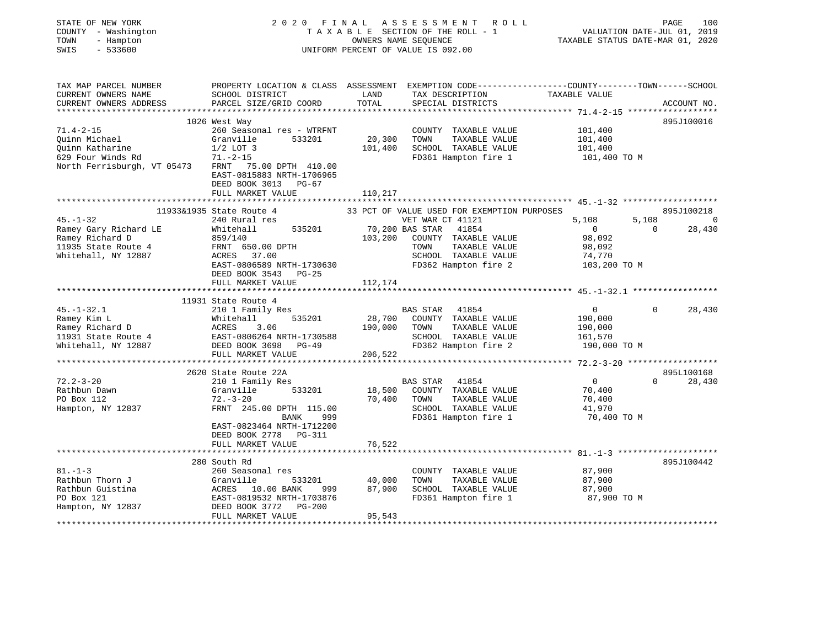| STATE OF NEW YORK           | 2020 FINAL                                                                                             |                      | ASSESSMENT<br>R O L L                         |                                          |             | 100<br>PAGE |
|-----------------------------|--------------------------------------------------------------------------------------------------------|----------------------|-----------------------------------------------|------------------------------------------|-------------|-------------|
| COUNTY - Washington         |                                                                                                        |                      | TAXABLE SECTION OF THE ROLL - 1               | VALUATION DATE-JUL 01, 2019              |             |             |
| TOWN<br>- Hampton           |                                                                                                        | OWNERS NAME SEOUENCE |                                               | TAXABLE STATUS DATE-MAR 01, 2020         |             |             |
| SWIS<br>$-533600$           |                                                                                                        |                      | UNIFORM PERCENT OF VALUE IS 092.00            |                                          |             |             |
| TAX MAP PARCEL NUMBER       | PROPERTY LOCATION & CLASS ASSESSMENT EXEMPTION CODE---------------COUNTY-------TOWN------SCHOOL        |                      |                                               |                                          |             |             |
| CURRENT OWNERS NAME         | SCHOOL DISTRICT                                                                                        | LAND                 | TAX DESCRIPTION                               | TAXABLE VALUE                            |             |             |
| CURRENT OWNERS ADDRESS      | PARCEL SIZE/GRID COORD                                                                                 | TOTAL                | SPECIAL DISTRICTS                             |                                          |             | ACCOUNT NO. |
|                             |                                                                                                        |                      |                                               |                                          |             |             |
|                             | 1026 West Way                                                                                          |                      |                                               |                                          |             | 895J100016  |
| $71.4 - 2 - 15$             | 260 Seasonal res - WTRFNT                                                                              |                      | COUNTY<br>TAXABLE VALUE                       | 101,400                                  |             |             |
| Quinn Michael               | Granville<br>533201                                                                                    | 20,300               | TOWN<br>TAXABLE VALUE                         | 101,400                                  |             |             |
| Quinn Katharine             | $1/2$ LOT 3                                                                                            | 101,400              | SCHOOL TAXABLE VALUE                          | 101,400                                  |             |             |
| 629 Four Winds Rd           | $71. - 2 - 15$                                                                                         |                      | FD361 Hampton fire 1                          | 101,400 TO M                             |             |             |
| North Ferrisburgh, VT 05473 | 75.00 DPTH 410.00<br>FRNT<br>EAST-0815883 NRTH-1706965<br>DEED BOOK 3013<br>PG-67<br>FULL MARKET VALUE | 110,217              |                                               |                                          |             |             |
|                             |                                                                                                        |                      |                                               |                                          |             |             |
|                             | 11933&1935 State Route 4                                                                               |                      | 33 PCT OF VALUE USED FOR EXEMPTION PURPOSES   |                                          |             | 895J100218  |
| $45. - 1 - 32$              | 240 Rural res                                                                                          |                      | VET WAR CT 41121                              | 5,108                                    | 5,108       | 0           |
| Ramey Gary Richard LE       | 535201<br>Whitehall                                                                                    |                      | 70,200 BAS STAR<br>41854                      | $\mathbf{0}$                             | $\mathbf 0$ | 28,430      |
| Ramey Richard D             | 859/140                                                                                                | 103,200              | COUNTY TAXABLE VALUE                          | 98,092                                   |             |             |
| 11935 State Route 4         | FRNT 650.00 DPTH<br>ACRES 37.00                                                                        |                      | TOWN<br>TAXABLE VALUE<br>SCHOOL TAXABLE VALUE | 98,092<br>74,770                         |             |             |
| Whitehall, NY 12887         | EAST-0806589 NRTH-1730630                                                                              |                      | FD362 Hampton fire 2                          | 103,200 TO M                             |             |             |
|                             | DEED BOOK 3543<br>PG-25                                                                                |                      |                                               |                                          |             |             |
|                             | FULL MARKET VALUE                                                                                      | 112,174              |                                               |                                          |             |             |
|                             |                                                                                                        |                      |                                               |                                          |             |             |
|                             | 11931 State Route 4                                                                                    |                      |                                               |                                          |             |             |
| $45. - 1 - 32.1$            | 210 1 Family Res                                                                                       |                      | 41854<br>BAS STAR                             | $\overline{0}$                           | $\Omega$    | 28,430      |
| Ramey Kim L                 | 535201<br>Whitehall                                                                                    | 28,700               | COUNTY<br>TAXABLE VALUE                       | 190,000                                  |             |             |
| Ramey Richard D             | ACRES<br>3.06                                                                                          | 190,000              | TOWN<br>TAXABLE VALUE                         | 190,000                                  |             |             |
| 11931 State Route 4         | EAST-0806264 NRTH-1730588                                                                              |                      | SCHOOL TAXABLE VALUE                          | 161,570                                  |             |             |
| Whitehall, NY 12887         | DEED BOOK 3698<br>PG-49                                                                                |                      | FD362 Hampton fire 2                          | 190,000 TO M                             |             |             |
|                             | FULL MARKET VALUE                                                                                      | 206,522              |                                               |                                          |             |             |
|                             | ***********************                                                                                | ******************   |                                               | *********** 72.2-3-20 ****************** |             |             |
|                             | 2620 State Route 22A                                                                                   |                      |                                               |                                          |             | 895L100168  |
| $72.2 - 3 - 20$             | 210 1 Family Res                                                                                       |                      | <b>BAS STAR</b><br>41854                      | $\overline{0}$                           | $\Omega$    | 28,430      |
| Rathbun Dawn                | Granville<br>533201                                                                                    | 18,500               | COUNTY TAXABLE VALUE                          | 70,400                                   |             |             |
| PO Box 112                  | $72. - 3 - 20$                                                                                         | 70,400               | TOWN<br>TAXABLE VALUE                         | 70,400                                   |             |             |
| Hampton, NY 12837           | FRNT 245.00 DPTH 115.00<br>BANK<br>999                                                                 |                      | SCHOOL TAXABLE VALUE<br>FD361 Hampton fire 1  | 41,970<br>70,400 TO M                    |             |             |
|                             | EAST-0823464 NRTH-1712200                                                                              |                      |                                               |                                          |             |             |
|                             | DEED BOOK 2778 PG-311                                                                                  |                      |                                               |                                          |             |             |
|                             | FULL MARKET VALUE                                                                                      | 76,522               |                                               |                                          |             |             |
|                             |                                                                                                        |                      |                                               |                                          |             |             |
|                             | 280 South Rd                                                                                           |                      |                                               |                                          |             | 895J100442  |
| $81. - 1 - 3$               | 260 Seasonal res                                                                                       |                      | COUNTY TAXABLE VALUE                          | 87,900                                   |             |             |
| Rathbun Thorn J             | Granville<br>533201                                                                                    | 40,000               | TOWN<br>TAXABLE VALUE                         | 87,900                                   |             |             |
| Rathbun Guistina            | ACRES 10.00 BANK<br>999                                                                                | 87,900               | SCHOOL TAXABLE VALUE                          | 87,900                                   |             |             |
| PO Box 121                  | EAST-0819532 NRTH-1703876                                                                              |                      | FD361 Hampton fire 1                          | 87,900 TO M                              |             |             |
| Hampton, NY 12837           | DEED BOOK 3772<br>$PG-200$                                                                             |                      |                                               |                                          |             |             |
|                             | FULL MARKET VALUE                                                                                      | 95,543               |                                               |                                          |             |             |
|                             |                                                                                                        |                      |                                               |                                          |             |             |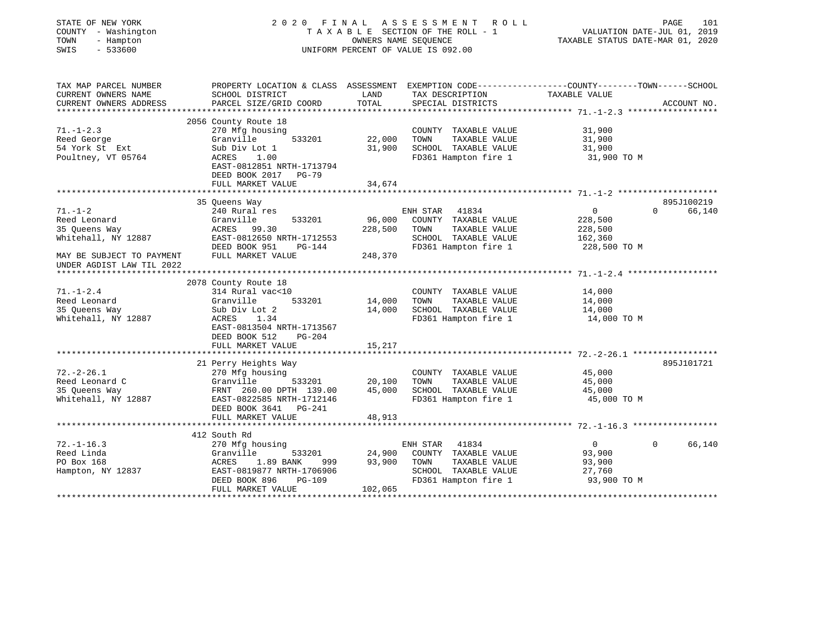| STATE OF NEW YORK<br>COUNTY - Washington<br>TOWN<br>- Hampton<br>SWIS<br>$-533600$ |                                                   | OWNERS NAME SEOUENCE | 2020 FINAL ASSESSMENT<br>R O L L<br>TAXABLE SECTION OF THE ROLL - 1<br>UNIFORM PERCENT OF VALUE IS 092.00         | TAXABLE STATUS DATE-MAR 01, 2020          | PAGE<br>101<br>VALUATION DATE-JUL 01, 2019 |
|------------------------------------------------------------------------------------|---------------------------------------------------|----------------------|-------------------------------------------------------------------------------------------------------------------|-------------------------------------------|--------------------------------------------|
| TAX MAP PARCEL NUMBER<br>CURRENT OWNERS NAME                                       | SCHOOL DISTRICT                                   | LAND                 | PROPERTY LOCATION & CLASS ASSESSMENT EXEMPTION CODE---------------COUNTY-------TOWN-----SCHOOL<br>TAX DESCRIPTION | TAXABLE VALUE                             |                                            |
| CURRENT OWNERS ADDRESS                                                             | PARCEL SIZE/GRID COORD                            | TOTAL                | SPECIAL DISTRICTS                                                                                                 |                                           | ACCOUNT NO.                                |
| *************                                                                      |                                                   |                      |                                                                                                                   | ***************** 71.-1-2.3 ************* |                                            |
|                                                                                    | 2056 County Route 18                              |                      |                                                                                                                   |                                           |                                            |
| $71. - 1 - 2.3$                                                                    | 270 Mfg housing                                   |                      | COUNTY TAXABLE VALUE                                                                                              | 31,900                                    |                                            |
| Reed George                                                                        | Granville<br>533201                               | 22,000               | TOWN<br>TAXABLE VALUE                                                                                             | 31,900                                    |                                            |
| 54 York St Ext                                                                     | Sub Div Lot 1                                     | 31,900               | SCHOOL TAXABLE VALUE                                                                                              | 31,900                                    |                                            |
| Poultney, VT 05764                                                                 | ACRES<br>1.00                                     |                      | FD361 Hampton fire 1                                                                                              | 31,900 TO M                               |                                            |
|                                                                                    | EAST-0812851 NRTH-1713794<br>DEED BOOK 2017 PG-79 |                      |                                                                                                                   |                                           |                                            |
|                                                                                    | FULL MARKET VALUE                                 | 34,674               |                                                                                                                   |                                           |                                            |
|                                                                                    |                                                   | ***********          |                                                                                                                   |                                           |                                            |
|                                                                                    | 35 Queens Way                                     |                      |                                                                                                                   |                                           | 895J100219                                 |
| $71. - 1 - 2$                                                                      | 240 Rural res                                     |                      | ENH STAR<br>41834                                                                                                 | $\overline{0}$                            | $\mathbf 0$<br>66,140                      |
| Reed Leonard                                                                       | Granville<br>533201                               | 96,000               | COUNTY TAXABLE VALUE                                                                                              | 228,500                                   |                                            |
| 35 Queens Way                                                                      | ACRES 99.30                                       | 228,500              | TAXABLE VALUE<br>TOWN                                                                                             | 228,500                                   |                                            |
| Whitehall, NY 12887                                                                | EAST-0812650 NRTH-1712553                         |                      | SCHOOL TAXABLE VALUE                                                                                              | 162,360                                   |                                            |
|                                                                                    | DEED BOOK 951<br>PG-144                           |                      | FD361 Hampton fire 1                                                                                              | 228,500 TO M                              |                                            |
| MAY BE SUBJECT TO PAYMENT<br>UNDER AGDIST LAW TIL 2022                             | FULL MARKET VALUE                                 | 248,370              |                                                                                                                   |                                           |                                            |
|                                                                                    |                                                   |                      |                                                                                                                   |                                           |                                            |
|                                                                                    | 2078 County Route 18                              |                      |                                                                                                                   |                                           |                                            |
| $71. - 1 - 2.4$                                                                    | 314 Rural vac<10                                  |                      | COUNTY TAXABLE VALUE                                                                                              | 14,000                                    |                                            |
| Reed Leonard                                                                       | 533201<br>Granville                               | 14,000               | TOWN<br>TAXABLE VALUE                                                                                             | 14,000                                    |                                            |
| 35 Queens Way                                                                      | Sub Div Lot 2                                     | 14,000               | SCHOOL TAXABLE VALUE                                                                                              | 14,000                                    |                                            |
| Whitehall, NY 12887                                                                | ACRES<br>1.34                                     |                      | FD361 Hampton fire 1                                                                                              | 14,000 TO M                               |                                            |
|                                                                                    | EAST-0813504 NRTH-1713567                         |                      |                                                                                                                   |                                           |                                            |
|                                                                                    | DEED BOOK 512<br>PG-204                           |                      |                                                                                                                   |                                           |                                            |
|                                                                                    | FULL MARKET VALUE                                 | 15,217               |                                                                                                                   |                                           |                                            |
|                                                                                    |                                                   |                      |                                                                                                                   |                                           |                                            |
| $72. - 2 - 26.1$                                                                   | 21 Perry Heights Way                              |                      |                                                                                                                   | 45,000                                    | 895J101721                                 |
| Reed Leonard C                                                                     | 270 Mfg housing<br>Granville<br>533201            | 20,100               | COUNTY TAXABLE VALUE<br>TAXABLE VALUE<br>TOWN                                                                     | 45,000                                    |                                            |
| 35 Queens Way                                                                      | FRNT 260.00 DPTH 139.00                           | 45,000               | SCHOOL TAXABLE VALUE                                                                                              | 45,000                                    |                                            |
| Whitehall, NY 12887                                                                | EAST-0822585 NRTH-1712146                         |                      | FD361 Hampton fire 1                                                                                              | 45,000 TO M                               |                                            |
|                                                                                    | DEED BOOK 3641 PG-241                             |                      |                                                                                                                   |                                           |                                            |
|                                                                                    | FULL MARKET VALUE                                 | 48,913               |                                                                                                                   |                                           |                                            |
|                                                                                    |                                                   |                      |                                                                                                                   |                                           |                                            |
|                                                                                    | 412 South Rd                                      |                      |                                                                                                                   |                                           |                                            |
| $72. - 1 - 16.3$                                                                   | 270 Mfg housing                                   |                      | ENH STAR<br>41834                                                                                                 | 0                                         | 66,140<br>$\Omega$                         |
| Reed Linda                                                                         | Granville<br>533201                               | 24,900               | COUNTY TAXABLE VALUE                                                                                              | 93,900                                    |                                            |
| PO Box 168                                                                         | ACRES<br>1.89 BANK<br>999                         | 93,900               | TOWN<br>TAXABLE VALUE                                                                                             | 93,900                                    |                                            |
| Hampton, NY 12837                                                                  | EAST-0819877 NRTH-1706906                         |                      | SCHOOL TAXABLE VALUE                                                                                              | 27,760                                    |                                            |
|                                                                                    | DEED BOOK 896<br>PG-109<br>FULL MARKET VALUE      | 102,065              | FD361 Hampton fire 1                                                                                              | 93,900 TO M                               |                                            |
|                                                                                    |                                                   |                      |                                                                                                                   |                                           |                                            |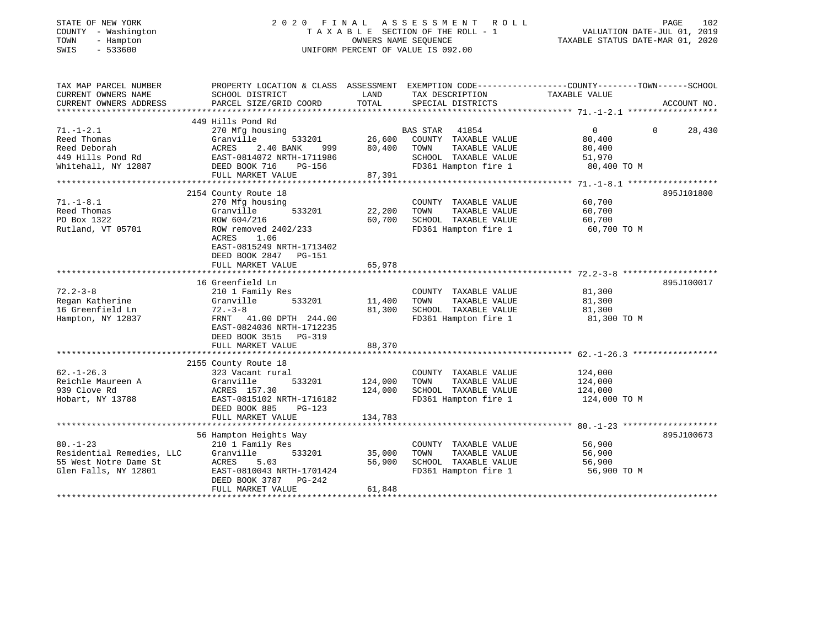| STATE OF NEW YORK |  |              |
|-------------------|--|--------------|
| COUNTY            |  | - Washington |
| TOWN              |  | - Hampton    |
| <b>CMTC</b>       |  | 533600       |

# STATE OF NEW YORK 2 0 2 0 F I N A L A S S E S S M E N T R O L L PAGE 102 COUNTY - Washington T A X A B L E SECTION OF THE ROLL - 1 VALUATION DATE-JUL 01, 2019 TOWN - Hampton OWNERS NAME SEQUENCE TAXABLE STATUS DATE-MAR 01, 2020 SWIS - 533600 UNIFORM PERCENT OF VALUE IS 092.00

| TAX MAP PARCEL NUMBER<br>CURRENT OWNERS NAME | PROPERTY LOCATION & CLASS ASSESSMENT EXEMPTION CODE---------------COUNTY-------TOWN-----SCHOOL<br>SCHOOL DISTRICT | LAND               | TAX DESCRIPTION                               | TAXABLE VALUE      |          |             |
|----------------------------------------------|-------------------------------------------------------------------------------------------------------------------|--------------------|-----------------------------------------------|--------------------|----------|-------------|
| CURRENT OWNERS ADDRESS                       | PARCEL SIZE/GRID COORD                                                                                            | TOTAL              | SPECIAL DISTRICTS                             |                    |          | ACCOUNT NO. |
|                                              | 449 Hills Pond Rd                                                                                                 |                    |                                               |                    |          |             |
| $71. - 1 - 2.1$                              | 270 Mfg housing                                                                                                   |                    | BAS STAR 41854                                | $\overline{0}$     | $\Omega$ | 28,430      |
| Reed Thomas                                  | Granville<br>533201                                                                                               | 26,600             | COUNTY TAXABLE VALUE                          | 80,400             |          |             |
| Reed Deborah                                 | ACRES<br>2.40 BANK<br>999                                                                                         | 80,400             | TOWN<br>TAXABLE VALUE                         | 80,400             |          |             |
| 449 Hills Pond Rd                            | EAST-0814072 NRTH-1711986                                                                                         |                    | SCHOOL TAXABLE VALUE                          | 51,970             |          |             |
| Whitehall, NY 12887                          | DEED BOOK 716<br>PG-156                                                                                           |                    | FD361 Hampton fire 1                          | 80,400 TO M        |          |             |
|                                              | FULL MARKET VALUE                                                                                                 | 87,391             |                                               |                    |          |             |
|                                              |                                                                                                                   |                    |                                               |                    |          |             |
|                                              | 2154 County Route 18                                                                                              |                    |                                               |                    |          | 895J101800  |
| $71.-1-8.1$                                  | 270 Mfg housing                                                                                                   |                    | COUNTY TAXABLE VALUE                          | 60,700             |          |             |
| Reed Thomas                                  | Granville<br>533201                                                                                               | 22,200             | TOWN<br>TAXABLE VALUE                         | 60,700             |          |             |
| PO Box 1322                                  | ROW 604/216                                                                                                       | 60,700             | SCHOOL TAXABLE VALUE                          | 60,700             |          |             |
| Rutland, VT 05701                            | ROW removed 2402/233                                                                                              |                    | FD361 Hampton fire 1                          | 60,700 TO M        |          |             |
|                                              | <b>ACRES</b><br>1.06                                                                                              |                    |                                               |                    |          |             |
|                                              | EAST-0815249 NRTH-1713402                                                                                         |                    |                                               |                    |          |             |
|                                              | DEED BOOK 2847 PG-151                                                                                             |                    |                                               |                    |          |             |
|                                              | FULL MARKET VALUE                                                                                                 | 65,978             |                                               |                    |          |             |
|                                              |                                                                                                                   |                    |                                               |                    |          |             |
|                                              | 16 Greenfield Ln                                                                                                  |                    |                                               |                    |          | 895J100017  |
| $72.2 - 3 - 8$                               | 210 1 Family Res                                                                                                  |                    | COUNTY TAXABLE VALUE                          | 81,300             |          |             |
| Regan Katherine                              | Granville<br>533201                                                                                               | 11,400             | TOWN<br>TAXABLE VALUE                         | 81,300             |          |             |
| 16 Greenfield Ln                             | $72 - 3 - 8$                                                                                                      | 81,300             | SCHOOL TAXABLE VALUE                          | 81,300             |          |             |
| Hampton, NY 12837                            | FRNT 41.00 DPTH 244.00                                                                                            |                    | FD361 Hampton fire 1                          | 81,300 TO M        |          |             |
|                                              | EAST-0824036 NRTH-1712235                                                                                         |                    |                                               |                    |          |             |
|                                              | DEED BOOK 3515 PG-319                                                                                             |                    |                                               |                    |          |             |
|                                              | FULL MARKET VALUE                                                                                                 | 88,370             |                                               |                    |          |             |
|                                              |                                                                                                                   |                    |                                               |                    |          |             |
| $62. - 1 - 26.3$                             | 2155 County Route 18                                                                                              |                    |                                               |                    |          |             |
|                                              | 323 Vacant rural                                                                                                  |                    | COUNTY TAXABLE VALUE                          | 124,000            |          |             |
| Reichle Maureen A<br>939 Clove Rd            | Granville<br>533201<br>ACRES 157.30                                                                               | 124,000<br>124,000 | TOWN<br>TAXABLE VALUE<br>SCHOOL TAXABLE VALUE | 124,000<br>124,000 |          |             |
| Hobart, NY 13788                             | EAST-0815102 NRTH-1716182                                                                                         |                    | FD361 Hampton fire 1                          | 124,000 TO M       |          |             |
|                                              | DEED BOOK 885<br>$PG-123$                                                                                         |                    |                                               |                    |          |             |
|                                              | FULL MARKET VALUE                                                                                                 | 134,783            |                                               |                    |          |             |
|                                              |                                                                                                                   |                    |                                               |                    |          |             |
|                                              | 56 Hampton Heights Way                                                                                            |                    |                                               |                    |          | 895J100673  |
| $80. - 1 - 23$                               | 210 1 Family Res                                                                                                  |                    | COUNTY TAXABLE VALUE                          | 56,900             |          |             |
| Residential Remedies, LLC                    | Granville<br>533201                                                                                               | 35,000             | TAXABLE VALUE<br>TOWN                         | 56,900             |          |             |
| 55 West Notre Dame St                        | ACRES<br>5.03                                                                                                     | 56,900             | SCHOOL TAXABLE VALUE                          | 56,900             |          |             |
| Glen Falls, NY 12801                         | EAST-0810043 NRTH-1701424                                                                                         |                    | FD361 Hampton fire 1                          | 56,900 TO M        |          |             |
|                                              | DEED BOOK 3787 PG-242                                                                                             |                    |                                               |                    |          |             |
|                                              | FULL MARKET VALUE                                                                                                 | 61,848             |                                               |                    |          |             |
|                                              |                                                                                                                   |                    |                                               |                    |          |             |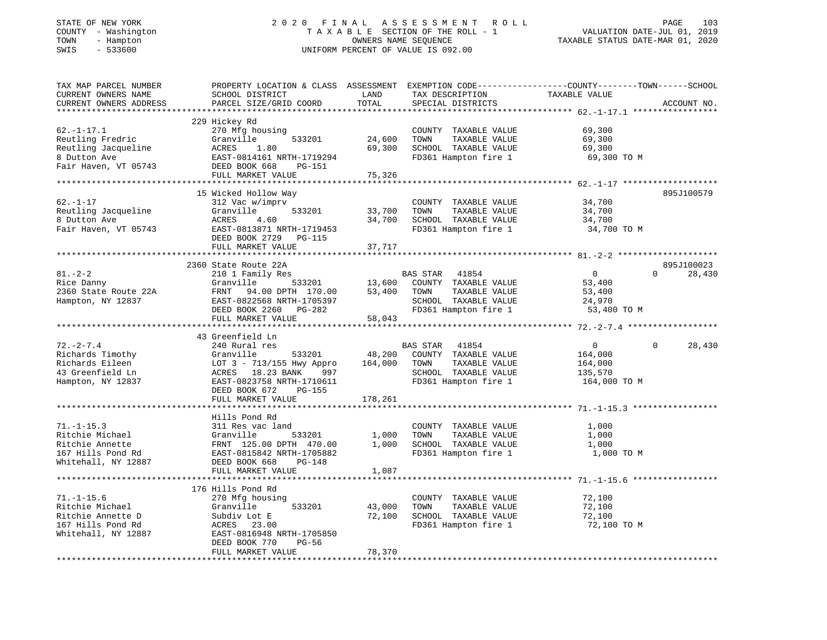# STATE OF NEW YORK 2 0 2 0 F I N A L A S S E S S M E N T R O L L PAGE 103 COUNTY - Washington T A X A B L E SECTION OF THE ROLL - 1 VALUATION DATE-JUL 01, 2019 TOWN - Hampton OWNERS NAME SEQUENCE TAXABLE STATUS DATE-MAR 01, 2020 SWIS - 533600 UNIFORM PERCENT OF VALUE IS 092.00

| TAX MAP PARCEL NUMBER<br>CURRENT OWNERS NAME<br>CURRENT OWNERS ADDRESS | PROPERTY LOCATION & CLASS ASSESSMENT EXEMPTION CODE----------------COUNTY-------TOWN------SCHOOL<br>SCHOOL DISTRICT<br>PARCEL SIZE/GRID COORD | LAND<br>TOTAL | TAX DESCRIPTION<br>SPECIAL DISTRICTS          | TAXABLE VALUE    |          | ACCOUNT NO. |
|------------------------------------------------------------------------|-----------------------------------------------------------------------------------------------------------------------------------------------|---------------|-----------------------------------------------|------------------|----------|-------------|
|                                                                        |                                                                                                                                               |               |                                               |                  |          |             |
|                                                                        | 229 Hickey Rd                                                                                                                                 |               |                                               |                  |          |             |
| $62. - 1 - 17.1$                                                       | 270 Mfg housing                                                                                                                               |               | COUNTY TAXABLE VALUE                          | 69,300           |          |             |
| Reutling Fredric                                                       | Granville<br>533201                                                                                                                           | 24,600        | TAXABLE VALUE<br>TOWN                         | 69,300           |          |             |
| Reutling Jacqueline                                                    | ACRES<br>1.80                                                                                                                                 | 69,300        | SCHOOL TAXABLE VALUE                          | 69,300           |          |             |
| 8 Dutton Ave                                                           | EAST-0814161 NRTH-1719294                                                                                                                     |               | FD361 Hampton fire 1                          | 69,300 TO M      |          |             |
| Fair Haven, VT 05743                                                   | DEED BOOK 668<br>PG-151                                                                                                                       |               |                                               |                  |          |             |
|                                                                        | FULL MARKET VALUE                                                                                                                             | 75,326        |                                               |                  |          |             |
|                                                                        |                                                                                                                                               |               |                                               |                  |          |             |
|                                                                        | 15 Wicked Hollow Way                                                                                                                          |               |                                               |                  |          | 895J100579  |
| $62. - 1 - 17$                                                         | 312 Vac w/imprv<br>Granville<br>533201                                                                                                        | 33,700        | COUNTY TAXABLE VALUE<br>TOWN<br>TAXABLE VALUE | 34,700<br>34,700 |          |             |
| Reutling Jacqueline<br>8 Dutton Ave                                    | ACRES<br>4.60                                                                                                                                 | 34,700        | SCHOOL TAXABLE VALUE                          | 34,700           |          |             |
| Fair Haven, VT 05743                                                   | EAST-0813871 NRTH-1719453                                                                                                                     |               | FD361 Hampton fire 1                          | 34,700 TO M      |          |             |
|                                                                        | DEED BOOK 2729 PG-115                                                                                                                         |               |                                               |                  |          |             |
|                                                                        | FULL MARKET VALUE                                                                                                                             | 37,717        |                                               |                  |          |             |
|                                                                        |                                                                                                                                               |               |                                               |                  |          |             |
|                                                                        | 2360 State Route 22A                                                                                                                          |               |                                               |                  |          | 895J100023  |
| $81. - 2 - 2$                                                          | 210 1 Family Res                                                                                                                              |               | BAS STAR 41854                                | $\overline{0}$   | $\Omega$ | 28,430      |
| Rice Danny                                                             | 533201<br>Granville                                                                                                                           | 13,600        | COUNTY TAXABLE VALUE                          | 53,400           |          |             |
| 2360 State Route 22A                                                   | FRNT 94.00 DPTH 170.00                                                                                                                        | 53,400        | TAXABLE VALUE<br>TOWN                         | 53,400           |          |             |
| Hampton, NY 12837                                                      | EAST-0822568 NRTH-1705397                                                                                                                     |               | SCHOOL TAXABLE VALUE                          | 24,970           |          |             |
|                                                                        | DEED BOOK 2260 PG-282                                                                                                                         |               | FD361 Hampton fire 1                          | 53,400 TO M      |          |             |
|                                                                        | FULL MARKET VALUE                                                                                                                             | 58,043        |                                               |                  |          |             |
|                                                                        |                                                                                                                                               |               |                                               |                  |          |             |
|                                                                        | 43 Greenfield Ln                                                                                                                              |               |                                               |                  |          |             |
| $72. - 2 - 7.4$                                                        | 240 Rural res                                                                                                                                 |               | BAS STAR 41854                                | $\overline{0}$   | $\Omega$ | 28,430      |
| Richards Timothy                                                       | Granville<br>533201                                                                                                                           | 48,200        | COUNTY TAXABLE VALUE                          | 164,000          |          |             |
| Richards Eileen                                                        | LOT 3 - 713/155 Hwy Appro<br>ACRES 18.23 BANK 997                                                                                             | 164,000       | TAXABLE VALUE<br>TOWN                         | 164,000          |          |             |
| 43 Greenfield Ln                                                       | 997                                                                                                                                           |               | SCHOOL TAXABLE VALUE                          | 135,570          |          |             |
| Hampton, NY 12837                                                      | EAST-0823758 NRTH-1710611                                                                                                                     |               | FD361 Hampton fire 1                          | 164,000 TO M     |          |             |
|                                                                        | DEED BOOK 672<br>PG-155                                                                                                                       |               |                                               |                  |          |             |
|                                                                        | FULL MARKET VALUE                                                                                                                             | 178,261       |                                               |                  |          |             |
|                                                                        |                                                                                                                                               |               |                                               |                  |          |             |
| $71. - 1 - 15.3$                                                       | Hills Pond Rd<br>311 Res vac land                                                                                                             |               |                                               |                  |          |             |
|                                                                        |                                                                                                                                               | 1,000         | COUNTY TAXABLE VALUE<br>TAXABLE VALUE<br>TOWN | 1,000            |          |             |
| Ritchie Michael<br>Ritchie Annette                                     | Granville<br>533201<br>FRNT 125.00 DPTH 470.00                                                                                                | 1,000         | SCHOOL TAXABLE VALUE                          | 1,000<br>1,000   |          |             |
| 167 Hills Pond Rd                                                      | EAST-0815842 NRTH-1705882                                                                                                                     |               | FD361 Hampton fire 1                          | 1,000 TO M       |          |             |
| Whitehall, NY 12887                                                    | DEED BOOK 668<br>$PG-148$                                                                                                                     |               |                                               |                  |          |             |
|                                                                        | FULL MARKET VALUE                                                                                                                             | 1,087         |                                               |                  |          |             |
|                                                                        |                                                                                                                                               |               |                                               |                  |          |             |
|                                                                        | 176 Hills Pond Rd                                                                                                                             |               |                                               |                  |          |             |
| $71. - 1 - 15.6$                                                       | 270 Mfg housing                                                                                                                               |               | COUNTY TAXABLE VALUE                          | 72,100           |          |             |
| Ritchie Michael                                                        | Granville<br>533201                                                                                                                           | 43,000        | TOWN<br>TAXABLE VALUE                         | 72,100           |          |             |
| Ritchie Annette D                                                      | Subdiv Lot E                                                                                                                                  | 72,100        | SCHOOL TAXABLE VALUE                          | 72,100           |          |             |
| 167 Hills Pond Rd                                                      | ACRES 23.00                                                                                                                                   |               | FD361 Hampton fire 1                          | 72,100 TO M      |          |             |
| Whitehall, NY 12887                                                    | EAST-0816948 NRTH-1705850                                                                                                                     |               |                                               |                  |          |             |
|                                                                        | DEED BOOK 770<br>PG-56                                                                                                                        |               |                                               |                  |          |             |
|                                                                        | FULL MARKET VALUE                                                                                                                             | 78,370        |                                               |                  |          |             |
|                                                                        |                                                                                                                                               |               |                                               |                  |          |             |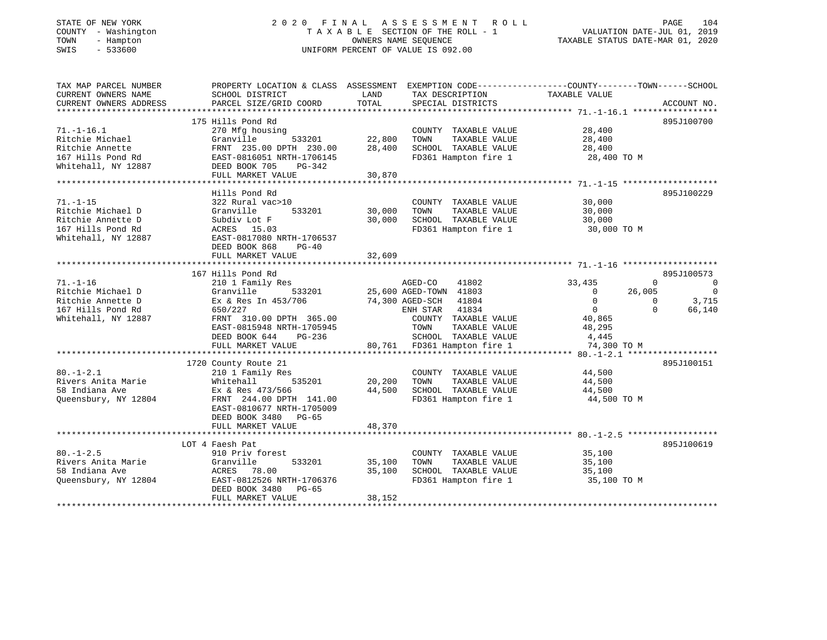# STATE OF NEW YORK 2 0 2 0 F I N A L A S S E S S M E N T R O L L PAGE 104 COUNTY - Washington T A X A B L E SECTION OF THE ROLL - 1 VALUATION DATE-JUL 01, 2019 TOWN - Hampton OWNERS NAME SEQUENCE TAXABLE STATUS DATE-MAR 01, 2020 SWIS - 533600 UNIFORM PERCENT OF VALUE IS 092.00

| TAX MAP PARCEL NUMBER<br>CURRENT OWNERS NAME                                                         | PROPERTY LOCATION & CLASS ASSESSMENT EXEMPTION CODE----------------COUNTY-------TOWN------SCHOOL<br>SCHOOL DISTRICT                                                                      | LAND                       | TAX DESCRIPTION                                                                                                                                                                                     | TAXABLE VALUE                                                                                                                                        |                                                              |
|------------------------------------------------------------------------------------------------------|------------------------------------------------------------------------------------------------------------------------------------------------------------------------------------------|----------------------------|-----------------------------------------------------------------------------------------------------------------------------------------------------------------------------------------------------|------------------------------------------------------------------------------------------------------------------------------------------------------|--------------------------------------------------------------|
| CURRENT OWNERS ADDRESS                                                                               | PARCEL SIZE/GRID COORD                                                                                                                                                                   | TOTAL                      | SPECIAL DISTRICTS                                                                                                                                                                                   |                                                                                                                                                      | ACCOUNT NO.                                                  |
|                                                                                                      |                                                                                                                                                                                          |                            |                                                                                                                                                                                                     |                                                                                                                                                      |                                                              |
| $71. - 1 - 16.1$<br>Ritchie Michael<br>Ritchie Annette<br>167 Hills Pond Rd<br>Whitehall, NY 12887   | 175 Hills Pond Rd<br>270 Mfg housing<br>533201<br>Granville<br>FRNT 235.00 DPTH 230.00<br>EAST-0816051 NRTH-1706145<br>DEED BOOK 705<br>PG-342<br>FULL MARKET VALUE                      | 22,800<br>28,400<br>30,870 | COUNTY TAXABLE VALUE<br>TAXABLE VALUE<br>TOWN<br>SCHOOL TAXABLE VALUE<br>FD361 Hampton fire 1                                                                                                       | 28,400<br>28,400<br>28,400<br>28,400 TO M                                                                                                            | 895J100700                                                   |
|                                                                                                      | Hills Pond Rd                                                                                                                                                                            |                            |                                                                                                                                                                                                     |                                                                                                                                                      | 895J100229                                                   |
| $71. - 1 - 15$<br>Ritchie Michael D<br>Ritchie Annette D<br>167 Hills Pond Rd<br>Whitehall, NY 12887 | 322 Rural vac>10<br>Granville<br>533201<br>Subdiv Lot F<br>ACRES 15.03<br>EAST-0817080 NRTH-1706537<br>DEED BOOK 868<br>$PG-40$                                                          | 30,000<br>30,000           | COUNTY TAXABLE VALUE<br>TAXABLE VALUE<br>TOWN<br>SCHOOL TAXABLE VALUE<br>FD361 Hampton fire 1                                                                                                       | 30,000<br>30,000<br>30,000<br>30,000 TO M                                                                                                            |                                                              |
|                                                                                                      | FULL MARKET VALUE                                                                                                                                                                        | 32,609                     |                                                                                                                                                                                                     |                                                                                                                                                      |                                                              |
|                                                                                                      | 167 Hills Pond Rd                                                                                                                                                                        |                            |                                                                                                                                                                                                     |                                                                                                                                                      |                                                              |
| $71. - 1 - 16$<br>Ritchie Michael D<br>Ritchie Annette D<br>167 Hills Pond Rd<br>Whitehall, NY 12887 | 210 1 Family Res<br>533201<br>Granville<br>Ex & Res In 453/706<br>650/227<br>FRNT 310.00 DPTH 365.00<br>EAST-0815948 NRTH-1705945<br>DEED BOOK 644<br>PG-236<br>FULL MARKET VALUE        |                            | AGED-CO<br>41802<br>25,600 AGED-TOWN 41803<br>74,300 AGED-SCH<br>41804<br>ENH STAR<br>41834<br>COUNTY TAXABLE VALUE<br>TOWN<br>TAXABLE VALUE<br>SCHOOL TAXABLE VALUE<br>80,761 FD361 Hampton fire 1 | $\Omega$<br>33,435<br>26,005<br>$\overline{0}$<br>$\mathbf{0}$<br>$\Omega$<br>$\overline{0}$<br>$\Omega$<br>40,865<br>48,295<br>4,445<br>74,300 TO M | 895J100573<br>$\overline{0}$<br>$\bigcap$<br>3,715<br>66,140 |
| $80. - 1 - 2.1$<br>Rivers Anita Marie<br>58 Indiana Ave<br>Queensbury, NY 12804                      | 1720 County Route 21<br>210 1 Family Res<br>535201<br>Whitehall<br>Ex & Res 473/566<br>FRNT 244.00 DPTH 141.00<br>EAST-0810677 NRTH-1705009<br>DEED BOOK 3480 PG-65<br>FULL MARKET VALUE | 20,200<br>44,500<br>48,370 | COUNTY TAXABLE VALUE<br>TAXABLE VALUE<br>TOWN<br>SCHOOL TAXABLE VALUE<br>FD361 Hampton fire 1                                                                                                       | 44,500<br>44,500<br>44,500<br>44,500 TO M                                                                                                            | 895J100151                                                   |
|                                                                                                      |                                                                                                                                                                                          |                            |                                                                                                                                                                                                     |                                                                                                                                                      |                                                              |
| $80. - 1 - 2.5$<br>Rivers Anita Marie<br>58 Indiana Ave<br>Queensbury, NY 12804                      | LOT 4 Faesh Pat<br>910 Priv forest<br>Granville<br>533201<br>78.00<br>ACRES<br>EAST-0812526 NRTH-1706376<br>DEED BOOK 3480<br>PG-65<br>FULL MARKET VALUE                                 | 35,100<br>35,100<br>38,152 | COUNTY TAXABLE VALUE<br>TOWN<br>TAXABLE VALUE<br>SCHOOL TAXABLE VALUE<br>FD361 Hampton fire 1                                                                                                       | 35,100<br>35,100<br>35,100<br>35,100 TO M                                                                                                            | 895J100619                                                   |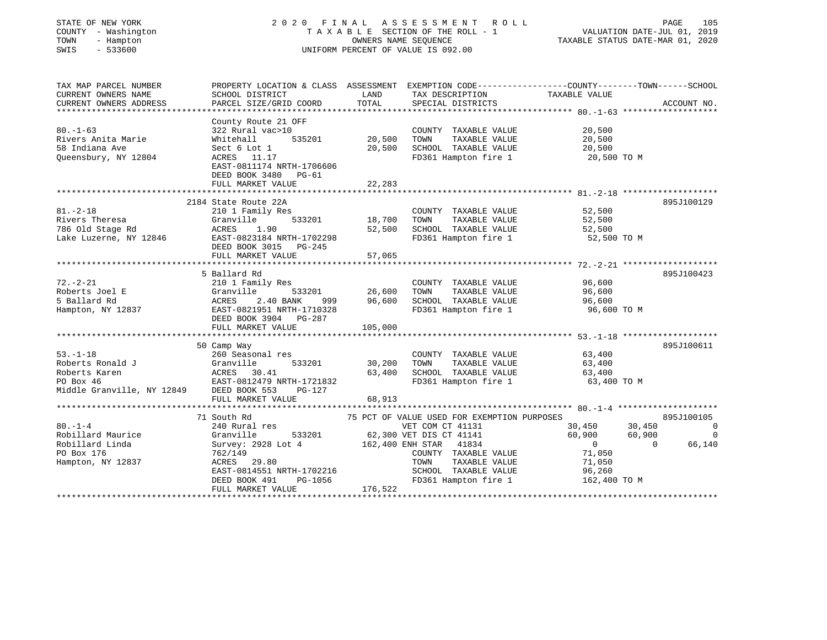| STATE OF NEW YORK |  |              |
|-------------------|--|--------------|
| COUNTY            |  | - Washington |
| TOWN              |  | - Hampton    |
| <b>CMTC</b>       |  | 533600       |

# STATE OF NEW YORK 2 0 2 0 F I N A L A S S E S S M E N T R O L L PAGE 105 COUNTY - Washington T A X A B L E SECTION OF THE ROLL - 1 VALUATION DATE-JUL 01, 2019 OWNERS NAME SEQUENCE TAXABLE STATUS DATE-MAR 01, 2020 SWIS - 533600 UNIFORM PERCENT OF VALUE IS 092.00

| County Route 21 OFF<br>322 Rural vac>10<br>535201<br>Whitehall<br>Sect 6 Lot 1<br>ACRES 11.17<br>EAST-0811174 NRTH-1706606<br>DEED BOOK 3480 PG-61<br>FULL MARKET VALUE<br>2184 State Route 22A<br>210 1 Family Res<br>Granville | 20,500<br>20,500<br>22,283                                                            | COUNTY TAXABLE VALUE<br>TOWN<br>TAXABLE VALUE<br>SCHOOL TAXABLE VALUE<br>FD361 Hampton fire 1           | 20,500<br>20,500<br>20,500<br>20,500 TO M                                      | 895J100129                                                                                                                                                                                                                                                                                                                                                                                                                                                                                                                                                                                                               |
|----------------------------------------------------------------------------------------------------------------------------------------------------------------------------------------------------------------------------------|---------------------------------------------------------------------------------------|---------------------------------------------------------------------------------------------------------|--------------------------------------------------------------------------------|--------------------------------------------------------------------------------------------------------------------------------------------------------------------------------------------------------------------------------------------------------------------------------------------------------------------------------------------------------------------------------------------------------------------------------------------------------------------------------------------------------------------------------------------------------------------------------------------------------------------------|
|                                                                                                                                                                                                                                  |                                                                                       |                                                                                                         |                                                                                |                                                                                                                                                                                                                                                                                                                                                                                                                                                                                                                                                                                                                          |
|                                                                                                                                                                                                                                  |                                                                                       |                                                                                                         |                                                                                |                                                                                                                                                                                                                                                                                                                                                                                                                                                                                                                                                                                                                          |
|                                                                                                                                                                                                                                  |                                                                                       |                                                                                                         |                                                                                |                                                                                                                                                                                                                                                                                                                                                                                                                                                                                                                                                                                                                          |
|                                                                                                                                                                                                                                  |                                                                                       |                                                                                                         |                                                                                |                                                                                                                                                                                                                                                                                                                                                                                                                                                                                                                                                                                                                          |
| DEED BOOK 3015 PG-245                                                                                                                                                                                                            | 52,500                                                                                | TOWN                                                                                                    | 52,500<br>52,500                                                               |                                                                                                                                                                                                                                                                                                                                                                                                                                                                                                                                                                                                                          |
|                                                                                                                                                                                                                                  |                                                                                       |                                                                                                         |                                                                                |                                                                                                                                                                                                                                                                                                                                                                                                                                                                                                                                                                                                                          |
|                                                                                                                                                                                                                                  |                                                                                       |                                                                                                         |                                                                                | 895J100423                                                                                                                                                                                                                                                                                                                                                                                                                                                                                                                                                                                                               |
| 210 1 Family Res<br>Granville 533201<br>ACRES 2.40 BANK 999<br>EAST-0821951 NRTH-1710328<br>DEED BOOK 3904 PG-287<br>999<br>FULL MARKET VALUE                                                                                    |                                                                                       | TOWN                                                                                                    | 96,600<br>96,600                                                               |                                                                                                                                                                                                                                                                                                                                                                                                                                                                                                                                                                                                                          |
|                                                                                                                                                                                                                                  |                                                                                       |                                                                                                         |                                                                                |                                                                                                                                                                                                                                                                                                                                                                                                                                                                                                                                                                                                                          |
| 260 Seasonal res<br>Granville<br>533201<br>Middle Granville, NY 12849 DEED BOOK 553<br>PG-127<br>FULL MARKET VALUE                                                                                                               | 30,200<br>63,400<br>68,913                                                            | TOWN                                                                                                    | 63,400<br>63,400<br>63,400                                                     | 895J100611                                                                                                                                                                                                                                                                                                                                                                                                                                                                                                                                                                                                               |
|                                                                                                                                                                                                                                  |                                                                                       |                                                                                                         |                                                                                |                                                                                                                                                                                                                                                                                                                                                                                                                                                                                                                                                                                                                          |
| 240 Rural res<br>Granville<br>Survey: 2928 Lot 4<br>ACRES 29.80<br>DEED BOOK 491<br>FULL MARKET VALUE                                                                                                                            |                                                                                       | TOWN                                                                                                    | 60,900<br>$\overline{0}$<br>71,050                                             | 895J100105<br>$\sim$ 0<br>$\overline{0}$<br>66,140<br>$\overline{0}$                                                                                                                                                                                                                                                                                                                                                                                                                                                                                                                                                     |
|                                                                                                                                                                                                                                  | 1.90<br>FULL MARKET VALUE<br>5 Ballard Rd<br>ACRES 30.41<br>EAST-0812479 NRTH-1721832 | Lake Luzerne, NY 12846 EAST-0823184 NRTH-1702298<br>57,065<br>105,000<br>$PG-1056$<br>$\frac{176}{522}$ | 533201 18,700<br>96,600<br>162,400 ENH STAR 41834<br>EAST-0814551 NRTH-1702216 | 52,500<br>COUNTY TAXABLE VALUE<br>TAXABLE VALUE<br>SCHOOL TAXABLE VALUE<br>FD361 Hampton fire 1 52,500 TO M<br>COUNTY TAXABLE VALUE<br>TAXABLE VALUE<br>SCHOOL TAXABLE VALUE 96,600<br>FD361 Hampton fire 1<br>96,600 TO M<br>COUNTY TAXABLE VALUE<br>TAXABLE VALUE<br>SCHOOL TAXABLE VALUE<br>FD361 Hampton fire 1<br>63,400 TO M<br>75 PCT OF VALUE USED FOR EXEMPTION PURPOSES<br>30,450 30,450<br>VET COM CT 41131<br>533201 62,300 VET DIS CT 41141<br>8 Lot 4 162.400 ENH STAR 41834<br>60,900<br>COUNTY TAXABLE VALUE 71,050<br>TAXABLE VALUE<br>SCHOOL TAXABLE VALUE 96,260<br>FD361 Hampton fire 1 162,400 TO M |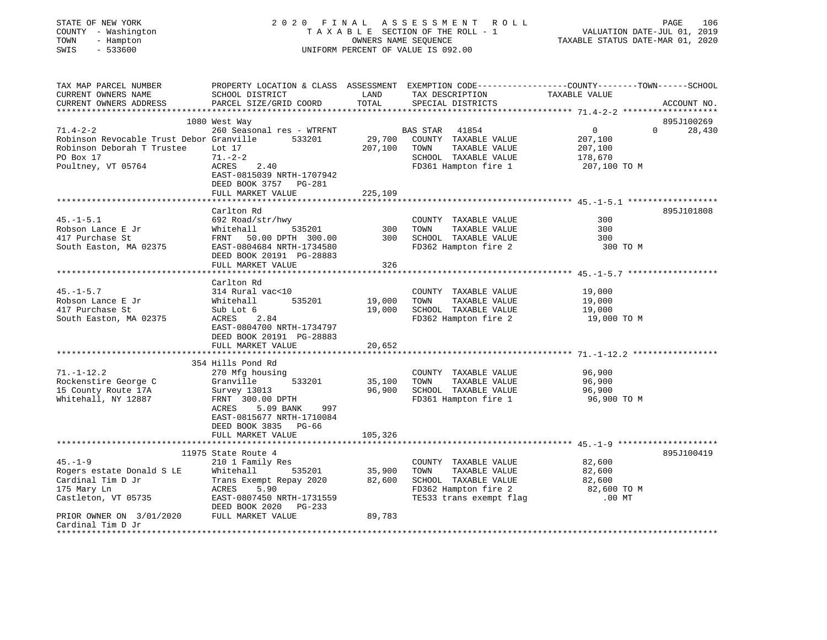| STATE OF NEW YORK<br>COUNTY - Washington<br>- Hampton<br>TOWN<br>SWIS<br>$-533600$         |                                                                                                    | OWNERS NAME SEOUENCE | 2020 FINAL ASSESSMENT ROLL<br>TAXABLE SECTION OF THE ROLL - 1<br>UNIFORM PERCENT OF VALUE IS 092.00 | PAGE<br>106<br>VALUATION DATE-JUL 01, 2019<br>TAXABLE STATUS DATE-MAR 01, 2020                                                   |
|--------------------------------------------------------------------------------------------|----------------------------------------------------------------------------------------------------|----------------------|-----------------------------------------------------------------------------------------------------|----------------------------------------------------------------------------------------------------------------------------------|
| TAX MAP PARCEL NUMBER<br>CURRENT OWNERS NAME<br>CURRENT OWNERS ADDRESS                     | SCHOOL DISTRICT<br>PARCEL SIZE/GRID COORD                                                          | LAND<br>TOTAL        | TAX DESCRIPTION<br>SPECIAL DISTRICTS                                                                | PROPERTY LOCATION & CLASS ASSESSMENT EXEMPTION CODE----------------COUNTY-------TOWN------SCHOOL<br>TAXABLE VALUE<br>ACCOUNT NO. |
|                                                                                            | 1080 West Way                                                                                      |                      |                                                                                                     | 895J100269                                                                                                                       |
| $71.4 - 2 - 2$                                                                             | 260 Seasonal res - WTRFNT                                                                          |                      | <b>BAS STAR</b><br>41854                                                                            | $\overline{0}$<br>$\Omega$<br>28,430                                                                                             |
| Robinson Revocable Trust Debor Granville 533201<br>Robinson Deborah T Trustee<br>PO Box 17 | Lot 17<br>$71. - 2 - 2$                                                                            | 29,700<br>207,100    | COUNTY TAXABLE VALUE<br>TOWN<br>TAXABLE VALUE<br>SCHOOL TAXABLE VALUE                               | 207,100<br>207,100<br>178,670                                                                                                    |
| Poultney, VT 05764                                                                         | ACRES<br>2.40<br>EAST-0815039 NRTH-1707942<br>DEED BOOK 3757 PG-281                                | 225,109              | FD361 Hampton fire 1                                                                                | 207,100 TO M                                                                                                                     |
|                                                                                            | FULL MARKET VALUE                                                                                  |                      |                                                                                                     |                                                                                                                                  |
|                                                                                            | Carlton Rd                                                                                         |                      |                                                                                                     | 895J101808                                                                                                                       |
| $45. - 1 - 5.1$                                                                            | 692 Road/str/hwy                                                                                   |                      | COUNTY TAXABLE VALUE                                                                                | 300                                                                                                                              |
| Robson Lance E Jr                                                                          | Whitehall<br>FRNT 50.<br>535201                                                                    | 300                  | TOWN<br>TAXABLE VALUE                                                                               | 300                                                                                                                              |
| 417 Purchase St                                                                            | FRNT 50.00 DPTH 300.00                                                                             | 300                  | SCHOOL TAXABLE VALUE                                                                                | 300                                                                                                                              |
| South Easton, MA 02375                                                                     | EAST-0804684 NRTH-1734580<br>DEED BOOK 20191 PG-28883<br>FULL MARKET VALUE                         | 326                  | FD362 Hampton fire 2                                                                                | 300 TO M                                                                                                                         |
|                                                                                            |                                                                                                    |                      |                                                                                                     |                                                                                                                                  |
|                                                                                            | Carlton Rd                                                                                         |                      |                                                                                                     |                                                                                                                                  |
| $45. - 1 - 5.7$                                                                            | 314 Rural vac<10                                                                                   |                      | COUNTY TAXABLE VALUE                                                                                | 19,000                                                                                                                           |
| Robson Lance E Jr                                                                          | 535201<br>Whitehall                                                                                | 19,000               | TOWN<br>TAXABLE VALUE                                                                               | 19,000                                                                                                                           |
| 417 Purchase St                                                                            | Sub Lot 6                                                                                          | 19,000               | SCHOOL TAXABLE VALUE                                                                                | 19,000                                                                                                                           |
| South Easton, MA 02375                                                                     | 2.84<br>ACRES<br>EAST-0804700 NRTH-1734797<br>DEED BOOK 20191 PG-28883                             |                      | FD362 Hampton fire 2                                                                                | 19,000 TO M                                                                                                                      |
|                                                                                            | FULL MARKET VALUE<br>************************                                                      | 20,652               |                                                                                                     |                                                                                                                                  |
|                                                                                            | 354 Hills Pond Rd                                                                                  |                      |                                                                                                     |                                                                                                                                  |
| $71. - 1 - 12.2$                                                                           | 270 Mfg housing                                                                                    |                      | COUNTY TAXABLE VALUE                                                                                | 96,900                                                                                                                           |
| Rockenstire George C                                                                       | Granville<br>533201                                                                                | 35,100               | TOWN<br>TAXABLE VALUE                                                                               | 96,900                                                                                                                           |
| 15 County Route 17A                                                                        | Survey 13013                                                                                       | 96,900               | SCHOOL TAXABLE VALUE                                                                                | 96,900                                                                                                                           |
| Whitehall, NY 12887                                                                        | FRNT 300.00 DPTH<br>ACRES<br>5.09 BANK<br>997<br>EAST-0815677 NRTH-1710084<br>DEED BOOK 3835 PG-66 |                      | FD361 Hampton fire 1                                                                                | 96,900 TO M                                                                                                                      |
|                                                                                            | FULL MARKET VALUE                                                                                  | 105,326              |                                                                                                     |                                                                                                                                  |
|                                                                                            | 11975 State Route 4                                                                                |                      |                                                                                                     | 895J100419                                                                                                                       |
| $45. - 1 - 9$                                                                              | 210 1 Family Res                                                                                   |                      | COUNTY TAXABLE VALUE                                                                                | 82,600                                                                                                                           |
| Rogers estate Donald S LE                                                                  | 535201<br>Whitehall                                                                                | 35,900               | TOWN<br>TAXABLE VALUE                                                                               | 82,600                                                                                                                           |
| Cardinal Tim D Jr                                                                          | Trans Exempt Repay 2020                                                                            | 82,600               | SCHOOL TAXABLE VALUE                                                                                | 82,600                                                                                                                           |
| 175 Mary Ln                                                                                | ACRES<br>5.90                                                                                      |                      | FD362 Hampton fire 2                                                                                | 82,600 TO M                                                                                                                      |
| Castleton, VT 05735                                                                        | EAST-0807450 NRTH-1731559<br>DEED BOOK 2020 PG-233                                                 |                      | TE533 trans exempt flag                                                                             | $.00$ MT                                                                                                                         |
| PRIOR OWNER ON 3/01/2020 FULL MARKET VALUE<br>Cardinal Tim D Jr                            |                                                                                                    | 89,783               |                                                                                                     |                                                                                                                                  |
|                                                                                            |                                                                                                    |                      |                                                                                                     |                                                                                                                                  |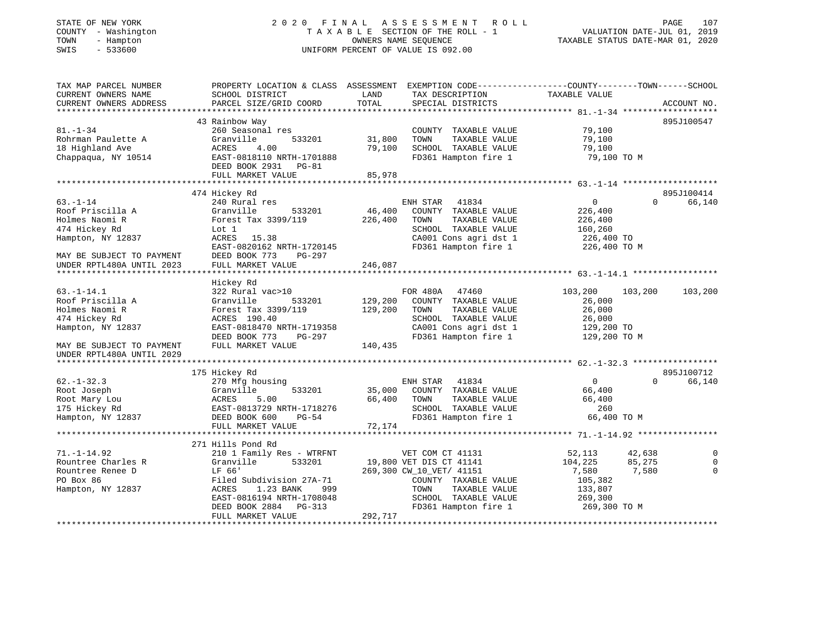# STATE OF NEW YORK 2 0 2 0 F I N A L A S S E S S M E N T R O L L PAGE 107 COUNTY - Washington T A X A B L E SECTION OF THE ROLL - 1 VALUATION DATE-JUL 01, 2019 TOWN - Hampton OWNERS NAME SEQUENCE TAXABLE STATUS DATE-MAR 01, 2020 SWIS - 533600 UNIFORM PERCENT OF VALUE IS 092.00

| TAX MAP PARCEL NUMBER<br>CURRENT OWNERS NAME<br>CURRENT OWNERS ADDRESS                        | SCHOOL DISTRICT<br>PARCEL SIZE/GRID COORD                                                                                                              | PROPERTY LOCATION & CLASS ASSESSMENT EXEMPTION CODE----------------COUNTY-------TOWN------SCHOOL<br>LAND<br>TAX DESCRIPTION<br>TOTAL<br>SPECIAL DISTRICTS      | TAXABLE VALUE<br>ACCOUNT NO.                                                                         |
|-----------------------------------------------------------------------------------------------|--------------------------------------------------------------------------------------------------------------------------------------------------------|----------------------------------------------------------------------------------------------------------------------------------------------------------------|------------------------------------------------------------------------------------------------------|
|                                                                                               |                                                                                                                                                        |                                                                                                                                                                |                                                                                                      |
| $81. - 1 - 34$<br>Rohrman Paulette A<br>18 Highland Ave                                       | 43 Rainbow Way<br>260 Seasonal res<br>Granville<br>533201<br>ACRES<br>4.00                                                                             | COUNTY TAXABLE VALUE<br>31,800<br>TOWN<br>TAXABLE VALUE<br>79,100<br>SCHOOL TAXABLE VALUE                                                                      | 895J100547<br>79,100<br>79,100<br>79,100                                                             |
| Chappaqua, NY 10514                                                                           | EAST-0818110 NRTH-1701888<br>DEED BOOK 2931 PG-81<br>FULL MARKET VALUE                                                                                 | FD361 Hampton fire 1<br>85,978                                                                                                                                 | 79,100 TO M                                                                                          |
|                                                                                               |                                                                                                                                                        |                                                                                                                                                                |                                                                                                      |
|                                                                                               | 474 Hickey Rd                                                                                                                                          |                                                                                                                                                                | 895J100414                                                                                           |
| $63. - 1 - 14$<br>Roof Priscilla A<br>Holmes Naomi R<br>474 Hickey Rd<br>Hampton, NY 12837    | 240 Rural res<br>533201<br>Granville<br>Forest Tax 3399/119<br>Lot 1<br>ACRES 15.38<br>EAST-0820162 NRTH-1720145                                       | ENH STAR 41834<br>46,400<br>COUNTY TAXABLE VALUE<br>226,400<br>TOWN<br>TAXABLE VALUE<br>SCHOOL TAXABLE VALUE<br>CA001 Cons agri dst 1<br>FD361 Hampton fire 1  | $\overline{0}$<br>66,140<br>$\Omega$<br>226,400<br>226,400<br>160,260<br>226,400 TO<br>226,400 TO M  |
| MAY BE SUBJECT TO PAYMENT                                                                     | DEED BOOK 773<br>PG-297                                                                                                                                |                                                                                                                                                                |                                                                                                      |
| UNDER RPTL480A UNTIL 2023                                                                     | FULL MARKET VALUE                                                                                                                                      | 246,087                                                                                                                                                        |                                                                                                      |
|                                                                                               | Hickey Rd                                                                                                                                              |                                                                                                                                                                |                                                                                                      |
| $63. - 1 - 14.1$<br>Roof Priscilla A<br>Holmes Naomi R<br>474 Hickey Rd<br>Hampton, NY 12837  | 322 Rural vac>10<br>Granville<br>533201<br>Forest Tax 3399/119<br>ACRES 190.40<br>EAST-0818470 NRTH-1719358<br>DEED BOOK 773<br>PG-297                 | FOR 480A 47460<br>129,200<br>COUNTY TAXABLE VALUE<br>129,200<br>TAXABLE VALUE<br>TOWN<br>SCHOOL TAXABLE VALUE<br>CA001 Cons agri dst 1<br>FD361 Hampton fire 1 | 103,200<br>103,200<br>103,200<br>26,000<br>26,000<br>26,000<br>129,200 TO<br>129,200 TO M            |
| MAY BE SUBJECT TO PAYMENT<br>UNDER RPTL480A UNTIL 2029                                        | FULL MARKET VALUE                                                                                                                                      | 140,435                                                                                                                                                        |                                                                                                      |
|                                                                                               |                                                                                                                                                        |                                                                                                                                                                |                                                                                                      |
| $62. - 1 - 32.3$<br>Root Joseph<br>Root Mary Lou<br>175 Hickey Rd<br>Hampton, NY 12837        | 175 Hickey Rd<br>270 Mfg housing<br>Granville<br>533201<br>ACRES<br>5.00<br>EAST-0813729 NRTH-1718276<br>DEED BOOK 600<br>$PG-54$<br>FULL MARKET VALUE | ENH STAR 41834<br>35,000<br>COUNTY TAXABLE VALUE<br>66,400<br>TOWN<br>TAXABLE VALUE<br>SCHOOL TAXABLE VALUE<br>FD361 Hampton fire 1<br>72,174                  | 895J100712<br>$\overline{0}$<br>66,140<br>$\Omega$<br>66,400<br>66,400<br>260<br>66,400 TO M         |
|                                                                                               | 271 Hills Pond Rd                                                                                                                                      |                                                                                                                                                                |                                                                                                      |
| $71. - 1 - 14.92$<br>Rountree Charles R<br>Rountree Renee D<br>PO Box 86<br>Hampton, NY 12837 | 210 1 Family Res - WTRFNT<br>Granville<br>533201<br>LF 66'<br>Filed Subdivision 27A-71<br>1.23 BANK<br>ACRES<br>999<br>EAST-0816194 NRTH-1708048       | VET COM CT 41131<br>19,800 VET DIS CT 41141<br>269,300 CW_10_VET/ 41151<br>COUNTY TAXABLE VALUE<br>TOWN<br>TAXABLE VALUE<br>SCHOOL TAXABLE VALUE               | 42,638<br>52,113<br>85,275<br>104,225<br>7,580<br>$\Omega$<br>7,580<br>105,382<br>133,807<br>269,300 |
|                                                                                               | DEED BOOK 2884<br>PG-313<br>FULL MARKET VALUE                                                                                                          | FD361 Hampton fire 1<br>292,717                                                                                                                                | 269,300 TO M                                                                                         |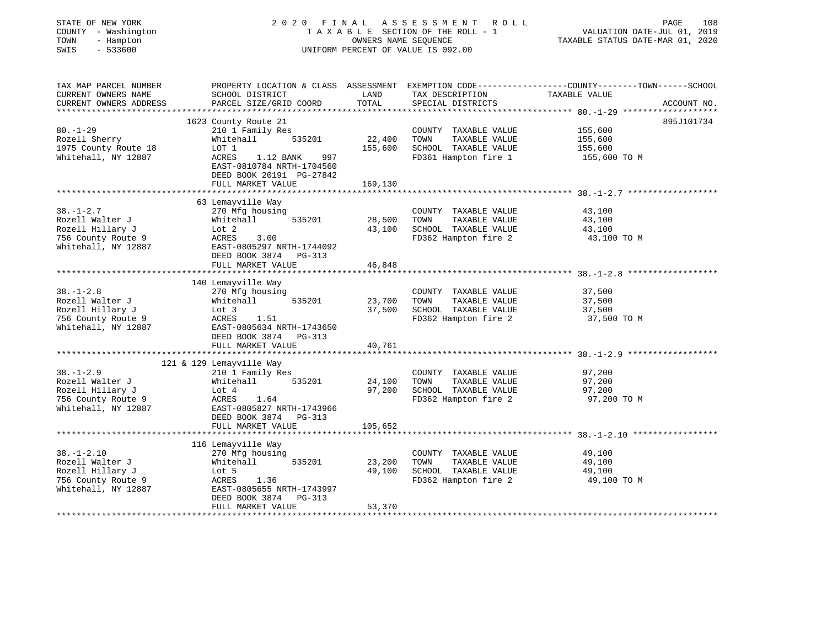|                                               | FINAL                                                                                                                                                                                                                                                                                                                                                                                                                                                              | A S S E S S M E N T<br>R O L L                                                        | PAGE<br>108                                                                                                                                                                                                                                                                                                                                                                                                                                                                                |
|-----------------------------------------------|--------------------------------------------------------------------------------------------------------------------------------------------------------------------------------------------------------------------------------------------------------------------------------------------------------------------------------------------------------------------------------------------------------------------------------------------------------------------|---------------------------------------------------------------------------------------|--------------------------------------------------------------------------------------------------------------------------------------------------------------------------------------------------------------------------------------------------------------------------------------------------------------------------------------------------------------------------------------------------------------------------------------------------------------------------------------------|
|                                               |                                                                                                                                                                                                                                                                                                                                                                                                                                                                    |                                                                                       | VALUATION DATE-JUL 01, 2019                                                                                                                                                                                                                                                                                                                                                                                                                                                                |
|                                               |                                                                                                                                                                                                                                                                                                                                                                                                                                                                    |                                                                                       | TAXABLE STATUS DATE-MAR 01, 2020                                                                                                                                                                                                                                                                                                                                                                                                                                                           |
|                                               |                                                                                                                                                                                                                                                                                                                                                                                                                                                                    |                                                                                       |                                                                                                                                                                                                                                                                                                                                                                                                                                                                                            |
|                                               |                                                                                                                                                                                                                                                                                                                                                                                                                                                                    |                                                                                       |                                                                                                                                                                                                                                                                                                                                                                                                                                                                                            |
|                                               |                                                                                                                                                                                                                                                                                                                                                                                                                                                                    |                                                                                       |                                                                                                                                                                                                                                                                                                                                                                                                                                                                                            |
|                                               |                                                                                                                                                                                                                                                                                                                                                                                                                                                                    |                                                                                       | TAXABLE VALUE                                                                                                                                                                                                                                                                                                                                                                                                                                                                              |
|                                               |                                                                                                                                                                                                                                                                                                                                                                                                                                                                    |                                                                                       | ACCOUNT NO.                                                                                                                                                                                                                                                                                                                                                                                                                                                                                |
|                                               |                                                                                                                                                                                                                                                                                                                                                                                                                                                                    |                                                                                       |                                                                                                                                                                                                                                                                                                                                                                                                                                                                                            |
|                                               |                                                                                                                                                                                                                                                                                                                                                                                                                                                                    |                                                                                       | 895J101734<br>155,600                                                                                                                                                                                                                                                                                                                                                                                                                                                                      |
|                                               |                                                                                                                                                                                                                                                                                                                                                                                                                                                                    |                                                                                       | 155,600                                                                                                                                                                                                                                                                                                                                                                                                                                                                                    |
|                                               |                                                                                                                                                                                                                                                                                                                                                                                                                                                                    |                                                                                       | 155,600                                                                                                                                                                                                                                                                                                                                                                                                                                                                                    |
|                                               |                                                                                                                                                                                                                                                                                                                                                                                                                                                                    |                                                                                       | 155,600 TO M                                                                                                                                                                                                                                                                                                                                                                                                                                                                               |
|                                               |                                                                                                                                                                                                                                                                                                                                                                                                                                                                    |                                                                                       |                                                                                                                                                                                                                                                                                                                                                                                                                                                                                            |
|                                               |                                                                                                                                                                                                                                                                                                                                                                                                                                                                    |                                                                                       |                                                                                                                                                                                                                                                                                                                                                                                                                                                                                            |
|                                               |                                                                                                                                                                                                                                                                                                                                                                                                                                                                    |                                                                                       |                                                                                                                                                                                                                                                                                                                                                                                                                                                                                            |
|                                               |                                                                                                                                                                                                                                                                                                                                                                                                                                                                    |                                                                                       |                                                                                                                                                                                                                                                                                                                                                                                                                                                                                            |
|                                               |                                                                                                                                                                                                                                                                                                                                                                                                                                                                    |                                                                                       |                                                                                                                                                                                                                                                                                                                                                                                                                                                                                            |
|                                               |                                                                                                                                                                                                                                                                                                                                                                                                                                                                    |                                                                                       | 43,100                                                                                                                                                                                                                                                                                                                                                                                                                                                                                     |
|                                               |                                                                                                                                                                                                                                                                                                                                                                                                                                                                    |                                                                                       | 43,100                                                                                                                                                                                                                                                                                                                                                                                                                                                                                     |
|                                               |                                                                                                                                                                                                                                                                                                                                                                                                                                                                    |                                                                                       | 43,100                                                                                                                                                                                                                                                                                                                                                                                                                                                                                     |
|                                               |                                                                                                                                                                                                                                                                                                                                                                                                                                                                    |                                                                                       | 43,100 TO M                                                                                                                                                                                                                                                                                                                                                                                                                                                                                |
|                                               |                                                                                                                                                                                                                                                                                                                                                                                                                                                                    |                                                                                       |                                                                                                                                                                                                                                                                                                                                                                                                                                                                                            |
|                                               |                                                                                                                                                                                                                                                                                                                                                                                                                                                                    |                                                                                       |                                                                                                                                                                                                                                                                                                                                                                                                                                                                                            |
|                                               |                                                                                                                                                                                                                                                                                                                                                                                                                                                                    |                                                                                       |                                                                                                                                                                                                                                                                                                                                                                                                                                                                                            |
|                                               |                                                                                                                                                                                                                                                                                                                                                                                                                                                                    |                                                                                       |                                                                                                                                                                                                                                                                                                                                                                                                                                                                                            |
|                                               |                                                                                                                                                                                                                                                                                                                                                                                                                                                                    |                                                                                       |                                                                                                                                                                                                                                                                                                                                                                                                                                                                                            |
|                                               |                                                                                                                                                                                                                                                                                                                                                                                                                                                                    |                                                                                       | 37,500                                                                                                                                                                                                                                                                                                                                                                                                                                                                                     |
| 535201<br>Whitehall                           |                                                                                                                                                                                                                                                                                                                                                                                                                                                                    | TOWN<br>TAXABLE VALUE                                                                 | 37,500                                                                                                                                                                                                                                                                                                                                                                                                                                                                                     |
| Lot 3                                         | 37,500                                                                                                                                                                                                                                                                                                                                                                                                                                                             |                                                                                       | 37,500                                                                                                                                                                                                                                                                                                                                                                                                                                                                                     |
| ACRES<br>1.51                                 |                                                                                                                                                                                                                                                                                                                                                                                                                                                                    | FD362 Hampton fire 2                                                                  | 37,500 TO M                                                                                                                                                                                                                                                                                                                                                                                                                                                                                |
| EAST-0805634 NRTH-1743650                     |                                                                                                                                                                                                                                                                                                                                                                                                                                                                    |                                                                                       |                                                                                                                                                                                                                                                                                                                                                                                                                                                                                            |
| DEED BOOK 3874 PG-313                         |                                                                                                                                                                                                                                                                                                                                                                                                                                                                    |                                                                                       |                                                                                                                                                                                                                                                                                                                                                                                                                                                                                            |
|                                               | 40,761                                                                                                                                                                                                                                                                                                                                                                                                                                                             |                                                                                       |                                                                                                                                                                                                                                                                                                                                                                                                                                                                                            |
|                                               |                                                                                                                                                                                                                                                                                                                                                                                                                                                                    |                                                                                       |                                                                                                                                                                                                                                                                                                                                                                                                                                                                                            |
|                                               |                                                                                                                                                                                                                                                                                                                                                                                                                                                                    |                                                                                       |                                                                                                                                                                                                                                                                                                                                                                                                                                                                                            |
| 121 & 129 Lemayville Way                      |                                                                                                                                                                                                                                                                                                                                                                                                                                                                    |                                                                                       |                                                                                                                                                                                                                                                                                                                                                                                                                                                                                            |
| 210 1 Family Res                              |                                                                                                                                                                                                                                                                                                                                                                                                                                                                    | COUNTY TAXABLE VALUE                                                                  | 97,200                                                                                                                                                                                                                                                                                                                                                                                                                                                                                     |
| Whitehall<br>535201                           | 24,100                                                                                                                                                                                                                                                                                                                                                                                                                                                             | TOWN<br>TAXABLE VALUE                                                                 | 97,200                                                                                                                                                                                                                                                                                                                                                                                                                                                                                     |
| Lot 4                                         | 97,200                                                                                                                                                                                                                                                                                                                                                                                                                                                             | SCHOOL TAXABLE VALUE                                                                  | 97,200                                                                                                                                                                                                                                                                                                                                                                                                                                                                                     |
| ACRES<br>1.64                                 |                                                                                                                                                                                                                                                                                                                                                                                                                                                                    | FD362 Hampton fire 2                                                                  | 97,200 TO M                                                                                                                                                                                                                                                                                                                                                                                                                                                                                |
| EAST-0805827 NRTH-1743966                     |                                                                                                                                                                                                                                                                                                                                                                                                                                                                    |                                                                                       |                                                                                                                                                                                                                                                                                                                                                                                                                                                                                            |
| DEED BOOK 3874 PG-313                         |                                                                                                                                                                                                                                                                                                                                                                                                                                                                    |                                                                                       |                                                                                                                                                                                                                                                                                                                                                                                                                                                                                            |
| FULL MARKET VALUE                             | 105,652                                                                                                                                                                                                                                                                                                                                                                                                                                                            |                                                                                       |                                                                                                                                                                                                                                                                                                                                                                                                                                                                                            |
|                                               |                                                                                                                                                                                                                                                                                                                                                                                                                                                                    |                                                                                       |                                                                                                                                                                                                                                                                                                                                                                                                                                                                                            |
| 116 Lemayville Way                            |                                                                                                                                                                                                                                                                                                                                                                                                                                                                    |                                                                                       |                                                                                                                                                                                                                                                                                                                                                                                                                                                                                            |
| 270 Mfg housing                               |                                                                                                                                                                                                                                                                                                                                                                                                                                                                    | COUNTY TAXABLE VALUE                                                                  | 49,100                                                                                                                                                                                                                                                                                                                                                                                                                                                                                     |
| Whitehall<br>535201                           | 23,200                                                                                                                                                                                                                                                                                                                                                                                                                                                             | TOWN<br>TAXABLE VALUE                                                                 | 49,100                                                                                                                                                                                                                                                                                                                                                                                                                                                                                     |
| Lot 5                                         | 49,100                                                                                                                                                                                                                                                                                                                                                                                                                                                             | SCHOOL TAXABLE VALUE                                                                  | 49,100                                                                                                                                                                                                                                                                                                                                                                                                                                                                                     |
| ACRES<br>1.36                                 |                                                                                                                                                                                                                                                                                                                                                                                                                                                                    | FD362 Hampton fire 2                                                                  | 49,100 TO M                                                                                                                                                                                                                                                                                                                                                                                                                                                                                |
| EAST-0805655 NRTH-1743997                     |                                                                                                                                                                                                                                                                                                                                                                                                                                                                    |                                                                                       |                                                                                                                                                                                                                                                                                                                                                                                                                                                                                            |
| DEED BOOK 3874<br>PG-313<br>FULL MARKET VALUE | 53,370                                                                                                                                                                                                                                                                                                                                                                                                                                                             |                                                                                       |                                                                                                                                                                                                                                                                                                                                                                                                                                                                                            |
|                                               | SCHOOL DISTRICT<br>PARCEL SIZE/GRID COORD<br>1623 County Route 21<br>210 1 Family Res<br>Whitehall<br>535201<br>LOT 1<br>ACRES<br>1.12 BANK<br>997<br>EAST-0810784 NRTH-1704560<br>DEED BOOK 20191 PG-27842<br>FULL MARKET VALUE<br>63 Lemayville Way<br>270 Mfg housing<br>Whitehall<br>535201<br>Lot 2<br>ACRES<br>3.00<br>EAST-0805297 NRTH-1744092<br>DEED BOOK 3874 PG-313<br>FULL MARKET VALUE<br>140 Lemayville Way<br>270 Mfg housing<br>FULL MARKET VALUE | LAND<br>TOTAL<br>22,400<br>155,600<br>169,130<br>28,500<br>43,100<br>46,848<br>23,700 | TAXABLE SECTION OF THE ROLL - 1<br>OWNERS NAME SEQUENCE<br>UNIFORM PERCENT OF VALUE IS 092.00<br>PROPERTY LOCATION & CLASS ASSESSMENT EXEMPTION CODE---------------COUNTY-------TOWN------SCHOOL<br>TAX DESCRIPTION<br>SPECIAL DISTRICTS<br>COUNTY TAXABLE VALUE<br>TOWN<br>TAXABLE VALUE<br>SCHOOL TAXABLE VALUE<br>FD361 Hampton fire 1<br>COUNTY TAXABLE VALUE<br>TOWN<br>TAXABLE VALUE<br>SCHOOL TAXABLE VALUE<br>FD362 Hampton fire 2<br>COUNTY TAXABLE VALUE<br>SCHOOL TAXABLE VALUE |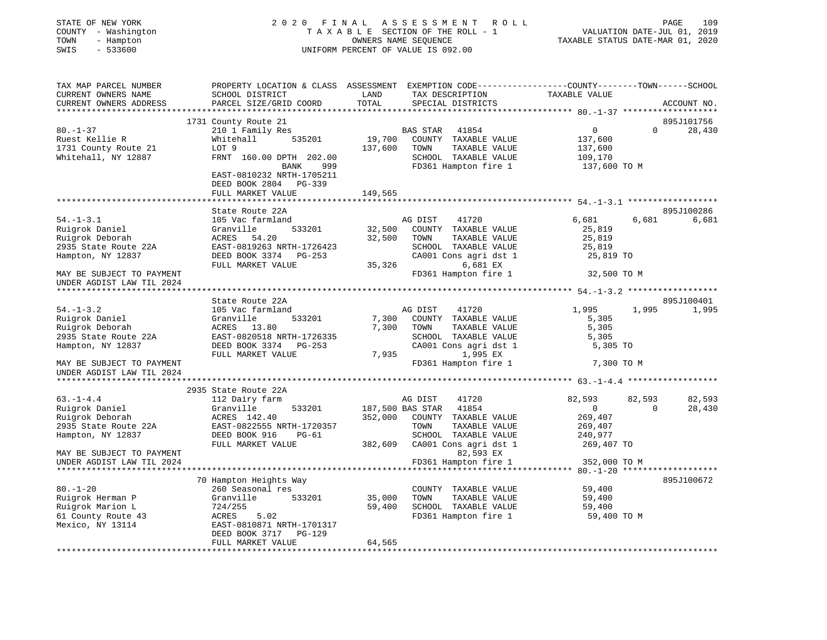| STATE OF NEW YORK<br>COUNTY - Washington<br>TOWN<br>- Hampton<br>SWIS<br>$-533600$ | 2020 FINAL                                                                                     | TAXABLE SECTION OF THE ROLL - 1<br>UNIFORM PERCENT OF VALUE IS 092.00 | A S S E S S M E N T<br>OWNERS NAME SEOUENCE | R O L L                                      | TAXABLE STATUS DATE-MAR 01, 2020                |          | 109<br>PAGE<br>VALUATION DATE-JUL 01, 2019 |
|------------------------------------------------------------------------------------|------------------------------------------------------------------------------------------------|-----------------------------------------------------------------------|---------------------------------------------|----------------------------------------------|-------------------------------------------------|----------|--------------------------------------------|
| TAX MAP PARCEL NUMBER                                                              | PROPERTY LOCATION & CLASS ASSESSMENT EXEMPTION CODE---------------COUNTY-------TOWN-----SCHOOL |                                                                       |                                             |                                              |                                                 |          |                                            |
| CURRENT OWNERS NAME<br>CURRENT OWNERS ADDRESS                                      | SCHOOL DISTRICT<br>PARCEL SIZE/GRID COORD                                                      | LAND<br>TOTAL                                                         |                                             | TAX DESCRIPTION                              | TAXABLE VALUE                                   |          | ACCOUNT NO.                                |
|                                                                                    |                                                                                                | *********                                                             |                                             | SPECIAL DISTRICTS                            | ******************* 80.-1-37 ****************** |          |                                            |
|                                                                                    | 1731 County Route 21                                                                           |                                                                       |                                             |                                              |                                                 |          | 895J101756                                 |
| $80. - 1 - 37$                                                                     | 210 1 Family Res                                                                               |                                                                       | BAS STAR                                    | 41854                                        | $\overline{0}$                                  | $\Omega$ | 28,430                                     |
| Ruest Kellie R                                                                     | 535201<br>Whitehall                                                                            | 19,700                                                                |                                             | COUNTY TAXABLE VALUE                         | 137,600                                         |          |                                            |
| 1731 County Route 21                                                               | LOT 9                                                                                          | 137,600                                                               | TOWN                                        | TAXABLE VALUE                                | 137,600                                         |          |                                            |
| Whitehall, NY 12887                                                                | FRNT 160.00 DPTH 202.00<br>BANK<br>999<br>EAST-0810232 NRTH-1705211                            |                                                                       |                                             | SCHOOL TAXABLE VALUE<br>FD361 Hampton fire 1 | 109,170<br>137,600 TO M                         |          |                                            |
|                                                                                    | DEED BOOK 2804 PG-339                                                                          |                                                                       |                                             |                                              |                                                 |          |                                            |
|                                                                                    | FULL MARKET VALUE                                                                              | 149,565                                                               |                                             |                                              |                                                 |          |                                            |
|                                                                                    |                                                                                                |                                                                       |                                             |                                              |                                                 |          |                                            |
|                                                                                    | State Route 22A                                                                                |                                                                       |                                             |                                              |                                                 |          | 895J100286                                 |
| $54. - 1 - 3.1$<br>Ruigrok Daniel                                                  | 105 Vac farmland<br>Granville<br>533201                                                        | 32,500                                                                | AG DIST                                     | 41720<br>COUNTY TAXABLE VALUE                | 6,681<br>25,819                                 | 6,681    | 6,681                                      |
| Ruigrok Deborah                                                                    | ACRES 54.20                                                                                    | 32,500                                                                | TOWN                                        | TAXABLE VALUE                                | 25,819                                          |          |                                            |
| 2935 State Route 22A                                                               | EAST-0819263 NRTH-1726423                                                                      |                                                                       |                                             | SCHOOL TAXABLE VALUE                         | 25,819                                          |          |                                            |
| Hampton, NY 12837                                                                  | DEED BOOK 3374 PG-253                                                                          |                                                                       |                                             | CA001 Cons agri dst 1                        | 25,819 TO                                       |          |                                            |
|                                                                                    | FULL MARKET VALUE                                                                              | 35,326                                                                |                                             | 6,681 EX                                     |                                                 |          |                                            |
| MAY BE SUBJECT TO PAYMENT                                                          |                                                                                                |                                                                       |                                             | FD361 Hampton fire 1                         | 32,500 TO M                                     |          |                                            |
| UNDER AGDIST LAW TIL 2024                                                          |                                                                                                |                                                                       |                                             |                                              |                                                 |          |                                            |
|                                                                                    | State Route 22A                                                                                |                                                                       |                                             |                                              |                                                 |          | 895J100401                                 |
| $54. - 1 - 3.2$                                                                    | 105 Vac farmland                                                                               |                                                                       | AG DIST                                     | 41720                                        | 1,995                                           | 1,995    | 1,995                                      |
| Ruigrok Daniel                                                                     | 533201<br>Granville                                                                            | 7,300                                                                 |                                             | COUNTY TAXABLE VALUE                         | 5,305                                           |          |                                            |
| Ruigrok Deborah                                                                    | ACRES 13.80                                                                                    | 7,300                                                                 | TOWN                                        | TAXABLE VALUE                                | 5,305                                           |          |                                            |
| 2935 State Route 22A                                                               | EAST-0820518 NRTH-1726335                                                                      |                                                                       |                                             | SCHOOL TAXABLE VALUE                         | 5,305                                           |          |                                            |
| Hampton, NY 12837                                                                  | DEED BOOK 3374 PG-253                                                                          |                                                                       |                                             | CA001 Cons agri dst 1                        | 5,305 TO                                        |          |                                            |
| MAY BE SUBJECT TO PAYMENT                                                          | FULL MARKET VALUE                                                                              | 7,935                                                                 |                                             | 1,995 EX<br>FD361 Hampton fire 1             | 7,300 TO M                                      |          |                                            |
| UNDER AGDIST LAW TIL 2024                                                          | ********************                                                                           |                                                                       |                                             |                                              |                                                 |          |                                            |
|                                                                                    | 2935 State Route 22A                                                                           |                                                                       |                                             |                                              |                                                 |          |                                            |
| $63. - 1 - 4.4$                                                                    | 112 Dairy farm                                                                                 |                                                                       | AG DIST                                     | 41720                                        | 82,593                                          | 82,593   | 82,593                                     |
| Ruigrok Daniel                                                                     | Granville<br>533201                                                                            |                                                                       | 187,500 BAS STAR                            | 41854                                        | $\overline{0}$                                  | $\Omega$ | 28,430                                     |
| Ruigrok Deborah                                                                    | ACRES 142.40                                                                                   | 352,000                                                               |                                             | COUNTY TAXABLE VALUE                         | 269,407                                         |          |                                            |
| 2935 State Route 22A                                                               | EAST-0822555 NRTH-1720357<br>PG-61                                                             |                                                                       | TOWN                                        | TAXABLE VALUE<br>SCHOOL TAXABLE VALUE        | 269,407                                         |          |                                            |
| Hampton, NY 12837                                                                  | DEED BOOK 916<br>FULL MARKET VALUE                                                             | 382,609                                                               |                                             | CA001 Cons agri dst 1                        | 240,977<br>269,407 TO                           |          |                                            |
| MAY BE SUBJECT TO PAYMENT                                                          |                                                                                                |                                                                       |                                             | 82,593 EX                                    |                                                 |          |                                            |
| UNDER AGDIST LAW TIL 2024                                                          |                                                                                                |                                                                       |                                             | FD361 Hampton fire 1                         | 352,000 TO M                                    |          |                                            |
|                                                                                    |                                                                                                |                                                                       |                                             |                                              | *** 80.-1-20 *****                              |          |                                            |
|                                                                                    | 70 Hampton Heights Way                                                                         |                                                                       |                                             |                                              |                                                 |          | 895J100672                                 |
| $80. - 1 - 20$                                                                     | 260 Seasonal res                                                                               |                                                                       |                                             | COUNTY TAXABLE VALUE                         | 59,400                                          |          |                                            |
| Ruigrok Herman P                                                                   | 533201<br>Granville                                                                            | 35,000                                                                | TOWN                                        | TAXABLE VALUE                                | 59,400                                          |          |                                            |
| Ruigrok Marion L<br>61 County Route 43                                             | 724/255<br>5.02<br>ACRES                                                                       | 59,400                                                                |                                             | SCHOOL TAXABLE VALUE<br>FD361 Hampton fire 1 | 59,400<br>59,400 TO M                           |          |                                            |
| Mexico, NY 13114                                                                   | EAST-0810871 NRTH-1701317<br>DEED BOOK 3717<br>PG-129                                          |                                                                       |                                             |                                              |                                                 |          |                                            |
|                                                                                    | FULL MARKET VALUE                                                                              | 64,565                                                                |                                             |                                              |                                                 |          |                                            |
|                                                                                    |                                                                                                |                                                                       |                                             |                                              |                                                 |          |                                            |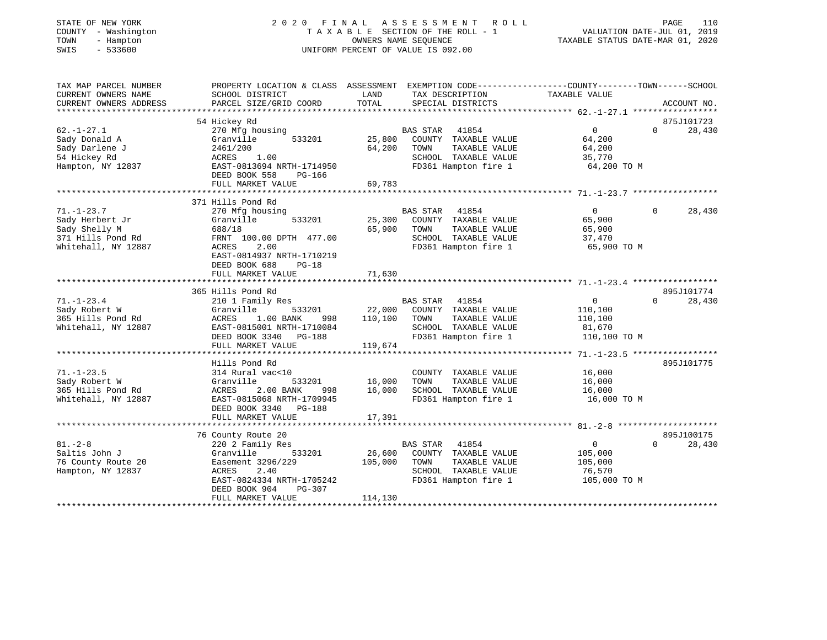| STATE OF NEW YORK<br>COUNTY - Washington<br>TOWN<br>- Hampton<br>$-533600$<br>SWIS               |                                                                                                                                                             | 2020 FINAL ASSESSMENT<br>TAXABLE SECTION OF THE ROLL - 1<br>OWNERS NAME SEQUENCE<br>UNIFORM PERCENT OF VALUE IS 092.00 | R O L L                                                                                        | VALUATION DATE-JUL 01, 2019<br>TAXABLE STATUS DATE-MAR 01, 2020 | PAGE<br>110                      |
|--------------------------------------------------------------------------------------------------|-------------------------------------------------------------------------------------------------------------------------------------------------------------|------------------------------------------------------------------------------------------------------------------------|------------------------------------------------------------------------------------------------|-----------------------------------------------------------------|----------------------------------|
| TAX MAP PARCEL NUMBER<br>CURRENT OWNERS NAME<br>CURRENT OWNERS ADDRESS                           | PROPERTY LOCATION & CLASS ASSESSMENT EXEMPTION CODE----------------COUNTY-------TOWN------SCHOOL<br>SCHOOL DISTRICT<br>PARCEL SIZE/GRID COORD               | LAND<br>TOTAL                                                                                                          | TAX DESCRIPTION<br>SPECIAL DISTRICTS                                                           | TAXABLE VALUE                                                   | ACCOUNT NO.                      |
|                                                                                                  | 54 Hickey Rd                                                                                                                                                |                                                                                                                        |                                                                                                |                                                                 | 875J101723                       |
| $62. - 1 - 27.1$<br>Sady Donald A<br>Sady Darlene J<br>54 Hickey Rd<br>Hampton, NY 12837         | 270 Mfg housing<br>533201<br>Granville<br>2461/200<br>ACRES<br>1.00<br>EAST-0813694 NRTH-1714950<br>DEED BOOK 558<br>PG-166<br>FULL MARKET VALUE            | BAS STAR 41854<br>25,800<br>64,200<br>TOWN<br>69,783                                                                   | COUNTY TAXABLE VALUE<br>TAXABLE VALUE<br>SCHOOL TAXABLE VALUE<br>FD361 Hampton fire 1          | $\Omega$<br>64,200<br>64,200<br>35,770<br>64,200 TO M           | $\Omega$<br>28,430               |
|                                                                                                  | *************************                                                                                                                                   | *************                                                                                                          |                                                                                                | ******************************71.-1-23.7 ******************     |                                  |
| $71. - 1 - 23.7$<br>Sady Herbert Jr<br>Sady Shelly M<br>371 Hills Pond Rd<br>Whitehall, NY 12887 | 371 Hills Pond Rd<br>270 Mfg housing<br>Granville<br>533201<br>688/18<br>FRNT 100.00 DPTH 477.00<br>ACRES<br>2.00                                           | BAS STAR<br>25,300<br>65,900<br>TOWN                                                                                   | 41854<br>COUNTY TAXABLE VALUE<br>TAXABLE VALUE<br>SCHOOL TAXABLE VALUE<br>FD361 Hampton fire 1 | $\overline{0}$<br>65,900<br>65,900<br>37,470<br>65,900 TO M     | $\Omega$<br>28,430               |
|                                                                                                  | EAST-0814937 NRTH-1710219<br>DEED BOOK 688<br>$PG-18$<br>FULL MARKET VALUE                                                                                  | 71,630                                                                                                                 |                                                                                                |                                                                 |                                  |
|                                                                                                  | 365 Hills Pond Rd                                                                                                                                           |                                                                                                                        |                                                                                                |                                                                 | 895J101774                       |
| $71. - 1 - 23.4$<br>Sady Robert W<br>365 Hills Pond Rd<br>Whitehall, NY 12887                    | 210 1 Family Res<br>Granville<br>533201<br>ACRES<br>1.00 BANK<br>998<br>EAST-0815001 NRTH-1710084                                                           | BAS STAR 41854<br>22,000<br>110,100<br>TOWN                                                                            | COUNTY TAXABLE VALUE<br>TAXABLE VALUE<br>SCHOOL TAXABLE VALUE                                  | $\overline{0}$<br>110,100<br>110,100<br>81,670                  | $\Omega$<br>28,430               |
|                                                                                                  | DEED BOOK 3340 PG-188<br>FULL MARKET VALUE                                                                                                                  | 119,674                                                                                                                | FD361 Hampton fire 1                                                                           | 110,100 TO M                                                    |                                  |
|                                                                                                  | *************************                                                                                                                                   |                                                                                                                        |                                                                                                |                                                                 |                                  |
| $71. - 1 - 23.5$<br>Sady Robert W<br>365 Hills Pond Rd<br>Whitehall, NY 12887                    | Hills Pond Rd<br>314 Rural vac<10<br>Granville<br>533201<br>ACRES<br>2.00 BANK<br>998<br>EAST-0815068 NRTH-1709945<br>DEED BOOK 3340 PG-188                 | 16,000<br>TOWN<br>16,000                                                                                               | COUNTY TAXABLE VALUE<br>TAXABLE VALUE<br>SCHOOL TAXABLE VALUE<br>FD361 Hampton fire 1          | 16,000<br>16,000<br>16,000<br>16,000 TO M                       | 895J101775                       |
|                                                                                                  | FULL MARKET VALUE                                                                                                                                           | 17,391                                                                                                                 |                                                                                                |                                                                 |                                  |
|                                                                                                  |                                                                                                                                                             |                                                                                                                        |                                                                                                |                                                                 |                                  |
| $81. - 2 - 8$<br>Saltis John J<br>76 County Route 20<br>Hampton, NY 12837                        | 76 County Route 20<br>220 2 Family Res<br>Granville<br>533201<br>Easement 3296/229<br>2.40<br>ACRES<br>EAST-0824334 NRTH-1705242<br>PG-307<br>DEED BOOK 904 | <b>BAS STAR</b><br>26,600<br>105,000<br>TOWN                                                                           | 41854<br>COUNTY TAXABLE VALUE<br>TAXABLE VALUE<br>SCHOOL TAXABLE VALUE<br>FD361 Hampton fire 1 | $\overline{0}$<br>105,000<br>105,000<br>76,570<br>105,000 TO M  | 895J100175<br>$\Omega$<br>28,430 |
|                                                                                                  | FULL MARKET VALUE                                                                                                                                           | 114,130<br>* * * * * * * * * * * * * * * *                                                                             |                                                                                                |                                                                 |                                  |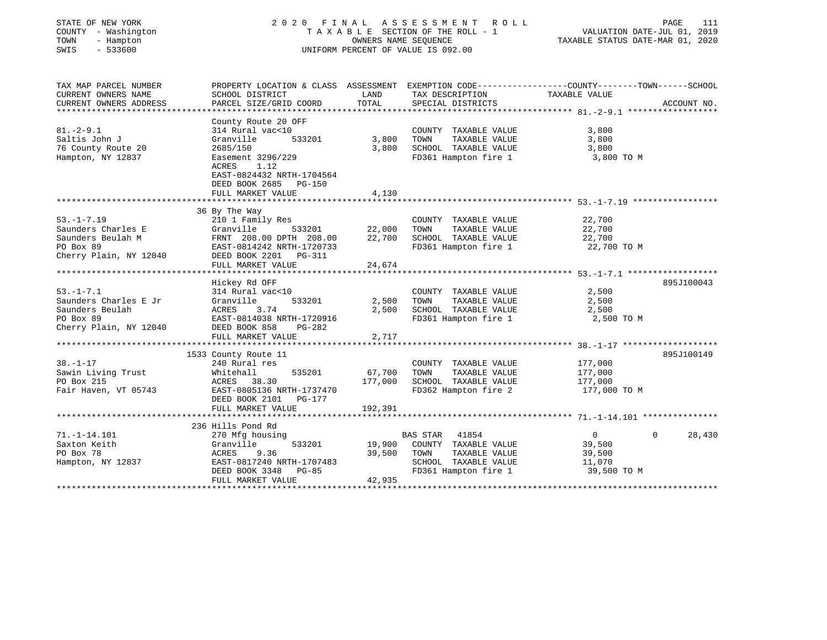| STATE OF NEW YORK<br>COUNTY - Washington<br>TOWN<br>- Hampton<br>$-533600$<br>SWIS                 |                                                                                                                                                                                                                               | OWNERS NAME SEQUENCE                | 2020 FINAL ASSESSMENT<br>R O L L<br>TAXABLE SECTION OF THE ROLL - 1<br>UNIFORM PERCENT OF VALUE IS 092.00                                | VALUATION DATE-JUL 01, 2019<br>TAXABLE STATUS DATE-MAR 01, 2020                     | PAGE<br>111        |
|----------------------------------------------------------------------------------------------------|-------------------------------------------------------------------------------------------------------------------------------------------------------------------------------------------------------------------------------|-------------------------------------|------------------------------------------------------------------------------------------------------------------------------------------|-------------------------------------------------------------------------------------|--------------------|
| TAX MAP PARCEL NUMBER<br>CURRENT OWNERS NAME<br>CURRENT OWNERS ADDRESS                             | SCHOOL DISTRICT<br>PARCEL SIZE/GRID COORD                                                                                                                                                                                     | LAND<br>TOTAL                       | PROPERTY LOCATION & CLASS ASSESSMENT EXEMPTION CODE----------------COUNTY-------TOWN------SCHOOL<br>TAX DESCRIPTION<br>SPECIAL DISTRICTS | TAXABLE VALUE                                                                       | ACCOUNT NO.        |
| $81. - 2 - 9.1$<br>Saltis John J<br>76 County Route 20<br>Hampton, NY 12837                        | County Route 20 OFF<br>314 Rural vac<10<br>Granville<br>533201<br>2685/150<br>Easement 3296/229<br>1.12<br>ACRES<br>EAST-0824432 NRTH-1704564<br>DEED BOOK 2685<br><b>PG-150</b><br>FULL MARKET VALUE<br>******************** | 3,800<br>3,800<br>4,130<br>******** | COUNTY TAXABLE VALUE<br>TOWN<br>TAXABLE VALUE<br>SCHOOL TAXABLE VALUE<br>FD361 Hampton fire 1                                            | 3,800<br>3,800<br>3,800<br>3,800 TO M<br>******************** 53. -1-7. 19. ******* |                    |
| $53. -1 - 7.19$<br>Saunders Charles E<br>Saunders Beulah M<br>PO Box 89<br>Cherry Plain, NY 12040  | 36 By The Way<br>210 1 Family Res<br>Granville<br>533201<br>FRNT 208.00 DPTH 208.00<br>EAST-0814242 NRTH-1720733<br>DEED BOOK 2201    PG-311                                                                                  | 22,000<br>22,700                    | COUNTY TAXABLE VALUE<br>TOWN<br>TAXABLE VALUE<br>SCHOOL TAXABLE VALUE<br>FD361 Hampton fire 1                                            | 22,700<br>22,700<br>22,700<br>22,700 TO M                                           |                    |
|                                                                                                    | FULL MARKET VALUE                                                                                                                                                                                                             | 24,674                              |                                                                                                                                          |                                                                                     |                    |
| $53. - 1 - 7.1$<br>Saunders Charles E Jr<br>Saunders Beulah<br>PO Box 89<br>Cherry Plain, NY 12040 | Hickey Rd OFF<br>314 Rural vac<10<br>Granville<br>533201<br>ACRES<br>3.74<br>EAST-0814038 NRTH-1720916<br>DEED BOOK 858<br>PG-282<br>FULL MARKET VALUE                                                                        | 2,500<br>2,500<br>2,717             | COUNTY TAXABLE VALUE<br>TOWN<br>TAXABLE VALUE<br>SCHOOL TAXABLE VALUE<br>FD361 Hampton fire 1                                            | 2,500<br>2,500<br>2,500<br>2,500 TO M                                               | 895J100043         |
|                                                                                                    |                                                                                                                                                                                                                               |                                     |                                                                                                                                          |                                                                                     | 895J100149         |
| $38. - 1 - 17$<br>Sawin Living Trust<br>PO Box 215<br>Fair Haven, VT 05743                         | 1533 County Route 11<br>240 Rural res<br>535201<br>Whitehall<br>ACRES<br>38.30<br>EAST-0805136 NRTH-1737470<br>DEED BOOK 2101<br>PG-177                                                                                       | 67,700<br>177,000                   | COUNTY TAXABLE VALUE<br>TOWN<br>TAXABLE VALUE<br>SCHOOL TAXABLE VALUE<br>FD362 Hampton fire 2                                            | 177,000<br>177,000<br>177,000<br>177,000 TO M                                       |                    |
|                                                                                                    | FULL MARKET VALUE<br>*****************************                                                                                                                                                                            | 192,391                             |                                                                                                                                          |                                                                                     |                    |
|                                                                                                    | 236 Hills Pond Rd                                                                                                                                                                                                             |                                     |                                                                                                                                          |                                                                                     |                    |
| $71. - 1 - 14.101$<br>Saxton Keith<br>PO Box 78<br>Hampton, NY 12837                               | 270 Mfg housing<br>Granville<br>533201<br>ACRES<br>9.36<br>EAST-0817240 NRTH-1707483<br>DEED BOOK 3348<br>$PG-85$<br>FULL MARKET VALUE                                                                                        | 19,900<br>39,500<br>42,935          | <b>BAS STAR</b><br>41854<br>COUNTY TAXABLE VALUE<br>TOWN<br>TAXABLE VALUE<br>SCHOOL TAXABLE VALUE<br>FD361 Hampton fire 1                | $\overline{0}$<br>39,500<br>39,500<br>11,070<br>39,500 TO M                         | 28,430<br>$\Omega$ |
|                                                                                                    |                                                                                                                                                                                                                               | + + + + + + + + + + + + + + + + + + |                                                                                                                                          | *****************************                                                       |                    |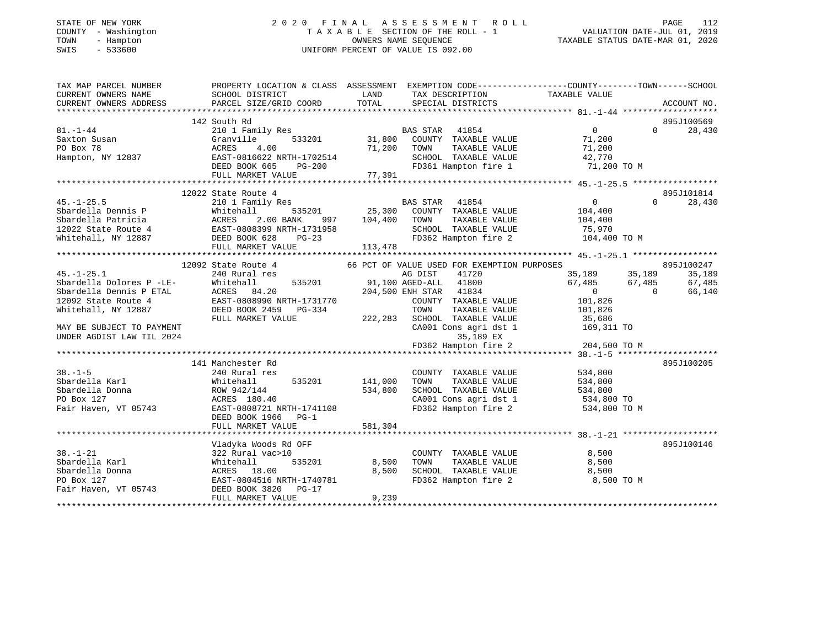# STATE OF NEW YORK 2 0 2 0 F I N A L A S S E S S M E N T R O L L PAGE 112 COUNTY - Washington T A X A B L E SECTION OF THE ROLL - 1 VALUATION DATE-JUL 01, 2019 TOWN - Hampton OWNERS NAME SEQUENCE TAXABLE STATUS DATE-MAR 01, 2020 SWIS - 533600 UNIFORM PERCENT OF VALUE IS 092.00

| TAX MAP PARCEL NUMBER                                         | PROPERTY LOCATION & CLASS ASSESSMENT EXEMPTION CODE----------------COUNTY-------TOWN------SCHOOL                                                                        |                  |                                                                                    |                                             |                |            |
|---------------------------------------------------------------|-------------------------------------------------------------------------------------------------------------------------------------------------------------------------|------------------|------------------------------------------------------------------------------------|---------------------------------------------|----------------|------------|
| CURRENT OWNERS NAME                                           | SCHOOL DISTRICT                                                                                                                                                         | LAND             | TAX DESCRIPTION                                                                    | TAXABLE VALUE                               |                |            |
|                                                               |                                                                                                                                                                         |                  |                                                                                    |                                             |                |            |
|                                                               |                                                                                                                                                                         |                  |                                                                                    |                                             |                |            |
|                                                               | 142 South Rd                                                                                                                                                            |                  |                                                                                    |                                             |                | 895J100569 |
| $81. - 1 - 44$                                                | 210 1 Family Res                                                                                                                                                        |                  | <b>BAS STAR</b> 41854                                                              | $\overline{0}$                              | $\Omega$       | 28,430     |
| Saxton Susan                                                  | Granville                                                                                                                                                               |                  | 3<br>533201 31,800 COUNTY TAXABLE VALUE 71,200<br>71 200 TOWN TAXABLE VALUE 71,200 |                                             |                |            |
| PO Box 78                                                     | ACRES<br>4.00                                                                                                                                                           |                  | 71,200 TOWN<br>TAXABLE VALUE                                                       | 71,200                                      |                |            |
|                                                               |                                                                                                                                                                         |                  |                                                                                    |                                             |                |            |
|                                                               | Hampton, NY 12837<br>Hampton, NY 12837 (EAST-0816622 NRTH-1702514<br>DEED BOOK 665 PG-200 FD361 Hampton fire 1 71,200 TO M<br>FULL MARKET VALUE 77,391                  |                  |                                                                                    |                                             |                |            |
|                                                               |                                                                                                                                                                         |                  |                                                                                    |                                             |                |            |
|                                                               |                                                                                                                                                                         |                  |                                                                                    |                                             |                |            |
|                                                               | 12022 State Route 4                                                                                                                                                     |                  |                                                                                    |                                             |                | 895J101814 |
| $45. -1 - 25.5$                                               | SCALL THE TRILLY RES<br>2001 Family Res<br>Whitehall 535201 25,300 COUNTY TAXABLE VALUE                                                                                 |                  |                                                                                    | $\begin{array}{c} 0 \\ 104,400 \end{array}$ | $\Omega$       | 28,430     |
|                                                               |                                                                                                                                                                         |                  |                                                                                    |                                             |                |            |
|                                                               |                                                                                                                                                                         | 997 104,400 TOWN |                                                                                    | TAXABLE VALUE 104,400                       |                |            |
|                                                               |                                                                                                                                                                         |                  | SCHOOL TAXABLE VALUE 75,970<br>FD362 Hampton fire 2 104,400 TO M                   |                                             |                |            |
|                                                               | 4.10.125.30<br>Sbardella Dennis P (Nhitehall 19 Res 2.00 BANK 997 104,400<br>12022 State Route 4 (EAST-0808399 NRTH-1731958<br>Whitehall, NY 12887 (DEED BOOK 628 PG-23 |                  |                                                                                    |                                             |                |            |
|                                                               | FULL MARKET VALUE                                                                                                                                                       | 113,478          |                                                                                    |                                             |                |            |
|                                                               |                                                                                                                                                                         |                  |                                                                                    |                                             |                |            |
|                                                               | 12092 State Route 4                                                                                                                                                     |                  | 66 PCT OF VALUE USED FOR EXEMPTION PURPOSES<br>AG DIST 41720 35,189 35,189         |                                             |                | 895J100247 |
| $45. - 1 - 25.1$                                              | 240 Rural res                                                                                                                                                           |                  |                                                                                    |                                             |                | 35,189     |
|                                                               | Sbardella Dolores P -LE-<br>Whitehall 535201<br>Sbardella Dennis P ETAL ACRES 84.20<br>12092 State Route 4 EAST-0808990 NRTH-1731770                                    |                  | 535201 91,100 AGED-ALL 41800 67,485 67,485                                         |                                             |                | 67,485     |
|                                                               |                                                                                                                                                                         |                  | 204,500 ENH STAR 41834                                                             | $\overline{0}$                              | $\overline{0}$ | 66,140     |
|                                                               |                                                                                                                                                                         |                  | COUNTY TAXABLE VALUE 101,826                                                       |                                             |                |            |
| Whitehall, NY 12887                                           | DEED BOOK 2459 PG-334                                                                                                                                                   |                  | $-334$ TOWN TAXABLE VALUE 101,826<br>222,283 SCHOOL TAXABLE VALUE 35,686           |                                             |                |            |
|                                                               | FULL MARKET VALUE                                                                                                                                                       |                  |                                                                                    |                                             |                |            |
| MAY BE SUBJECT TO PAYMENT                                     |                                                                                                                                                                         |                  | CA001 Cons agri dst 1 169,311 TO                                                   |                                             |                |            |
| UNDER AGDIST LAW TIL 2024                                     |                                                                                                                                                                         |                  | 35,189 EX                                                                          |                                             |                |            |
|                                                               |                                                                                                                                                                         |                  | FD362 Hampton fire 2 $204,500$ TO M                                                |                                             |                |            |
|                                                               |                                                                                                                                                                         |                  |                                                                                    |                                             |                |            |
|                                                               | 141 Manchester Rd                                                                                                                                                       |                  |                                                                                    |                                             |                | 895J100205 |
| $38. - 1 - 5$                                                 | 240 Rural res                                                                                                                                                           |                  | COUNTY TAXABLE VALUE                                                               | 534,800                                     |                |            |
| Sbardella Karl                                                | Whitehall                                                                                                                                                               | 535201 141,000   | TAXABLE VALUE<br>TOWN                                                              | 534,800                                     |                |            |
| Sbardella Donna                                               | ROW 942/144                                                                                                                                                             | 534,800          | SCHOOL TAXABLE VALUE 534,800                                                       |                                             |                |            |
| PO Box 127                                                    | ACRES 180.40                                                                                                                                                            |                  | CA001 Cons agri dst 1<br>FD362 Hampton fire 2                                      | 534,800 TO                                  |                |            |
|                                                               | Fair Haven, VT 05743 EAST-0808721 NRTH-1741108                                                                                                                          |                  |                                                                                    | 534,800 TO M                                |                |            |
|                                                               | DEED BOOK 1966 PG-1                                                                                                                                                     |                  |                                                                                    |                                             |                |            |
|                                                               | FULL MARKET VALUE                                                                                                                                                       | 581,304          |                                                                                    |                                             |                |            |
|                                                               |                                                                                                                                                                         |                  |                                                                                    |                                             |                |            |
|                                                               | Vladyka Woods Rd OFF                                                                                                                                                    |                  |                                                                                    |                                             |                | 895J100146 |
| $38. - 1 - 21$                                                | 322 Rural vac>10                                                                                                                                                        |                  | COUNTY TAXABLE VALUE                                                               | 8,500                                       |                |            |
| Sbardella Karl                                                | Whitehall                                                                                                                                                               | 535201 8,500     | TOWN TAXABLE VALUE 8,500<br>SCHOOL TAXABLE VALUE 8,500                             |                                             |                |            |
| Sbardella Donna                                               | ACRES 18.00                                                                                                                                                             | 8,500            |                                                                                    |                                             |                |            |
| PO Box 127<br>Fair Haven, VT 05743<br>DEED BOOK 3820<br>PG-17 | EAST-0804516 NRTH-1740781                                                                                                                                               |                  | FD362 Hampton fire 2                                                               | 8,500 TO M                                  |                |            |
|                                                               |                                                                                                                                                                         |                  |                                                                                    |                                             |                |            |
|                                                               | FULL MARKET VALUE                                                                                                                                                       | 9,239            |                                                                                    |                                             |                |            |
|                                                               |                                                                                                                                                                         |                  |                                                                                    |                                             |                |            |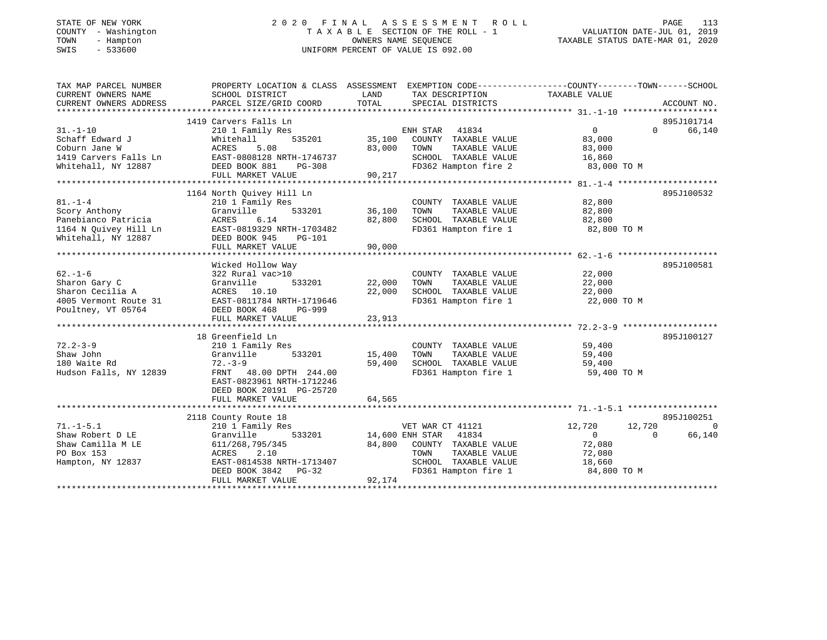#### STATE OF NEW YORK 2 0 2 0 F I N A L A S S E S S M E N T R O L L PAGE 113COUNTY - Washington T A X A B L E SECTION OF THE ROLL - 1 TOWN - Hampton OWNERS NAME SEQUENCE TAXABLE STATUS DATE-MAR 01, 2020 SWIS - 533600 UNIFORM PERCENT OF VALUE IS 092.00

VALUATION DATE-JUL 01, 2019

| TAX MAP PARCEL NUMBER                                                                                                                                    |                           |                                 | PROPERTY LOCATION & CLASS ASSESSMENT EXEMPTION CODE---------------COUNTY-------TOWN-----SCHOOL |
|----------------------------------------------------------------------------------------------------------------------------------------------------------|---------------------------|---------------------------------|------------------------------------------------------------------------------------------------|
| CURRENT OWNERS NAME                                                                                                                                      | SCHOOL DISTRICT           | LAND<br>TAX DESCRIPTION         | TAXABLE VALUE                                                                                  |
| CURRENT OWNERS ADDRESS                                                                                                                                   | PARCEL SIZE/GRID COORD    | TOTAL<br>SPECIAL DISTRICTS      | ACCOUNT NO.                                                                                    |
|                                                                                                                                                          |                           |                                 |                                                                                                |
|                                                                                                                                                          | 1419 Carvers Falls Ln     |                                 | 895J101714                                                                                     |
| $31. - 1 - 10$                                                                                                                                           | 210 1 Family Res          | ENH STAR 41834                  | 66,140<br>$\overline{0}$<br>$\Omega$                                                           |
| Schaff Edward J                                                                                                                                          | 535201<br>Whitehall       | 35,100<br>COUNTY TAXABLE VALUE  | 83,000                                                                                         |
|                                                                                                                                                          |                           | 83,000<br>TOWN<br>TAXABLE VALUE | 83,000                                                                                         |
|                                                                                                                                                          | EAST-0808128 NRTH-1746737 | SCHOOL TAXABLE VALUE            | 16,860                                                                                         |
| Schaff Edward Universe S.08<br>Coburn Jane W<br>1419 Carvers Falls Ln<br>Third-boll NY 12887<br>Third-boll NY 12887<br>DEED BOOK 881<br>Charles Constant | PG-308                    | FD362 Hampton fire 2            | 83,000 TO M                                                                                    |
|                                                                                                                                                          | FULL MARKET VALUE         | 90, 217                         |                                                                                                |
|                                                                                                                                                          |                           |                                 |                                                                                                |
|                                                                                                                                                          | 1164 North Quivey Hill Ln |                                 | 895J100532                                                                                     |
| $81. - 1 - 4$                                                                                                                                            | 210 1 Family Res          | COUNTY TAXABLE VALUE            | 82,800                                                                                         |
| Scory Anthony                                                                                                                                            | Granville<br>533201       | 36,100<br>TOWN<br>TAXABLE VALUE | 82,800                                                                                         |
| Panebianco Patricia                                                                                                                                      | ACRES<br>6.14             | 82,800<br>SCHOOL TAXABLE VALUE  | 82,800                                                                                         |
|                                                                                                                                                          | EAST-0819329 NRTH-1703482 | FD361 Hampton fire 1            | 82,800 TO M                                                                                    |
| 1164 N Quivey Hill Ln<br>Whitahall NY 12887<br>Whitehall, NY 12887                                                                                       | DEED BOOK 945<br>PG-101   |                                 |                                                                                                |
|                                                                                                                                                          | FULL MARKET VALUE         | 90,000                          |                                                                                                |
|                                                                                                                                                          |                           |                                 |                                                                                                |
|                                                                                                                                                          | Wicked Hollow Way         |                                 | 895J100581                                                                                     |
| $62. - 1 - 6$                                                                                                                                            | 322 Rural vac>10          | COUNTY TAXABLE VALUE            | 22,000                                                                                         |
| Sharon Gary C                                                                                                                                            | Granville<br>533201       | 22,000<br>TOWN<br>TAXABLE VALUE | 22,000                                                                                         |
| Sharon Cecilia A                                                                                                                                         | ACRES 10.10               | 22,000<br>SCHOOL TAXABLE VALUE  | 22,000                                                                                         |
| 4005 Vermont Route 31                                                                                                                                    | EAST-0811784 NRTH-1719646 | FD361 Hampton fire 1            | 22,000 TO M                                                                                    |
| Poultney, VT 05764                                                                                                                                       | DEED BOOK 468<br>PG-999   |                                 |                                                                                                |
|                                                                                                                                                          | FULL MARKET VALUE         | 23,913                          |                                                                                                |
|                                                                                                                                                          |                           |                                 |                                                                                                |
|                                                                                                                                                          | 18 Greenfield Ln          |                                 | 895J100127                                                                                     |
| $72.2 - 3 - 9$                                                                                                                                           |                           | COUNTY TAXABLE VALUE            |                                                                                                |
| Shaw John                                                                                                                                                | 210 1 Family Res          |                                 | 59,400                                                                                         |
|                                                                                                                                                          | Granville<br>533201       | 15,400<br>TOWN<br>TAXABLE VALUE | 59,400<br>$\frac{3}{59}$ , 400                                                                 |
| 180 Waite Rd                                                                                                                                             | $72 - 3 - 9$              | 59,400<br>SCHOOL TAXABLE VALUE  |                                                                                                |
| Hudson Falls, NY 12839                                                                                                                                   | FRNT 48.00 DPTH 244.00    | FD361 Hampton fire 1            | 59,400 TO M                                                                                    |
|                                                                                                                                                          | EAST-0823961 NRTH-1712246 |                                 |                                                                                                |
|                                                                                                                                                          | DEED BOOK 20191 PG-25720  |                                 |                                                                                                |
|                                                                                                                                                          | FULL MARKET VALUE         | 64,565                          |                                                                                                |
|                                                                                                                                                          |                           |                                 |                                                                                                |
|                                                                                                                                                          | 2118 County Route 18      |                                 | 895J100251                                                                                     |
| $71. - 1 - 5.1$                                                                                                                                          | 210 1 Family Res          | VET WAR CT 41121                | 12,720<br>12,720<br>$\bigcirc$                                                                 |
| Shaw Robert D LE                                                                                                                                         | Granville<br>533201       | 14,600 ENH STAR 41834           | $\Omega$<br>66,140<br>$\Omega$                                                                 |
| Shaw Camilla M LE                                                                                                                                        | 611/268,795/345           | 84,800<br>COUNTY TAXABLE VALUE  | 72,080                                                                                         |
| PO Box 153                                                                                                                                               | ACRES 2.10                | TOWN<br>TAXABLE VALUE           | 72,080                                                                                         |
| Hampton, NY 12837                                                                                                                                        | EAST-0814538 NRTH-1713407 | SCHOOL TAXABLE VALUE            | 18,660                                                                                         |
|                                                                                                                                                          | DEED BOOK 3842<br>$PG-32$ | FD361 Hampton fire 1            | 84,800 TO M                                                                                    |
|                                                                                                                                                          | FULL MARKET VALUE         | 92,174                          |                                                                                                |
|                                                                                                                                                          |                           |                                 |                                                                                                |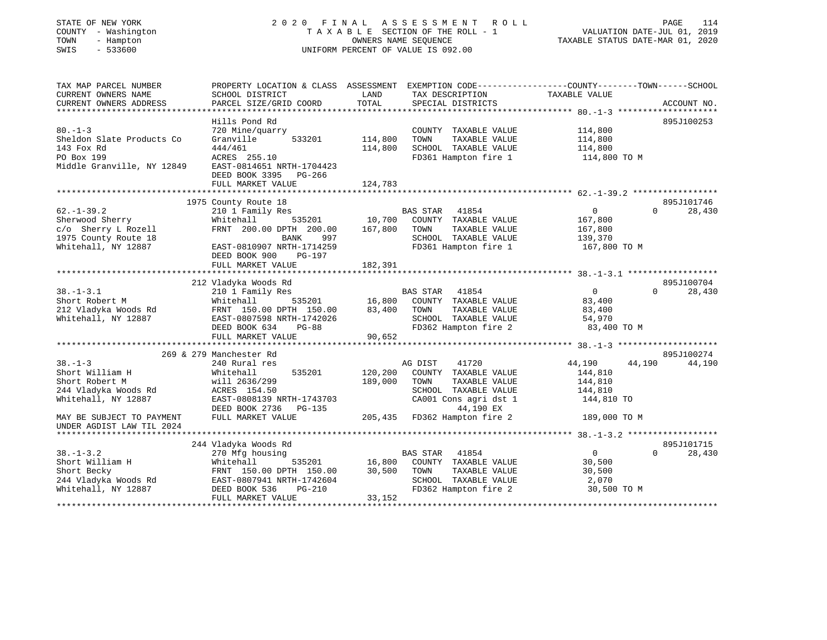## STATE OF NEW YORK 2 0 2 0 F I N A L A S S E S S M E N T R O L L PAGE 114 COUNTY - Washington T A X A B L E SECTION OF THE ROLL - 1 VALUATION DATE-JUL 01, 2019 TOWN - Hampton OWNERS NAME SEQUENCE TAXABLE STATUS DATE-MAR 01, 2020 SWIS - 533600 UNIFORM PERCENT OF VALUE IS 092.00

| TAX MAP PARCEL NUMBER<br>CURRENT OWNERS NAME | PROPERTY LOCATION & CLASS ASSESSMENT EXEMPTION CODE----------------COUNTY-------TOWN------SCHOOL<br>SCHOOL DISTRICT | LAND                          | TAX DESCRIPTION              | TAXABLE VALUE    |                    |
|----------------------------------------------|---------------------------------------------------------------------------------------------------------------------|-------------------------------|------------------------------|------------------|--------------------|
| CURRENT OWNERS ADDRESS                       | PARCEL SIZE/GRID COORD                                                                                              | TOTAL                         | SPECIAL DISTRICTS            |                  | ACCOUNT NO.        |
|                                              |                                                                                                                     |                               |                              |                  |                    |
| $80. -1 - 3$                                 | Hills Pond Rd<br>720 Mine/quarry                                                                                    |                               | COUNTY TAXABLE VALUE         | 114,800          | 895J100253         |
| Sheldon Slate Products Co                    | Granville<br>533201                                                                                                 | 114,800                       | TAXABLE VALUE<br>TOWN        | 114,800          |                    |
| 143 Fox Rd                                   | 444/461                                                                                                             | 114,800                       | SCHOOL TAXABLE VALUE         | 114,800          |                    |
| PO Box 199                                   | ACRES 255.10                                                                                                        |                               | FD361 Hampton fire 1         |                  |                    |
| Middle Granville, NY 12849                   | EAST-0814651 NRTH-1704423                                                                                           |                               |                              | 114,800 TO M     |                    |
|                                              | DEED BOOK 3395 PG-266                                                                                               |                               |                              |                  |                    |
|                                              |                                                                                                                     |                               |                              |                  |                    |
|                                              | FULL MARKET VALUE                                                                                                   | 124,783                       |                              |                  |                    |
|                                              | 1975 County Route 18                                                                                                |                               |                              |                  | 895J101746         |
| $62. - 1 - 39.2$                             | 210 1 Family Res                                                                                                    |                               | BAS STAR 41854               | $\Omega$         | 28,430<br>$\Omega$ |
| Sherwood Sherry                              | 535201<br>Whitehall                                                                                                 | 10,700                        | COUNTY TAXABLE VALUE         | 167,800          |                    |
| c/o Sherry L Rozell                          | FRNT 200.00 DPTH 200.00                                                                                             | 167,800                       | TOWN<br>TAXABLE VALUE        | 167,800          |                    |
| 1975 County Route 18                         | BANK<br>997                                                                                                         |                               | SCHOOL TAXABLE VALUE         | 139,370          |                    |
| Whitehall, NY 12887                          | EAST-0810907 NRTH-1714259                                                                                           |                               | FD361 Hampton fire 1         | 167,800 TO M     |                    |
|                                              | DEED BOOK 900<br>PG-197                                                                                             |                               |                              |                  |                    |
|                                              | FULL MARKET VALUE                                                                                                   | 182,391                       |                              |                  |                    |
|                                              |                                                                                                                     |                               |                              |                  |                    |
|                                              | 212 Vladyka Woods Rd                                                                                                |                               |                              |                  | 895J100704         |
| $38. - 1 - 3.1$                              | 210 1 Family Res                                                                                                    |                               | BAS STAR 41854               | $\overline{0}$   | $\Omega$<br>28,430 |
| Short Robert M                               | Whitehall                                                                                                           | <sup>3</sup><br>535201 16,800 | COUNTY TAXABLE VALUE         | 83,400           |                    |
| 212 Vladyka Woods Rd                         | FRNT 150.00 DPTH 150.00                                                                                             | 83,400                        | TAXABLE VALUE<br>TOWN        | 83,400           |                    |
| Whitehall, NY 12887                          | EAST-0807598 NRTH-1742026                                                                                           |                               | SCHOOL TAXABLE VALUE         | 54,970           |                    |
|                                              | DEED BOOK 634<br><b>PG-88</b>                                                                                       |                               | FD362 Hampton fire 2         | 83,400 TO M      |                    |
|                                              | FULL MARKET VALUE                                                                                                   | 90,652                        |                              |                  |                    |
|                                              |                                                                                                                     |                               |                              |                  |                    |
|                                              | 269 & 279 Manchester Rd                                                                                             |                               |                              |                  | 895J100274         |
| $38 - 1 - 3$                                 | 240 Rural res                                                                                                       |                               | AG DIST<br>41720             | 44,190<br>44,190 | 44,190             |
| Short William H                              | 535201<br>Whitehall                                                                                                 | 120,200                       | COUNTY TAXABLE VALUE         | 144,810          |                    |
| Short Robert M                               | will 2636/299                                                                                                       | 189,000                       | TOWN<br>TAXABLE VALUE        | 144,810          |                    |
| 244 Vladyka Woods Rd                         | ACRES 154.50                                                                                                        |                               | SCHOOL TAXABLE VALUE         | 144,810          |                    |
| Whitehall, NY 12887                          | EAST-0808139 NRTH-1743703                                                                                           |                               | CA001 Cons agri dst 1        | 144,810 TO       |                    |
|                                              | DEED BOOK 2736<br>PG-135                                                                                            |                               | 44,190 EX                    |                  |                    |
| MAY BE SUBJECT TO PAYMENT                    | FULL MARKET VALUE                                                                                                   |                               | 205,435 FD362 Hampton fire 2 | 189,000 TO M     |                    |
| UNDER AGDIST LAW TIL 2024                    |                                                                                                                     |                               |                              |                  |                    |
|                                              |                                                                                                                     |                               |                              |                  |                    |
|                                              | 244 Vladyka Woods Rd                                                                                                |                               |                              |                  | 895J101715         |
| $38. - 1 - 3.2$                              | 270 Mfg housing                                                                                                     |                               | BAS STAR<br>41854            | $\overline{0}$   | $\Omega$<br>28,430 |
| Short William H                              | Whitehall<br>535201                                                                                                 | 16,800                        | COUNTY TAXABLE VALUE         | 30,500           |                    |
| Short Becky                                  | FRNT 150.00 DPTH 150.00                                                                                             | 30,500                        | TAXABLE VALUE<br>TOWN        | 30,500           |                    |
| 244 Vladyka Woods Rd                         | EAST-0807941 NRTH-1742604                                                                                           |                               | SCHOOL TAXABLE VALUE         | 2,070            |                    |
| Whitehall, NY 12887                          | DEED BOOK 536<br>PG-210                                                                                             |                               | FD362 Hampton fire 2         | 30,500 TO M      |                    |
|                                              | FULL MARKET VALUE                                                                                                   | 33,152                        |                              |                  |                    |
|                                              |                                                                                                                     |                               |                              |                  |                    |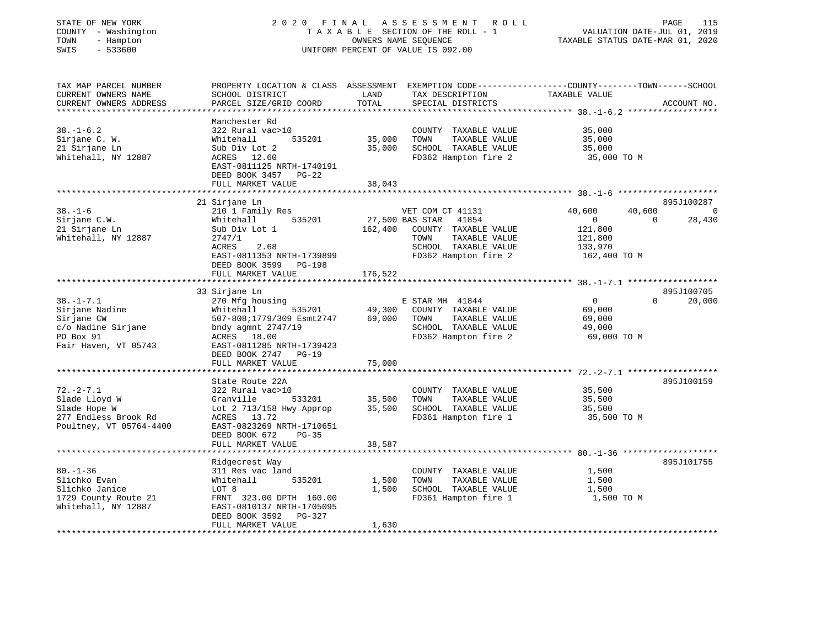| STATE OF NEW YORK<br>COUNTY - Washington<br>TOWN<br>- Hampton<br>$-533600$<br>SWIS                                   |                                                                                                                                                                                                                                |                                          | 2020 FINAL ASSESSMENT<br>R O L L<br>TAXABLE SECTION OF THE ROLL - 1<br>OWNERS NAME SEQUENCE<br>UNIFORM PERCENT OF VALUE IS 092.00             | PAGE<br>115<br>VALUATION DATE-JUL 01, 2019<br>TAXABLE STATUS DATE-MAR 01, 2020                             |   |
|----------------------------------------------------------------------------------------------------------------------|--------------------------------------------------------------------------------------------------------------------------------------------------------------------------------------------------------------------------------|------------------------------------------|-----------------------------------------------------------------------------------------------------------------------------------------------|------------------------------------------------------------------------------------------------------------|---|
| TAX MAP PARCEL NUMBER<br>CURRENT OWNERS NAME<br>CURRENT OWNERS ADDRESS                                               | PROPERTY LOCATION & CLASS ASSESSMENT<br>SCHOOL DISTRICT<br>PARCEL SIZE/GRID COORD                                                                                                                                              | LAND<br>TOTAL                            | TAX DESCRIPTION<br>SPECIAL DISTRICTS                                                                                                          | EXEMPTION CODE-----------------COUNTY-------TOWN------SCHOOL<br>TAXABLE VALUE<br>ACCOUNT NO.               |   |
| **********************<br>$38. - 1 - 6.2$<br>Sirjane C. W.<br>21 Sirjane Ln<br>Whitehall, NY 12887                   | ************************<br>Manchester Rd<br>322 Rural vac>10<br>Whitehall<br>535201<br>Sub Div Lot 2<br>ACRES 12.60<br>EAST-0811125 NRTH-1740191<br>DEED BOOK 3457<br>$PG-22$<br>FULL MARKET VALUE                            | **********<br>35,000<br>35,000<br>38,043 | COUNTY TAXABLE VALUE<br>TOWN<br>TAXABLE VALUE<br>SCHOOL TAXABLE VALUE<br>FD362 Hampton fire 2                                                 | 35,000<br>35,000<br>35,000<br>35,000 TO M                                                                  |   |
| $38. - 1 - 6$<br>Sirjane C.W.<br>21 Sirjane Ln<br>Whitehall, NY 12887                                                | 21 Sirjane Ln<br>210 1 Family Res<br>535201<br>Whitehall<br>Sub Div Lot 1<br>2747/1<br>ACRES<br>2.68<br>EAST-0811353 NRTH-1739899<br>DEED BOOK 3599 PG-198                                                                     | 162,400                                  | VET COM CT 41131<br>27,500 BAS STAR<br>41854<br>COUNTY TAXABLE VALUE<br>TOWN<br>TAXABLE VALUE<br>SCHOOL TAXABLE VALUE<br>FD362 Hampton fire 2 | 895J100287<br>40,600<br>40,600<br>0<br>28,430<br>$\Omega$<br>121,800<br>121,800<br>133,970<br>162,400 TO M | 0 |
|                                                                                                                      | FULL MARKET VALUE                                                                                                                                                                                                              | 176,522                                  |                                                                                                                                               |                                                                                                            |   |
| $38. - 1 - 7.1$<br>Sirjane Nadine<br>Sirjane CW<br>c/o Nadine Sirjane<br>PO Box 91<br>Fair Haven, VT 05743           | 33 Sirjane Ln<br>270 Mfg housing<br>Whitehall<br>535201<br>507-808;1779/309 Esmt2747<br>bndy agmnt $2747/19$<br>ACRES 18.00<br>EAST-0811285 NRTH-1739423<br>DEED BOOK 2747<br>$PG-19$<br>FULL MARKET VALUE                     | 49,300<br>69,000<br>75,000               | E STAR MH 41844<br>COUNTY TAXABLE VALUE<br>TOWN<br>TAXABLE VALUE<br>SCHOOL TAXABLE VALUE<br>FD362 Hampton fire 2                              | 895J100705<br>$\Omega$<br>$\Omega$<br>20,000<br>69,000<br>69,000<br>49,000<br>69,000 TO M                  |   |
|                                                                                                                      | ******************                                                                                                                                                                                                             |                                          |                                                                                                                                               | ********** 72.-2-7.1 ******************                                                                    |   |
| $72. - 2 - 7.1$<br>Slade Lloyd W<br>Slade Hope W<br>277 Endless Brook Rd<br>Poultney, VT 05764-4400                  | State Route 22A<br>322 Rural vac>10<br>Granville<br>533201<br>Lot 2 713/158 Hwy Approp<br>ACRES 13.72<br>EAST-0823269 NRTH-1710651                                                                                             | 35,500<br>35,500                         | COUNTY TAXABLE VALUE<br>TOWN<br>TAXABLE VALUE<br>SCHOOL TAXABLE VALUE<br>FD361 Hampton fire 1                                                 | 895J100159<br>35,500<br>35,500<br>35,500<br>35,500 TO M                                                    |   |
|                                                                                                                      | DEED BOOK 672<br>$PG-35$<br>FULL MARKET VALUE                                                                                                                                                                                  | 38,587                                   |                                                                                                                                               |                                                                                                            |   |
| $80. - 1 - 36$<br>Slichko Evan<br>Slichko Janice<br>1729 County Route 21<br>Whitehall, NY 12887<br>***************** | ************************<br>Ridgecrest Way<br>311 Res vac land<br>535201<br>Whitehall<br>LOT 8<br>FRNT 323.00 DPTH 160.00<br>EAST-0810137 NRTH-1705095<br>DEED BOOK 3592<br>PG-327<br>FULL MARKET VALUE<br>******************* | 1,500<br>1,500<br>1,630<br>*******       | COUNTY TAXABLE VALUE<br>TOWN<br>TAXABLE VALUE<br>SCHOOL TAXABLE VALUE<br>FD361 Hampton fire 1                                                 | 895J101755<br>1,500<br>1,500<br>1,500<br>1,500 TO M                                                        |   |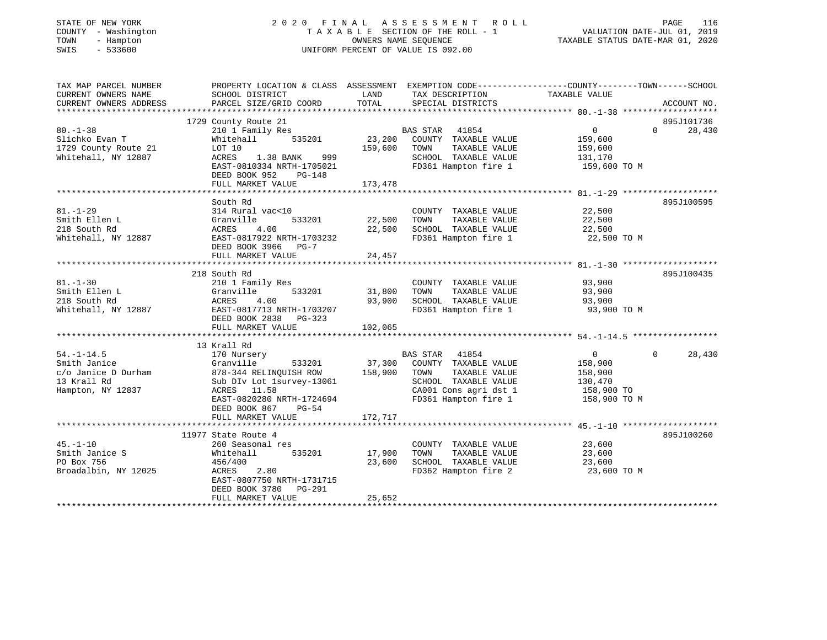| STATE OF NEW YORK<br>COUNTY - Washington<br>TOWN<br>- Hampton<br>SWIS<br>$-533600$ |                                                                                                |               | 2020 FINAL ASSESSMENT ROLL<br>TAXABLE SECTION OF THE ROLL - 1<br>OWNERS NAME SEOUENCE<br>UNIFORM PERCENT OF VALUE IS 092.00 | VALUATION DATE-JUL 01, 2019<br>TAXABLE STATUS DATE-MAR 01, 2020 | PAGE<br>116                     |
|------------------------------------------------------------------------------------|------------------------------------------------------------------------------------------------|---------------|-----------------------------------------------------------------------------------------------------------------------------|-----------------------------------------------------------------|---------------------------------|
| TAX MAP PARCEL NUMBER                                                              | PROPERTY LOCATION & CLASS ASSESSMENT EXEMPTION CODE---------------COUNTY-------TOWN-----SCHOOL |               |                                                                                                                             |                                                                 |                                 |
| CURRENT OWNERS NAME<br>CURRENT OWNERS ADDRESS<br>***********************           | SCHOOL DISTRICT<br>PARCEL SIZE/GRID COORD                                                      | LAND<br>TOTAL | TAX DESCRIPTION<br>SPECIAL DISTRICTS                                                                                        | TAXABLE VALUE                                                   | ACCOUNT NO.                     |
|                                                                                    | 1729 County Route 21                                                                           |               |                                                                                                                             |                                                                 | 895J101736                      |
| $80. - 1 - 38$                                                                     | 210 1 Family Res                                                                               |               | BAS STAR 41854                                                                                                              | $0 \qquad \qquad$                                               | $\Omega$ and $\Omega$<br>28,430 |
| Slichko Evan T                                                                     | 535201<br>Whitehall                                                                            |               | 23,200 COUNTY TAXABLE VALUE                                                                                                 | 159,600                                                         |                                 |
| 1729 County Route 21                                                               | LOT 10                                                                                         |               | 159,600 TOWN<br>TAXABLE VALUE                                                                                               | 159,600                                                         |                                 |
| Whitehall, NY 12887                                                                | ACRES<br>1.38 BANK<br>999                                                                      |               | SCHOOL TAXABLE VALUE                                                                                                        | 131,170                                                         |                                 |
|                                                                                    | EAST-0810334 NRTH-1705021<br>DEED BOOK 952<br>PG-148                                           |               | FD361 Hampton fire 1                                                                                                        | 159,600 TO M                                                    |                                 |
|                                                                                    | FULL MARKET VALUE                                                                              | 173,478       |                                                                                                                             |                                                                 |                                 |
|                                                                                    |                                                                                                |               |                                                                                                                             |                                                                 |                                 |
|                                                                                    | South Rd                                                                                       |               |                                                                                                                             |                                                                 | 895J100595                      |
| $81. - 1 - 29$                                                                     | 314 Rural vac<10                                                                               |               | COUNTY TAXABLE VALUE                                                                                                        | 22,500                                                          |                                 |
| Smith Ellen L                                                                      | 533201<br>Granville                                                                            | 22,500        | TAXABLE VALUE<br>TOWN                                                                                                       | 22,500                                                          |                                 |
| 218 South Rd                                                                       | ACRES<br>4.00<br>ACRES 4.00<br>EAST-0817922 NRTH-1703232                                       | 22,500        | SCHOOL TAXABLE VALUE                                                                                                        | 22,500                                                          |                                 |
| Whitehall, NY 12887                                                                | DEED BOOK 3966 PG-7                                                                            |               | FD361 Hampton fire 1                                                                                                        | 22,500 TO M                                                     |                                 |
|                                                                                    | FULL MARKET VALUE<br>***********************************                                       | 24,457        |                                                                                                                             |                                                                 |                                 |
|                                                                                    | 218 South Rd                                                                                   |               |                                                                                                                             |                                                                 | 895J100435                      |
| $81. - 1 - 30$                                                                     | 210 1 Family Res                                                                               |               | COUNTY TAXABLE VALUE                                                                                                        | 93,900                                                          |                                 |
| Smith Ellen L                                                                      | Granville<br>533201                                                                            | 31,800        | TAXABLE VALUE<br>TOWN                                                                                                       | 93,900                                                          |                                 |
| 218 South Rd                                                                       | ACRES<br>4.00                                                                                  | 93,900        | SCHOOL TAXABLE VALUE                                                                                                        | 93,900                                                          |                                 |
| Whitehall, NY 12887                                                                | EAST-0817713 NRTH-1703207                                                                      |               | FD361 Hampton fire 1                                                                                                        | 93,900 TO M                                                     |                                 |
|                                                                                    | DEED BOOK 2838 PG-323<br>FULL MARKET VALUE                                                     | 102,065       |                                                                                                                             |                                                                 |                                 |
|                                                                                    | **************************                                                                     |               |                                                                                                                             |                                                                 |                                 |
|                                                                                    | 13 Krall Rd                                                                                    |               |                                                                                                                             |                                                                 |                                 |
| $54. - 1 - 14.5$                                                                   | 170 Nursery                                                                                    |               | BAS STAR 41854                                                                                                              | $\Omega$<br>$\overline{0}$                                      | 28,430                          |
| Smith Janice                                                                       | Granville<br>533201                                                                            |               | 37,300 COUNTY TAXABLE VALUE                                                                                                 | 158,900                                                         |                                 |
| c/o Janice D Durham                                                                | 878-344 RELINQUISH ROW 158,900 TOWN TAXABLE VALUE                                              |               |                                                                                                                             | 158,900                                                         |                                 |
| 13 Krall Rd                                                                        | Sub DIv Lot 1survey-13061                                                                      |               | SCHOOL TAXABLE VALUE                                                                                                        | 130,470                                                         |                                 |
| Hampton, NY 12837                                                                  | ACRES 11.58                                                                                    |               | CA001 Cons agri dst 1                                                                                                       | 158,900 TO                                                      |                                 |
|                                                                                    | EAST-0820280 NRTH-1724694<br>DEED BOOK 867 PG-54                                               |               | FD361 Hampton fire 1                                                                                                        | 158,900 TO M                                                    |                                 |
|                                                                                    | FULL MARKET VALUE                                                                              | 172,717       |                                                                                                                             |                                                                 |                                 |
|                                                                                    | ************************                                                                       |               |                                                                                                                             |                                                                 |                                 |
|                                                                                    | 11977 State Route 4                                                                            |               |                                                                                                                             |                                                                 | 895J100260                      |
| $45. - 1 - 10$                                                                     | 260 Seasonal res                                                                               |               | COUNTY TAXABLE VALUE                                                                                                        | 23,600                                                          |                                 |
| Smith Janice S                                                                     | 535201<br>Whitehall                                                                            | 17,900        | TAXABLE VALUE<br>TOWN                                                                                                       | 23,600                                                          |                                 |
| PO Box 756                                                                         | 456/400                                                                                        | 23,600        | SCHOOL TAXABLE VALUE                                                                                                        | 23,600                                                          |                                 |
| Broadalbin, NY 12025                                                               | 2.80<br>ACRES                                                                                  |               | FD362 Hampton fire 2                                                                                                        | 23,600 TO M                                                     |                                 |
|                                                                                    | EAST-0807750 NRTH-1731715<br>DEED BOOK 3780<br>PG-291                                          |               |                                                                                                                             |                                                                 |                                 |
|                                                                                    | FULL MARKET VALUE                                                                              | 25,652        |                                                                                                                             |                                                                 |                                 |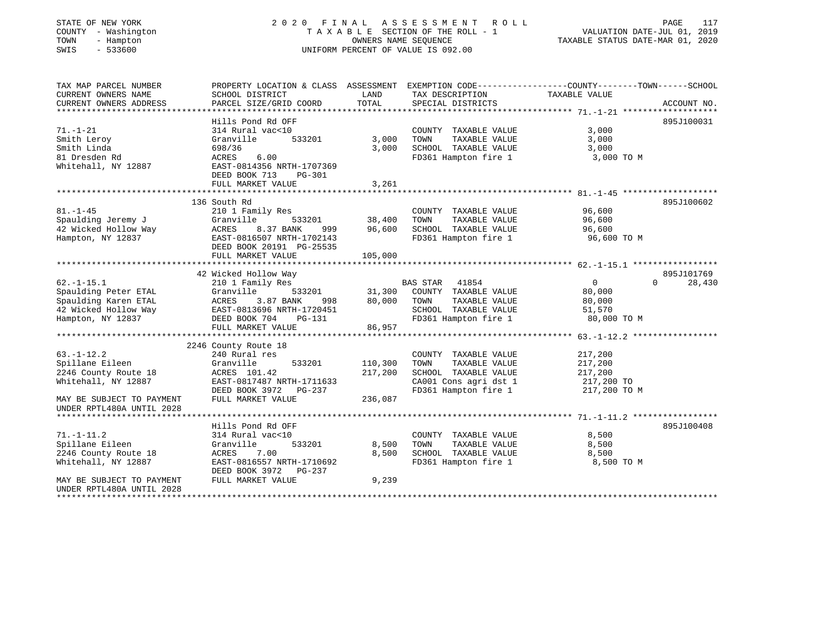# STATE OF NEW YORK 2 0 2 0 F I N A L A S S E S S M E N T R O L L PAGE 117 COUNTY - Washington T A X A B L E SECTION OF THE ROLL - 1 VALUATION DATE-JUL 01, 2019 TOWN - Hampton OWNERS NAME SEQUENCE TAXABLE STATUS DATE-MAR 01, 2020 SWIS - 533600 UNIFORM PERCENT OF VALUE IS 092.00UNIFORM PERCENT OF VALUE IS 092.00

| TAX MAP PARCEL NUMBER<br>CURRENT OWNERS NAME<br>CURRENT OWNERS ADDRESS                                                                  | PROPERTY LOCATION & CLASS ASSESSMENT<br>SCHOOL DISTRICT<br>PARCEL SIZE/GRID COORD                                                                                         | LAND<br>TOTAL               | TAX DESCRIPTION<br>SPECIAL DISTRICTS                                                                                      | EXEMPTION CODE-----------------COUNTY-------TOWN------SCHOOL<br>TAXABLE VALUE | ACCOUNT NO.          |
|-----------------------------------------------------------------------------------------------------------------------------------------|---------------------------------------------------------------------------------------------------------------------------------------------------------------------------|-----------------------------|---------------------------------------------------------------------------------------------------------------------------|-------------------------------------------------------------------------------|----------------------|
| $71. - 1 - 21$<br>Smith Leroy<br>Smith Linda<br>81 Dresden Rd<br>Whitehall, NY 12887                                                    | Hills Pond Rd OFF<br>314 Rural vac<10<br>Granville<br>533201<br>698/36<br>6.00<br>ACRES<br>EAST-0814356 NRTH-1707369<br>DEED BOOK 713<br><b>PG-301</b>                    | 3,000<br>3,000              | COUNTY TAXABLE VALUE<br>TOWN<br>TAXABLE VALUE<br>SCHOOL TAXABLE VALUE<br>FD361 Hampton fire 1                             | 3,000<br>3,000<br>3,000<br>3,000 TO M                                         | 895J100031           |
|                                                                                                                                         | FULL MARKET VALUE                                                                                                                                                         | 3,261                       |                                                                                                                           |                                                                               |                      |
| $81. - 1 - 45$<br>Spaulding Jeremy J<br>42 Wicked Hollow Way<br>Hampton, NY 12837                                                       | 136 South Rd<br>210 1 Family Res<br>Granville<br>533201<br>ACRES<br>8.37 BANK<br>999<br>EAST-0816507 NRTH-1702143<br>DEED BOOK 20191 PG-25535<br>FULL MARKET VALUE        | 38,400<br>96,600<br>105,000 | COUNTY TAXABLE VALUE<br>TOWN<br>TAXABLE VALUE<br>SCHOOL TAXABLE VALUE<br>FD361 Hampton fire 1                             | 96,600<br>96,600<br>96,600<br>96,600 TO M                                     | 895J100602           |
|                                                                                                                                         |                                                                                                                                                                           |                             |                                                                                                                           |                                                                               |                      |
| $62. -1 - 15.1$<br>Spaulding Peter ETAL<br>Spaulding Karen ETAL<br>42 Wicked Hollow Way<br>Hampton, NY 12837<br>*********************** | 42 Wicked Hollow Way<br>210 1 Family Res<br>533201<br>Granville<br>3.87 BANK<br>ACRES<br>998<br>EAST-0813696 NRTH-1720451<br>DEED BOOK 704<br>PG-131<br>FULL MARKET VALUE | 31,300<br>80,000<br>86,957  | 41854<br><b>BAS STAR</b><br>COUNTY TAXABLE VALUE<br>TAXABLE VALUE<br>TOWN<br>SCHOOL TAXABLE VALUE<br>FD361 Hampton fire 1 | $\overline{0}$<br>$\Omega$<br>80,000<br>80,000<br>51,570<br>80,000 TO M       | 895J101769<br>28,430 |
|                                                                                                                                         | 2246 County Route 18                                                                                                                                                      |                             |                                                                                                                           |                                                                               |                      |
| $63. - 1 - 12.2$<br>Spillane Eileen<br>2246 County Route 18<br>Whitehall, NY 12887                                                      | 240 Rural res<br>Granville<br>533201<br>ACRES 101.42<br>EAST-0817487 NRTH-1711633<br>DEED BOOK 3972<br>PG-237                                                             | 110,300<br>217,200          | COUNTY TAXABLE VALUE<br>TOWN<br>TAXABLE VALUE<br>SCHOOL TAXABLE VALUE<br>CA001 Cons agri dst 1<br>FD361 Hampton fire 1    | 217,200<br>217,200<br>217,200<br>217,200 TO<br>217,200 TO M                   |                      |
| MAY BE SUBJECT TO PAYMENT<br>UNDER RPTL480A UNTIL 2028                                                                                  | FULL MARKET VALUE                                                                                                                                                         | 236,087                     |                                                                                                                           |                                                                               |                      |
| $71. - 1 - 11.2$<br>Spillane Eileen<br>2246 County Route 18<br>Whitehall, NY 12887                                                      | Hills Pond Rd OFF<br>314 Rural vac<10<br>533201<br>Granville<br>ACRES<br>7.00<br>EAST-0816557 NRTH-1710692<br>DEED BOOK 3972<br>PG-237                                    | 8,500<br>8,500              | COUNTY TAXABLE VALUE<br>TOWN<br>TAXABLE VALUE<br>SCHOOL TAXABLE VALUE<br>FD361 Hampton fire 1                             | 8,500<br>8,500<br>8,500<br>8,500 TO M                                         | 895J100408           |
| MAY BE SUBJECT TO PAYMENT<br>UNDER RPTL480A UNTIL 2028                                                                                  | FULL MARKET VALUE                                                                                                                                                         | 9,239                       |                                                                                                                           |                                                                               |                      |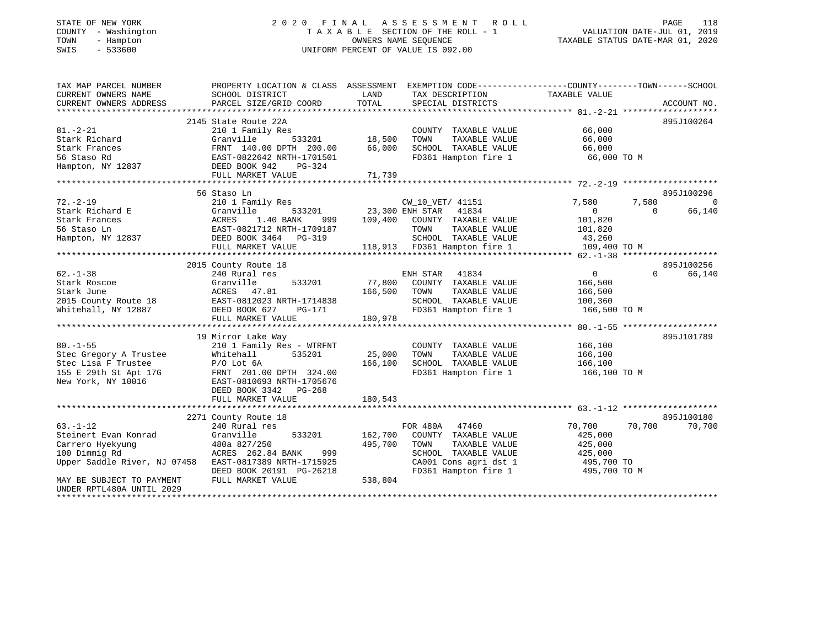## STATE OF NEW YORK 2 0 2 0 F I N A L A S S E S S M E N T R O L L PAGE 118 COUNTY - Washington T A X A B L E SECTION OF THE ROLL - 1 VALUATION DATE-JUL 01, 2019 TOWN - Hampton OWNERS NAME SEQUENCE TAXABLE STATUS DATE-MAR 01, 2020 SWIS - 533600 UNIFORM PERCENT OF VALUE IS 092.00

| TAX MAP PARCEL NUMBER                   | PROPERTY LOCATION & CLASS ASSESSMENT EXEMPTION CODE----------------COUNTY-------TOWN------SCHOOL |               |                                                                          |                |                    |
|-----------------------------------------|--------------------------------------------------------------------------------------------------|---------------|--------------------------------------------------------------------------|----------------|--------------------|
| CURRENT OWNERS NAME                     | SCHOOL DISTRICT                                                                                  | LAND          | TAX DESCRIPTION                                                          | TAXABLE VALUE  |                    |
| CURRENT OWNERS ADDRESS                  | PARCEL SIZE/GRID COORD                                                                           | TOTAL         | SPECIAL DISTRICTS                                                        |                | ACCOUNT NO.        |
|                                         |                                                                                                  |               |                                                                          |                |                    |
|                                         | 2145 State Route 22A                                                                             |               |                                                                          |                | 895J100264         |
| $81. - 2 - 21$                          | 210 1 Family Res                                                                                 |               | COUNTY TAXABLE VALUE                                                     | 66,000         |                    |
| Stark Richard                           | Granville                                                                                        | 533201 18,500 | TOWN<br>TAXABLE VALUE                                                    | 66,000         |                    |
| Stark Frances                           | FRNT 140.00 DPTH 200.00                                                                          | 66,000        | SCHOOL TAXABLE VALUE                                                     | 66,000         |                    |
| 56 Staso Rd                             | EAST-0822642 NRTH-1701501                                                                        |               | FD361 Hampton fire 1                                                     | 66,000 TO M    |                    |
| Hampton, NY 12837                       | DEED BOOK 942<br>PG-324                                                                          |               |                                                                          |                |                    |
|                                         |                                                                                                  |               |                                                                          |                |                    |
|                                         |                                                                                                  |               |                                                                          |                |                    |
|                                         | 56 Staso Ln                                                                                      |               |                                                                          |                | 895J100296         |
| $72. - 2 - 19$                          | 210 1 Family Res                                                                                 |               | CW_10_VET/ 41151                                                         | 7,580          | 7,580<br>0         |
| Stark Richard E                         | Granville                                                                                        |               | 533201 23,300 ENH STAR 41834                                             | $\overline{0}$ | $\Omega$<br>66,140 |
| Stark Frances                           | 1.40 BANK<br>ACRES<br>999                                                                        |               | 109,400 COUNTY TAXABLE VALUE                                             | 101,820        |                    |
| 56 Staso Ln                             | EAST-0821712 NRTH-1709187                                                                        |               | TAXABLE VALUE<br>TOWN                                                    | 101,820        |                    |
| Hampton, NY 12837 DEED BOOK 3464 PG-319 |                                                                                                  |               |                                                                          |                |                    |
|                                         | FULL MARKET VALUE                                                                                |               | SCHOOL TAXABLE VALUE 43,260<br>118,913 FD361 Hampton fire 1 109,400 TO M |                |                    |
|                                         |                                                                                                  |               |                                                                          |                |                    |
|                                         | 2015 County Route 18                                                                             |               |                                                                          |                | 895J100256         |
| $62 - 1 - 38$                           | 240 Rural res                                                                                    |               | ENH STAR 41834                                                           | $\overline{0}$ | 66,140<br>$\Omega$ |
| Stark Roscoe                            | 533201<br>Granville                                                                              |               | 77,800 COUNTY TAXABLE VALUE                                              | 166,500        |                    |
| Stark June                              | ACRES 47.81                                                                                      | 166,500 TOWN  | TAXABLE VALUE                                                            | 166,500        |                    |
| 2015 County Route 18                    | EAST-0812023 NRTH-1714838                                                                        |               | SCHOOL TAXABLE VALUE 100,360                                             |                |                    |
| Whitehall, NY 12887                     | DEED BOOK 627<br>PG-171                                                                          |               | FD361 Hampton fire 1 166,500 TO M                                        |                |                    |
|                                         | FULL MARKET VALUE                                                                                | 180,978       |                                                                          |                |                    |
|                                         |                                                                                                  |               |                                                                          |                |                    |
|                                         | 19 Mirror Lake Way                                                                               |               |                                                                          |                | 895J101789         |
| $80. - 1 - 55$                          | 210 1 Family Res - WTRFNT                                                                        |               | COUNTY TAXABLE VALUE                                                     | 166,100        |                    |
| Stec Gregory A Trustee                  | Whitehall<br>535201                                                                              | 25,000        | TOWN<br>TAXABLE VALUE                                                    | 166,100        |                    |
| Stec Lisa F Trustee                     | $P/O$ Lot $6A$                                                                                   | 166,100       | SCHOOL TAXABLE VALUE                                                     | 166,100        |                    |
| 155 E 29th St Apt 17G                   | FRNT 201.00 DPTH 324.00                                                                          |               | FD361 Hampton fire 1 166,100 TO M                                        |                |                    |
| New York, NY 10016                      | EAST-0810693 NRTH-1705676                                                                        |               |                                                                          |                |                    |
|                                         | DEED BOOK 3342 PG-268                                                                            |               |                                                                          |                |                    |
|                                         | FULL MARKET VALUE                                                                                | 180,543       |                                                                          |                |                    |
|                                         |                                                                                                  |               |                                                                          |                |                    |
|                                         | 2271 County Route 18                                                                             |               |                                                                          |                | 895J100180         |
| $63. - 1 - 12$                          | 240 Rural res                                                                                    |               | FOR 480A 47460                                                           | 70,700         | 70,700<br>70,700   |
| Steinert Evan Konrad                    | Granville<br>533201                                                                              | 162,700       | COUNTY TAXABLE VALUE                                                     | 425,000        |                    |
| Carrero Hyekyung                        | 480a 827/250                                                                                     | 495,700       | TOWN<br>TAXABLE VALUE                                                    | 425,000        |                    |
| 100 Dimmig Rd                           | ACRES 262.84 BANK<br>999                                                                         |               | SCHOOL TAXABLE VALUE                                                     | 425,000        |                    |
| Upper Saddle River, NJ 07458            | EAST-0817389 NRTH-1715925                                                                        |               | CA001 Cons agri dst 1 495,700 TO                                         |                |                    |
|                                         | DEED BOOK 20191 PG-26218                                                                         |               | FD361 Hampton fire 1                                                     | 495,700 TO M   |                    |
| MAY BE SUBJECT TO PAYMENT               | FULL MARKET VALUE                                                                                | 538,804       |                                                                          |                |                    |
| UNDER RPTL480A UNTIL 2029               |                                                                                                  |               |                                                                          |                |                    |
|                                         |                                                                                                  |               |                                                                          |                |                    |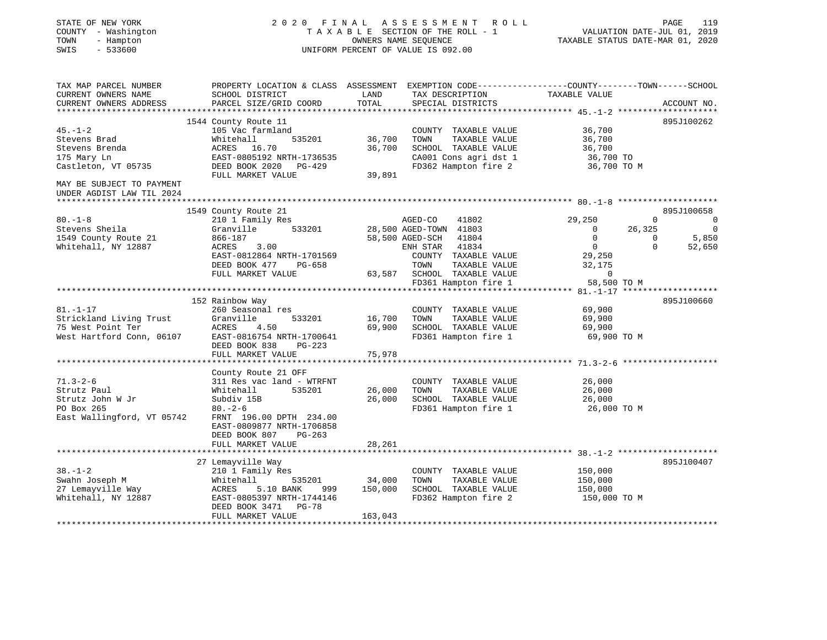| STATE OF NEW YORK<br>COUNTY - Washington<br>TOWN<br>- Hampton<br>SWIS<br>$-533600$                                                              |                                                                                                                                                               |                                       | 2020 FINAL ASSESSMENT ROLL<br>T A X A B L E SECTION OF THE ROLL - 1<br>OWNERS NAME SEOUENCE<br>UNIFORM PERCENT OF VALUE IS 092.00 |               | VALUATION DATE-JUL 01, 2019<br>TAXABLE STATUS DATE-MAR 01, 2020                          | PAGE                           | 119                                                                                                                                                                                                                                                                                          |
|-------------------------------------------------------------------------------------------------------------------------------------------------|---------------------------------------------------------------------------------------------------------------------------------------------------------------|---------------------------------------|-----------------------------------------------------------------------------------------------------------------------------------|---------------|------------------------------------------------------------------------------------------|--------------------------------|----------------------------------------------------------------------------------------------------------------------------------------------------------------------------------------------------------------------------------------------------------------------------------------------|
| TAX MAP PARCEL NUMBER<br>CURRENT OWNERS NAME<br>CURRENT OWNERS ADDRESS                                                                          | PROPERTY LOCATION & CLASS ASSESSMENT EXEMPTION CODE----------------COUNTY-------TOWN------SCHOOL<br>SCHOOL DISTRICT<br>PARCEL SIZE/GRID COORD                 | LAND<br>TOTAL                         | SPECIAL DISTRICTS                                                                                                                 |               | TAX DESCRIPTION TAXABLE VALUE                                                            |                                | ACCOUNT NO.                                                                                                                                                                                                                                                                                  |
| $45. - 1 - 2$<br>Stevens Brad<br>Stevens Brenda<br>175 Mary Ln<br>Castleton, VT 05735<br>MAY BE SUBJECT TO PAYMENT<br>UNDER AGDIST LAW TIL 2024 | 1544 County Route 11<br>105 Vac farmland<br>Whitehall<br>535201<br>ACRES 16.70<br>EAST-0805192 NRTH-1736535<br>DEED BOOK 2020 PG-429<br>FULL MARKET VALUE     | 36,700<br>36,700<br>39,891            | COUNTY TAXABLE VALUE<br>TOWN<br>SCHOOL TAXABLE VALUE<br>CA001 Cons agri dst 1<br>FD362 Hampton fire 2                             | TAXABLE VALUE | 36,700<br>36,700<br>36,700<br>36,700 TO<br>36,700 TO M                                   |                                | 895J100262                                                                                                                                                                                                                                                                                   |
|                                                                                                                                                 |                                                                                                                                                               |                                       |                                                                                                                                   |               |                                                                                          |                                |                                                                                                                                                                                                                                                                                              |
| $80. -1 - 8$                                                                                                                                    | 1549 County Route 21<br>210 1 Family Res                                                                                                                      |                                       | 41802<br>AGED-CO                                                                                                                  |               | 29,250                                                                                   | $\mathbf{0}$                   | 895J100658<br>$\sim$ 000 $\sim$ 000 $\sim$ 000 $\sim$ 000 $\sim$ 000 $\sim$ 000 $\sim$ 000 $\sim$ 000 $\sim$ 000 $\sim$ 000 $\sim$ 000 $\sim$ 000 $\sim$ 000 $\sim$ 000 $\sim$ 000 $\sim$ 000 $\sim$ 000 $\sim$ 000 $\sim$ 000 $\sim$ 000 $\sim$ 000 $\sim$ 000 $\sim$ 000 $\sim$ 000 $\sim$ |
| Stevens Sheila<br>1549 County Route 21<br>Whitehall, NY 12887                                                                                   | Granville<br>533201<br>866-187<br>ACRES 3.00<br>EAST-0812864 NRTH-1701569<br>DEED BOOK 477 PG-658<br>FULL MARKET VALUE                                        |                                       | 28,500 AGED-TOWN 41803<br>58,500 AGED-SCH 41804<br>ENH STAR 41834<br>COUNTY TAXABLE VALUE<br>TOWN<br>63,587 SCHOOL TAXABLE VALUE  | TAXABLE VALUE | $\overline{0}$<br>$\overline{0}$<br>$\overline{0}$<br>29,250<br>32,175<br>$\overline{0}$ | 26,325<br>$\sim$ 0<br>$\Omega$ | $\overline{0}$<br>5,850<br>52,650                                                                                                                                                                                                                                                            |
|                                                                                                                                                 |                                                                                                                                                               |                                       | FD361 Hampton fire 1                                                                                                              |               | 58,500 TO M                                                                              |                                |                                                                                                                                                                                                                                                                                              |
|                                                                                                                                                 | 152 Rainbow Way                                                                                                                                               |                                       |                                                                                                                                   |               |                                                                                          |                                | 895J100660                                                                                                                                                                                                                                                                                   |
| $81. - 1 - 17$<br>Strickland Living Trust<br>75 West Point Ter<br>West Hartford Conn, 06107                                                     | 260 Seasonal res<br>Granville<br>533201<br>ACRES 4.50<br>EAST-0816754 NRTH-1700641<br>DEED BOOK 838 PG-223                                                    | 16,700                                | TOWN<br>69,900 SCHOOL TAXABLE VALUE<br>FD361 Hampton fire 1                                                                       | TAXABLE VALUE | COUNTY TAXABLE VALUE 69,900<br>69,900<br>69,900<br>69,900 TO M                           |                                |                                                                                                                                                                                                                                                                                              |
|                                                                                                                                                 | FULL MARKET VALUE<br>*********************                                                                                                                    | 75,978<br>* * * * * * * * * * * * * * |                                                                                                                                   |               |                                                                                          |                                |                                                                                                                                                                                                                                                                                              |
| $71.3 - 2 - 6$<br>Strutz Paul<br>Strutz John W Jr<br>PO Box 265<br>East Wallingford, VT 05742                                                   | County Route 21 OFF<br>311 Res vac land - WTRFNT<br>Whitehall<br>535201<br>Subdiv 15B<br>$80 - 2 - 6$<br>FRNT 196.00 DPTH 234.00<br>EAST-0809877 NRTH-1706858 | 26,000<br>26,000                      | COUNTY TAXABLE VALUE<br>TOWN<br>SCHOOL TAXABLE VALUE<br>FD361 Hampton fire 1                                                      | TAXABLE VALUE | 26,000<br>26,000<br>26,000<br>26,000 TO M                                                |                                |                                                                                                                                                                                                                                                                                              |
|                                                                                                                                                 | DEED BOOK 807<br>PG-263<br>FULL MARKET VALUE                                                                                                                  | 28,261                                |                                                                                                                                   |               |                                                                                          |                                |                                                                                                                                                                                                                                                                                              |
|                                                                                                                                                 | 27 Lemayville Way                                                                                                                                             |                                       |                                                                                                                                   |               |                                                                                          |                                | 895J100407                                                                                                                                                                                                                                                                                   |
| $38. - 1 - 2$<br>Swahn Joseph M<br>27 Lemayville Way<br>Whitehall, NY 12887                                                                     | 210 1 Family Res<br>Whitehall<br>535201<br>ACRES 5.10 BANK<br>999<br>EAST-0805397 NRTH-1744146<br>DEED BOOK 3471 PG-78                                        | 34,000<br>150,000                     | COUNTY TAXABLE VALUE<br>TOWN<br>SCHOOL TAXABLE VALUE<br>FD362 Hampton fire 2                                                      | TAXABLE VALUE | 150,000<br>150,000<br>150,000<br>150,000 TO M                                            |                                |                                                                                                                                                                                                                                                                                              |
|                                                                                                                                                 | FULL MARKET VALUE                                                                                                                                             | 163,043                               |                                                                                                                                   |               |                                                                                          |                                |                                                                                                                                                                                                                                                                                              |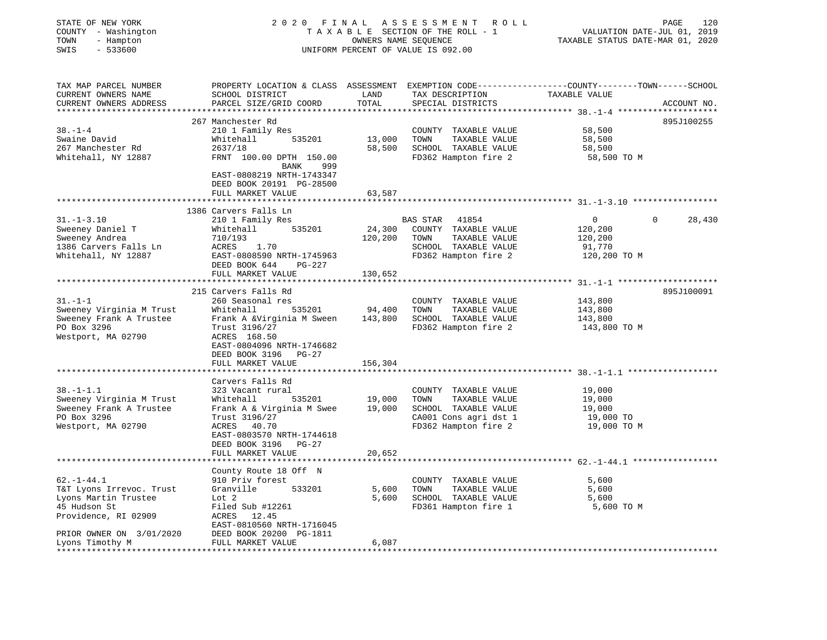| 2020 FINAL ASSESSMENT ROLL<br>STATE OF NEW YORK<br>TAXABLE SECTION OF THE ROLL - 1<br>COUNTY - Washington<br>TOWN<br>- Hampton<br>OWNERS NAME SEQUENCE<br>SWIS<br>$-533600$<br>UNIFORM PERCENT OF VALUE IS 092.00                                                                                                                                                                                                        | 120<br>PAGE<br>VALUATION DATE-JUL 01, 2019<br>TAXABLE STATUS DATE-MAR 01, 2020 |
|--------------------------------------------------------------------------------------------------------------------------------------------------------------------------------------------------------------------------------------------------------------------------------------------------------------------------------------------------------------------------------------------------------------------------|--------------------------------------------------------------------------------|
| PROPERTY LOCATION & CLASS ASSESSMENT EXEMPTION CODE---------------COUNTY-------TOWN------SCHOOL<br>TAX MAP PARCEL NUMBER<br>LAND<br>TAX DESCRIPTION<br>CURRENT OWNERS NAME<br>SCHOOL DISTRICT<br>TOTAL<br>PARCEL SIZE/GRID COORD<br>CURRENT OWNERS ADDRESS<br>SPECIAL DISTRICTS                                                                                                                                          | TAXABLE VALUE<br>ACCOUNT NO.                                                   |
| 267 Manchester Rd                                                                                                                                                                                                                                                                                                                                                                                                        | 895J100255                                                                     |
| $38. - 1 - 4$<br>210 1 Family Res<br>COUNTY TAXABLE VALUE<br>Swaine David<br>13,000<br>TOWN<br>TAXABLE VALUE<br>Whitehall<br>535201<br>58,500 SCHOOL TAXABLE VALUE<br>267 Manchester Rd<br>2637/18<br>Whitehall, NY 12887<br>FRNT 100.00 DPTH 150.00<br>FD362 Hampton fire 2<br>999<br>BANK<br>EAST-0808219 NRTH-1743347<br>DEED BOOK 20191 PG-28500                                                                     | 58,500<br>58,500<br>58,500<br>58,500 TO M                                      |
| FULL MARKET VALUE<br>63,587                                                                                                                                                                                                                                                                                                                                                                                              | ********************************** 31.-1-3.10 ******************               |
| 1386 Carvers Falls Ln<br>$31. - 1 - 3.10$<br>210 1 Family Res<br>BAS STAR<br>41854<br>24,300 COUNTY TAXABLE VALUE<br>Sweeney Daniel T<br>Whitehall<br>535201<br>Sweeney Andrea<br>TAXABLE VALUE<br>710/193<br>120,200<br>TOWN<br>ACRES 1.70<br>1386 Carvers Falls Ln<br>SCHOOL TAXABLE VALUE                                                                                                                             | $\Omega$<br>$\overline{0}$<br>28,430<br>120,200<br>120,200<br>91,770           |
| Whitehall, NY 12887<br>EAST-0808590 NRTH-1745963<br>FD362 Hampton fire 2<br>DEED BOOK 644 PG-227<br>FULL MARKET VALUE<br>130,652<br>*********                                                                                                                                                                                                                                                                            | 120,200 TO M<br>*********** 31. -1-1 *********************                     |
| 215 Carvers Falls Rd                                                                                                                                                                                                                                                                                                                                                                                                     | 895J100091                                                                     |
| $31. - 1 - 1$<br>260 Seasonal res<br>COUNTY TAXABLE VALUE<br>535201 94,400<br>Sweeney Virginia M Trust<br>Whitehall<br>TOWN<br>TAXABLE VALUE<br>Frank A &Virginia M Sween<br>143,800 SCHOOL TAXABLE VALUE<br>Sweeney Frank A Trustee<br>FD362 Hampton fire 2<br>PO Box 3296<br>Trust 3196/27<br>Westport, MA 02790<br>ACRES 168.50<br>EAST-0804096 NRTH-1746682<br>DEED BOOK 3196 PG-27                                  | 143,800<br>143,800<br>143,800<br>143,800 TO M                                  |
| 156,304<br>FULL MARKET VALUE                                                                                                                                                                                                                                                                                                                                                                                             |                                                                                |
| *************************                                                                                                                                                                                                                                                                                                                                                                                                |                                                                                |
| Carvers Falls Rd<br>$38. - 1 - 1.1$<br>323 Vacant rural<br>COUNTY TAXABLE VALUE<br>Whitehall 535201 19,000 TOWN TAXABLE VALUE<br>Frank A & Virginia M Swee 19,000 SCHOOL TAXABLE VALUE<br>Sweeney Virginia M Trust<br>Sweeney Frank A Trustee<br>CA001 Cons agri dst 1<br>PO Box 3296<br>Trust 3196/27<br>Westport, MA 02790<br>ACRES 40.70<br>FD362 Hampton fire 2<br>EAST-0803570 NRTH-1744618<br>DEED BOOK 3196 PG-27 | 19,000<br>19,000<br>19,000<br>19,000 TO<br>19,000 TO M                         |
| 20,652<br>FULL MARKET VALUE                                                                                                                                                                                                                                                                                                                                                                                              |                                                                                |
| County Route 18 Off N                                                                                                                                                                                                                                                                                                                                                                                                    |                                                                                |
| $62. -1 - 44.1$<br>910 Priv forest<br>COUNTY TAXABLE VALUE<br>T&T Lyons Irrevoc. Trust<br>Granville 533201<br>5,600 TOWN<br>TAXABLE VALUE<br>Lyons Martin Trustee<br>Lot 2<br>5,600 SCHOOL TAXABLE VALUE<br>45 Hudson St<br>Filed Sub #12261<br>FD361 Hampton fire 1<br>Providence, RI 02909<br>ACRES 12.45<br>EAST-0810560 NRTH-1716045                                                                                 | 5,600<br>5,600<br>5,600<br>5,600 TO M                                          |
|                                                                                                                                                                                                                                                                                                                                                                                                                          |                                                                                |
| PRIOR OWNER ON 3/01/2020<br>DEED BOOK 20200 PG-1811<br>6,087<br>Lyons Timothy M<br>FULL MARKET VALUE                                                                                                                                                                                                                                                                                                                     |                                                                                |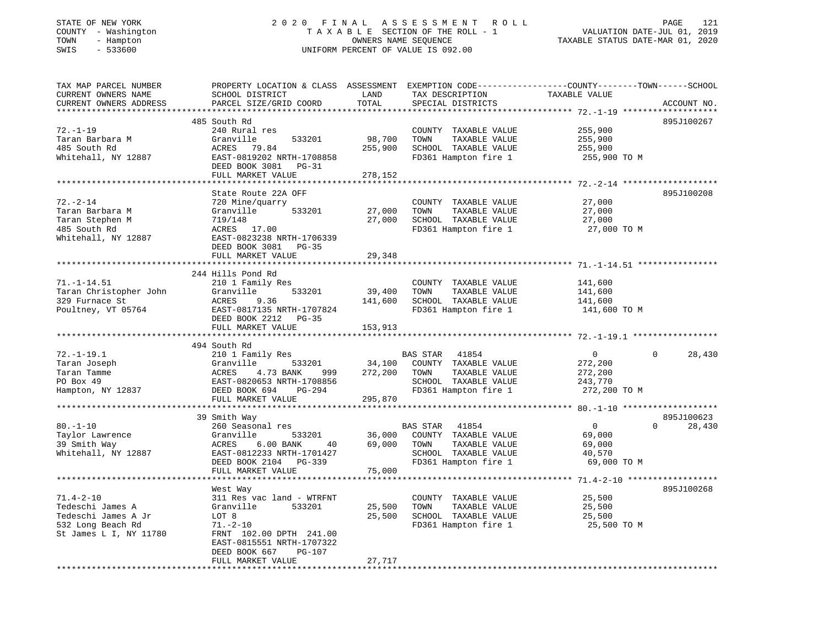## STATE OF NEW YORK 2 0 2 0 F I N A L A S S E S S M E N T R O L L PAGE 121 COUNTY - Washington T A X A B L E SECTION OF THE ROLL - 1 VALUATION DATE-JUL 01, 2019 TOWN - Hampton OWNERS NAME SEQUENCE TAXABLE STATUS DATE-MAR 01, 2020 SWIS - 533600 UNIFORM PERCENT OF VALUE IS 092.00UNIFORM PERCENT OF VALUE IS 092.00

| TAX MAP PARCEL NUMBER<br>CURRENT OWNERS NAME | PROPERTY LOCATION & CLASS ASSESSMENT EXEMPTION CODE---------------COUNTY-------TOWN-----SCHOOL<br>SCHOOL DISTRICT | LAND                   | TAX DESCRIPTION                                   | TAXABLE VALUE                                |                    |
|----------------------------------------------|-------------------------------------------------------------------------------------------------------------------|------------------------|---------------------------------------------------|----------------------------------------------|--------------------|
| CURRENT OWNERS ADDRESS                       | PARCEL SIZE/GRID COORD                                                                                            | TOTAL                  | SPECIAL DISTRICTS                                 |                                              | ACCOUNT NO.        |
|                                              |                                                                                                                   |                        |                                                   |                                              |                    |
|                                              | 485 South Rd                                                                                                      |                        |                                                   |                                              | 895J100267         |
| $72. - 1 - 19$                               | 240 Rural res                                                                                                     |                        | COUNTY TAXABLE VALUE                              | 255,900                                      |                    |
| Taran Barbara M                              | Granville<br>533201                                                                                               | 98,700                 | TOWN<br>TAXABLE VALUE                             | 255,900                                      |                    |
| 485 South Rd                                 | ACRES<br>79.84                                                                                                    | 255,900                | SCHOOL TAXABLE VALUE                              | 255,900                                      |                    |
| Whitehall, NY 12887                          | EAST-0819202 NRTH-1708858                                                                                         |                        | FD361 Hampton fire 1                              | 255,900 TO M                                 |                    |
|                                              | DEED BOOK 3081 PG-31                                                                                              |                        |                                                   |                                              |                    |
|                                              | FULL MARKET VALUE                                                                                                 | 278,152                |                                                   |                                              |                    |
|                                              |                                                                                                                   |                        |                                                   |                                              |                    |
|                                              | State Route 22A OFF                                                                                               |                        |                                                   |                                              | 895J100208         |
| $72. - 2 - 14$                               | 720 Mine/quarry                                                                                                   |                        | COUNTY TAXABLE VALUE                              | 27,000                                       |                    |
| Taran Barbara M                              | 533201<br>Granville                                                                                               | 27,000                 | TOWN<br>TAXABLE VALUE                             | 27,000                                       |                    |
| Taran Stephen M                              | 719/148                                                                                                           | 27,000                 | SCHOOL TAXABLE VALUE                              | 27,000                                       |                    |
| 485 South Rd                                 | ACRES 17.00                                                                                                       |                        | FD361 Hampton fire 1                              | 27,000 TO M                                  |                    |
| Whitehall, NY 12887                          | EAST-0823238 NRTH-1706339                                                                                         |                        |                                                   |                                              |                    |
|                                              | DEED BOOK 3081 PG-35                                                                                              |                        |                                                   |                                              |                    |
|                                              | FULL MARKET VALUE                                                                                                 | 29,348                 |                                                   |                                              |                    |
|                                              | ***********************                                                                                           |                        | ********************************** 71.-1-14.51 ** |                                              |                    |
|                                              | 244 Hills Pond Rd                                                                                                 |                        |                                                   |                                              |                    |
| $71. - 1 - 14.51$                            | 210 1 Family Res                                                                                                  |                        | COUNTY TAXABLE VALUE                              | 141,600                                      |                    |
| Taran Christopher John                       | Granville<br>533201                                                                                               | 39,400                 | TAXABLE VALUE<br>TOWN                             | 141,600                                      |                    |
| 329 Furnace St                               | ACRES<br>9.36                                                                                                     | 141,600                | SCHOOL TAXABLE VALUE                              | 141,600                                      |                    |
| Poultney, VT 05764                           | EAST-0817135 NRTH-1707824                                                                                         |                        | FD361 Hampton fire 1                              | 141,600 TO M                                 |                    |
|                                              | DEED BOOK 2212 PG-35                                                                                              |                        |                                                   |                                              |                    |
|                                              | FULL MARKET VALUE<br>***********************                                                                      | 153,913<br>*********** |                                                   | ********************* 72.-1-19.1 *********** |                    |
|                                              |                                                                                                                   |                        |                                                   |                                              |                    |
|                                              | 494 South Rd                                                                                                      |                        |                                                   |                                              |                    |
| $72. - 1 - 19.1$                             | 210 1 Family Res                                                                                                  |                        | BAS STAR<br>41854                                 | $\overline{0}$                               | $\Omega$<br>28,430 |
| Taran Joseph                                 | Granville<br>533201                                                                                               | 34,100                 | COUNTY TAXABLE VALUE                              | 272,200                                      |                    |
| Taran Tamme                                  | ACRES<br>4.73 BANK<br>999                                                                                         | 272,200                | TOWN<br>TAXABLE VALUE                             | 272,200                                      |                    |
| PO Box 49                                    | EAST-0820653 NRTH-1708856                                                                                         |                        | SCHOOL TAXABLE VALUE                              | 243,770                                      |                    |
| Hampton, NY 12837                            | DEED BOOK 694<br>PG-294                                                                                           |                        | FD361 Hampton fire 1                              | 272,200 TO M                                 |                    |
|                                              | FULL MARKET VALUE                                                                                                 | 295,870                |                                                   |                                              |                    |
|                                              |                                                                                                                   |                        |                                                   |                                              |                    |
|                                              | 39 Smith Way                                                                                                      |                        |                                                   |                                              | 895J100623         |
| $80. - 1 - 10$                               | 260 Seasonal res                                                                                                  |                        | BAS STAR 41854                                    | $\overline{0}$                               | 28,430<br>$\Omega$ |
| Taylor Lawrence                              | Granville<br>533201                                                                                               | 36,000                 | COUNTY TAXABLE VALUE                              | 69,000                                       |                    |
| 39 Smith Way                                 | $6.00$ BANK<br>ACRES<br>40                                                                                        | 69,000                 | TOWN<br>TAXABLE VALUE                             | 69,000                                       |                    |
| Whitehall, NY 12887                          | EAST-0812233 NRTH-1701427                                                                                         |                        | SCHOOL TAXABLE VALUE                              | 40,570                                       |                    |
|                                              | DEED BOOK 2104 PG-339                                                                                             |                        | FD361 Hampton fire 1                              | 69,000 TO M                                  |                    |
|                                              | FULL MARKET VALUE                                                                                                 | 75,000                 |                                                   |                                              |                    |
|                                              |                                                                                                                   |                        |                                                   |                                              |                    |
|                                              | West Way                                                                                                          |                        |                                                   |                                              | 895J100268         |
| $71.4 - 2 - 10$                              | 311 Res vac land - WTRFNT                                                                                         |                        | COUNTY TAXABLE VALUE                              | 25,500                                       |                    |
| Tedeschi James A                             | Granville<br>533201                                                                                               | 25,500                 | TOWN<br>TAXABLE VALUE                             | 25,500                                       |                    |
| Tedeschi James A Jr                          | LOT 8                                                                                                             | 25,500                 | SCHOOL TAXABLE VALUE                              | 25,500                                       |                    |
| 532 Long Beach Rd                            | $71. - 2 - 10$                                                                                                    |                        | FD361 Hampton fire 1                              | 25,500 TO M                                  |                    |
| St James L I, NY 11780                       | FRNT 102.00 DPTH 241.00                                                                                           |                        |                                                   |                                              |                    |
|                                              | EAST-0815551 NRTH-1707322                                                                                         |                        |                                                   |                                              |                    |
|                                              | DEED BOOK 667<br>PG-107                                                                                           |                        |                                                   |                                              |                    |
|                                              | FULL MARKET VALUE                                                                                                 | 27,717                 |                                                   |                                              |                    |
| ************************                     |                                                                                                                   |                        |                                                   |                                              |                    |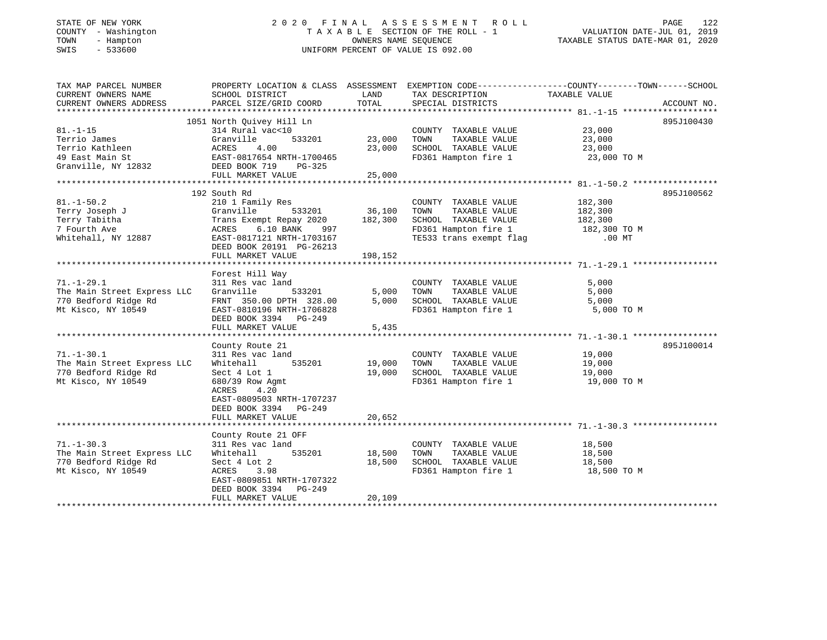# STATE OF NEW YORK 2 0 2 0 F I N A L A S S E S S M E N T R O L L PAGE 122 COUNTY - Washington T A X A B L E SECTION OF THE ROLL - 1 VALUATION DATE-JUL 01, 2019 TOWN - Hampton OWNERS NAME SEQUENCE TAXABLE STATUS DATE-MAR 01, 2020 SWIS - 533600 UNIFORM PERCENT OF VALUE IS 092.00

| TAX MAP PARCEL NUMBER<br>CURRENT OWNERS NAME | PROPERTY LOCATION & CLASS ASSESSMENT<br>SCHOOL DISTRICT | LAND    | EXEMPTION CODE-----------------COUNTY-------TOWN------SCHOOL<br>TAX DESCRIPTION | TAXABLE VALUE |             |
|----------------------------------------------|---------------------------------------------------------|---------|---------------------------------------------------------------------------------|---------------|-------------|
| CURRENT OWNERS ADDRESS                       | PARCEL SIZE/GRID COORD                                  | TOTAL   | SPECIAL DISTRICTS                                                               |               | ACCOUNT NO. |
|                                              |                                                         |         |                                                                                 |               |             |
|                                              | 1051 North Quivey Hill Ln                               |         |                                                                                 |               | 895J100430  |
| $81. - 1 - 15$                               | 314 Rural vac<10                                        |         | COUNTY TAXABLE VALUE                                                            | 23,000        |             |
| Terrio James                                 | 533201<br>Granville                                     | 23,000  | TAXABLE VALUE<br>TOWN                                                           | 23,000        |             |
| Terrio Kathleen                              | 4.00<br>ACRES                                           | 23,000  | SCHOOL TAXABLE VALUE                                                            | 23,000        |             |
| 49 East Main St                              | EAST-0817654 NRTH-1700465                               |         | FD361 Hampton fire 1                                                            | 23,000 TO M   |             |
| Granville, NY 12832                          | DEED BOOK 719<br>PG-325                                 |         |                                                                                 |               |             |
|                                              | FULL MARKET VALUE                                       | 25,000  |                                                                                 |               |             |
|                                              |                                                         |         |                                                                                 |               |             |
|                                              | 192 South Rd                                            |         |                                                                                 |               | 895J100562  |
| $81. - 1 - 50.2$                             | 210 1 Family Res                                        |         | COUNTY TAXABLE VALUE                                                            | 182,300       |             |
|                                              |                                                         |         |                                                                                 |               |             |
| Terry Joseph J                               | Granville<br>533201                                     | 36,100  | TAXABLE VALUE<br>TOWN                                                           | 182,300       |             |
| Terry Tabitha                                | Trans Exempt Repay 2020                                 | 182,300 | SCHOOL TAXABLE VALUE                                                            | 182,300       |             |
| 7 Fourth Ave                                 | 6.10 BANK<br>ACRES<br>997                               |         | FD361 Hampton fire 1                                                            | 182,300 TO M  |             |
| Whitehall, NY 12887                          | EAST-0817121 NRTH-1703167                               |         | TE533 trans exempt flag                                                         | $.00$ MT      |             |
|                                              | DEED BOOK 20191 PG-26213                                |         |                                                                                 |               |             |
|                                              | FULL MARKET VALUE                                       | 198,152 |                                                                                 |               |             |
|                                              |                                                         |         |                                                                                 |               |             |
|                                              | Forest Hill Way                                         |         |                                                                                 |               |             |
| $71. - 1 - 29.1$                             | 311 Res vac land                                        |         | COUNTY TAXABLE VALUE                                                            | 5,000         |             |
| The Main Street Express LLC                  | Granville<br>533201                                     | 5,000   | TAXABLE VALUE<br>TOWN                                                           | 5,000         |             |
| 770 Bedford Ridge Rd                         | FRNT 350.00 DPTH 328.00                                 | 5,000   | SCHOOL TAXABLE VALUE                                                            | 5,000         |             |
| Mt Kisco, NY 10549                           | EAST-0810196 NRTH-1706828                               |         | FD361 Hampton fire 1                                                            | 5,000 TO M    |             |
|                                              | DEED BOOK 3394 PG-249                                   |         |                                                                                 |               |             |
|                                              | FULL MARKET VALUE                                       | 5,435   |                                                                                 |               |             |
|                                              |                                                         |         |                                                                                 |               |             |
|                                              |                                                         |         |                                                                                 |               | 895J100014  |
|                                              | County Route 21                                         |         |                                                                                 |               |             |
| $71. - 1 - 30.1$                             | 311 Res vac land                                        |         | COUNTY TAXABLE VALUE                                                            | 19,000        |             |
| The Main Street Express LLC                  | Whitehall<br>535201                                     | 19,000  | TAXABLE VALUE<br>TOWN                                                           | 19,000        |             |
| 770 Bedford Ridge Rd                         | Sect 4 Lot 1                                            | 19,000  | SCHOOL TAXABLE VALUE                                                            | 19,000        |             |
| Mt Kisco, NY 10549                           | 680/39 Row Agmt                                         |         | FD361 Hampton fire 1                                                            | 19,000 TO M   |             |
|                                              | 4.20<br>ACRES                                           |         |                                                                                 |               |             |
|                                              | EAST-0809503 NRTH-1707237                               |         |                                                                                 |               |             |
|                                              | DEED BOOK 3394 PG-249                                   |         |                                                                                 |               |             |
|                                              | FULL MARKET VALUE                                       | 20,652  |                                                                                 |               |             |
|                                              |                                                         |         |                                                                                 |               |             |
|                                              | County Route 21 OFF                                     |         |                                                                                 |               |             |
| $71. - 1 - 30.3$                             | 311 Res vac land                                        |         | COUNTY TAXABLE VALUE                                                            | 18,500        |             |
| The Main Street Express LLC                  | 535201<br>Whitehall                                     | 18,500  | TOWN<br>TAXABLE VALUE                                                           | 18,500        |             |
| 770 Bedford Ridge Rd                         | Sect 4 Lot 2                                            | 18,500  | SCHOOL TAXABLE VALUE                                                            |               |             |
|                                              |                                                         |         |                                                                                 | 18,500        |             |
| Mt Kisco, NY 10549                           | ACRES<br>3.98                                           |         | FD361 Hampton fire 1                                                            | 18,500 TO M   |             |
|                                              | EAST-0809851 NRTH-1707322                               |         |                                                                                 |               |             |
|                                              | DEED BOOK 3394<br>PG-249                                |         |                                                                                 |               |             |
|                                              | FULL MARKET VALUE                                       | 20,109  |                                                                                 |               |             |
|                                              |                                                         |         |                                                                                 |               |             |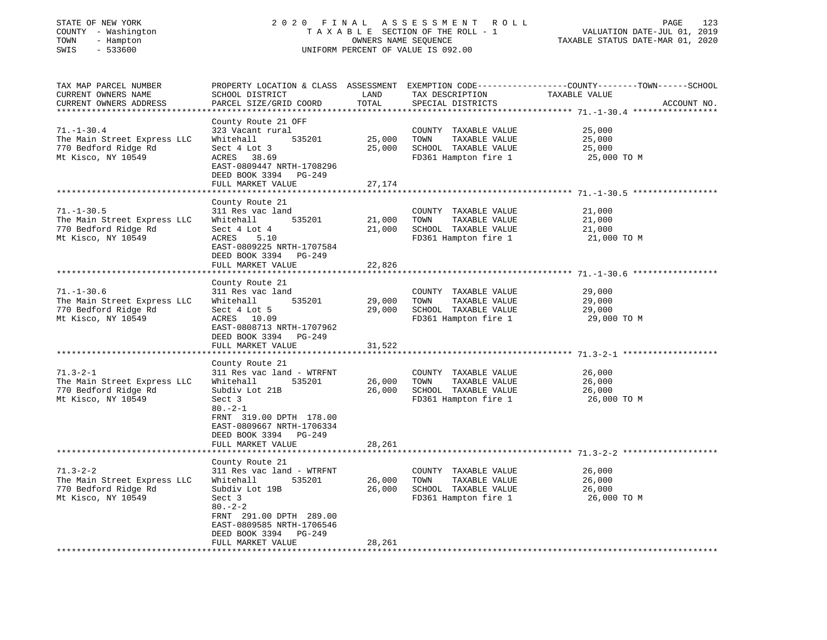| STATE OF NEW YORK<br>COUNTY - Washington<br>TOWN<br>- Hampton<br>SWIS<br>$-533600$            | ASSESSMENT ROLL<br>2020 FINAL<br>TAXABLE SECTION OF THE ROLL - 1<br>OWNERS NAME SEQUENCE<br>UNIFORM PERCENT OF VALUE IS 092.00                                                                                        |                                    |                                                                                               | PAGE<br>123<br>VALUATION DATE-JUL 01, 2019<br>TAXABLE STATUS DATE-MAR 01, 2020                                                                                                        |  |
|-----------------------------------------------------------------------------------------------|-----------------------------------------------------------------------------------------------------------------------------------------------------------------------------------------------------------------------|------------------------------------|-----------------------------------------------------------------------------------------------|---------------------------------------------------------------------------------------------------------------------------------------------------------------------------------------|--|
| TAX MAP PARCEL NUMBER<br>CURRENT OWNERS NAME<br>CURRENT OWNERS ADDRESS                        | SCHOOL DISTRICT<br>PARCEL SIZE/GRID COORD                                                                                                                                                                             | LAND<br>TOTAL<br>* * * * * * * * * | TAX DESCRIPTION<br>SPECIAL DISTRICTS                                                          | PROPERTY LOCATION & CLASS ASSESSMENT EXEMPTION CODE----------------COUNTY-------TOWN------SCHOOL<br>TAXABLE VALUE<br>ACCOUNT NO.<br>******************* 71. -1-30.4 ***************** |  |
| $71. - 1 - 30.4$<br>The Main Street Express LLC<br>770 Bedford Ridge Rd<br>Mt Kisco, NY 10549 | County Route 21 OFF<br>323 Vacant rural<br>535201<br>Whitehall<br>Sect 4 Lot 3<br>ACRES 38.69<br>EAST-0809447 NRTH-1708296<br>DEED BOOK 3394 PG-249<br>FULL MARKET VALUE                                              | 25,000<br>25,000<br>27,174         | COUNTY TAXABLE VALUE<br>TOWN<br>TAXABLE VALUE<br>SCHOOL TAXABLE VALUE<br>FD361 Hampton fire 1 | 25,000<br>25,000<br>25,000<br>25,000 TO M                                                                                                                                             |  |
|                                                                                               | ******************                                                                                                                                                                                                    |                                    |                                                                                               |                                                                                                                                                                                       |  |
| $71. - 1 - 30.5$<br>The Main Street Express LLC<br>770 Bedford Ridge Rd<br>Mt Kisco, NY 10549 | County Route 21<br>311 Res vac land<br>535201<br>Whitehall<br>Sect 4 Lot 4<br>ACRES<br>5.10<br>EAST-0809225 NRTH-1707584<br>DEED BOOK 3394 PG-249<br>FULL MARKET VALUE                                                | 21,000<br>21,000<br>22,826         | COUNTY TAXABLE VALUE<br>TAXABLE VALUE<br>TOWN<br>SCHOOL TAXABLE VALUE<br>FD361 Hampton fire 1 | 21,000<br>21,000<br>21,000<br>21,000 TO M                                                                                                                                             |  |
|                                                                                               | *****************                                                                                                                                                                                                     |                                    |                                                                                               |                                                                                                                                                                                       |  |
| $71. - 1 - 30.6$<br>The Main Street Express LLC<br>770 Bedford Ridge Rd<br>Mt Kisco, NY 10549 | County Route 21<br>311 Res vac land<br>535201<br>Whitehall<br>Sect 4 Lot 5<br>ACRES 10.09<br>EAST-0808713 NRTH-1707962<br>DEED BOOK 3394 PG-249<br>FULL MARKET VALUE                                                  | 29,000<br>29,000<br>31,522         | COUNTY TAXABLE VALUE<br>TOWN<br>TAXABLE VALUE<br>SCHOOL TAXABLE VALUE<br>FD361 Hampton fire 1 | 29,000<br>29,000<br>29,000<br>29,000 TO M                                                                                                                                             |  |
|                                                                                               | **************************                                                                                                                                                                                            |                                    |                                                                                               |                                                                                                                                                                                       |  |
| $71.3 - 2 - 1$<br>The Main Street Express LLC<br>770 Bedford Ridge Rd<br>Mt Kisco, NY 10549   | County Route 21<br>311 Res vac land - WTRFNT<br>Whitehall<br>535201<br>Subdiv Lot 21B<br>Sect 3<br>$80. -2 - 1$<br>FRNT 319.00 DPTH 178.00<br>EAST-0809667 NRTH-1706334<br>DEED BOOK 3394 PG-249<br>FULL MARKET VALUE | 26,000<br>26,000<br>28,261         | COUNTY TAXABLE VALUE<br>TOWN<br>TAXABLE VALUE<br>SCHOOL TAXABLE VALUE<br>FD361 Hampton fire 1 | 26,000<br>26,000<br>26,000<br>26,000 TO M                                                                                                                                             |  |
|                                                                                               | ********************                                                                                                                                                                                                  |                                    |                                                                                               |                                                                                                                                                                                       |  |
| $71.3 - 2 - 2$<br>The Main Street Express LLC<br>770 Bedford Ridge Rd<br>Mt Kisco, NY 10549   | County Route 21<br>311 Res vac land - WTRFNT<br>Whitehall<br>535201<br>Subdiv Lot 19B<br>Sect 3<br>$80 - 2 - 2$<br>FRNT 291.00 DPTH 289.00<br>EAST-0809585 NRTH-1706546<br>DEED BOOK 3394<br>PG-249                   | 26,000<br>26,000                   | COUNTY TAXABLE VALUE<br>TOWN<br>TAXABLE VALUE<br>SCHOOL TAXABLE VALUE<br>FD361 Hampton fire 1 | 26,000<br>26,000<br>26,000<br>26,000 TO M                                                                                                                                             |  |
| ************************                                                                      | FULL MARKET VALUE                                                                                                                                                                                                     | 28,261                             |                                                                                               |                                                                                                                                                                                       |  |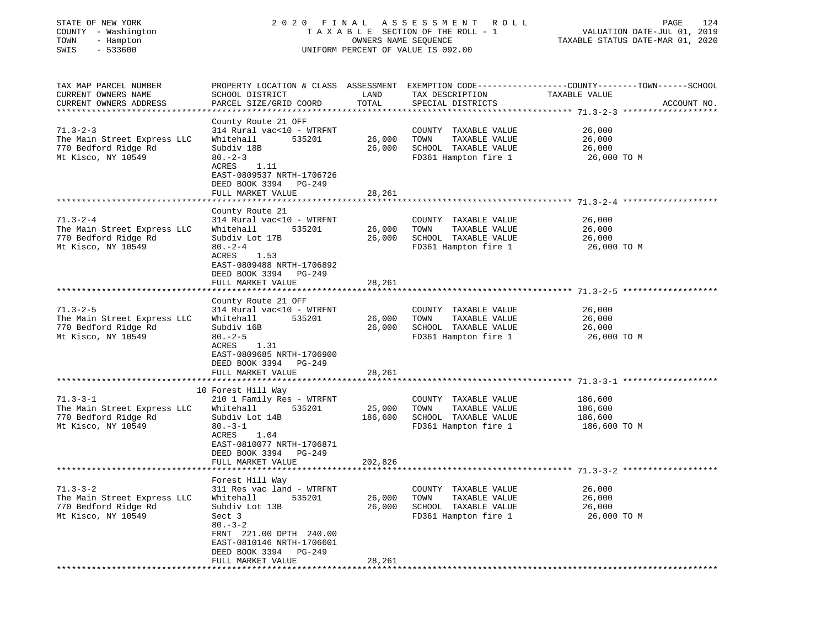| STATE OF NEW YORK<br>COUNTY - Washington<br>TOWN<br>- Hampton<br>SWIS<br>$-533600$ | 2020 FINAL ASSESSMENT<br>TAXABLE SECTION OF THE ROLL - 1<br>UNIFORM PERCENT OF VALUE IS 092.00 | R O L L<br>PAGE<br>124<br>VALUATION DATE-JUL 01, 2019<br>TAXABLE STATUS DATE-MAR 01, 2020 |                                               |                                                                                                                  |
|------------------------------------------------------------------------------------|------------------------------------------------------------------------------------------------|-------------------------------------------------------------------------------------------|-----------------------------------------------|------------------------------------------------------------------------------------------------------------------|
| TAX MAP PARCEL NUMBER<br>CURRENT OWNERS NAME                                       | SCHOOL DISTRICT                                                                                | LAND                                                                                      | TAX DESCRIPTION                               | PROPERTY LOCATION & CLASS ASSESSMENT EXEMPTION CODE---------------COUNTY-------TOWN------SCHOOL<br>TAXABLE VALUE |
| CURRENT OWNERS ADDRESS<br>*******************                                      | PARCEL SIZE/GRID COORD                                                                         | TOTAL                                                                                     | SPECIAL DISTRICTS                             | ACCOUNT NO.                                                                                                      |
|                                                                                    | County Route 21 OFF                                                                            |                                                                                           |                                               |                                                                                                                  |
| $71.3 - 2 - 3$                                                                     | 314 Rural vac<10 - WTRFNT                                                                      |                                                                                           | COUNTY TAXABLE VALUE                          | 26,000                                                                                                           |
| The Main Street Express LLC                                                        | Whitehall<br>535201                                                                            | 26,000                                                                                    | TAXABLE VALUE<br>TOWN                         | 26,000                                                                                                           |
| 770 Bedford Ridge Rd                                                               | Subdiv 18B                                                                                     | 26,000                                                                                    | SCHOOL TAXABLE VALUE                          | 26,000                                                                                                           |
| Mt Kisco, NY 10549                                                                 | $80 - 2 - 3$<br>ACRES<br>1.11                                                                  |                                                                                           | FD361 Hampton fire 1                          | 26,000 TO M                                                                                                      |
|                                                                                    | EAST-0809537 NRTH-1706726                                                                      |                                                                                           |                                               |                                                                                                                  |
|                                                                                    | DEED BOOK 3394 PG-249                                                                          |                                                                                           |                                               |                                                                                                                  |
|                                                                                    | FULL MARKET VALUE                                                                              | 28,261                                                                                    |                                               |                                                                                                                  |
|                                                                                    | **********************                                                                         | ************                                                                              |                                               |                                                                                                                  |
| $71.3 - 2 - 4$                                                                     | County Route 21<br>314 Rural vac<10 - WTRFNT                                                   |                                                                                           | COUNTY TAXABLE VALUE                          | 26,000                                                                                                           |
| The Main Street Express LLC                                                        | Whitehall<br>535201                                                                            | 26,000                                                                                    | TOWN<br>TAXABLE VALUE                         | 26,000                                                                                                           |
| 770 Bedford Ridge Rd                                                               | Subdiv Lot 17B                                                                                 | 26,000                                                                                    | SCHOOL TAXABLE VALUE                          | 26,000                                                                                                           |
| Mt Kisco, NY 10549                                                                 | $80 - 2 - 4$                                                                                   |                                                                                           | FD361 Hampton fire 1                          | 26,000 TO M                                                                                                      |
|                                                                                    | ACRES<br>1.53                                                                                  |                                                                                           |                                               |                                                                                                                  |
|                                                                                    | EAST-0809488 NRTH-1706892                                                                      |                                                                                           |                                               |                                                                                                                  |
|                                                                                    | DEED BOOK 3394 PG-249<br>FULL MARKET VALUE                                                     | 28,261                                                                                    |                                               |                                                                                                                  |
|                                                                                    |                                                                                                |                                                                                           |                                               |                                                                                                                  |
|                                                                                    | County Route 21 OFF                                                                            |                                                                                           |                                               |                                                                                                                  |
| $71.3 - 2 - 5$                                                                     | 314 Rural vac<10 - WTRFNT                                                                      |                                                                                           | COUNTY TAXABLE VALUE                          | 26,000                                                                                                           |
| The Main Street Express LLC                                                        | Whitehall<br>535201                                                                            | 26,000                                                                                    | TOWN<br>TAXABLE VALUE                         | 26,000                                                                                                           |
| 770 Bedford Ridge Rd<br>Mt Kisco, NY 10549                                         | Subdiv 16B<br>$80 - 2 - 5$                                                                     | 26,000                                                                                    | SCHOOL TAXABLE VALUE<br>FD361 Hampton fire 1  | 26,000<br>26,000 TO M                                                                                            |
|                                                                                    | ACRES<br>1.31                                                                                  |                                                                                           |                                               |                                                                                                                  |
|                                                                                    | EAST-0809685 NRTH-1706900                                                                      |                                                                                           |                                               |                                                                                                                  |
|                                                                                    | DEED BOOK 3394 PG-249                                                                          |                                                                                           |                                               |                                                                                                                  |
|                                                                                    | FULL MARKET VALUE                                                                              | 28,261                                                                                    |                                               |                                                                                                                  |
|                                                                                    | 10 Forest Hill Way                                                                             |                                                                                           |                                               |                                                                                                                  |
| $71.3 - 3 - 1$                                                                     | 210 1 Family Res - WTRFNT                                                                      |                                                                                           | COUNTY TAXABLE VALUE                          | 186,600                                                                                                          |
| The Main Street Express LLC                                                        | Whitehall<br>535201                                                                            | 25,000                                                                                    | TOWN<br>TAXABLE VALUE                         | 186,600                                                                                                          |
| 770 Bedford Ridge Rd                                                               | Subdiv Lot 14B                                                                                 | 186,600                                                                                   | SCHOOL TAXABLE VALUE                          | 186,600                                                                                                          |
| Mt Kisco, NY 10549                                                                 | $80. -3 - 1$                                                                                   |                                                                                           | FD361 Hampton fire 1                          | 186,600 TO M                                                                                                     |
|                                                                                    | ACRES<br>1.04<br>EAST-0810077 NRTH-1706871                                                     |                                                                                           |                                               |                                                                                                                  |
|                                                                                    | DEED BOOK 3394 PG-249                                                                          |                                                                                           |                                               |                                                                                                                  |
|                                                                                    | FULL MARKET VALUE                                                                              | 202,826                                                                                   |                                               |                                                                                                                  |
|                                                                                    | **********************************                                                             |                                                                                           |                                               |                                                                                                                  |
|                                                                                    | Forest Hill Way                                                                                |                                                                                           |                                               |                                                                                                                  |
| $71.3 - 3 - 2$                                                                     | 311 Res vac land - WTRFNT<br>Whitehall                                                         |                                                                                           | COUNTY<br>TAXABLE VALUE                       | 26,000<br>26,000                                                                                                 |
| The Main Street Express LLC<br>770 Bedford Ridge Rd                                | 535201<br>Subdiv Lot 13B                                                                       | 26,000<br>26,000                                                                          | TOWN<br>TAXABLE VALUE<br>SCHOOL TAXABLE VALUE | 26,000                                                                                                           |
| Mt Kisco, NY 10549                                                                 | Sect 3                                                                                         |                                                                                           | FD361 Hampton fire 1                          | 26,000 TO M                                                                                                      |
|                                                                                    | $80 - 3 - 2$                                                                                   |                                                                                           |                                               |                                                                                                                  |
|                                                                                    | FRNT 221.00 DPTH 240.00                                                                        |                                                                                           |                                               |                                                                                                                  |
|                                                                                    | EAST-0810146 NRTH-1706601                                                                      |                                                                                           |                                               |                                                                                                                  |
|                                                                                    | DEED BOOK 3394 PG-249<br>FULL MARKET VALUE                                                     | 28,261                                                                                    |                                               |                                                                                                                  |
|                                                                                    |                                                                                                |                                                                                           |                                               |                                                                                                                  |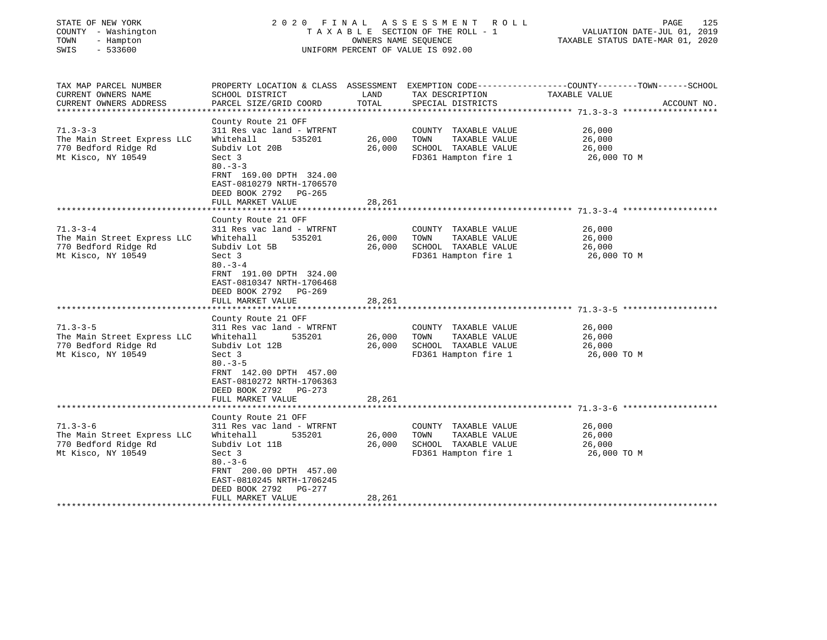| STATE OF NEW YORK<br>COUNTY - Washington | 2020                                                 | FINAL                            | A S S E S S M E N T R O L L<br>TAXABLE SECTION OF THE ROLL - 1 | 125<br>PAGE<br>VALUATION DATE-JUL 01, 2019                                                       |  |  |
|------------------------------------------|------------------------------------------------------|----------------------------------|----------------------------------------------------------------|--------------------------------------------------------------------------------------------------|--|--|
| TOWN<br>- Hampton                        |                                                      | OWNERS NAME SEOUENCE             |                                                                |                                                                                                  |  |  |
| SWIS<br>$-533600$                        | UNIFORM PERCENT OF VALUE IS 092.00                   | TAXABLE STATUS DATE-MAR 01, 2020 |                                                                |                                                                                                  |  |  |
| TAX MAP PARCEL NUMBER                    |                                                      |                                  |                                                                | PROPERTY LOCATION & CLASS ASSESSMENT EXEMPTION CODE----------------COUNTY-------TOWN------SCHOOL |  |  |
| CURRENT OWNERS NAME                      | SCHOOL DISTRICT                                      | LAND                             | TAX DESCRIPTION                                                | TAXABLE VALUE                                                                                    |  |  |
| CURRENT OWNERS ADDRESS                   | PARCEL SIZE/GRID COORD                               | TOTAL                            | SPECIAL DISTRICTS                                              | ACCOUNT NO.                                                                                      |  |  |
| *************************                |                                                      |                                  |                                                                |                                                                                                  |  |  |
|                                          | County Route 21 OFF                                  |                                  |                                                                |                                                                                                  |  |  |
| $71.3 - 3 - 3$                           | 311 Res vac land - WTRFNT                            |                                  | COUNTY TAXABLE VALUE                                           | 26,000                                                                                           |  |  |
| The Main Street Express LLC              | Whitehall<br>535201                                  | 26,000                           | TOWN<br>TAXABLE VALUE                                          | 26,000                                                                                           |  |  |
| 770 Bedford Ridge Rd                     | Subdiv Lot 20B                                       | 26,000                           | SCHOOL TAXABLE VALUE                                           | 26,000                                                                                           |  |  |
| Mt Kisco, NY 10549                       | Sect 3<br>$80 - 3 - 3$                               |                                  | FD361 Hampton fire 1                                           | 26,000 TO M                                                                                      |  |  |
|                                          | FRNT 169.00 DPTH 324.00<br>EAST-0810279 NRTH-1706570 |                                  |                                                                |                                                                                                  |  |  |
|                                          | DEED BOOK 2792 PG-265                                |                                  |                                                                |                                                                                                  |  |  |
|                                          | FULL MARKET VALUE<br>******************              | 28,261                           |                                                                |                                                                                                  |  |  |
|                                          | County Route 21 OFF                                  |                                  |                                                                |                                                                                                  |  |  |
| $71.3 - 3 - 4$                           | 311 Res vac land - WTRFNT                            |                                  | COUNTY TAXABLE VALUE                                           | 26,000                                                                                           |  |  |
| The Main Street Express LLC              | Whitehall<br>535201                                  | 26,000                           | TAXABLE VALUE<br>TOWN                                          | 26,000                                                                                           |  |  |
| 770 Bedford Ridge Rd                     | Subdiv Lot 5B                                        | 26,000                           | SCHOOL TAXABLE VALUE                                           | 26,000                                                                                           |  |  |
| Mt Kisco, NY 10549                       | Sect 3                                               |                                  | FD361 Hampton fire 1                                           | 26,000 TO M                                                                                      |  |  |
|                                          | $80 - 3 - 4$                                         |                                  |                                                                |                                                                                                  |  |  |
|                                          | FRNT 191.00 DPTH 324.00                              |                                  |                                                                |                                                                                                  |  |  |
|                                          | EAST-0810347 NRTH-1706468                            |                                  |                                                                |                                                                                                  |  |  |
|                                          | DEED BOOK 2792 PG-269                                |                                  |                                                                |                                                                                                  |  |  |
|                                          | FULL MARKET VALUE                                    | 28,261                           |                                                                |                                                                                                  |  |  |
|                                          |                                                      |                                  |                                                                |                                                                                                  |  |  |
| $71.3 - 3 - 5$                           | County Route 21 OFF<br>311 Res vac land - WTRFNT     |                                  | COUNTY TAXABLE VALUE                                           | 26,000                                                                                           |  |  |
| The Main Street Express LLC              | Whitehall<br>535201                                  | 26,000                           | TOWN<br>TAXABLE VALUE                                          | 26,000                                                                                           |  |  |
| 770 Bedford Ridge Rd                     | Subdiv Lot 12B                                       | 26,000                           | SCHOOL TAXABLE VALUE                                           | 26,000                                                                                           |  |  |
| Mt Kisco, NY 10549                       | Sect 3                                               |                                  | FD361 Hampton fire 1                                           | 26,000 TO M                                                                                      |  |  |
|                                          | $80. - 3 - 5$                                        |                                  |                                                                |                                                                                                  |  |  |
|                                          | FRNT 142.00 DPTH 457.00                              |                                  |                                                                |                                                                                                  |  |  |
|                                          | EAST-0810272 NRTH-1706363                            |                                  |                                                                |                                                                                                  |  |  |
|                                          | DEED BOOK 2792 PG-273                                |                                  |                                                                |                                                                                                  |  |  |
|                                          | FULL MARKET VALUE                                    | 28,261                           |                                                                |                                                                                                  |  |  |
|                                          |                                                      |                                  |                                                                |                                                                                                  |  |  |
|                                          | County Route 21 OFF                                  |                                  |                                                                |                                                                                                  |  |  |
| $71.3 - 3 - 6$                           | 311 Res vac land - WTRFNT                            |                                  | COUNTY TAXABLE VALUE                                           | 26,000                                                                                           |  |  |
| The Main Street Express LLC              | Whitehall<br>535201                                  | 26,000                           | TOWN<br>TAXABLE VALUE                                          | 26,000                                                                                           |  |  |
| 770 Bedford Ridge Rd                     | Subdiv Lot 11B                                       | 26,000                           | SCHOOL TAXABLE VALUE                                           | 26,000                                                                                           |  |  |
| Mt Kisco, NY 10549                       | Sect 3<br>$80 - 3 - 6$                               |                                  | FD361 Hampton fire 1                                           | 26,000 TO M                                                                                      |  |  |
|                                          | FRNT 200.00 DPTH 457.00                              |                                  |                                                                |                                                                                                  |  |  |
|                                          | EAST-0810245 NRTH-1706245                            |                                  |                                                                |                                                                                                  |  |  |
|                                          | DEED BOOK 2792 PG-277                                |                                  |                                                                |                                                                                                  |  |  |
|                                          | FULL MARKET VALUE                                    | 28,261                           |                                                                |                                                                                                  |  |  |
|                                          | ***********************                              |                                  |                                                                |                                                                                                  |  |  |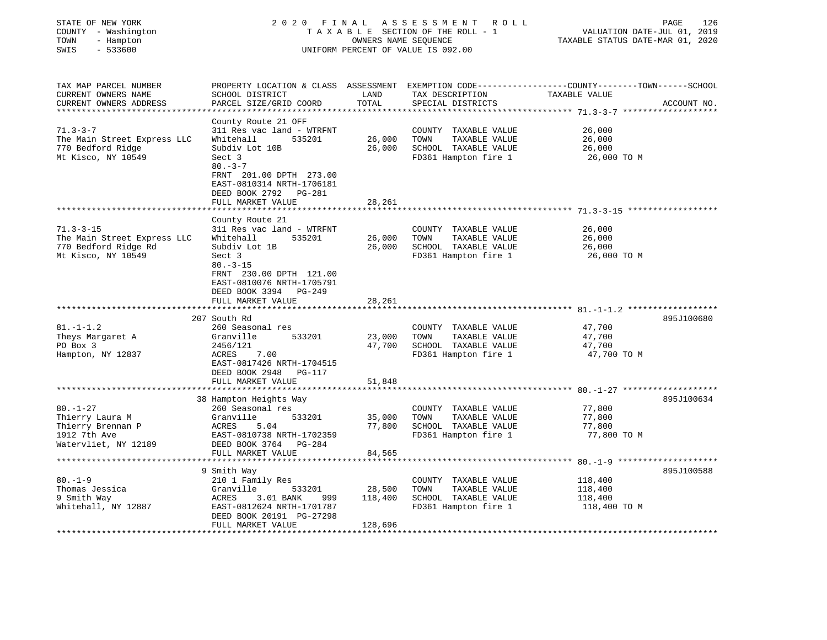| - Hampton<br>TOWN<br>SWIS<br>$-533600$                             |                                                                        | OWNERS NAME SEQUENCE | 2020 FINAL ASSESSMENT ROLL<br>TAXABLE SECTION OF THE ROLL - 1<br>UNIFORM PERCENT OF VALUE IS 092.00 | PAGE<br>126<br>VALUATION DATE-JUL 01, 2019<br>TAXABLE STATUS DATE-MAR 01, 2020                                    |  |  |
|--------------------------------------------------------------------|------------------------------------------------------------------------|----------------------|-----------------------------------------------------------------------------------------------------|-------------------------------------------------------------------------------------------------------------------|--|--|
| TAX MAP PARCEL NUMBER<br>CURRENT OWNERS NAME                       | SCHOOL DISTRICT                                                        | LAND                 | TAX DESCRIPTION                                                                                     | PROPERTY LOCATION & CLASS ASSESSMENT EXEMPTION CODE----------------COUNTY-------TOWN------SCHOOL<br>TAXABLE VALUE |  |  |
| CURRENT OWNERS ADDRESS                                             | PARCEL SIZE/GRID COORD                                                 | TOTAL                | SPECIAL DISTRICTS                                                                                   | ACCOUNT NO.                                                                                                       |  |  |
| **********************                                             |                                                                        |                      |                                                                                                     |                                                                                                                   |  |  |
|                                                                    | County Route 21 OFF                                                    |                      |                                                                                                     |                                                                                                                   |  |  |
| $71.3 - 3 - 7$                                                     | 311 Res vac land - WTRFNT                                              |                      | COUNTY TAXABLE VALUE                                                                                | 26,000                                                                                                            |  |  |
| The Main Street Express LLC                                        | Whitehall<br>535201                                                    | 26,000               | TOWN<br>TAXABLE VALUE                                                                               | 26,000                                                                                                            |  |  |
| 770 Bedford Ridge                                                  | Subdiv Lot 10B                                                         | 26,000               | SCHOOL TAXABLE VALUE                                                                                | 26,000                                                                                                            |  |  |
| Mt Kisco, NY 10549                                                 | Sect 3                                                                 |                      | FD361 Hampton fire 1                                                                                | 26,000 TO M                                                                                                       |  |  |
|                                                                    | $80 - 3 - 7$                                                           |                      |                                                                                                     |                                                                                                                   |  |  |
|                                                                    | FRNT 201.00 DPTH 273.00                                                |                      |                                                                                                     |                                                                                                                   |  |  |
|                                                                    | EAST-0810314 NRTH-1706181                                              |                      |                                                                                                     |                                                                                                                   |  |  |
|                                                                    | DEED BOOK 2792 PG-281<br>FULL MARKET VALUE                             | 28,261               |                                                                                                     |                                                                                                                   |  |  |
|                                                                    |                                                                        |                      |                                                                                                     | *********************************** 71.3-3-15 *******************                                                 |  |  |
|                                                                    | County Route 21                                                        |                      |                                                                                                     |                                                                                                                   |  |  |
| $71.3 - 3 - 15$                                                    | 311 Res vac land - WTRFNT                                              |                      | COUNTY TAXABLE VALUE                                                                                | 26,000                                                                                                            |  |  |
| The Main Street Express LLC                                        | Whitehall<br>535201                                                    | 26,000               | TOWN<br>TAXABLE VALUE                                                                               | 26,000                                                                                                            |  |  |
| 770 Bedford Ridge Rd                                               | Subdiv Lot 1B                                                          | 26,000               | SCHOOL TAXABLE VALUE                                                                                | 26,000                                                                                                            |  |  |
| Mt Kisco, NY 10549                                                 | Sect 3                                                                 |                      | FD361 Hampton fire 1                                                                                | 26,000 TO M                                                                                                       |  |  |
|                                                                    | $80. - 3 - 15$<br>FRNT 230.00 DPTH 121.00<br>EAST-0810076 NRTH-1705791 |                      |                                                                                                     |                                                                                                                   |  |  |
|                                                                    | DEED BOOK 3394 PG-249<br>FULL MARKET VALUE                             | 28,261               |                                                                                                     |                                                                                                                   |  |  |
|                                                                    | *************************                                              | *****************    |                                                                                                     |                                                                                                                   |  |  |
|                                                                    | 207 South Rd                                                           |                      |                                                                                                     | 895J100680                                                                                                        |  |  |
| $81. - 1 - 1.2$                                                    | 260 Seasonal res                                                       |                      | COUNTY TAXABLE VALUE                                                                                | 47,700                                                                                                            |  |  |
| Theys Margaret A                                                   | Granville<br>533201                                                    | 23,000               | TOWN<br>TAXABLE VALUE                                                                               | 47,700                                                                                                            |  |  |
|                                                                    | 2456/121                                                               | 47,700               | SCHOOL TAXABLE VALUE                                                                                | 47,700                                                                                                            |  |  |
|                                                                    |                                                                        |                      |                                                                                                     |                                                                                                                   |  |  |
|                                                                    | ACRES 7.00                                                             |                      | FD361 Hampton fire 1                                                                                | 47,700 TO M                                                                                                       |  |  |
|                                                                    | EAST-0817426 NRTH-1704515                                              |                      |                                                                                                     |                                                                                                                   |  |  |
|                                                                    | DEED BOOK 2948 PG-117                                                  |                      |                                                                                                     |                                                                                                                   |  |  |
|                                                                    | FULL MARKET VALUE                                                      | 51,848               |                                                                                                     |                                                                                                                   |  |  |
|                                                                    | ********************                                                   |                      |                                                                                                     |                                                                                                                   |  |  |
|                                                                    | 38 Hampton Heights Way                                                 |                      |                                                                                                     | 895J100634                                                                                                        |  |  |
|                                                                    | 260 Seasonal res                                                       |                      | COUNTY TAXABLE VALUE                                                                                | 77,800                                                                                                            |  |  |
| PO Box 3<br>Hampton, NY 12837<br>$80. - 1 - 27$<br>Thierry Laura M | Granville<br>533201                                                    | 35,000               | TOWN<br>TAXABLE VALUE                                                                               | 77,800                                                                                                            |  |  |
| Thierry Brennan P<br>1912 7th Ave                                  | ACRES 5.04<br>EAST-0810738 NRTH-1702359                                | 77,800               | SCHOOL TAXABLE VALUE<br>FD361 Hampton fire 1                                                        | 77,800<br>77,800 TO M                                                                                             |  |  |
|                                                                    | DEED BOOK 3764 PG-284                                                  |                      |                                                                                                     |                                                                                                                   |  |  |
|                                                                    | FULL MARKET VALUE                                                      | 84,565               |                                                                                                     |                                                                                                                   |  |  |
|                                                                    |                                                                        |                      |                                                                                                     |                                                                                                                   |  |  |
|                                                                    | 9 Smith Way                                                            |                      |                                                                                                     | 895J100588                                                                                                        |  |  |
|                                                                    | 210 1 Family Res                                                       |                      | COUNTY TAXABLE VALUE                                                                                | 118,400                                                                                                           |  |  |
| Watervliet, NY 12189<br>$80 - 1 - 9$<br>Thomas Jessica             | Granville<br>533201                                                    | 28,500               | TOWN<br>TAXABLE VALUE                                                                               | 118,400                                                                                                           |  |  |
|                                                                    | ACRES 3.01 BANK 999                                                    | 118,400              | SCHOOL TAXABLE VALUE                                                                                | 118,400                                                                                                           |  |  |
| 9 Smith Way<br>Whitehall, NY 12887                                 | EAST-0812624 NRTH-1701787<br>DEED BOOK 20191 PG-27298                  |                      | FD361 Hampton fire 1                                                                                | 118,400 TO M                                                                                                      |  |  |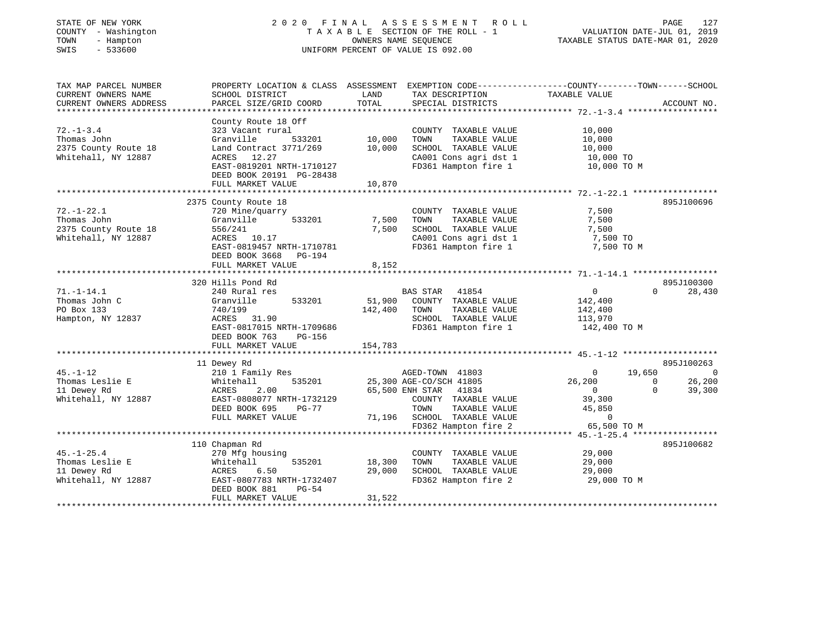| STATE OF NEW YORK<br>COUNTY - Washington<br>TOWN<br>- Hampton<br>SWIS<br>$-533600$ | 2020 FINAL                                                                                       |                                | A S S E S S M E N T<br>R O L L<br>TAXABLE SECTION OF THE ROLL - 1<br>OWNERS NAME SEOUENCE<br>UNIFORM PERCENT OF VALUE IS 092.00 | VALUATION DATE-JUL 01, 2019<br>TAXABLE STATUS DATE-MAR 01, 2020 | PAGE<br>127            |
|------------------------------------------------------------------------------------|--------------------------------------------------------------------------------------------------|--------------------------------|---------------------------------------------------------------------------------------------------------------------------------|-----------------------------------------------------------------|------------------------|
| TAX MAP PARCEL NUMBER                                                              | PROPERTY LOCATION & CLASS ASSESSMENT EXEMPTION CODE----------------COUNTY-------TOWN------SCHOOL |                                |                                                                                                                                 |                                                                 |                        |
| CURRENT OWNERS NAME                                                                | SCHOOL DISTRICT                                                                                  | LAND                           | TAX DESCRIPTION                                                                                                                 | TAXABLE VALUE                                                   |                        |
| CURRENT OWNERS ADDRESS<br>****************                                         | PARCEL SIZE/GRID COORD                                                                           | TOTAL                          | SPECIAL DISTRICTS                                                                                                               | ********************* 72.-1-3.4 *******************             | ACCOUNT NO.            |
|                                                                                    | County Route 18 Off                                                                              |                                |                                                                                                                                 |                                                                 |                        |
| $72. - 1 - 3.4$                                                                    | 323 Vacant rural                                                                                 |                                | COUNTY TAXABLE VALUE                                                                                                            | 10,000                                                          |                        |
| Thomas John                                                                        | Granville<br>533201                                                                              | 10,000                         | TAXABLE VALUE<br>TOWN                                                                                                           | 10,000                                                          |                        |
| 2375 County Route 18                                                               | Land Contract 3771/269                                                                           | 10,000                         | SCHOOL TAXABLE VALUE                                                                                                            | 10,000                                                          |                        |
| Whitehall, NY 12887                                                                | ACRES 12.27                                                                                      |                                | CA001 Cons agri dst 1                                                                                                           | 10,000 TO                                                       |                        |
|                                                                                    | EAST-0819201 NRTH-1710127<br>DEED BOOK 20191 PG-28438                                            |                                | FD361 Hampton fire 1                                                                                                            | 10,000 TO M                                                     |                        |
|                                                                                    | FULL MARKET VALUE                                                                                | 10,870                         |                                                                                                                                 |                                                                 |                        |
|                                                                                    |                                                                                                  |                                |                                                                                                                                 |                                                                 |                        |
| $72. - 1 - 22.1$                                                                   | 2375 County Route 18                                                                             |                                |                                                                                                                                 |                                                                 | 895J100696             |
| Thomas John                                                                        | 720 Mine/quarry<br>533201<br>Granville                                                           | 7,500                          | COUNTY TAXABLE VALUE<br>TOWN<br>TAXABLE VALUE                                                                                   | 7,500<br>7,500                                                  |                        |
| 2375 County Route 18                                                               | 556/241                                                                                          | 7,500                          | SCHOOL TAXABLE VALUE                                                                                                            | 7,500                                                           |                        |
| Whitehall, NY 12887                                                                | ACRES 10.17                                                                                      |                                | CA001 Cons agri dst 1                                                                                                           | 7,500 TO                                                        |                        |
|                                                                                    | EAST-0819457 NRTH-1710781                                                                        |                                | FD361 Hampton fire 1                                                                                                            | 7,500 TO M                                                      |                        |
|                                                                                    | DEED BOOK 3668<br>PG-194                                                                         |                                |                                                                                                                                 |                                                                 |                        |
|                                                                                    | FULL MARKET VALUE                                                                                | 8,152                          |                                                                                                                                 |                                                                 |                        |
|                                                                                    | *************************                                                                        |                                |                                                                                                                                 |                                                                 |                        |
|                                                                                    | 320 Hills Pond Rd                                                                                |                                |                                                                                                                                 |                                                                 | 895J100300             |
| $71. - 1 - 14.1$                                                                   | 240 Rural res                                                                                    |                                | BAS STAR<br>41854                                                                                                               | $\overline{0}$                                                  | $\Omega$<br>28,430     |
| Thomas John C<br>PO Box 133                                                        | Granville<br>533201<br>740/199                                                                   | 51,900<br>142,400              | COUNTY TAXABLE VALUE<br>TOWN<br>TAXABLE VALUE                                                                                   | 142,400<br>142,400                                              |                        |
| Hampton, NY 12837                                                                  | ACRES 31.90                                                                                      |                                | SCHOOL TAXABLE VALUE                                                                                                            | 113,970                                                         |                        |
|                                                                                    | EAST-0817015 NRTH-1709686                                                                        |                                | FD361 Hampton fire 1                                                                                                            | 142,400 TO M                                                    |                        |
|                                                                                    | DEED BOOK 763<br>PG-156                                                                          |                                |                                                                                                                                 |                                                                 |                        |
|                                                                                    | FULL MARKET VALUE                                                                                | 154,783                        |                                                                                                                                 |                                                                 |                        |
|                                                                                    | **************************                                                                       |                                |                                                                                                                                 |                                                                 |                        |
|                                                                                    | 11 Dewey Rd                                                                                      |                                |                                                                                                                                 |                                                                 | 895J100263             |
| $45. - 1 - 12$                                                                     | 210 1 Family Res                                                                                 |                                | AGED-TOWN 41803                                                                                                                 | 19,650<br>$\overline{0}$                                        | 0                      |
| Thomas Leslie E                                                                    | 535201<br>Whitehall                                                                              |                                | 25,300 AGE-CO/SCH 41805                                                                                                         | 26,200                                                          | 26,200<br>$\mathbf{0}$ |
| 11 Dewey Rd                                                                        | ACRES<br>2.00                                                                                    |                                | 65,500 ENH STAR<br>41834                                                                                                        | $\overline{0}$                                                  | $\Omega$<br>39,300     |
| Whitehall, NY 12887                                                                | EAST-0808077 NRTH-1732129<br>DEED BOOK 695<br>PG-77                                              |                                | COUNTY TAXABLE VALUE<br>TOWN<br>TAXABLE VALUE                                                                                   | 39,300<br>45,850                                                |                        |
|                                                                                    | FULL MARKET VALUE                                                                                |                                | 71,196 SCHOOL TAXABLE VALUE                                                                                                     | $\Omega$                                                        |                        |
|                                                                                    |                                                                                                  |                                | FD362 Hampton fire 2                                                                                                            | 65,500 TO M                                                     |                        |
|                                                                                    |                                                                                                  |                                |                                                                                                                                 |                                                                 |                        |
|                                                                                    | 110 Chapman Rd                                                                                   |                                |                                                                                                                                 |                                                                 | 895J100682             |
| $45. - 1 - 25.4$                                                                   | 270 Mfg housing                                                                                  |                                | COUNTY TAXABLE VALUE                                                                                                            | 29,000                                                          |                        |
| Thomas Leslie E                                                                    | 535201<br>Whitehall                                                                              | 18,300                         | TOWN<br>TAXABLE VALUE                                                                                                           | 29,000                                                          |                        |
| 11 Dewey Rd                                                                        | 6.50<br>ACRES                                                                                    | 29,000                         | SCHOOL TAXABLE VALUE                                                                                                            | 29,000                                                          |                        |
| Whitehall, NY 12887                                                                | EAST-0807783 NRTH-1732407<br>DEED BOOK 881<br>$PG-54$                                            |                                | FD362 Hampton fire 2                                                                                                            | 29,000 TO M                                                     |                        |
|                                                                                    | FULL MARKET VALUE                                                                                | 31,522<br><b>+++++++++++++</b> |                                                                                                                                 |                                                                 |                        |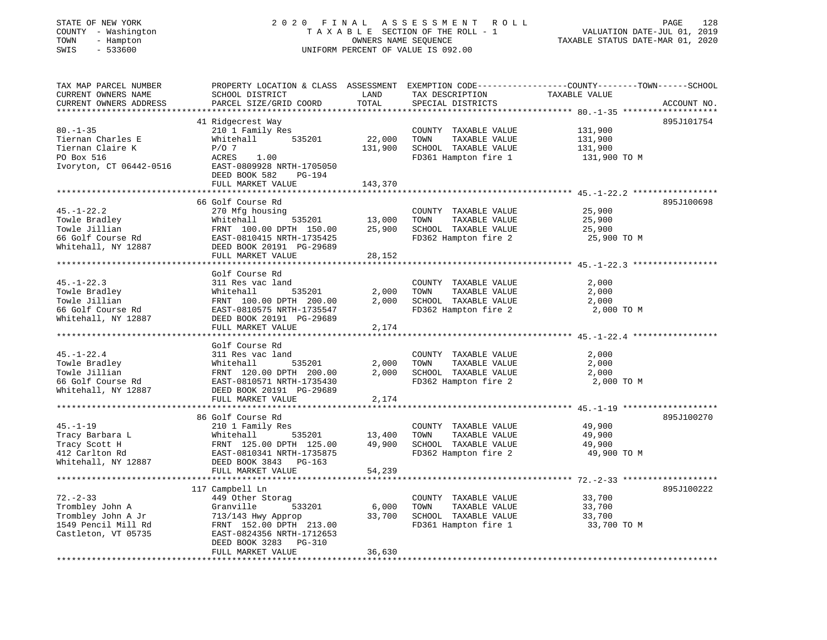# STATE OF NEW YORK 2 0 2 0 F I N A L A S S E S S M E N T R O L L PAGE 128 COUNTY - Washington T A X A B L E SECTION OF THE ROLL - 1 VALUATION DATE-JUL 01, 2019 TOWN - Hampton OWNERS NAME SEQUENCE TAXABLE STATUS DATE-MAR 01, 2020 SWIS - 533600 UNIFORM PERCENT OF VALUE IS 092.00

| TAX MAP PARCEL NUMBER<br>CURRENT OWNERS NAME<br>CURRENT OWNERS ADDRESS                                                         | SCHOOL DISTRICT<br>PARCEL SIZE/GRID COORD                                                                                                                                                   | LAND<br>TOTAL                        | TAX DESCRIPTION<br>SPECIAL DISTRICTS                                                          | PROPERTY LOCATION & CLASS ASSESSMENT EXEMPTION CODE----------------COUNTY-------TOWN------SCHOOL<br>TAXABLE VALUE<br>ACCOUNT NO. |
|--------------------------------------------------------------------------------------------------------------------------------|---------------------------------------------------------------------------------------------------------------------------------------------------------------------------------------------|--------------------------------------|-----------------------------------------------------------------------------------------------|----------------------------------------------------------------------------------------------------------------------------------|
| $80. - 1 - 35$<br>Tiernan Charles E<br>Tiernan Claire K<br>PO Box 516<br>Ivoryton, CT 06442-0516                               | **********************<br>41 Ridgecrest Way<br>210 1 Family Res<br>Whitehall<br>535201<br>$P/O$ 7<br>ACRES<br>1.00<br>EAST-0809928 NRTH-1705050<br>DEED BOOK 582<br>PG-194                  | ***************<br>22,000<br>131,900 | COUNTY TAXABLE VALUE<br>TOWN<br>TAXABLE VALUE<br>SCHOOL TAXABLE VALUE<br>FD361 Hampton fire 1 | 895J101754<br>131,900<br>131,900<br>131,900<br>131,900 TO M                                                                      |
|                                                                                                                                | FULL MARKET VALUE                                                                                                                                                                           | 143,370                              |                                                                                               |                                                                                                                                  |
| $45. - 1 - 22.2$<br>Towle Bradley<br>Towle Jillian<br>66 Golf Course Rd<br>Whitehall, NY 12887                                 | 66 Golf Course Rd<br>270 Mfg housing<br>Whitehall<br>535201<br>FRNT 100.00 DPTH 150.00<br>EAST-0810415 NRTH-1735425<br>DEED BOOK 20191 PG-29689<br>FULL MARKET VALUE                        | 13,000<br>25,900<br>28,152           | COUNTY TAXABLE VALUE<br>TOWN<br>TAXABLE VALUE<br>SCHOOL TAXABLE VALUE<br>FD362 Hampton fire 2 | 895J100698<br>25,900<br>25,900<br>25,900<br>25,900 TO M                                                                          |
|                                                                                                                                |                                                                                                                                                                                             |                                      |                                                                                               |                                                                                                                                  |
| $45. - 1 - 22.3$<br>Towle Bradley<br>Towle Jillian<br>66 Golf Course Rd<br>Whitehall, NY 12887                                 | Golf Course Rd<br>311 Res vac land<br>Whitehall<br>535201<br>FRNT 100.00 DPTH 200.00<br>EAST-0810575 NRTH-1735547<br>DEED BOOK 20191 PG-29689<br>FULL MARKET VALUE                          | 2,000<br>2,000<br>2,174              | COUNTY TAXABLE VALUE<br>TOWN<br>TAXABLE VALUE<br>SCHOOL TAXABLE VALUE<br>FD362 Hampton fire 2 | 2,000<br>2,000<br>2,000<br>2,000 TO M                                                                                            |
|                                                                                                                                | Golf Course Rd                                                                                                                                                                              |                                      |                                                                                               |                                                                                                                                  |
| $45. - 1 - 22.4$<br>Towle Bradley<br>Towle Jillian<br>66 Golf Course Rd<br>Whitehall, NY 12887                                 | 311 Res vac land<br>535201<br>Whitehall<br>FRNT 120.00 DPTH 200.00<br>EAST-0810571 NRTH-1735430<br>DEED BOOK 20191 PG-29689                                                                 | 2,000<br>2,000                       | COUNTY TAXABLE VALUE<br>TOWN<br>TAXABLE VALUE<br>SCHOOL TAXABLE VALUE<br>FD362 Hampton fire 2 | 2,000<br>2,000<br>2,000<br>2,000 TO M                                                                                            |
|                                                                                                                                | FULL MARKET VALUE                                                                                                                                                                           | 2,174                                |                                                                                               |                                                                                                                                  |
| $45. - 1 - 19$<br>Tracy Barbara L<br>Tracy Scott H<br>412 Carlton Rd<br>Whitehall, NY 12887                                    | 86 Golf Course Rd<br>210 1 Family Res<br>Whitehall<br>535201<br>FRNT 125.00 DPTH 125.00<br>EAST-0810341 NRTH-1735875<br>DEED BOOK 3843 PG-163<br>FULL MARKET VALUE                          | 13,400<br>49,900<br>54,239           | COUNTY TAXABLE VALUE<br>TAXABLE VALUE<br>TOWN<br>SCHOOL TAXABLE VALUE<br>FD362 Hampton fire 2 | 895J100270<br>49,900<br>49,900<br>49,900<br>49,900 TO M                                                                          |
|                                                                                                                                |                                                                                                                                                                                             |                                      |                                                                                               | ************************************* 72.-2-33 *************                                                                     |
| $72. - 2 - 33$<br>Trombley John A<br>Trombley John A Jr<br>1549 Pencil Mill Rd<br>Castleton, VT 05735<br>********************* | 117 Campbell Ln<br>449 Other Storag<br>Granville<br>533201<br>713/143 Hwy Approp<br>FRNT 152.00 DPTH 213.00<br>EAST-0824356 NRTH-1712653<br>DEED BOOK 3283<br>$PG-310$<br>FULL MARKET VALUE | 6,000<br>33,700<br>36,630            | COUNTY TAXABLE VALUE<br>TOWN<br>TAXABLE VALUE<br>SCHOOL TAXABLE VALUE<br>FD361 Hampton fire 1 | 895J100222<br>33,700<br>33,700<br>33,700<br>33,700 TO M                                                                          |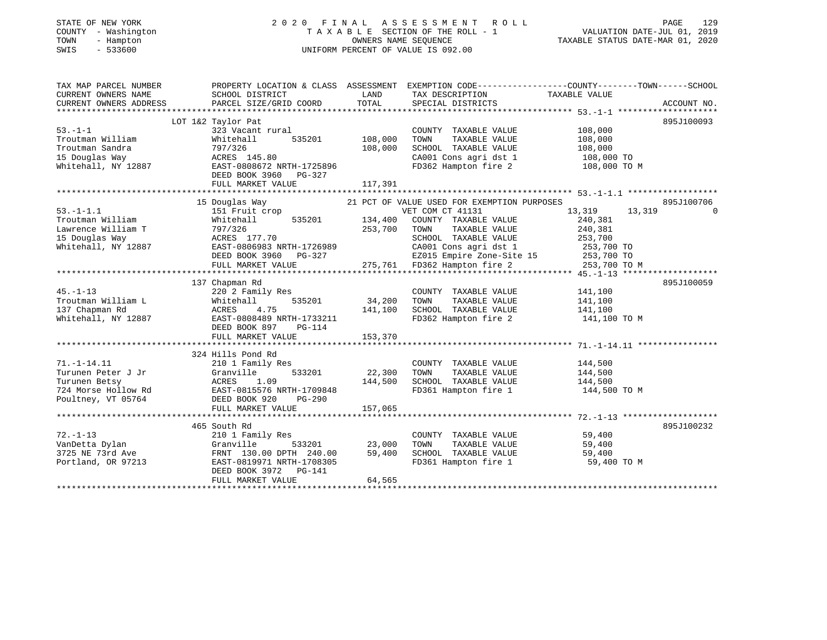# STATE OF NEW YORK 2 0 2 0 F I N A L A S S E S S M E N T R O L L PAGE 129 COUNTY - Washington T A X A B L E SECTION OF THE ROLL - 1 VALUATION DATE-JUL 01, 2019 TOWN - Hampton OWNERS NAME SEQUENCE TAXABLE STATUS DATE-MAR 01, 2020 SWIS - 533600 UNIFORM PERCENT OF VALUE IS 092.00

| TAX MAP PARCEL NUMBER  |                                                                                                                                                                                                                                            |               | PROPERTY LOCATION & CLASS ASSESSMENT EXEMPTION CODE---------------COUNTY-------TOWN------SCHOOL |               |             |
|------------------------|--------------------------------------------------------------------------------------------------------------------------------------------------------------------------------------------------------------------------------------------|---------------|-------------------------------------------------------------------------------------------------|---------------|-------------|
| CURRENT OWNERS NAME    | SCHOOL DISTRICT                                                                                                                                                                                                                            | LAND          | TAX DESCRIPTION                                                                                 | TAXABLE VALUE |             |
| CURRENT OWNERS ADDRESS | PARCEL SIZE/GRID COORD                                                                                                                                                                                                                     | TOTAL         | SPECIAL DISTRICTS                                                                               |               | ACCOUNT NO. |
|                        |                                                                                                                                                                                                                                            |               |                                                                                                 |               |             |
|                        | LOT 1&2 Taylor Pat                                                                                                                                                                                                                         |               |                                                                                                 |               | 895J100093  |
| $53. -1 - 1$           | 323 Vacant rural                                                                                                                                                                                                                           |               | COUNTY TAXABLE VALUE                                                                            | 108,000       |             |
| Troutman William       | Whitehall<br>535201                                                                                                                                                                                                                        | 108,000       | TOWN<br>TAXABLE VALUE                                                                           | 108,000       |             |
| Troutman Sandra        | 797/326                                                                                                                                                                                                                                    | 108,000       | SCHOOL TAXABLE VALUE                                                                            | 108,000       |             |
|                        | ACRES 145.80                                                                                                                                                                                                                               |               |                                                                                                 |               |             |
|                        | 15 Douglas Way                           ACRES  145.80<br>Whitehall, NY 12887                     EAST-0808672 NRTH-1725896                                                                                                                |               | CA001 Cons agri dst 1 108,000 TO<br>FD362 Hampton fire 2 108,000 TO M                           |               |             |
|                        | DEED BOOK 3960 PG-327                                                                                                                                                                                                                      |               |                                                                                                 |               |             |
|                        |                                                                                                                                                                                                                                            |               |                                                                                                 |               |             |
|                        |                                                                                                                                                                                                                                            |               |                                                                                                 |               |             |
|                        | 15 Douglas Way                                                                                                                                                                                                                             |               | 21 PCT OF VALUE USED FOR EXEMPTION PURPOSES                                                     |               | 895J100706  |
| $53. -1 - 1.1$         | 151 Fruit crop                                                                                                                                                                                                                             |               | VET COM CT 41131                                                                                | 13,319 13,319 | $\Omega$    |
| Troutman William       | Whitehall                                                                                                                                                                                                                                  |               | 535201 134,400 COUNTY TAXABLE VALUE 240,381                                                     |               |             |
|                        |                                                                                                                                                                                                                                            | 253,700       | TAXABLE VALUE 240,381<br>TOWN                                                                   |               |             |
|                        |                                                                                                                                                                                                                                            |               | SCHOOL TAXABLE VALUE                                                                            | 253,700       |             |
|                        |                                                                                                                                                                                                                                            |               | CA001 Cons agri dst 1 253,700 TO                                                                |               |             |
|                        | DEED BOOK 3960 PG-327                                                                                                                                                                                                                      |               |                                                                                                 |               |             |
|                        | FULL MARKET VALUE                                                                                                                                                                                                                          |               | 827 EZ015 Empire Zone-Site 15 253,700 TO<br>275,761 FD362 Hampton fire 2 253,700 TO             | 253,700 TO M  |             |
|                        |                                                                                                                                                                                                                                            |               |                                                                                                 |               |             |
|                        | 137 Chapman Rd                                                                                                                                                                                                                             |               |                                                                                                 |               | 895J100059  |
| $45. - 1 - 13$         | 220 <sup>2</sup> Family Res                                                                                                                                                                                                                |               | COUNTY TAXABLE VALUE 141,100                                                                    |               |             |
| Troutman William L     | 535201<br>Whitehall                                                                                                                                                                                                                        | 34,200        | TOWN<br>TAXABLE VALUE                                                                           | 141,100       |             |
| 137 Chapman Rd         | ACRES 4.75                                                                                                                                                                                                                                 | 141,100       | SCHOOL TAXABLE VALUE<br>FD362 Hampton fire 2                                                    | 141,100       |             |
| Whitehall, NY 12887    | EAST-0808489 NRTH-1733211                                                                                                                                                                                                                  |               |                                                                                                 | 141,100 TO M  |             |
|                        | DEED BOOK 897 PG-114                                                                                                                                                                                                                       |               |                                                                                                 |               |             |
|                        |                                                                                                                                                                                                                                            |               |                                                                                                 |               |             |
|                        |                                                                                                                                                                                                                                            |               |                                                                                                 |               |             |
|                        | 324 Hills Pond Rd                                                                                                                                                                                                                          |               |                                                                                                 |               |             |
| $71. - 1 - 14.11$      | 210 1 Family Res                                                                                                                                                                                                                           |               | COUNTY TAXABLE VALUE                                                                            | 144,500       |             |
|                        | Turunen Peter J Jr<br>Turunen Peter J Jr<br>Turunen Betsy<br>724 Morse Hollow Rd<br>Poultney, VT 05764<br>Poultney, VT 05764<br>Poultney, VT 05764<br>Poultney, VT 05764<br>Poultney, VT 05764<br>Poultney, VT 05764<br>Poultney, VT 05764 | 533201 22,300 | TAXABLE VALUE 144,500<br>TOWN                                                                   |               |             |
|                        |                                                                                                                                                                                                                                            | 144,500       | SCHOOL TAXABLE VALUE<br>FD361 Hampton fire 1                                                    | 144,500       |             |
|                        |                                                                                                                                                                                                                                            |               |                                                                                                 | 144,500 TO M  |             |
|                        |                                                                                                                                                                                                                                            |               |                                                                                                 |               |             |
|                        | FULL MARKET VALUE                                                                                                                                                                                                                          | 157,065       |                                                                                                 |               |             |
|                        |                                                                                                                                                                                                                                            |               |                                                                                                 |               |             |
|                        | 465 South Rd                                                                                                                                                                                                                               |               |                                                                                                 |               | 895J100232  |
| $72. - 1 - 13$         | 210 1 Family Res                                                                                                                                                                                                                           |               | COUNTY TAXABLE VALUE 59,400                                                                     |               |             |
| VanDetta Dylan         | Granville                                                                                                                                                                                                                                  | 533201 23,000 | TAXABLE VALUE<br>TOWN                                                                           | 59,400        |             |
|                        |                                                                                                                                                                                                                                            | 59,400        | SCHOOL TAXABLE VALUE                                                                            | 59,400        |             |
| Portland, OR 97213     | EAST-0819971 NRTH-1708305                                                                                                                                                                                                                  |               | FD361 Hampton fire 1                                                                            | 59,400 TO M   |             |
|                        | DEED BOOK 3972 PG-141                                                                                                                                                                                                                      |               |                                                                                                 |               |             |
|                        | FULL MARKET VALUE                                                                                                                                                                                                                          | 64,565        |                                                                                                 |               |             |
|                        |                                                                                                                                                                                                                                            |               |                                                                                                 |               |             |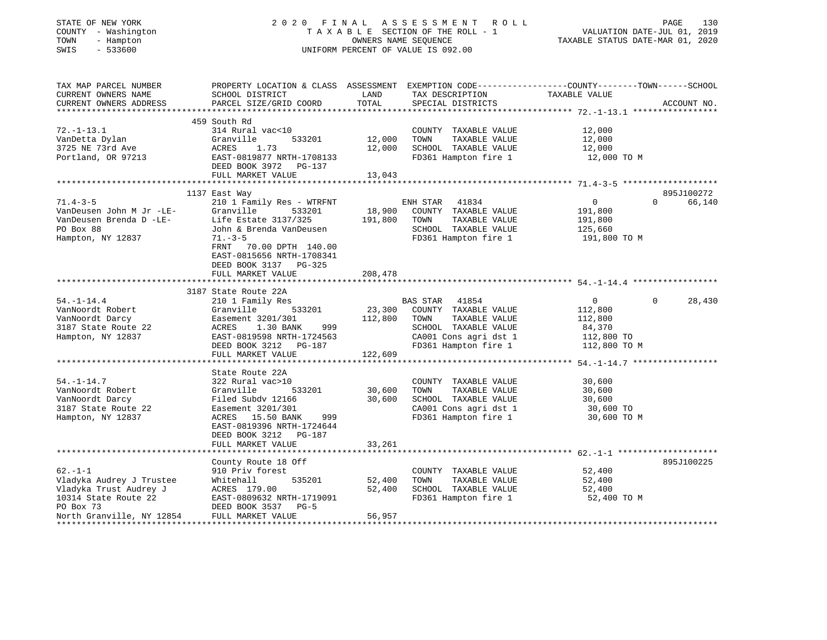## STATE OF NEW YORK 2 0 2 0 F I N A L A S S E S S M E N T R O L L PAGE 130 COUNTY - Washington T A X A B L E SECTION OF THE ROLL - 1 VALUATION DATE-JUL 01, 2019 TOWN - Hampton OWNERS NAME SEQUENCE TAXABLE STATUS DATE-MAR 01, 2020 SWIS - 533600 UNIFORM PERCENT OF VALUE IS 092.00

| TAX MAP PARCEL NUMBER<br>CURRENT OWNERS NAME<br>CURRENT OWNERS ADDRESS | PROPERTY LOCATION & CLASS ASSESSMENT<br>SCHOOL DISTRICT<br>PARCEL SIZE/GRID COORD | LAND<br>TOTAL    | TAX DESCRIPTION<br>SPECIAL DISTRICTS | EXEMPTION CODE-----------------COUNTY-------TOWN------SCHOOL<br>TAXABLE VALUE | ACCOUNT NO. |
|------------------------------------------------------------------------|-----------------------------------------------------------------------------------|------------------|--------------------------------------|-------------------------------------------------------------------------------|-------------|
|                                                                        |                                                                                   |                  |                                      |                                                                               |             |
|                                                                        | 459 South Rd                                                                      |                  |                                      |                                                                               |             |
| $72. - 1 - 13.1$                                                       | 314 Rural vac<10                                                                  |                  | COUNTY TAXABLE VALUE                 | 12,000                                                                        |             |
| VanDetta Dylan                                                         | 533201<br>Granville                                                               | 12,000           | TOWN<br>TAXABLE VALUE                | 12,000                                                                        |             |
| 3725 NE 73rd Ave                                                       | ACRES<br>1.73                                                                     | 12,000           | SCHOOL TAXABLE VALUE                 | 12,000                                                                        |             |
| Portland, OR 97213                                                     | EAST-0819877 NRTH-1708133<br>DEED BOOK 3972 PG-137                                |                  | FD361 Hampton fire 1                 | 12,000 TO M                                                                   |             |
|                                                                        | FULL MARKET VALUE                                                                 | 13,043           |                                      |                                                                               |             |
|                                                                        |                                                                                   |                  |                                      |                                                                               |             |
|                                                                        | 1137 East Way                                                                     |                  |                                      |                                                                               | 895J100272  |
| $71.4 - 3 - 5$                                                         | 210 1 Family Res - WTRFNT                                                         |                  | ENH STAR 41834                       | $\overline{0}$<br>$\Omega$                                                    | 66,140      |
| VanDeusen John M Jr -LE-<br>VanDeusen Brenda D -LE-                    | Granville<br>533201                                                               | 18,900           | COUNTY TAXABLE VALUE                 | 191,800                                                                       |             |
|                                                                        | Life Estate 3137/325                                                              | 191,800          | TOWN<br>TAXABLE VALUE                | 191,800                                                                       |             |
| PO Box 88                                                              | John & Brenda VanDeusen                                                           |                  | SCHOOL TAXABLE VALUE                 | 125,660                                                                       |             |
| Hampton, NY 12837                                                      | $71. - 3 - 5$<br>FRNT<br>70.00 DPTH 140.00                                        |                  | FD361 Hampton fire 1                 | 191,800 TO M                                                                  |             |
|                                                                        | EAST-0815656 NRTH-1708341                                                         |                  |                                      |                                                                               |             |
|                                                                        | DEED BOOK 3137 PG-325                                                             |                  |                                      |                                                                               |             |
|                                                                        | FULL MARKET VALUE                                                                 | 208,478          |                                      |                                                                               |             |
|                                                                        |                                                                                   |                  |                                      |                                                                               |             |
|                                                                        | 3187 State Route 22A                                                              |                  |                                      |                                                                               |             |
| $54. - 1 - 14.4$                                                       | 210 1 Family Res                                                                  |                  | BAS STAR 41854                       | $\overline{0}$<br>$\Omega$                                                    | 28,430      |
| VanNoordt Robert                                                       | 533201<br>Granville                                                               | 23,300           | COUNTY TAXABLE VALUE                 | 112,800                                                                       |             |
| VanNoordt Darcy                                                        | Easement 3201/301                                                                 | 112,800          | TAXABLE VALUE<br>TOWN                | 112,800                                                                       |             |
| 3187 State Route 22                                                    | ACRES 1.30 BANK<br>999                                                            |                  | SCHOOL TAXABLE VALUE                 | 84,370                                                                        |             |
| Hampton, NY 12837                                                      | EAST-0819598 NRTH-1724563                                                         |                  | CA001 Cons agri dst 1                | 112,800 TO                                                                    |             |
|                                                                        | DEED BOOK 3212 PG-187                                                             |                  | FD361 Hampton fire 1                 | 112,800 TO M                                                                  |             |
|                                                                        | FULL MARKET VALUE                                                                 | 122,609          |                                      |                                                                               |             |
|                                                                        |                                                                                   |                  |                                      |                                                                               |             |
| $54. - 1 - 14.7$                                                       | State Route 22A<br>322 Rural vac>10                                               |                  | COUNTY TAXABLE VALUE                 | 30,600                                                                        |             |
| VanNoordt Robert                                                       | 533201<br>Granville                                                               | 30,600           | TOWN<br>TAXABLE VALUE                | 30,600                                                                        |             |
|                                                                        |                                                                                   | 30,600           | SCHOOL TAXABLE VALUE                 |                                                                               |             |
| VanNoordt Darcy<br>3187 State Route 22                                 | Filed Subdy 12166                                                                 |                  | CA001 Cons agri dst 1                | 30,600                                                                        |             |
|                                                                        | Easement 3201/301                                                                 |                  | FD361 Hampton fire 1                 | 30,600 TO                                                                     |             |
| Hampton, NY 12837                                                      | ACRES 15.50 BANK<br>999                                                           |                  |                                      | 30,600 TO M                                                                   |             |
|                                                                        | EAST-0819396 NRTH-1724644                                                         |                  |                                      |                                                                               |             |
|                                                                        | DEED BOOK 3212 PG-187<br>FULL MARKET VALUE                                        | 33,261           |                                      |                                                                               |             |
|                                                                        |                                                                                   |                  |                                      |                                                                               |             |
|                                                                        |                                                                                   |                  |                                      |                                                                               |             |
| $62 - 1 - 1$                                                           | County Route 18 Off                                                               |                  |                                      |                                                                               | 895J100225  |
| Vladyka Audrey J Trustee                                               | 910 Priv forest                                                                   |                  | COUNTY TAXABLE VALUE<br>TOWN         | 52,400                                                                        |             |
|                                                                        | Whitehall<br>535201                                                               | 52,400<br>52,400 | TAXABLE VALUE                        | 52,400                                                                        |             |
| Vladyka Trust Audrey J                                                 | ACRES 179.00                                                                      |                  | SCHOOL TAXABLE VALUE                 | 52,400                                                                        |             |
| 10314 State Route 22<br>PO Box 73                                      | EAST-0809632 NRTH-1719091                                                         |                  | FD361 Hampton fire 1                 | 52,400 TO M                                                                   |             |
|                                                                        | DEED BOOK 3537<br>$PG-5$                                                          |                  |                                      |                                                                               |             |
| North Granville, NY 12854                                              | FULL MARKET VALUE                                                                 | 56,957           |                                      |                                                                               |             |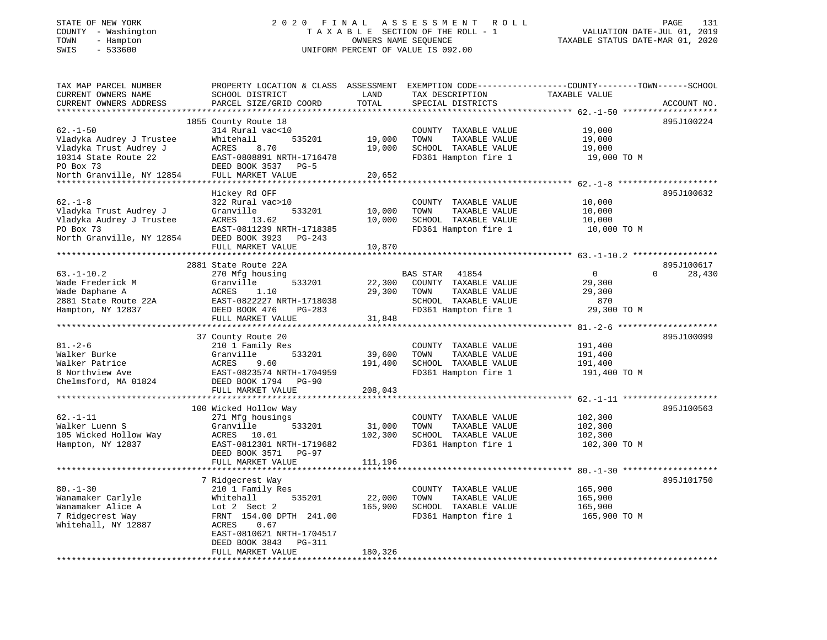## STATE OF NEW YORK 2 0 2 0 F I N A L A S S E S S M E N T R O L L PAGE 131 COUNTY - Washington T A X A B L E SECTION OF THE ROLL - 1 VALUATION DATE-JUL 01, 2019 TOWN - Hampton OWNERS NAME SEQUENCE TAXABLE STATUS DATE-MAR 01, 2020 SWIS - 533600 UNIFORM PERCENT OF VALUE IS 092.00

| TAX MAP PARCEL NUMBER<br>CURRENT OWNERS NAME | PROPERTY LOCATION & CLASS ASSESSMENT<br>SCHOOL DISTRICT | LAND    | EXEMPTION CODE-----------------COUNTY-------TOWN------SCHOOL<br>TAX DESCRIPTION | TAXABLE VALUE |                    |
|----------------------------------------------|---------------------------------------------------------|---------|---------------------------------------------------------------------------------|---------------|--------------------|
| CURRENT OWNERS ADDRESS                       | PARCEL SIZE/GRID COORD                                  | TOTAL   | SPECIAL DISTRICTS                                                               |               | ACCOUNT NO.        |
| ***********************                      |                                                         |         |                                                                                 |               |                    |
|                                              | 1855 County Route 18                                    |         |                                                                                 |               | 895J100224         |
| $62. - 1 - 50$                               | 314 Rural vac<10                                        |         | COUNTY TAXABLE VALUE                                                            | 19,000        |                    |
| Vladyka Audrey J Trustee                     | Whitehall<br>535201                                     | 19,000  | TAXABLE VALUE<br>TOWN                                                           | 19,000        |                    |
| Vladyka Trust Audrey J                       | 8.70<br>ACRES                                           | 19,000  | SCHOOL TAXABLE VALUE                                                            | 19,000        |                    |
| 10314 State Route 22                         | EAST-0808891 NRTH-1716478                               |         | FD361 Hampton fire 1                                                            | 19,000 TO M   |                    |
| PO Box 73                                    | DEED BOOK 3537 PG-5                                     |         |                                                                                 |               |                    |
| North Granville, NY 12854                    | FULL MARKET VALUE                                       | 20,652  |                                                                                 |               |                    |
|                                              |                                                         |         |                                                                                 |               |                    |
|                                              | Hickey Rd OFF                                           |         |                                                                                 |               | 895J100632         |
| $62. -1 - 8$                                 | 322 Rural vac>10                                        |         | COUNTY TAXABLE VALUE                                                            | 10,000        |                    |
| Vladyka Trust Audrey J                       | Granville<br>533201                                     | 10,000  | TOWN<br>TAXABLE VALUE                                                           | 10,000        |                    |
| Vladyka Audrey J Trustee                     | ACRES 13.62                                             | 10,000  | SCHOOL TAXABLE VALUE                                                            | 10,000        |                    |
| PO Box 73                                    | EAST-0811239 NRTH-1718385                               |         | FD361 Hampton fire 1                                                            | 10,000 TO M   |                    |
| North Granville, NY 12854                    | DEED BOOK 3923<br>PG-243                                |         |                                                                                 |               |                    |
|                                              | FULL MARKET VALUE                                       | 10,870  |                                                                                 |               |                    |
|                                              |                                                         |         |                                                                                 |               |                    |
|                                              | 2881 State Route 22A                                    |         |                                                                                 |               | 895J100617         |
| $63. - 1 - 10.2$                             | 270 Mfg housing                                         |         | BAS STAR<br>41854                                                               | $\mathbf{0}$  | 28,430<br>$\Omega$ |
| Wade Frederick M                             | Granville<br>533201                                     | 22,300  | COUNTY TAXABLE VALUE                                                            | 29,300        |                    |
| Wade Daphane A                               | ACRES<br>1.10                                           | 29,300  | TOWN<br>TAXABLE VALUE                                                           | 29,300        |                    |
| 2881 State Route 22A                         | EAST-0822227 NRTH-1718038                               |         | SCHOOL TAXABLE VALUE                                                            | 870           |                    |
| Hampton, NY 12837                            | DEED BOOK 476<br>PG-283                                 |         | FD361 Hampton fire 1                                                            | 29,300 TO M   |                    |
|                                              | FULL MARKET VALUE                                       | 31,848  |                                                                                 |               |                    |
|                                              |                                                         |         |                                                                                 |               |                    |
|                                              | 37 County Route 20                                      |         |                                                                                 |               | 895J100099         |
| $81. - 2 - 6$                                | 210 1 Family Res                                        |         | COUNTY TAXABLE VALUE                                                            | 191,400       |                    |
| Walker Burke                                 | Granville<br>533201                                     | 39,600  | TOWN<br>TAXABLE VALUE                                                           | 191,400       |                    |
| Walker Patrice                               | 9.60<br>ACRES                                           | 191,400 | SCHOOL TAXABLE VALUE                                                            | 191,400       |                    |
| 8 Northview Ave                              | EAST-0823574 NRTH-1704959                               |         | FD361 Hampton fire 1                                                            | 191,400 TO M  |                    |
| Chelmsford, MA 01824                         | DEED BOOK 1794 PG-90                                    |         |                                                                                 |               |                    |
|                                              | FULL MARKET VALUE                                       | 208,043 |                                                                                 |               |                    |
|                                              |                                                         |         |                                                                                 |               |                    |
|                                              | 100 Wicked Hollow Way                                   |         |                                                                                 |               | 895J100563         |
| $62. - 1 - 11$                               | 271 Mfg housings                                        |         | COUNTY TAXABLE VALUE                                                            | 102,300       |                    |
| Walker Luenn S                               | Granville<br>533201                                     | 31,000  | TOWN<br>TAXABLE VALUE                                                           | 102,300       |                    |
| 105 Wicked Hollow Way                        | ACRES 10.01                                             | 102,300 | SCHOOL TAXABLE VALUE                                                            | 102,300       |                    |
| Hampton, NY 12837                            | EAST-0812301 NRTH-1719682                               |         | FD361 Hampton fire 1                                                            | 102,300 TO M  |                    |
|                                              | DEED BOOK 3571 PG-97                                    |         |                                                                                 |               |                    |
|                                              | FULL MARKET VALUE<br>*******************************    | 111,196 |                                                                                 |               |                    |
|                                              |                                                         |         |                                                                                 |               |                    |
|                                              | 7 Ridgecrest Way                                        |         |                                                                                 |               | 895J101750         |
| $80. - 1 - 30$                               | 210 1 Family Res                                        |         | COUNTY TAXABLE VALUE                                                            | 165,900       |                    |
| Wanamaker Carlyle                            | Whitehall<br>535201                                     | 22,000  | TAXABLE VALUE<br>TOWN                                                           | 165,900       |                    |
| Wanamaker Alice A                            | Lot 2 Sect 2                                            | 165,900 | SCHOOL TAXABLE VALUE                                                            | 165,900       |                    |
| 7 Ridgecrest Way                             | FRNT 154.00 DPTH 241.00                                 |         | FD361 Hampton fire 1                                                            | 165,900 TO M  |                    |
| Whitehall, NY 12887                          | ACRES<br>0.67<br>EAST-0810621 NRTH-1704517              |         |                                                                                 |               |                    |
|                                              | DEED BOOK 3843<br>PG-311                                |         |                                                                                 |               |                    |
|                                              | FULL MARKET VALUE                                       | 180,326 |                                                                                 |               |                    |
|                                              |                                                         |         |                                                                                 |               |                    |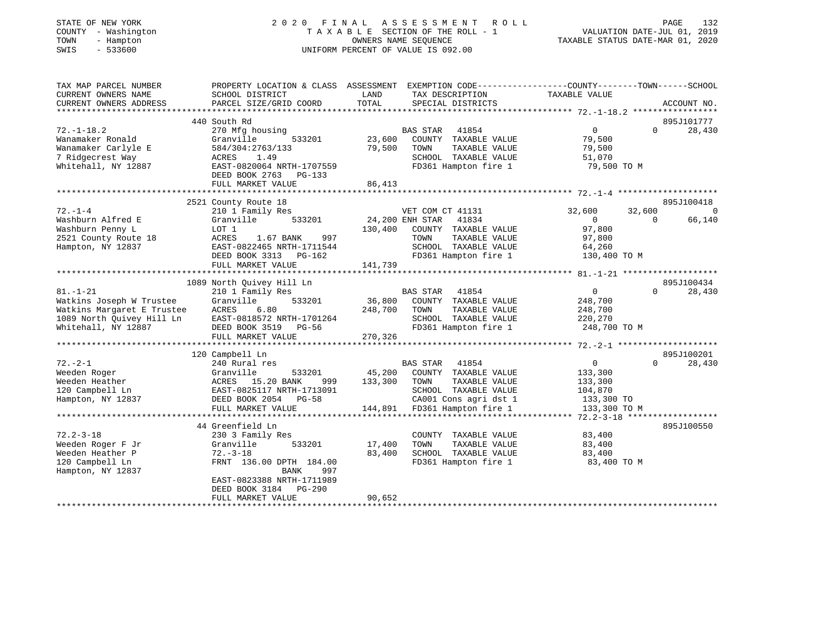| STATE OF NEW YORK<br>COUNTY - Washington<br>TOWN<br>- Hampton<br>SWIS<br>$-533600$ | 2020 FINAL ASSESSMENT ROLL<br>TAXABLE SECTION OF THE ROLL - 1<br>UNIFORM PERCENT OF VALUE IS 092.00 | PAGE<br>132<br>VALUATION DATE-JUL 01, 2019<br>TAXABLE STATUS DATE-MAR 01, 2020 |                                               |                                       |                              |
|------------------------------------------------------------------------------------|-----------------------------------------------------------------------------------------------------|--------------------------------------------------------------------------------|-----------------------------------------------|---------------------------------------|------------------------------|
| TAX MAP PARCEL NUMBER                                                              | PROPERTY LOCATION & CLASS ASSESSMENT EXEMPTION CODE----------------COUNTY-------TOWN------SCHOOL    |                                                                                |                                               |                                       |                              |
| CURRENT OWNERS NAME                                                                | SCHOOL DISTRICT                                                                                     | LAND<br>TOTAL                                                                  | TAX DESCRIPTION                               | TAXABLE VALUE                         |                              |
| CURRENT OWNERS ADDRESS                                                             | PARCEL SIZE/GRID COORD                                                                              |                                                                                | SPECIAL DISTRICTS                             |                                       | ACCOUNT NO.                  |
|                                                                                    | 440 South Rd                                                                                        |                                                                                |                                               |                                       | 895J101777                   |
| $72. - 1 - 18.2$                                                                   | 270 Mfg housing                                                                                     |                                                                                | BAS STAR<br>41854                             | 0<br>$\Omega$                         | 28,430                       |
| Wanamaker Ronald                                                                   | Granville<br>533201                                                                                 | 23,600                                                                         | COUNTY TAXABLE VALUE                          | 79,500                                |                              |
| Wanamaker Carlyle E                                                                | 584/304:2763/133                                                                                    | 79,500                                                                         | TAXABLE VALUE<br>TOWN                         | 79,500                                |                              |
| 7 Ridgecrest Way                                                                   | ACRES<br>1.49                                                                                       |                                                                                | SCHOOL TAXABLE VALUE                          | 51,070                                |                              |
| Whitehall, NY 12887                                                                | EAST-0820064 NRTH-1707559<br>DEED BOOK 2763<br>PG-133                                               |                                                                                | FD361 Hampton fire 1                          | 79,500 TO M                           |                              |
|                                                                                    | FULL MARKET VALUE                                                                                   | 86,413                                                                         |                                               |                                       |                              |
|                                                                                    |                                                                                                     |                                                                                |                                               |                                       |                              |
| $72. - 1 - 4$                                                                      | 2521 County Route 18<br>210 1 Family Res                                                            |                                                                                | VET COM CT 41131                              | 32,600<br>32,600                      | 895J100418<br>$\overline{0}$ |
| Washburn Alfred E                                                                  | 533201<br>Granville                                                                                 |                                                                                | 24,200 ENH STAR 41834                         | $\mathbf{0}$<br>$\Omega$              | 66,140                       |
| Washburn Penny L                                                                   | LOT 1                                                                                               | 130,400                                                                        | COUNTY TAXABLE VALUE                          | 97,800                                |                              |
| 2521 County Route 18                                                               | 997<br>ACRES<br>1.67 BANK                                                                           |                                                                                | TOWN<br>TAXABLE VALUE                         | 97,800                                |                              |
| Hampton, NY 12837                                                                  | EAST-0822465 NRTH-1711544                                                                           |                                                                                | SCHOOL TAXABLE VALUE                          | 64,260                                |                              |
|                                                                                    | DEED BOOK 3313 PG-162                                                                               |                                                                                | FD361 Hampton fire 1                          | 130,400 TO M                          |                              |
|                                                                                    | FULL MARKET VALUE                                                                                   | 141,739                                                                        |                                               |                                       |                              |
|                                                                                    |                                                                                                     |                                                                                |                                               |                                       |                              |
|                                                                                    | 1089 North Quivey Hill Ln                                                                           |                                                                                |                                               |                                       | 895J100434                   |
| $81. - 1 - 21$<br>Watkins Joseph W Trustee                                         | 210 1 Family Res<br>Granville<br>533201                                                             | 36,800                                                                         | BAS STAR 41854<br>COUNTY TAXABLE VALUE        | $\overline{0}$<br>$\Omega$<br>248,700 | 28,430                       |
| Watkins Margaret E Trustee                                                         | ACRES<br>6.80                                                                                       | 248,700                                                                        | TAXABLE VALUE<br>TOWN                         | 248,700                               |                              |
| 1089 North Quivey Hill Ln                                                          | EAST-0818572 NRTH-1701264                                                                           |                                                                                | SCHOOL TAXABLE VALUE                          | 220,270                               |                              |
| Whitehall, NY 12887                                                                | DEED BOOK 3519 PG-56                                                                                |                                                                                | FD361 Hampton fire 1                          | 248,700 TO M                          |                              |
|                                                                                    | FULL MARKET VALUE                                                                                   | 270,326                                                                        |                                               |                                       |                              |
|                                                                                    |                                                                                                     |                                                                                |                                               |                                       |                              |
|                                                                                    | 120 Campbell Ln                                                                                     |                                                                                |                                               |                                       | 895J100201                   |
| $72. - 2 - 1$                                                                      | 240 Rural res                                                                                       |                                                                                | BAS STAR 41854                                | $\overline{0}$<br>$\Omega$            | 28,430                       |
| Weeden Roger                                                                       | Granville<br>533201                                                                                 | 45,200                                                                         | COUNTY TAXABLE VALUE                          | 133,300                               |                              |
| Weeden Heather<br>120 Campbell Ln                                                  | ACRES 15.20 BANK<br>999<br>EAST-0825117 NRTH-1713091                                                | 133,300                                                                        | TOWN<br>TAXABLE VALUE<br>SCHOOL TAXABLE VALUE | 133,300<br>104,870                    |                              |
| Hampton, NY 12837                                                                  | DEED BOOK 2054 PG-58                                                                                |                                                                                | CA001 Cons agri dst 1                         | 133,300 TO                            |                              |
|                                                                                    | FULL MARKET VALUE                                                                                   |                                                                                | 144,891 FD361 Hampton fire 1                  | 133,300 TO M                          |                              |
|                                                                                    |                                                                                                     |                                                                                |                                               |                                       |                              |
|                                                                                    | 44 Greenfield Ln                                                                                    |                                                                                |                                               |                                       | 895J100550                   |
| $72.2 - 3 - 18$                                                                    | 230 3 Family Res                                                                                    |                                                                                | COUNTY TAXABLE VALUE                          | 83,400                                |                              |
| Weeden Roger F Jr                                                                  | Granville<br>533201                                                                                 | 17,400                                                                         | TOWN<br>TAXABLE VALUE                         | 83,400                                |                              |
| Weeden Heather P                                                                   | $72. - 3 - 18$                                                                                      | 83,400                                                                         | SCHOOL TAXABLE VALUE                          | 83,400                                |                              |
| 120 Campbell Ln                                                                    | FRNT 136.00 DPTH 184.00                                                                             |                                                                                | FD361 Hampton fire 1                          | 83,400 TO M                           |                              |
| Hampton, NY 12837                                                                  | BANK<br>997                                                                                         |                                                                                |                                               |                                       |                              |
|                                                                                    | EAST-0823388 NRTH-1711989<br>DEED BOOK 3184<br>PG-290                                               |                                                                                |                                               |                                       |                              |
|                                                                                    | FULL MARKET VALUE                                                                                   | 90,652                                                                         |                                               |                                       |                              |
|                                                                                    |                                                                                                     |                                                                                |                                               |                                       |                              |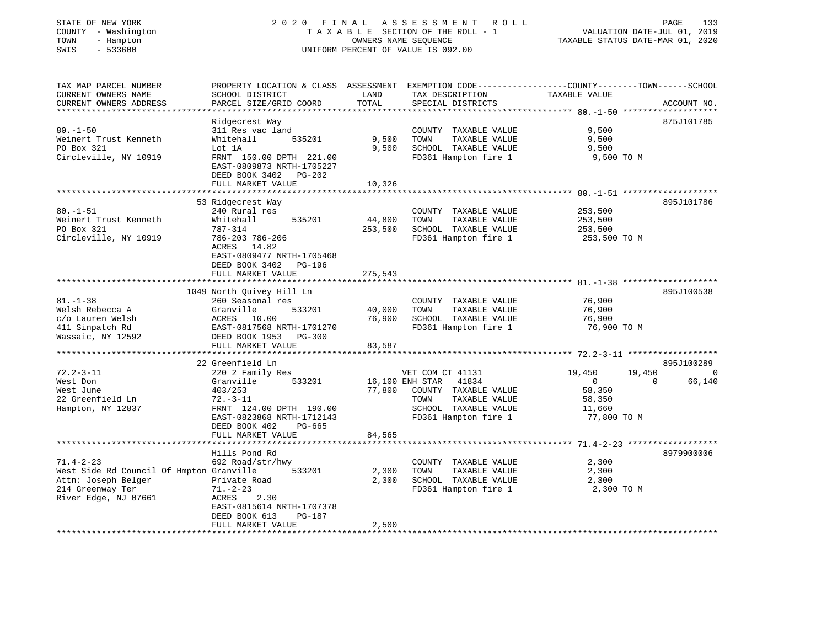| COUNTY - Washington                      |                                                                                                 | 2020 FINAL           | A S S E S S M E N T R O L L                   |                                  | PAGE<br>133                            |
|------------------------------------------|-------------------------------------------------------------------------------------------------|----------------------|-----------------------------------------------|----------------------------------|----------------------------------------|
|                                          |                                                                                                 |                      | TAXABLE SECTION OF THE ROLL - 1               |                                  | VALUATION DATE-JUL 01, 2019            |
| - Hampton<br>TOWN<br>SWIS<br>$-533600$   |                                                                                                 | OWNERS NAME SEQUENCE |                                               | TAXABLE STATUS DATE-MAR 01, 2020 |                                        |
|                                          |                                                                                                 |                      | UNIFORM PERCENT OF VALUE IS 092.00            |                                  |                                        |
|                                          |                                                                                                 |                      |                                               |                                  |                                        |
| TAX MAP PARCEL NUMBER                    | PROPERTY LOCATION & CLASS ASSESSMENT EXEMPTION CODE---------------COUNTY-------TOWN------SCHOOL |                      |                                               |                                  |                                        |
| CURRENT OWNERS NAME                      | SCHOOL DISTRICT                                                                                 | LAND                 | TAX DESCRIPTION                               | TAXABLE VALUE                    |                                        |
| CURRENT OWNERS ADDRESS                   | PARCEL SIZE/GRID COORD                                                                          | TOTAL                | SPECIAL DISTRICTS                             |                                  | ACCOUNT NO.                            |
| ********************                     | **********************                                                                          |                      |                                               |                                  |                                        |
|                                          | Ridgecrest Way                                                                                  |                      |                                               |                                  | 875J101785                             |
| $80. - 1 - 50$                           | 311 Res vac land                                                                                |                      | COUNTY TAXABLE VALUE                          | 9,500                            |                                        |
| Weinert Trust Kenneth                    | Whitehall<br>535201                                                                             | 9,500                | TOWN<br>TAXABLE VALUE                         | 9,500                            |                                        |
| PO Box 321                               | Lot 1A                                                                                          | 9,500                | SCHOOL TAXABLE VALUE                          | 9,500                            |                                        |
| Circleville, NY 10919                    | FRNT 150.00 DPTH 221.00                                                                         |                      | FD361 Hampton fire 1                          | 9,500 TO M                       |                                        |
|                                          | EAST-0809873 NRTH-1705227                                                                       |                      |                                               |                                  |                                        |
|                                          | DEED BOOK 3402 PG-202                                                                           |                      |                                               |                                  |                                        |
|                                          | FULL MARKET VALUE                                                                               | 10,326               |                                               |                                  |                                        |
|                                          |                                                                                                 |                      |                                               |                                  |                                        |
|                                          | 53 Ridgecrest Way                                                                               |                      |                                               |                                  | 895J101786                             |
| 80.–1–51                                 | 240 Rural res                                                                                   |                      | COUNTY TAXABLE VALUE                          | 253,500                          |                                        |
| Weinert Trust Kenneth                    | Whitehall<br>535201                                                                             | 44,800               | TOWN<br>TAXABLE VALUE                         | 253,500                          |                                        |
| PO Box 321                               | 787-314                                                                                         | 253,500              | SCHOOL TAXABLE VALUE                          | 253,500                          |                                        |
| Circleville, NY 10919                    | 786-203 786-206                                                                                 |                      | FD361 Hampton fire 1                          | 253,500 TO M                     |                                        |
|                                          | ACRES 14.82                                                                                     |                      |                                               |                                  |                                        |
|                                          | EAST-0809477 NRTH-1705468                                                                       |                      |                                               |                                  |                                        |
|                                          | DEED BOOK 3402<br>PG-196                                                                        |                      |                                               |                                  |                                        |
|                                          | FULL MARKET VALUE                                                                               | 275,543              |                                               |                                  |                                        |
|                                          | 1049 North Quivey Hill Ln                                                                       |                      |                                               |                                  | 895J100538                             |
| $81. - 1 - 38$                           | 260 Seasonal res                                                                                |                      | COUNTY TAXABLE VALUE                          | 76,900                           |                                        |
| Welsh Rebecca A                          | Granville<br>533201                                                                             | 40,000               | TOWN<br>TAXABLE VALUE                         | 76,900                           |                                        |
| c/o Lauren Welsh                         | ACRES 10.00                                                                                     | 76,900               | SCHOOL TAXABLE VALUE                          | 76,900                           |                                        |
|                                          | EAST-0817568 NRTH-1701270                                                                       |                      | FD361 Hampton fire 1                          | 76,900 ТО М                      |                                        |
|                                          |                                                                                                 |                      |                                               |                                  |                                        |
| 411 Sinpatch Rd                          |                                                                                                 |                      |                                               |                                  |                                        |
| Wassaic, NY 12592                        | DEED BOOK 1953 PG-300                                                                           |                      |                                               |                                  |                                        |
|                                          | FULL MARKET VALUE<br>*********************                                                      | 83,587               |                                               |                                  |                                        |
|                                          |                                                                                                 |                      |                                               |                                  |                                        |
| $72.2 - 3 - 11$                          | 22 Greenfield Ln<br>220 2 Family Res                                                            |                      | VET COM CT 41131                              | 19,450                           | 895J100289<br>19,450<br>$\overline{0}$ |
| West Don                                 | Granville<br>533201                                                                             |                      |                                               | $\overline{0}$                   | 66,140<br>$\Omega$                     |
|                                          |                                                                                                 |                      | 16,100 ENH STAR 41834                         |                                  |                                        |
| West June<br>22 Greenfield Ln            | 403/253<br>$72. - 3 - 11$                                                                       | 77,800               | COUNTY TAXABLE VALUE<br>TOWN<br>TAXABLE VALUE | 58,350<br>58,350                 |                                        |
| Hampton, NY 12837                        | FRNT 124.00 DPTH 190.00                                                                         |                      | SCHOOL TAXABLE VALUE                          | 11,660                           |                                        |
|                                          | EAST-0823868 NRTH-1712143                                                                       |                      | FD361 Hampton fire 1                          | 77,800 TO M                      |                                        |
|                                          | DEED BOOK 402<br>PG-665                                                                         |                      |                                               |                                  |                                        |
|                                          | FULL MARKET VALUE                                                                               | 84,565               |                                               |                                  |                                        |
|                                          | *********************                                                                           |                      |                                               |                                  |                                        |
|                                          | Hills Pond Rd                                                                                   |                      |                                               |                                  | 8979900006                             |
| $71.4 - 2 - 23$                          | 692 Road/str/hwy                                                                                |                      | COUNTY TAXABLE VALUE                          | 2,300                            |                                        |
| West Side Rd Council Of Hmpton Granville | 533201                                                                                          | 2,300                | TOWN<br>TAXABLE VALUE                         | 2,300                            |                                        |
| Attn: Joseph Belger                      | Private Road                                                                                    | 2,300                | SCHOOL TAXABLE VALUE                          | 2,300                            |                                        |
| 214 Greenway Ter                         | $71. - 2 - 23$                                                                                  |                      | FD361 Hampton fire 1                          | 2,300 TO M                       |                                        |
| River Edge, NJ 07661                     | 2.30<br>ACRES                                                                                   |                      |                                               |                                  |                                        |
|                                          | EAST-0815614 NRTH-1707378                                                                       |                      |                                               |                                  |                                        |
|                                          | DEED BOOK 613<br>PG-187<br>FULL MARKET VALUE                                                    | 2,500                |                                               |                                  |                                        |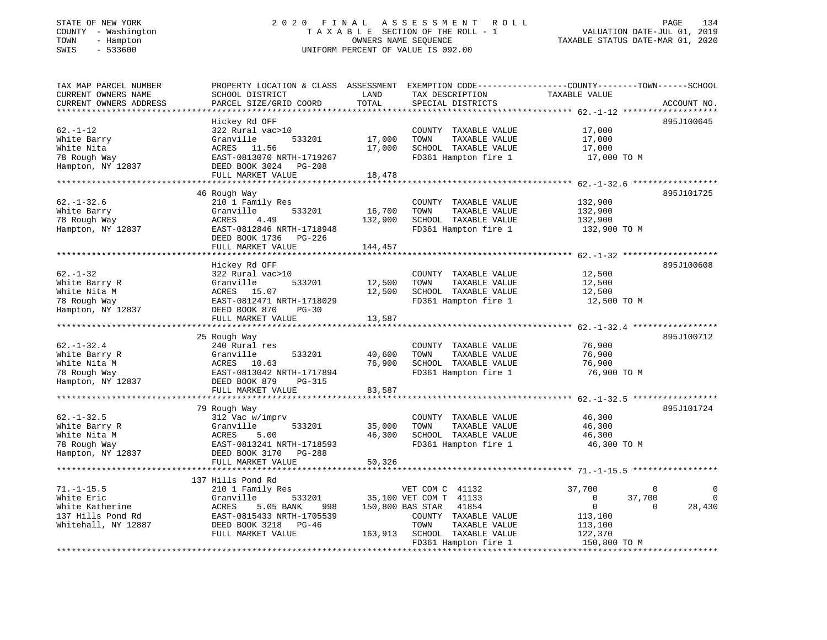## STATE OF NEW YORK 2 0 2 0 F I N A L A S S E S S M E N T R O L L PAGE 134 COUNTY - Washington T A X A B L E SECTION OF THE ROLL - 1 VALUATION DATE-JUL 01, 2019 TOWN - Hampton OWNERS NAME SEQUENCE TAXABLE STATUS DATE-MAR 01, 2020 SWIS - 533600 UNIFORM PERCENT OF VALUE IS 092.00

| TAX MAP PARCEL NUMBER<br>CURRENT OWNERS NAME          | PROPERTY LOCATION & CLASS ASSESSMENT EXEMPTION CODE----------------COUNTY-------TOWN------SCHOOL<br>SCHOOL DISTRICT | LAND             | TAX DESCRIPTION                               | TAXABLE VALUE                                     |                         |
|-------------------------------------------------------|---------------------------------------------------------------------------------------------------------------------|------------------|-----------------------------------------------|---------------------------------------------------|-------------------------|
| CURRENT OWNERS ADDRESS<br>* * * * * * * * * * * * * * | PARCEL SIZE/GRID COORD<br>* * * * * * * * * * * * * * * * * * * *                                                   | TOTAL            | SPECIAL DISTRICTS                             |                                                   | ACCOUNT NO.             |
|                                                       | Hickey Rd OFF                                                                                                       |                  |                                               |                                                   | 895J100645              |
| $62. - 1 - 12$                                        | 322 Rural vac>10                                                                                                    |                  | COUNTY TAXABLE VALUE                          | 17,000                                            |                         |
| White Barry                                           | Granville<br>533201                                                                                                 | 17,000           | TAXABLE VALUE<br>TOWN                         | 17,000                                            |                         |
| White Nita                                            | ACRES 11.56                                                                                                         | 17,000           | SCHOOL TAXABLE VALUE                          | 17,000                                            |                         |
| 78 Rough Way                                          | EAST-0813070 NRTH-1719267                                                                                           |                  | FD361 Hampton fire 1                          | 17,000 TO M                                       |                         |
| Hampton, NY 12837                                     | DEED BOOK 3024 PG-208                                                                                               |                  |                                               |                                                   |                         |
|                                                       | FULL MARKET VALUE                                                                                                   | 18,478           |                                               |                                                   |                         |
|                                                       |                                                                                                                     |                  |                                               |                                                   |                         |
|                                                       | 46 Rough Way                                                                                                        |                  |                                               |                                                   | 895J101725              |
| $62. - 1 - 32.6$                                      | 210 1 Family Res                                                                                                    |                  | COUNTY TAXABLE VALUE                          | 132,900                                           |                         |
| White Barry                                           | 533201<br>Granville                                                                                                 | 16,700           | TOWN<br>TAXABLE VALUE                         | 132,900                                           |                         |
| 78 Rough Way                                          | ACRES<br>4.49                                                                                                       | 132,900          | SCHOOL TAXABLE VALUE                          | 132,900                                           |                         |
| Hampton, NY 12837                                     | EAST-0812846 NRTH-1718948                                                                                           |                  | FD361 Hampton fire 1                          | 132,900 TO M                                      |                         |
|                                                       | DEED BOOK 1736<br>PG-226                                                                                            |                  |                                               |                                                   |                         |
|                                                       | FULL MARKET VALUE                                                                                                   | 144,457          |                                               |                                                   |                         |
|                                                       |                                                                                                                     |                  |                                               |                                                   |                         |
|                                                       | Hickey Rd OFF                                                                                                       |                  |                                               |                                                   | 895J100608              |
| $62. - 1 - 32$                                        | 322 Rural vac>10                                                                                                    |                  | COUNTY TAXABLE VALUE                          | 12,500                                            |                         |
| White Barry R                                         | Granville<br>533201                                                                                                 | 12,500           | TOWN<br>TAXABLE VALUE                         | 12,500                                            |                         |
| White Nita M                                          | 15.07<br>ACRES                                                                                                      | 12,500           | SCHOOL TAXABLE VALUE                          | 12,500                                            |                         |
| 78 Rough Way                                          | EAST-0812471 NRTH-1718029                                                                                           |                  | FD361 Hampton fire 1                          | 12,500 TO M                                       |                         |
| Hampton, NY 12837                                     | DEED BOOK 870<br>$PG-30$                                                                                            |                  |                                               |                                                   |                         |
|                                                       | FULL MARKET VALUE                                                                                                   | 13,587           |                                               |                                                   |                         |
|                                                       |                                                                                                                     | ********         |                                               | ******************* 62.-1-32.4 ****************** |                         |
|                                                       | 25 Rough Way                                                                                                        |                  |                                               |                                                   | 895J100712              |
| $62. - 1 - 32.4$                                      | 240 Rural res                                                                                                       |                  | COUNTY TAXABLE VALUE                          | 76,900                                            |                         |
| White Barry R                                         | Granville<br>533201                                                                                                 | 40,600           | TOWN<br>TAXABLE VALUE                         | 76,900                                            |                         |
| White Nita M                                          | ACRES 10.63                                                                                                         | 76,900           | SCHOOL TAXABLE VALUE                          | 76,900                                            |                         |
| 78 Rough Way                                          | EAST-0813042 NRTH-1717894                                                                                           |                  | FD361 Hampton fire 1                          | 76,900 TO M                                       |                         |
| Hampton, NY 12837                                     | DEED BOOK 879<br>PG-315                                                                                             |                  |                                               |                                                   |                         |
|                                                       | FULL MARKET VALUE                                                                                                   | 83,587           |                                               |                                                   |                         |
|                                                       |                                                                                                                     |                  |                                               |                                                   | 895J101724              |
|                                                       | 79 Rough Way                                                                                                        |                  |                                               |                                                   |                         |
| $62. - 1 - 32.5$                                      | 312 Vac w/imprv<br>533201                                                                                           |                  | COUNTY TAXABLE VALUE<br>TOWN<br>TAXABLE VALUE | 46,300<br>46,300                                  |                         |
| White Barry R<br>White Nita M                         | Granville<br>ACRES<br>5.00                                                                                          | 35,000<br>46,300 | SCHOOL TAXABLE VALUE                          | 46,300                                            |                         |
| 78 Rough Way                                          | EAST-0813241 NRTH-1718593                                                                                           |                  | FD361 Hampton fire 1                          | 46,300 TO M                                       |                         |
| Hampton, NY 12837                                     | DEED BOOK 3170<br>PG-288                                                                                            |                  |                                               |                                                   |                         |
|                                                       | FULL MARKET VALUE                                                                                                   | 50,326           |                                               |                                                   |                         |
|                                                       |                                                                                                                     |                  |                                               |                                                   |                         |
|                                                       | 137 Hills Pond Rd                                                                                                   |                  |                                               |                                                   |                         |
| $71. - 1 - 15.5$                                      | 210 1 Family Res                                                                                                    |                  | VET COM C 41132                               | 37,700                                            | $\mathbf 0$<br>$\Omega$ |
| White Eric                                            | Granville<br>533201                                                                                                 |                  | 35,100 VET COM T 41133                        | 0                                                 | 37,700<br>$\Omega$      |
| White Katherine                                       | ACRES<br>5.05 BANK<br>998                                                                                           |                  | 150,800 BAS STAR<br>41854                     | $\mathsf{O}$                                      | 28,430<br>$\Omega$      |
| 137 Hills Pond Rd                                     | EAST-0815433 NRTH-1705539                                                                                           |                  | COUNTY TAXABLE VALUE                          | 113,100                                           |                         |
| Whitehall, NY 12887                                   | DEED BOOK 3218<br>PG-46                                                                                             |                  | TOWN<br>TAXABLE VALUE                         | 113,100                                           |                         |
|                                                       | FULL MARKET VALUE                                                                                                   | 163,913          | SCHOOL TAXABLE VALUE                          | 122,370                                           |                         |
|                                                       |                                                                                                                     |                  | FD361 Hampton fire 1                          | 150,800 TO M                                      |                         |
|                                                       |                                                                                                                     |                  |                                               |                                                   |                         |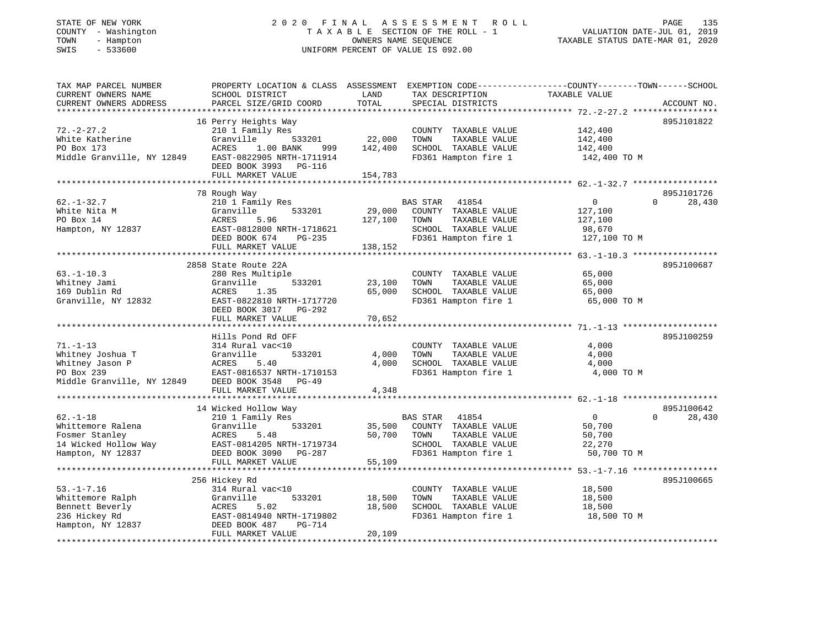## STATE OF NEW YORK 2 0 2 0 F I N A L A S S E S S M E N T R O L L PAGE 135 COUNTY - Washington T A X A B L E SECTION OF THE ROLL - 1 VALUATION DATE-JUL 01, 2019 TOWN - Hampton OWNERS NAME SEQUENCE TAXABLE STATUS DATE-MAR 01, 2020 SWIS - 533600 UNIFORM PERCENT OF VALUE IS 092.00

| TAX MAP PARCEL NUMBER      |                           |         |                          | PROPERTY LOCATION & CLASS ASSESSMENT EXEMPTION CODE----------------COUNTY-------TOWN------SCHOOL |
|----------------------------|---------------------------|---------|--------------------------|--------------------------------------------------------------------------------------------------|
| CURRENT OWNERS NAME        | SCHOOL DISTRICT           | LAND    | TAX DESCRIPTION          | TAXABLE VALUE                                                                                    |
| CURRENT OWNERS ADDRESS     | PARCEL SIZE/GRID COORD    | TOTAL   | SPECIAL DISTRICTS        | ACCOUNT NO.                                                                                      |
|                            |                           |         |                          |                                                                                                  |
|                            | 16 Perry Heights Way      |         |                          | 895J101822                                                                                       |
| $72. - 2 - 27.2$           | 210 1 Family Res          |         | COUNTY TAXABLE VALUE     | 142,400                                                                                          |
| White Katherine            | Granville<br>533201       | 22,000  | TOWN<br>TAXABLE VALUE    | 142,400                                                                                          |
| PO Box 173                 | ACRES<br>1.00 BANK<br>999 | 142,400 | SCHOOL TAXABLE VALUE     | 142,400                                                                                          |
| Middle Granville, NY 12849 | EAST-0822905 NRTH-1711914 |         | FD361 Hampton fire 1     | 142,400 TO M                                                                                     |
|                            | DEED BOOK 3993 PG-116     |         |                          |                                                                                                  |
|                            | FULL MARKET VALUE         | 154,783 |                          |                                                                                                  |
|                            |                           |         |                          |                                                                                                  |
|                            | 78 Rough Way              |         |                          | 895J101726                                                                                       |
| $62. - 1 - 32.7$           | 210 1 Family Res          |         | BAS STAR<br>41854        | $\overline{0}$<br>28,430<br>$\Omega$                                                             |
| White Nita M               | Granville<br>533201       | 29,000  | COUNTY TAXABLE VALUE     | 127,100                                                                                          |
| PO Box 14                  | ACRES<br>5.96             | 127,100 | TOWN<br>TAXABLE VALUE    | 127,100                                                                                          |
| Hampton, NY 12837          | EAST-0812800 NRTH-1718621 |         | SCHOOL TAXABLE VALUE     | 98,670                                                                                           |
|                            | DEED BOOK 674<br>PG-235   |         | FD361 Hampton fire 1     | 127,100 TO M                                                                                     |
|                            | FULL MARKET VALUE         | 138,152 |                          |                                                                                                  |
|                            |                           |         |                          |                                                                                                  |
|                            | 2858 State Route 22A      |         |                          | 895J100687                                                                                       |
| $63. - 1 - 10.3$           | 280 Res Multiple          |         | COUNTY TAXABLE VALUE     | 65,000                                                                                           |
| Whitney Jami               | 533201<br>Granville       | 23,100  | TAXABLE VALUE<br>TOWN    | 65,000                                                                                           |
| 169 Dublin Rd              | ACRES<br>1.35             | 65,000  | SCHOOL TAXABLE VALUE     | 65,000                                                                                           |
| Granville, NY 12832        | EAST-0822810 NRTH-1717720 |         | FD361 Hampton fire 1     | 65,000 TO M                                                                                      |
|                            | DEED BOOK 3017 PG-292     |         |                          |                                                                                                  |
|                            | FULL MARKET VALUE         | 70,652  |                          |                                                                                                  |
|                            |                           |         |                          |                                                                                                  |
|                            | Hills Pond Rd OFF         |         |                          | 895J100259                                                                                       |
| $71. - 1 - 13$             | 314 Rural vac<10          |         | COUNTY TAXABLE VALUE     | 4,000                                                                                            |
| Whitney Joshua T           | Granville<br>533201       | 4,000   | TOWN<br>TAXABLE VALUE    | 4,000                                                                                            |
| Whitney Jason P            | ACRES<br>5.40             | 4,000   | SCHOOL TAXABLE VALUE     | 4,000                                                                                            |
| PO Box 239                 | EAST-0816537 NRTH-1710153 |         | FD361 Hampton fire 1     | 4,000 TO M                                                                                       |
| Middle Granville, NY 12849 | DEED BOOK 3548 PG-49      |         |                          |                                                                                                  |
|                            | FULL MARKET VALUE         | 4,348   |                          |                                                                                                  |
|                            |                           |         |                          |                                                                                                  |
|                            | 14 Wicked Hollow Way      |         |                          | 895J100642                                                                                       |
| $62. - 1 - 18$             | 210 1 Family Res          |         | <b>BAS STAR</b><br>41854 | $\overline{0}$<br>$\Omega$<br>28,430                                                             |
| Whittemore Ralena          | 533201<br>Granville       | 35,500  | COUNTY TAXABLE VALUE     | 50,700                                                                                           |
| Fosmer Stanley             | ACRES<br>5.48             | 50,700  | TAXABLE VALUE<br>TOWN    | 50,700                                                                                           |
| 14 Wicked Hollow Way       | EAST-0814205 NRTH-1719734 |         | SCHOOL TAXABLE VALUE     | 22,270                                                                                           |
| Hampton, NY 12837          | DEED BOOK 3090 PG-287     |         | FD361 Hampton fire 1     | 50,700 TO M                                                                                      |
|                            | FULL MARKET VALUE         | 55,109  |                          |                                                                                                  |
|                            |                           |         |                          |                                                                                                  |
|                            | 256 Hickey Rd             |         |                          | 895J100665                                                                                       |
| $53. - 1 - 7.16$           | 314 Rural vac<10          |         | COUNTY TAXABLE VALUE     | 18,500                                                                                           |
| Whittemore Ralph           | Granville<br>533201       | 18,500  | TOWN<br>TAXABLE VALUE    | 18,500                                                                                           |
| Bennett Beverly            | ACRES<br>5.02             | 18,500  | SCHOOL TAXABLE VALUE     | 18,500                                                                                           |
| 236 Hickey Rd              | EAST-0814940 NRTH-1719802 |         | FD361 Hampton fire 1     | 18,500 TO M                                                                                      |
| Hampton, NY 12837          | DEED BOOK 487<br>PG-714   |         |                          |                                                                                                  |
|                            | FULL MARKET VALUE         | 20,109  |                          |                                                                                                  |
|                            |                           |         |                          |                                                                                                  |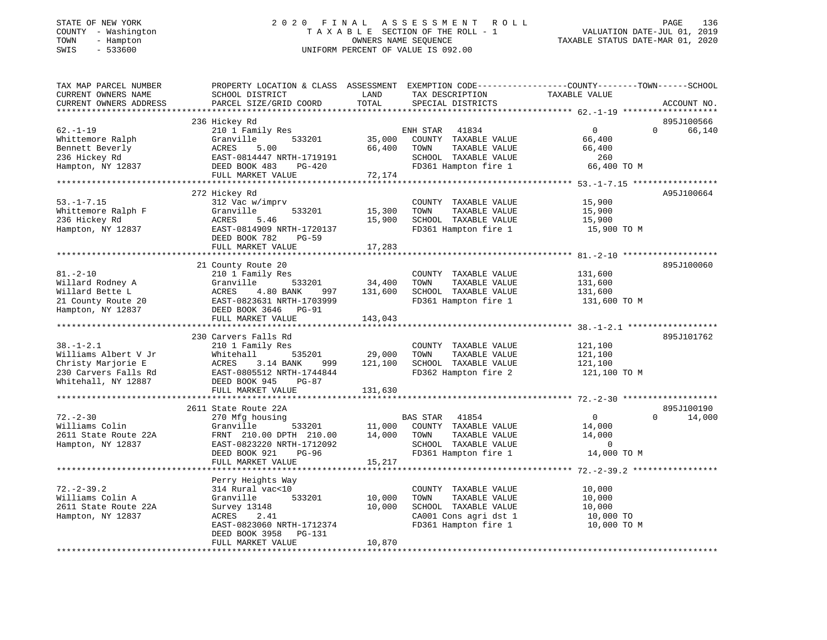## STATE OF NEW YORK 2 0 2 0 F I N A L A S S E S S M E N T R O L L PAGE 136 COUNTY - Washington T A X A B L E SECTION OF THE ROLL - 1 VALUATION DATE-JUL 01, 2019 TOWN - Hampton OWNERS NAME SEQUENCE TAXABLE STATUS DATE-MAR 01, 2020 SWIS - 533600 UNIFORM PERCENT OF VALUE IS 092.00

| TAX MAP PARCEL NUMBER  | PROPERTY LOCATION & CLASS ASSESSMENT EXEMPTION CODE----------------COUNTY-------TOWN------SCHOOL |         |                          |                |                    |
|------------------------|--------------------------------------------------------------------------------------------------|---------|--------------------------|----------------|--------------------|
| CURRENT OWNERS NAME    | SCHOOL DISTRICT                                                                                  | LAND    | TAX DESCRIPTION          | TAXABLE VALUE  |                    |
| CURRENT OWNERS ADDRESS | PARCEL SIZE/GRID COORD                                                                           | TOTAL   | SPECIAL DISTRICTS        |                | ACCOUNT NO.        |
|                        |                                                                                                  |         |                          |                |                    |
|                        | 236 Hickey Rd                                                                                    |         |                          |                | 895J100566         |
| $62. - 1 - 19$         | 210 1 Family Res                                                                                 |         | ENH STAR 41834           | $\Omega$       | 66,140<br>$\Omega$ |
| Whittemore Ralph       | Granville<br>533201                                                                              | 35,000  | COUNTY TAXABLE VALUE     | 66,400         |                    |
| Bennett Beverly        | 5.00<br>ACRES                                                                                    | 66,400  | TOWN<br>TAXABLE VALUE    | 66,400         |                    |
| 236 Hickey Rd          | EAST-0814447 NRTH-1719191                                                                        |         | SCHOOL TAXABLE VALUE     | 260            |                    |
| Hampton, NY 12837      | DEED BOOK 483<br>PG-420                                                                          |         | FD361 Hampton fire 1     | 66,400 TO M    |                    |
|                        | FULL MARKET VALUE                                                                                | 72,174  |                          |                |                    |
|                        |                                                                                                  |         |                          |                |                    |
|                        | 272 Hickey Rd                                                                                    |         |                          |                | A95J100664         |
| $53. - 1 - 7.15$       | 312 Vac w/imprv                                                                                  |         | COUNTY TAXABLE VALUE     | 15,900         |                    |
| Whittemore Ralph F     | Granville<br>533201                                                                              | 15,300  | TAXABLE VALUE<br>TOWN    | 15,900         |                    |
| 236 Hickey Rd          | 5.46<br>ACRES                                                                                    | 15,900  | SCHOOL TAXABLE VALUE     | 15,900         |                    |
| Hampton, NY 12837      | EAST-0814909 NRTH-1720137                                                                        |         | FD361 Hampton fire 1     | 15,900 TO M    |                    |
|                        | DEED BOOK 782<br><b>PG-59</b>                                                                    |         |                          |                |                    |
|                        | FULL MARKET VALUE                                                                                | 17,283  |                          |                |                    |
|                        |                                                                                                  |         |                          |                |                    |
|                        | 21 County Route 20                                                                               |         |                          |                | 895J100060         |
| $81. - 2 - 10$         | 210 1 Family Res                                                                                 |         | COUNTY TAXABLE VALUE     | 131,600        |                    |
| Willard Rodney A       | Granville<br>533201                                                                              | 34,400  | TOWN<br>TAXABLE VALUE    | 131,600        |                    |
| Willard Bette L        | ACRES<br>4.80 BANK<br>997                                                                        | 131,600 | SCHOOL TAXABLE VALUE     | 131,600        |                    |
| 21 County Route 20     | EAST-0823631 NRTH-1703999                                                                        |         | FD361 Hampton fire 1     | 131,600 TO M   |                    |
| Hampton, NY 12837      | DEED BOOK 3646 PG-91                                                                             |         |                          |                |                    |
|                        | FULL MARKET VALUE                                                                                | 143,043 |                          |                |                    |
|                        |                                                                                                  |         |                          |                |                    |
|                        | 230 Carvers Falls Rd                                                                             |         |                          |                | 895J101762         |
| $38. - 1 - 2.1$        | 210 1 Family Res                                                                                 |         | COUNTY TAXABLE VALUE     | 121,100        |                    |
| Williams Albert V Jr   | Whitehall<br>535201                                                                              | 29,000  | TOWN<br>TAXABLE VALUE    | 121,100        |                    |
| Christy Marjorie E     | ACRES<br>3.14 BANK<br>999                                                                        | 121,100 | SCHOOL TAXABLE VALUE     | 121,100        |                    |
| 230 Carvers Falls Rd   | EAST-0805512 NRTH-1744844                                                                        |         | FD362 Hampton fire 2     | 121,100 TO M   |                    |
| Whitehall, NY 12887    | DEED BOOK 945<br>PG-87                                                                           |         |                          |                |                    |
|                        | FULL MARKET VALUE                                                                                | 131,630 |                          |                |                    |
|                        |                                                                                                  |         |                          |                |                    |
|                        | 2611 State Route 22A                                                                             |         |                          |                | 895J100190         |
| $72. - 2 - 30$         | 270 Mfg housing                                                                                  |         | <b>BAS STAR</b><br>41854 | $\overline{0}$ | 14,000<br>$\Omega$ |
| Williams Colin         | Granville<br>533201                                                                              | 11,000  | COUNTY TAXABLE VALUE     |                |                    |
|                        |                                                                                                  |         |                          | 14,000         |                    |
| 2611 State Route 22A   | FRNT 210.00 DPTH 210.00                                                                          | 14,000  | TOWN<br>TAXABLE VALUE    | 14,000         |                    |
| Hampton, NY 12837      | EAST-0823220 NRTH-1712092                                                                        |         | SCHOOL TAXABLE VALUE     | - 0            |                    |
|                        | DEED BOOK 921<br>PG-96                                                                           |         | FD361 Hampton fire 1     | 14,000 TO M    |                    |
|                        | FULL MARKET VALUE                                                                                | 15,217  |                          |                |                    |
|                        |                                                                                                  |         |                          |                |                    |
|                        | Perry Heights Way                                                                                |         |                          |                |                    |
| $72. - 2 - 39.2$       | 314 Rural vac<10                                                                                 |         | COUNTY TAXABLE VALUE     | 10,000         |                    |
| Williams Colin A       | 533201<br>Granville                                                                              | 10,000  | TOWN<br>TAXABLE VALUE    | 10,000         |                    |
| 2611 State Route 22A   | Survey 13148                                                                                     | 10,000  | SCHOOL TAXABLE VALUE     | 10,000         |                    |
| Hampton, NY 12837      | ACRES<br>2.41                                                                                    |         | CA001 Cons agri dst 1    | 10,000 TO      |                    |
|                        | EAST-0823060 NRTH-1712374                                                                        |         | FD361 Hampton fire 1     | 10,000 TO M    |                    |
|                        | DEED BOOK 3958<br>PG-131                                                                         |         |                          |                |                    |
|                        | FULL MARKET VALUE                                                                                | 10,870  |                          |                |                    |
|                        |                                                                                                  |         |                          |                |                    |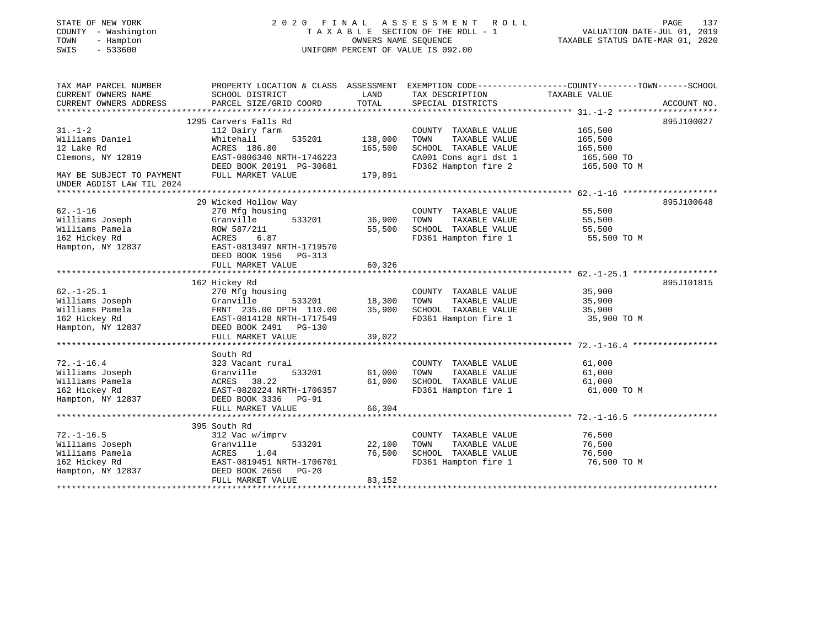# STATE OF NEW YORK 2 0 2 0 F I N A L A S S E S S M E N T R O L L PAGE 137 COUNTY - Washington T A X A B L E SECTION OF THE ROLL - 1 VALUATION DATE-JUL 01, 2019 TOWN - Hampton OWNERS NAME SEQUENCE TAXABLE STATUS DATE-MAR 01, 2020 SWIS - 533600 UNIFORM PERCENT OF VALUE IS 092.00

| TAX MAP PARCEL NUMBER     | PROPERTY LOCATION & CLASS ASSESSMENT EXEMPTION CODE---------------COUNTY-------TOWN-----SCHOOL |         |                       |               |             |
|---------------------------|------------------------------------------------------------------------------------------------|---------|-----------------------|---------------|-------------|
| CURRENT OWNERS NAME       | SCHOOL DISTRICT                                                                                | LAND    | TAX DESCRIPTION       | TAXABLE VALUE |             |
| CURRENT OWNERS ADDRESS    | PARCEL SIZE/GRID COORD                                                                         | TOTAL   | SPECIAL DISTRICTS     |               | ACCOUNT NO. |
|                           |                                                                                                |         |                       |               |             |
|                           | 1295 Carvers Falls Rd                                                                          |         |                       |               | 895J100027  |
| $31. - 1 - 2$             | 112 Dairy farm                                                                                 |         | COUNTY TAXABLE VALUE  | 165,500       |             |
| Williams Daniel           | Whitehall<br>535201                                                                            | 138,000 | TAXABLE VALUE<br>TOWN | 165,500       |             |
| 12 Lake Rd                | ACRES 186.80                                                                                   | 165,500 | SCHOOL TAXABLE VALUE  | 165,500       |             |
| Clemons, NY 12819         | EAST-0806340 NRTH-1746223                                                                      |         | CA001 Cons agri dst 1 | 165,500 TO    |             |
|                           | DEED BOOK 20191 PG-30681                                                                       |         | FD362 Hampton fire 2  | 165,500 TO M  |             |
| MAY BE SUBJECT TO PAYMENT | FULL MARKET VALUE                                                                              | 179,891 |                       |               |             |
| UNDER AGDIST LAW TIL 2024 |                                                                                                |         |                       |               |             |
|                           |                                                                                                |         |                       |               |             |
|                           | 29 Wicked Hollow Way                                                                           |         |                       |               | 895J100648  |
| $62. - 1 - 16$            | 270 Mfg housing                                                                                |         | COUNTY TAXABLE VALUE  | 55,500        |             |
| Williams Joseph           | 533201<br>Granville                                                                            | 36,900  | TOWN<br>TAXABLE VALUE | 55,500        |             |
| Williams Pamela           | ROW 587/211                                                                                    | 55,500  | SCHOOL TAXABLE VALUE  | 55,500        |             |
| 162 Hickey Rd             | 6.87<br>ACRES                                                                                  |         | FD361 Hampton fire 1  | 55,500 TO M   |             |
| Hampton, NY 12837         | EAST-0813497 NRTH-1719570                                                                      |         |                       |               |             |
|                           | DEED BOOK 1956<br>PG-313                                                                       |         |                       |               |             |
|                           | FULL MARKET VALUE                                                                              | 60,326  |                       |               |             |
|                           |                                                                                                |         |                       |               |             |
|                           | 162 Hickey Rd                                                                                  |         |                       |               | 895J101815  |
| $62. -1 - 25.1$           | 270 Mfg housing                                                                                |         | COUNTY TAXABLE VALUE  | 35,900        |             |
| Williams Joseph           | Granville<br>533201                                                                            | 18,300  | TOWN<br>TAXABLE VALUE | 35,900        |             |
| Williams Pamela           | FRNT 235.00 DPTH 110.00                                                                        | 35,900  | SCHOOL TAXABLE VALUE  | 35,900        |             |
| 162 Hickey Rd             | EAST-0814128 NRTH-1717549                                                                      |         | FD361 Hampton fire 1  | 35,900 TO M   |             |
| Hampton, NY 12837         | DEED BOOK 2491 PG-130                                                                          |         |                       |               |             |
|                           | FULL MARKET VALUE                                                                              | 39,022  |                       |               |             |
|                           |                                                                                                |         |                       |               |             |
|                           | South Rd                                                                                       |         |                       |               |             |
| $72. - 1 - 16.4$          | 323 Vacant rural                                                                               |         | COUNTY TAXABLE VALUE  | 61,000        |             |
| Williams Joseph           | Granville<br>533201                                                                            | 61,000  | TAXABLE VALUE<br>TOWN | 61,000        |             |
| Williams Pamela           | 38.22<br>ACRES                                                                                 | 61,000  | SCHOOL TAXABLE VALUE  | 61,000        |             |
| 162 Hickey Rd             | EAST-0820224 NRTH-1706357                                                                      |         | FD361 Hampton fire 1  | 61,000 TO M   |             |
| Hampton, NY 12837         | DEED BOOK 3336 PG-91                                                                           |         |                       |               |             |
|                           | FULL MARKET VALUE                                                                              | 66,304  |                       |               |             |
|                           |                                                                                                |         |                       |               |             |
|                           | 395 South Rd                                                                                   |         |                       |               |             |
| $72. - 1 - 16.5$          | 312 Vac w/imprv                                                                                |         | COUNTY TAXABLE VALUE  | 76,500        |             |
| Williams Joseph           | 533201<br>Granville                                                                            | 22,100  | TAXABLE VALUE<br>TOWN | 76,500        |             |
| Williams Pamela           | ACRES<br>1.04                                                                                  | 76,500  | SCHOOL TAXABLE VALUE  | 76,500        |             |
| 162 Hickey Rd             | EAST-0819451 NRTH-1706701                                                                      |         | FD361 Hampton fire 1  | 76,500 TO M   |             |
| Hampton, NY 12837         | DEED BOOK 2650<br>$PG-20$                                                                      |         |                       |               |             |
|                           | FULL MARKET VALUE                                                                              | 83,152  |                       |               |             |
|                           |                                                                                                |         |                       |               |             |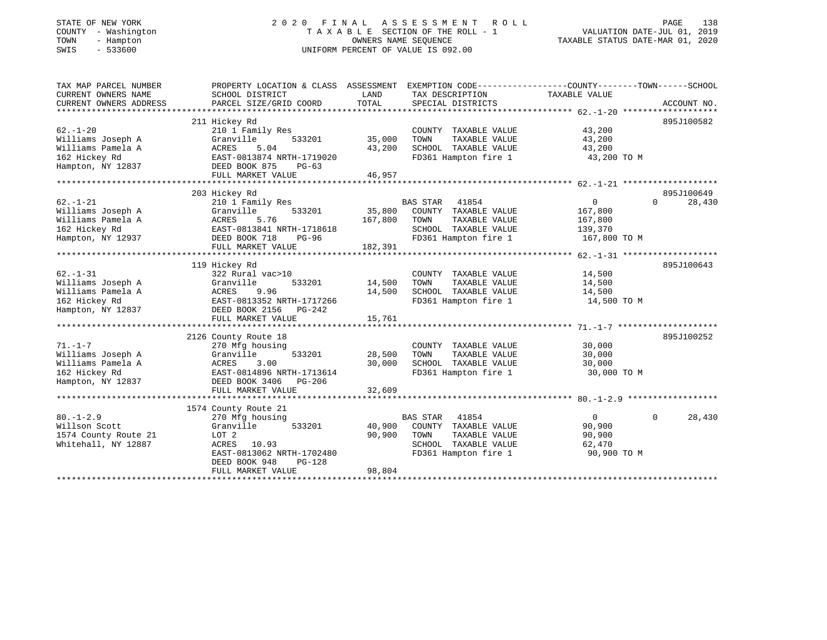## STATE OF NEW YORK 2 0 2 0 F I N A L A S S E S S M E N T R O L L PAGE 138 COUNTY - Washington T A X A B L E SECTION OF THE ROLL - 1 VALUATION DATE-JUL 01, 2019 TOWN - Hampton OWNERS NAME SEQUENCE TAXABLE STATUS DATE-MAR 01, 2020 SWIS - 533600 UNIFORM PERCENT OF VALUE IS 092.00

| TAX MAP PARCEL NUMBER  | PROPERTY LOCATION & CLASS ASSESSMENT |         | EXEMPTION CODE-----------------COUNTY-------TOWN------SCHOOL |                |                    |
|------------------------|--------------------------------------|---------|--------------------------------------------------------------|----------------|--------------------|
| CURRENT OWNERS NAME    | SCHOOL DISTRICT                      | LAND    | TAX DESCRIPTION                                              | TAXABLE VALUE  |                    |
| CURRENT OWNERS ADDRESS | PARCEL SIZE/GRID COORD               | TOTAL   | SPECIAL DISTRICTS                                            |                | ACCOUNT NO.        |
|                        | 211 Hickey Rd                        |         |                                                              |                | 895J100582         |
| $62. - 1 - 20$         | 210 1 Family Res                     |         | COUNTY TAXABLE VALUE                                         | 43,200         |                    |
| Williams Joseph A      | Granville<br>533201                  | 35,000  | TOWN<br>TAXABLE VALUE                                        | 43,200         |                    |
| Williams Pamela A      | ACRES<br>5.04                        | 43,200  | SCHOOL TAXABLE VALUE                                         | 43,200         |                    |
| 162 Hickey Rd          | EAST-0813874 NRTH-1719020            |         | FD361 Hampton fire 1                                         | 43,200 TO M    |                    |
| Hampton, NY 12837      | DEED BOOK 875<br>$PG-63$             |         |                                                              |                |                    |
|                        | FULL MARKET VALUE                    | 46,957  |                                                              |                |                    |
|                        |                                      |         |                                                              |                |                    |
|                        | 203 Hickey Rd                        |         |                                                              |                | 895J100649         |
| $62. - 1 - 21$         | 210 1 Family Res                     |         | 41854<br><b>BAS STAR</b>                                     | 0              | $\Omega$<br>28,430 |
| Williams Joseph A      | 533201<br>Granville                  | 35,800  | COUNTY TAXABLE VALUE                                         | 167,800        |                    |
| Williams Pamela A      | ACRES<br>5.76                        | 167,800 | TOWN<br>TAXABLE VALUE                                        | 167,800        |                    |
| 162 Hickey Rd          | EAST-0813841 NRTH-1718618            |         | SCHOOL TAXABLE VALUE                                         | 139,370        |                    |
| Hampton, NY 12937      | DEED BOOK 718<br>PG-96               |         | FD361 Hampton fire 1                                         | 167,800 TO M   |                    |
|                        | FULL MARKET VALUE                    | 182,391 |                                                              |                |                    |
|                        |                                      |         |                                                              |                |                    |
|                        | 119 Hickey Rd                        |         |                                                              |                | 895J100643         |
| $62. - 1 - 31$         | 322 Rural vac>10                     |         | COUNTY TAXABLE VALUE                                         | 14,500         |                    |
| Williams Joseph A      | Granville<br>533201                  | 14,500  | TOWN<br>TAXABLE VALUE                                        | 14,500         |                    |
| Williams Pamela A      | ACRES<br>9.96                        | 14,500  | SCHOOL TAXABLE VALUE                                         | 14,500         |                    |
| 162 Hickey Rd          | EAST-0813352 NRTH-1717266            |         | FD361 Hampton fire 1                                         | 14,500 TO M    |                    |
| Hampton, NY 12837      | DEED BOOK 2156 PG-242                |         |                                                              |                |                    |
|                        | FULL MARKET VALUE                    | 15,761  |                                                              |                |                    |
|                        |                                      |         |                                                              |                |                    |
|                        | 2126 County Route 18                 |         |                                                              |                | 895J100252         |
| $71. - 1 - 7$          | 270 Mfg housing                      |         | COUNTY TAXABLE VALUE                                         | 30,000         |                    |
| Williams Joseph A      | 533201<br>Granville                  | 28,500  | TOWN<br>TAXABLE VALUE                                        | 30,000         |                    |
| Williams Pamela A      | 3.00<br>ACRES                        | 30,000  | SCHOOL TAXABLE VALUE                                         | 30,000         |                    |
| 162 Hickey Rd          | EAST-0814896 NRTH-1713614            |         | FD361 Hampton fire 1                                         | 30,000 TO M    |                    |
| Hampton, NY 12837      | DEED BOOK 3406 PG-206                |         |                                                              |                |                    |
|                        | FULL MARKET VALUE                    | 32,609  |                                                              |                |                    |
|                        | 1574 County Route 21                 |         |                                                              |                |                    |
| $80. -1 - 2.9$         | 270 Mfg housing                      |         | <b>BAS STAR</b><br>41854                                     | $\overline{0}$ | 28,430<br>$\Omega$ |
| Willson Scott          | Granville<br>533201                  | 40,900  | COUNTY TAXABLE VALUE                                         | 90,900         |                    |
| 1574 County Route 21   | LOT 2                                | 90,900  | TOWN<br>TAXABLE VALUE                                        | 90,900         |                    |
| Whitehall, NY 12887    | ACRES<br>10.93                       |         | SCHOOL TAXABLE VALUE                                         | 62,470         |                    |
|                        | EAST-0813062 NRTH-1702480            |         | FD361 Hampton fire 1                                         | 90,900 TO M    |                    |
|                        | DEED BOOK 948<br>$PG-128$            |         |                                                              |                |                    |
|                        | FULL MARKET VALUE                    | 98,804  |                                                              |                |                    |
|                        |                                      |         |                                                              |                |                    |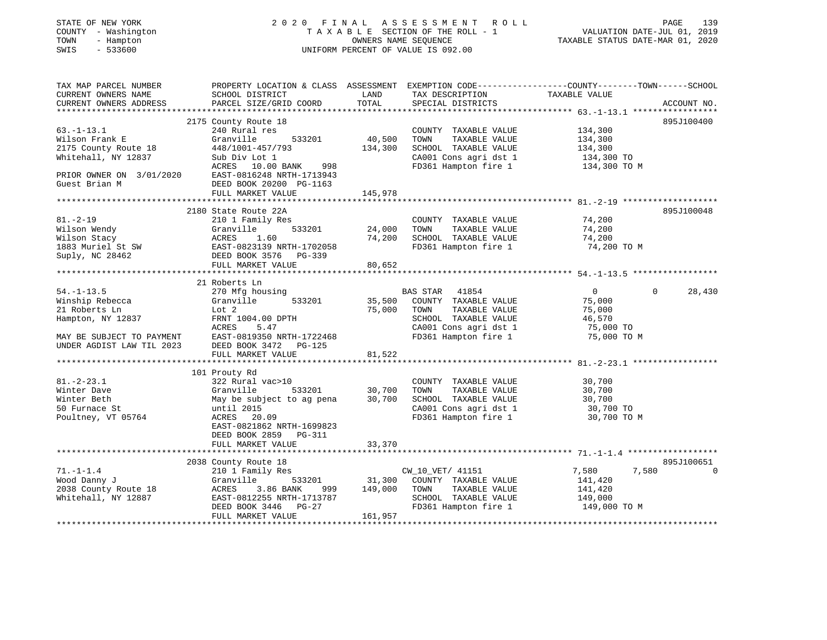# STATE OF NEW YORK 2 0 2 0 F I N A L A S S E S S M E N T R O L L PAGE 139 COUNTY - Washington T A X A B L E SECTION OF THE ROLL - 1 VALUATION DATE-JUL 01, 2019 TOWN - Hampton OWNERS NAME SEQUENCE TAXABLE STATUS DATE-MAR 01, 2020 SWIS - 533600 UNIFORM PERCENT OF VALUE IS 092.00

| TAX MAP PARCEL NUMBER<br>CURRENT OWNERS NAME<br>CURRENT OWNERS ADDRESS   | PROPERTY LOCATION & CLASS ASSESSMENT EXEMPTION CODE----------------COUNTY-------TOWN------SCHOOL<br>SCHOOL DISTRICT<br>PARCEL SIZE/GRID COORD | LAND<br>TOTAL    | TAX DESCRIPTION TAXABLE VALUE SPECIAL DISTRICTS                                                    |                      | ACCOUNT NO.        |
|--------------------------------------------------------------------------|-----------------------------------------------------------------------------------------------------------------------------------------------|------------------|----------------------------------------------------------------------------------------------------|----------------------|--------------------|
|                                                                          |                                                                                                                                               |                  |                                                                                                    |                      |                    |
|                                                                          | 2175 County Route 18                                                                                                                          |                  |                                                                                                    |                      | 895J100400         |
| $63. -1 - 13.1$                                                          | 240 Rural res                                                                                                                                 |                  | COUNTY TAXABLE VALUE 134,300                                                                       |                      |                    |
| Wilson Frank E                                                           | 533201 40,500<br>Granville                                                                                                                    |                  | TAXABLE VALUE<br>TOWN                                                                              | 134,300              |                    |
| 2175 County Route 10<br>Whitehall, NY 12837                              | 448/1001-457/793                                                                                                                              | 134,300          | SCHOOL TAXABLE VALUE                                                                               | 134,300              |                    |
|                                                                          | Sub Div Lot 1                                                                                                                                 |                  | $\frac{134,300 \text{ T}}{2001 \text{ Cons}}$ agri dst 1 $\frac{134,300 \text{ T}}{200 \text{ T}}$ |                      |                    |
|                                                                          | ACRES 10.00 BANK 998                                                                                                                          |                  | FD361 Hampton fire 1                                                                               | 134,300 TO M         |                    |
|                                                                          | PRIOR OWNER ON 3/01/2020 EAST-0816248 NRTH-1713943                                                                                            |                  |                                                                                                    |                      |                    |
| Guest Brian M                                                            | DEED BOOK 20200 PG-1163                                                                                                                       |                  |                                                                                                    |                      |                    |
|                                                                          | FULL MARKET VALUE                                                                                                                             | 145,978          |                                                                                                    |                      |                    |
|                                                                          |                                                                                                                                               |                  |                                                                                                    |                      |                    |
|                                                                          | 2180 State Route 22A                                                                                                                          |                  |                                                                                                    |                      | 895J100048         |
| $81. -2 - 19$                                                            | 210 1 Family Res                                                                                                                              |                  | COUNTY TAXABLE VALUE                                                                               | 74,200               |                    |
|                                                                          |                                                                                                                                               | 533201 24,000    | TOWN                                                                                               | TAXABLE VALUE 74,200 |                    |
|                                                                          |                                                                                                                                               | 74,200           | SCHOOL TAXABLE VALUE                                                                               | 74,200               |                    |
|                                                                          |                                                                                                                                               |                  | FD361 Hampton fire 1 74,200 TO M                                                                   |                      |                    |
|                                                                          |                                                                                                                                               |                  |                                                                                                    |                      |                    |
|                                                                          |                                                                                                                                               | 80,652           |                                                                                                    |                      |                    |
|                                                                          |                                                                                                                                               |                  |                                                                                                    |                      |                    |
|                                                                          | 21 Roberts Ln                                                                                                                                 |                  |                                                                                                    |                      |                    |
| 54.-1-13.5<br>Winship Rebecca                                            | 270 Mfg housing                                                                                                                               |                  | ising<br>533201 533201 535,500 COUNTY TAXABLE VALUE                                                | $\overline{0}$       | $\Omega$<br>28,430 |
|                                                                          | Granville                                                                                                                                     |                  |                                                                                                    | 75,000               |                    |
| 21 Roberts Ln                                                            | Lot 2<br>FRNT 1004.00 DPTH                                                                                                                    | 75,000 TOWN      | TAXABLE VALUE                                                                                      | 75,000               |                    |
| Hampton, NY 12837                                                        |                                                                                                                                               |                  | SCHOOL TAXABLE VALUE                                                                               | 46,570               |                    |
|                                                                          |                                                                                                                                               |                  | CA001 Cons agri dst 1 75,000 TO<br>FD361 Hampton fire 1 75,000 TO M                                |                      |                    |
| MAY BE SUBJECT TO PAYMENT                                                | EAST-0819350 NRTH-1722468                                                                                                                     |                  |                                                                                                    |                      |                    |
| UNDER AGDIST LAW TIL 2023                                                | DEED BOOK 3472 PG-125                                                                                                                         |                  |                                                                                                    |                      |                    |
|                                                                          | FULL MARKET VALUE                                                                                                                             | 81,522           |                                                                                                    |                      |                    |
|                                                                          |                                                                                                                                               |                  |                                                                                                    |                      |                    |
|                                                                          | 101 Prouty Rd                                                                                                                                 |                  |                                                                                                    |                      |                    |
| $81. -2 - 23.1$                                                          | 322 Rural vac>10                                                                                                                              |                  | COUNTY TAXABLE VALUE 30,700                                                                        |                      |                    |
| Winter Dave                                                              |                                                                                                                                               |                  | TAXABLE VALUE<br>TAXABLE VALUE<br>TAXABLE VALUE<br>TOWN                                            | 30,700               |                    |
| Winter Beth                                                              | Granville 533201 30,700<br>May be subject to ag pena 30,700                                                                                   |                  |                                                                                                    |                      |                    |
| 50 Furnace St                                                            | until 2015                                                                                                                                    |                  | SCHOOL TAXABLE VALUE 30,700<br>CA001 Cons agri dst 1 30,700 TO                                     |                      |                    |
| Poultney, VT 05764                                                       | ACRES 20.09                                                                                                                                   |                  | FD361 Hampton fire 1                                                                               | 30,700 TO M          |                    |
|                                                                          | EAST-0821862 NRTH-1699823                                                                                                                     |                  |                                                                                                    |                      |                    |
|                                                                          | DEED BOOK 2859 PG-311                                                                                                                         |                  |                                                                                                    |                      |                    |
|                                                                          | FULL MARKET VALUE                                                                                                                             | 33,370           |                                                                                                    |                      |                    |
|                                                                          |                                                                                                                                               |                  |                                                                                                    |                      |                    |
|                                                                          | 2038 County Route 18                                                                                                                          |                  |                                                                                                    |                      | 895J100651         |
| $71. - 1 - 1.4$                                                          | 210 1 Family Res                                                                                                                              |                  | s<br>533201 31,300 COUNTY TAXABLE VALUE                                                            | 7,580<br>7,580       | $\mathbf 0$        |
| 71.-1-1.4<br>Wood Danny J<br>2038 County Route 18<br>Whitehall, NY 12887 | Granville                                                                                                                                     |                  |                                                                                                    | 141,420              |                    |
|                                                                          | ACRES<br>3.86 BANK                                                                                                                            | 999 149,000 TOWN | TAXABLE VALUE                                                                                      | 141,420              |                    |
|                                                                          | EAST-0812255 NRTH-1713787                                                                                                                     |                  | SCHOOL TAXABLE VALUE 149,000                                                                       |                      |                    |
|                                                                          | DEED BOOK 3446 PG-27                                                                                                                          |                  | FD361 Hampton fire 1                                                                               | 149,000 TO M         |                    |
|                                                                          | FULL MARKET VALUE                                                                                                                             | 161,957          |                                                                                                    |                      |                    |
|                                                                          |                                                                                                                                               |                  |                                                                                                    |                      |                    |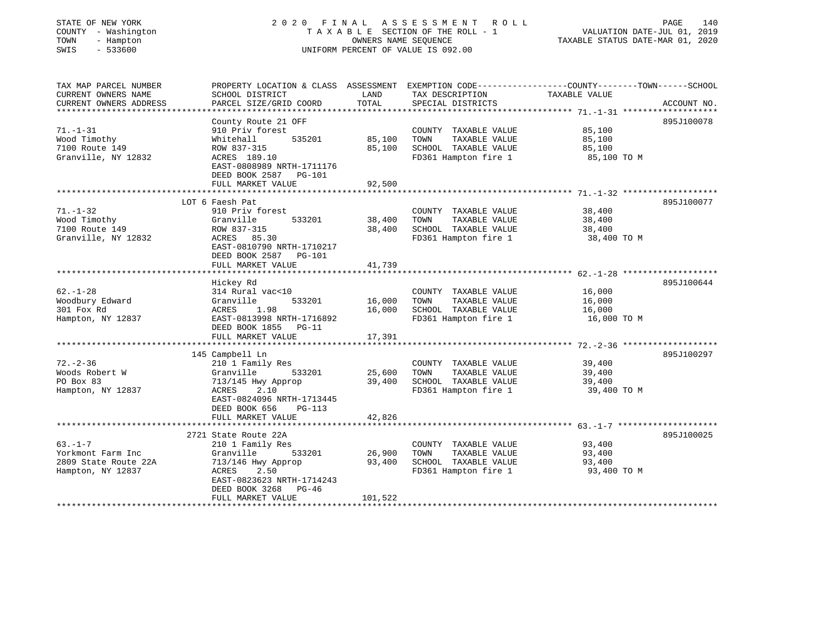| STATE OF NEW YORK<br>COUNTY - Washington<br>TOWN<br>- Hampton<br>$-533600$<br>SWIS                       |                                                                                                                                                    | OWNERS NAME SEQUENCE         | 2020 FINAL ASSESSMENT ROLL<br>TAXABLE SECTION OF THE ROLL - 1<br>UNIFORM PERCENT OF VALUE IS 092.00 | 140<br>PAGE<br>VALUATION DATE-JUL 01, 2019<br>TAXABLE STATUS DATE-MAR 01, 2020                                                   |
|----------------------------------------------------------------------------------------------------------|----------------------------------------------------------------------------------------------------------------------------------------------------|------------------------------|-----------------------------------------------------------------------------------------------------|----------------------------------------------------------------------------------------------------------------------------------|
| TAX MAP PARCEL NUMBER<br>CURRENT OWNERS NAME<br>CURRENT OWNERS ADDRESS<br>****************************** | SCHOOL DISTRICT<br>PARCEL SIZE/GRID COORD                                                                                                          | LAND<br>TOTAL                | TAX DESCRIPTION<br>SPECIAL DISTRICTS                                                                | PROPERTY LOCATION & CLASS ASSESSMENT EXEMPTION CODE----------------COUNTY-------TOWN------SCHOOL<br>TAXABLE VALUE<br>ACCOUNT NO. |
| $71. - 1 - 31$<br>Wood Timothy<br>7100 Route 149<br>Granville, NY 12832                                  | County Route 21 OFF<br>910 Priv forest<br>Whitehall<br>535201<br>ROW 837-315<br>ACRES 189.10<br>EAST-0808989 NRTH-1711176<br>DEED BOOK 2587 PG-101 | 85,100<br>85,100             | COUNTY TAXABLE VALUE<br>TAXABLE VALUE<br>TOWN<br>SCHOOL TAXABLE VALUE<br>FD361 Hampton fire 1       | 895J100078<br>85,100<br>85,100<br>85,100<br>85,100 TO M                                                                          |
|                                                                                                          | FULL MARKET VALUE                                                                                                                                  | 92,500                       |                                                                                                     | ********************* 71.-1-32 ********************                                                                              |
| $71. - 1 - 32$<br>Wood Timothy<br>7100 Route 149<br>Granville, NY 12832                                  | LOT 6 Faesh Pat<br>910 Priv forest<br>533201<br>Granville<br>ROW 837-315<br>ACRES 85.30                                                            | 38,400<br>38,400             | COUNTY TAXABLE VALUE<br>TAXABLE VALUE<br>TOWN<br>SCHOOL TAXABLE VALUE<br>FD361 Hampton fire 1       | 895J100077<br>38,400<br>38,400<br>38,400<br>38,400 TO M                                                                          |
|                                                                                                          | EAST-0810790 NRTH-1710217<br>DEED BOOK 2587 PG-101<br>FULL MARKET VALUE<br>*************************                                               | 41,739                       |                                                                                                     |                                                                                                                                  |
| $62. - 1 - 28$<br>Woodbury Edward<br>301 Fox Rd<br>Hampton, NY 12837                                     | Hickey Rd<br>314 Rural vac<10<br>533201<br>Granville<br>ACRES<br>1.98<br>EAST-0813998 NRTH-1716892<br>DEED BOOK 1855 PG-11                         | 16,000<br>16,000             | COUNTY TAXABLE VALUE<br>TOWN<br>TAXABLE VALUE<br>SCHOOL TAXABLE VALUE<br>FD361 Hampton fire 1       | 895J100644<br>16,000<br>16,000<br>16,000<br>16,000 TO M                                                                          |
|                                                                                                          | FULL MARKET VALUE                                                                                                                                  | 17,391                       |                                                                                                     |                                                                                                                                  |
| $72. - 2 - 36$                                                                                           | 145 Campbell Ln<br>210 1 Family Res                                                                                                                |                              | COUNTY TAXABLE VALUE                                                                                | 895J100297<br>39,400                                                                                                             |
| Woods Robert W<br>PO Box 83<br>Hampton, NY 12837                                                         | Granville<br>533201<br>713/145 Hwy Approp<br>ACRES<br>2.10<br>EAST-0824096 NRTH-1713445<br>DEED BOOK 656<br>PG-113                                 | 25,600<br>39,400             | TOWN<br>TAXABLE VALUE<br>SCHOOL TAXABLE VALUE<br>FD361 Hampton fire 1                               | 39,400<br>39,400<br>39,400 TO M                                                                                                  |
|                                                                                                          | FULL MARKET VALUE                                                                                                                                  | 42,826                       |                                                                                                     |                                                                                                                                  |
|                                                                                                          | 2721 State Route 22A                                                                                                                               |                              |                                                                                                     | 895J100025                                                                                                                       |
| $63. -1 - 7$<br>Yorkmont Farm Inc<br>2809 State Route 22A<br>Hampton, NY 12837                           | 210 1 Family Res<br>533201<br>Granville<br>713/146 Hwy Approp<br>2.50<br>ACRES                                                                     | 26,900<br>93,400             | COUNTY TAXABLE VALUE<br>TOWN<br>TAXABLE VALUE<br>SCHOOL TAXABLE VALUE<br>FD361 Hampton fire 1       | 93,400<br>93,400<br>93,400<br>93,400 TO M                                                                                        |
| *************************                                                                                | EAST-0823623 NRTH-1714243<br>DEED BOOK 3268<br>PG-46<br>FULL MARKET VALUE                                                                          | 101,522<br><b>++++++++++</b> |                                                                                                     |                                                                                                                                  |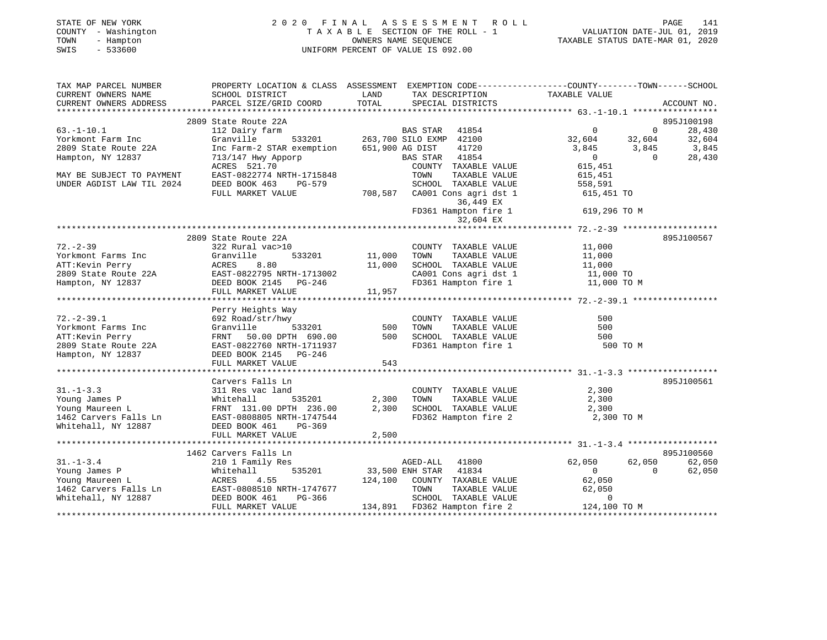| STATE OF NEW YORK<br>COUNTY - Washington<br>- Hampton<br>TOWN<br>SWIS<br>$-533600$ | 2020 FINAL                                                                                                          | OWNERS NAME SEQUENCE<br>UNIFORM PERCENT OF VALUE IS 092.00 | A S S E S S M E N T | R O L L<br>TAXABLE SECTION OF THE ROLL - 1 | TAXABLE STATUS DATE-MAR 01, 2020 |                   | PAGE<br>141<br>VALUATION DATE-JUL 01, 2019 |
|------------------------------------------------------------------------------------|---------------------------------------------------------------------------------------------------------------------|------------------------------------------------------------|---------------------|--------------------------------------------|----------------------------------|-------------------|--------------------------------------------|
| TAX MAP PARCEL NUMBER<br>CURRENT OWNERS NAME                                       | PROPERTY LOCATION & CLASS ASSESSMENT EXEMPTION CODE----------------COUNTY-------TOWN------SCHOOL<br>SCHOOL DISTRICT | LAND                                                       |                     | TAX DESCRIPTION                            | TAXABLE VALUE                    |                   |                                            |
| CURRENT OWNERS ADDRESS                                                             | PARCEL SIZE/GRID COORD                                                                                              | TOTAL                                                      |                     | SPECIAL DISTRICTS                          |                                  |                   | ACCOUNT NO.                                |
|                                                                                    |                                                                                                                     |                                                            |                     |                                            |                                  |                   |                                            |
|                                                                                    | 2809 State Route 22A                                                                                                |                                                            |                     |                                            |                                  |                   | 895J100198                                 |
| $63. -1 - 10.1$                                                                    | 112 Dairy farm                                                                                                      |                                                            | BAS STAR            | 41854                                      | $\Omega$                         | $\overline{0}$    | 28,430                                     |
| Yorkmont Farm Inc                                                                  | Granville<br>533201                                                                                                 | 263,700 SILO EXMP 42100                                    |                     |                                            | 32,604                           | 32,604            | 32,604                                     |
| 2809 State Route 22A                                                               | Inc Farm-2 STAR exemption                                                                                           | 651,900 AG DIST                                            |                     | 41720<br>41854                             | 3,845<br>$\overline{0}$          | 3,845<br>$\Omega$ | 3,845                                      |
| Hampton, NY 12837                                                                  | 713/147 Hwy Apporp<br>ACRES 521.70                                                                                  |                                                            | BAS STAR            | COUNTY TAXABLE VALUE                       | 615,451                          |                   | 28,430                                     |
| MAY BE SUBJECT TO PAYMENT                                                          | EAST-0822774 NRTH-1715848                                                                                           |                                                            | TOWN                | TAXABLE VALUE                              | 615,451                          |                   |                                            |
| UNDER AGDIST LAW TIL 2024                                                          | DEED BOOK 463<br>PG-579                                                                                             |                                                            |                     | SCHOOL TAXABLE VALUE                       | 558,591                          |                   |                                            |
|                                                                                    | FULL MARKET VALUE                                                                                                   | 708,587                                                    |                     | CA001 Cons agri dst 1<br>36,449 EX         | 615,451 TO                       |                   |                                            |
|                                                                                    |                                                                                                                     |                                                            |                     | FD361 Hampton fire 1<br>32,604 EX          | 619,296 TO M                     |                   |                                            |
|                                                                                    |                                                                                                                     |                                                            |                     |                                            |                                  |                   |                                            |
|                                                                                    | 2809 State Route 22A                                                                                                |                                                            |                     |                                            |                                  |                   | 895J100567                                 |
| $72. - 2 - 39$                                                                     | 322 Rural vac>10                                                                                                    |                                                            |                     | COUNTY TAXABLE VALUE                       | 11,000                           |                   |                                            |
| Yorkmont Farms Inc                                                                 | Granville<br>533201                                                                                                 | 11,000                                                     | TOWN                | TAXABLE VALUE                              | 11,000                           |                   |                                            |
| ATT:Kevin Perry                                                                    | ACRES<br>8.80                                                                                                       | 11,000                                                     |                     | SCHOOL TAXABLE VALUE                       | 11,000                           |                   |                                            |
| 2809 State Route 22A                                                               | EAST-0822795 NRTH-1713002                                                                                           |                                                            |                     | CA001 Cons agri dst 1                      | 11,000 TO                        |                   |                                            |
| Hampton, NY 12837                                                                  | DEED BOOK 2145 PG-246<br>FULL MARKET VALUE                                                                          | 11,957                                                     |                     | FD361 Hampton fire 1                       | 11,000 TO M                      |                   |                                            |
|                                                                                    |                                                                                                                     |                                                            |                     |                                            |                                  |                   |                                            |
|                                                                                    | Perry Heights Way                                                                                                   |                                                            |                     |                                            |                                  |                   |                                            |
| $72. - 2 - 39.1$                                                                   | 692 Road/str/hwy                                                                                                    |                                                            |                     | COUNTY TAXABLE VALUE                       | 500                              |                   |                                            |
| Yorkmont Farms Inc                                                                 | Granville<br>533201                                                                                                 | 500                                                        | TOWN                | TAXABLE VALUE                              | 500                              |                   |                                            |
| ATT:Kevin Perry                                                                    | FRNT 50.00 DPTH 690.00                                                                                              | 500                                                        |                     | SCHOOL TAXABLE VALUE                       | 500                              |                   |                                            |
| 2809 State Route 22A                                                               | EAST-0822760 NRTH-1711937                                                                                           |                                                            |                     | FD361 Hampton fire 1                       | 500 TO M                         |                   |                                            |
| Hampton, NY 12837                                                                  | DEED BOOK 2145 PG-246                                                                                               |                                                            |                     |                                            |                                  |                   |                                            |
|                                                                                    | FULL MARKET VALUE                                                                                                   | 543                                                        |                     |                                            |                                  |                   |                                            |
|                                                                                    | Carvers Falls Ln                                                                                                    |                                                            |                     |                                            |                                  |                   | 895J100561                                 |
| $31. - 1 - 3.3$                                                                    | 311 Res vac land                                                                                                    |                                                            |                     | COUNTY TAXABLE VALUE                       | 2,300                            |                   |                                            |
| Young James P                                                                      | 535201<br>Whitehall                                                                                                 | 2,300                                                      | TOWN                | TAXABLE VALUE                              | 2,300                            |                   |                                            |
| Young Maureen L                                                                    | FRNT 131.00 DPTH 236.00                                                                                             | 2,300                                                      |                     | SCHOOL TAXABLE VALUE                       | 2,300                            |                   |                                            |
| 1462 Carvers Falls Ln                                                              | EAST-0808805 NRTH-1747544                                                                                           |                                                            |                     | FD362 Hampton fire 2                       | 2,300 TO M                       |                   |                                            |
| Whitehall, NY 12887                                                                | DEED BOOK 461<br>PG-369                                                                                             |                                                            |                     |                                            |                                  |                   |                                            |
|                                                                                    | FULL MARKET VALUE                                                                                                   | 2,500                                                      |                     |                                            |                                  |                   |                                            |
|                                                                                    |                                                                                                                     |                                                            |                     |                                            |                                  |                   |                                            |
|                                                                                    | 1462 Carvers Falls Ln                                                                                               |                                                            |                     |                                            |                                  |                   | 895J100560                                 |
| $31. - 1 - 3.4$                                                                    | 210 1 Family Res                                                                                                    |                                                            | AGED-ALL            | 41800                                      | 62,050                           | 62,050            | 62,050                                     |
| Young James P                                                                      | Whitehall<br>535201                                                                                                 |                                                            | 33,500 ENH STAR     | 41834                                      | $\mathbf{0}$                     | $\Omega$          | 62,050                                     |
| Young Maureen L                                                                    | ACRES<br>4.55                                                                                                       | 124,100                                                    |                     | COUNTY TAXABLE VALUE                       | 62,050                           |                   |                                            |
| 1462 Carvers Falls Ln                                                              | EAST-0808510 NRTH-1747677                                                                                           |                                                            | TOWN                | TAXABLE VALUE                              | 62,050                           |                   |                                            |

DEED BOOK 461 PG-366 SCHOOL TAXABLE VALUE 0<br>FULL MARKET VALUE 134,891 FD362 Hampton fire 2 124,100 TO M 134,891 FD362 Hampton fire 2

\*\*\*\*\*\*\*\*\*\*\*\*\*\*\*\*\*\*\*\*\*\*\*\*\*\*\*\*\*\*\*\*\*\*\*\*\*\*\*\*\*\*\*\*\*\*\*\*\*\*\*\*\*\*\*\*\*\*\*\*\*\*\*\*\*\*\*\*\*\*\*\*\*\*\*\*\*\*\*\*\*\*\*\*\*\*\*\*\*\*\*\*\*\*\*\*\*\*\*\*\*\*\*\*\*\*\*\*\*\*\*\*\*\*\*\*\*\*\*\*\*\*\*\*\*\*\*\*\*\*\*\*

 $1462$  Carvers Falls Ln EAST-0808510 NRTH-1747677<br>Whitehall, NY 12887 DEED BOOK 461 PG-366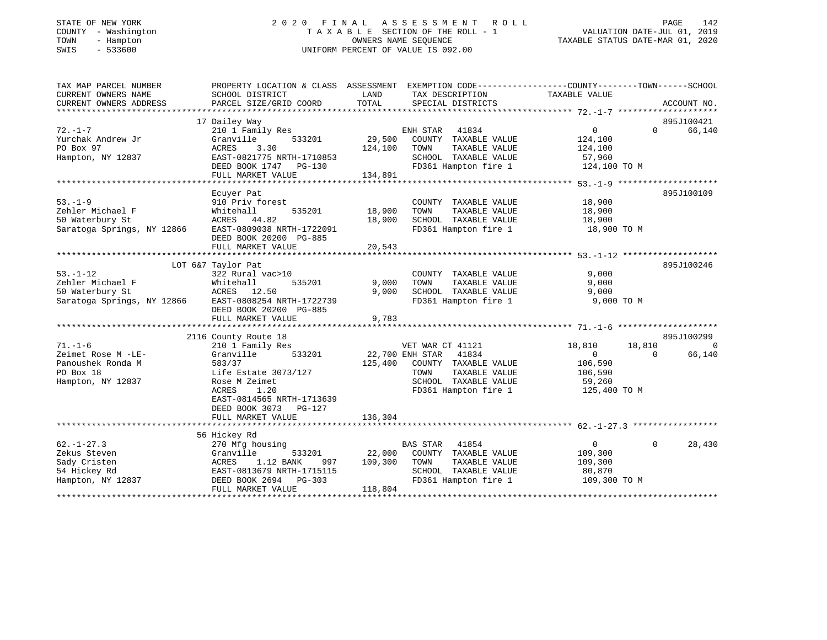## STATE OF NEW YORK 2 0 2 0 F I N A L A S S E S S M E N T R O L L PAGE 142 COUNTY - Washington T A X A B L E SECTION OF THE ROLL - 1 VALUATION DATE-JUL 01, 2019 TOWN - Hampton OWNERS NAME SEQUENCE TAXABLE STATUS DATE-MAR 01, 2020 SWIS - 533600 UNIFORM PERCENT OF VALUE IS 092.00

| TAX MAP PARCEL NUMBER<br>CURRENT OWNERS NAME | PROPERTY LOCATION & CLASS ASSESSMENT<br>SCHOOL DISTRICT | LAND            | EXEMPTION CODE-----------------COUNTY-------TOWN------SCHOOL<br>TAX DESCRIPTION | TAXABLE VALUE  |              |             |
|----------------------------------------------|---------------------------------------------------------|-----------------|---------------------------------------------------------------------------------|----------------|--------------|-------------|
| CURRENT OWNERS ADDRESS                       | PARCEL SIZE/GRID COORD                                  | TOTAL           | SPECIAL DISTRICTS                                                               |                |              | ACCOUNT NO. |
|                                              |                                                         |                 |                                                                                 |                |              |             |
|                                              | 17 Dailey Way                                           |                 |                                                                                 |                |              | 895J100421  |
| $72. - 1 - 7$                                | 210 1 Family Res                                        |                 | ENH STAR<br>41834                                                               | 0              | $\Omega$     | 66,140      |
| Yurchak Andrew Jr                            | Granville<br>533201                                     | 29,500          | COUNTY TAXABLE VALUE                                                            | 124,100        |              |             |
| PO Box 97                                    | ACRES<br>3.30                                           | 124,100         | TOWN<br>TAXABLE VALUE                                                           | 124,100        |              |             |
| Hampton, NY 12837                            | EAST-0821775 NRTH-1710853                               |                 | SCHOOL TAXABLE VALUE                                                            | 57,960         |              |             |
|                                              | DEED BOOK 1747 PG-130                                   |                 | FD361 Hampton fire 1                                                            | 124,100 TO M   |              |             |
|                                              | FULL MARKET VALUE                                       | 134,891         |                                                                                 |                |              |             |
|                                              | Ecuyer Pat                                              |                 |                                                                                 |                |              | 895J100109  |
| $53. - 1 - 9$                                | 910 Priv forest                                         |                 | COUNTY TAXABLE VALUE                                                            | 18,900         |              |             |
| Zehler Michael F                             | 535201<br>Whitehall                                     | 18,900          | TAXABLE VALUE<br>TOWN                                                           | 18,900         |              |             |
| 50 Waterbury St                              | ACRES 44.82                                             | 18,900          | SCHOOL TAXABLE VALUE                                                            | 18,900         |              |             |
| Saratoga Springs, NY 12866                   | EAST-0809038 NRTH-1722091                               |                 | FD361 Hampton fire 1                                                            | 18,900 TO M    |              |             |
|                                              | DEED BOOK 20200 PG-885                                  |                 |                                                                                 |                |              |             |
|                                              | FULL MARKET VALUE                                       | 20,543          |                                                                                 |                |              |             |
|                                              |                                                         |                 |                                                                                 |                |              |             |
|                                              | LOT 6&7 Taylor Pat                                      |                 |                                                                                 |                |              | 895J100246  |
| $53. - 1 - 12$                               | 322 Rural vac>10                                        |                 | COUNTY TAXABLE VALUE                                                            | 9,000          |              |             |
| Zehler Michael F                             | 535201<br>Whitehall                                     | 9,000           | TOWN<br>TAXABLE VALUE                                                           | 9,000          |              |             |
| 50 Waterbury St                              | ACRES 12.50                                             | 9,000           | SCHOOL TAXABLE VALUE                                                            | 9,000          |              |             |
| Saratoga Springs, NY 12866                   | EAST-0808254 NRTH-1722739                               |                 | FD361 Hampton fire 1                                                            | 9,000 TO M     |              |             |
|                                              | DEED BOOK 20200 PG-885                                  |                 |                                                                                 |                |              |             |
|                                              | FULL MARKET VALUE                                       | 9,783           |                                                                                 |                |              |             |
|                                              |                                                         |                 |                                                                                 |                |              |             |
|                                              | 2116 County Route 18                                    |                 |                                                                                 |                |              | 895J100299  |
| $71. - 1 - 6$                                | 210 1 Family Res                                        |                 | VET WAR CT 41121                                                                | 18,810         | 18,810       | $\Omega$    |
| Zeimet Rose M -LE-                           | 533201<br>Granville                                     | 22,700 ENH STAR | 41834                                                                           | $\overline{0}$ | $\Omega$     | 66,140      |
| Panoushek Ronda M                            | 583/37                                                  | 125,400         | COUNTY TAXABLE VALUE                                                            | 106,590        |              |             |
| PO Box 18                                    | Life Estate 3073/127                                    |                 | TOWN<br>TAXABLE VALUE                                                           | 106,590        |              |             |
| Hampton, NY 12837                            | Rose M Zeimet                                           |                 | SCHOOL TAXABLE VALUE                                                            | 59,260         |              |             |
|                                              | ACRES<br>1.20                                           |                 | FD361 Hampton fire 1                                                            | 125,400 TO M   |              |             |
|                                              | EAST-0814565 NRTH-1713639                               |                 |                                                                                 |                |              |             |
|                                              | DEED BOOK 3073 PG-127                                   |                 |                                                                                 |                |              |             |
|                                              | FULL MARKET VALUE                                       | 136,304         |                                                                                 |                |              |             |
|                                              |                                                         |                 |                                                                                 |                |              |             |
|                                              | 56 Hickey Rd                                            |                 |                                                                                 |                |              |             |
| $62. - 1 - 27.3$                             | 270 Mfg housing                                         |                 | <b>BAS STAR</b><br>41854                                                        | $\overline{0}$ | $\mathbf{0}$ | 28,430      |
| Zekus Steven                                 | Granville<br>533201                                     | 22,000          | COUNTY TAXABLE VALUE                                                            | 109,300        |              |             |
| Sady Cristen                                 | 1.12 BANK<br>ACRES<br>997                               | 109,300         | TOWN<br>TAXABLE VALUE                                                           | 109,300        |              |             |
| 54 Hickey Rd                                 | EAST-0813679 NRTH-1715115                               |                 | SCHOOL TAXABLE VALUE                                                            | 80,870         |              |             |
| Hampton, NY 12837                            | DEED BOOK 2694 PG-303                                   |                 | FD361 Hampton fire 1                                                            | 109,300 TO M   |              |             |
|                                              | FULL MARKET VALUE                                       | 118,804         |                                                                                 |                |              |             |
|                                              |                                                         |                 |                                                                                 |                |              |             |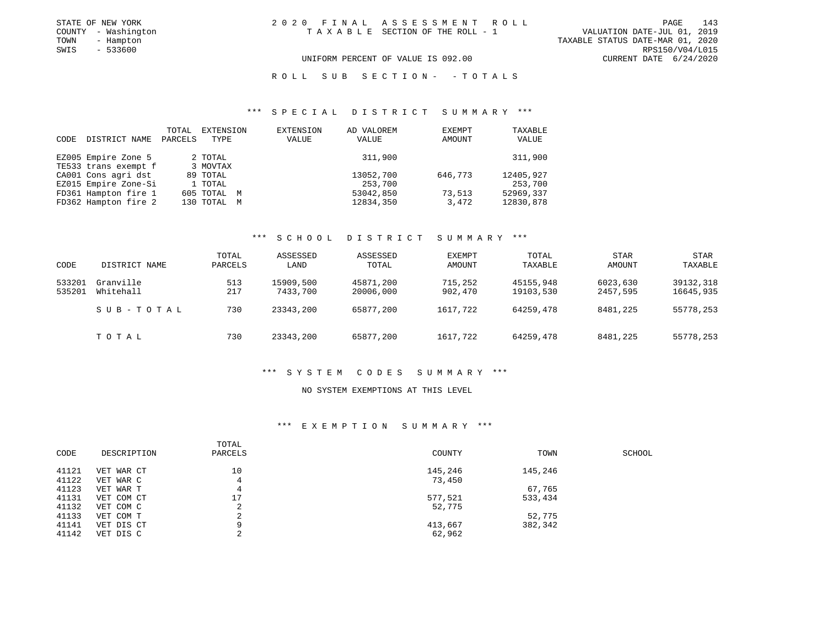|      | STATE OF NEW YORK   | 2020 FINAL ASSESSMENT ROLL         |                                  | PAGE            | 143 |
|------|---------------------|------------------------------------|----------------------------------|-----------------|-----|
|      | COUNTY - Washington | TAXABLE SECTION OF THE ROLL - 1    | VALUATION DATE-JUL 01, 2019      |                 |     |
| TOWN | - Hampton           |                                    | TAXABLE STATUS DATE-MAR 01, 2020 |                 |     |
| SWIS | $-533600$           |                                    |                                  | RPS150/V04/L015 |     |
|      |                     | UNIFORM PERCENT OF VALUE IS 092.00 | CURRENT DATE 6/24/2020           |                 |     |

#### R O L L S U B S E C T I O N - - T O T A L S

#### \*\*\* S P E C I A L D I S T R I C T S U M M A R Y \*\*\*

| CODE | DISTRICT NAME        | TOTAL<br>PARCELS | EXTENSION<br>TYPE | EXTENSION<br>VALUE | AD VALOREM<br>VALUE | EXEMPT<br>AMOUNT | TAXABLE<br>VALUE |
|------|----------------------|------------------|-------------------|--------------------|---------------------|------------------|------------------|
|      | EZ005 Empire Zone 5  |                  | 2 TOTAL           |                    | 311,900             |                  | 311,900          |
|      | TE533 trans exempt f |                  | 3 MOVTAX          |                    |                     |                  |                  |
|      | CA001 Cons agri dst  |                  | 89 TOTAL          |                    | 13052,700           | 646,773          | 12405,927        |
|      | EZ015 Empire Zone-Si |                  | 1 TOTAL           |                    | 253,700             |                  | 253,700          |
|      | FD361 Hampton fire 1 |                  | 605 TOTAL M       |                    | 53042,850           | 73,513           | 52969,337        |
|      | FD362 Hampton fire 2 |                  | 130 TOTAL         | M                  | 12834,350           | 3,472            | 12830,878        |

#### \*\*\* S C H O O L D I S T R I C T S U M M A R Y \*\*\*

| CODE             | DISTRICT NAME          | TOTAL<br>PARCELS | ASSESSED<br>LAND      | ASSESSED<br>TOTAL      | EXEMPT<br>AMOUNT   | TOTAL<br>TAXABLE       | <b>STAR</b><br>AMOUNT | STAR<br>TAXABLE        |
|------------------|------------------------|------------------|-----------------------|------------------------|--------------------|------------------------|-----------------------|------------------------|
| 533201<br>535201 | Granville<br>Whitehall | 513<br>217       | 15909,500<br>7433,700 | 45871,200<br>20006,000 | 715,252<br>902,470 | 45155,948<br>19103,530 | 6023,630<br>2457,595  | 39132,318<br>16645,935 |
|                  | SUB-TOTAL              | 730              | 23343,200             | 65877,200              | 1617,722           | 64259,478              | 8481,225              | 55778,253              |
|                  | TOTAL                  | 730              | 23343,200             | 65877,200              | 1617,722           | 64259,478              | 8481,225              | 55778,253              |

#### \*\*\* S Y S T E M C O D E S S U M M A R Y \*\*\*

#### NO SYSTEM EXEMPTIONS AT THIS LEVEL

#### \*\*\* E X E M P T I O N S U M M A R Y \*\*\*

| CODE  | DESCRIPTION | TOTAL<br>PARCELS | COUNTY  | TOWN    | SCHOOL |
|-------|-------------|------------------|---------|---------|--------|
| 41121 | VET WAR CT  | 10               | 145,246 | 145,246 |        |
| 41122 | VET WAR C   | 4                | 73,450  |         |        |
| 41123 | VET WAR T   | 4                |         | 67,765  |        |
| 41131 | VET COM CT  | 17               | 577,521 | 533,434 |        |
| 41132 | VET COM C   | 2                | 52,775  |         |        |
| 41133 | VET COM T   | 2                |         | 52,775  |        |
| 41141 | VET DIS CT  | 9                | 413,667 | 382,342 |        |
| 41142 | VET DIS C   | っ<br>∠           | 62,962  |         |        |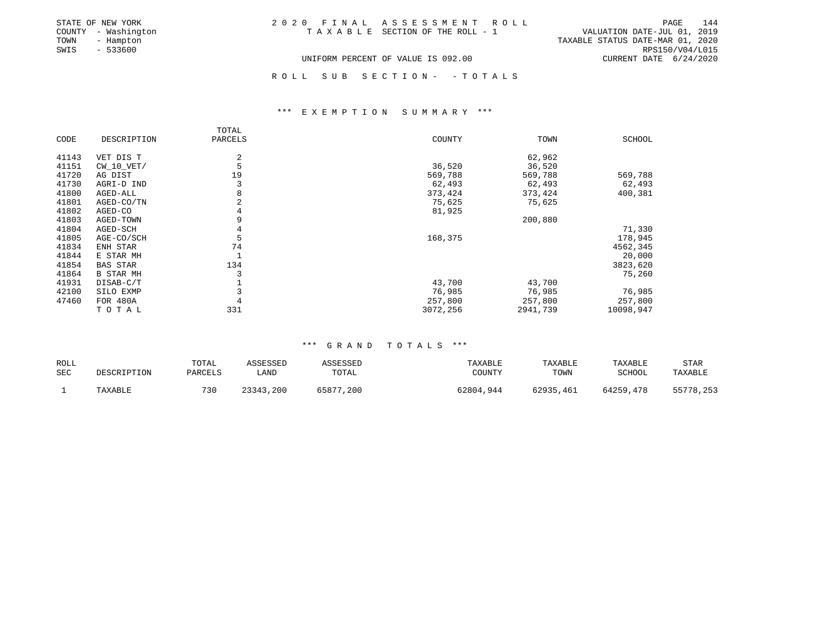| STATE OF NEW YORK   | 2020 FINAL ASSESSMENT ROLL         | 144<br>PAGE                      |
|---------------------|------------------------------------|----------------------------------|
| COUNTY - Washington | TAXABLE SECTION OF THE ROLL - 1    | VALUATION DATE-JUL 01, 2019      |
| TOWN<br>- Hampton   |                                    | TAXABLE STATUS DATE-MAR 01, 2020 |
| SWIS<br>- 533600    |                                    | RPS150/V04/L015                  |
|                     | UNIFORM PERCENT OF VALUE IS 092.00 | CURRENT DATE 6/24/2020           |

R O L L S U B S E C T I O N - - T O T A L S

#### \*\*\* E X E M P T I O N S U M M A R Y \*\*\*

|       |                  | TOTAL   |          |          |               |
|-------|------------------|---------|----------|----------|---------------|
| CODE  | DESCRIPTION      | PARCELS | COUNTY   | TOWN     | <b>SCHOOL</b> |
| 41143 | VET DIS T        | 2       |          | 62,962   |               |
| 41151 | $CW_10_VET/$     | 5       | 36,520   | 36,520   |               |
| 41720 | AG DIST          | 19      | 569,788  | 569,788  | 569,788       |
| 41730 | AGRI-D IND       | 3       | 62,493   | 62,493   | 62,493        |
| 41800 | AGED-ALL         | 8       | 373,424  | 373,424  | 400,381       |
| 41801 | AGED-CO/TN       | 2       | 75,625   | 75,625   |               |
| 41802 | AGED-CO          |         | 81,925   |          |               |
| 41803 | AGED-TOWN        | 9       |          | 200,880  |               |
| 41804 | AGED-SCH         | 4       |          |          | 71,330        |
| 41805 | AGE-CO/SCH       | 5       | 168,375  |          | 178,945       |
| 41834 | ENH STAR         | 74      |          |          | 4562,345      |
| 41844 | E STAR MH        |         |          |          | 20,000        |
| 41854 | <b>BAS STAR</b>  | 134     |          |          | 3823,620      |
| 41864 | <b>B STAR MH</b> |         |          |          | 75,260        |
| 41931 | DISAB-C/T        |         | 43,700   | 43,700   |               |
| 42100 | SILO EXMP        |         | 76,985   | 76,985   | 76,985        |
| 47460 | <b>FOR 480A</b>  |         | 257,800  | 257,800  | 257,800       |
|       | TOTAL            | 331     | 3072,256 | 2941,739 | 10098,947     |

#### \*\*\* G R A N D T O T A L S \*\*\*

| ROLL | DESCRIPTION | TOTAL   | ASSESSED  | ASSESSED  | TAXABLE   | TAXABLE   | TAXABLE   | STAR      |
|------|-------------|---------|-----------|-----------|-----------|-----------|-----------|-----------|
| SEC  |             | PARCELS | LAND      | TOTAL     | COUNTY    | TOWN      | SCHOOL    | TAXABLE   |
|      | TAXABLE     | 730     | 23343,200 | 65877,200 | 62804,944 | 62935,461 | 64259,478 | 55778,253 |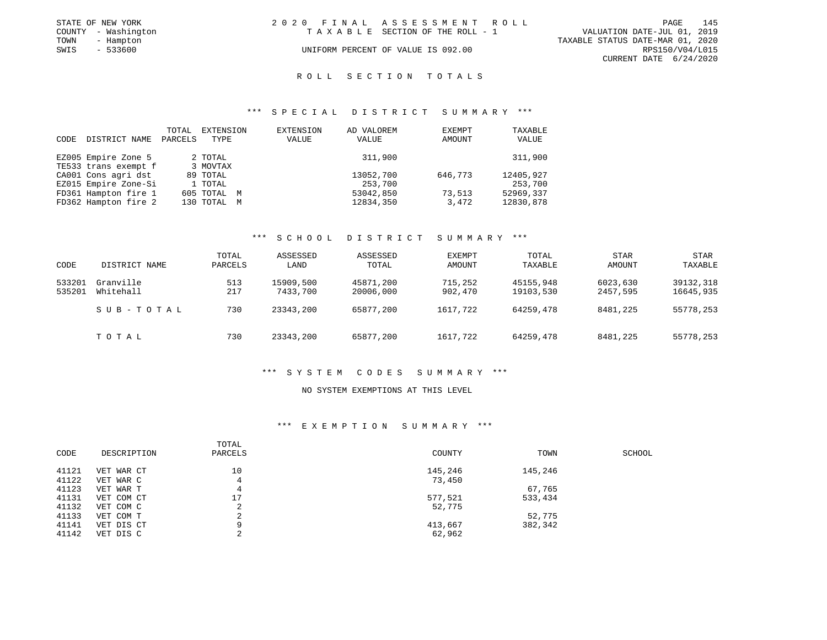|      | STATE OF NEW YORK   | 2020 FINAL ASSESSMENT ROLL |                                    |                                  |                        | PAGE | 145 |
|------|---------------------|----------------------------|------------------------------------|----------------------------------|------------------------|------|-----|
|      | COUNTY - Washington |                            | TAXABLE SECTION OF THE ROLL - 1    | VALUATION DATE-JUL 01, 2019      |                        |      |     |
| TOWN | - Hampton           |                            |                                    | TAXABLE STATUS DATE-MAR 01, 2020 |                        |      |     |
| SWIS | - 533600            |                            | UNIFORM PERCENT OF VALUE IS 092.00 |                                  | RPS150/V04/L015        |      |     |
|      |                     |                            |                                    |                                  | CURRENT DATE 6/24/2020 |      |     |

### ROLL SECTION TOTALS

#### \*\*\* S P E C I A L D I S T R I C T S U M M A R Y \*\*\*

| CODE | DISTRICT NAME        | TOTAL<br>PARCELS | EXTENSION<br>TYPE | EXTENSION<br>VALUE | AD VALOREM<br>VALUE | EXEMPT<br>AMOUNT | TAXABLE<br>VALUE |
|------|----------------------|------------------|-------------------|--------------------|---------------------|------------------|------------------|
|      | EZ005 Empire Zone 5  |                  | 2 TOTAL           |                    | 311,900             |                  | 311,900          |
|      | TE533 trans exempt f |                  | 3 MOVTAX          |                    |                     |                  |                  |
|      | CA001 Cons agri dst  |                  | 89 TOTAL          |                    | 13052,700           | 646,773          | 12405,927        |
|      | EZ015 Empire Zone-Si |                  | 1 TOTAL           |                    | 253,700             |                  | 253,700          |
|      | FD361 Hampton fire 1 |                  | 605 TOTAL M       |                    | 53042,850           | 73,513           | 52969,337        |
|      | FD362 Hampton fire 2 |                  | 130 TOTAL M       |                    | 12834,350           | 3,472            | 12830,878        |

### \*\*\* S C H O O L D I S T R I C T S U M M A R Y \*\*\*

| CODE             | DISTRICT NAME          | TOTAL<br>PARCELS | ASSESSED<br>LAND      | ASSESSED<br>TOTAL      | EXEMPT<br>AMOUNT   | TOTAL<br>TAXABLE       | <b>STAR</b><br>AMOUNT | <b>STAR</b><br>TAXABLE |
|------------------|------------------------|------------------|-----------------------|------------------------|--------------------|------------------------|-----------------------|------------------------|
| 533201<br>535201 | Granville<br>Whitehall | 513<br>217       | 15909,500<br>7433,700 | 45871,200<br>20006,000 | 715,252<br>902,470 | 45155,948<br>19103,530 | 6023,630<br>2457,595  | 39132,318<br>16645,935 |
|                  | SUB-TOTAL              | 730              | 23343,200             | 65877,200              | 1617,722           | 64259,478              | 8481,225              | 55778,253              |
|                  | TOTAL                  | 730              | 23343,200             | 65877,200              | 1617,722           | 64259,478              | 8481,225              | 55778,253              |

#### \*\*\* S Y S T E M C O D E S S U M M A R Y \*\*\*

#### NO SYSTEM EXEMPTIONS AT THIS LEVEL

| CODE  | DESCRIPTION | TOTAL<br>PARCELS | COUNTY  | TOWN    | SCHOOL |
|-------|-------------|------------------|---------|---------|--------|
| 41121 | VET WAR CT  | 10               | 145,246 | 145,246 |        |
| 41122 | VET WAR C   | 4                | 73,450  |         |        |
| 41123 | VET WAR T   | 4                |         | 67,765  |        |
| 41131 | VET COM CT  | 17               | 577,521 | 533,434 |        |
| 41132 | VET COM C   | 2                | 52,775  |         |        |
| 41133 | VET COM T   | 2                |         | 52,775  |        |
| 41141 | VET DIS CT  | 9                | 413,667 | 382,342 |        |
| 41142 | VET DIS C   | っ                | 62,962  |         |        |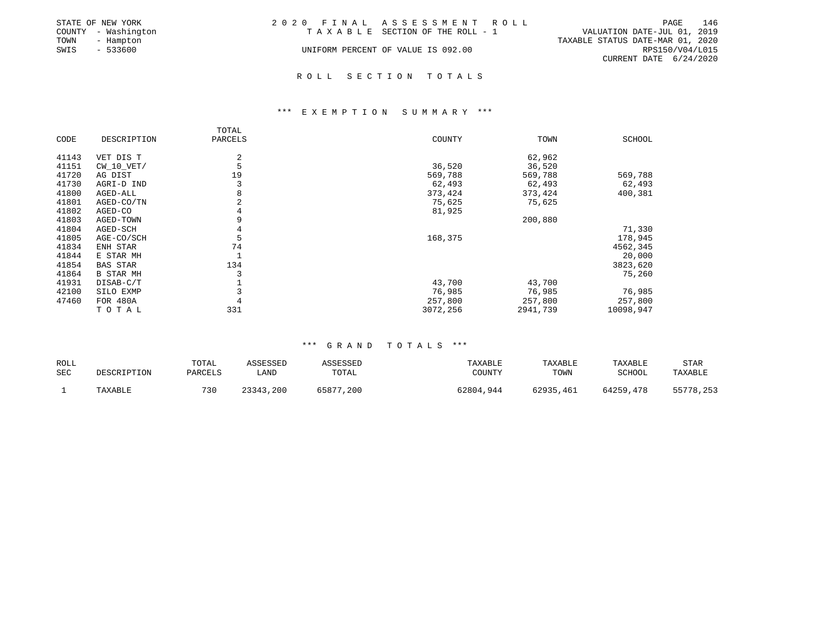|      | STATE OF NEW YORK   | 2020 FINAL ASSESSMENT ROLL         |                                  |                        | PAGE | 146 |
|------|---------------------|------------------------------------|----------------------------------|------------------------|------|-----|
|      | COUNTY - Washington | TAXABLE SECTION OF THE ROLL - 1    | VALUATION DATE-JUL 01, 2019      |                        |      |     |
| TOWN | - Hampton           |                                    | TAXABLE STATUS DATE-MAR 01, 2020 |                        |      |     |
| SWIS | $-533600$           | UNIFORM PERCENT OF VALUE IS 092.00 |                                  | RPS150/V04/L015        |      |     |
|      |                     |                                    |                                  | CURRENT DATE 6/24/2020 |      |     |
|      |                     |                                    |                                  |                        |      |     |

#### R O L L S E C T I O N T O T A L S

#### \*\*\* E X E M P T I O N S U M M A R Y \*\*\*

|       |                  | TOTAL   |          |          |           |
|-------|------------------|---------|----------|----------|-----------|
| CODE  | DESCRIPTION      | PARCELS | COUNTY   | TOWN     | SCHOOL    |
| 41143 | VET DIS T        | 2       |          | 62,962   |           |
| 41151 | $CW_10_VET/$     | 5       | 36,520   | 36,520   |           |
| 41720 | AG DIST          | 19      | 569,788  | 569,788  | 569,788   |
| 41730 | AGRI-D IND       | 3       | 62,493   | 62,493   | 62,493    |
| 41800 | AGED-ALL         | 8       | 373,424  | 373,424  | 400,381   |
| 41801 | AGED-CO/TN       | 2       | 75,625   | 75,625   |           |
| 41802 | AGED-CO          |         | 81,925   |          |           |
| 41803 | AGED-TOWN        | 9       |          | 200,880  |           |
| 41804 | AGED-SCH         | 4       |          |          | 71,330    |
| 41805 | AGE-CO/SCH       | 5       | 168,375  |          | 178,945   |
| 41834 | ENH STAR         | 74      |          |          | 4562,345  |
| 41844 | E STAR MH        |         |          |          | 20,000    |
| 41854 | <b>BAS STAR</b>  | 134     |          |          | 3823,620  |
| 41864 | <b>B STAR MH</b> |         |          |          | 75,260    |
| 41931 | DISAB-C/T        |         | 43,700   | 43,700   |           |
| 42100 | SILO EXMP        |         | 76,985   | 76,985   | 76,985    |
| 47460 | <b>FOR 480A</b>  |         | 257,800  | 257,800  | 257,800   |
|       | TOTAL            | 331     | 3072,256 | 2941,739 | 10098,947 |

| ROLL | DESCRIPTION | TOTAL   | ASSESSED  | ASSESSED  | TAXABLE   | TAXABLE   | TAXABLE   | STAR      |
|------|-------------|---------|-----------|-----------|-----------|-----------|-----------|-----------|
| SEC  |             | PARCELS | LAND      | TOTAL     | COUNTY    | TOWN      | SCHOOL    | TAXABLE   |
|      | TAXABLE     | 730     | 23343,200 | 65877,200 | 62804,944 | 62935,461 | 64259,478 | 55778,253 |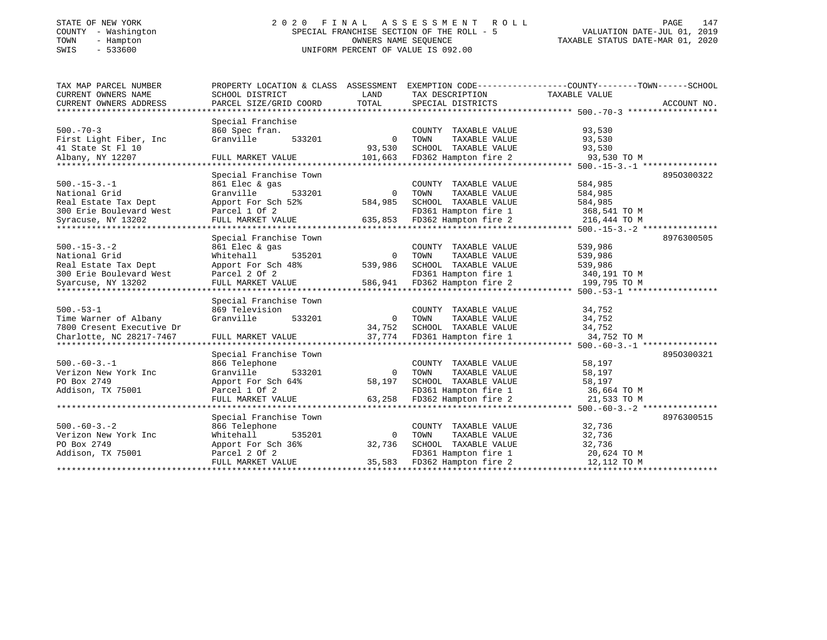## STATE OF NEW YORK 2 0 2 0 F I N A L A S S E S S M E N T R O L L PAGE 147 COUNTY - Washington SPECIAL FRANCHISE SECTION OF THE ROLL - 5 VALUATION DATE-JUL 01, 2019 TOWN - Hampton OWNERS NAME SEQUENCE TAXABLE STATUS DATE-MAR 01, 2020 SWIS - 533600 UNIFORM PERCENT OF VALUE IS 092.00UNIFORM PERCENT OF VALUE IS 092.00

| TAX MAP PARCEL NUMBER                            | PROPERTY LOCATION & CLASS ASSESSMENT EXEMPTION CODE---------------COUNTY-------TOWN-----SCHOOL |                          |                                                                        |                              |             |
|--------------------------------------------------|------------------------------------------------------------------------------------------------|--------------------------|------------------------------------------------------------------------|------------------------------|-------------|
| CURRENT OWNERS NAME                              | SCHOOL DISTRICT                                                                                | LAND                     | TAX DESCRIPTION                                                        | TAXABLE VALUE                |             |
| CURRENT OWNERS ADDRESS                           | PARCEL SIZE/GRID COORD                                                                         | TOTAL                    | SPECIAL DISTRICTS                                                      |                              | ACCOUNT NO. |
|                                                  |                                                                                                |                          |                                                                        |                              |             |
|                                                  | Special Franchise                                                                              |                          |                                                                        |                              |             |
| $500. - 70 - 3$                                  | 860 Spec fran.                                                                                 |                          | COUNTY TAXABLE VALUE                                                   | 93,530                       |             |
| First Light Fiber, Inc                           | 533201<br>Granville                                                                            | $\overline{0}$           | TOWN<br>TAXABLE VALUE                                                  | 93,530                       |             |
| 41 State St Fl 10                                |                                                                                                | 93,530                   | SCHOOL TAXABLE VALUE                                                   | 93,530                       |             |
|                                                  |                                                                                                |                          |                                                                        |                              |             |
|                                                  |                                                                                                |                          |                                                                        |                              |             |
|                                                  | Special Franchise Town                                                                         |                          |                                                                        |                              | 8950300322  |
| $500. -15 - 3. -1$                               | 861 Elec & gas                                                                                 |                          | COUNTY TAXABLE VALUE                                                   | 584,985                      |             |
| National Grid                                    | 533201<br>Granville                                                                            | $\overline{0}$           | TAXABLE VALUE<br>TOWN                                                  | 584,985                      |             |
| Real Estate Tax Dept                             | Apport For Sch 52%                                                                             | 584,985                  | SCHOOL TAXABLE VALUE                                                   | 584,985                      |             |
| 300 Erie Boulevard West                          | Parcel 1 Of 2                                                                                  |                          | FD361 Hampton fire 1                                                   | 368,541 TO M<br>216.444 TO M |             |
| Syracuse, NY 13202                               | FULL MARKET VALUE 635,853 FD362 Hampton fire 2                                                 |                          |                                                                        |                              |             |
|                                                  |                                                                                                |                          |                                                                        |                              |             |
|                                                  | Special Franchise Town                                                                         |                          |                                                                        |                              | 8976300505  |
| $500. -15 - 3. -2$                               | 861 Elec & gas                                                                                 |                          | COUNTY TAXABLE VALUE                                                   | 539,986                      |             |
| National Grid                                    | 535201<br>Whitehall                                                                            | $\Omega$                 | TAXABLE VALUE<br>TOWN                                                  | 539,986                      |             |
| Real Estate Tax Dept                             | Apport For Sch 48%                                                                             | 539,986                  | SCHOOL TAXABLE VALUE                                                   | 539,986                      |             |
| 300 Erie Boulevard West                          | Parcel 2 Of 2                                                                                  |                          | FD361 Hampton fire 1 340,191 TO M<br>FD362 Hampton fire 2 199,795 TO M |                              |             |
| Syarcuse, NY 13202                               | FULL MARKET VALUE                                                                              |                          | 586,941 FD362 Hampton fire 2                                           |                              |             |
|                                                  |                                                                                                |                          |                                                                        |                              |             |
|                                                  | Special Franchise Town                                                                         |                          |                                                                        |                              |             |
| $500.-53-1$                                      | 869 Television                                                                                 |                          | COUNTY TAXABLE VALUE                                                   | 34,752                       |             |
| Time Warner of Albany                            | Granville<br>533201                                                                            |                          | 0 TOWN<br>TAXABLE VALUE                                                | 34,752                       |             |
| 7800 Cresent Executive Dr                        |                                                                                                | 34,752                   | SCHOOL TAXABLE VALUE 34,752                                            |                              |             |
| Charlotte, NC 28217-7467<br>******************** | FULL MARKET VALUE                                                                              | 37,774                   | FD361 Hampton fire 1                                                   | 34,752 TO M                  |             |
|                                                  |                                                                                                |                          |                                                                        |                              |             |
|                                                  | Special Franchise Town                                                                         |                          |                                                                        |                              | 8950300321  |
| $500. -60 - 3. -1$                               | 866 Telephone                                                                                  |                          | COUNTY TAXABLE VALUE                                                   | 58,197                       |             |
| Verizon New York Inc                             | 533201<br>Granville                                                                            |                          | 0 TOWN<br>TAXABLE VALUE<br>SCHOOL TAXABLE VALUE                        | 58,197                       |             |
| PO Box 2749                                      | Apport For Sch 64%                                                                             | 58,197                   |                                                                        | 58,197                       |             |
| Addison, TX 75001                                | Parcel 1 Of 2<br>FULL MARKET VALUE                                                             |                          | FD361 Hampton fire 1 36,664 TO M                                       |                              |             |
|                                                  |                                                                                                |                          | 63,258 FD362 Hampton fire 2                                            | 21,533 TO M                  |             |
|                                                  |                                                                                                |                          |                                                                        |                              |             |
|                                                  | Special Franchise Town                                                                         |                          |                                                                        |                              | 8976300515  |
| $500. -60 - 3. - 2$                              | 866 Telephone                                                                                  |                          | COUNTY TAXABLE VALUE                                                   | 32,736                       |             |
| Verizon New York Inc                             | 535201<br>Whitehall                                                                            | $\overline{0}$<br>32,736 | TOWN TAXABLE VALUE<br>SCHOOL TAXABLE VALUE                             | 32,736                       |             |
| PO Box 2749                                      | Apport For Sch 36%                                                                             |                          |                                                                        | 32,736                       |             |
| Addison, TX 75001                                | Parcel 2 Of 2                                                                                  |                          | FD361 Hampton fire 1 20,624 TO M                                       |                              |             |
|                                                  | FULL MARKET VALUE                                                                              |                          | 35,583 FD362 Hampton fire 2                                            | 12,112 TO M                  |             |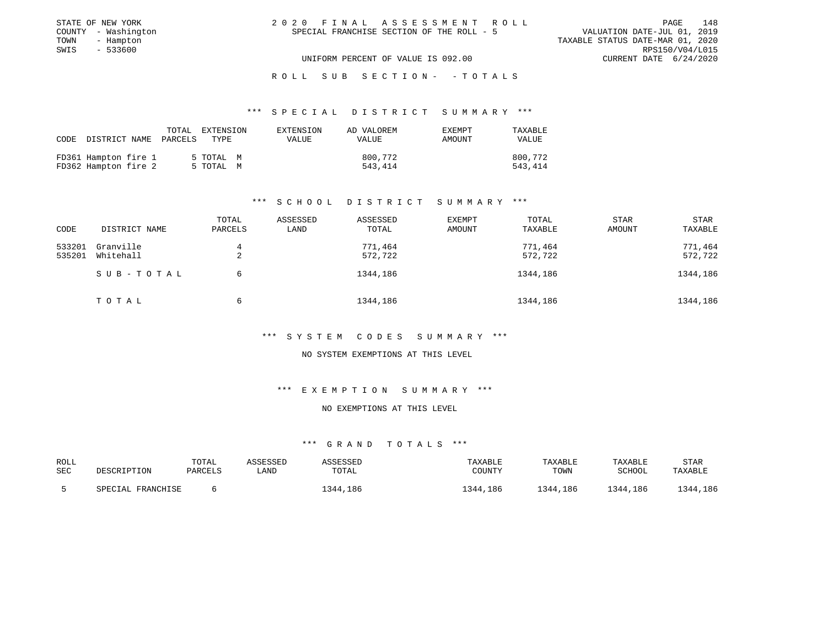| STATE OF NEW YORK   | 2020 FINAL ASSESSMENT ROLL                | 148<br>PAGE                      |
|---------------------|-------------------------------------------|----------------------------------|
| COUNTY - Washington | SPECIAL FRANCHISE SECTION OF THE ROLL - 5 | VALUATION DATE-JUL 01, 2019      |
| TOWN<br>- Hampton   |                                           | TAXABLE STATUS DATE-MAR 01, 2020 |
| SWIS<br>- 533600    |                                           | RPS150/V04/L015                  |
|                     | UNIFORM PERCENT OF VALUE IS 092.00        | CURRENT DATE $6/24/2020$         |
|                     |                                           |                                  |

ROLL SUB SECTION - - TOTALS

#### \*\*\* S P E C I A L D I S T R I C T S U M M A R Y \*\*\*

| 800,772<br>FD361 Hampton fire 1<br>5 TOTAL M | CODE DISTRICT NAME | TOTAL<br>PARCELS | EXTENSION<br>TYPE | EXTENSION<br>VALUE | AD VALOREM<br><b>VALUE</b> | EXEMPT<br>AMOUNT | TAXABLE<br><b>VALUE</b> |
|----------------------------------------------|--------------------|------------------|-------------------|--------------------|----------------------------|------------------|-------------------------|
| FD362 Hampton fire 2<br>543,414<br>5 TOTAL M |                    |                  |                   |                    |                            |                  | 800,772<br>543,414      |

### \*\*\* S C H O O L D I S T R I C T S U M M A R Y \*\*\*

| CODE             | DISTRICT NAME          | TOTAL<br>PARCELS | ASSESSED<br>LAND | ASSESSED<br>TOTAL  | EXEMPT<br>AMOUNT | TOTAL<br>TAXABLE   | <b>STAR</b><br>AMOUNT | <b>STAR</b><br>TAXABLE |
|------------------|------------------------|------------------|------------------|--------------------|------------------|--------------------|-----------------------|------------------------|
| 533201<br>535201 | Granville<br>Whitehall | 4                |                  | 771,464<br>572,722 |                  | 771,464<br>572,722 |                       | 771,464<br>572,722     |
|                  | SUB-TOTAL              | ▵<br>6           |                  | 1344,186           |                  | 1344,186           |                       | 1344,186               |
|                  | TOTAL                  | 6                |                  | 1344,186           |                  | 1344,186           |                       | 1344,186               |

#### \*\*\* S Y S T E M C O D E S S U M M A R Y \*\*\*

#### NO SYSTEM EXEMPTIONS AT THIS LEVEL

#### \*\*\* E X E M P T I O N S U M M A R Y \*\*\*

#### NO EXEMPTIONS AT THIS LEVEL

| ROLL<br>SEC | DESCRIPTION       | TOTAL<br>PARCELS | ASSESSED<br>LAND | ASSESSED<br>TOTAL | TAXABLE<br>COUNTY | TAXABLE<br>TOWN | TAXABLE<br>SCHOOL | STAR<br>TAXABLE |
|-------------|-------------------|------------------|------------------|-------------------|-------------------|-----------------|-------------------|-----------------|
|             | SPECIAL FRANCHISE |                  |                  | 1344,186          | 1344,186          | 1344,186        | 1344,186          | 1344,186        |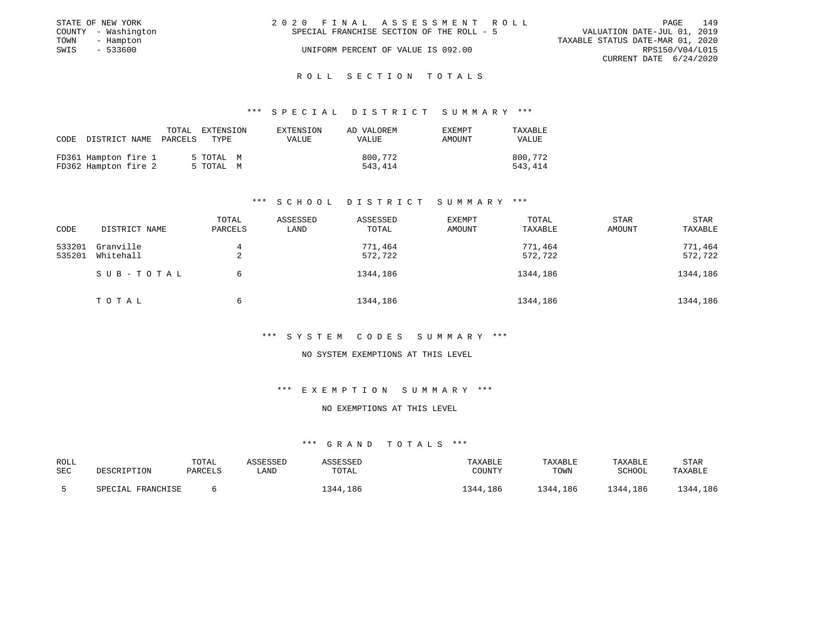|      | STATE OF NEW YORK   | 2020 FINAL ASSESSMENT ROLL                | 149<br>PAGE                      |
|------|---------------------|-------------------------------------------|----------------------------------|
|      | COUNTY - Washington | SPECIAL FRANCHISE SECTION OF THE ROLL - 5 | VALUATION DATE-JUL 01, 2019      |
| TOWN | - Hampton           |                                           | TAXABLE STATUS DATE-MAR 01, 2020 |
| SWIS | $-533600$           | UNIFORM PERCENT OF VALUE IS 092.00        | RPS150/V04/L015                  |
|      |                     |                                           | CURRENT DATE 6/24/2020           |

### ROLL SECTION TOTALS

#### \*\*\* S P E C I A L D I S T R I C T S U M M A R Y \*\*\*

|                                              | TOTAL<br>CODE DISTRICT NAME PARCELS | EXTENSION<br>TYPE.     | EXTENSION<br>VALUE | AD VALOREM<br><b>VALUE</b> | <b>EXEMPT</b><br>AMOUNT | TAXABLE<br><b>VALUE</b> |
|----------------------------------------------|-------------------------------------|------------------------|--------------------|----------------------------|-------------------------|-------------------------|
| FD361 Hampton fire 1<br>FD362 Hampton fire 2 |                                     | 5 TOTAL M<br>5 TOTAL M |                    | 800,772<br>543,414         |                         | 800,772<br>543,414      |

### \*\*\* S C H O O L D I S T R I C T S U M M A R Y \*\*\*

| CODE             | DISTRICT NAME          | TOTAL<br>PARCELS | ASSESSED<br>LAND | ASSESSED<br>TOTAL  | EXEMPT<br>AMOUNT | TOTAL<br>TAXABLE   | <b>STAR</b><br>AMOUNT | <b>STAR</b><br>TAXABLE |
|------------------|------------------------|------------------|------------------|--------------------|------------------|--------------------|-----------------------|------------------------|
| 533201<br>535201 | Granville<br>Whitehall | 4<br>2           |                  | 771,464<br>572,722 |                  | 771,464<br>572,722 |                       | 771,464<br>572,722     |
|                  | SUB-TOTAL              | 6                |                  | 1344,186           |                  | 1344,186           |                       | 1344,186               |
|                  | TOTAL                  | 6                |                  | 1344,186           |                  | 1344,186           |                       | 1344,186               |

#### \*\*\* S Y S T E M C O D E S S U M M A R Y \*\*\*

#### NO SYSTEM EXEMPTIONS AT THIS LEVEL

#### \*\*\* E X E M P T I O N S U M M A R Y \*\*\*

#### NO EXEMPTIONS AT THIS LEVEL

| ROLL<br>SEC | DESCRIPTION             | TOTAL<br>PARCELS | LAND | SSESSEL<br>TOTAL | TAXABLE<br>COUNTY | TAXABLE<br>TOWN | TAXABLE<br>SCHOOL | STAR<br>TAXABLE |
|-------------|-------------------------|------------------|------|------------------|-------------------|-----------------|-------------------|-----------------|
|             | L FRANCHISE<br>SPECTAL. |                  |      | 1344,186         | 344<br>.186       | 1344,186        | 1344,186          | 1344,186        |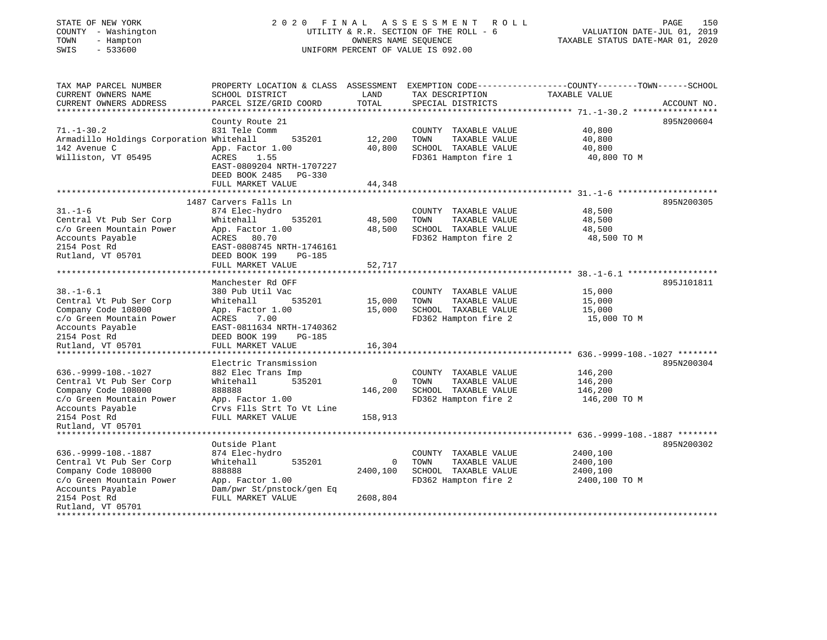## STATE OF NEW YORK 2 0 2 0 F I N A L A S S E S S M E N T R O L L PAGE 150 COUNTY - Washington UTILITY & R.R. SECTION OF THE ROLL - 6 VALUATION DATE-JUL 01, 2019 TOWN - Hampton OWNERS NAME SEQUENCE TAXABLE STATUS DATE-MAR 01, 2020 SWIS - 533600 UNIFORM PERCENT OF VALUE IS 092.00

| TAX MAP PARCEL NUMBER<br>CURRENT OWNERS NAME<br>CURRENT OWNERS ADDRESS                                                            | PROPERTY LOCATION & CLASS ASSESSMENT<br>SCHOOL DISTRICT<br>PARCEL SIZE/GRID COORD                                                                                | LAND<br>TOTAL    | TAX DESCRIPTION<br>SPECIAL DISTRICTS                                                          | EXEMPTION CODE-----------------COUNTY-------TOWN------SCHOOL<br>TAXABLE VALUE | ACCOUNT NO. |
|-----------------------------------------------------------------------------------------------------------------------------------|------------------------------------------------------------------------------------------------------------------------------------------------------------------|------------------|-----------------------------------------------------------------------------------------------|-------------------------------------------------------------------------------|-------------|
| $71. - 1 - 30.2$<br>Armadillo Holdings Corporation Whitehall<br>142 Avenue C<br>Williston, VT 05495                               | County Route 21<br>831 Tele Comm<br>535201<br>App. Factor 1.00<br>ACRES<br>1.55                                                                                  | 12,200<br>40,800 | COUNTY TAXABLE VALUE<br>TOWN<br>TAXABLE VALUE<br>SCHOOL TAXABLE VALUE<br>FD361 Hampton fire 1 | 40,800<br>40,800<br>40,800<br>40,800 TO M                                     | 895N200604  |
|                                                                                                                                   | EAST-0809204 NRTH-1707227<br>DEED BOOK 2485<br>$PG-330$<br>FULL MARKET VALUE                                                                                     | 44,348           |                                                                                               |                                                                               |             |
|                                                                                                                                   | 1487 Carvers Falls Ln                                                                                                                                            |                  |                                                                                               |                                                                               | 895N200305  |
| $31. - 1 - 6$<br>Central Vt Pub Ser Corp<br>c/o Green Mountain Power<br>Accounts Payable<br>2154 Post Rd                          | 874 Elec-hydro<br>Whitehall<br>535201<br>App. Factor 1.00<br>ACRES 80.70<br>EAST-0808745 NRTH-1746161                                                            | 48,500<br>48,500 | COUNTY TAXABLE VALUE<br>TOWN<br>TAXABLE VALUE<br>SCHOOL TAXABLE VALUE<br>FD362 Hampton fire 2 | 48,500<br>48,500<br>48,500<br>48,500 TO M                                     |             |
| Rutland, VT 05701                                                                                                                 | DEED BOOK 199<br><b>PG-185</b><br>FULL MARKET VALUE                                                                                                              | 52,717           |                                                                                               |                                                                               |             |
|                                                                                                                                   |                                                                                                                                                                  |                  |                                                                                               |                                                                               |             |
| $38. - 1 - 6.1$<br>Central Vt Pub Ser Corp<br>Company Code 108000<br>c/o Green Mountain Power<br>Accounts Payable<br>2154 Post Rd | Manchester Rd OFF<br>380 Pub Util Vac<br>535201<br>Whitehall<br>App. Factor 1.00<br>7.00<br>ACRES<br>EAST-0811634 NRTH-1740362<br>DEED BOOK 199<br><b>PG-185</b> | 15,000<br>15,000 | COUNTY TAXABLE VALUE<br>TOWN<br>TAXABLE VALUE<br>SCHOOL TAXABLE VALUE<br>FD362 Hampton fire 2 | 15,000<br>15,000<br>15,000<br>15,000 TO M                                     | 895J101811  |
| Rutland, VT 05701                                                                                                                 | FULL MARKET VALUE                                                                                                                                                | 16,304           |                                                                                               |                                                                               |             |
|                                                                                                                                   | Electric Transmission                                                                                                                                            |                  |                                                                                               |                                                                               | 895N200304  |
| 636. - 9999 - 108. - 1027<br>Central Vt Pub Ser Corp<br>Company Code 108000<br>c/o Green Mountain Power<br>Accounts Payable       | 882 Elec Trans Imp<br>Whitehall<br>535201<br>888888<br>App. Factor 1.00<br>Crvs Flls Strt To Vt Line                                                             | 0<br>146,200     | COUNTY TAXABLE VALUE<br>TAXABLE VALUE<br>TOWN<br>SCHOOL TAXABLE VALUE<br>FD362 Hampton fire 2 | 146,200<br>146,200<br>146,200<br>146,200 TO M                                 |             |
| 2154 Post Rd<br>Rutland, VT 05701                                                                                                 | FULL MARKET VALUE                                                                                                                                                | 158,913          |                                                                                               |                                                                               |             |
| ****************************                                                                                                      |                                                                                                                                                                  |                  |                                                                                               |                                                                               |             |
| 636. - 9999 - 108. - 1887<br>Central Vt Pub Ser Corp<br>Company Code 108000<br>c/o Green Mountain Power<br>Accounts Payable       | Outside Plant<br>874 Elec-hydro<br>535201<br>Whitehall<br>888888<br>App. Factor 1.00<br>Dam/pwr St/pnstock/gen Eq                                                | 0<br>2400,100    | COUNTY TAXABLE VALUE<br>TOWN<br>TAXABLE VALUE<br>SCHOOL TAXABLE VALUE<br>FD362 Hampton fire 2 | 2400,100<br>2400,100<br>2400,100<br>2400,100 TO M                             | 895N200302  |
| 2154 Post Rd<br>Rutland, VT 05701<br>**************                                                                               | FULL MARKET VALUE                                                                                                                                                | 2608,804         |                                                                                               |                                                                               |             |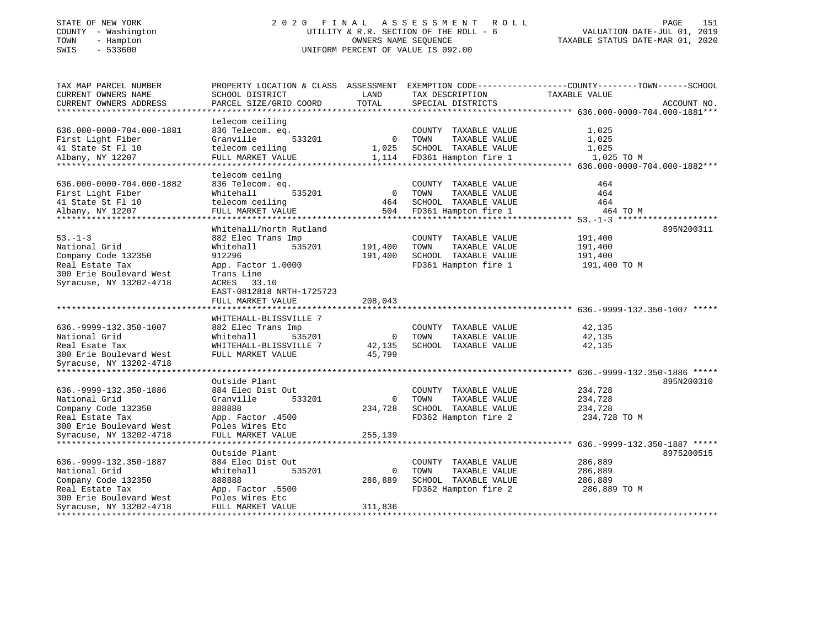## STATE OF NEW YORK 2 0 2 0 F I N A L A S S E S S M E N T R O L L PAGE 151 COUNTY - Washington UTILITY & R.R. SECTION OF THE ROLL - 6 VALUATION DATE-JUL 01, 2019 TOWN - Hampton OWNERS NAME SEQUENCE TAXABLE STATUS DATE-MAR 01, 2020 SWIS - 533600 UNIFORM PERCENT OF VALUE IS 092.00UNIFORM PERCENT OF VALUE IS 092.00

| telecom ceiling<br>636.000-0000-704.000-1881<br>836 Telecom. eq.<br>COUNTY TAXABLE VALUE<br>1,025<br>0 TOWN<br>First Light Fiber<br>Granville<br>533201<br>TAXABLE VALUE<br>1,025<br>telecom ceiling<br>1,025 SCHOOL TAXABLE VALUE<br>1,025<br>41 State St Fl 10<br>1,114 FD361 Hampton fire 1<br>FULL MARKET VALUE<br>1,025 TO M<br>Albany, NY 12207<br>telecom ceilng<br>636.000-0000-704.000-1882<br>836 Telecom. eq.<br>COUNTY TAXABLE VALUE<br>464<br>535201<br>$\overline{0}$<br>First Light Fiber<br>TAXABLE VALUE |
|---------------------------------------------------------------------------------------------------------------------------------------------------------------------------------------------------------------------------------------------------------------------------------------------------------------------------------------------------------------------------------------------------------------------------------------------------------------------------------------------------------------------------|
|                                                                                                                                                                                                                                                                                                                                                                                                                                                                                                                           |
|                                                                                                                                                                                                                                                                                                                                                                                                                                                                                                                           |
|                                                                                                                                                                                                                                                                                                                                                                                                                                                                                                                           |
|                                                                                                                                                                                                                                                                                                                                                                                                                                                                                                                           |
|                                                                                                                                                                                                                                                                                                                                                                                                                                                                                                                           |
|                                                                                                                                                                                                                                                                                                                                                                                                                                                                                                                           |
|                                                                                                                                                                                                                                                                                                                                                                                                                                                                                                                           |
| Whitehall<br>TOWN<br>464                                                                                                                                                                                                                                                                                                                                                                                                                                                                                                  |
| 41 State St Fl 10<br>telecom ceiling<br>464<br>SCHOOL TAXABLE VALUE<br>464                                                                                                                                                                                                                                                                                                                                                                                                                                                |
| Albany, NY 12207<br>FULL MARKET VALUE<br>464 TO M                                                                                                                                                                                                                                                                                                                                                                                                                                                                         |
|                                                                                                                                                                                                                                                                                                                                                                                                                                                                                                                           |
| Whitehall/north Rutland<br>895N200311                                                                                                                                                                                                                                                                                                                                                                                                                                                                                     |
| $53 - 1 - 3$<br>882 Elec Trans Imp<br>COUNTY TAXABLE VALUE<br>191,400                                                                                                                                                                                                                                                                                                                                                                                                                                                     |
| National Grid<br>Whitehall<br>535201<br>191,400<br>TAXABLE VALUE<br>191,400<br>TOWN                                                                                                                                                                                                                                                                                                                                                                                                                                       |
| 912296<br>SCHOOL TAXABLE VALUE<br>Company Code 132350<br>191,400<br>191,400                                                                                                                                                                                                                                                                                                                                                                                                                                               |
| FD361 Hampton fire 1<br>Real Estate Tax<br>App. Factor 1.0000<br>191,400 TO M                                                                                                                                                                                                                                                                                                                                                                                                                                             |
| 300 Erie Boulevard West<br>Trans Line                                                                                                                                                                                                                                                                                                                                                                                                                                                                                     |
| Syracuse, NY 13202-4718<br>ACRES 33.10                                                                                                                                                                                                                                                                                                                                                                                                                                                                                    |
| EAST-0812818 NRTH-1725723<br>FULL MARKET VALUE<br>208,043                                                                                                                                                                                                                                                                                                                                                                                                                                                                 |
|                                                                                                                                                                                                                                                                                                                                                                                                                                                                                                                           |
| WHITEHALL-BLISSVILLE 7                                                                                                                                                                                                                                                                                                                                                                                                                                                                                                    |
| 636. - 9999 - 132. 350 - 1007<br>COUNTY TAXABLE VALUE<br>882 Elec Trans Imp<br>42,135                                                                                                                                                                                                                                                                                                                                                                                                                                     |
| National Grid<br>535201<br>$\overline{\phantom{0}}$<br>TOWN<br>42,135<br>Whitehall<br>TAXABLE VALUE                                                                                                                                                                                                                                                                                                                                                                                                                       |
| Real Esate Tax<br>WHITEHALL-BLISSVILLE 7<br>42,135<br>SCHOOL TAXABLE VALUE<br>42,135                                                                                                                                                                                                                                                                                                                                                                                                                                      |
| 45,799<br>300 Erie Boulevard West<br>FULL MARKET VALUE                                                                                                                                                                                                                                                                                                                                                                                                                                                                    |
| Syracuse, NY 13202-4718                                                                                                                                                                                                                                                                                                                                                                                                                                                                                                   |
|                                                                                                                                                                                                                                                                                                                                                                                                                                                                                                                           |
| Outside Plant<br>895N200310                                                                                                                                                                                                                                                                                                                                                                                                                                                                                               |
| 636. - 9999 - 132. 350 - 1886<br>884 Elec Dist Out<br>COUNTY TAXABLE VALUE<br>234,728                                                                                                                                                                                                                                                                                                                                                                                                                                     |
| Granville<br>TAXABLE VALUE<br>National Grid<br>533201<br>$\overline{0}$<br>TOWN<br>234,728<br>888888<br>234,728<br>SCHOOL TAXABLE VALUE<br>234,728                                                                                                                                                                                                                                                                                                                                                                        |
| Company Code 132350<br>FD362 Hampton fire 2<br>Real Estate Tax<br>App. Factor .4500<br>234,728 TO M                                                                                                                                                                                                                                                                                                                                                                                                                       |
| 300 Erie Boulevard West<br>Poles Wires Etc                                                                                                                                                                                                                                                                                                                                                                                                                                                                                |
| Syracuse, NY 13202-4718<br>FULL MARKET VALUE<br>255,139                                                                                                                                                                                                                                                                                                                                                                                                                                                                   |
|                                                                                                                                                                                                                                                                                                                                                                                                                                                                                                                           |
| Outside Plant<br>8975200515                                                                                                                                                                                                                                                                                                                                                                                                                                                                                               |
| 636. - 9999 - 132. 350 - 1887<br>286,889<br>884 Elec Dist Out<br>COUNTY TAXABLE VALUE                                                                                                                                                                                                                                                                                                                                                                                                                                     |
| 535201<br>TAXABLE VALUE<br>National Grid<br>Whitehall<br>$\Omega$<br>TOWN<br>286,889                                                                                                                                                                                                                                                                                                                                                                                                                                      |
| Company Code 132350<br>286,889<br>SCHOOL TAXABLE VALUE<br>888888<br>286,889                                                                                                                                                                                                                                                                                                                                                                                                                                               |
| Real Estate Tax<br>App. Factor .5500<br>FD362 Hampton fire 2<br>286,889 TO M                                                                                                                                                                                                                                                                                                                                                                                                                                              |
| 300 Erie Boulevard West<br>Poles Wires Etc                                                                                                                                                                                                                                                                                                                                                                                                                                                                                |
| Syracuse, NY 13202-4718<br>FULL MARKET VALUE<br>311,836                                                                                                                                                                                                                                                                                                                                                                                                                                                                   |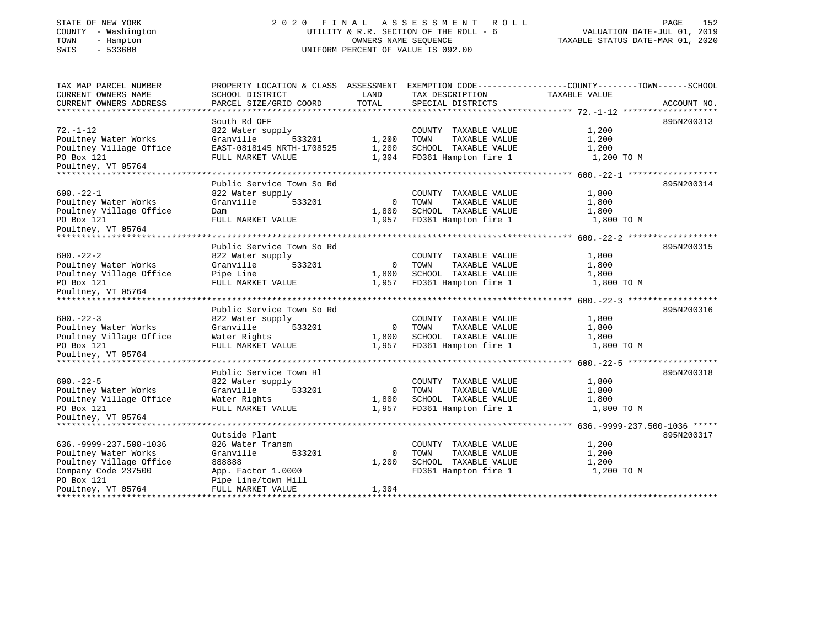### STATE OF NEW YORK 2 0 2 0 F I N A L A S S E S S M E N T R O L L PAGE 152COUNTY - Washington  $U1L1TY & R.R.$  SECTION OF THE ROLL - 6<br>TOWN - Hampton DATE-JUL 000NERS NAME SEQUENCE TOWN - Hampton OWNERS NAME SEQUENCE TAXABLE STATUS DATE-MAR 01, 2020 SWIS - 533600 UNIFORM PERCENT OF VALUE IS 092.00

# VALUATION DATE-JUL 01, 2019

| TAX MAP PARCEL NUMBER<br>CURRENT OWNERS NAME | SCHOOL DISTRICT           | LAND<br>TOTAL  | TAX DESCRIPTION       | PROPERTY LOCATION & CLASS ASSESSMENT EXEMPTION CODE----------------COUNTY-------TOWN------SCHOOL<br>TAXABLE VALUE |
|----------------------------------------------|---------------------------|----------------|-----------------------|-------------------------------------------------------------------------------------------------------------------|
| CURRENT OWNERS ADDRESS                       | PARCEL SIZE/GRID COORD    |                | SPECIAL DISTRICTS     | ACCOUNT NO.                                                                                                       |
|                                              | South Rd OFF              |                |                       | 895N200313                                                                                                        |
| $72. - 1 - 12$                               | 822 Water supply          |                | COUNTY TAXABLE VALUE  | 1,200                                                                                                             |
| Poultney Water Works                         | Granville<br>533201       | 1,200          | TOWN<br>TAXABLE VALUE | 1,200                                                                                                             |
| Poultney Village Office                      | EAST-0818145 NRTH-1708525 | 1,200          | SCHOOL TAXABLE VALUE  | 1,200                                                                                                             |
| PO Box 121                                   | FULL MARKET VALUE         | 1,304          | FD361 Hampton fire 1  | 1,200 TO M                                                                                                        |
| Poultney, VT 05764                           |                           |                |                       |                                                                                                                   |
|                                              |                           |                |                       |                                                                                                                   |
|                                              | Public Service Town So Rd |                |                       | 895N200314                                                                                                        |
| $600 - 22 - 1$                               | 822 Water supply          |                | COUNTY TAXABLE VALUE  | 1,800                                                                                                             |
| Poultney Water Works                         | Granville<br>533201       | $\mathbf{0}$   | TAXABLE VALUE<br>TOWN | 1,800                                                                                                             |
| Poultney Village Office                      | Dam                       | 1,800          | SCHOOL TAXABLE VALUE  | 1,800                                                                                                             |
| PO Box 121                                   | FULL MARKET VALUE         | 1,957          | FD361 Hampton fire 1  | 1,800 TO M                                                                                                        |
| Poultney, VT 05764                           |                           |                |                       |                                                                                                                   |
|                                              |                           |                |                       |                                                                                                                   |
|                                              | Public Service Town So Rd |                |                       | 895N200315                                                                                                        |
| $600 - 22 - 2$                               | 822 Water supply          |                | COUNTY TAXABLE VALUE  | 1,800                                                                                                             |
| Poultney Water Works                         | Granville<br>533201       | $\mathbf{0}$   | TOWN<br>TAXABLE VALUE | 1,800                                                                                                             |
| Poultney Village Office                      | Pipe Line                 | 1,800          | SCHOOL TAXABLE VALUE  | 1,800                                                                                                             |
| PO Box 121                                   | FULL MARKET VALUE         | 1,957          | FD361 Hampton fire 1  | 1,800 TO M                                                                                                        |
| Poultney, VT 05764                           |                           |                |                       |                                                                                                                   |
|                                              |                           |                |                       |                                                                                                                   |
|                                              | Public Service Town So Rd |                |                       | 895N200316                                                                                                        |
| $600 - 22 - 3$                               | 822 Water supply          |                | COUNTY TAXABLE VALUE  | 1,800                                                                                                             |
| Poultney Water Works                         | Granville<br>533201       | 0              | TOWN<br>TAXABLE VALUE | 1,800                                                                                                             |
| Poultney Village Office                      | Water Rights              | 1,800          | SCHOOL TAXABLE VALUE  | 1,800                                                                                                             |
| PO Box 121                                   | FULL MARKET VALUE         | 1,957          | FD361 Hampton fire 1  | 1,800 TO M                                                                                                        |
| Poultney, VT 05764                           |                           |                |                       |                                                                                                                   |
|                                              |                           |                |                       |                                                                                                                   |
|                                              | Public Service Town Hl    |                |                       | 895N200318                                                                                                        |
| $600 - 22 - 5$                               | 822 Water supply          |                | COUNTY TAXABLE VALUE  | 1,800                                                                                                             |
| Poultney Water Works                         | Granville<br>533201       | $\circ$        | TAXABLE VALUE<br>TOWN | 1,800                                                                                                             |
| Poultney Village Office                      | Water Rights              | 1,800          | SCHOOL TAXABLE VALUE  | 1,800                                                                                                             |
| PO Box 121                                   | FULL MARKET VALUE         | 1,957          | FD361 Hampton fire 1  | 1,800 TO M                                                                                                        |
| Poultney, VT 05764                           |                           |                |                       |                                                                                                                   |
|                                              |                           |                |                       |                                                                                                                   |
|                                              | Outside Plant             |                |                       | 895N200317                                                                                                        |
| 636. - 9999 - 237. 500 - 1036                | 826 Water Transm          |                | COUNTY TAXABLE VALUE  | 1,200                                                                                                             |
| Poultney Water Works                         | Granville<br>533201       | $\overline{0}$ | TOWN<br>TAXABLE VALUE | 1,200                                                                                                             |
| Poultney Village Office                      | 888888                    | 1,200          | SCHOOL TAXABLE VALUE  | 1,200                                                                                                             |
| Company Code 237500                          | App. Factor 1.0000        |                | FD361 Hampton fire 1  | 1,200 TO M                                                                                                        |
| PO Box 121                                   | Pipe Line/town Hill       |                |                       |                                                                                                                   |
| Poultney, VT 05764                           | FULL MARKET VALUE         | 1,304          |                       |                                                                                                                   |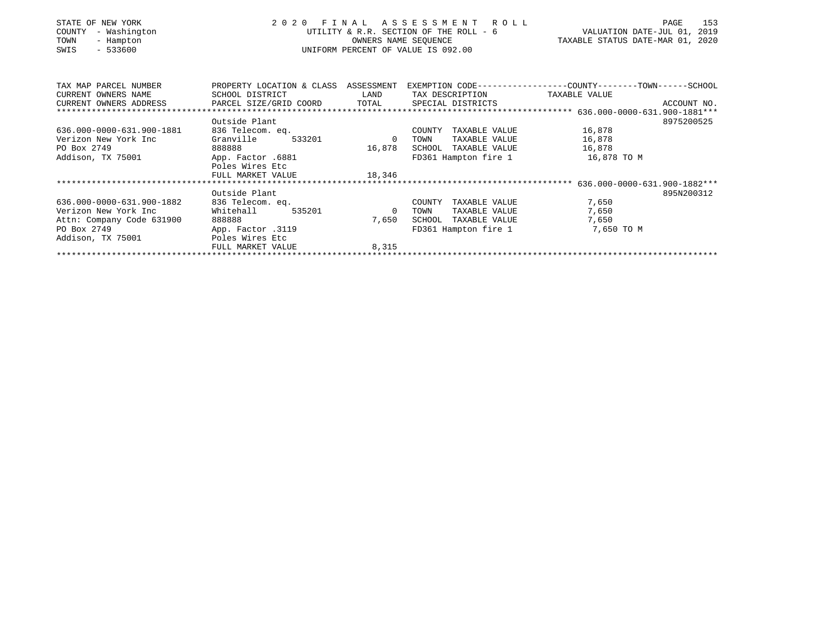| STATE OF NEW YORK<br>COUNTY<br>- Washington<br>TOWN<br>- Hampton<br>$-533600$<br>SWIS | 2020 FINAL ASSESSMENT ROLL<br>UTILITY & R.R. SECTION OF THE ROLL - 6<br>UNIFORM PERCENT OF VALUE IS 092.00 | 153<br>PAGE<br>VALUATION DATE-JUL 01, 2019<br>TAXABLE STATUS DATE-MAR 01, 2020 |                                 |                                                                                                                          |
|---------------------------------------------------------------------------------------|------------------------------------------------------------------------------------------------------------|--------------------------------------------------------------------------------|---------------------------------|--------------------------------------------------------------------------------------------------------------------------|
|                                                                                       |                                                                                                            |                                                                                |                                 | TAX MAP PARCEL NUMBER THE PROPERTY LOCATION & CLASS ASSESSMENT EXEMPTION CODE---------------COUNTY-------TOWN-----SCHOOL |
| CURRENT OWNERS NAME                                                                   | SCHOOL DISTRICT                                                                                            | LAND                                                                           | TAX DESCRIPTION TAXABLE VALUE   |                                                                                                                          |
| CURRENT OWNERS ADDRESS     PARCEL SIZE/GRID COORD     TOTAL     SPECIAL DISTRICTS     |                                                                                                            |                                                                                |                                 | ACCOUNT NO.                                                                                                              |
|                                                                                       |                                                                                                            |                                                                                |                                 |                                                                                                                          |
|                                                                                       | Outside Plant                                                                                              |                                                                                |                                 | 8975200525                                                                                                               |
| 636.000-0000-631.900-1881                                                             | 836 Telecom. eq.                                                                                           |                                                                                | COUNTY TAXABLE VALUE 16,878     |                                                                                                                          |
| Verizon New York Inc                                                                  | Granville<br>533201                                                                                        | $\overline{0}$                                                                 | TOWN                            | TAXABLE VALUE 16,878                                                                                                     |
| PO Box 2749                                                                           | 888888                                                                                                     | 16,878                                                                         | SCHOOL TAXABLE VALUE 16,878     |                                                                                                                          |
| Addison, TX 75001                                                                     | App. Factor .6881                                                                                          |                                                                                | FD361 Hampton fire 1            | 16,878 TO M                                                                                                              |
|                                                                                       | Poles Wires Etc                                                                                            |                                                                                |                                 |                                                                                                                          |
|                                                                                       | FULL MARKET VALUE                                                                                          | 18,346                                                                         |                                 |                                                                                                                          |
|                                                                                       |                                                                                                            |                                                                                |                                 |                                                                                                                          |
|                                                                                       | Outside Plant                                                                                              |                                                                                |                                 | 895N200312                                                                                                               |
| 636.000-0000-631.900-1882                                                             | 836 Telecom. eq.                                                                                           |                                                                                | COUNTY TAXABLE VALUE            | 7,650                                                                                                                    |
| Verizon New York Inc                                                                  | Whitehall<br>535201                                                                                        | $\sim$ 0                                                                       | TAXABLE VALUE<br>TOWN           | 7,650                                                                                                                    |
| Attn: Company Code 631900                                                             | 888888                                                                                                     | 7,650                                                                          | SCHOOL TAXABLE VALUE            | 7,650                                                                                                                    |
| PO Box 2749                                                                           | App. Factor .3119                                                                                          |                                                                                | FD361 Hampton fire 1 7,650 TO M |                                                                                                                          |
| Addison, TX 75001                                                                     | Poles Wires Etc                                                                                            |                                                                                |                                 |                                                                                                                          |
|                                                                                       | FULL MARKET VALUE                                                                                          | 8,315                                                                          |                                 |                                                                                                                          |
|                                                                                       |                                                                                                            |                                                                                |                                 |                                                                                                                          |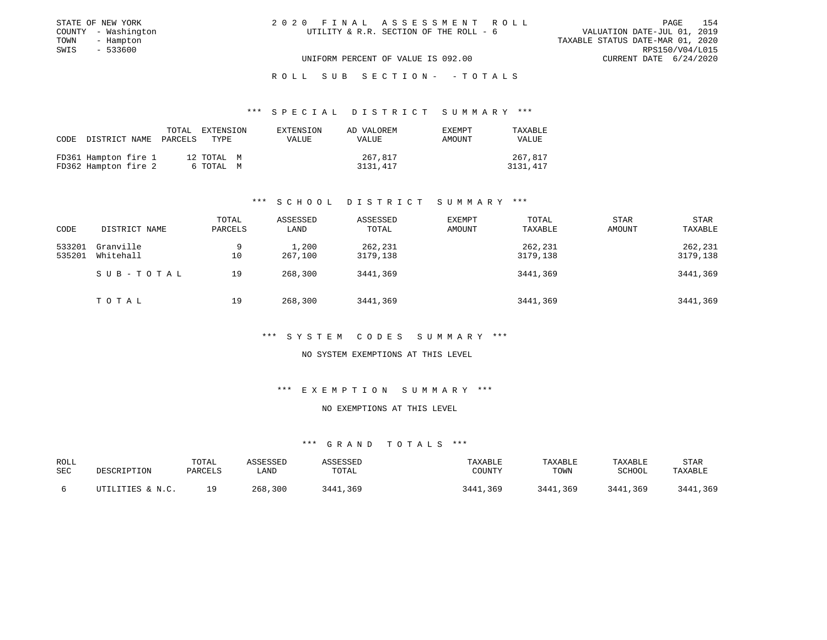| STATE OF NEW YORK   | 2020 FINAL ASSESSMENT ROLL             | 154<br>PAGE                      |
|---------------------|----------------------------------------|----------------------------------|
| COUNTY - Washington | UTILITY & R.R. SECTION OF THE ROLL - 6 | VALUATION DATE-JUL 01, 2019      |
| TOWN<br>- Hampton   |                                        | TAXABLE STATUS DATE-MAR 01, 2020 |
| SWIS<br>$-533600$   |                                        | RPS150/V04/L015                  |
|                     | UNIFORM PERCENT OF VALUE IS 092.00     | CURRENT DATE 6/24/2020           |

ROLL SUB SECTION - - TOTALS

#### \*\*\* S P E C I A L D I S T R I C T S U M M A R Y \*\*\*

| CODE DISTRICT NAME   |  | TOTAL | EXTENSION<br>PARCELS TYPE | EXTENSION<br>VALUE | AD VALOREM<br>VALUE | EXEMPT<br>AMOUNT | TAXABLE<br><b>VALUE</b> |
|----------------------|--|-------|---------------------------|--------------------|---------------------|------------------|-------------------------|
| FD361 Hampton fire 1 |  |       | 12 TOTAL M                |                    | 267,817             |                  | 267,817                 |
| FD362 Hampton fire 2 |  |       | 6 ТОТАL М                 |                    | 3131,417            |                  | 3131,417                |

### \*\*\* S C H O O L D I S T R I C T S U M M A R Y \*\*\*

|        |               | TOTAL   | ASSESSED | ASSESSED | EXEMPT | TOTAL    | <b>STAR</b> | <b>STAR</b> |
|--------|---------------|---------|----------|----------|--------|----------|-------------|-------------|
| CODE   | DISTRICT NAME | PARCELS | LAND     | TOTAL    | AMOUNT | TAXABLE  | AMOUNT      | TAXABLE     |
| 533201 | Granville     | 9       | 1,200    | 262,231  |        | 262,231  |             | 262,231     |
| 535201 | Whitehall     | 10      | 267,100  | 3179,138 |        | 3179,138 |             | 3179,138    |
|        | SUB-TOTAL     | 19      | 268,300  | 3441,369 |        | 3441,369 |             | 3441,369    |
|        | TOTAL         | 19      | 268,300  | 3441,369 |        | 3441,369 |             | 3441,369    |

#### \*\*\* S Y S T E M C O D E S S U M M A R Y \*\*\*

NO SYSTEM EXEMPTIONS AT THIS LEVEL

\*\*\* E X E M P T I O N S U M M A R Y \*\*\*

NO EXEMPTIONS AT THIS LEVEL

| ROLL<br>SEC | DESCRIPTION      | TOTAL<br>PARCELS | ∟AND       | SSESSEL<br>TOTAL | TAXABLE<br>COUNTY | TAXABLE<br>TOWN | TAXABLE<br>SCHOOL | STAR<br>TAXABLE |
|-------------|------------------|------------------|------------|------------------|-------------------|-----------------|-------------------|-----------------|
|             | UTILITIES & N.C. | າ ດ              | 300<br>268 | 2 A A *<br>. 369 | ,369<br>3441      | 3441,369        | 3441,369          | ,369<br>3441    |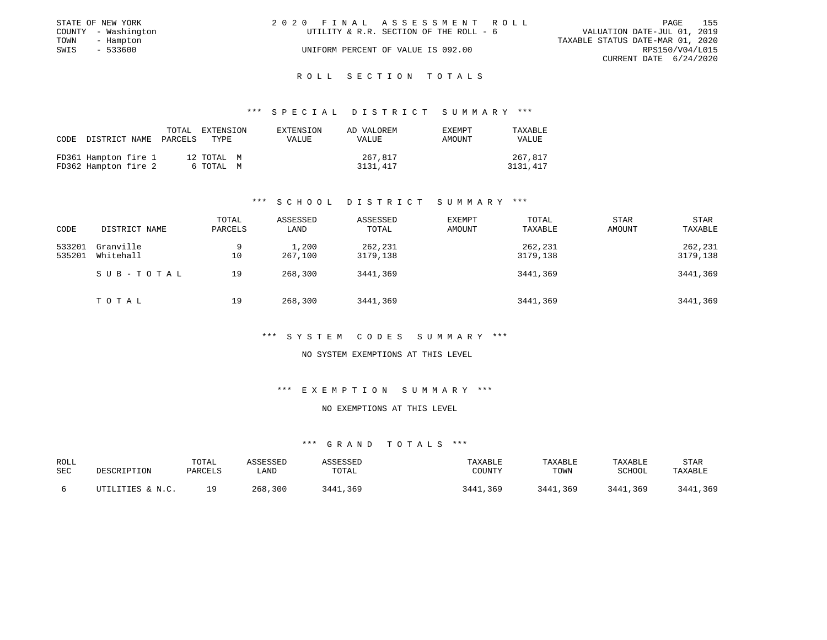|      | STATE OF NEW YORK   | 2020 FINAL ASSESSMENT ROLL |                                        |                                  |                        | PAGE | 155 |
|------|---------------------|----------------------------|----------------------------------------|----------------------------------|------------------------|------|-----|
|      | COUNTY - Washington |                            | UTILITY & R.R. SECTION OF THE ROLL - 6 | VALUATION DATE-JUL 01, 2019      |                        |      |     |
| TOWN | - Hampton           |                            |                                        | TAXABLE STATUS DATE-MAR 01, 2020 |                        |      |     |
| SWIS | $-533600$           |                            | UNIFORM PERCENT OF VALUE IS 092.00     |                                  | RPS150/V04/L015        |      |     |
|      |                     |                            |                                        |                                  | CURRENT DATE 6/24/2020 |      |     |

### ROLL SECTION TOTALS

#### \*\*\* S P E C I A L D I S T R I C T S U M M A R Y \*\*\*

|                      | TOTAL<br>CODE DISTRICT NAME PARCELS | EXTENSION<br>TYPE. | EXTENSION<br>VALUE | AD VALOREM<br><b>VALUE</b> | <b>EXEMPT</b><br>AMOUNT | TAXABLE<br><b>VALUE</b> |
|----------------------|-------------------------------------|--------------------|--------------------|----------------------------|-------------------------|-------------------------|
| FD361 Hampton fire 1 |                                     | 12 TOTAL M         |                    | 267,817                    |                         | 267,817                 |
| FD362 Hampton fire 2 |                                     | 6 TOTAL M          |                    | 3131,417                   |                         | 3131,417                |

### \*\*\* S C H O O L D I S T R I C T S U M M A R Y \*\*\*

|        |               | TOTAL   | ASSESSED | ASSESSED | EXEMPT | TOTAL    | <b>STAR</b> | <b>STAR</b> |
|--------|---------------|---------|----------|----------|--------|----------|-------------|-------------|
| CODE   | DISTRICT NAME | PARCELS | LAND     | TOTAL    | AMOUNT | TAXABLE  | AMOUNT      | TAXABLE     |
| 533201 | Granville     | 9       | 1,200    | 262,231  |        | 262,231  |             | 262,231     |
| 535201 | Whitehall     | 10      | 267,100  | 3179,138 |        | 3179,138 |             | 3179,138    |
|        | SUB-TOTAL     | 19      | 268,300  | 3441,369 |        | 3441,369 |             | 3441,369    |
|        | TOTAL         | 19      | 268,300  | 3441,369 |        | 3441,369 |             | 3441,369    |

#### \*\*\* S Y S T E M C O D E S S U M M A R Y \*\*\*

NO SYSTEM EXEMPTIONS AT THIS LEVEL

\*\*\* E X E M P T I O N S U M M A R Y \*\*\*

NO EXEMPTIONS AT THIS LEVEL

| ROLL<br>SEC | DESCRIPTION      | TOTAL<br>PARCELS | ∟AND       | SSESSEL<br>TOTAL | TAXABLE<br>COUNTY | TAXABLE<br>TOWN | TAXABLE<br>SCHOOL | STAR<br>TAXABLE |
|-------------|------------------|------------------|------------|------------------|-------------------|-----------------|-------------------|-----------------|
|             | UTILITIES & N.C. | າ ດ              | 300<br>268 | 2 A A *<br>. 369 | ,369<br>3441      | 3441,369        | 3441,369          | ,369<br>3441    |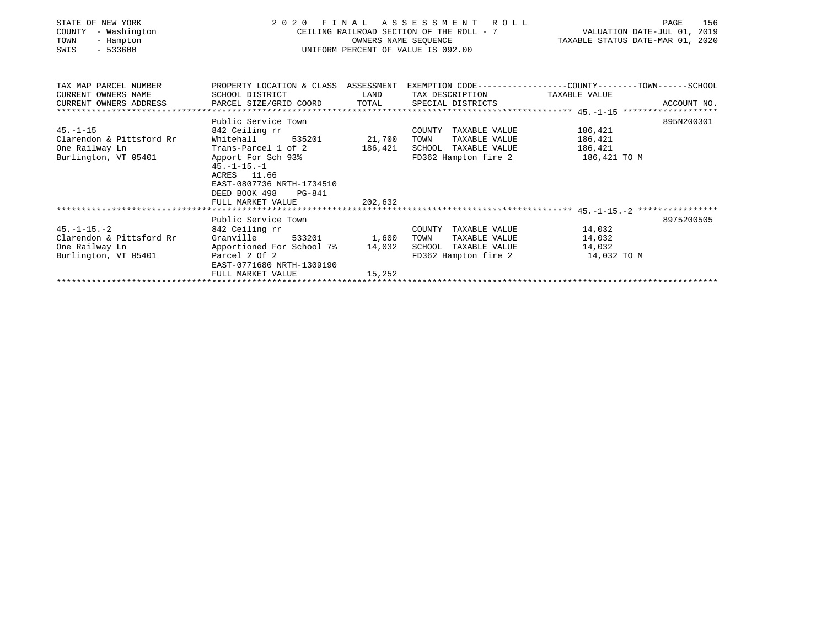| STATE OF NEW YORK<br>- Washington<br>COUNTY<br>TOWN<br>- Hampton<br>$-533600$<br>SWIS          | 2 0 2 0                                                                                                                                                                                                 | OWNERS NAME SEQUENCE      | FINAL ASSESSMENT ROLL<br>CEILING RAILROAD SECTION OF THE ROLL - 7<br>UNIFORM PERCENT OF VALUE IS 092.00 | 156<br>PAGE<br>VALUATION DATE-JUL 01, 2019<br>TAXABLE STATUS DATE-MAR 01, 2020                                |
|------------------------------------------------------------------------------------------------|---------------------------------------------------------------------------------------------------------------------------------------------------------------------------------------------------------|---------------------------|---------------------------------------------------------------------------------------------------------|---------------------------------------------------------------------------------------------------------------|
| TAX MAP PARCEL NUMBER<br>CURRENT OWNERS NAME<br>CURRENT OWNERS ADDRESS<br>******************** | SCHOOL DISTRICT<br>PARCEL SIZE/GRID COORD                                                                                                                                                               | LAND<br>TOTAL             | TAX DESCRIPTION TAXABLE VALUE<br>SPECIAL DISTRICTS                                                      | PROPERTY LOCATION & CLASS ASSESSMENT EXEMPTION CODE---------------COUNTY-------TOWN-----SCHOOL<br>ACCOUNT NO. |
| $45. - 1 - 15$<br>Clarendon & Pittsford Rr<br>One Railway Ln<br>Burlington, VT 05401           | Public Service Town<br>842 Ceiling rr<br>Whitehall<br>535201<br>Trans-Parcel 1 of 2<br>Apport For Sch 93%<br>$45. - 1 - 15. - 1$<br>ACRES 11.66<br>EAST-0807736 NRTH-1734510<br>DEED BOOK 498<br>PG-841 | 21,700<br>186,421         | COUNTY TAXABLE VALUE<br>TOWN<br>TAXABLE VALUE<br>SCHOOL TAXABLE VALUE<br>FD362 Hampton fire 2           | 895N200301<br>186,421<br>186,421<br>186,421<br>186,421 TO M                                                   |
|                                                                                                | FULL MARKET VALUE                                                                                                                                                                                       | 202,632                   |                                                                                                         |                                                                                                               |
|                                                                                                | Public Service Town                                                                                                                                                                                     |                           |                                                                                                         | 8975200505                                                                                                    |
| $45. -1 - 15. -2$<br>Clarendon & Pittsford Rr<br>One Railway Ln<br>Burlington, VT 05401        | 842 Ceiling rr<br>Granville<br>533201<br>Apportioned For School 7%<br>Parcel 2 Of 2<br>EAST-0771680 NRTH-1309190<br>FULL MARKET VALUE                                                                   | 1,600<br>14,032<br>15,252 | COUNTY TAXABLE VALUE<br>TAXABLE VALUE<br>TOWN<br>SCHOOL TAXABLE VALUE<br>FD362 Hampton fire 2           | 14,032<br>14,032<br>14,032<br>14,032 TO M                                                                     |
|                                                                                                |                                                                                                                                                                                                         |                           |                                                                                                         |                                                                                                               |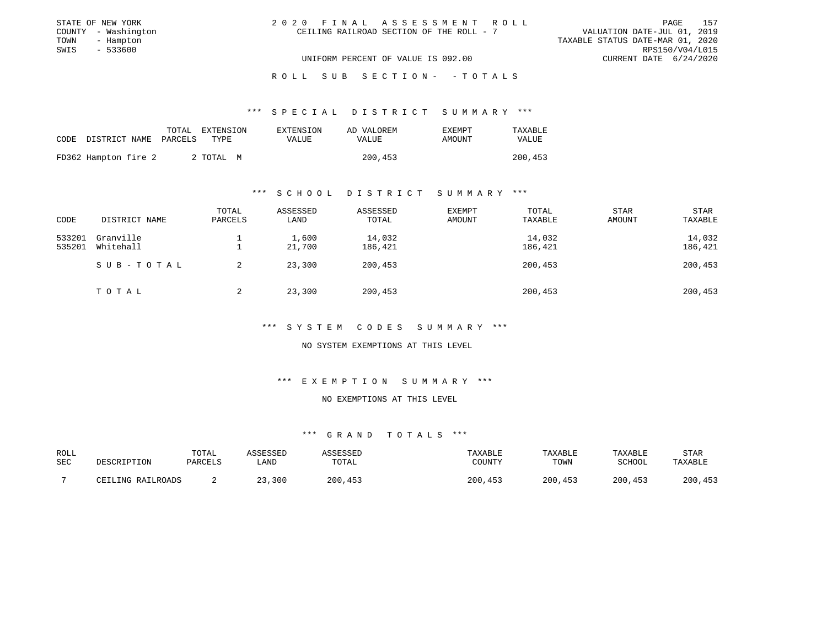| STATE OF NEW YORK   | 2020 FINAL ASSESSMENT ROLL               |                                  | PAGE                   | 157 |
|---------------------|------------------------------------------|----------------------------------|------------------------|-----|
| COUNTY - Washington | CEILING RAILROAD SECTION OF THE ROLL - 7 | VALUATION DATE-JUL 01, 2019      |                        |     |
| TOWN<br>- Hampton   |                                          | TAXABLE STATUS DATE-MAR 01, 2020 |                        |     |
| SWIS<br>- 533600    |                                          |                                  | RPS150/V04/L015        |     |
|                     | UNIFORM PERCENT OF VALUE IS 092.00       |                                  | CURRENT DATE 6/24/2020 |     |

ROLL SUB SECTION - - TOTALS

#### \*\*\* S P E C I A L D I S T R I C T S U M M A R Y \*\*\*

|                            | TOTAL | EXTENSION | EXTENSION | AD VALOREM | EXEMPT | TAXABLE |
|----------------------------|-------|-----------|-----------|------------|--------|---------|
| CODE DISTRICT NAME PARCELS |       | TYPE.     | VALUE     | VALUE      | AMOUNT | VALUE   |
| FD362 Hampton fire 2       |       | 2 ТОТАЬ М |           | 200,453    |        | 200,453 |

#### \*\*\* S C H O O L D I S T R I C T S U M M A R Y \*\*\*

| CODE             | DISTRICT NAME          | TOTAL<br>PARCELS | ASSESSED<br>LAND | ASSESSED<br>TOTAL | EXEMPT<br>AMOUNT | TOTAL<br>TAXABLE  | STAR<br>AMOUNT | <b>STAR</b><br>TAXABLE |
|------------------|------------------------|------------------|------------------|-------------------|------------------|-------------------|----------------|------------------------|
| 533201<br>535201 | Granville<br>Whitehall |                  | 1,600<br>21,700  | 14,032<br>186,421 |                  | 14,032<br>186,421 |                | 14,032<br>186,421      |
|                  | SUB-TOTAL              |                  | 23,300           | 200,453           |                  | 200,453           |                | 200,453                |
|                  | TOTAL                  | ▵                | 23,300           | 200,453           |                  | 200,453           |                | 200,453                |

#### \*\*\* S Y S T E M C O D E S S U M M A R Y \*\*\*

### NO SYSTEM EXEMPTIONS AT THIS LEVEL

### \*\*\* E X E M P T I O N S U M M A R Y \*\*\*

#### NO EXEMPTIONS AT THIS LEVEL

| ROLL |                   | TOTAL   | ASSESSED | ASSESSED | TAXABLE | TAXABLE | TAXABLE | STAR    |
|------|-------------------|---------|----------|----------|---------|---------|---------|---------|
| SEC  | DESCRIPTION       | PARCELS | LAND     | TOTAL    | COUNTY  | TOWN    | SCHOOL  | TAXABLF |
|      | CEILING RAILROADS |         | 23,300   | 200,453  | 200,453 | 200,453 | 200,453 | 200,453 |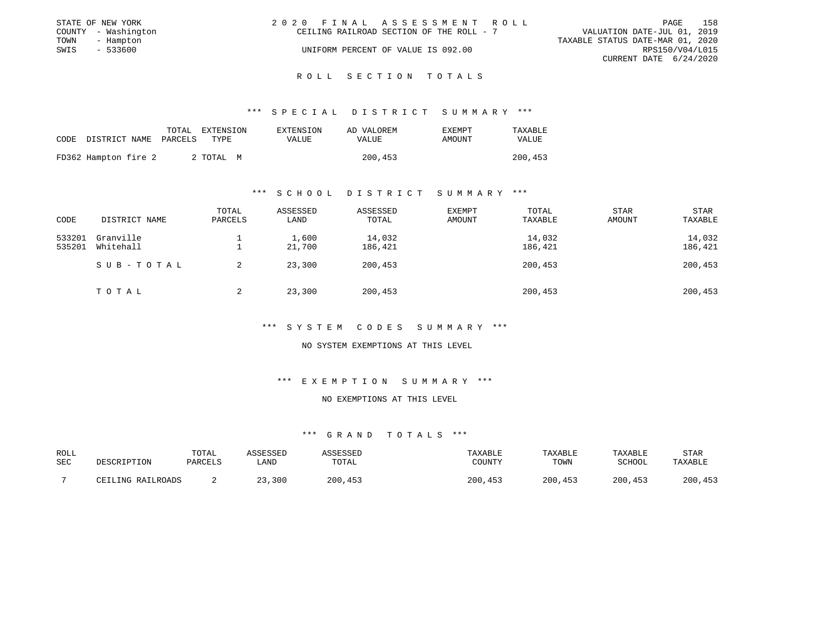|      | STATE OF NEW YORK   | 2020 FINAL ASSESSMENT ROLL                                              | PAGE            | 158 |
|------|---------------------|-------------------------------------------------------------------------|-----------------|-----|
|      | COUNTY - Washington | VALUATION DATE-JUL 01, 2019<br>CEILING RAILROAD SECTION OF THE ROLL - 7 |                 |     |
| TOWN | - Hampton           | TAXABLE STATUS DATE-MAR 01, 2020                                        |                 |     |
| SWIS | $-533600$           | UNIFORM PERCENT OF VALUE IS 092.00                                      | RPS150/V04/L015 |     |
|      |                     | CURRENT DATE 6/24/2020                                                  |                 |     |
|      |                     |                                                                         |                 |     |

#### R O L L S E C T I O N T O T A L S

#### \*\*\* S P E C I A L D I S T R I C T S U M M A R Y \*\*\*

|                                 | TOTAL | EXTENSION | EXTENSION | AD VALOREM | EXEMPT | TAXABLE |
|---------------------------------|-------|-----------|-----------|------------|--------|---------|
| CODE DISTRICT NAME PARCELS TYPE |       |           | VALUE.    | VALUE      | AMOUNT | VALUE   |
| FD362 Hampton fire 2            |       | 2 ТОТАЬ М |           | 200,453    |        | 200,453 |

#### \*\*\* S C H O O L D I S T R I C T S U M M A R Y \*\*\*

| CODE             | DISTRICT NAME          | TOTAL<br>PARCELS | ASSESSED<br>LAND | ASSESSED<br>TOTAL | EXEMPT<br>AMOUNT | TOTAL<br>TAXABLE  | STAR<br>AMOUNT | <b>STAR</b><br>TAXABLE |
|------------------|------------------------|------------------|------------------|-------------------|------------------|-------------------|----------------|------------------------|
| 533201<br>535201 | Granville<br>Whitehall |                  | 1,600<br>21,700  | 14,032<br>186,421 |                  | 14,032<br>186,421 |                | 14,032<br>186,421      |
|                  | SUB-TOTAL              |                  | 23,300           | 200,453           |                  | 200,453           |                | 200,453                |
|                  | TOTAL                  | ▵                | 23,300           | 200,453           |                  | 200,453           |                | 200,453                |

#### \*\*\* S Y S T E M C O D E S S U M M A R Y \*\*\*

### NO SYSTEM EXEMPTIONS AT THIS LEVEL

### \*\*\* E X E M P T I O N S U M M A R Y \*\*\*

#### NO EXEMPTIONS AT THIS LEVEL

| ROLL |                   | TOTAL   | ASSESSED | ASSESSED | TAXABLE | TAXABLE | TAXABLE | STAR    |
|------|-------------------|---------|----------|----------|---------|---------|---------|---------|
| SEC  | DESCRIPTION       | PARCELS | LAND     | TOTAL    | COUNTY  | TOWN    | SCHOOL  | TAXABLF |
|      | CEILING RAILROADS |         | 23,300   | 200,453  | 200,453 | 200,453 | 200,453 | 200,453 |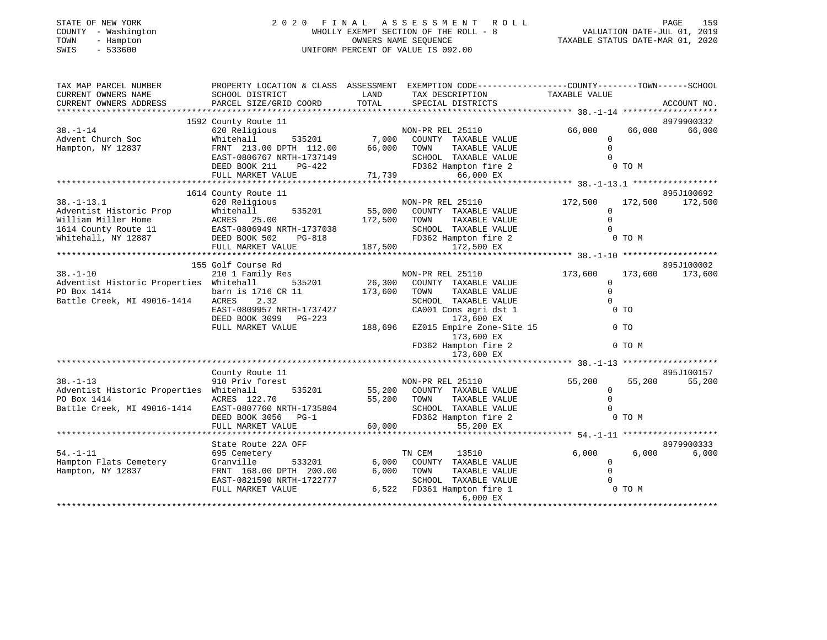| STATE OF NEW YORK   | 2020 FINAL ASSESSMENT ROLL            | 159<br>PAGE                      |
|---------------------|---------------------------------------|----------------------------------|
| COUNTY - Washington | WHOLLY EXEMPT SECTION OF THE ROLL - 8 | VALUATION DATE-JUL 01, 2019      |
| TOWN<br>- Hampton   | OWNERS NAME SEOUENCE                  | TAXABLE STATUS DATE-MAR 01, 2020 |
| SWIS<br>- 533600    | UNIFORM PERCENT OF VALUE IS 092.00    |                                  |
|                     |                                       |                                  |
|                     |                                       |                                  |

| TAX MAP PARCEL NUMBER<br>CURRENT OWNERS NAME                                                                                                        | PROPERTY LOCATION & CLASS ASSESSMENT EXEMPTION CODE---------------COUNTY-------TOWN------SCHOOL<br>SCHOOL DISTRICT                                                                                                   |               | TAX DESCRIPTION                                                                           | TAXABLE VALUE                 |        |                 |
|-----------------------------------------------------------------------------------------------------------------------------------------------------|----------------------------------------------------------------------------------------------------------------------------------------------------------------------------------------------------------------------|---------------|-------------------------------------------------------------------------------------------|-------------------------------|--------|-----------------|
| CURRENT OWNERS ADDRESS                                                                                                                              | PARCEL SIZE/GRID COORD                                                                                                                                                                                               | LAND<br>TOTAL | SPECIAL DISTRICTS                                                                         |                               |        | ACCOUNT NO.     |
|                                                                                                                                                     |                                                                                                                                                                                                                      |               |                                                                                           |                               |        |                 |
|                                                                                                                                                     | 1592 County Route 11<br>County Route 11<br>620 Religious<br>Whitehall 535201 7,000 COUNTY TAXABLE VALUE<br>FRNT 213.00 DPTH 112.00 66,000 TOWN TAXABLE VALUE<br>FRNT 213.00 DPTH 1111.00 66,000 COUNTY TAXABLE VALUE |               |                                                                                           |                               |        | 8979900332      |
| $38. - 1 - 14$<br>Advent Church Soc                                                                                                                 |                                                                                                                                                                                                                      |               |                                                                                           | 66,000 66,000<br>$\mathbf{0}$ |        | 66,000          |
| Hampton, NY 12837                                                                                                                                   |                                                                                                                                                                                                                      |               |                                                                                           | $\Omega$                      |        |                 |
|                                                                                                                                                     |                                                                                                                                                                                                                      |               |                                                                                           | $\bigcap$                     |        |                 |
|                                                                                                                                                     |                                                                                                                                                                                                                      |               |                                                                                           |                               | 0 TO M |                 |
|                                                                                                                                                     | EAST-0806767 NRTH-1737149 SCHOOL TAXABLE VALUE<br>DEED BOOK 211 PG-422 FD362 Hampton fire 2<br>FULL MARKET VALUE 71,739 66,000 EX                                                                                    |               |                                                                                           |                               |        |                 |
|                                                                                                                                                     |                                                                                                                                                                                                                      |               |                                                                                           |                               |        |                 |
|                                                                                                                                                     | 1614 County Route 11                                                                                                                                                                                                 |               |                                                                                           |                               |        | 895J100692      |
|                                                                                                                                                     |                                                                                                                                                                                                                      |               |                                                                                           |                               |        |                 |
|                                                                                                                                                     |                                                                                                                                                                                                                      |               |                                                                                           |                               |        |                 |
|                                                                                                                                                     |                                                                                                                                                                                                                      |               |                                                                                           |                               |        |                 |
|                                                                                                                                                     |                                                                                                                                                                                                                      |               |                                                                                           |                               |        |                 |
|                                                                                                                                                     |                                                                                                                                                                                                                      |               |                                                                                           |                               |        |                 |
|                                                                                                                                                     |                                                                                                                                                                                                                      |               |                                                                                           |                               |        |                 |
|                                                                                                                                                     | 155 Golf Course Rd                                                                                                                                                                                                   |               |                                                                                           |                               |        | 895J100002      |
| $38. - 1 - 10$<br>Adventist Historic Properties Whitehall                                                                                           | 210 1 Family Res                                                                                                                                                                                                     |               |                                                                                           | 173,600<br>$\mathbf{0}$       |        | 173,600 173,600 |
| PO Box 1414                                                                                                                                         |                                                                                                                                                                                                                      |               | NON-PRIED 2001<br>Res<br>535201 26,300 COUNTY TAXABLE VALUE<br>173.600 TOWN TAXABLE VALUE | $\Omega$                      |        |                 |
| Battle Creek, MI 49016-1414 ACRES 2.32                                                                                                              |                                                                                                                                                                                                                      |               | SCHOOL TAXABLE VALUE                                                                      | $\Omega$                      |        |                 |
|                                                                                                                                                     | barn is 1716 CR 11 173,60<br>ACRES 2.32 EAST-0809957 NRTH-1737427                                                                                                                                                    |               | CA001 Cons agri dst 1                                                                     |                               | $0$ TO |                 |
|                                                                                                                                                     |                                                                                                                                                                                                                      |               |                                                                                           |                               |        |                 |
|                                                                                                                                                     |                                                                                                                                                                                                                      |               |                                                                                           | 0 <sub>T</sub>                |        |                 |
|                                                                                                                                                     |                                                                                                                                                                                                                      |               |                                                                                           |                               |        |                 |
|                                                                                                                                                     |                                                                                                                                                                                                                      |               | FD362 Hampton fire 2                                                                      |                               | 0 TO M |                 |
|                                                                                                                                                     |                                                                                                                                                                                                                      |               | 173,600 EX                                                                                |                               |        |                 |
|                                                                                                                                                     | County Route 11                                                                                                                                                                                                      |               |                                                                                           |                               |        | 895J100157      |
| $38. - 1 - 13$                                                                                                                                      | 910 Priv forest                                                                                                                                                                                                      |               | NON-PR REL 25110                                                                          | 55,200                        | 55,200 | 55,200          |
| Adventist Historic Properties Whitehall                                                                                                             | 535201                                                                                                                                                                                                               |               |                                                                                           | $\overline{0}$                |        |                 |
|                                                                                                                                                     |                                                                                                                                                                                                                      |               | 55,200 COUNTY TAXABLE VALUE<br>55,200 TOWN TAXABLE VALUE                                  | $\Omega$                      |        |                 |
| PO Box 1414<br>PO Box 1414<br>Battle Creek, MI 49016-1414 EAST-0807760 NRTH-1735804 SCHOOL TAXABLE VALUE<br>PER POOK 3056 PG-1 FD362 Hampton fire 2 |                                                                                                                                                                                                                      |               |                                                                                           | $\cap$                        |        |                 |
|                                                                                                                                                     |                                                                                                                                                                                                                      |               |                                                                                           |                               | 0 TO M |                 |
|                                                                                                                                                     | FULL MARKET VALUE                                                                                                                                                                                                    | 60,000        | 55,200 EX                                                                                 |                               |        |                 |
|                                                                                                                                                     |                                                                                                                                                                                                                      |               |                                                                                           |                               |        | 8979900333      |
| $54. - 1 - 11$                                                                                                                                      | State Route 22A OFF<br>695 Cemetery                                                                                                                                                                                  |               | TN CEM<br>13510                                                                           | 6,000                         | 6,000  | 6,000           |
| Hampton Flats Cemetery                                                                                                                              | Granville                                                                                                                                                                                                            |               | 533201 6,000 COUNTY TAXABLE VALUE                                                         | $\Omega$                      |        |                 |
| Hampton, NY 12837                                                                                                                                   | FRNT 168.00 DPTH 200.00 6,000 TOWN                                                                                                                                                                                   |               | TAXABLE VALUE                                                                             | $\Omega$                      |        |                 |
|                                                                                                                                                     | EAST-0821590 NRTH-1722777                                                                                                                                                                                            |               |                                                                                           |                               |        |                 |
|                                                                                                                                                     | FULL MARKET VALUE                                                                                                                                                                                                    |               | SCHOOL TAXABLE VALUE 0<br>6,522 FD361 Hampton fire 1 0 0 TO M                             |                               |        |                 |
|                                                                                                                                                     |                                                                                                                                                                                                                      |               | 6,000 EX                                                                                  |                               |        |                 |
|                                                                                                                                                     |                                                                                                                                                                                                                      |               |                                                                                           |                               |        |                 |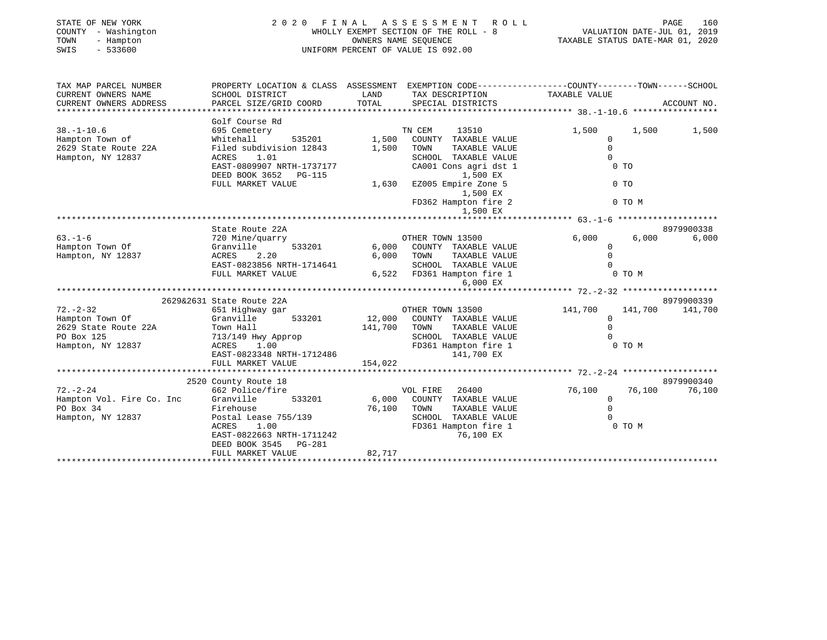| STATE OF NEW YORK<br>COUNTY - Washington<br>TOWN<br>- Hampton<br>SWIS<br>$-533600$ |                                                                                                  |                  | 2020 FINAL ASSESSMENT ROLL<br>WHOLLY EXEMPT SECTION OF THE ROLL - 8<br>OWNERS NAME SEQUENCE<br>UNIFORM PERCENT OF VALUE IS 092.00 | PAGE<br>160<br>PAGE 160<br>VALUATION DATE-JUL 01, 2019<br>TAXABLE STATUS DATE-MAR 01, 2020 |                |                 |  |  |
|------------------------------------------------------------------------------------|--------------------------------------------------------------------------------------------------|------------------|-----------------------------------------------------------------------------------------------------------------------------------|--------------------------------------------------------------------------------------------|----------------|-----------------|--|--|
| TAX MAP PARCEL NUMBER                                                              | PROPERTY LOCATION & CLASS ASSESSMENT EXEMPTION CODE----------------COUNTY-------TOWN------SCHOOL |                  |                                                                                                                                   |                                                                                            |                |                 |  |  |
| CURRENT OWNERS NAME<br>CURRENT OWNERS ADDRESS                                      | SCHOOL DISTRICT<br>PARCEL SIZE/GRID COORD                                                        | LAND<br>TOTAL    | TAX DESCRIPTION TAXABLE VALUE<br>SPECIAL DISTRICTS                                                                                |                                                                                            |                | ACCOUNT NO.     |  |  |
|                                                                                    | Golf Course Rd                                                                                   |                  |                                                                                                                                   |                                                                                            |                |                 |  |  |
| $38. - 1 - 10.6$                                                                   | 695 Cemetery                                                                                     |                  | TN CEM<br>13510                                                                                                                   | 1,500                                                                                      | 1,500          | 1,500           |  |  |
| Hampton Town of                                                                    | Whitehall                                                                                        | $535201$ $1,500$ | COUNTY TAXABLE VALUE                                                                                                              | $\circ$                                                                                    |                |                 |  |  |
| 2629 State Route 22A                                                               | Filed subdivision 12843 1,500                                                                    |                  | TAXABLE VALUE<br>TOWN                                                                                                             | $\Omega$                                                                                   |                |                 |  |  |
| Hampton, NY 12837                                                                  | ACRES 1.01                                                                                       |                  | SCHOOL TAXABLE VALUE                                                                                                              | $\Omega$                                                                                   |                |                 |  |  |
|                                                                                    | ACRES 1.01<br>EAST-0809907 NRTH-1737177                                                          |                  | CA001 Cons agri dst 1                                                                                                             |                                                                                            | 0 <sub>T</sub> |                 |  |  |
|                                                                                    | DEED BOOK 3652 PG-115                                                                            |                  | 1,500 EX                                                                                                                          |                                                                                            |                |                 |  |  |
|                                                                                    | FULL MARKET VALUE                                                                                | 1,630            | EZ005 Empire Zone 5                                                                                                               |                                                                                            | 0 <sub>T</sub> |                 |  |  |
|                                                                                    |                                                                                                  |                  |                                                                                                                                   |                                                                                            |                |                 |  |  |
|                                                                                    |                                                                                                  |                  | 1,500 EX<br>FD362 Hampton fire 2                                                                                                  |                                                                                            | 0 TO M         |                 |  |  |
|                                                                                    |                                                                                                  |                  | 1,500 EX                                                                                                                          |                                                                                            |                |                 |  |  |
|                                                                                    |                                                                                                  |                  |                                                                                                                                   | ********************* 63.-1-6 *********************                                        |                |                 |  |  |
|                                                                                    | State Route 22A                                                                                  |                  |                                                                                                                                   |                                                                                            |                | 8979900338      |  |  |
| $63 - 1 - 6$                                                                       | 720 Mine/quarry                                                                                  |                  | OTHER TOWN 13500                                                                                                                  | 6,000                                                                                      | 6,000          | 6,000           |  |  |
| Hampton Town Of                                                                    | 533201<br>Granville                                                                              | 6,000            | COUNTY TAXABLE VALUE                                                                                                              | $\Omega$                                                                                   |                |                 |  |  |
| Hampton, NY 12837                                                                  | 2.20<br>ACRES                                                                                    | 6,000            | TAXABLE VALUE<br>TOWN                                                                                                             | $\Omega$                                                                                   |                |                 |  |  |
|                                                                                    | EAST-0823856 NRTH-1714641                                                                        |                  | SCHOOL TAXABLE VALUE                                                                                                              | $\Omega$                                                                                   |                |                 |  |  |
|                                                                                    | FULL MARKET VALUE                                                                                |                  | 6,522 FD361 Hampton fire 1                                                                                                        |                                                                                            | 0 TO M         |                 |  |  |
|                                                                                    |                                                                                                  |                  | 6,000 EX                                                                                                                          |                                                                                            |                |                 |  |  |
|                                                                                    |                                                                                                  |                  |                                                                                                                                   |                                                                                            |                |                 |  |  |
|                                                                                    | 2629&2631 State Route 22A                                                                        |                  |                                                                                                                                   |                                                                                            |                | 8979900339      |  |  |
| $72. - 2 - 32$                                                                     | 651 Highway gar                                                                                  |                  | OTHER TOWN 13500                                                                                                                  | 141,700                                                                                    |                | 141,700 141,700 |  |  |
| Hampton Town Of                                                                    | Granville<br>533201                                                                              | 12,000           | COUNTY TAXABLE VALUE                                                                                                              | $\mathbf 0$                                                                                |                |                 |  |  |
| 2629 State Route 22A                                                               | Town Hall                                                                                        | 141,700          | TAXABLE VALUE<br>TOWN                                                                                                             | $\Omega$                                                                                   |                |                 |  |  |
| PO Box 125                                                                         | 713/149 Hwy Approp                                                                               |                  | SCHOOL TAXABLE VALUE                                                                                                              |                                                                                            |                |                 |  |  |
| Hampton, NY 12837                                                                  | ACRES 1.00                                                                                       |                  | FD361 Hampton fire 1                                                                                                              |                                                                                            | $0$ TO M       |                 |  |  |
|                                                                                    | EAST-0823348 NRTH-1712486                                                                        |                  | 141,700 EX                                                                                                                        |                                                                                            |                |                 |  |  |
|                                                                                    | FULL MARKET VALUE                                                                                | 154,022          |                                                                                                                                   |                                                                                            |                |                 |  |  |
|                                                                                    |                                                                                                  |                  |                                                                                                                                   |                                                                                            |                |                 |  |  |
|                                                                                    | 2520 County Route 18                                                                             |                  |                                                                                                                                   |                                                                                            |                | 8979900340      |  |  |
| $72. - 2 - 24$                                                                     | 662 Police/fire                                                                                  |                  | VOL FIRE<br>26400                                                                                                                 | 76,100                                                                                     | 76,100         | 76,100          |  |  |
| Hampton Vol. Fire Co. Inc                                                          | Granville<br>533201                                                                              | 6,000            | COUNTY TAXABLE VALUE                                                                                                              | $\overline{0}$                                                                             |                |                 |  |  |
| PO Box 34                                                                          | Firehouse                                                                                        | 76,100           | TAXABLE VALUE<br>TOWN                                                                                                             | $\Omega$                                                                                   |                |                 |  |  |
| Hampton, NY 12837                                                                  |                                                                                                  |                  | SCHOOL TAXABLE VALUE                                                                                                              | $\Omega$                                                                                   |                |                 |  |  |
|                                                                                    | Postal Lease 755/139<br>ACRES      1.00                                                          |                  | FD361 Hampton fire 1                                                                                                              |                                                                                            | 0 TO M         |                 |  |  |
|                                                                                    | EAST-0822663 NRTH-1711242                                                                        |                  | 76,100 EX                                                                                                                         |                                                                                            |                |                 |  |  |
|                                                                                    | DEED BOOK 3545 PG-281                                                                            |                  |                                                                                                                                   |                                                                                            |                |                 |  |  |
|                                                                                    | FULL MARKET VALUE                                                                                | 82,717           |                                                                                                                                   |                                                                                            |                |                 |  |  |

\*\*\*\*\*\*\*\*\*\*\*\*\*\*\*\*\*\*\*\*\*\*\*\*\*\*\*\*\*\*\*\*\*\*\*\*\*\*\*\*\*\*\*\*\*\*\*\*\*\*\*\*\*\*\*\*\*\*\*\*\*\*\*\*\*\*\*\*\*\*\*\*\*\*\*\*\*\*\*\*\*\*\*\*\*\*\*\*\*\*\*\*\*\*\*\*\*\*\*\*\*\*\*\*\*\*\*\*\*\*\*\*\*\*\*\*\*\*\*\*\*\*\*\*\*\*\*\*\*\*\*\*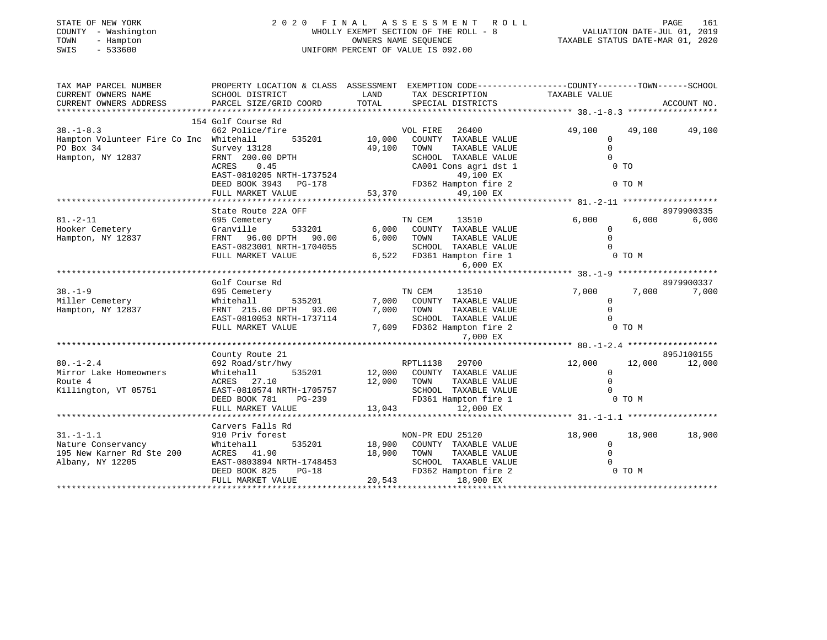| COUNTY<br>- Washington<br>TOWN<br>- Hampton<br>$-533600$<br>SWIS |                                                          |              | WHOLLY EXEMPT SECTION OF THE ROLL - 8<br>OWNERS NAME SEQUENCE<br>UNIFORM PERCENT OF VALUE IS 092.00 |                                                                               | VALUATION DATE-JUL 01, 2019<br>TAXABLE STATUS DATE-MAR 01, 2020 |  |  |  |
|------------------------------------------------------------------|----------------------------------------------------------|--------------|-----------------------------------------------------------------------------------------------------|-------------------------------------------------------------------------------|-----------------------------------------------------------------|--|--|--|
| TAX MAP PARCEL NUMBER<br>CURRENT OWNERS NAME                     | PROPERTY LOCATION & CLASS ASSESSMENT<br>SCHOOL DISTRICT  | LAND         | TAX DESCRIPTION                                                                                     | EXEMPTION CODE-----------------COUNTY-------TOWN------SCHOOL<br>TAXABLE VALUE |                                                                 |  |  |  |
| CURRENT OWNERS ADDRESS                                           | PARCEL SIZE/GRID COORD                                   | <b>TOTAL</b> | SPECIAL DISTRICTS                                                                                   |                                                                               | ACCOUNT NO.                                                     |  |  |  |
|                                                                  | 154 Golf Course Rd                                       |              |                                                                                                     |                                                                               |                                                                 |  |  |  |
| $38. - 1 - 8.3$                                                  | 662 Police/fire                                          |              | VOL FIRE<br>26400                                                                                   | 49,100<br>49,100                                                              | 49,100                                                          |  |  |  |
| Hampton Volunteer Fire Co Inc Whitehall                          | 535201                                                   | 10,000       | COUNTY TAXABLE VALUE                                                                                | $\mathbf{0}$                                                                  |                                                                 |  |  |  |
| PO Box 34                                                        | Survey 13128                                             | 49,100       | TAXABLE VALUE<br>TOWN                                                                               | $\Omega$                                                                      |                                                                 |  |  |  |
| Hampton, NY 12837                                                | FRNT 200.00 DPTH                                         |              | SCHOOL TAXABLE VALUE                                                                                | $\Omega$                                                                      |                                                                 |  |  |  |
|                                                                  | 0.45<br>ACRES                                            |              | CA001 Cons agri dst 1                                                                               | 0 <sub>T</sub>                                                                |                                                                 |  |  |  |
|                                                                  | EAST-0810205 NRTH-1737524                                |              | 49,100 EX                                                                                           |                                                                               |                                                                 |  |  |  |
|                                                                  | DEED BOOK 3943<br>PG-178                                 |              | FD362 Hampton fire 2                                                                                | 0 TO M                                                                        |                                                                 |  |  |  |
|                                                                  | FULL MARKET VALUE                                        | 53,370       | 49,100 EX                                                                                           |                                                                               |                                                                 |  |  |  |
|                                                                  | *************************************                    |              |                                                                                                     |                                                                               |                                                                 |  |  |  |
|                                                                  | State Route 22A OFF                                      |              |                                                                                                     |                                                                               | 8979900335                                                      |  |  |  |
| $81. - 2 - 11$                                                   | 695 Cemetery                                             |              | TN CEM<br>13510                                                                                     | 6,000                                                                         | 6,000<br>6,000                                                  |  |  |  |
| Hooker Cemetery                                                  | Granville<br>533201                                      | 6,000        | COUNTY TAXABLE VALUE                                                                                | $\mathbf{0}$                                                                  |                                                                 |  |  |  |
| Hampton, NY 12837                                                | FRNT<br>96.00 DPTH<br>90.00                              | 6,000        | TOWN<br>TAXABLE VALUE                                                                               | $\Omega$                                                                      |                                                                 |  |  |  |
|                                                                  | EAST-0823001 NRTH-1704055                                |              | SCHOOL TAXABLE VALUE                                                                                | $\Omega$                                                                      |                                                                 |  |  |  |
|                                                                  | FULL MARKET VALUE                                        | 6,522        | FD361 Hampton fire 1                                                                                | 0 TO M                                                                        |                                                                 |  |  |  |
|                                                                  |                                                          |              | 6,000 EX                                                                                            |                                                                               |                                                                 |  |  |  |
|                                                                  |                                                          |              |                                                                                                     |                                                                               |                                                                 |  |  |  |
|                                                                  | Golf Course Rd                                           |              |                                                                                                     |                                                                               | 8979900337                                                      |  |  |  |
| $38. - 1 - 9$                                                    | 695 Cemetery                                             |              | TN CEM<br>13510                                                                                     | 7,000                                                                         | 7,000<br>7,000                                                  |  |  |  |
| Miller Cemetery                                                  | 535201<br>Whitehall                                      | 7,000        | COUNTY TAXABLE VALUE                                                                                | $\mathbf 0$                                                                   |                                                                 |  |  |  |
| Hampton, NY 12837                                                | FRNT 215.00 DPTH<br>93.00                                | 7,000        | TAXABLE VALUE<br>TOWN                                                                               | $\Omega$                                                                      |                                                                 |  |  |  |
|                                                                  | EAST-0810053 NRTH-1737114                                |              | SCHOOL TAXABLE VALUE                                                                                | $\Omega$                                                                      |                                                                 |  |  |  |
|                                                                  | FULL MARKET VALUE                                        | 7,609        | FD362 Hampton fire 2                                                                                | 0 TO M                                                                        |                                                                 |  |  |  |
|                                                                  | ****************                                         |              | 7,000 EX<br>******************                                                                      |                                                                               |                                                                 |  |  |  |
|                                                                  |                                                          |              |                                                                                                     | ******* 80. -1-2.4 *******************                                        |                                                                 |  |  |  |
|                                                                  | County Route 21                                          |              |                                                                                                     |                                                                               | 895J100155                                                      |  |  |  |
| $80. - 1 - 2.4$                                                  | 692 Road/str/hwy                                         |              | RPTL1138<br>29700                                                                                   | 12,000<br>12,000                                                              | 12,000                                                          |  |  |  |
| Mirror Lake Homeowners<br>Route 4                                | Whitehall<br>535201<br>ACRES                             | 12,000       | COUNTY TAXABLE VALUE<br>TOWN                                                                        | 0<br>$\mathbf{0}$                                                             |                                                                 |  |  |  |
|                                                                  | 27.10<br>EAST-0810574 NRTH-1705757                       | 12,000       | TAXABLE VALUE<br>SCHOOL TAXABLE VALUE                                                               | $\Omega$                                                                      |                                                                 |  |  |  |
| Killington, VT 05751                                             | DEED BOOK 781<br>$PG-239$                                |              |                                                                                                     | 0 TO M                                                                        |                                                                 |  |  |  |
|                                                                  |                                                          | 13,043       | FD361 Hampton fire 1                                                                                |                                                                               |                                                                 |  |  |  |
|                                                                  | FULL MARKET VALUE<br>+ + + + + + + + + + + + + + + + + + | *********    | 12,000 EX                                                                                           | ******** 31. -1-1.1 *******************                                       |                                                                 |  |  |  |
|                                                                  | Carvers Falls Rd                                         |              |                                                                                                     |                                                                               |                                                                 |  |  |  |
| $31. - 1 - 1.1$                                                  | 910 Priv forest                                          |              | NON-PR EDU 25120                                                                                    | 18,900<br>18,900                                                              | 18,900                                                          |  |  |  |
| Nature Conservancy                                               | 535201<br>Whitehall                                      | 18,900       | COUNTY TAXABLE VALUE                                                                                | 0                                                                             |                                                                 |  |  |  |
| 195 New Karner Rd Ste 200                                        | ACRES<br>41.90                                           | 18,900       | TAXABLE VALUE<br>TOWN                                                                               | $\mathbf 0$                                                                   |                                                                 |  |  |  |
| Albany, NY 12205                                                 | EAST-0803894 NRTH-1748453                                |              | SCHOOL TAXABLE VALUE                                                                                | 0                                                                             |                                                                 |  |  |  |
|                                                                  | DEED BOOK 825<br>$PG-18$                                 |              | FD362 Hampton fire 2                                                                                | 0 TO M                                                                        |                                                                 |  |  |  |

FULL MARKET VALUE 20,543 18,900 EX

\*\*\*\*\*\*\*\*\*\*\*\*\*\*\*\*\*\*\*\*\*\*\*\*\*\*\*\*\*\*\*\*\*\*\*\*\*\*\*\*\*\*\*\*\*\*\*\*\*\*\*\*\*\*\*\*\*\*\*\*\*\*\*\*\*\*\*\*\*\*\*\*\*\*\*\*\*\*\*\*\*\*\*\*\*\*\*\*\*\*\*\*\*\*\*\*\*\*\*\*\*\*\*\*\*\*\*\*\*\*\*\*\*\*\*\*\*\*\*\*\*\*\*\*\*\*\*\*\*\*\*\*

STATE OF NEW YORK 2 0 2 0 F I N A L A S S E S S M E N T R O L L PAGE 161

161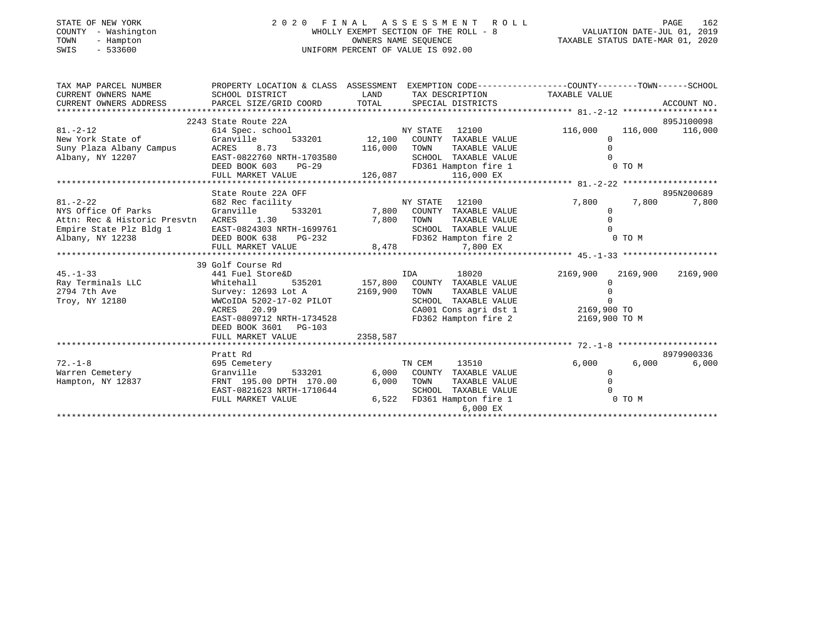| STATE OF NEW YORK<br>- Washington<br>COUNTY<br>TOWN<br>- Hampton<br>SWIS<br>$-533600$ | FINAL ASSESSMENT ROLL<br>2020<br>WHOLLY EXEMPT SECTION OF THE ROLL - 8<br>UNIFORM PERCENT OF VALUE IS 092.00 | PAGE<br>VALUATION DATE-JUL 01, 2019<br>TAXABLE STATUS DATE-MAR 01, 2020 | 162                                  |                                                                                              |            |  |
|---------------------------------------------------------------------------------------|--------------------------------------------------------------------------------------------------------------|-------------------------------------------------------------------------|--------------------------------------|----------------------------------------------------------------------------------------------|------------|--|
| TAX MAP PARCEL NUMBER<br>CURRENT OWNERS NAME<br>CURRENT OWNERS ADDRESS                | PROPERTY LOCATION & CLASS<br>SCHOOL DISTRICT<br>PARCEL SIZE/GRID COORD                                       | ASSESSMENT<br>LAND<br>TOTAL                                             | TAX DESCRIPTION<br>SPECIAL DISTRICTS | EXEMPTION CODE-----------------COUNTY-------TOWN------SCHOOL<br>TAXABLE VALUE<br>ACCOUNT NO. |            |  |
|                                                                                       | 2243 State Route 22A                                                                                         |                                                                         |                                      |                                                                                              | 895J100098 |  |
| $81. - 2 - 12$                                                                        | 614 Spec. school                                                                                             |                                                                         | 12100<br>NY STATE                    | 116,000<br>116,000                                                                           | 116,000    |  |
| New York State of                                                                     | Granville<br>533201                                                                                          | 12,100<br>116,000                                                       | COUNTY<br>TAXABLE VALUE              |                                                                                              |            |  |
|                                                                                       | Suny Plaza Albany Campus<br>8.73<br>ACRES                                                                    |                                                                         | TOWN<br>TAXABLE VALUE                |                                                                                              |            |  |
| Albany, NY 12207                                                                      | EAST-0822760 NRTH-1703580                                                                                    |                                                                         | SCHOOL<br>TAXABLE VALUE              |                                                                                              |            |  |
|                                                                                       | DEED BOOK 603<br>$PG-29$                                                                                     |                                                                         | FD361 Hampton fire 1                 | 0 TO M                                                                                       |            |  |
|                                                                                       | FULL MARKET VALUE                                                                                            | 126,087                                                                 | 116,000 EX                           |                                                                                              |            |  |

|                                         | LOTIT MAKUPI AUDI                  |          | 140,007 110,000 LA            |                      |            |
|-----------------------------------------|------------------------------------|----------|-------------------------------|----------------------|------------|
|                                         | State Route 22A OFF                |          |                               |                      | 895N200689 |
| $81. - 2 - 22$                          | 682 Rec facility                   |          | 12100<br>NY STATE             | 7,800<br>7,800       | 7,800      |
| NYS Office Of Parks                     | Granville<br>533201                |          | 7,800 COUNTY<br>TAXABLE VALUE |                      |            |
| Attn: Rec & Historic Presvtn ACRES 1.30 |                                    | 7,800    | TOWN<br>TAXABLE VALUE         |                      |            |
| Empire State Plz Bldg 1                 | EAST-0824303 NRTH-1699761          |          | SCHOOL TAXABLE VALUE          |                      |            |
| Albany, NY 12238                        | DEED BOOK 638<br>PG-232            |          | FD362 Hampton fire 2          | 0 TO M               |            |
|                                         | FULL MARKET VALUE                  | 8,478    | 7,800 EX                      |                      |            |
|                                         |                                    |          |                               |                      |            |
|                                         | 39 Golf Course Rd                  |          |                               |                      |            |
| $45. - 1 - 33$                          | 441 Fuel Store&D                   |          | IDA<br>18020                  | 2169,900<br>2169,900 | 2169,900   |
| Ray Terminals LLC                       | Whitehall<br>535201 157,800 COUNTY |          | TAXABLE VALUE                 |                      |            |
| 2794 7th Ave                            | Survey: 12693 Lot A                | 2169,900 | TOWN<br>TAXABLE VALUE         |                      |            |
| Troy, NY 12180                          | WWCOIDA 5202-17-02 PILOT           |          | SCHOOL TAXABLE VALUE          |                      |            |
|                                         | ACRES 20.99                        |          | CA001 Cons agri dst 1         | 2169,900 TO          |            |
|                                         | EAST-0809712 NRTH-1734528          |          | FD362 Hampton fire 2          | 2169,900 TO M        |            |
|                                         | DEED BOOK 3601 PG-103              |          |                               |                      |            |
|                                         | FULL MARKET VALUE                  | 2358,587 |                               |                      |            |
|                                         |                                    |          |                               |                      |            |
|                                         | Pratt Rd                           |          |                               |                      | 8979900336 |
| $72. - 1 - 8$                           | 695 Cemetery                       |          | TN CEM<br>13510               | 6,000<br>6,000       | 6,000      |
| Warren Cemetery                         | Granville<br>533201                | 6,000    | COUNTY<br>TAXABLE VALUE       |                      |            |
| Hampton, NY 12837                       | FRNT 195.00 DPTH 170.00            | 6,000    | TOWN<br>TAXABLE VALUE         |                      |            |
|                                         | EAST-0821623 NRTH-1710644          |          | SCHOOL TAXABLE VALUE          |                      |            |
|                                         | FULL MARKET VALUE                  | 6,522    | FD361 Hampton fire 1          | 0 TO M               |            |
|                                         |                                    |          | 6,000 EX                      |                      |            |
|                                         |                                    |          |                               |                      |            |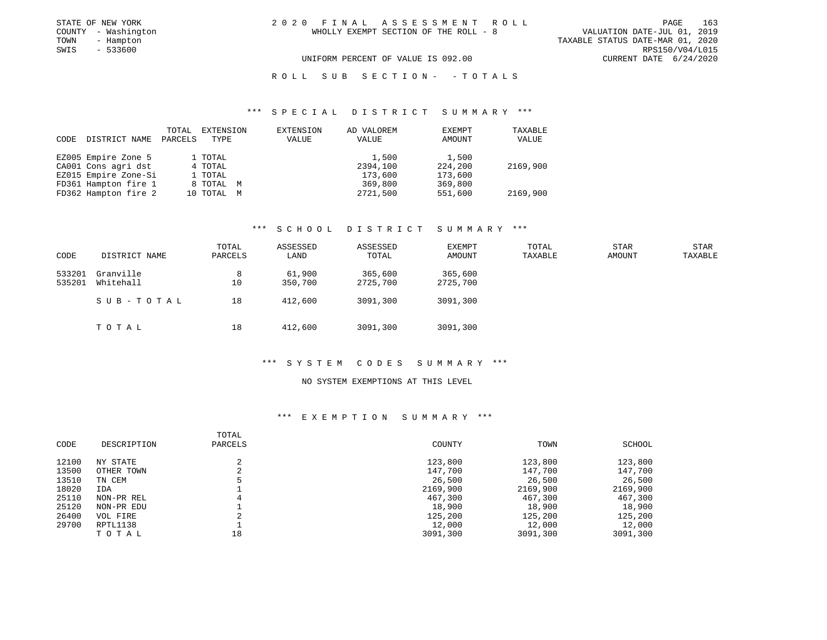|  |  | 20 FINAL ASSESSMENT ROLL              |  |  |  |                                  |                             | PAGE. | 163             |
|--|--|---------------------------------------|--|--|--|----------------------------------|-----------------------------|-------|-----------------|
|  |  | WHOLLY EXEMPT SECTION OF THE ROLL - 8 |  |  |  |                                  | VALUATION DATE-JUL 01, 2019 |       |                 |
|  |  |                                       |  |  |  | TAXABLE STATUS DATE-MAR 01, 2020 |                             |       |                 |
|  |  |                                       |  |  |  |                                  |                             |       | RPS150/V04/L015 |
|  |  | UNIFORM PERCENT OF VALUE IS 092.00    |  |  |  |                                  | CURRENT DATE 6/24/2020      |       |                 |

STATE OF NEW YORK  $2 \t 0 \t 2 \t 0$ COUNTY - Washington TOWN - Hampton  $SWIS$  - 533600

ROLL SUB SECTION - - TOTALS

#### \*\*\* S P E C I A L D I S T R I C T S U M M A R Y \*\*\*

|      |                      | TOTAL   | EXTENSION  | EXTENSION | AD VALOREM | EXEMPT  | TAXABLE  |
|------|----------------------|---------|------------|-----------|------------|---------|----------|
| CODE | DISTRICT NAME        | PARCELS | TYPE       | VALUE     | VALUE      | AMOUNT  | VALUE    |
|      |                      |         |            |           |            |         |          |
|      | EZ005 Empire Zone 5  |         | 1 TOTAL    |           | 1,500      | 1,500   |          |
|      | CA001 Cons agri dst  |         | 4 TOTAL    |           | 2394,100   | 224,200 | 2169,900 |
|      | EZ015 Empire Zone-Si |         | 1 TOTAL    |           | 173,600    | 173,600 |          |
|      | FD361 Hampton fire 1 |         | 8 TOTAL M  |           | 369,800    | 369,800 |          |
|      | FD362 Hampton fire 2 |         | 10 TOTAL M |           | 2721,500   | 551,600 | 2169,900 |

#### \*\*\* S C H O O L D I S T R I C T S U M M A R Y \*\*\*

| CODE             | DISTRICT NAME          | TOTAL<br>PARCELS | ASSESSED<br>LAND  | ASSESSED<br>TOTAL   | EXEMPT<br>AMOUNT    | TOTAL<br>TAXABLE | STAR<br>AMOUNT | STAR<br>TAXABLE |
|------------------|------------------------|------------------|-------------------|---------------------|---------------------|------------------|----------------|-----------------|
| 533201<br>535201 | Granville<br>Whitehall | 8<br>10          | 61,900<br>350,700 | 365,600<br>2725,700 | 365,600<br>2725,700 |                  |                |                 |
|                  | SUB-TOTAL              | 18               | 412,600           | 3091,300            | 3091,300            |                  |                |                 |
|                  | тотаь                  | 18               | 412,600           | 3091,300            | 3091,300            |                  |                |                 |

### \*\*\* S Y S T E M C O D E S S U M M A R Y \*\*\*

#### NO SYSTEM EXEMPTIONS AT THIS LEVEL

| CODE  | DESCRIPTION | TOTAL<br>PARCELS | COUNTY   | TOWN     | SCHOOL   |
|-------|-------------|------------------|----------|----------|----------|
| 12100 | NY STATE    | 2                | 123,800  | 123,800  | 123,800  |
| 13500 | OTHER TOWN  |                  | 147,700  | 147,700  | 147,700  |
| 13510 | TN CEM      |                  | 26,500   | 26,500   | 26,500   |
| 18020 | IDA         |                  | 2169,900 | 2169,900 | 2169,900 |
| 25110 | NON-PR REL  | 4                | 467,300  | 467,300  | 467,300  |
| 25120 | NON-PR EDU  |                  | 18,900   | 18,900   | 18,900   |
| 26400 | VOL FIRE    |                  | 125,200  | 125,200  | 125,200  |
| 29700 | RPTL1138    |                  | 12,000   | 12,000   | 12,000   |
|       | TOTAL       | 18               | 3091,300 | 3091,300 | 3091,300 |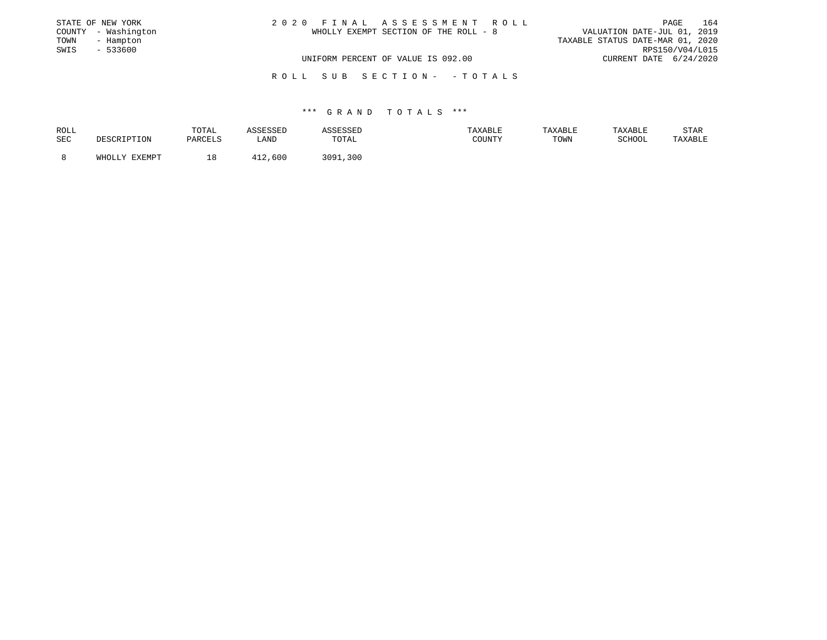| STATE OF NEW YORK |                     | 2020 FINAL ASSESSMENT ROLL |                                       |                                  |                        | PAGE | 164 |
|-------------------|---------------------|----------------------------|---------------------------------------|----------------------------------|------------------------|------|-----|
|                   | COUNTY - Washington |                            | WHOLLY EXEMPT SECTION OF THE ROLL - 8 | VALUATION DATE-JUL 01, 2019      |                        |      |     |
| TOWN              | - Hampton           |                            |                                       | TAXABLE STATUS DATE-MAR 01, 2020 |                        |      |     |
| SWIS              | - 533600            |                            |                                       |                                  | RPS150/V04/L015        |      |     |
|                   |                     |                            | UNIFORM PERCENT OF VALUE IS 092.00    |                                  | CURRENT DATE 6/24/2020 |      |     |
|                   |                     |                            |                                       |                                  |                        |      |     |

R O L L S U B S E C T I O N - - T O T A L S

| ROLL |                 | TOTAL     | <b>COLCOL</b><br>. |             | <b>XABLE</b> | TAXABLE | TAXABLL          | STAR    |
|------|-----------------|-----------|--------------------|-------------|--------------|---------|------------------|---------|
| SEC  |                 | DA DA TIC | LAND               | TOTAL       | C            | TOWN    | COTTOOT<br>CHOOL | 'AXABLE |
|      | FYFMDT<br>∴ו∩¤י |           | . 600              | ?∩Q1<br>300 |              |         |                  |         |
|      |                 |           |                    |             |              |         |                  |         |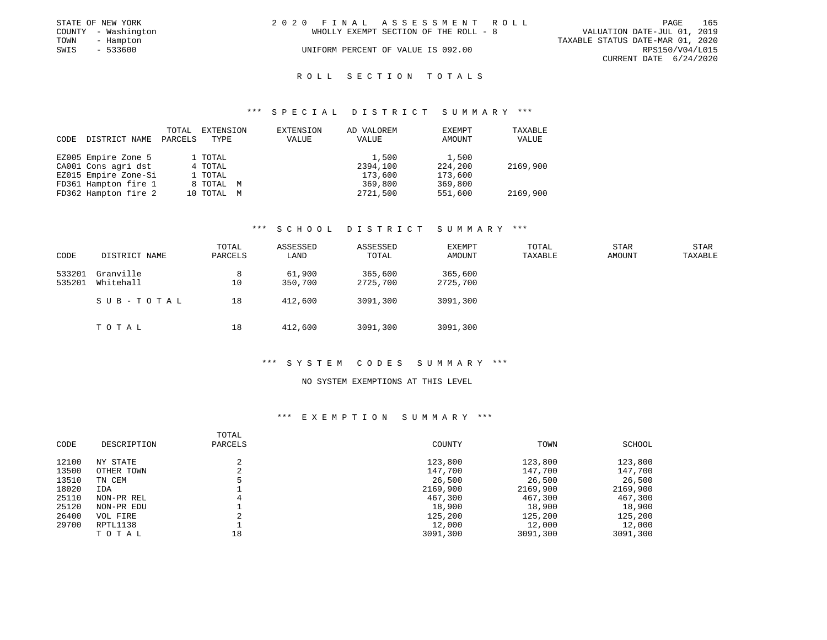|      | STATE OF NEW YORK   | 2020 FINAL ASSESSMENT ROLL |                                       |                                  | PAGE            | 165 |
|------|---------------------|----------------------------|---------------------------------------|----------------------------------|-----------------|-----|
|      | COUNTY - Washington |                            | WHOLLY EXEMPT SECTION OF THE ROLL - 8 | VALUATION DATE-JUL 01, 2019      |                 |     |
| TOWN | - Hampton           |                            |                                       | TAXABLE STATUS DATE-MAR 01, 2020 |                 |     |
| SWIS | - 533600            |                            | UNIFORM PERCENT OF VALUE IS 092.00    |                                  | RPS150/V04/L015 |     |
|      |                     |                            |                                       | CURRENT DATE 6/24/2020           |                 |     |

#### R O L L S E C T I O N T O T A L S

#### \*\*\* S P E C I A L D I S T R I C T S U M M A R Y \*\*\*

| CODE | DISTRICT NAME        | TOTAL<br>PARCELS | EXTENSION<br>TYPE | EXTENSION<br>VALUE | AD VALOREM<br>VALUE | EXEMPT<br>AMOUNT | TAXABLE<br>VALUE |
|------|----------------------|------------------|-------------------|--------------------|---------------------|------------------|------------------|
|      | EZ005 Empire Zone 5  |                  | 1 TOTAL           |                    | 1,500               | 1,500            |                  |
|      | CA001 Cons agri dst  |                  | 4 TOTAL           |                    | 2394,100            | 224,200          | 2169,900         |
|      | EZ015 Empire Zone-Si |                  | 1 TOTAL           |                    | 173,600             | 173,600          |                  |
|      | FD361 Hampton fire 1 |                  | 8 TOTAL M         |                    | 369,800             | 369,800          |                  |
|      | FD362 Hampton fire 2 |                  | 10 TOTAL M        |                    | 2721,500            | 551,600          | 2169,900         |

#### \*\*\* S C H O O L D I S T R I C T S U M M A R Y \*\*\*

| CODE             | DISTRICT NAME          | TOTAL<br>PARCELS | ASSESSED<br>LAND  | ASSESSED<br>TOTAL   | EXEMPT<br>AMOUNT    | TOTAL<br>TAXABLE | STAR<br>AMOUNT | STAR<br>TAXABLE |
|------------------|------------------------|------------------|-------------------|---------------------|---------------------|------------------|----------------|-----------------|
| 533201<br>535201 | Granville<br>Whitehall | 8<br>10          | 61,900<br>350,700 | 365,600<br>2725,700 | 365,600<br>2725,700 |                  |                |                 |
|                  | SUB-TOTAL              | 18               | 412,600           | 3091,300            | 3091,300            |                  |                |                 |
|                  | TOTAL                  | 18               | 412,600           | 3091,300            | 3091,300            |                  |                |                 |

#### \*\*\* S Y S T E M C O D E S S U M M A R Y \*\*\*

#### NO SYSTEM EXEMPTIONS AT THIS LEVEL

| CODE  | DESCRIPTION | TOTAL<br>PARCELS | COUNTY   | TOWN     | SCHOOL   |
|-------|-------------|------------------|----------|----------|----------|
| 12100 | NY STATE    | 2                | 123,800  | 123,800  | 123,800  |
| 13500 | OTHER TOWN  |                  | 147,700  | 147,700  | 147,700  |
| 13510 | TN CEM      |                  | 26,500   | 26,500   | 26,500   |
| 18020 | IDA         |                  | 2169,900 | 2169,900 | 2169,900 |
| 25110 | NON-PR REL  | 4                | 467,300  | 467,300  | 467,300  |
| 25120 | NON-PR EDU  |                  | 18,900   | 18,900   | 18,900   |
| 26400 | VOL FIRE    |                  | 125,200  | 125,200  | 125,200  |
| 29700 | RPTL1138    |                  | 12,000   | 12,000   | 12,000   |
|       | TOTAL       | 18               | 3091,300 | 3091,300 | 3091,300 |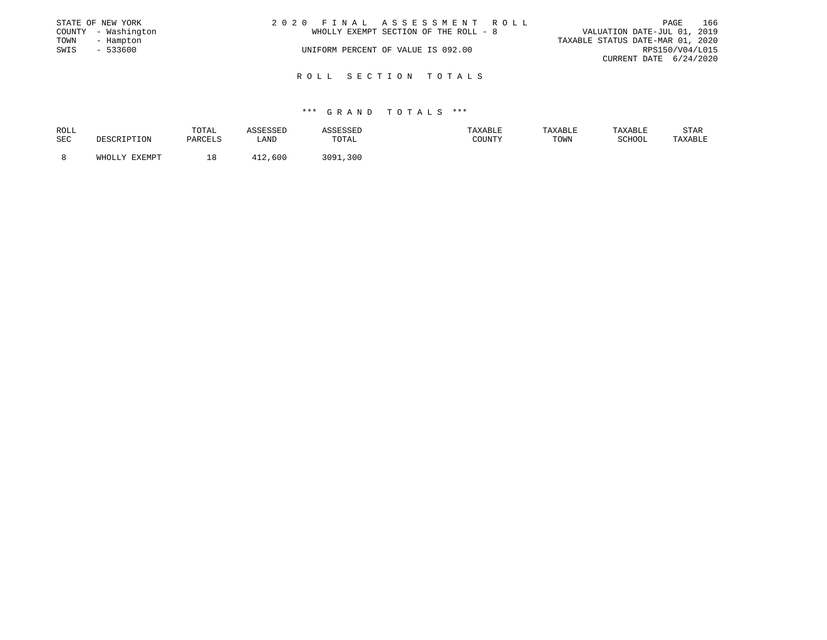|      | STATE OF NEW YORK   | 2020 FINAL ASSESSMENT ROLL            | PAGE                             | 166 |
|------|---------------------|---------------------------------------|----------------------------------|-----|
|      | COUNTY - Washington | WHOLLY EXEMPT SECTION OF THE ROLL - 8 | VALUATION DATE-JUL 01, 2019      |     |
| TOWN | - Hampton           |                                       | TAXABLE STATUS DATE-MAR 01, 2020 |     |
| SWIS | $-533600$           | UNIFORM PERCENT OF VALUE IS 092.00    | RPS150/V04/L015                  |     |
|      |                     |                                       | CURRENT DATE 6/24/2020           |     |
|      |                     |                                       |                                  |     |

#### R O L L S E C T I O N T O T A L S

|     |                        |         |               | TAXABLE | TAXABLE | TAXABLE | STAR    |
|-----|------------------------|---------|---------------|---------|---------|---------|---------|
| SEC | DESCRIPTION<br>PARCELS | LAND    | TOTAL         | COUNTY  | TOWN    | SCHOOL  | TAXABLE |
|     | WHOLLY FYFMDT          | 412,600 | 3091,<br>,300 |         |         |         |         |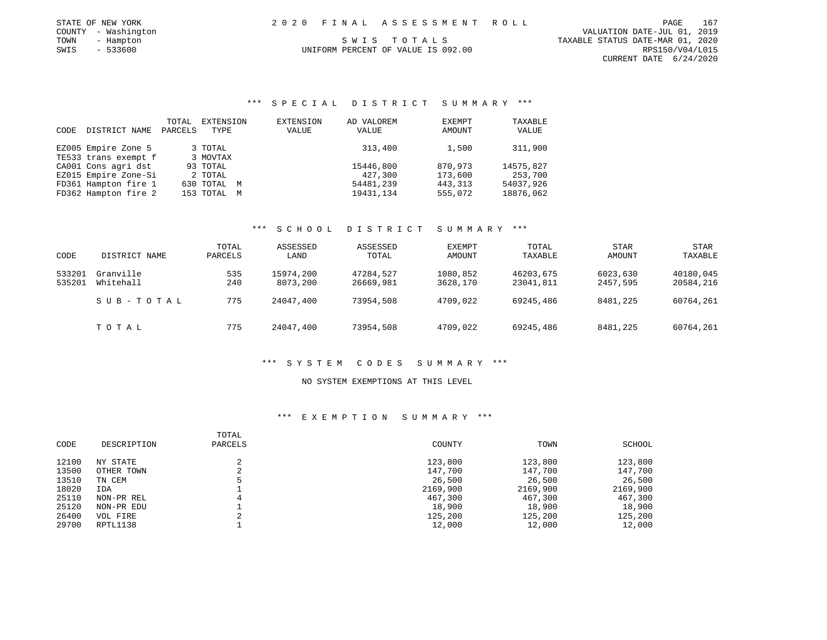|      | STATE OF NEW YORK   |  | 2020 FINAL ASSESSMENT ROLL         | PAGE                             | 167 |
|------|---------------------|--|------------------------------------|----------------------------------|-----|
|      | COUNTY - Washington |  |                                    | VALUATION DATE-JUL 01, 2019      |     |
| TOWN | - Hampton           |  | SWIS TOTALS                        | TAXABLE STATUS DATE-MAR 01, 2020 |     |
| SWIS | $-533600$           |  | UNIFORM PERCENT OF VALUE IS 092.00 | RPS150/V04/L015                  |     |

CURRENT DATE 6/24/2020

### \*\*\* S P E C I A L D I S T R I C T S U M M A R Y \*\*\*

| CODE | DISTRICT NAME        | TOTAL<br>PARCELS | EXTENSION<br>TYPE | EXTENSION<br>VALUE | AD VALOREM<br>VALUE | EXEMPT<br>AMOUNT | TAXABLE<br>VALUE |
|------|----------------------|------------------|-------------------|--------------------|---------------------|------------------|------------------|
|      | EZ005 Empire Zone 5  |                  | 3 TOTAL           |                    | 313,400             | 1,500            | 311,900          |
|      | TE533 trans exempt f |                  | 3 MOVTAX          |                    |                     |                  |                  |
|      | CA001 Cons agri dst  |                  | 93 TOTAL          |                    | 15446,800           | 870,973          | 14575,827        |
|      | EZ015 Empire Zone-Si |                  | 2 TOTAL           |                    | 427,300             | 173,600          | 253,700          |
|      | FD361 Hampton fire 1 |                  | 630 TOTAL M       |                    | 54481,239           | 443, 313         | 54037,926        |
|      | FD362 Hampton fire 2 |                  | 153 TOTAL M       |                    | 19431,134           | 555,072          | 18876,062        |

#### \*\*\* S C H O O L D I S T R I C T S U M M A R Y \*\*\*

| CODE             | DISTRICT NAME          | TOTAL<br>PARCELS | ASSESSED<br>LAND      | ASSESSED<br>TOTAL      | EXEMPT<br>AMOUNT     | TOTAL<br>TAXABLE       | <b>STAR</b><br>AMOUNT | <b>STAR</b><br>TAXABLE |
|------------------|------------------------|------------------|-----------------------|------------------------|----------------------|------------------------|-----------------------|------------------------|
| 533201<br>535201 | Granville<br>Whitehall | 535<br>240       | 15974,200<br>8073,200 | 47284.527<br>26669,981 | 1080,852<br>3628,170 | 46203,675<br>23041,811 | 6023,630<br>2457,595  | 40180,045<br>20584,216 |
|                  | SUB-TOTAL              | 775              | 24047,400             | 73954,508              | 4709,022             | 69245,486              | 8481,225              | 60764,261              |
|                  | тотаь                  | 775              | 24047,400             | 73954,508              | 4709,022             | 69245,486              | 8481,225              | 60764,261              |

#### \*\*\* S Y S T E M C O D E S S U M M A R Y \*\*\*

#### NO SYSTEM EXEMPTIONS AT THIS LEVEL

| CODE  | DESCRIPTION | TOTAL<br>PARCELS | COUNTY   | TOWN     | SCHOOL   |
|-------|-------------|------------------|----------|----------|----------|
| 12100 | NY STATE    |                  | 123,800  | 123,800  | 123,800  |
| 13500 | OTHER TOWN  |                  | 147,700  | 147,700  | 147,700  |
| 13510 | TN CEM      |                  | 26,500   | 26,500   | 26,500   |
| 18020 | IDA         |                  | 2169,900 | 2169,900 | 2169,900 |
| 25110 | NON-PR REL  | 4                | 467,300  | 467,300  | 467,300  |
| 25120 | NON-PR EDU  |                  | 18,900   | 18,900   | 18,900   |
| 26400 | VOL FIRE    |                  | 125,200  | 125,200  | 125,200  |
| 29700 | RPTL1138    |                  | 12,000   | 12,000   | 12,000   |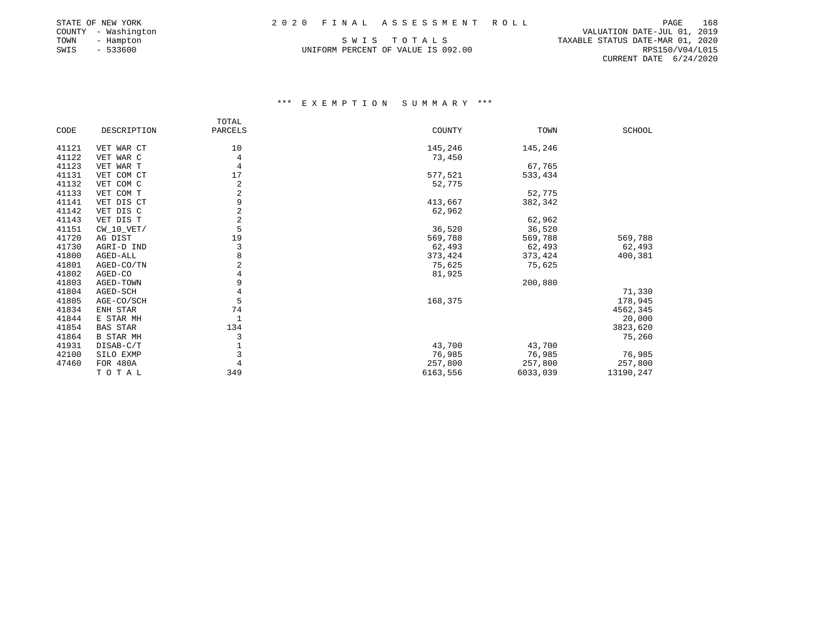### STATE OF NEW YORK 2 0 2 0 F I N A L A S S E S S M E N T R O L L PAGE 168

| STATE OF NEW YORK      |
|------------------------|
| - Washington<br>COUNTY |
| TOWN<br>- Hampton      |
| $-533600$<br>SWIS      |

UNIFORM PERCENT OF VALUE IS 092.00

PAGE 168 ---- ------<br>VALUATION DATE-JUL 01, 2019<br>COUNTY - TAXABLE STATUS DATE-MAR 01, 2020 TAXABLE STATUS DATE-MAR 01, 2020<br>RPS150/V04/L015 CURRENT DATE 6/24/2020

|       |                  | TOTAL          |          |          |           |
|-------|------------------|----------------|----------|----------|-----------|
| CODE  | DESCRIPTION      | PARCELS        | COUNTY   | TOWN     | SCHOOL    |
| 41121 | VET WAR CT       | 10             | 145,246  | 145,246  |           |
| 41122 | VET WAR C        | 4              | 73,450   |          |           |
| 41123 | VET WAR T        | 4              |          | 67,765   |           |
| 41131 | VET COM CT       | 17             |          | 533,434  |           |
|       |                  | 2              | 577,521  |          |           |
| 41132 | VET COM C        |                | 52,775   |          |           |
| 41133 | VET COM T        | $\sqrt{2}$     |          | 52,775   |           |
| 41141 | VET DIS CT       | 9              | 413,667  | 382,342  |           |
| 41142 | VET DIS C        | $\sqrt{2}$     | 62,962   |          |           |
| 41143 | VET DIS T        | $\sqrt{2}$     |          | 62,962   |           |
| 41151 | $CW_10_VET/$     | 5              | 36,520   | 36,520   |           |
| 41720 | AG DIST          | 19             | 569,788  | 569,788  | 569,788   |
| 41730 | AGRI-D IND       | 3              | 62,493   | 62,493   | 62,493    |
| 41800 | AGED-ALL         | 8              | 373,424  | 373,424  | 400,381   |
| 41801 | AGED-CO/TN       | $\overline{2}$ | 75,625   | 75,625   |           |
| 41802 | AGED-CO          | 4              | 81,925   |          |           |
| 41803 | AGED-TOWN        | 9              |          | 200,880  |           |
| 41804 | AGED-SCH         | 4              |          |          | 71,330    |
| 41805 | AGE-CO/SCH       | 5              | 168,375  |          | 178,945   |
| 41834 | ENH STAR         | 74             |          |          | 4562,345  |
| 41844 | E STAR MH        | 1              |          |          | 20,000    |
| 41854 | <b>BAS STAR</b>  | 134            |          |          | 3823,620  |
| 41864 | <b>B STAR MH</b> | 3              |          |          | 75,260    |
| 41931 | DISAB-C/T        |                | 43,700   | 43,700   |           |
| 42100 | SILO EXMP        | 3              | 76,985   | 76,985   | 76,985    |
| 47460 | FOR 480A         |                | 257,800  | 257,800  | 257,800   |
|       | TOTAL            | 349            | 6163,556 | 6033,039 | 13190,247 |
|       |                  |                |          |          |           |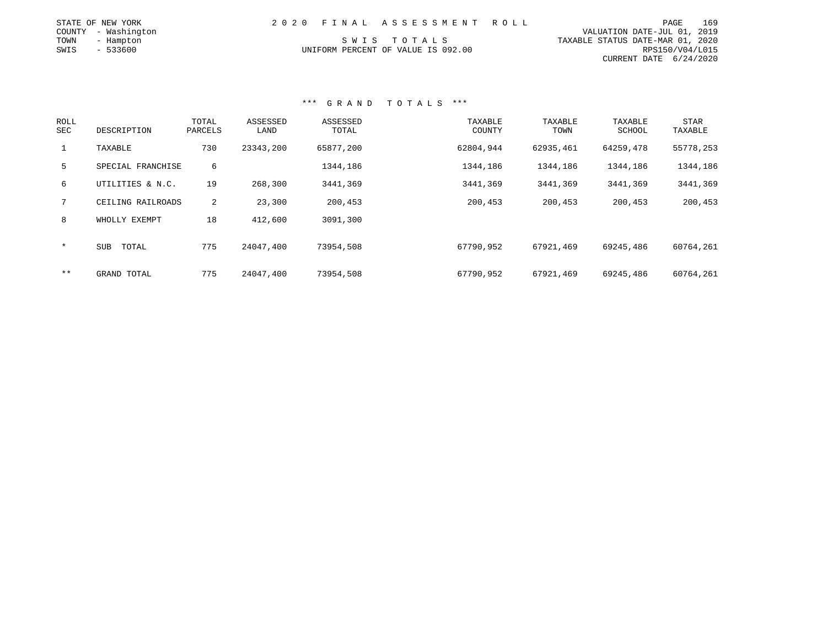| STATE OF NEW YORK   | 2020 FINAL ASSESSMENT ROLL         | 169<br>PAGE                      |
|---------------------|------------------------------------|----------------------------------|
| COUNTY - Washington |                                    | VALUATION DATE-JUL 01, 2019      |
| TOWN<br>- Hampton   | SWIS TOTALS                        | TAXABLE STATUS DATE-MAR 01, 2020 |
| - 533600<br>SWIS    | UNIFORM PERCENT OF VALUE IS 092.00 | RPS150/V04/L015                  |
|                     |                                    | CURRENT DATE 6/24/2020           |

| <b>ROLL</b><br>SEC | DESCRIPTION       | TOTAL<br>PARCELS | ASSESSED<br>LAND | ASSESSED<br>TOTAL | TAXABLE<br>COUNTY | TAXABLE<br>TOWN | TAXABLE<br>SCHOOL | <b>STAR</b><br>TAXABLE |
|--------------------|-------------------|------------------|------------------|-------------------|-------------------|-----------------|-------------------|------------------------|
| $\mathbf{1}$       | TAXABLE           | 730              | 23343,200        | 65877,200         | 62804,944         | 62935,461       | 64259,478         | 55778,253              |
| 5                  | SPECIAL FRANCHISE | 6                |                  | 1344,186          | 1344,186          | 1344,186        | 1344,186          | 1344,186               |
| 6                  | UTILITIES & N.C.  | 19               | 268,300          | 3441,369          | 3441,369          | 3441,369        | 3441,369          | 3441,369               |
| $7^{\circ}$        | CEILING RAILROADS | 2                | 23,300           | 200,453           | 200,453           | 200,453         | 200,453           | 200,453                |
| 8                  | WHOLLY EXEMPT     | 18               | 412,600          | 3091,300          |                   |                 |                   |                        |
| $\star$            | SUB<br>TOTAL      | 775              | 24047,400        | 73954,508         | 67790,952         | 67921,469       | 69245,486         | 60764,261              |
| $***$              | GRAND TOTAL       | 775              | 24047,400        | 73954,508         | 67790,952         | 67921,469       | 69245,486         | 60764,261              |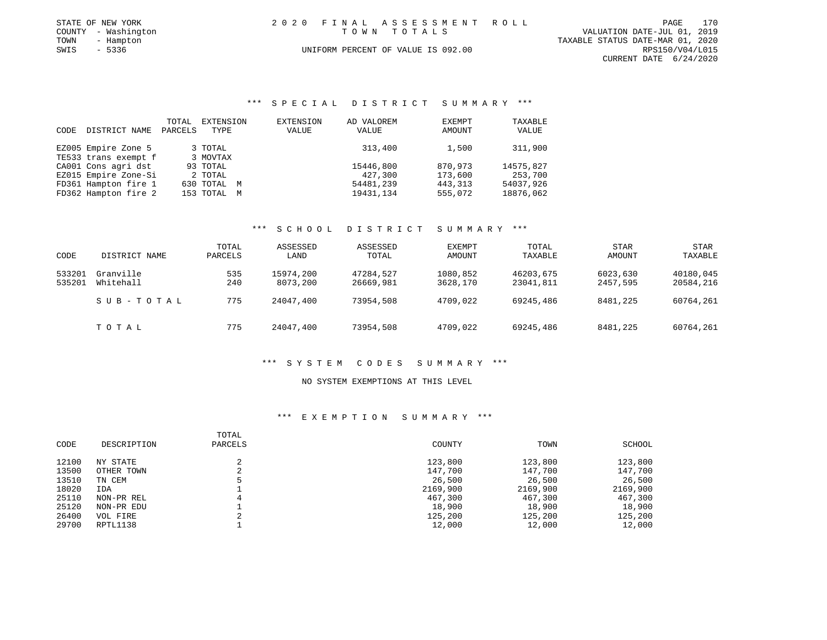|      | STATE OF NEW YORK   | 2020 FINAL ASSESSMENT ROLL         | PAGE                             | 170 |
|------|---------------------|------------------------------------|----------------------------------|-----|
|      | COUNTY - Washington | TOWN TOTALS                        | VALUATION DATE-JUL 01, 2019      |     |
| TOWN | - Hampton           |                                    | TAXABLE STATUS DATE-MAR 01, 2020 |     |
| SWIS | - 5336              | UNIFORM PERCENT OF VALUE IS 092.00 | RPS150/V04/L015                  |     |
|      |                     |                                    | CURRENT DATE 6/24/2020           |     |

#### \*\*\* S P E C I A L D I S T R I C T S U M M A R Y \*\*\*

| CODE | DISTRICT NAME        | TOTAL<br>PARCELS | EXTENSION<br>TYPE | EXTENSION<br>VALUE | AD VALOREM<br>VALUE | EXEMPT<br>AMOUNT | TAXABLE<br>VALUE |
|------|----------------------|------------------|-------------------|--------------------|---------------------|------------------|------------------|
|      | EZ005 Empire Zone 5  |                  | 3 TOTAL           |                    | 313,400             | 1,500            | 311,900          |
|      | TE533 trans exempt f |                  | 3 MOVTAX          |                    |                     |                  |                  |
|      | CA001 Cons agri dst  |                  | 93 TOTAL          |                    | 15446,800           | 870,973          | 14575,827        |
|      | EZ015 Empire Zone-Si |                  | 2 TOTAL           |                    | 427,300             | 173,600          | 253,700          |
|      | FD361 Hampton fire 1 |                  | 630 TOTAL M       |                    | 54481,239           | 443, 313         | 54037,926        |
|      | FD362 Hampton fire 2 |                  | 153 TOTAL M       |                    | 19431,134           | 555,072          | 18876,062        |

#### \*\*\* S C H O O L D I S T R I C T S U M M A R Y \*\*\*

| CODE             | DISTRICT NAME          | TOTAL<br>PARCELS | ASSESSED<br>LAND      | ASSESSED<br>TOTAL      | EXEMPT<br>AMOUNT     | TOTAL<br>TAXABLE       | STAR<br>AMOUNT       | STAR<br>TAXABLE        |
|------------------|------------------------|------------------|-----------------------|------------------------|----------------------|------------------------|----------------------|------------------------|
| 533201<br>535201 | Granville<br>Whitehall | 535<br>240       | 15974,200<br>8073,200 | 47284.527<br>26669,981 | 1080,852<br>3628,170 | 46203,675<br>23041,811 | 6023,630<br>2457,595 | 40180,045<br>20584,216 |
|                  | SUB-TOTAL              | 775              | 24047,400             | 73954,508              | 4709,022             | 69245,486              | 8481,225             | 60764,261              |
|                  | TOTAL                  | 775              | 24047,400             | 73954,508              | 4709,022             | 69245,486              | 8481,225             | 60764,261              |

#### \*\*\* S Y S T E M C O D E S S U M M A R Y \*\*\*

#### NO SYSTEM EXEMPTIONS AT THIS LEVEL

| CODE  | DESCRIPTION | TOTAL<br>PARCELS | COUNTY   | TOWN     | SCHOOL   |
|-------|-------------|------------------|----------|----------|----------|
| 12100 | NY STATE    | 2                | 123,800  | 123,800  | 123,800  |
| 13500 | OTHER TOWN  | 2                | 147,700  | 147,700  | 147,700  |
| 13510 | TN CEM      | 5                | 26,500   | 26,500   | 26,500   |
| 18020 | IDA         |                  | 2169,900 | 2169,900 | 2169,900 |
| 25110 | NON-PR REL  | 4                | 467,300  | 467,300  | 467,300  |
| 25120 | NON-PR EDU  |                  | 18,900   | 18,900   | 18,900   |
| 26400 | VOL FIRE    |                  | 125,200  | 125,200  | 125,200  |
| 29700 | RPTL1138    |                  | 12,000   | 12,000   | 12,000   |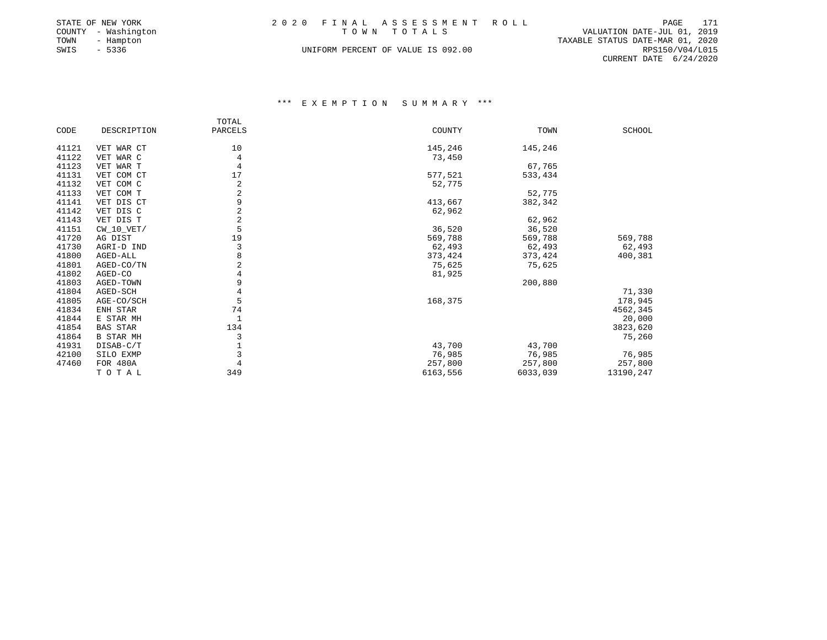|      | STATE OF NEW YORK   | 2020 FINAL ASSESSMENT ROLL         | 171<br>PAGE                      |
|------|---------------------|------------------------------------|----------------------------------|
|      | COUNTY - Washington | TOWN TOTALS                        | VALUATION DATE-JUL 01, 2019      |
| TOWN | - Hampton           |                                    | TAXABLE STATUS DATE-MAR 01, 2020 |
| SWIS | $-5336$             | UNIFORM PERCENT OF VALUE IS 092.00 | RPS150/V04/L015                  |
|      |                     |                                    | CURRENT DATE $6/24/2020$         |

|       |                  | TOTAL          |          |          |               |
|-------|------------------|----------------|----------|----------|---------------|
| CODE  | DESCRIPTION      | PARCELS        | COUNTY   | TOWN     | <b>SCHOOL</b> |
|       |                  |                |          |          |               |
| 41121 | VET WAR CT       | 10             | 145,246  | 145,246  |               |
| 41122 | VET WAR C        | 4              | 73,450   |          |               |
| 41123 | VET WAR T        | 4              |          | 67,765   |               |
| 41131 | VET COM CT       | 17             | 577,521  | 533,434  |               |
| 41132 | VET COM C        | 2              | 52,775   |          |               |
| 41133 | VET COM T        | $\overline{2}$ |          | 52,775   |               |
| 41141 | VET DIS CT       | 9              | 413,667  | 382,342  |               |
| 41142 | VET DIS C        | $\overline{a}$ | 62,962   |          |               |
| 41143 | VET DIS T        | $\overline{2}$ |          | 62,962   |               |
| 41151 | $CW_10_VET/$     | 5              | 36,520   | 36,520   |               |
| 41720 | AG DIST          | 19             | 569,788  | 569,788  | 569,788       |
| 41730 | AGRI-D IND       | 3              | 62,493   | 62,493   | 62,493        |
| 41800 | AGED-ALL         | 8              | 373,424  | 373,424  | 400,381       |
| 41801 | AGED-CO/TN       | 2              | 75,625   | 75,625   |               |
| 41802 | AGED-CO          | 4              | 81,925   |          |               |
| 41803 | AGED-TOWN        | 9              |          | 200,880  |               |
| 41804 | AGED-SCH         | 4              |          |          | 71,330        |
| 41805 | AGE-CO/SCH       | 5              | 168,375  |          | 178,945       |
| 41834 | ENH STAR         | 74             |          |          | 4562,345      |
| 41844 | E STAR MH        | 1              |          |          | 20,000        |
| 41854 | <b>BAS STAR</b>  | 134            |          |          | 3823,620      |
| 41864 | <b>B STAR MH</b> | 3              |          |          | 75,260        |
| 41931 | DISAB-C/T        |                | 43,700   | 43,700   |               |
| 42100 | SILO EXMP        | 3              | 76,985   | 76,985   | 76,985        |
| 47460 | FOR 480A         |                | 257,800  | 257,800  | 257,800       |
|       | TOTAL            | 349            | 6163,556 | 6033,039 | 13190,247     |
|       |                  |                |          |          |               |